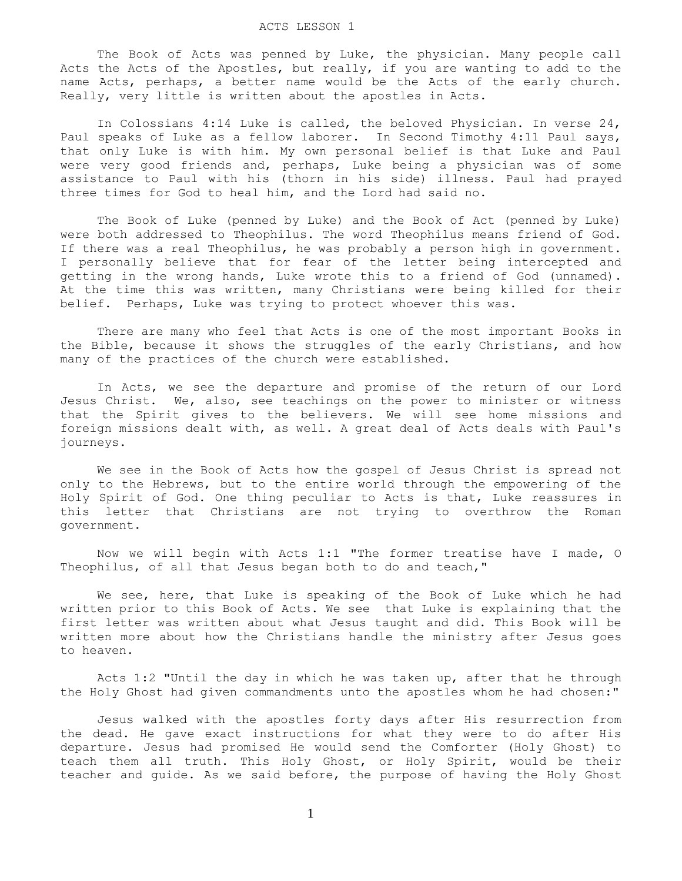#### ACTS LESSON 1

The Book of Acts was penned by Luke, the physician. Many people call Acts the Acts of the Apostles, but really, if you are wanting to add to the name Acts, perhaps, a better name would be the Acts of the early church. Really, very little is written about the apostles in Acts.

 In Colossians 4:14 Luke is called, the beloved Physician. In verse 24, Paul speaks of Luke as a fellow laborer. In Second Timothy 4:11 Paul says, that only Luke is with him. My own personal belief is that Luke and Paul were very good friends and, perhaps, Luke being a physician was of some assistance to Paul with his (thorn in his side) illness. Paul had prayed three times for God to heal him, and the Lord had said no.

 The Book of Luke (penned by Luke) and the Book of Act (penned by Luke) were both addressed to Theophilus. The word Theophilus means friend of God. If there was a real Theophilus, he was probably a person high in government. I personally believe that for fear of the letter being intercepted and getting in the wrong hands, Luke wrote this to a friend of God (unnamed). At the time this was written, many Christians were being killed for their belief. Perhaps, Luke was trying to protect whoever this was.

 There are many who feel that Acts is one of the most important Books in the Bible, because it shows the struggles of the early Christians, and how many of the practices of the church were established.

 In Acts, we see the departure and promise of the return of our Lord Jesus Christ. We, also, see teachings on the power to minister or witness that the Spirit gives to the believers. We will see home missions and foreign missions dealt with, as well. A great deal of Acts deals with Paul's journeys.

 We see in the Book of Acts how the gospel of Jesus Christ is spread not only to the Hebrews, but to the entire world through the empowering of the Holy Spirit of God. One thing peculiar to Acts is that, Luke reassures in this letter that Christians are not trying to overthrow the Roman government.

 Now we will begin with Acts 1:1 "The former treatise have I made, O Theophilus, of all that Jesus began both to do and teach,"

We see, here, that Luke is speaking of the Book of Luke which he had written prior to this Book of Acts. We see that Luke is explaining that the first letter was written about what Jesus taught and did. This Book will be written more about how the Christians handle the ministry after Jesus goes to heaven.

 Acts 1:2 "Until the day in which he was taken up, after that he through the Holy Ghost had given commandments unto the apostles whom he had chosen:"

 Jesus walked with the apostles forty days after His resurrection from the dead. He gave exact instructions for what they were to do after His departure. Jesus had promised He would send the Comforter (Holy Ghost) to teach them all truth. This Holy Ghost, or Holy Spirit, would be their teacher and guide. As we said before, the purpose of having the Holy Ghost

1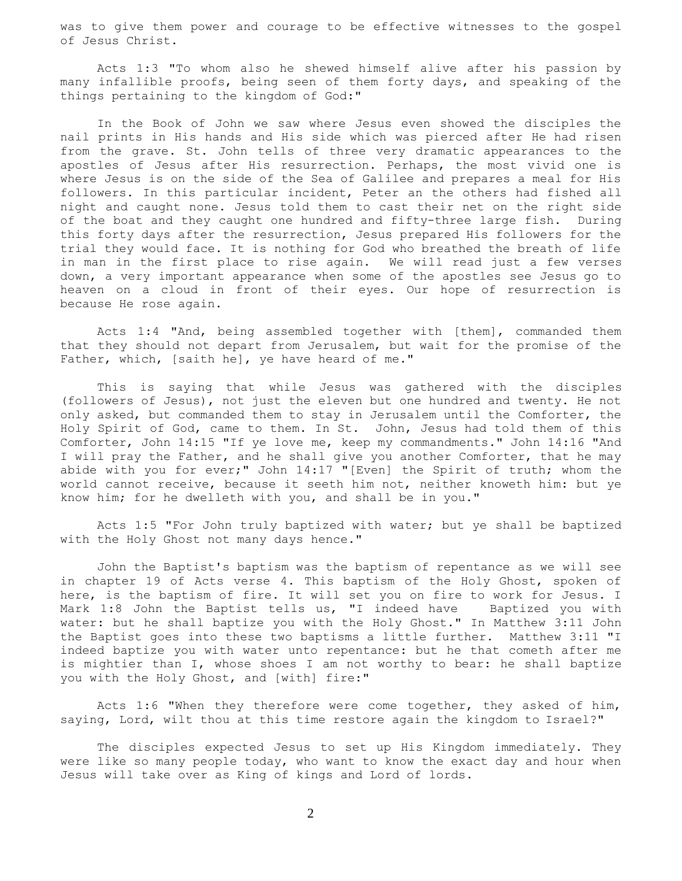was to give them power and courage to be effective witnesses to the gospel of Jesus Christ.

 Acts 1:3 "To whom also he shewed himself alive after his passion by many infallible proofs, being seen of them forty days, and speaking of the things pertaining to the kingdom of God:"

 In the Book of John we saw where Jesus even showed the disciples the nail prints in His hands and His side which was pierced after He had risen from the grave. St. John tells of three very dramatic appearances to the apostles of Jesus after His resurrection. Perhaps, the most vivid one is where Jesus is on the side of the Sea of Galilee and prepares a meal for His followers. In this particular incident, Peter an the others had fished all night and caught none. Jesus told them to cast their net on the right side of the boat and they caught one hundred and fifty-three large fish. During this forty days after the resurrection, Jesus prepared His followers for the trial they would face. It is nothing for God who breathed the breath of life in man in the first place to rise again. We will read just a few verses down, a very important appearance when some of the apostles see Jesus go to heaven on a cloud in front of their eyes. Our hope of resurrection is because He rose again.

 Acts 1:4 "And, being assembled together with [them], commanded them that they should not depart from Jerusalem, but wait for the promise of the Father, which, [saith he], ye have heard of me."

 This is saying that while Jesus was gathered with the disciples (followers of Jesus), not just the eleven but one hundred and twenty. He not only asked, but commanded them to stay in Jerusalem until the Comforter, the Holy Spirit of God, came to them. In St. John, Jesus had told them of this Comforter, John 14:15 "If ye love me, keep my commandments." John 14:16 "And I will pray the Father, and he shall give you another Comforter, that he may abide with you for ever;" John 14:17 "[Even] the Spirit of truth; whom the world cannot receive, because it seeth him not, neither knoweth him: but ye know him; for he dwelleth with you, and shall be in you."

 Acts 1:5 "For John truly baptized with water; but ye shall be baptized with the Holy Ghost not many days hence."

 John the Baptist's baptism was the baptism of repentance as we will see in chapter 19 of Acts verse 4. This baptism of the Holy Ghost, spoken of here, is the baptism of fire. It will set you on fire to work for Jesus. I Mark 1:8 John the Baptist tells us, "I indeed have Baptized you with water: but he shall baptize you with the Holy Ghost." In Matthew 3:11 John the Baptist goes into these two baptisms a little further. Matthew 3:11 "I indeed baptize you with water unto repentance: but he that cometh after me is mightier than I, whose shoes I am not worthy to bear: he shall baptize you with the Holy Ghost, and [with] fire:"

 Acts 1:6 "When they therefore were come together, they asked of him, saying, Lord, wilt thou at this time restore again the kingdom to Israel?"

 The disciples expected Jesus to set up His Kingdom immediately. They were like so many people today, who want to know the exact day and hour when Jesus will take over as King of kings and Lord of lords.

2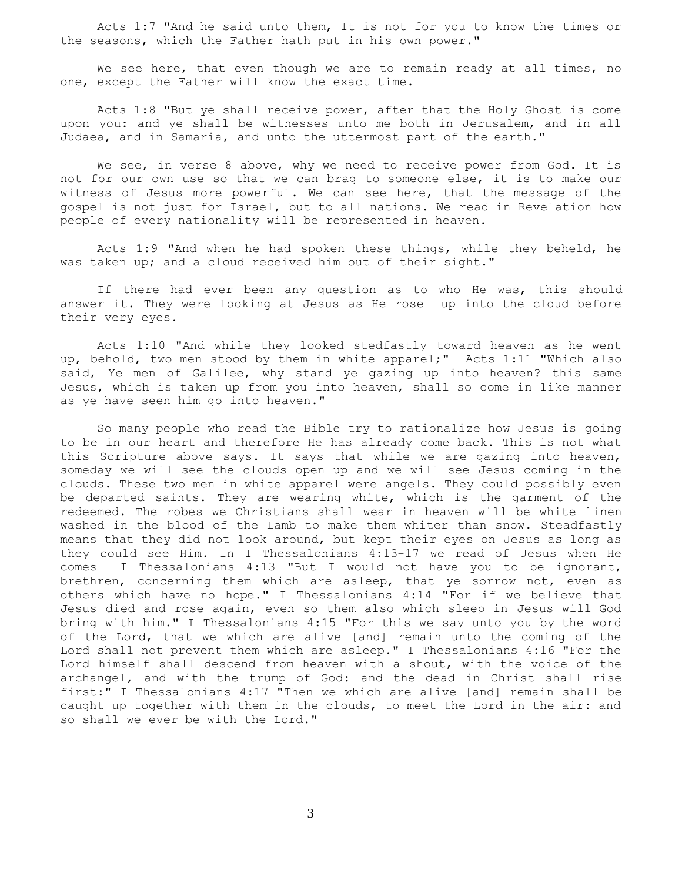Acts 1:7 "And he said unto them, It is not for you to know the times or the seasons, which the Father hath put in his own power."

We see here, that even though we are to remain ready at all times, no one, except the Father will know the exact time.

 Acts 1:8 "But ye shall receive power, after that the Holy Ghost is come upon you: and ye shall be witnesses unto me both in Jerusalem, and in all Judaea, and in Samaria, and unto the uttermost part of the earth."

We see, in verse 8 above, why we need to receive power from God. It is not for our own use so that we can brag to someone else, it is to make our witness of Jesus more powerful. We can see here, that the message of the gospel is not just for Israel, but to all nations. We read in Revelation how people of every nationality will be represented in heaven.

 Acts 1:9 "And when he had spoken these things, while they beheld, he was taken up; and a cloud received him out of their sight."

 If there had ever been any question as to who He was, this should answer it. They were looking at Jesus as He rose up into the cloud before their very eyes.

 Acts 1:10 "And while they looked stedfastly toward heaven as he went up, behold, two men stood by them in white apparel;" Acts 1:11 "Which also said, Ye men of Galilee, why stand ye gazing up into heaven? this same Jesus, which is taken up from you into heaven, shall so come in like manner as ye have seen him go into heaven."

 So many people who read the Bible try to rationalize how Jesus is going to be in our heart and therefore He has already come back. This is not what this Scripture above says. It says that while we are gazing into heaven, someday we will see the clouds open up and we will see Jesus coming in the clouds. These two men in white apparel were angels. They could possibly even be departed saints. They are wearing white, which is the garment of the redeemed. The robes we Christians shall wear in heaven will be white linen washed in the blood of the Lamb to make them whiter than snow. Steadfastly means that they did not look around, but kept their eyes on Jesus as long as they could see Him. In I Thessalonians 4:13-17 we read of Jesus when He comes I Thessalonians 4:13 "But I would not have you to be ignorant, brethren, concerning them which are asleep, that ye sorrow not, even as others which have no hope." I Thessalonians 4:14 "For if we believe that Jesus died and rose again, even so them also which sleep in Jesus will God bring with him." I Thessalonians 4:15 "For this we say unto you by the word of the Lord, that we which are alive [and] remain unto the coming of the Lord shall not prevent them which are asleep." I Thessalonians 4:16 "For the Lord himself shall descend from heaven with a shout, with the voice of the archangel, and with the trump of God: and the dead in Christ shall rise first:" I Thessalonians 4:17 "Then we which are alive [and] remain shall be caught up together with them in the clouds, to meet the Lord in the air: and so shall we ever be with the Lord."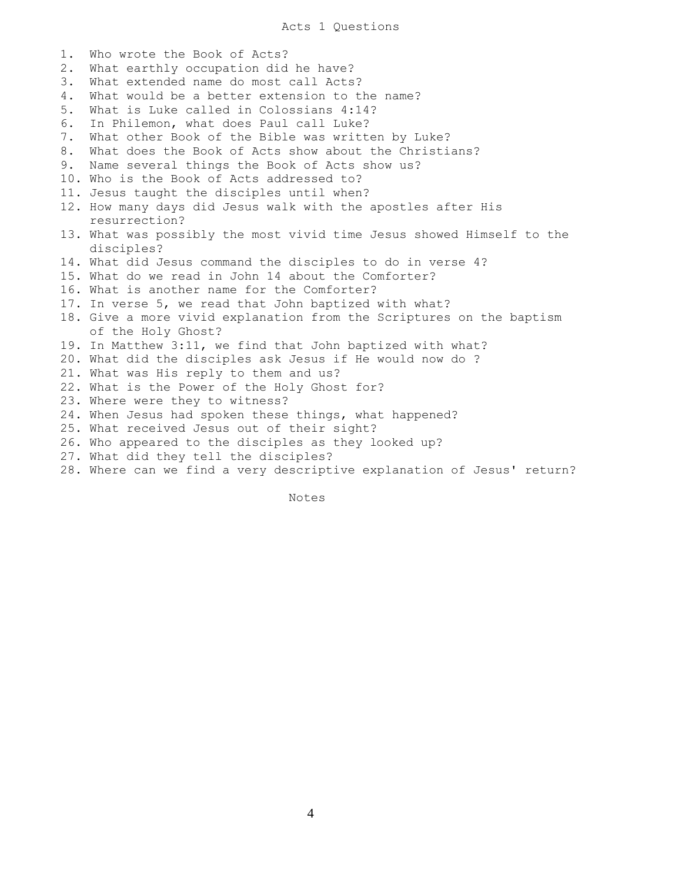Acts 1 Questions

1. Who wrote the Book of Acts? 2. What earthly occupation did he have? 3. What extended name do most call Acts? 4. What would be a better extension to the name? 5. What is Luke called in Colossians 4:14? 6. In Philemon, what does Paul call Luke? 7. What other Book of the Bible was written by Luke? 8. What does the Book of Acts show about the Christians? 9. Name several things the Book of Acts show us? 10. Who is the Book of Acts addressed to? 11. Jesus taught the disciples until when? 12. How many days did Jesus walk with the apostles after His resurrection? 13. What was possibly the most vivid time Jesus showed Himself to the disciples? 14. What did Jesus command the disciples to do in verse 4? 15. What do we read in John 14 about the Comforter? 16. What is another name for the Comforter? 17. In verse 5, we read that John baptized with what? 18. Give a more vivid explanation from the Scriptures on the baptism of the Holy Ghost? 19. In Matthew 3:11, we find that John baptized with what? 20. What did the disciples ask Jesus if He would now do ? 21. What was His reply to them and us? 22. What is the Power of the Holy Ghost for? 23. Where were they to witness? 24. When Jesus had spoken these things, what happened? 25. What received Jesus out of their sight? 26. Who appeared to the disciples as they looked up? 27. What did they tell the disciples? 28. Where can we find a very descriptive explanation of Jesus' return?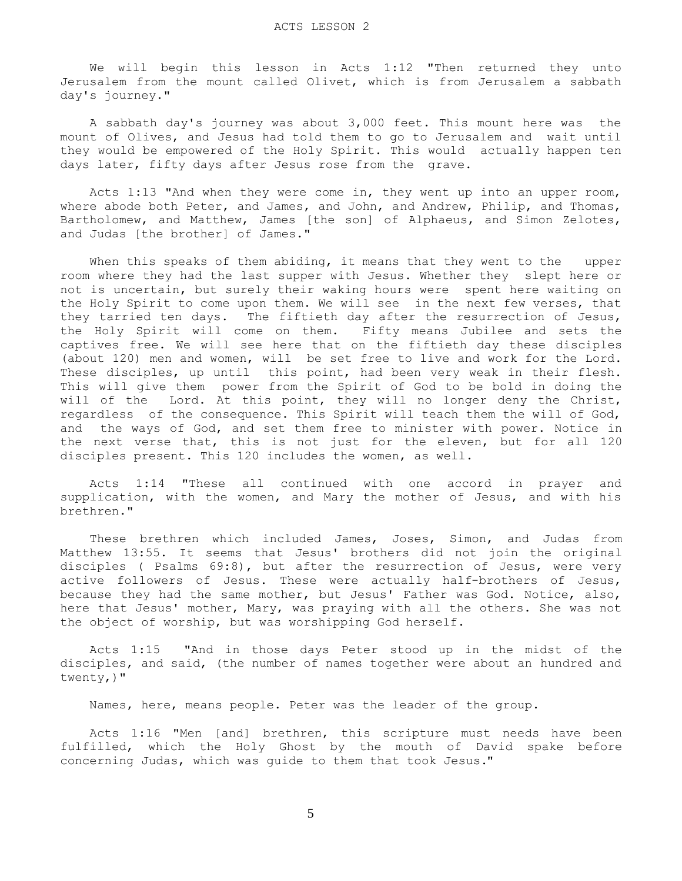We will begin this lesson in Acts 1:12 "Then returned they unto Jerusalem from the mount called Olivet, which is from Jerusalem a sabbath day's journey."

 A sabbath day's journey was about 3,000 feet. This mount here was the mount of Olives, and Jesus had told them to go to Jerusalem and wait until they would be empowered of the Holy Spirit. This would actually happen ten days later, fifty days after Jesus rose from the grave.

 Acts 1:13 "And when they were come in, they went up into an upper room, where abode both Peter, and James, and John, and Andrew, Philip, and Thomas, Bartholomew, and Matthew, James [the son] of Alphaeus, and Simon Zelotes, and Judas [the brother] of James."

 When this speaks of them abiding, it means that they went to the upper room where they had the last supper with Jesus. Whether they slept here or not is uncertain, but surely their waking hours were spent here waiting on the Holy Spirit to come upon them. We will see in the next few verses, that they tarried ten days. The fiftieth day after the resurrection of Jesus, the Holy Spirit will come on them. Fifty means Jubilee and sets the captives free. We will see here that on the fiftieth day these disciples (about 120) men and women, will be set free to live and work for the Lord. These disciples, up until this point, had been very weak in their flesh. This will give them power from the Spirit of God to be bold in doing the will of the Lord. At this point, they will no longer deny the Christ, regardless of the consequence. This Spirit will teach them the will of God, and the ways of God, and set them free to minister with power. Notice in the next verse that, this is not just for the eleven, but for all 120 disciples present. This 120 includes the women, as well.

 Acts 1:14 "These all continued with one accord in prayer and supplication, with the women, and Mary the mother of Jesus, and with his brethren."

 These brethren which included James, Joses, Simon, and Judas from Matthew 13:55. It seems that Jesus' brothers did not join the original disciples ( Psalms 69:8), but after the resurrection of Jesus, were very active followers of Jesus. These were actually half-brothers of Jesus, because they had the same mother, but Jesus' Father was God. Notice, also, here that Jesus' mother, Mary, was praying with all the others. She was not the object of worship, but was worshipping God herself.

 Acts 1:15 "And in those days Peter stood up in the midst of the disciples, and said, (the number of names together were about an hundred and twenty,)"

Names, here, means people. Peter was the leader of the group.

 Acts 1:16 "Men [and] brethren, this scripture must needs have been fulfilled, which the Holy Ghost by the mouth of David spake before concerning Judas, which was guide to them that took Jesus."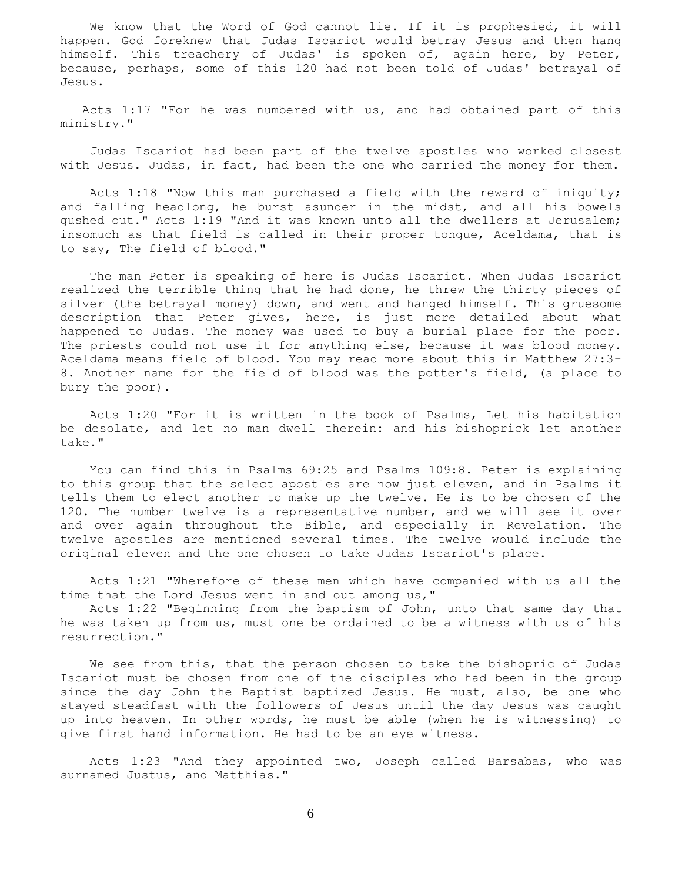We know that the Word of God cannot lie. If it is prophesied, it will happen. God foreknew that Judas Iscariot would betray Jesus and then hang himself. This treachery of Judas' is spoken of, again here, by Peter, because, perhaps, some of this 120 had not been told of Judas' betrayal of Jesus.

 Acts 1:17 "For he was numbered with us, and had obtained part of this ministry."

 Judas Iscariot had been part of the twelve apostles who worked closest with Jesus. Judas, in fact, had been the one who carried the money for them.

 Acts 1:18 "Now this man purchased a field with the reward of iniquity; and falling headlong, he burst asunder in the midst, and all his bowels gushed out." Acts 1:19 "And it was known unto all the dwellers at Jerusalem; insomuch as that field is called in their proper tongue, Aceldama, that is to say, The field of blood."

 The man Peter is speaking of here is Judas Iscariot. When Judas Iscariot realized the terrible thing that he had done, he threw the thirty pieces of silver (the betrayal money) down, and went and hanged himself. This gruesome description that Peter gives, here, is just more detailed about what happened to Judas. The money was used to buy a burial place for the poor. The priests could not use it for anything else, because it was blood money. Aceldama means field of blood. You may read more about this in Matthew 27:3- 8. Another name for the field of blood was the potter's field, (a place to bury the poor).

 Acts 1:20 "For it is written in the book of Psalms, Let his habitation be desolate, and let no man dwell therein: and his bishoprick let another take."

 You can find this in Psalms 69:25 and Psalms 109:8. Peter is explaining to this group that the select apostles are now just eleven, and in Psalms it tells them to elect another to make up the twelve. He is to be chosen of the 120. The number twelve is a representative number, and we will see it over and over again throughout the Bible, and especially in Revelation. The twelve apostles are mentioned several times. The twelve would include the original eleven and the one chosen to take Judas Iscariot's place.

 Acts 1:21 "Wherefore of these men which have companied with us all the time that the Lord Jesus went in and out among us,"

 Acts 1:22 "Beginning from the baptism of John, unto that same day that he was taken up from us, must one be ordained to be a witness with us of his resurrection."

 We see from this, that the person chosen to take the bishopric of Judas Iscariot must be chosen from one of the disciples who had been in the group since the day John the Baptist baptized Jesus. He must, also, be one who stayed steadfast with the followers of Jesus until the day Jesus was caught up into heaven. In other words, he must be able (when he is witnessing) to give first hand information. He had to be an eye witness.

 Acts 1:23 "And they appointed two, Joseph called Barsabas, who was surnamed Justus, and Matthias."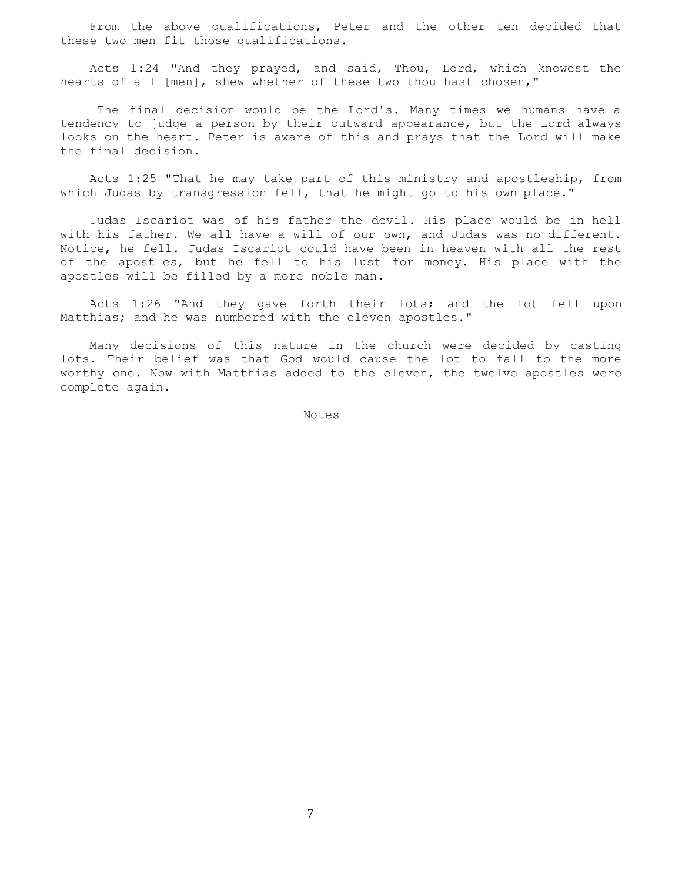From the above qualifications, Peter and the other ten decided that these two men fit those qualifications.

 Acts 1:24 "And they prayed, and said, Thou, Lord, which knowest the hearts of all [men], shew whether of these two thou hast chosen,"

 The final decision would be the Lord's. Many times we humans have a tendency to judge a person by their outward appearance, but the Lord always looks on the heart. Peter is aware of this and prays that the Lord will make the final decision.

 Acts 1:25 "That he may take part of this ministry and apostleship, from which Judas by transgression fell, that he might go to his own place."

 Judas Iscariot was of his father the devil. His place would be in hell with his father. We all have a will of our own, and Judas was no different. Notice, he fell. Judas Iscariot could have been in heaven with all the rest of the apostles, but he fell to his lust for money. His place with the apostles will be filled by a more noble man.

 Acts 1:26 "And they gave forth their lots; and the lot fell upon Matthias; and he was numbered with the eleven apostles."

 Many decisions of this nature in the church were decided by casting lots. Their belief was that God would cause the lot to fall to the more worthy one. Now with Matthias added to the eleven, the twelve apostles were complete again.

Notes Notes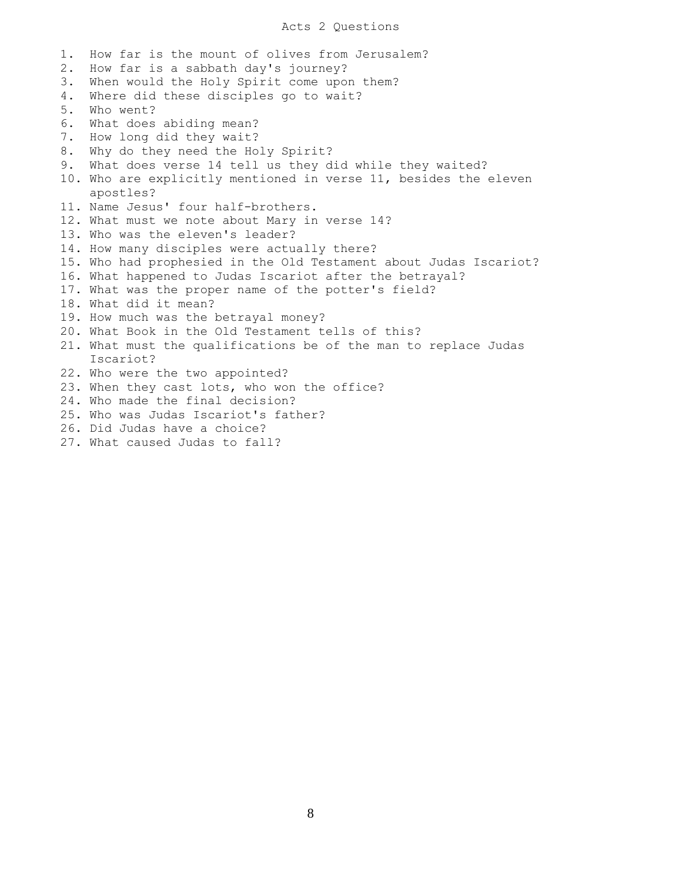## Acts 2 Questions

1. How far is the mount of olives from Jerusalem? 2. How far is a sabbath day's journey? 3. When would the Holy Spirit come upon them? 4. Where did these disciples go to wait? 5. Who went? 6. What does abiding mean? 7. How long did they wait? 8. Why do they need the Holy Spirit? 9. What does verse 14 tell us they did while they waited? 10. Who are explicitly mentioned in verse 11, besides the eleven apostles? 11. Name Jesus' four half-brothers. 12. What must we note about Mary in verse 14? 13. Who was the eleven's leader? 14. How many disciples were actually there? 15. Who had prophesied in the Old Testament about Judas Iscariot? 16. What happened to Judas Iscariot after the betrayal? 17. What was the proper name of the potter's field? 18. What did it mean? 19. How much was the betrayal money? 20. What Book in the Old Testament tells of this? 21. What must the qualifications be of the man to replace Judas Iscariot? 22. Who were the two appointed? 23. When they cast lots, who won the office? 24. Who made the final decision? 25. Who was Judas Iscariot's father? 26. Did Judas have a choice? 27. What caused Judas to fall?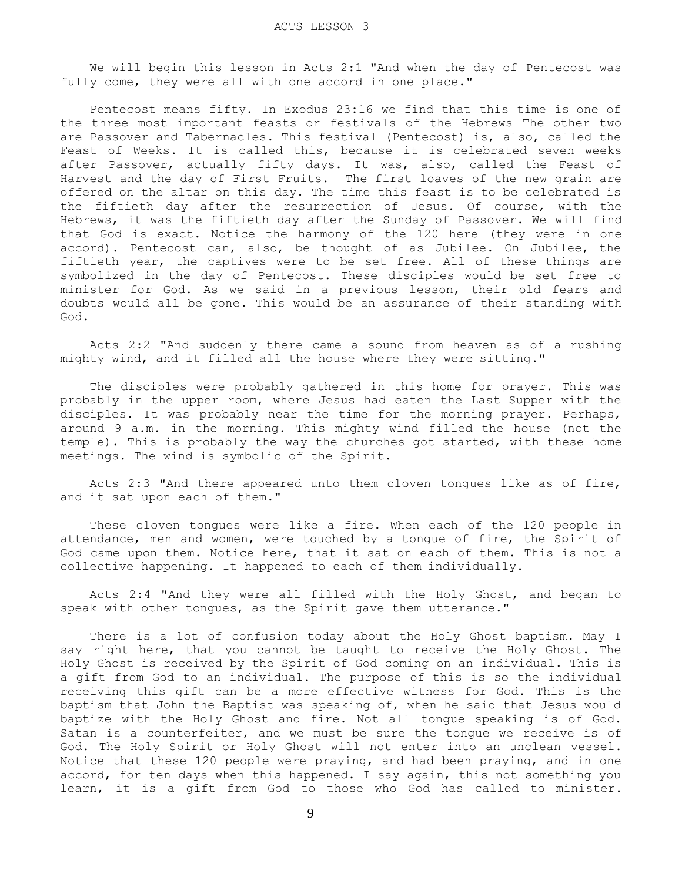We will begin this lesson in Acts 2:1 "And when the day of Pentecost was fully come, they were all with one accord in one place."

 Pentecost means fifty. In Exodus 23:16 we find that this time is one of the three most important feasts or festivals of the Hebrews The other two are Passover and Tabernacles. This festival (Pentecost) is, also, called the Feast of Weeks. It is called this, because it is celebrated seven weeks after Passover, actually fifty days. It was, also, called the Feast of Harvest and the day of First Fruits. The first loaves of the new grain are offered on the altar on this day. The time this feast is to be celebrated is the fiftieth day after the resurrection of Jesus. Of course, with the Hebrews, it was the fiftieth day after the Sunday of Passover. We will find that God is exact. Notice the harmony of the 120 here (they were in one accord). Pentecost can, also, be thought of as Jubilee. On Jubilee, the fiftieth year, the captives were to be set free. All of these things are symbolized in the day of Pentecost. These disciples would be set free to minister for God. As we said in a previous lesson, their old fears and doubts would all be gone. This would be an assurance of their standing with God.

 Acts 2:2 "And suddenly there came a sound from heaven as of a rushing mighty wind, and it filled all the house where they were sitting."

 The disciples were probably gathered in this home for prayer. This was probably in the upper room, where Jesus had eaten the Last Supper with the disciples. It was probably near the time for the morning prayer. Perhaps, around 9 a.m. in the morning. This mighty wind filled the house (not the temple). This is probably the way the churches got started, with these home meetings. The wind is symbolic of the Spirit.

 Acts 2:3 "And there appeared unto them cloven tongues like as of fire, and it sat upon each of them."

 These cloven tongues were like a fire. When each of the 120 people in attendance, men and women, were touched by a tongue of fire, the Spirit of God came upon them. Notice here, that it sat on each of them. This is not a collective happening. It happened to each of them individually.

 Acts 2:4 "And they were all filled with the Holy Ghost, and began to speak with other tongues, as the Spirit gave them utterance."

 There is a lot of confusion today about the Holy Ghost baptism. May I say right here, that you cannot be taught to receive the Holy Ghost. The Holy Ghost is received by the Spirit of God coming on an individual. This is a gift from God to an individual. The purpose of this is so the individual receiving this gift can be a more effective witness for God. This is the baptism that John the Baptist was speaking of, when he said that Jesus would baptize with the Holy Ghost and fire. Not all tongue speaking is of God. Satan is a counterfeiter, and we must be sure the tongue we receive is of God. The Holy Spirit or Holy Ghost will not enter into an unclean vessel. Notice that these 120 people were praying, and had been praying, and in one accord, for ten days when this happened. I say again, this not something you learn, it is a gift from God to those who God has called to minister.

9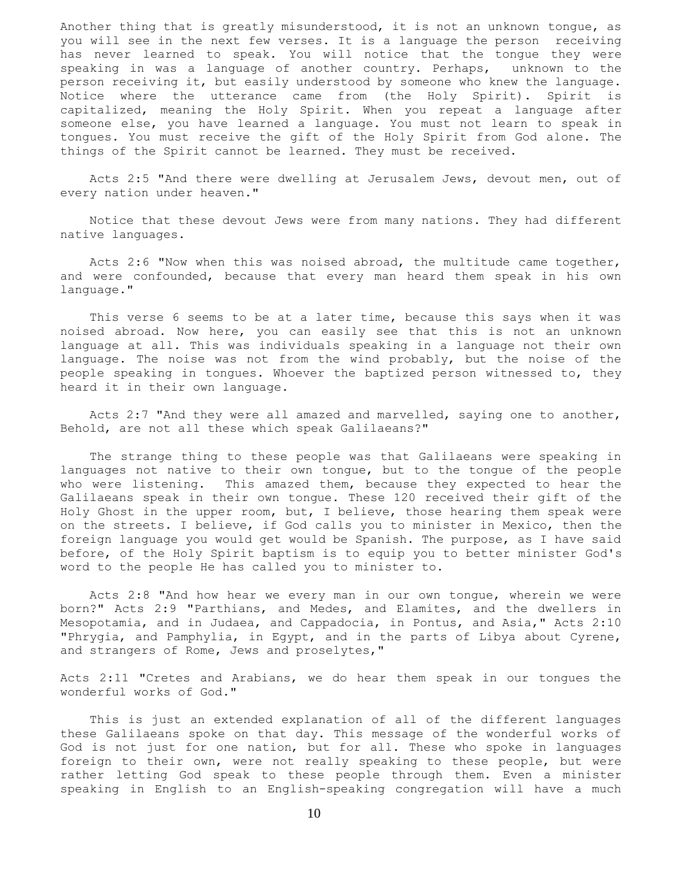Another thing that is greatly misunderstood, it is not an unknown tongue, as you will see in the next few verses. It is a language the person receiving has never learned to speak. You will notice that the tongue they were speaking in was a language of another country. Perhaps, unknown to the person receiving it, but easily understood by someone who knew the language. Notice where the utterance came from (the Holy Spirit). Spirit is capitalized, meaning the Holy Spirit. When you repeat a language after someone else, you have learned a language. You must not learn to speak in tongues. You must receive the gift of the Holy Spirit from God alone. The things of the Spirit cannot be learned. They must be received.

 Acts 2:5 "And there were dwelling at Jerusalem Jews, devout men, out of every nation under heaven."

 Notice that these devout Jews were from many nations. They had different native languages.

 Acts 2:6 "Now when this was noised abroad, the multitude came together, and were confounded, because that every man heard them speak in his own language."

This verse 6 seems to be at a later time, because this says when it was noised abroad. Now here, you can easily see that this is not an unknown language at all. This was individuals speaking in a language not their own language. The noise was not from the wind probably, but the noise of the people speaking in tongues. Whoever the baptized person witnessed to, they heard it in their own language.

 Acts 2:7 "And they were all amazed and marvelled, saying one to another, Behold, are not all these which speak Galilaeans?"

 The strange thing to these people was that Galilaeans were speaking in languages not native to their own tongue, but to the tongue of the people who were listening. This amazed them, because they expected to hear the Galilaeans speak in their own tongue. These 120 received their gift of the Holy Ghost in the upper room, but, I believe, those hearing them speak were on the streets. I believe, if God calls you to minister in Mexico, then the foreign language you would get would be Spanish. The purpose, as I have said before, of the Holy Spirit baptism is to equip you to better minister God's word to the people He has called you to minister to.

 Acts 2:8 "And how hear we every man in our own tongue, wherein we were born?" Acts 2:9 "Parthians, and Medes, and Elamites, and the dwellers in Mesopotamia, and in Judaea, and Cappadocia, in Pontus, and Asia," Acts 2:10 "Phrygia, and Pamphylia, in Egypt, and in the parts of Libya about Cyrene, and strangers of Rome, Jews and proselytes,"

Acts 2:11 "Cretes and Arabians, we do hear them speak in our tongues the wonderful works of God."

 This is just an extended explanation of all of the different languages these Galilaeans spoke on that day. This message of the wonderful works of God is not just for one nation, but for all. These who spoke in languages foreign to their own, were not really speaking to these people, but were rather letting God speak to these people through them. Even a minister speaking in English to an English-speaking congregation will have a much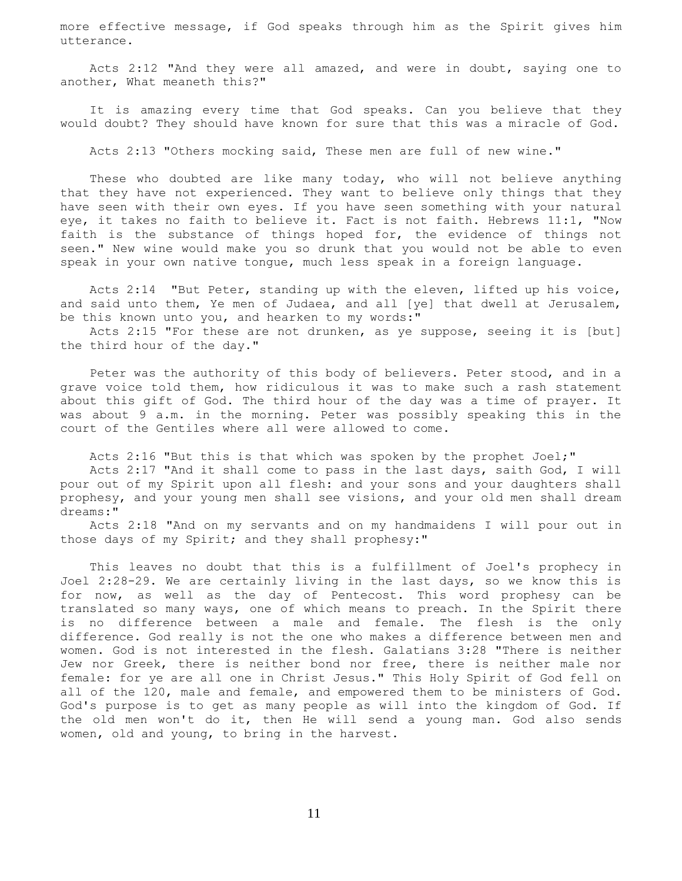more effective message, if God speaks through him as the Spirit gives him utterance.

 Acts 2:12 "And they were all amazed, and were in doubt, saying one to another, What meaneth this?"

 It is amazing every time that God speaks. Can you believe that they would doubt? They should have known for sure that this was a miracle of God.

Acts 2:13 "Others mocking said, These men are full of new wine."

 These who doubted are like many today, who will not believe anything that they have not experienced. They want to believe only things that they have seen with their own eyes. If you have seen something with your natural eye, it takes no faith to believe it. Fact is not faith. Hebrews 11:1, "Now faith is the substance of things hoped for, the evidence of things not seen." New wine would make you so drunk that you would not be able to even speak in your own native tongue, much less speak in a foreign language.

 Acts 2:14 "But Peter, standing up with the eleven, lifted up his voice, and said unto them, Ye men of Judaea, and all [ye] that dwell at Jerusalem, be this known unto you, and hearken to my words:"

 Acts 2:15 "For these are not drunken, as ye suppose, seeing it is [but] the third hour of the day."

 Peter was the authority of this body of believers. Peter stood, and in a grave voice told them, how ridiculous it was to make such a rash statement about this gift of God. The third hour of the day was a time of prayer. It was about 9 a.m. in the morning. Peter was possibly speaking this in the court of the Gentiles where all were allowed to come.

 Acts 2:16 "But this is that which was spoken by the prophet Joel;" Acts 2:17 "And it shall come to pass in the last days, saith God, I will pour out of my Spirit upon all flesh: and your sons and your daughters shall prophesy, and your young men shall see visions, and your old men shall dream dreams:"

 Acts 2:18 "And on my servants and on my handmaidens I will pour out in those days of my Spirit; and they shall prophesy:"

 This leaves no doubt that this is a fulfillment of Joel's prophecy in Joel 2:28-29. We are certainly living in the last days, so we know this is for now, as well as the day of Pentecost. This word prophesy can be translated so many ways, one of which means to preach. In the Spirit there is no difference between a male and female. The flesh is the only difference. God really is not the one who makes a difference between men and women. God is not interested in the flesh. Galatians 3:28 "There is neither Jew nor Greek, there is neither bond nor free, there is neither male nor female: for ye are all one in Christ Jesus." This Holy Spirit of God fell on all of the 120, male and female, and empowered them to be ministers of God. God's purpose is to get as many people as will into the kingdom of God. If the old men won't do it, then He will send a young man. God also sends women, old and young, to bring in the harvest.

11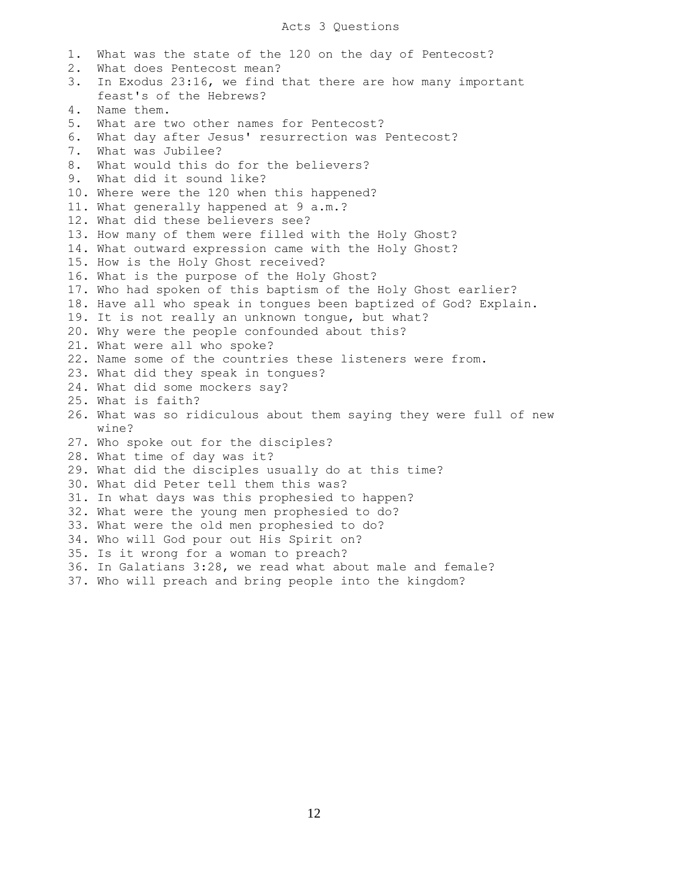#### Acts 3 Questions

 1. What was the state of the 120 on the day of Pentecost? 2. What does Pentecost mean? 3. In Exodus 23:16, we find that there are how many important feast's of the Hebrews? 4. Name them. 5. What are two other names for Pentecost? 6. What day after Jesus' resurrection was Pentecost? 7. What was Jubilee? 8. What would this do for the believers? 9. What did it sound like? 10. Where were the 120 when this happened? 11. What generally happened at 9 a.m.? 12. What did these believers see? 13. How many of them were filled with the Holy Ghost? 14. What outward expression came with the Holy Ghost? 15. How is the Holy Ghost received? 16. What is the purpose of the Holy Ghost? 17. Who had spoken of this baptism of the Holy Ghost earlier? 18. Have all who speak in tongues been baptized of God? Explain. 19. It is not really an unknown tongue, but what? 20. Why were the people confounded about this? 21. What were all who spoke? 22. Name some of the countries these listeners were from. 23. What did they speak in tongues? 24. What did some mockers say? 25. What is faith? 26. What was so ridiculous about them saying they were full of new wine? 27. Who spoke out for the disciples? 28. What time of day was it? 29. What did the disciples usually do at this time? 30. What did Peter tell them this was? 31. In what days was this prophesied to happen? 32. What were the young men prophesied to do? 33. What were the old men prophesied to do? 34. Who will God pour out His Spirit on? 35. Is it wrong for a woman to preach? 36. In Galatians 3:28, we read what about male and female? 37. Who will preach and bring people into the kingdom?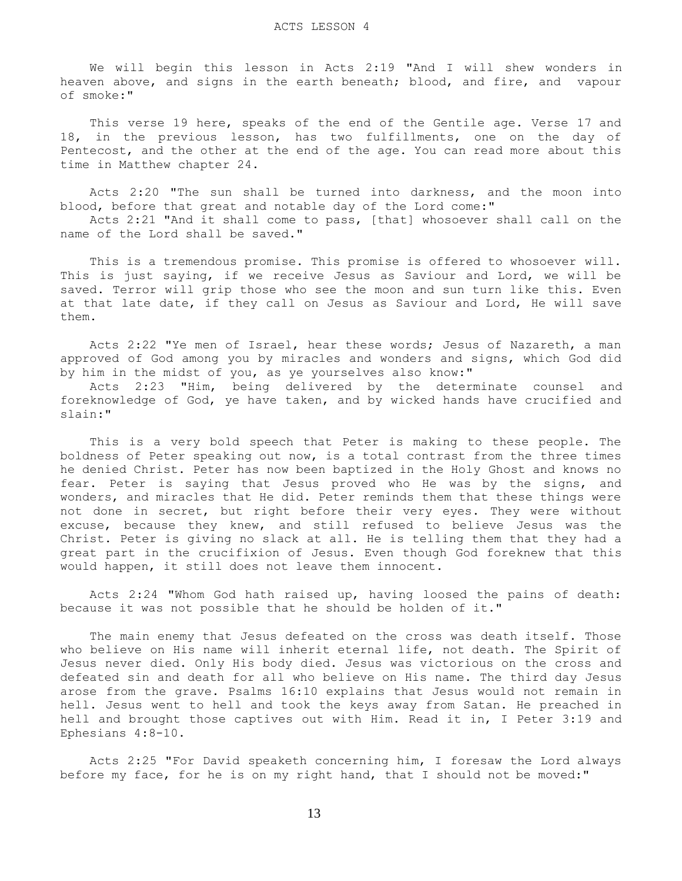We will begin this lesson in Acts 2:19 "And I will shew wonders in heaven above, and signs in the earth beneath; blood, and fire, and vapour of smoke:"

 This verse 19 here, speaks of the end of the Gentile age. Verse 17 and 18, in the previous lesson, has two fulfillments, one on the day of Pentecost, and the other at the end of the age. You can read more about this time in Matthew chapter 24.

 Acts 2:20 "The sun shall be turned into darkness, and the moon into blood, before that great and notable day of the Lord come:"

 Acts 2:21 "And it shall come to pass, [that] whosoever shall call on the name of the Lord shall be saved."

 This is a tremendous promise. This promise is offered to whosoever will. This is just saying, if we receive Jesus as Saviour and Lord, we will be saved. Terror will grip those who see the moon and sun turn like this. Even at that late date, if they call on Jesus as Saviour and Lord, He will save them.

 Acts 2:22 "Ye men of Israel, hear these words; Jesus of Nazareth, a man approved of God among you by miracles and wonders and signs, which God did by him in the midst of you, as ye yourselves also know:"

 Acts 2:23 "Him, being delivered by the determinate counsel and foreknowledge of God, ye have taken, and by wicked hands have crucified and slain:"

 This is a very bold speech that Peter is making to these people. The boldness of Peter speaking out now, is a total contrast from the three times he denied Christ. Peter has now been baptized in the Holy Ghost and knows no fear. Peter is saying that Jesus proved who He was by the signs, and wonders, and miracles that He did. Peter reminds them that these things were not done in secret, but right before their very eyes. They were without excuse, because they knew, and still refused to believe Jesus was the Christ. Peter is giving no slack at all. He is telling them that they had a great part in the crucifixion of Jesus. Even though God foreknew that this would happen, it still does not leave them innocent.

 Acts 2:24 "Whom God hath raised up, having loosed the pains of death: because it was not possible that he should be holden of it."

 The main enemy that Jesus defeated on the cross was death itself. Those who believe on His name will inherit eternal life, not death. The Spirit of Jesus never died. Only His body died. Jesus was victorious on the cross and defeated sin and death for all who believe on His name. The third day Jesus arose from the grave. Psalms 16:10 explains that Jesus would not remain in hell. Jesus went to hell and took the keys away from Satan. He preached in hell and brought those captives out with Him. Read it in, I Peter 3:19 and Ephesians 4:8-10.

 Acts 2:25 "For David speaketh concerning him, I foresaw the Lord always before my face, for he is on my right hand, that I should not be moved:"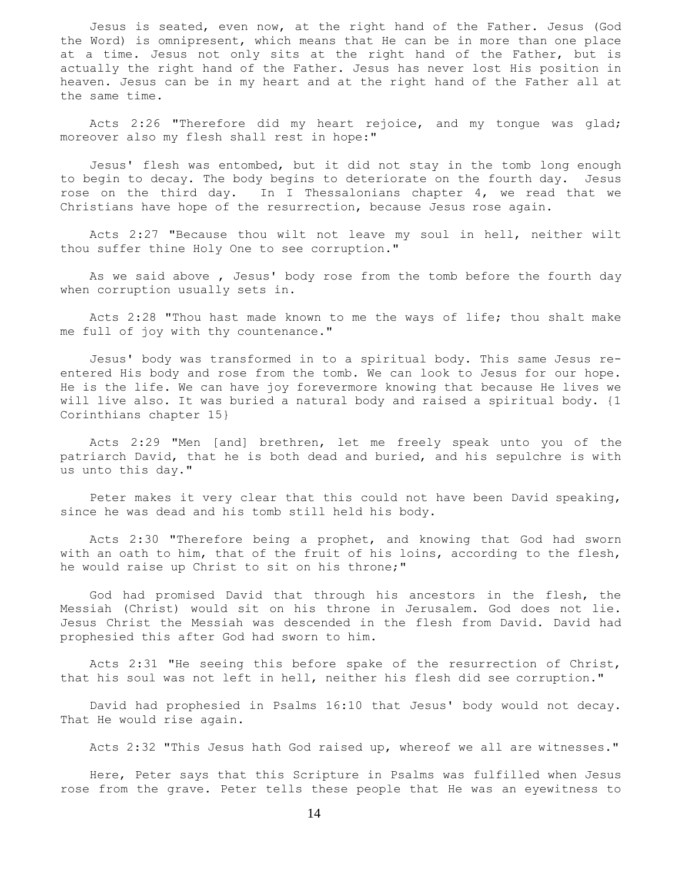Jesus is seated, even now, at the right hand of the Father. Jesus (God the Word) is omnipresent, which means that He can be in more than one place at a time. Jesus not only sits at the right hand of the Father, but is actually the right hand of the Father. Jesus has never lost His position in heaven. Jesus can be in my heart and at the right hand of the Father all at the same time.

 Acts 2:26 "Therefore did my heart rejoice, and my tongue was glad; moreover also my flesh shall rest in hope:"

 Jesus' flesh was entombed, but it did not stay in the tomb long enough to begin to decay. The body begins to deteriorate on the fourth day. Jesus rose on the third day. In I Thessalonians chapter 4, we read that we Christians have hope of the resurrection, because Jesus rose again.

 Acts 2:27 "Because thou wilt not leave my soul in hell, neither wilt thou suffer thine Holy One to see corruption."

 As we said above , Jesus' body rose from the tomb before the fourth day when corruption usually sets in.

 Acts 2:28 "Thou hast made known to me the ways of life; thou shalt make me full of joy with thy countenance."

 Jesus' body was transformed in to a spiritual body. This same Jesus reentered His body and rose from the tomb. We can look to Jesus for our hope. He is the life. We can have joy forevermore knowing that because He lives we will live also. It was buried a natural body and raised a spiritual body. {1 Corinthians chapter 15}

 Acts 2:29 "Men [and] brethren, let me freely speak unto you of the patriarch David, that he is both dead and buried, and his sepulchre is with us unto this day."

 Peter makes it very clear that this could not have been David speaking, since he was dead and his tomb still held his body.

 Acts 2:30 "Therefore being a prophet, and knowing that God had sworn with an oath to him, that of the fruit of his loins, according to the flesh, he would raise up Christ to sit on his throne;"

 God had promised David that through his ancestors in the flesh, the Messiah (Christ) would sit on his throne in Jerusalem. God does not lie. Jesus Christ the Messiah was descended in the flesh from David. David had prophesied this after God had sworn to him.

 Acts 2:31 "He seeing this before spake of the resurrection of Christ, that his soul was not left in hell, neither his flesh did see corruption."

 David had prophesied in Psalms 16:10 that Jesus' body would not decay. That He would rise again.

Acts 2:32 "This Jesus hath God raised up, whereof we all are witnesses."

 Here, Peter says that this Scripture in Psalms was fulfilled when Jesus rose from the grave. Peter tells these people that He was an eyewitness to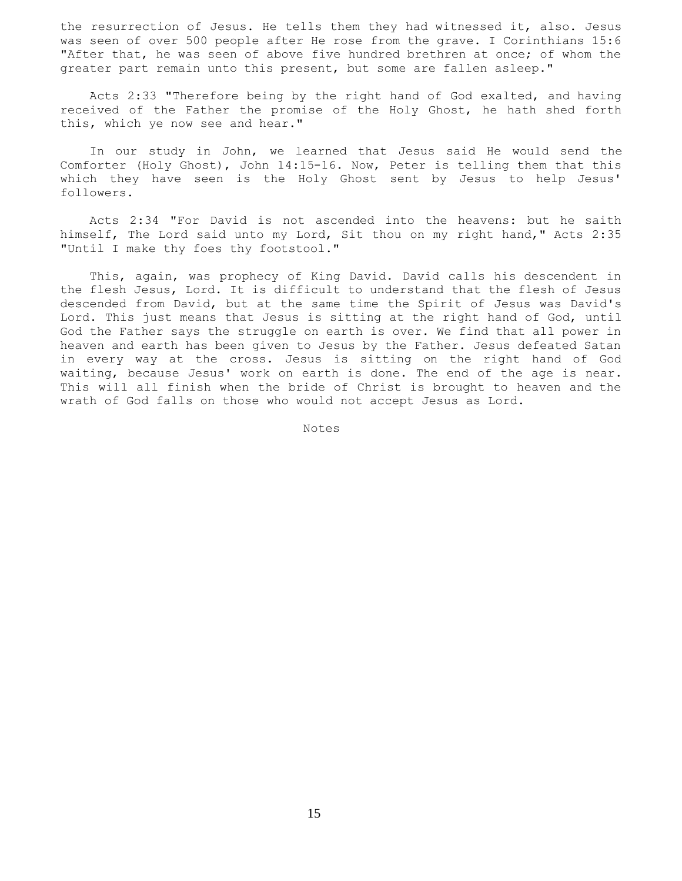the resurrection of Jesus. He tells them they had witnessed it, also. Jesus was seen of over 500 people after He rose from the grave. I Corinthians 15:6 "After that, he was seen of above five hundred brethren at once; of whom the greater part remain unto this present, but some are fallen asleep."

 Acts 2:33 "Therefore being by the right hand of God exalted, and having received of the Father the promise of the Holy Ghost, he hath shed forth this, which ye now see and hear."

 In our study in John, we learned that Jesus said He would send the Comforter (Holy Ghost), John 14:15-16. Now, Peter is telling them that this which they have seen is the Holy Ghost sent by Jesus to help Jesus' followers.

 Acts 2:34 "For David is not ascended into the heavens: but he saith himself, The Lord said unto my Lord, Sit thou on my right hand," Acts 2:35 "Until I make thy foes thy footstool."

 This, again, was prophecy of King David. David calls his descendent in the flesh Jesus, Lord. It is difficult to understand that the flesh of Jesus descended from David, but at the same time the Spirit of Jesus was David's Lord. This just means that Jesus is sitting at the right hand of God, until God the Father says the struggle on earth is over. We find that all power in heaven and earth has been given to Jesus by the Father. Jesus defeated Satan in every way at the cross. Jesus is sitting on the right hand of God waiting, because Jesus' work on earth is done. The end of the age is near. This will all finish when the bride of Christ is brought to heaven and the wrath of God falls on those who would not accept Jesus as Lord.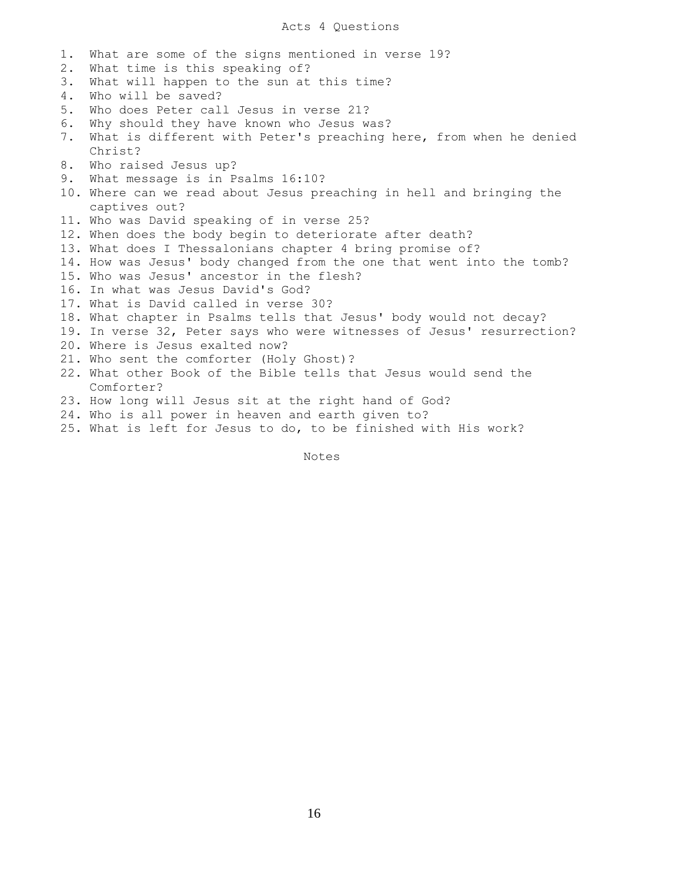# Acts 4 Questions

1. What are some of the signs mentioned in verse 19? 2. What time is this speaking of? 3. What will happen to the sun at this time? 4. Who will be saved? 5. Who does Peter call Jesus in verse 21? 6. Why should they have known who Jesus was? 7. What is different with Peter's preaching here, from when he denied Christ? 8. Who raised Jesus up? 9. What message is in Psalms 16:10? 10. Where can we read about Jesus preaching in hell and bringing the captives out? 11. Who was David speaking of in verse 25? 12. When does the body begin to deteriorate after death? 13. What does I Thessalonians chapter 4 bring promise of? 14. How was Jesus' body changed from the one that went into the tomb? 15. Who was Jesus' ancestor in the flesh? 16. In what was Jesus David's God? 17. What is David called in verse 30? 18. What chapter in Psalms tells that Jesus' body would not decay? 19. In verse 32, Peter says who were witnesses of Jesus' resurrection? 20. Where is Jesus exalted now? 21. Who sent the comforter (Holy Ghost)? 22. What other Book of the Bible tells that Jesus would send the Comforter? 23. How long will Jesus sit at the right hand of God? 24. Who is all power in heaven and earth given to? 25. What is left for Jesus to do, to be finished with His work?

Notes Notes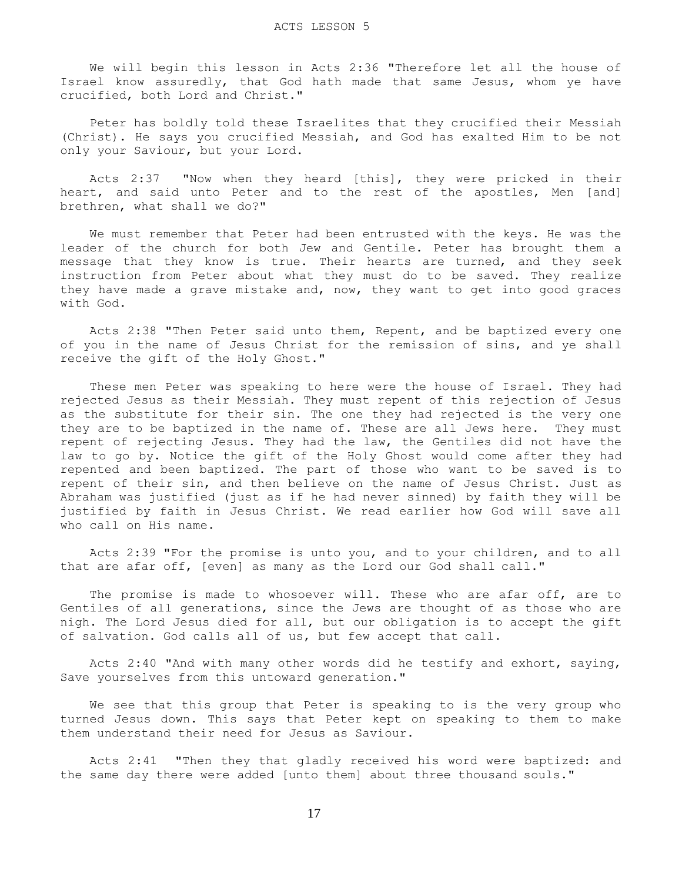We will begin this lesson in Acts 2:36 "Therefore let all the house of Israel know assuredly, that God hath made that same Jesus, whom ye have crucified, both Lord and Christ."

 Peter has boldly told these Israelites that they crucified their Messiah (Christ). He says you crucified Messiah, and God has exalted Him to be not only your Saviour, but your Lord.

 Acts 2:37 "Now when they heard [this], they were pricked in their heart, and said unto Peter and to the rest of the apostles, Men [and] brethren, what shall we do?"

 We must remember that Peter had been entrusted with the keys. He was the leader of the church for both Jew and Gentile. Peter has brought them a message that they know is true. Their hearts are turned, and they seek instruction from Peter about what they must do to be saved. They realize they have made a grave mistake and, now, they want to get into good graces with God.

 Acts 2:38 "Then Peter said unto them, Repent, and be baptized every one of you in the name of Jesus Christ for the remission of sins, and ye shall receive the gift of the Holy Ghost."

 These men Peter was speaking to here were the house of Israel. They had rejected Jesus as their Messiah. They must repent of this rejection of Jesus as the substitute for their sin. The one they had rejected is the very one they are to be baptized in the name of. These are all Jews here. They must repent of rejecting Jesus. They had the law, the Gentiles did not have the law to go by. Notice the gift of the Holy Ghost would come after they had repented and been baptized. The part of those who want to be saved is to repent of their sin, and then believe on the name of Jesus Christ. Just as Abraham was justified (just as if he had never sinned) by faith they will be justified by faith in Jesus Christ. We read earlier how God will save all who call on His name.

 Acts 2:39 "For the promise is unto you, and to your children, and to all that are afar off, [even] as many as the Lord our God shall call."

The promise is made to whosoever will. These who are afar off, are to Gentiles of all generations, since the Jews are thought of as those who are nigh. The Lord Jesus died for all, but our obligation is to accept the gift of salvation. God calls all of us, but few accept that call.

 Acts 2:40 "And with many other words did he testify and exhort, saying, Save yourselves from this untoward generation."

 We see that this group that Peter is speaking to is the very group who turned Jesus down. This says that Peter kept on speaking to them to make them understand their need for Jesus as Saviour.

 Acts 2:41 "Then they that gladly received his word were baptized: and the same day there were added [unto them] about three thousand souls."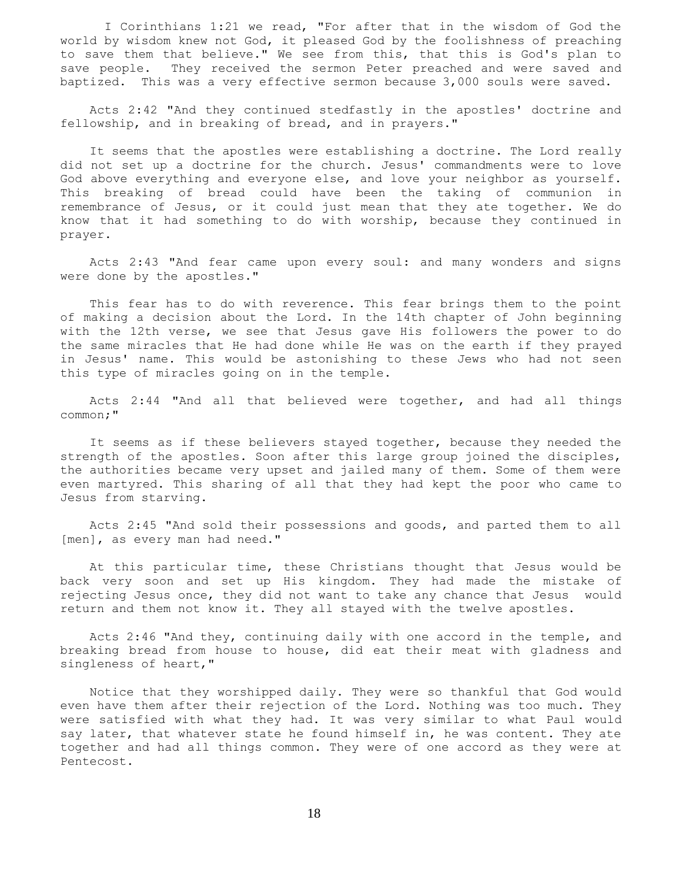I Corinthians 1:21 we read, "For after that in the wisdom of God the world by wisdom knew not God, it pleased God by the foolishness of preaching to save them that believe." We see from this, that this is God's plan to save people. They received the sermon Peter preached and were saved and baptized. This was a very effective sermon because 3,000 souls were saved.

 Acts 2:42 "And they continued stedfastly in the apostles' doctrine and fellowship, and in breaking of bread, and in prayers."

 It seems that the apostles were establishing a doctrine. The Lord really did not set up a doctrine for the church. Jesus' commandments were to love God above everything and everyone else, and love your neighbor as yourself. This breaking of bread could have been the taking of communion in remembrance of Jesus, or it could just mean that they ate together. We do know that it had something to do with worship, because they continued in prayer.

 Acts 2:43 "And fear came upon every soul: and many wonders and signs were done by the apostles."

 This fear has to do with reverence. This fear brings them to the point of making a decision about the Lord. In the 14th chapter of John beginning with the 12th verse, we see that Jesus gave His followers the power to do the same miracles that He had done while He was on the earth if they prayed in Jesus' name. This would be astonishing to these Jews who had not seen this type of miracles going on in the temple.

 Acts 2:44 "And all that believed were together, and had all things common;"

 It seems as if these believers stayed together, because they needed the strength of the apostles. Soon after this large group joined the disciples, the authorities became very upset and jailed many of them. Some of them were even martyred. This sharing of all that they had kept the poor who came to Jesus from starving.

 Acts 2:45 "And sold their possessions and goods, and parted them to all [men], as every man had need."

 At this particular time, these Christians thought that Jesus would be back very soon and set up His kingdom. They had made the mistake of rejecting Jesus once, they did not want to take any chance that Jesus would return and them not know it. They all stayed with the twelve apostles.

 Acts 2:46 "And they, continuing daily with one accord in the temple, and breaking bread from house to house, did eat their meat with gladness and singleness of heart,"

 Notice that they worshipped daily. They were so thankful that God would even have them after their rejection of the Lord. Nothing was too much. They were satisfied with what they had. It was very similar to what Paul would say later, that whatever state he found himself in, he was content. They ate together and had all things common. They were of one accord as they were at Pentecost.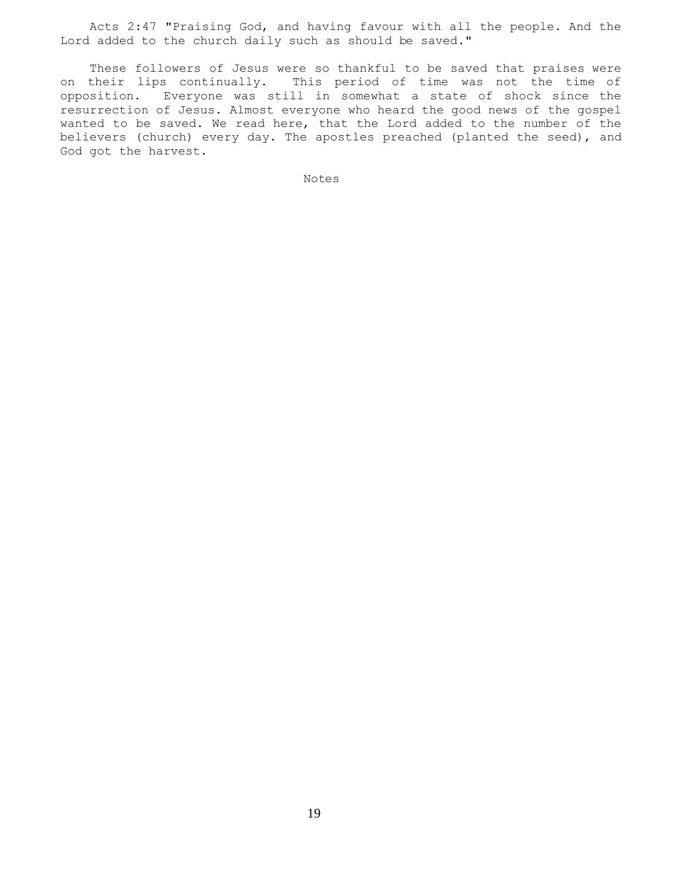Acts 2:47 "Praising God, and having favour with all the people. And the Lord added to the church daily such as should be saved."

 These followers of Jesus were so thankful to be saved that praises were on their lips continually. This period of time was not the time of opposition. Everyone was still in somewhat a state of shock since the resurrection of Jesus. Almost everyone who heard the good news of the gospel wanted to be saved. We read here, that the Lord added to the number of the believers (church) every day. The apostles preached (planted the seed), and God got the harvest.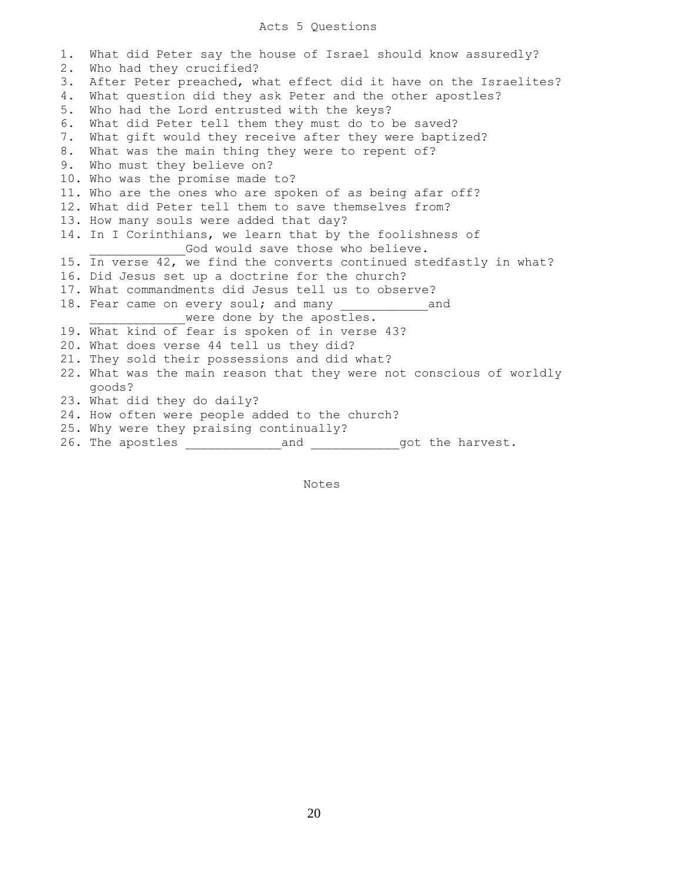## Acts 5 Questions

1. What did Peter say the house of Israel should know assuredly? 2. Who had they crucified? 3. After Peter preached, what effect did it have on the Israelites? 4. What question did they ask Peter and the other apostles? 5. Who had the Lord entrusted with the keys? 6. What did Peter tell them they must do to be saved? 7. What gift would they receive after they were baptized? 8. What was the main thing they were to repent of? 9. Who must they believe on? 10. Who was the promise made to? 11. Who are the ones who are spoken of as being afar off? 12. What did Peter tell them to save themselves from? 13. How many souls were added that day? 14. In I Corinthians, we learn that by the foolishness of God would save those who believe. 15. In verse 42, we find the converts continued stedfastly in what? 16. Did Jesus set up a doctrine for the church? 17. What commandments did Jesus tell us to observe? 18. Fear came on every soul; and many and were done by the apostles. 19. What kind of fear is spoken of in verse 43? 20. What does verse 44 tell us they did? 21. They sold their possessions and did what? 22. What was the main reason that they were not conscious of worldly goods? 23. What did they do daily? 24. How often were people added to the church? 25. Why were they praising continually? 26. The apostles \_\_\_\_\_\_\_\_\_\_\_\_\_and \_\_\_\_\_\_\_\_\_\_\_\_got the harvest.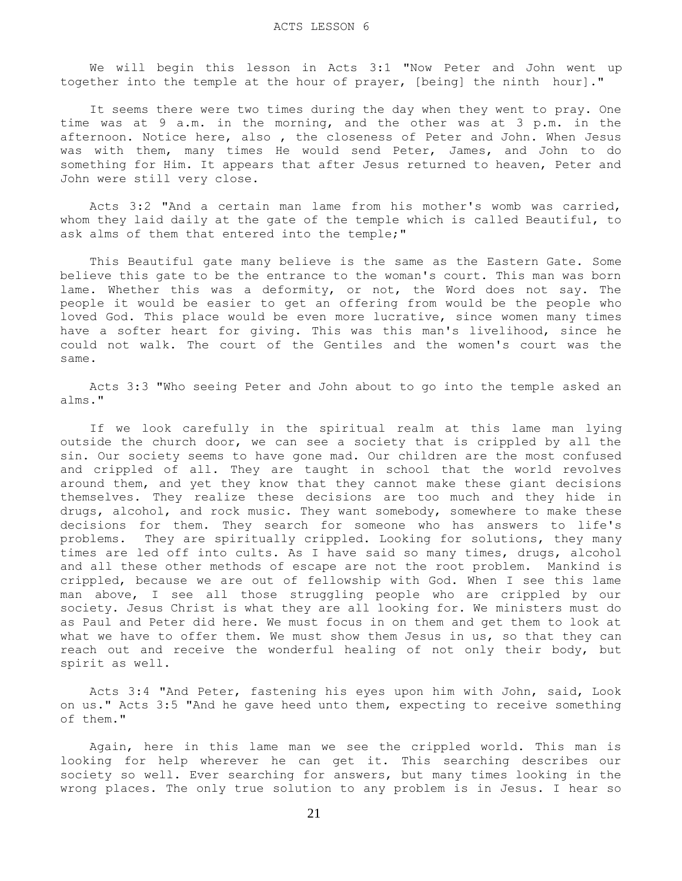We will begin this lesson in Acts 3:1 "Now Peter and John went up together into the temple at the hour of prayer, [being] the ninth hour]."

 It seems there were two times during the day when they went to pray. One time was at 9 a.m. in the morning, and the other was at 3 p.m. in the afternoon. Notice here, also , the closeness of Peter and John. When Jesus was with them, many times He would send Peter, James, and John to do something for Him. It appears that after Jesus returned to heaven, Peter and John were still very close.

 Acts 3:2 "And a certain man lame from his mother's womb was carried, whom they laid daily at the gate of the temple which is called Beautiful, to ask alms of them that entered into the temple;"

 This Beautiful gate many believe is the same as the Eastern Gate. Some believe this gate to be the entrance to the woman's court. This man was born lame. Whether this was a deformity, or not, the Word does not say. The people it would be easier to get an offering from would be the people who loved God. This place would be even more lucrative, since women many times have a softer heart for giving. This was this man's livelihood, since he could not walk. The court of the Gentiles and the women's court was the same.

 Acts 3:3 "Who seeing Peter and John about to go into the temple asked an alms."

 If we look carefully in the spiritual realm at this lame man lying outside the church door, we can see a society that is crippled by all the sin. Our society seems to have gone mad. Our children are the most confused and crippled of all. They are taught in school that the world revolves around them, and yet they know that they cannot make these giant decisions themselves. They realize these decisions are too much and they hide in drugs, alcohol, and rock music. They want somebody, somewhere to make these decisions for them. They search for someone who has answers to life's problems. They are spiritually crippled. Looking for solutions, they many times are led off into cults. As I have said so many times, drugs, alcohol and all these other methods of escape are not the root problem. Mankind is crippled, because we are out of fellowship with God. When I see this lame man above, I see all those struggling people who are crippled by our society. Jesus Christ is what they are all looking for. We ministers must do as Paul and Peter did here. We must focus in on them and get them to look at what we have to offer them. We must show them Jesus in us, so that they can reach out and receive the wonderful healing of not only their body, but spirit as well.

 Acts 3:4 "And Peter, fastening his eyes upon him with John, said, Look on us." Acts 3:5 "And he gave heed unto them, expecting to receive something of them."

 Again, here in this lame man we see the crippled world. This man is looking for help wherever he can get it. This searching describes our society so well. Ever searching for answers, but many times looking in the wrong places. The only true solution to any problem is in Jesus. I hear so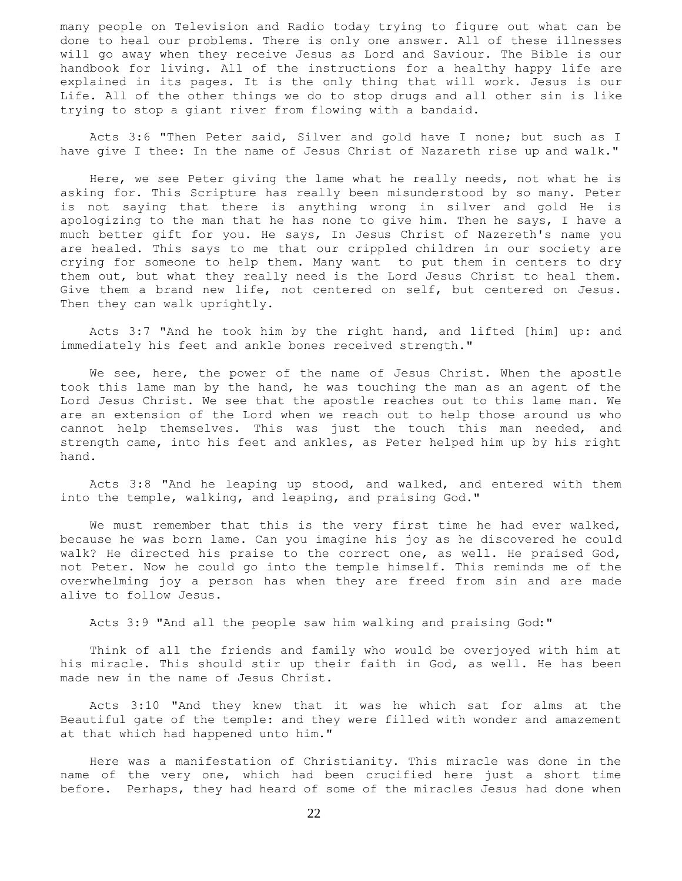many people on Television and Radio today trying to figure out what can be done to heal our problems. There is only one answer. All of these illnesses will go away when they receive Jesus as Lord and Saviour. The Bible is our handbook for living. All of the instructions for a healthy happy life are explained in its pages. It is the only thing that will work. Jesus is our Life. All of the other things we do to stop drugs and all other sin is like trying to stop a giant river from flowing with a bandaid.

 Acts 3:6 "Then Peter said, Silver and gold have I none; but such as I have give I thee: In the name of Jesus Christ of Nazareth rise up and walk."

 Here, we see Peter giving the lame what he really needs, not what he is asking for. This Scripture has really been misunderstood by so many. Peter is not saying that there is anything wrong in silver and gold He is apologizing to the man that he has none to give him. Then he says, I have a much better gift for you. He says, In Jesus Christ of Nazereth's name you are healed. This says to me that our crippled children in our society are crying for someone to help them. Many want to put them in centers to dry them out, but what they really need is the Lord Jesus Christ to heal them. Give them a brand new life, not centered on self, but centered on Jesus. Then they can walk uprightly.

 Acts 3:7 "And he took him by the right hand, and lifted [him] up: and immediately his feet and ankle bones received strength."

We see, here, the power of the name of Jesus Christ. When the apostle took this lame man by the hand, he was touching the man as an agent of the Lord Jesus Christ. We see that the apostle reaches out to this lame man. We are an extension of the Lord when we reach out to help those around us who cannot help themselves. This was just the touch this man needed, and strength came, into his feet and ankles, as Peter helped him up by his right hand.

 Acts 3:8 "And he leaping up stood, and walked, and entered with them into the temple, walking, and leaping, and praising God."

We must remember that this is the very first time he had ever walked, because he was born lame. Can you imagine his joy as he discovered he could walk? He directed his praise to the correct one, as well. He praised God, not Peter. Now he could go into the temple himself. This reminds me of the overwhelming joy a person has when they are freed from sin and are made alive to follow Jesus.

Acts 3:9 "And all the people saw him walking and praising God:"

 Think of all the friends and family who would be overjoyed with him at his miracle. This should stir up their faith in God, as well. He has been made new in the name of Jesus Christ.

 Acts 3:10 "And they knew that it was he which sat for alms at the Beautiful gate of the temple: and they were filled with wonder and amazement at that which had happened unto him."

 Here was a manifestation of Christianity. This miracle was done in the name of the very one, which had been crucified here just a short time before. Perhaps, they had heard of some of the miracles Jesus had done when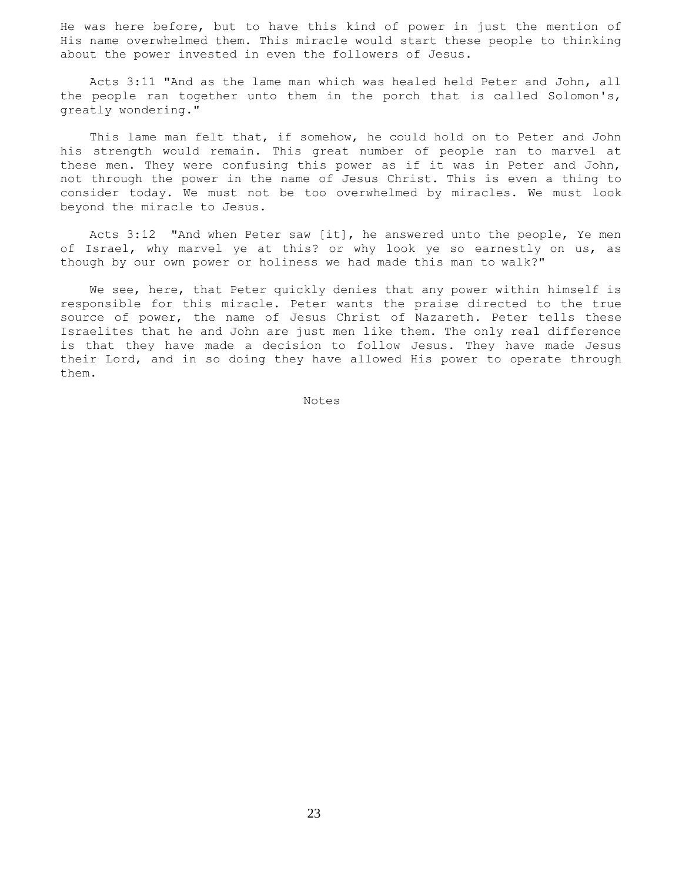He was here before, but to have this kind of power in just the mention of His name overwhelmed them. This miracle would start these people to thinking about the power invested in even the followers of Jesus.

 Acts 3:11 "And as the lame man which was healed held Peter and John, all the people ran together unto them in the porch that is called Solomon's, greatly wondering."

 This lame man felt that, if somehow, he could hold on to Peter and John his strength would remain. This great number of people ran to marvel at these men. They were confusing this power as if it was in Peter and John, not through the power in the name of Jesus Christ. This is even a thing to consider today. We must not be too overwhelmed by miracles. We must look beyond the miracle to Jesus.

 Acts 3:12 "And when Peter saw [it], he answered unto the people, Ye men of Israel, why marvel ye at this? or why look ye so earnestly on us, as though by our own power or holiness we had made this man to walk?"

We see, here, that Peter quickly denies that any power within himself is responsible for this miracle. Peter wants the praise directed to the true source of power, the name of Jesus Christ of Nazareth. Peter tells these Israelites that he and John are just men like them. The only real difference is that they have made a decision to follow Jesus. They have made Jesus their Lord, and in so doing they have allowed His power to operate through them.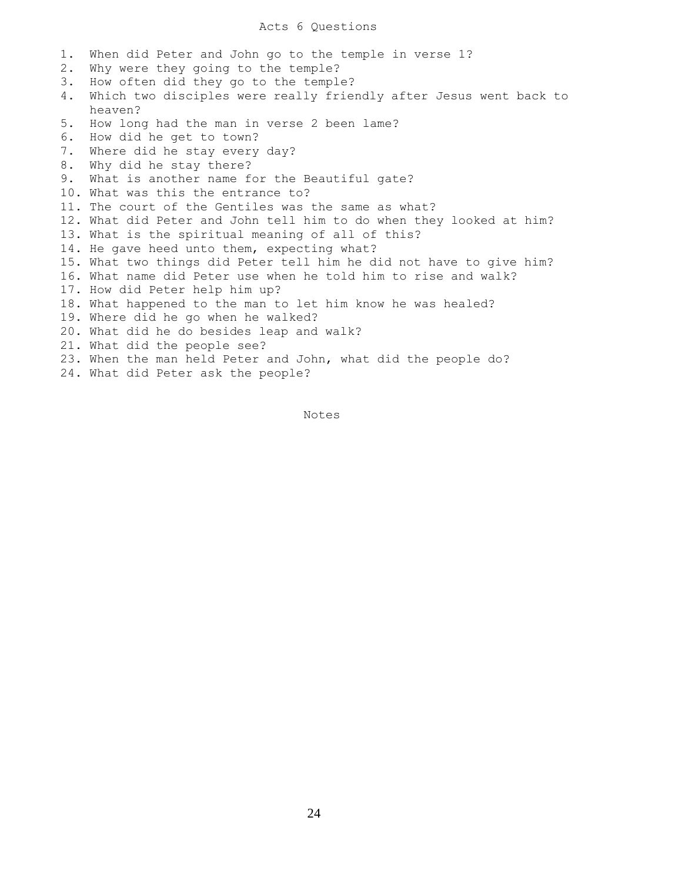1. When did Peter and John go to the temple in verse 1? 2. Why were they going to the temple? 3. How often did they go to the temple? 4. Which two disciples were really friendly after Jesus went back to heaven? 5. How long had the man in verse 2 been lame? 6. How did he get to town? 7. Where did he stay every day? 8. Why did he stay there? 9. What is another name for the Beautiful gate? 10. What was this the entrance to? 11. The court of the Gentiles was the same as what? 12. What did Peter and John tell him to do when they looked at him? 13. What is the spiritual meaning of all of this? 14. He gave heed unto them, expecting what? 15. What two things did Peter tell him he did not have to give him? 16. What name did Peter use when he told him to rise and walk? 17. How did Peter help him up? 18. What happened to the man to let him know he was healed? 19. Where did he go when he walked? 20. What did he do besides leap and walk? 21. What did the people see? 23. When the man held Peter and John, what did the people do? 24. What did Peter ask the people?

Notes Notes

24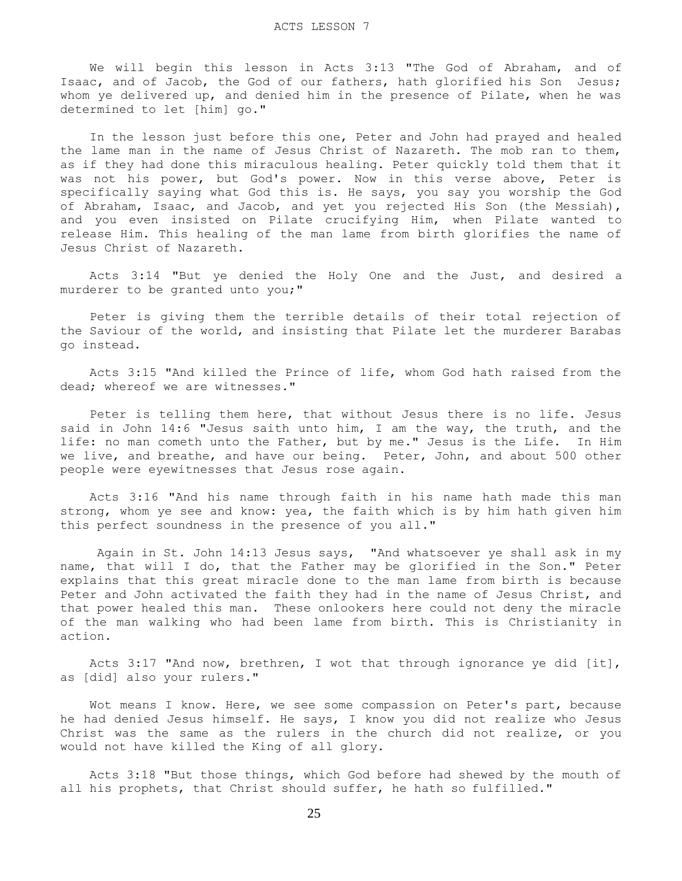We will begin this lesson in Acts 3:13 "The God of Abraham, and of Isaac, and of Jacob, the God of our fathers, hath glorified his Son Jesus; whom ye delivered up, and denied him in the presence of Pilate, when he was determined to let [him] go."

 In the lesson just before this one, Peter and John had prayed and healed the lame man in the name of Jesus Christ of Nazareth. The mob ran to them, as if they had done this miraculous healing. Peter quickly told them that it was not his power, but God's power. Now in this verse above, Peter is specifically saying what God this is. He says, you say you worship the God of Abraham, Isaac, and Jacob, and yet you rejected His Son (the Messiah), and you even insisted on Pilate crucifying Him, when Pilate wanted to release Him. This healing of the man lame from birth glorifies the name of Jesus Christ of Nazareth.

 Acts 3:14 "But ye denied the Holy One and the Just, and desired a murderer to be granted unto you;"

 Peter is giving them the terrible details of their total rejection of the Saviour of the world, and insisting that Pilate let the murderer Barabas go instead.

 Acts 3:15 "And killed the Prince of life, whom God hath raised from the dead; whereof we are witnesses."

 Peter is telling them here, that without Jesus there is no life. Jesus said in John 14:6 "Jesus saith unto him, I am the way, the truth, and the life: no man cometh unto the Father, but by me." Jesus is the Life. In Him we live, and breathe, and have our being. Peter, John, and about 500 other people were eyewitnesses that Jesus rose again.

 Acts 3:16 "And his name through faith in his name hath made this man strong, whom ye see and know: yea, the faith which is by him hath given him this perfect soundness in the presence of you all."

 Again in St. John 14:13 Jesus says, "And whatsoever ye shall ask in my name, that will I do, that the Father may be glorified in the Son." Peter explains that this great miracle done to the man lame from birth is because Peter and John activated the faith they had in the name of Jesus Christ, and that power healed this man. These onlookers here could not deny the miracle of the man walking who had been lame from birth. This is Christianity in action.

 Acts 3:17 "And now, brethren, I wot that through ignorance ye did [it], as [did] also your rulers."

 Wot means I know. Here, we see some compassion on Peter's part, because he had denied Jesus himself. He says, I know you did not realize who Jesus Christ was the same as the rulers in the church did not realize, or you would not have killed the King of all glory.

 Acts 3:18 "But those things, which God before had shewed by the mouth of all his prophets, that Christ should suffer, he hath so fulfilled."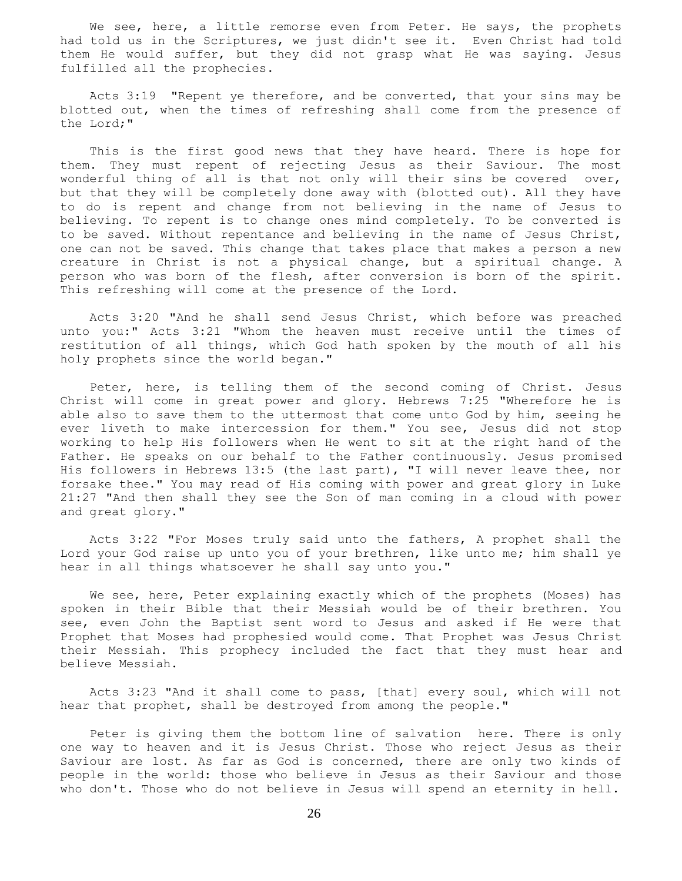We see, here, a little remorse even from Peter. He says, the prophets had told us in the Scriptures, we just didn't see it. Even Christ had told them He would suffer, but they did not grasp what He was saying. Jesus fulfilled all the prophecies.

 Acts 3:19 "Repent ye therefore, and be converted, that your sins may be blotted out, when the times of refreshing shall come from the presence of the Lord;"

 This is the first good news that they have heard. There is hope for them. They must repent of rejecting Jesus as their Saviour. The most wonderful thing of all is that not only will their sins be covered over, but that they will be completely done away with (blotted out). All they have to do is repent and change from not believing in the name of Jesus to believing. To repent is to change ones mind completely. To be converted is to be saved. Without repentance and believing in the name of Jesus Christ, one can not be saved. This change that takes place that makes a person a new creature in Christ is not a physical change, but a spiritual change. A person who was born of the flesh, after conversion is born of the spirit. This refreshing will come at the presence of the Lord.

 Acts 3:20 "And he shall send Jesus Christ, which before was preached unto you:" Acts 3:21 "Whom the heaven must receive until the times of restitution of all things, which God hath spoken by the mouth of all his holy prophets since the world began."

 Peter, here, is telling them of the second coming of Christ. Jesus Christ will come in great power and glory. Hebrews 7:25 "Wherefore he is able also to save them to the uttermost that come unto God by him, seeing he ever liveth to make intercession for them." You see, Jesus did not stop working to help His followers when He went to sit at the right hand of the Father. He speaks on our behalf to the Father continuously. Jesus promised His followers in Hebrews 13:5 (the last part), "I will never leave thee, nor forsake thee." You may read of His coming with power and great glory in Luke 21:27 "And then shall they see the Son of man coming in a cloud with power and great glory."

 Acts 3:22 "For Moses truly said unto the fathers, A prophet shall the Lord your God raise up unto you of your brethren, like unto me; him shall ye hear in all things whatsoever he shall say unto you."

We see, here, Peter explaining exactly which of the prophets (Moses) has spoken in their Bible that their Messiah would be of their brethren. You see, even John the Baptist sent word to Jesus and asked if He were that Prophet that Moses had prophesied would come. That Prophet was Jesus Christ their Messiah. This prophecy included the fact that they must hear and believe Messiah.

 Acts 3:23 "And it shall come to pass, [that] every soul, which will not hear that prophet, shall be destroyed from among the people."

 Peter is giving them the bottom line of salvation here. There is only one way to heaven and it is Jesus Christ. Those who reject Jesus as their Saviour are lost. As far as God is concerned, there are only two kinds of people in the world: those who believe in Jesus as their Saviour and those who don't. Those who do not believe in Jesus will spend an eternity in hell.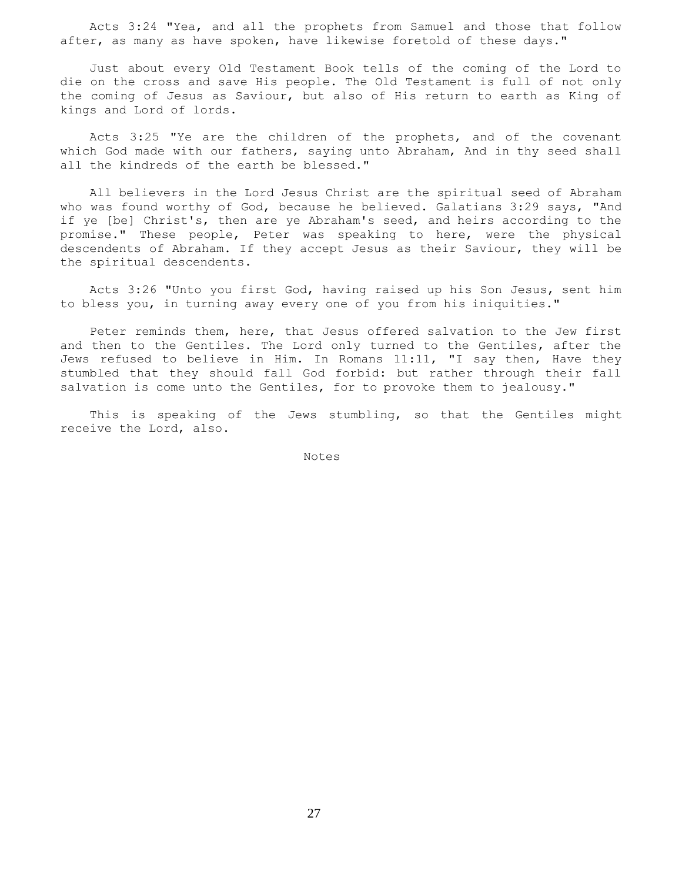Acts 3:24 "Yea, and all the prophets from Samuel and those that follow after, as many as have spoken, have likewise foretold of these days."

 Just about every Old Testament Book tells of the coming of the Lord to die on the cross and save His people. The Old Testament is full of not only the coming of Jesus as Saviour, but also of His return to earth as King of kings and Lord of lords.

 Acts 3:25 "Ye are the children of the prophets, and of the covenant which God made with our fathers, saying unto Abraham, And in thy seed shall all the kindreds of the earth be blessed."

 All believers in the Lord Jesus Christ are the spiritual seed of Abraham who was found worthy of God, because he believed. Galatians 3:29 says, "And if ye [be] Christ's, then are ye Abraham's seed, and heirs according to the promise." These people, Peter was speaking to here, were the physical descendents of Abraham. If they accept Jesus as their Saviour, they will be the spiritual descendents.

 Acts 3:26 "Unto you first God, having raised up his Son Jesus, sent him to bless you, in turning away every one of you from his iniquities."

 Peter reminds them, here, that Jesus offered salvation to the Jew first and then to the Gentiles. The Lord only turned to the Gentiles, after the Jews refused to believe in Him. In Romans 11:11, "I say then, Have they stumbled that they should fall God forbid: but rather through their fall salvation is come unto the Gentiles, for to provoke them to jealousy."

 This is speaking of the Jews stumbling, so that the Gentiles might receive the Lord, also.

Notes Notes

27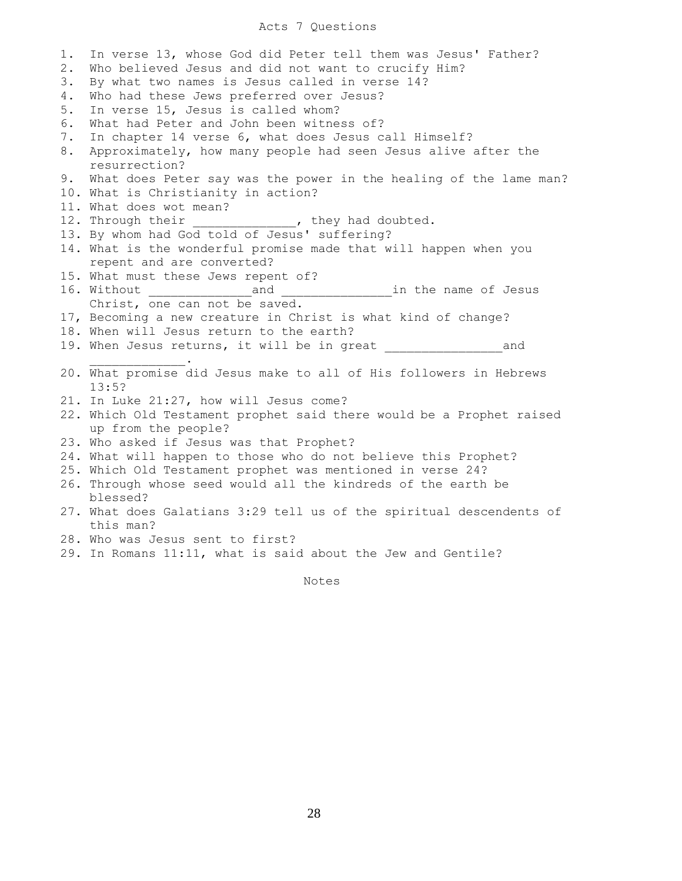### Acts 7 Questions

1. In verse 13, whose God did Peter tell them was Jesus' Father? 2. Who believed Jesus and did not want to crucify Him? 3. By what two names is Jesus called in verse 14? 4. Who had these Jews preferred over Jesus? 5. In verse 15, Jesus is called whom? 6. What had Peter and John been witness of? 7. In chapter 14 verse 6, what does Jesus call Himself? 8. Approximately, how many people had seen Jesus alive after the resurrection? 9. What does Peter say was the power in the healing of the lame man? 10. What is Christianity in action? 11. What does wot mean? 12. Through their \_\_\_\_\_\_\_\_\_\_, they had doubted. 13. By whom had God told of Jesus' suffering? 14. What is the wonderful promise made that will happen when you repent and are converted? 15. What must these Jews repent of? 16. Without \_\_\_\_\_\_\_\_\_\_\_\_\_\_and \_\_\_\_\_\_\_\_\_\_\_\_\_\_\_in the name of Jesus Christ, one can not be saved. 17, Becoming a new creature in Christ is what kind of change? 18. When will Jesus return to the earth? 19. When Jesus returns, it will be in great Theorem and  $\mathcal{L}=\mathcal{L}=\mathcal{L}=\mathcal{L}=\mathcal{L}=\mathcal{L}=\mathcal{L}$ 20. What promise did Jesus make to all of His followers in Hebrews 13:5? 21. In Luke 21:27, how will Jesus come? 22. Which Old Testament prophet said there would be a Prophet raised up from the people? 23. Who asked if Jesus was that Prophet? 24. What will happen to those who do not believe this Prophet? 25. Which Old Testament prophet was mentioned in verse 24? 26. Through whose seed would all the kindreds of the earth be blessed? 27. What does Galatians 3:29 tell us of the spiritual descendents of this man? 28. Who was Jesus sent to first? 29. In Romans 11:11, what is said about the Jew and Gentile?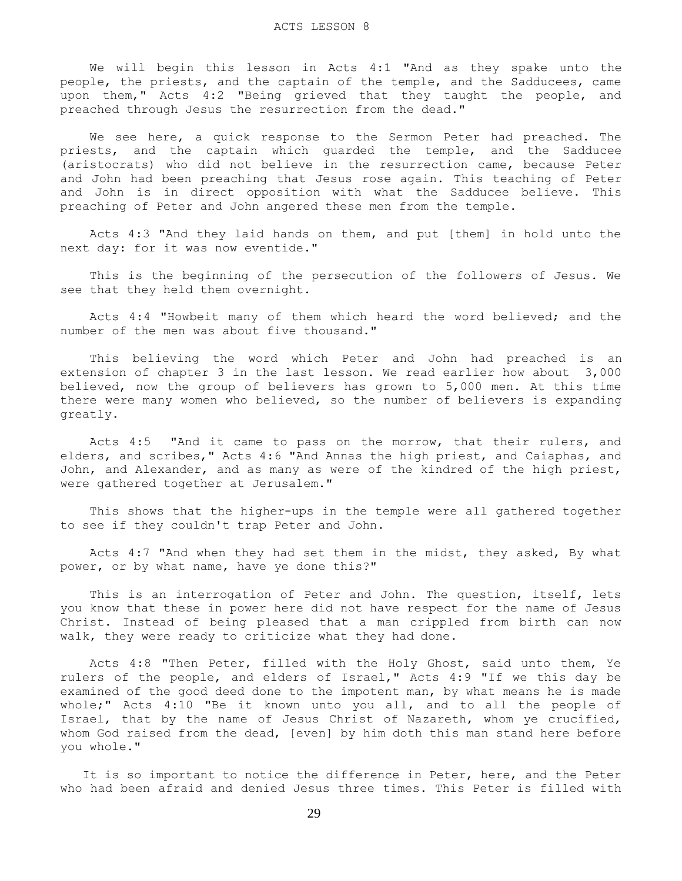We will begin this lesson in Acts 4:1 "And as they spake unto the people, the priests, and the captain of the temple, and the Sadducees, came upon them," Acts 4:2 "Being grieved that they taught the people, and preached through Jesus the resurrection from the dead."

 We see here, a quick response to the Sermon Peter had preached. The priests, and the captain which guarded the temple, and the Sadducee (aristocrats) who did not believe in the resurrection came, because Peter and John had been preaching that Jesus rose again. This teaching of Peter and John is in direct opposition with what the Sadducee believe. This preaching of Peter and John angered these men from the temple.

 Acts 4:3 "And they laid hands on them, and put [them] in hold unto the next day: for it was now eventide."

 This is the beginning of the persecution of the followers of Jesus. We see that they held them overnight.

 Acts 4:4 "Howbeit many of them which heard the word believed; and the number of the men was about five thousand."

 This believing the word which Peter and John had preached is an extension of chapter 3 in the last lesson. We read earlier how about 3,000 believed, now the group of believers has grown to 5,000 men. At this time there were many women who believed, so the number of believers is expanding greatly.

 Acts 4:5 "And it came to pass on the morrow, that their rulers, and elders, and scribes," Acts 4:6 "And Annas the high priest, and Caiaphas, and John, and Alexander, and as many as were of the kindred of the high priest, were gathered together at Jerusalem."

 This shows that the higher-ups in the temple were all gathered together to see if they couldn't trap Peter and John.

 Acts 4:7 "And when they had set them in the midst, they asked, By what power, or by what name, have ye done this?"

 This is an interrogation of Peter and John. The question, itself, lets you know that these in power here did not have respect for the name of Jesus Christ. Instead of being pleased that a man crippled from birth can now walk, they were ready to criticize what they had done.

 Acts 4:8 "Then Peter, filled with the Holy Ghost, said unto them, Ye rulers of the people, and elders of Israel," Acts 4:9 "If we this day be examined of the good deed done to the impotent man, by what means he is made whole;" Acts 4:10 "Be it known unto you all, and to all the people of Israel, that by the name of Jesus Christ of Nazareth, whom ye crucified, whom God raised from the dead, [even] by him doth this man stand here before you whole."

 It is so important to notice the difference in Peter, here, and the Peter who had been afraid and denied Jesus three times. This Peter is filled with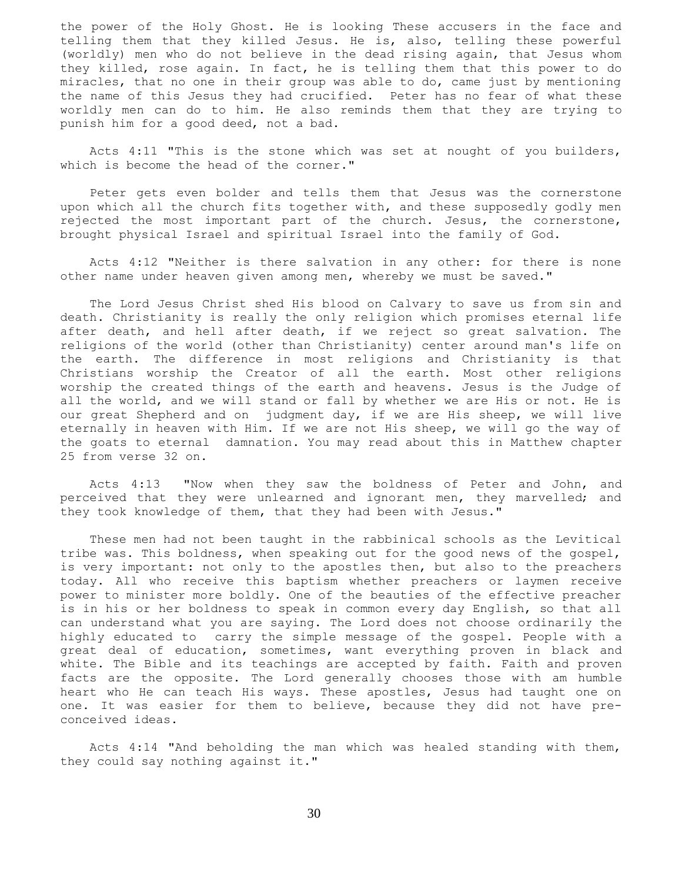the power of the Holy Ghost. He is looking These accusers in the face and telling them that they killed Jesus. He is, also, telling these powerful (worldly) men who do not believe in the dead rising again, that Jesus whom they killed, rose again. In fact, he is telling them that this power to do miracles, that no one in their group was able to do, came just by mentioning the name of this Jesus they had crucified. Peter has no fear of what these worldly men can do to him. He also reminds them that they are trying to punish him for a good deed, not a bad.

 Acts 4:11 "This is the stone which was set at nought of you builders, which is become the head of the corner."

 Peter gets even bolder and tells them that Jesus was the cornerstone upon which all the church fits together with, and these supposedly godly men rejected the most important part of the church. Jesus, the cornerstone, brought physical Israel and spiritual Israel into the family of God.

 Acts 4:12 "Neither is there salvation in any other: for there is none other name under heaven given among men, whereby we must be saved."

 The Lord Jesus Christ shed His blood on Calvary to save us from sin and death. Christianity is really the only religion which promises eternal life after death, and hell after death, if we reject so great salvation. The religions of the world (other than Christianity) center around man's life on the earth. The difference in most religions and Christianity is that Christians worship the Creator of all the earth. Most other religions worship the created things of the earth and heavens. Jesus is the Judge of all the world, and we will stand or fall by whether we are His or not. He is our great Shepherd and on judgment day, if we are His sheep, we will live eternally in heaven with Him. If we are not His sheep, we will go the way of the goats to eternal damnation. You may read about this in Matthew chapter 25 from verse 32 on.

 Acts 4:13 "Now when they saw the boldness of Peter and John, and perceived that they were unlearned and ignorant men, they marvelled; and they took knowledge of them, that they had been with Jesus."

 These men had not been taught in the rabbinical schools as the Levitical tribe was. This boldness, when speaking out for the good news of the gospel, is very important: not only to the apostles then, but also to the preachers today. All who receive this baptism whether preachers or laymen receive power to minister more boldly. One of the beauties of the effective preacher is in his or her boldness to speak in common every day English, so that all can understand what you are saying. The Lord does not choose ordinarily the highly educated to carry the simple message of the gospel. People with a great deal of education, sometimes, want everything proven in black and white. The Bible and its teachings are accepted by faith. Faith and proven facts are the opposite. The Lord generally chooses those with am humble heart who He can teach His ways. These apostles, Jesus had taught one on one. It was easier for them to believe, because they did not have preconceived ideas.

 Acts 4:14 "And beholding the man which was healed standing with them, they could say nothing against it."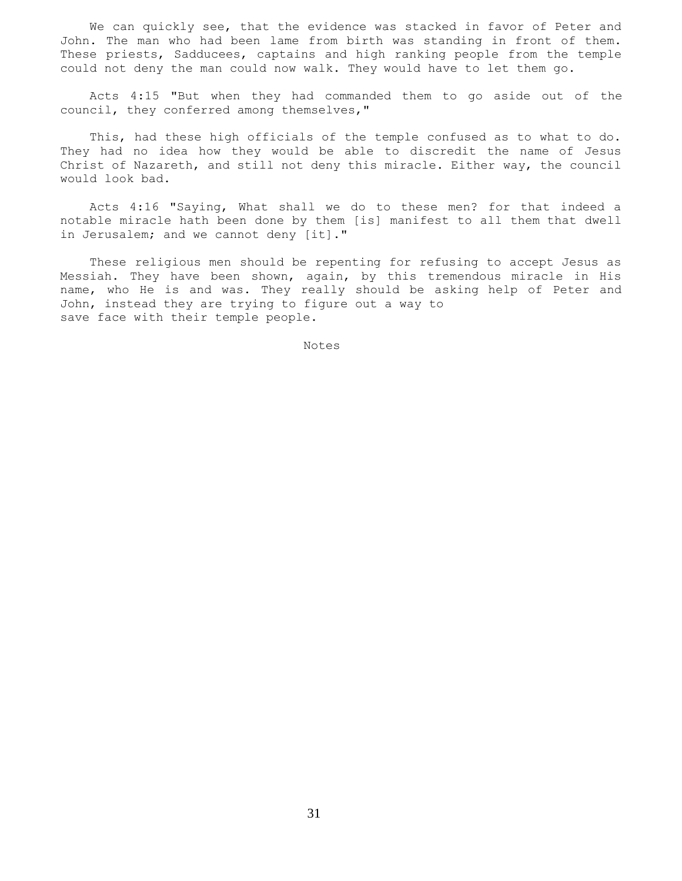We can quickly see, that the evidence was stacked in favor of Peter and John. The man who had been lame from birth was standing in front of them. These priests, Sadducees, captains and high ranking people from the temple could not deny the man could now walk. They would have to let them go.

 Acts 4:15 "But when they had commanded them to go aside out of the council, they conferred among themselves,"

 This, had these high officials of the temple confused as to what to do. They had no idea how they would be able to discredit the name of Jesus Christ of Nazareth, and still not deny this miracle. Either way, the council would look bad.

 Acts 4:16 "Saying, What shall we do to these men? for that indeed a notable miracle hath been done by them [is] manifest to all them that dwell in Jerusalem; and we cannot deny [it]."

 These religious men should be repenting for refusing to accept Jesus as Messiah. They have been shown, again, by this tremendous miracle in His name, who He is and was. They really should be asking help of Peter and John, instead they are trying to figure out a way to save face with their temple people.

Notes Notes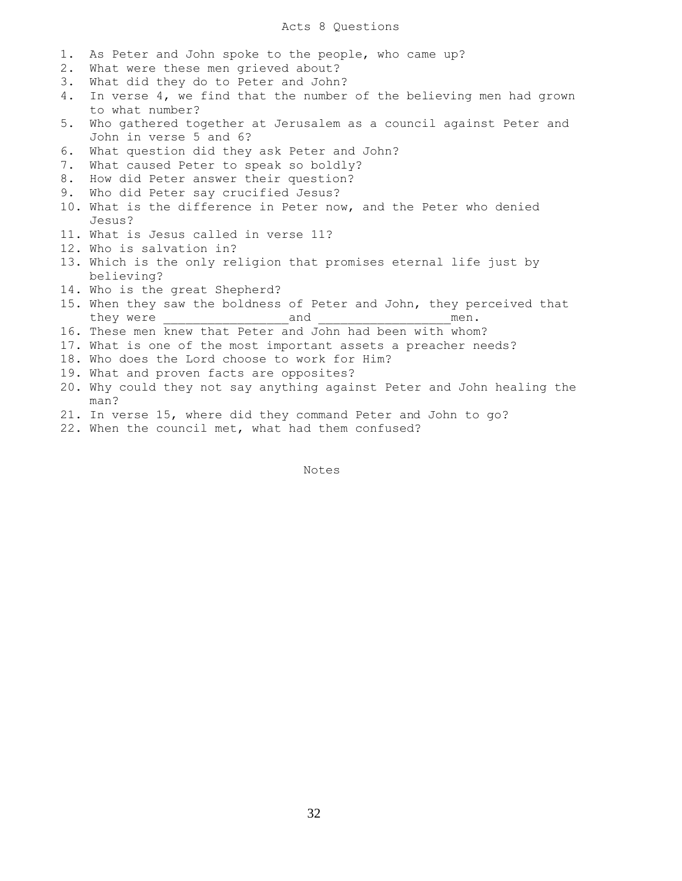# Acts 8 Questions

- 1. As Peter and John spoke to the people, who came up?
- 2. What were these men grieved about?
- 3. What did they do to Peter and John?
- 4. In verse 4, we find that the number of the believing men had grown to what number?
- 5. Who gathered together at Jerusalem as a council against Peter and John in verse 5 and 6?
- 6. What question did they ask Peter and John?
- 7. What caused Peter to speak so boldly?
- 8. How did Peter answer their question?
- 9. Who did Peter say crucified Jesus?
- 10. What is the difference in Peter now, and the Peter who denied Jesus?
- 11. What is Jesus called in verse 11?
- 12. Who is salvation in?
- 13. Which is the only religion that promises eternal life just by believing?
- 14. Who is the great Shepherd?
- 15. When they saw the boldness of Peter and John, they perceived that they were \_\_\_\_\_\_\_\_\_\_\_\_\_\_\_\_\_and \_\_\_\_\_\_\_\_\_\_\_\_\_\_\_\_\_\_men.
- 16. These men knew that Peter and John had been with whom?
- 17. What is one of the most important assets a preacher needs?
- 18. Who does the Lord choose to work for Him?
- 19. What and proven facts are opposites?
- 20. Why could they not say anything against Peter and John healing the man?
- 21. In verse 15, where did they command Peter and John to go?
- 22. When the council met, what had them confused?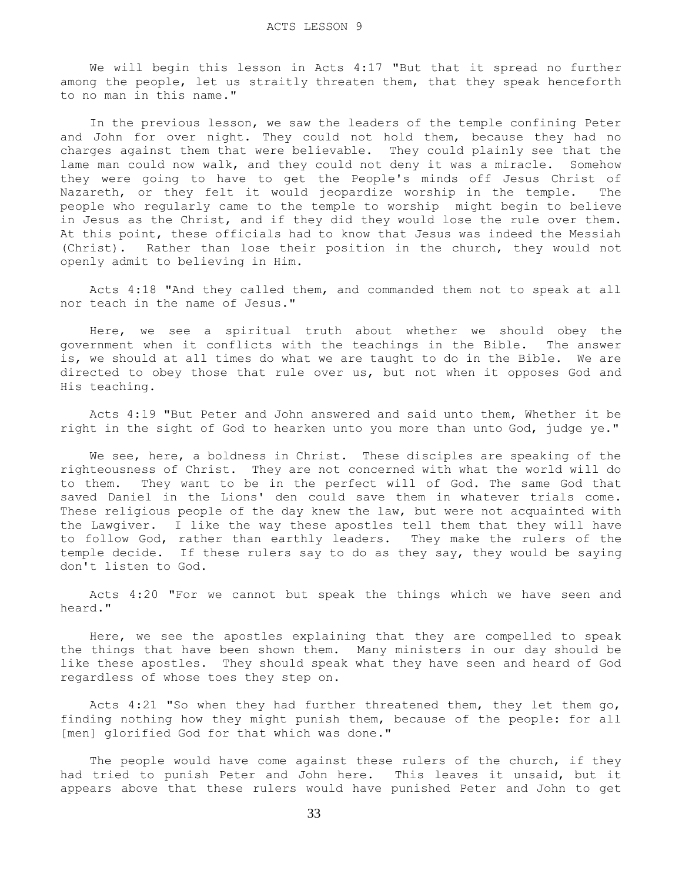We will begin this lesson in Acts 4:17 "But that it spread no further among the people, let us straitly threaten them, that they speak henceforth to no man in this name."

 In the previous lesson, we saw the leaders of the temple confining Peter and John for over night. They could not hold them, because they had no charges against them that were believable. They could plainly see that the lame man could now walk, and they could not deny it was a miracle. Somehow they were going to have to get the People's minds off Jesus Christ of Nazareth, or they felt it would jeopardize worship in the temple. The people who regularly came to the temple to worship might begin to believe in Jesus as the Christ, and if they did they would lose the rule over them. At this point, these officials had to know that Jesus was indeed the Messiah (Christ). Rather than lose their position in the church, they would not openly admit to believing in Him.

 Acts 4:18 "And they called them, and commanded them not to speak at all nor teach in the name of Jesus."

 Here, we see a spiritual truth about whether we should obey the government when it conflicts with the teachings in the Bible. The answer is, we should at all times do what we are taught to do in the Bible. We are directed to obey those that rule over us, but not when it opposes God and His teaching.

 Acts 4:19 "But Peter and John answered and said unto them, Whether it be right in the sight of God to hearken unto you more than unto God, judge ye."

 We see, here, a boldness in Christ. These disciples are speaking of the righteousness of Christ. They are not concerned with what the world will do to them. They want to be in the perfect will of God. The same God that saved Daniel in the Lions' den could save them in whatever trials come. These religious people of the day knew the law, but were not acquainted with the Lawgiver. I like the way these apostles tell them that they will have to follow God, rather than earthly leaders. They make the rulers of the temple decide. If these rulers say to do as they say, they would be saying don't listen to God.

 Acts 4:20 "For we cannot but speak the things which we have seen and heard."

 Here, we see the apostles explaining that they are compelled to speak the things that have been shown them. Many ministers in our day should be like these apostles. They should speak what they have seen and heard of God regardless of whose toes they step on.

 Acts 4:21 "So when they had further threatened them, they let them go, finding nothing how they might punish them, because of the people: for all [men] glorified God for that which was done."

The people would have come against these rulers of the church, if they had tried to punish Peter and John here. This leaves it unsaid, but it appears above that these rulers would have punished Peter and John to get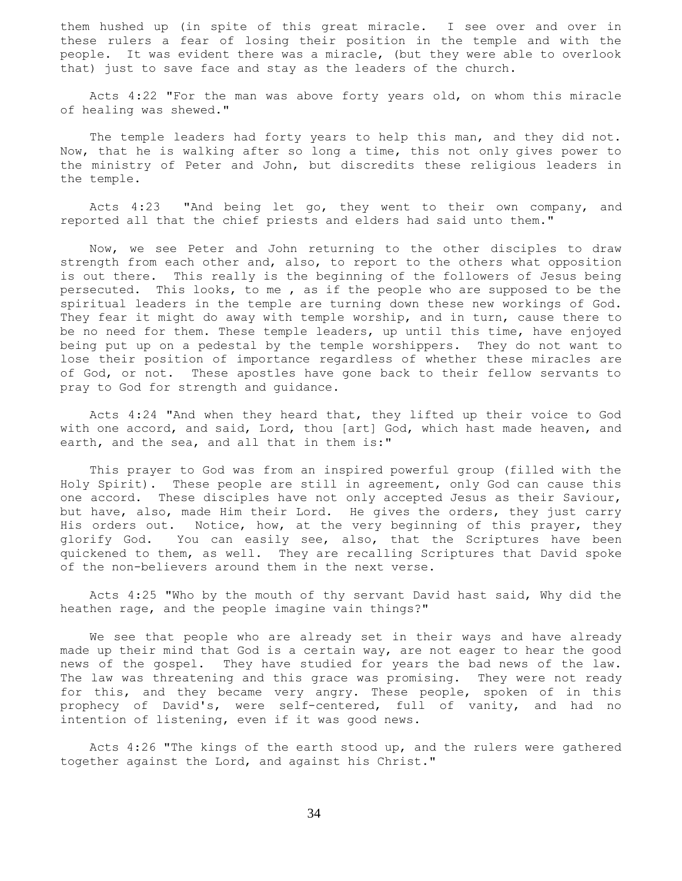them hushed up (in spite of this great miracle. I see over and over in these rulers a fear of losing their position in the temple and with the people. It was evident there was a miracle, (but they were able to overlook that) just to save face and stay as the leaders of the church.

 Acts 4:22 "For the man was above forty years old, on whom this miracle of healing was shewed."

 The temple leaders had forty years to help this man, and they did not. Now, that he is walking after so long a time, this not only gives power to the ministry of Peter and John, but discredits these religious leaders in the temple.

 Acts 4:23 "And being let go, they went to their own company, and reported all that the chief priests and elders had said unto them."

 Now, we see Peter and John returning to the other disciples to draw strength from each other and, also, to report to the others what opposition is out there. This really is the beginning of the followers of Jesus being persecuted. This looks, to me , as if the people who are supposed to be the spiritual leaders in the temple are turning down these new workings of God. They fear it might do away with temple worship, and in turn, cause there to be no need for them. These temple leaders, up until this time, have enjoyed being put up on a pedestal by the temple worshippers. They do not want to lose their position of importance regardless of whether these miracles are of God, or not. These apostles have gone back to their fellow servants to pray to God for strength and guidance.

 Acts 4:24 "And when they heard that, they lifted up their voice to God with one accord, and said, Lord, thou [art] God, which hast made heaven, and earth, and the sea, and all that in them is:"

 This prayer to God was from an inspired powerful group (filled with the Holy Spirit). These people are still in agreement, only God can cause this one accord. These disciples have not only accepted Jesus as their Saviour, but have, also, made Him their Lord. He gives the orders, they just carry His orders out. Notice, how, at the very beginning of this prayer, they glorify God. You can easily see, also, that the Scriptures have been quickened to them, as well. They are recalling Scriptures that David spoke of the non-believers around them in the next verse.

 Acts 4:25 "Who by the mouth of thy servant David hast said, Why did the heathen rage, and the people imagine vain things?"

We see that people who are already set in their ways and have already made up their mind that God is a certain way, are not eager to hear the good news of the gospel. They have studied for years the bad news of the law. The law was threatening and this grace was promising. They were not ready for this, and they became very angry. These people, spoken of in this prophecy of David's, were self-centered, full of vanity, and had no intention of listening, even if it was good news.

 Acts 4:26 "The kings of the earth stood up, and the rulers were gathered together against the Lord, and against his Christ."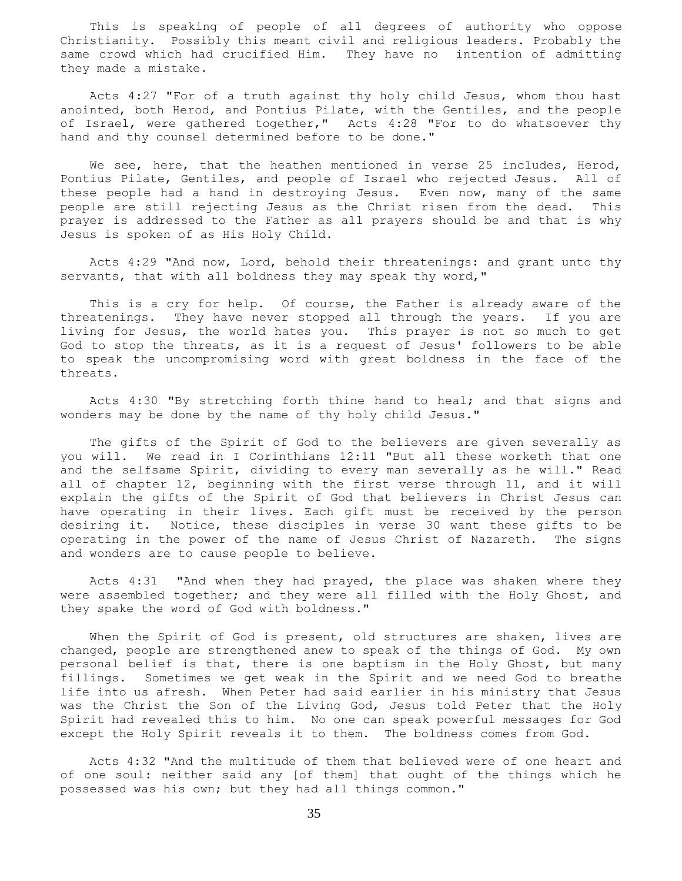This is speaking of people of all degrees of authority who oppose Christianity. Possibly this meant civil and religious leaders. Probably the same crowd which had crucified Him. They have no intention of admitting they made a mistake.

 Acts 4:27 "For of a truth against thy holy child Jesus, whom thou hast anointed, both Herod, and Pontius Pilate, with the Gentiles, and the people of Israel, were gathered together," Acts 4:28 "For to do whatsoever thy hand and thy counsel determined before to be done."

We see, here, that the heathen mentioned in verse 25 includes, Herod, Pontius Pilate, Gentiles, and people of Israel who rejected Jesus. All of these people had a hand in destroying Jesus. Even now, many of the same people are still rejecting Jesus as the Christ risen from the dead. This prayer is addressed to the Father as all prayers should be and that is why Jesus is spoken of as His Holy Child.

 Acts 4:29 "And now, Lord, behold their threatenings: and grant unto thy servants, that with all boldness they may speak thy word,"

 This is a cry for help. Of course, the Father is already aware of the threatenings. They have never stopped all through the years. If you are living for Jesus, the world hates you. This prayer is not so much to get God to stop the threats, as it is a request of Jesus' followers to be able to speak the uncompromising word with great boldness in the face of the threats.

 Acts 4:30 "By stretching forth thine hand to heal; and that signs and wonders may be done by the name of thy holy child Jesus."

 The gifts of the Spirit of God to the believers are given severally as you will. We read in I Corinthians 12:11 "But all these worketh that one and the selfsame Spirit, dividing to every man severally as he will." Read all of chapter 12, beginning with the first verse through 11, and it will explain the gifts of the Spirit of God that believers in Christ Jesus can have operating in their lives. Each gift must be received by the person desiring it. Notice, these disciples in verse 30 want these gifts to be operating in the power of the name of Jesus Christ of Nazareth. The signs and wonders are to cause people to believe.

 Acts 4:31 "And when they had prayed, the place was shaken where they were assembled together; and they were all filled with the Holy Ghost, and they spake the word of God with boldness."

When the Spirit of God is present, old structures are shaken, lives are changed, people are strengthened anew to speak of the things of God. My own personal belief is that, there is one baptism in the Holy Ghost, but many fillings. Sometimes we get weak in the Spirit and we need God to breathe life into us afresh. When Peter had said earlier in his ministry that Jesus was the Christ the Son of the Living God, Jesus told Peter that the Holy Spirit had revealed this to him. No one can speak powerful messages for God except the Holy Spirit reveals it to them. The boldness comes from God.

 Acts 4:32 "And the multitude of them that believed were of one heart and of one soul: neither said any [of them] that ought of the things which he possessed was his own; but they had all things common."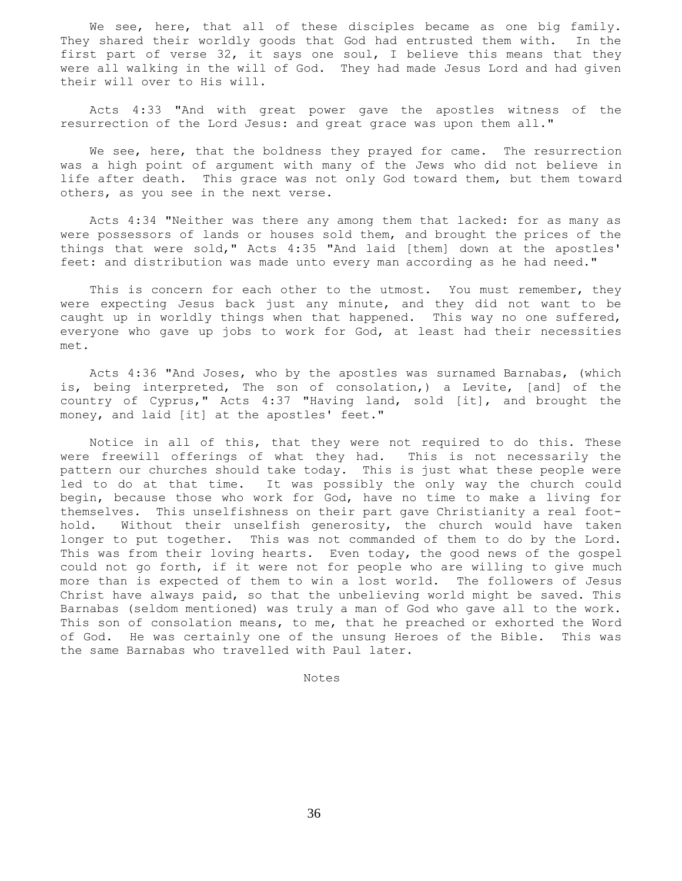We see, here, that all of these disciples became as one big family. They shared their worldly goods that God had entrusted them with. In the first part of verse 32, it says one soul, I believe this means that they were all walking in the will of God. They had made Jesus Lord and had given their will over to His will.

 Acts 4:33 "And with great power gave the apostles witness of the resurrection of the Lord Jesus: and great grace was upon them all."

We see, here, that the boldness they prayed for came. The resurrection was a high point of argument with many of the Jews who did not believe in life after death. This grace was not only God toward them, but them toward others, as you see in the next verse.

 Acts 4:34 "Neither was there any among them that lacked: for as many as were possessors of lands or houses sold them, and brought the prices of the things that were sold," Acts 4:35 "And laid [them] down at the apostles' feet: and distribution was made unto every man according as he had need."

This is concern for each other to the utmost. You must remember, they were expecting Jesus back just any minute, and they did not want to be caught up in worldly things when that happened. This way no one suffered, everyone who gave up jobs to work for God, at least had their necessities met.

 Acts 4:36 "And Joses, who by the apostles was surnamed Barnabas, (which is, being interpreted, The son of consolation,) a Levite, [and] of the country of Cyprus," Acts 4:37 "Having land, sold [it], and brought the money, and laid [it] at the apostles' feet."

 Notice in all of this, that they were not required to do this. These were freewill offerings of what they had. This is not necessarily the pattern our churches should take today. This is just what these people were led to do at that time. It was possibly the only way the church could begin, because those who work for God, have no time to make a living for themselves. This unselfishness on their part gave Christianity a real foothold. Without their unselfish generosity, the church would have taken longer to put together. This was not commanded of them to do by the Lord. This was from their loving hearts. Even today, the good news of the gospel could not go forth, if it were not for people who are willing to give much more than is expected of them to win a lost world. The followers of Jesus Christ have always paid, so that the unbelieving world might be saved. This Barnabas (seldom mentioned) was truly a man of God who gave all to the work. This son of consolation means, to me, that he preached or exhorted the Word of God. He was certainly one of the unsung Heroes of the Bible. This was the same Barnabas who travelled with Paul later.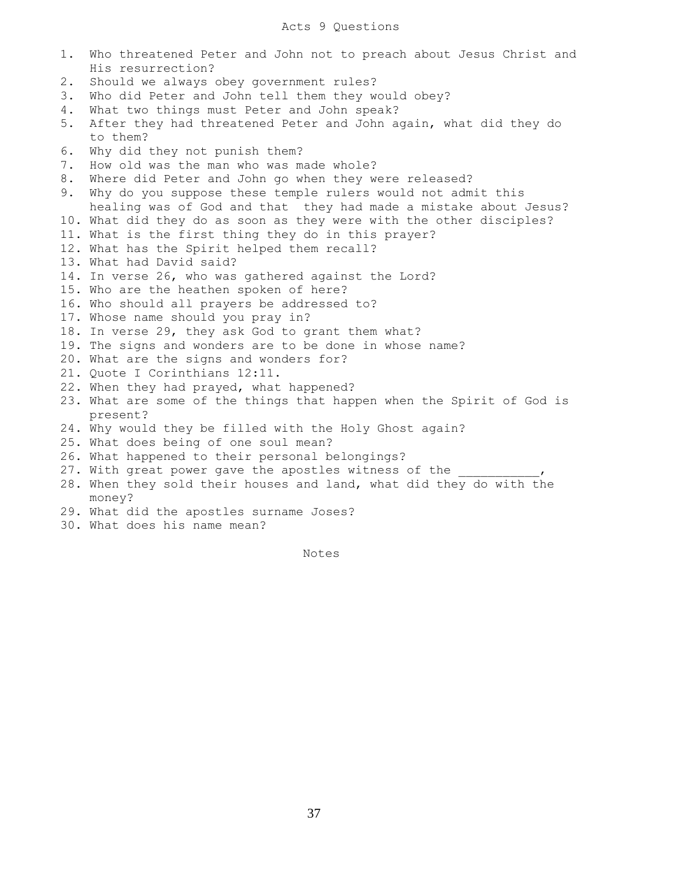- 1. Who threatened Peter and John not to preach about Jesus Christ and His resurrection?
- 2. Should we always obey government rules?
- 3. Who did Peter and John tell them they would obey?
- 4. What two things must Peter and John speak?
- 5. After they had threatened Peter and John again, what did they do to them?
- 6. Why did they not punish them?
- 7. How old was the man who was made whole?
- 8. Where did Peter and John go when they were released?
- 9. Why do you suppose these temple rulers would not admit this healing was of God and that they had made a mistake about Jesus?
- 10. What did they do as soon as they were with the other disciples?
- 11. What is the first thing they do in this prayer?
- 12. What has the Spirit helped them recall?
- 13. What had David said?
- 14. In verse 26, who was gathered against the Lord?
- 15. Who are the heathen spoken of here?
- 16. Who should all prayers be addressed to?
- 17. Whose name should you pray in?
- 18. In verse 29, they ask God to grant them what?
- 19. The signs and wonders are to be done in whose name?
- 20. What are the signs and wonders for?
- 21. Quote I Corinthians 12:11.
- 22. When they had prayed, what happened?
- 23. What are some of the things that happen when the Spirit of God is present?
- 24. Why would they be filled with the Holy Ghost again?
- 25. What does being of one soul mean?
- 26. What happened to their personal belongings?
- 27. With great power gave the apostles witness of the
- 28. When they sold their houses and land, what did they do with the money?
- 29. What did the apostles surname Joses?
- 30. What does his name mean?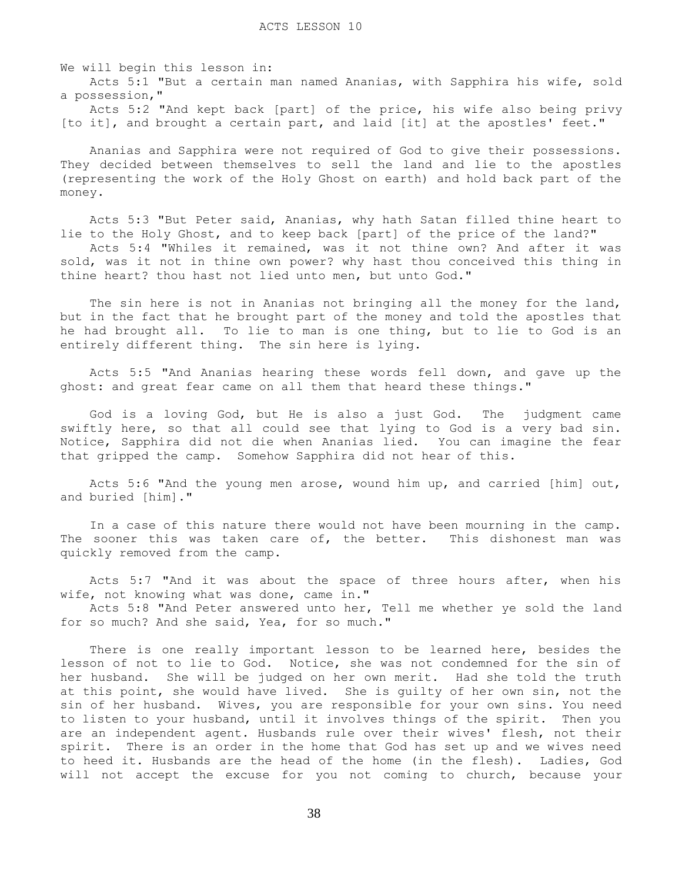We will begin this lesson in:

 Acts 5:1 "But a certain man named Ananias, with Sapphira his wife, sold a possession,"

 Acts 5:2 "And kept back [part] of the price, his wife also being privy [to it], and brought a certain part, and laid [it] at the apostles' feet."

 Ananias and Sapphira were not required of God to give their possessions. They decided between themselves to sell the land and lie to the apostles (representing the work of the Holy Ghost on earth) and hold back part of the money.

 Acts 5:3 "But Peter said, Ananias, why hath Satan filled thine heart to lie to the Holy Ghost, and to keep back [part] of the price of the land?" Acts 5:4 "Whiles it remained, was it not thine own? And after it was sold, was it not in thine own power? why hast thou conceived this thing in thine heart? thou hast not lied unto men, but unto God."

The sin here is not in Ananias not bringing all the money for the land, but in the fact that he brought part of the money and told the apostles that he had brought all. To lie to man is one thing, but to lie to God is an entirely different thing. The sin here is lying.

 Acts 5:5 "And Ananias hearing these words fell down, and gave up the ghost: and great fear came on all them that heard these things."

 God is a loving God, but He is also a just God. The judgment came swiftly here, so that all could see that lying to God is a very bad sin. Notice, Sapphira did not die when Ananias lied. You can imagine the fear that gripped the camp. Somehow Sapphira did not hear of this.

 Acts 5:6 "And the young men arose, wound him up, and carried [him] out, and buried [him]."

 In a case of this nature there would not have been mourning in the camp. The sooner this was taken care of, the better. This dishonest man was quickly removed from the camp.

 Acts 5:7 "And it was about the space of three hours after, when his wife, not knowing what was done, came in."

 Acts 5:8 "And Peter answered unto her, Tell me whether ye sold the land for so much? And she said, Yea, for so much."

 There is one really important lesson to be learned here, besides the lesson of not to lie to God. Notice, she was not condemned for the sin of her husband. She will be judged on her own merit. Had she told the truth at this point, she would have lived. She is guilty of her own sin, not the sin of her husband. Wives, you are responsible for your own sins. You need to listen to your husband, until it involves things of the spirit. Then you are an independent agent. Husbands rule over their wives' flesh, not their spirit. There is an order in the home that God has set up and we wives need to heed it. Husbands are the head of the home (in the flesh). Ladies, God will not accept the excuse for you not coming to church, because your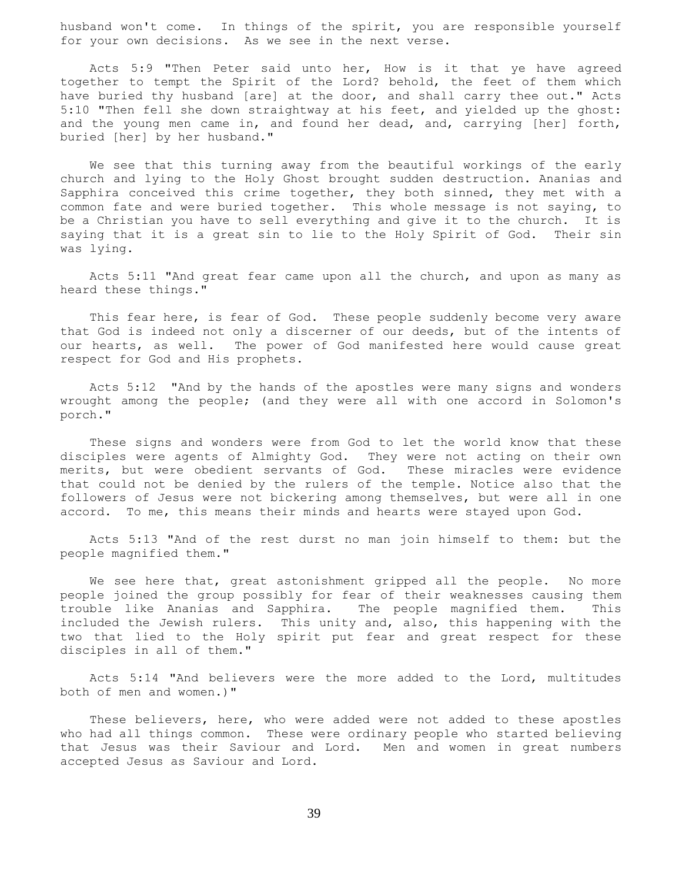husband won't come. In things of the spirit, you are responsible yourself for your own decisions. As we see in the next verse.

 Acts 5:9 "Then Peter said unto her, How is it that ye have agreed together to tempt the Spirit of the Lord? behold, the feet of them which have buried thy husband [are] at the door, and shall carry thee out." Acts 5:10 "Then fell she down straightway at his feet, and yielded up the ghost: and the young men came in, and found her dead, and, carrying [her] forth, buried [her] by her husband."

 We see that this turning away from the beautiful workings of the early church and lying to the Holy Ghost brought sudden destruction. Ananias and Sapphira conceived this crime together, they both sinned, they met with a common fate and were buried together. This whole message is not saying, to be a Christian you have to sell everything and give it to the church. It is saying that it is a great sin to lie to the Holy Spirit of God. Their sin was lying.

 Acts 5:11 "And great fear came upon all the church, and upon as many as heard these things."

This fear here, is fear of God. These people suddenly become very aware that God is indeed not only a discerner of our deeds, but of the intents of our hearts, as well. The power of God manifested here would cause great respect for God and His prophets.

 Acts 5:12 "And by the hands of the apostles were many signs and wonders wrought among the people; (and they were all with one accord in Solomon's porch."

 These signs and wonders were from God to let the world know that these disciples were agents of Almighty God. They were not acting on their own merits, but were obedient servants of God. These miracles were evidence that could not be denied by the rulers of the temple. Notice also that the followers of Jesus were not bickering among themselves, but were all in one accord. To me, this means their minds and hearts were stayed upon God.

 Acts 5:13 "And of the rest durst no man join himself to them: but the people magnified them."

We see here that, great astonishment gripped all the people. No more people joined the group possibly for fear of their weaknesses causing them trouble like Ananias and Sapphira. The people magnified them. This included the Jewish rulers. This unity and, also, this happening with the two that lied to the Holy spirit put fear and great respect for these disciples in all of them."

 Acts 5:14 "And believers were the more added to the Lord, multitudes both of men and women.)"

 These believers, here, who were added were not added to these apostles who had all things common. These were ordinary people who started believing that Jesus was their Saviour and Lord. Men and women in great numbers accepted Jesus as Saviour and Lord.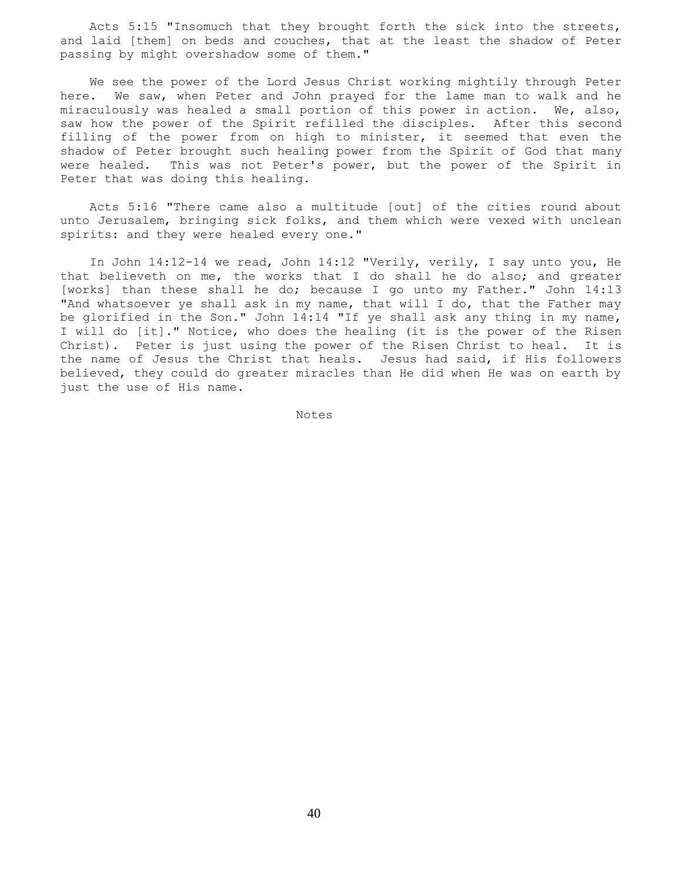Acts 5:15 "Insomuch that they brought forth the sick into the streets, and laid [them] on beds and couches, that at the least the shadow of Peter passing by might overshadow some of them."

 We see the power of the Lord Jesus Christ working mightily through Peter here. We saw, when Peter and John prayed for the lame man to walk and he miraculously was healed a small portion of this power in action. We, also, saw how the power of the Spirit refilled the disciples. After this second filling of the power from on high to minister, it seemed that even the shadow of Peter brought such healing power from the Spirit of God that many were healed. This was not Peter's power, but the power of the Spirit in Peter that was doing this healing.

 Acts 5:16 "There came also a multitude [out] of the cities round about unto Jerusalem, bringing sick folks, and them which were vexed with unclean spirits: and they were healed every one."

 In John 14:12-14 we read, John 14:12 "Verily, verily, I say unto you, He that believeth on me, the works that I do shall he do also; and greater [works] than these shall he do; because I go unto my Father." John 14:13 "And whatsoever ye shall ask in my name, that will I do, that the Father may be glorified in the Son." John 14:14 "If ye shall ask any thing in my name, I will do [it]." Notice, who does the healing (it is the power of the Risen Christ). Peter is just using the power of the Risen Christ to heal. It is the name of Jesus the Christ that heals. Jesus had said, if His followers believed, they could do greater miracles than He did when He was on earth by just the use of His name.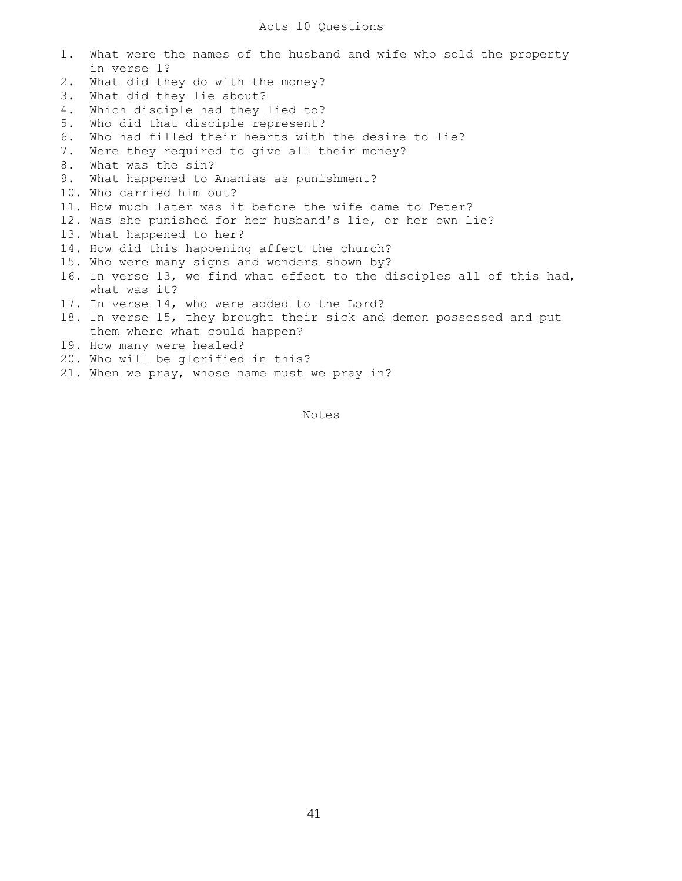| 1. | What were the names of the husband and wife who sold the property      |
|----|------------------------------------------------------------------------|
|    | in verse 1?                                                            |
| 2. | What did they do with the money?                                       |
| 3. | What did they lie about?                                               |
| 4. | Which disciple had they lied to?                                       |
| 5. | Who did that disciple represent?                                       |
| 6. | Who had filled their hearts with the desire to lie?                    |
| 7. | Were they required to give all their money?                            |
| 8. | What was the sin?                                                      |
| 9. | What happened to Ananias as punishment?                                |
|    | 10. Who carried him out?                                               |
|    | 11. How much later was it before the wife came to Peter?               |
|    | 12. Was she punished for her husband's lie, or her own lie?            |
|    | 13. What happened to her?                                              |
|    | 14. How did this happening affect the church?                          |
|    | 15. Who were many signs and wonders shown by?                          |
|    | 16. In verse 13, we find what effect to the disciples all of this had, |
|    | what was it?                                                           |
|    | 17. In verse 14, who were added to the Lord?                           |
|    | 18. In verse 15, they brought their sick and demon possessed and put   |
|    | them where what could happen?                                          |
|    | 19. How many were healed?                                              |
|    | 20. Who will be glorified in this?                                     |
|    | 21. When we pray, whose name must we pray in?                          |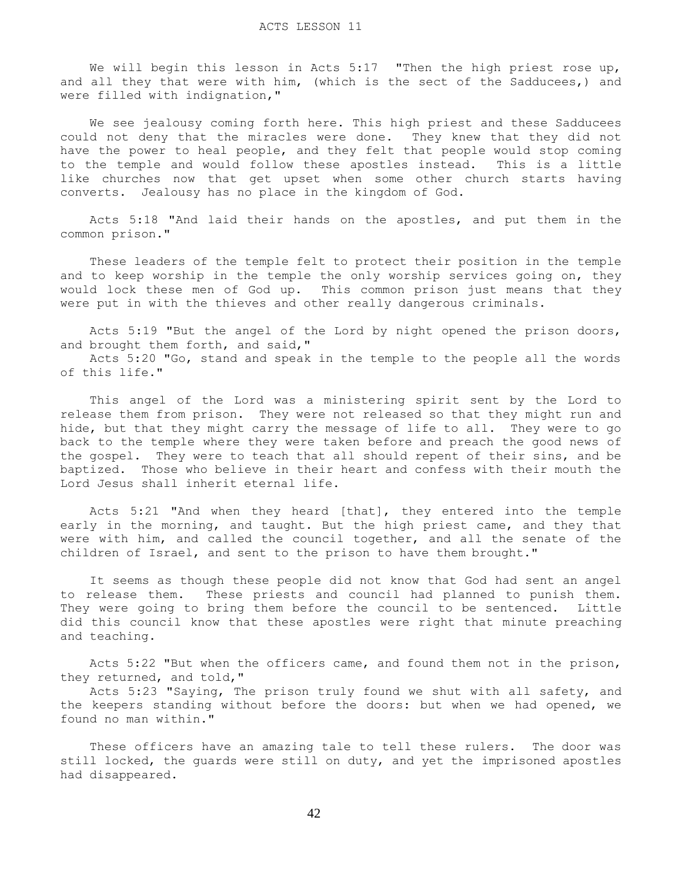We will begin this lesson in Acts 5:17 "Then the high priest rose up, and all they that were with him, (which is the sect of the Sadducees,) and were filled with indignation,"

 We see jealousy coming forth here. This high priest and these Sadducees could not deny that the miracles were done. They knew that they did not have the power to heal people, and they felt that people would stop coming to the temple and would follow these apostles instead. This is a little like churches now that get upset when some other church starts having converts. Jealousy has no place in the kingdom of God.

 Acts 5:18 "And laid their hands on the apostles, and put them in the common prison."

 These leaders of the temple felt to protect their position in the temple and to keep worship in the temple the only worship services going on, they would lock these men of God up. This common prison just means that they were put in with the thieves and other really dangerous criminals.

 Acts 5:19 "But the angel of the Lord by night opened the prison doors, and brought them forth, and said,"

 Acts 5:20 "Go, stand and speak in the temple to the people all the words of this life."

 This angel of the Lord was a ministering spirit sent by the Lord to release them from prison. They were not released so that they might run and hide, but that they might carry the message of life to all. They were to go back to the temple where they were taken before and preach the good news of the gospel. They were to teach that all should repent of their sins, and be baptized. Those who believe in their heart and confess with their mouth the Lord Jesus shall inherit eternal life.

 Acts 5:21 "And when they heard [that], they entered into the temple early in the morning, and taught. But the high priest came, and they that were with him, and called the council together, and all the senate of the children of Israel, and sent to the prison to have them brought."

 It seems as though these people did not know that God had sent an angel to release them. These priests and council had planned to punish them. They were going to bring them before the council to be sentenced. Little did this council know that these apostles were right that minute preaching and teaching.

 Acts 5:22 "But when the officers came, and found them not in the prison, they returned, and told,"

 Acts 5:23 "Saying, The prison truly found we shut with all safety, and the keepers standing without before the doors: but when we had opened, we found no man within."

 These officers have an amazing tale to tell these rulers. The door was still locked, the guards were still on duty, and yet the imprisoned apostles had disappeared.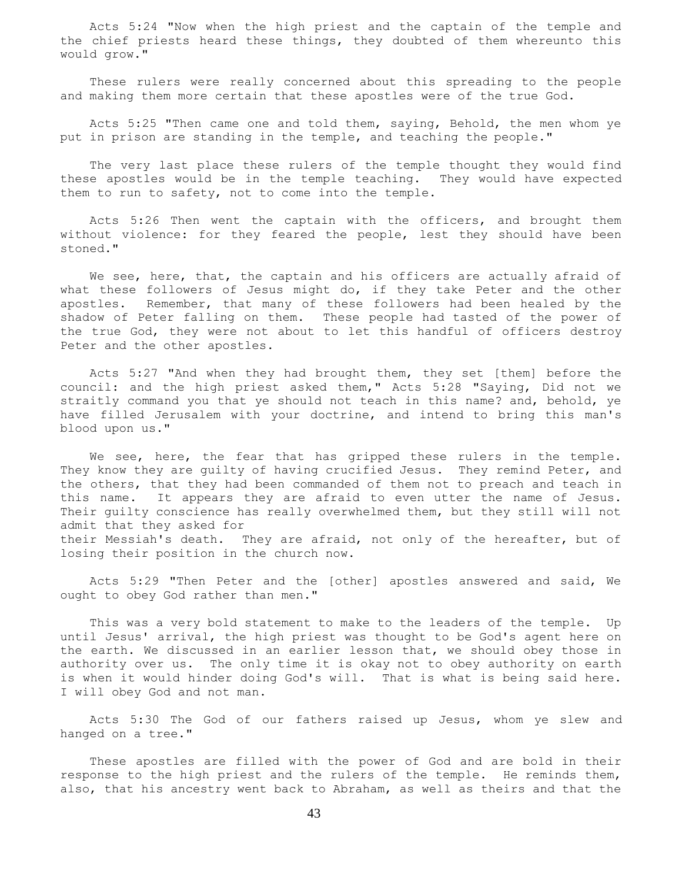Acts 5:24 "Now when the high priest and the captain of the temple and the chief priests heard these things, they doubted of them whereunto this would grow."

 These rulers were really concerned about this spreading to the people and making them more certain that these apostles were of the true God.

 Acts 5:25 "Then came one and told them, saying, Behold, the men whom ye put in prison are standing in the temple, and teaching the people."

 The very last place these rulers of the temple thought they would find these apostles would be in the temple teaching. They would have expected them to run to safety, not to come into the temple.

 Acts 5:26 Then went the captain with the officers, and brought them without violence: for they feared the people, lest they should have been stoned."

We see, here, that, the captain and his officers are actually afraid of what these followers of Jesus might do, if they take Peter and the other apostles. Remember, that many of these followers had been healed by the shadow of Peter falling on them. These people had tasted of the power of the true God, they were not about to let this handful of officers destroy Peter and the other apostles.

 Acts 5:27 "And when they had brought them, they set [them] before the council: and the high priest asked them," Acts 5:28 "Saying, Did not we straitly command you that ye should not teach in this name? and, behold, ye have filled Jerusalem with your doctrine, and intend to bring this man's blood upon us."

We see, here, the fear that has gripped these rulers in the temple. They know they are guilty of having crucified Jesus. They remind Peter, and the others, that they had been commanded of them not to preach and teach in this name. It appears they are afraid to even utter the name of Jesus. Their guilty conscience has really overwhelmed them, but they still will not admit that they asked for their Messiah's death. They are afraid, not only of the hereafter, but of losing their position in the church now.

 Acts 5:29 "Then Peter and the [other] apostles answered and said, We ought to obey God rather than men."

 This was a very bold statement to make to the leaders of the temple. Up until Jesus' arrival, the high priest was thought to be God's agent here on the earth. We discussed in an earlier lesson that, we should obey those in authority over us. The only time it is okay not to obey authority on earth is when it would hinder doing God's will. That is what is being said here. I will obey God and not man.

 Acts 5:30 The God of our fathers raised up Jesus, whom ye slew and hanged on a tree."

 These apostles are filled with the power of God and are bold in their response to the high priest and the rulers of the temple. He reminds them, also, that his ancestry went back to Abraham, as well as theirs and that the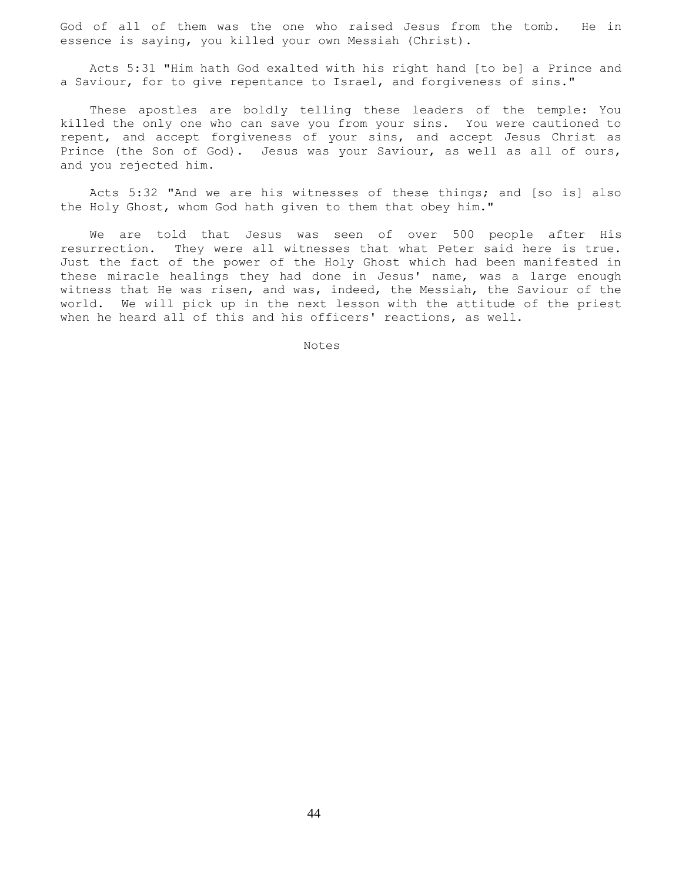God of all of them was the one who raised Jesus from the tomb. He in essence is saying, you killed your own Messiah (Christ).

 Acts 5:31 "Him hath God exalted with his right hand [to be] a Prince and a Saviour, for to give repentance to Israel, and forgiveness of sins."

 These apostles are boldly telling these leaders of the temple: You killed the only one who can save you from your sins. You were cautioned to repent, and accept forgiveness of your sins, and accept Jesus Christ as Prince (the Son of God). Jesus was your Saviour, as well as all of ours, and you rejected him.

 Acts 5:32 "And we are his witnesses of these things; and [so is] also the Holy Ghost, whom God hath given to them that obey him."

 We are told that Jesus was seen of over 500 people after His resurrection. They were all witnesses that what Peter said here is true. Just the fact of the power of the Holy Ghost which had been manifested in these miracle healings they had done in Jesus' name, was a large enough witness that He was risen, and was, indeed, the Messiah, the Saviour of the world. We will pick up in the next lesson with the attitude of the priest when he heard all of this and his officers' reactions, as well.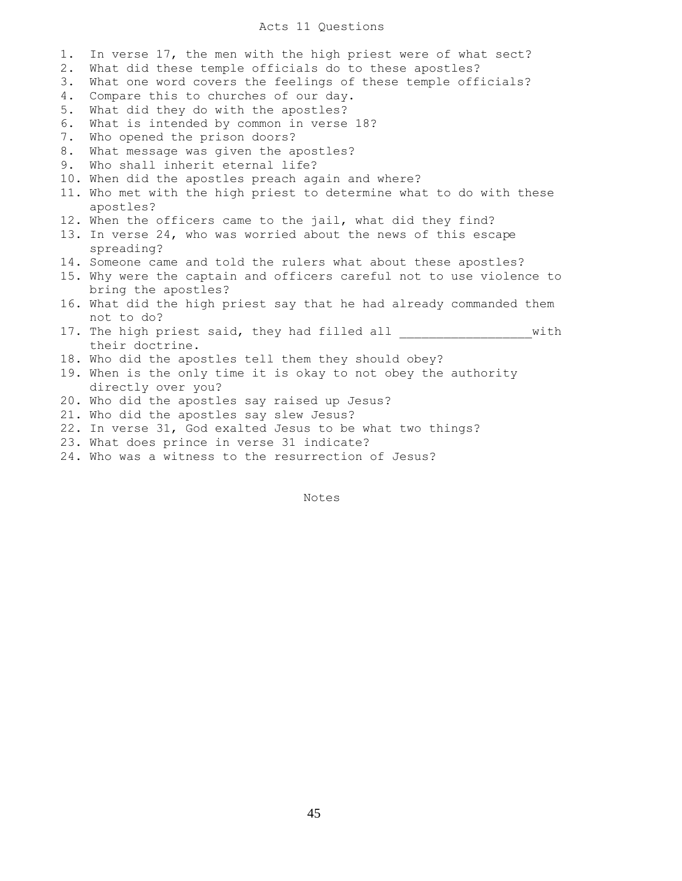## Acts 11 Questions

| $1$ . | In verse 17, the men with the high priest were of what sect?         |
|-------|----------------------------------------------------------------------|
| 2.    | What did these temple officials do to these apostles?                |
| 3.    | What one word covers the feelings of these temple officials?         |
| 4.    | Compare this to churches of our day.                                 |
| 5.    | What did they do with the apostles?                                  |
| 6.    | What is intended by common in verse 18?                              |
| 7.    | Who opened the prison doors?                                         |
| 8.    | What message was given the apostles?                                 |
| 9.    | Who shall inherit eternal life?                                      |
|       | 10. When did the apostles preach again and where?                    |
|       | 11. Who met with the high priest to determine what to do with these  |
|       | apostles?                                                            |
|       | 12. When the officers came to the jail, what did they find?          |
|       | 13. In verse 24, who was worried about the news of this escape       |
|       | spreading?                                                           |
|       | 14. Someone came and told the rulers what about these apostles?      |
|       | 15. Why were the captain and officers careful not to use violence to |
|       | bring the apostles?                                                  |
|       | 16. What did the high priest say that he had already commanded them  |
|       | not to do?                                                           |
|       | with<br>17. The high priest said, they had filled all                |
|       | their doctrine.                                                      |
|       | 18. Who did the apostles tell them they should obey?                 |
|       | 19. When is the only time it is okay to not obey the authority       |
|       | directly over you?                                                   |
|       | 20. Who did the apostles say raised up Jesus?                        |
|       | 21. Who did the apostles say slew Jesus?                             |
|       | 22. In verse 31, God exalted Jesus to be what two things?            |
|       | 23. What does prince in verse 31 indicate?                           |
|       | 24. Who was a witness to the resurrection of Jesus?                  |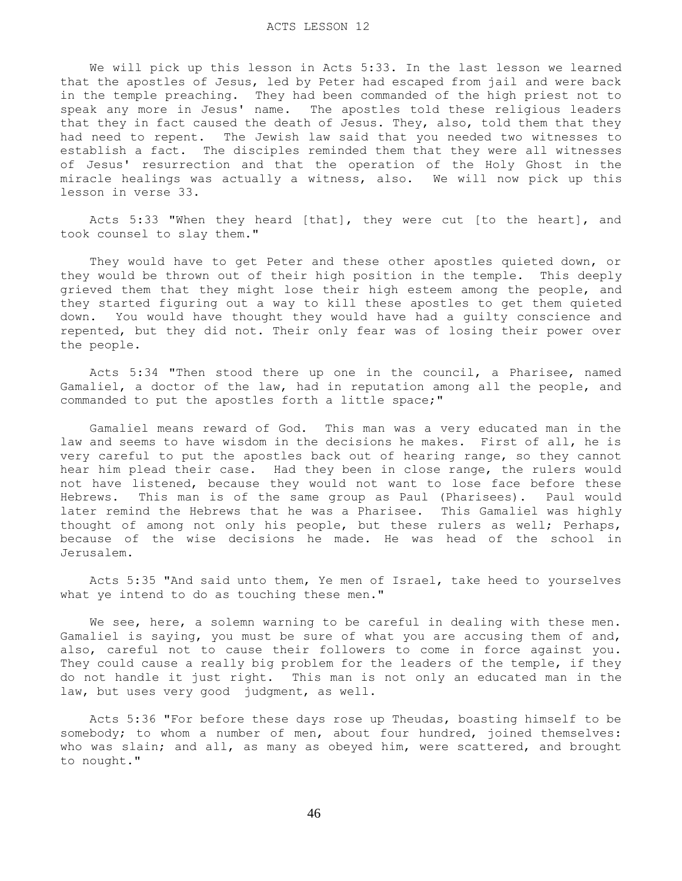We will pick up this lesson in Acts 5:33. In the last lesson we learned that the apostles of Jesus, led by Peter had escaped from jail and were back in the temple preaching. They had been commanded of the high priest not to speak any more in Jesus' name. The apostles told these religious leaders that they in fact caused the death of Jesus. They, also, told them that they had need to repent. The Jewish law said that you needed two witnesses to establish a fact. The disciples reminded them that they were all witnesses of Jesus' resurrection and that the operation of the Holy Ghost in the miracle healings was actually a witness, also. We will now pick up this lesson in verse 33.

 Acts 5:33 "When they heard [that], they were cut [to the heart], and took counsel to slay them."

 They would have to get Peter and these other apostles quieted down, or they would be thrown out of their high position in the temple. This deeply grieved them that they might lose their high esteem among the people, and they started figuring out a way to kill these apostles to get them quieted down. You would have thought they would have had a guilty conscience and repented, but they did not. Their only fear was of losing their power over the people.

 Acts 5:34 "Then stood there up one in the council, a Pharisee, named Gamaliel, a doctor of the law, had in reputation among all the people, and commanded to put the apostles forth a little space;"

 Gamaliel means reward of God. This man was a very educated man in the law and seems to have wisdom in the decisions he makes. First of all, he is very careful to put the apostles back out of hearing range, so they cannot hear him plead their case. Had they been in close range, the rulers would not have listened, because they would not want to lose face before these Hebrews. This man is of the same group as Paul (Pharisees). Paul would later remind the Hebrews that he was a Pharisee. This Gamaliel was highly thought of among not only his people, but these rulers as well; Perhaps, because of the wise decisions he made. He was head of the school in Jerusalem.

 Acts 5:35 "And said unto them, Ye men of Israel, take heed to yourselves what ye intend to do as touching these men."

 We see, here, a solemn warning to be careful in dealing with these men. Gamaliel is saying, you must be sure of what you are accusing them of and, also, careful not to cause their followers to come in force against you. They could cause a really big problem for the leaders of the temple, if they do not handle it just right. This man is not only an educated man in the law, but uses very good judgment, as well.

 Acts 5:36 "For before these days rose up Theudas, boasting himself to be somebody; to whom a number of men, about four hundred, joined themselves: who was slain; and all, as many as obeyed him, were scattered, and brought to nought."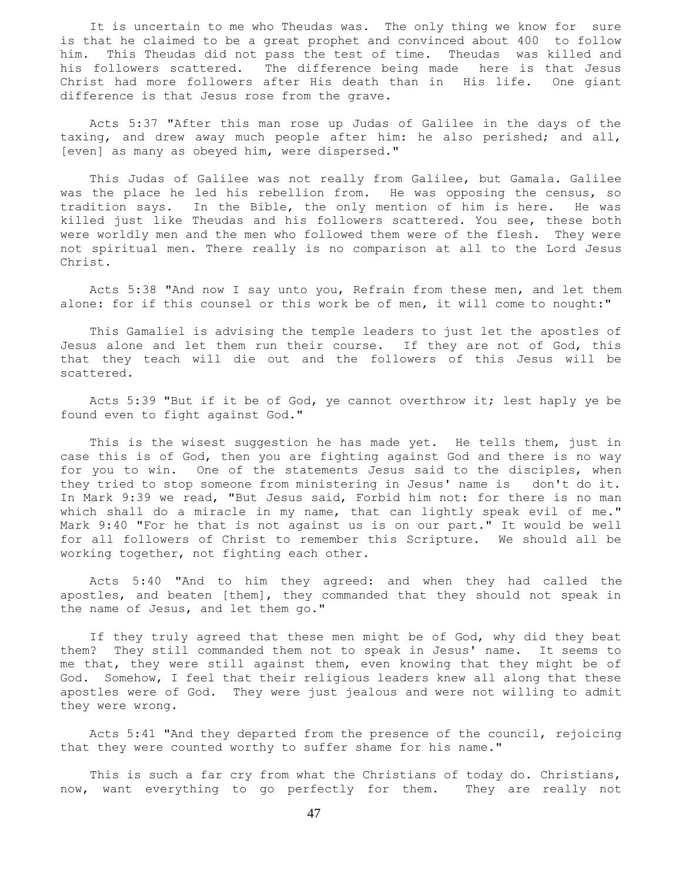It is uncertain to me who Theudas was. The only thing we know for sure is that he claimed to be a great prophet and convinced about 400 to follow him. This Theudas did not pass the test of time. Theudas was killed and his followers scattered. The difference being made here is that Jesus Christ had more followers after His death than in His life. One giant difference is that Jesus rose from the grave.

 Acts 5:37 "After this man rose up Judas of Galilee in the days of the taxing, and drew away much people after him: he also perished; and all, [even] as many as obeyed him, were dispersed."

 This Judas of Galilee was not really from Galilee, but Gamala. Galilee was the place he led his rebellion from. He was opposing the census, so tradition says. In the Bible, the only mention of him is here. He was killed just like Theudas and his followers scattered. You see, these both were worldly men and the men who followed them were of the flesh. They were not spiritual men. There really is no comparison at all to the Lord Jesus Christ.

 Acts 5:38 "And now I say unto you, Refrain from these men, and let them alone: for if this counsel or this work be of men, it will come to nought:"

 This Gamaliel is advising the temple leaders to just let the apostles of Jesus alone and let them run their course. If they are not of God, this that they teach will die out and the followers of this Jesus will be scattered.

 Acts 5:39 "But if it be of God, ye cannot overthrow it; lest haply ye be found even to fight against God."

This is the wisest suggestion he has made yet. He tells them, just in case this is of God, then you are fighting against God and there is no way for you to win. One of the statements Jesus said to the disciples, when they tried to stop someone from ministering in Jesus' name is don't do it. In Mark 9:39 we read, "But Jesus said, Forbid him not: for there is no man which shall do a miracle in my name, that can lightly speak evil of me." Mark 9:40 "For he that is not against us is on our part." It would be well for all followers of Christ to remember this Scripture. We should all be working together, not fighting each other.

 Acts 5:40 "And to him they agreed: and when they had called the apostles, and beaten [them], they commanded that they should not speak in the name of Jesus, and let them go."

 If they truly agreed that these men might be of God, why did they beat them? They still commanded them not to speak in Jesus' name. It seems to me that, they were still against them, even knowing that they might be of God. Somehow, I feel that their religious leaders knew all along that these apostles were of God. They were just jealous and were not willing to admit they were wrong.

 Acts 5:41 "And they departed from the presence of the council, rejoicing that they were counted worthy to suffer shame for his name."

 This is such a far cry from what the Christians of today do. Christians, now, want everything to go perfectly for them. They are really not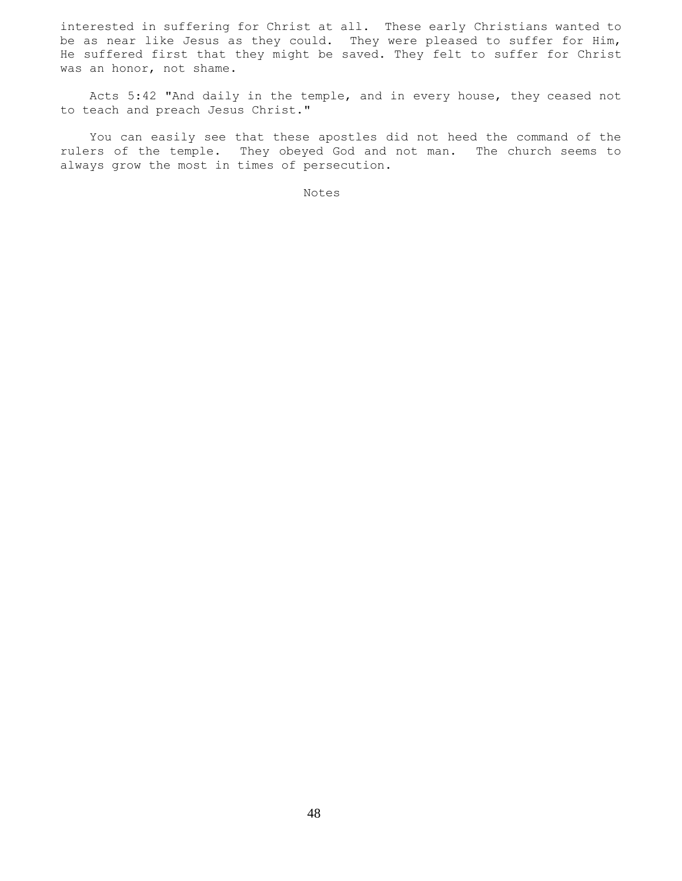interested in suffering for Christ at all. These early Christians wanted to be as near like Jesus as they could. They were pleased to suffer for Him, He suffered first that they might be saved. They felt to suffer for Christ was an honor, not shame.

 Acts 5:42 "And daily in the temple, and in every house, they ceased not to teach and preach Jesus Christ."

 You can easily see that these apostles did not heed the command of the rulers of the temple. They obeyed God and not man. The church seems to always grow the most in times of persecution.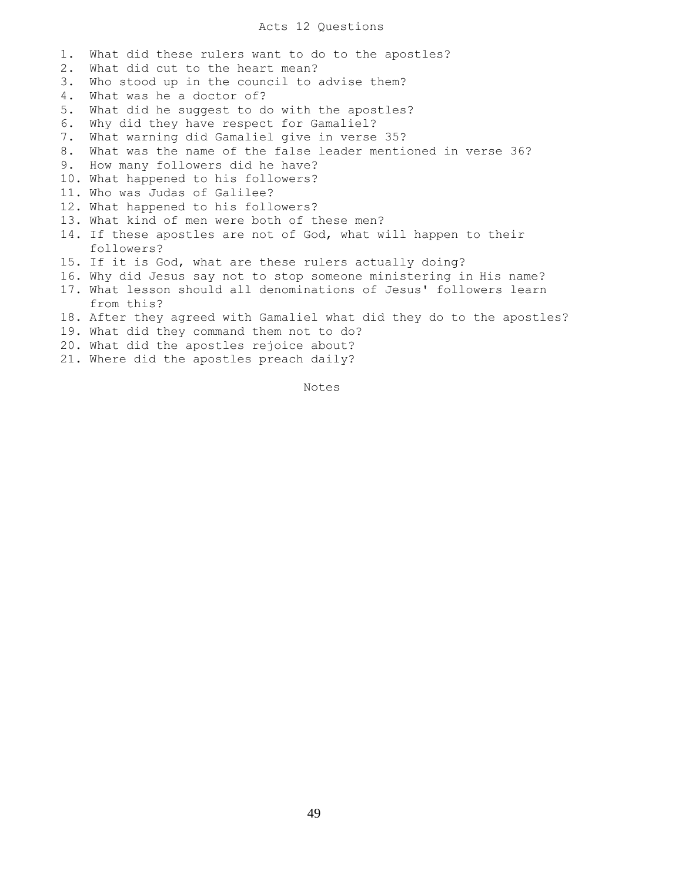## Acts 12 Questions

1. What did these rulers want to do to the apostles? 2. What did cut to the heart mean? 3. Who stood up in the council to advise them? 4. What was he a doctor of? 5. What did he suggest to do with the apostles? 6. Why did they have respect for Gamaliel? 7. What warning did Gamaliel give in verse 35? 8. What was the name of the false leader mentioned in verse 36? 9. How many followers did he have? 10. What happened to his followers? 11. Who was Judas of Galilee? 12. What happened to his followers? 13. What kind of men were both of these men? 14. If these apostles are not of God, what will happen to their followers? 15. If it is God, what are these rulers actually doing? 16. Why did Jesus say not to stop someone ministering in His name? 17. What lesson should all denominations of Jesus' followers learn from this? 18. After they agreed with Gamaliel what did they do to the apostles? 19. What did they command them not to do? 20. What did the apostles rejoice about? 21. Where did the apostles preach daily?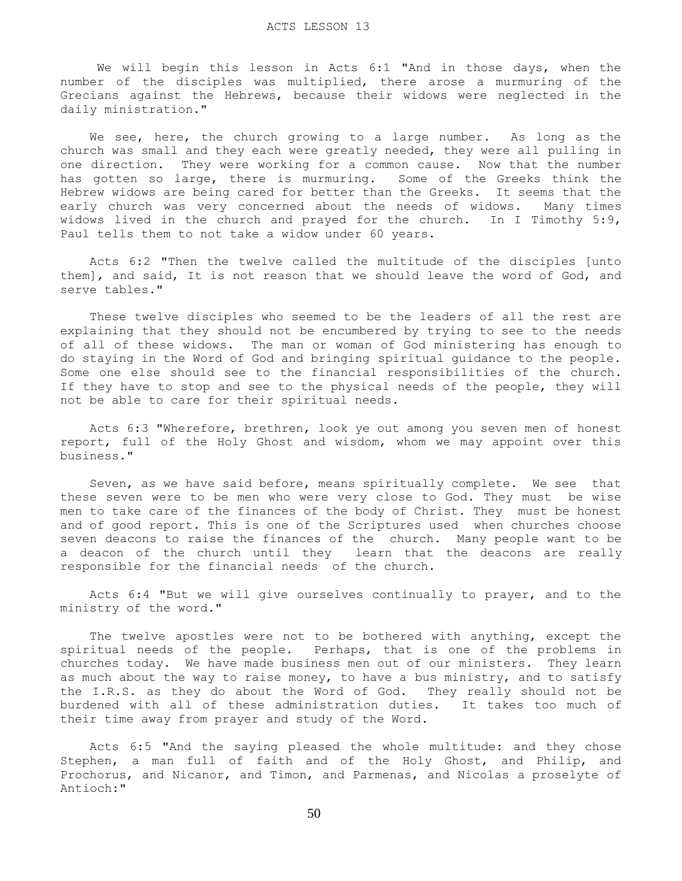We will begin this lesson in Acts 6:1 "And in those days, when the number of the disciples was multiplied, there arose a murmuring of the Grecians against the Hebrews, because their widows were neglected in the daily ministration."

We see, here, the church growing to a large number. As long as the church was small and they each were greatly needed, they were all pulling in one direction. They were working for a common cause. Now that the number has gotten so large, there is murmuring. Some of the Greeks think the Hebrew widows are being cared for better than the Greeks. It seems that the early church was very concerned about the needs of widows. Many times widows lived in the church and prayed for the church. In I Timothy 5:9, Paul tells them to not take a widow under 60 years.

 Acts 6:2 "Then the twelve called the multitude of the disciples [unto them], and said, It is not reason that we should leave the word of God, and serve tables."

 These twelve disciples who seemed to be the leaders of all the rest are explaining that they should not be encumbered by trying to see to the needs of all of these widows. The man or woman of God ministering has enough to do staying in the Word of God and bringing spiritual guidance to the people. Some one else should see to the financial responsibilities of the church. If they have to stop and see to the physical needs of the people, they will not be able to care for their spiritual needs.

 Acts 6:3 "Wherefore, brethren, look ye out among you seven men of honest report, full of the Holy Ghost and wisdom, whom we may appoint over this business."

 Seven, as we have said before, means spiritually complete. We see that these seven were to be men who were very close to God. They must be wise men to take care of the finances of the body of Christ. They must be honest and of good report. This is one of the Scriptures used when churches choose seven deacons to raise the finances of the church. Many people want to be a deacon of the church until they learn that the deacons are really responsible for the financial needs of the church.

 Acts 6:4 "But we will give ourselves continually to prayer, and to the ministry of the word."

 The twelve apostles were not to be bothered with anything, except the spiritual needs of the people. Perhaps, that is one of the problems in churches today. We have made business men out of our ministers. They learn as much about the way to raise money, to have a bus ministry, and to satisfy the I.R.S. as they do about the Word of God. They really should not be burdened with all of these administration duties. It takes too much of their time away from prayer and study of the Word.

 Acts 6:5 "And the saying pleased the whole multitude: and they chose Stephen, a man full of faith and of the Holy Ghost, and Philip, and Prochorus, and Nicanor, and Timon, and Parmenas, and Nicolas a proselyte of Antioch:"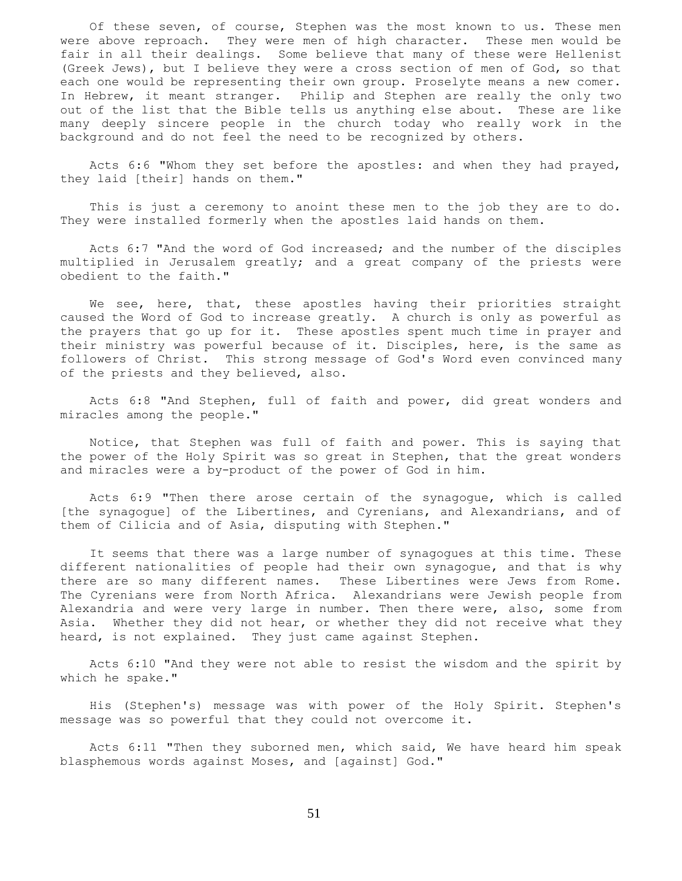Of these seven, of course, Stephen was the most known to us. These men were above reproach. They were men of high character. These men would be fair in all their dealings. Some believe that many of these were Hellenist (Greek Jews), but I believe they were a cross section of men of God, so that each one would be representing their own group. Proselyte means a new comer. In Hebrew, it meant stranger. Philip and Stephen are really the only two out of the list that the Bible tells us anything else about. These are like many deeply sincere people in the church today who really work in the background and do not feel the need to be recognized by others.

 Acts 6:6 "Whom they set before the apostles: and when they had prayed, they laid [their] hands on them."

 This is just a ceremony to anoint these men to the job they are to do. They were installed formerly when the apostles laid hands on them.

 Acts 6:7 "And the word of God increased; and the number of the disciples multiplied in Jerusalem greatly; and a great company of the priests were obedient to the faith."

We see, here, that, these apostles having their priorities straight caused the Word of God to increase greatly. A church is only as powerful as the prayers that go up for it. These apostles spent much time in prayer and their ministry was powerful because of it. Disciples, here, is the same as followers of Christ. This strong message of God's Word even convinced many of the priests and they believed, also.

 Acts 6:8 "And Stephen, full of faith and power, did great wonders and miracles among the people."

 Notice, that Stephen was full of faith and power. This is saying that the power of the Holy Spirit was so great in Stephen, that the great wonders and miracles were a by-product of the power of God in him.

 Acts 6:9 "Then there arose certain of the synagogue, which is called [the synagogue] of the Libertines, and Cyrenians, and Alexandrians, and of them of Cilicia and of Asia, disputing with Stephen."

 It seems that there was a large number of synagogues at this time. These different nationalities of people had their own synagogue, and that is why there are so many different names. These Libertines were Jews from Rome. The Cyrenians were from North Africa. Alexandrians were Jewish people from Alexandria and were very large in number. Then there were, also, some from Asia. Whether they did not hear, or whether they did not receive what they heard, is not explained. They just came against Stephen.

 Acts 6:10 "And they were not able to resist the wisdom and the spirit by which he spake."

 His (Stephen's) message was with power of the Holy Spirit. Stephen's message was so powerful that they could not overcome it.

 Acts 6:11 "Then they suborned men, which said, We have heard him speak blasphemous words against Moses, and [against] God."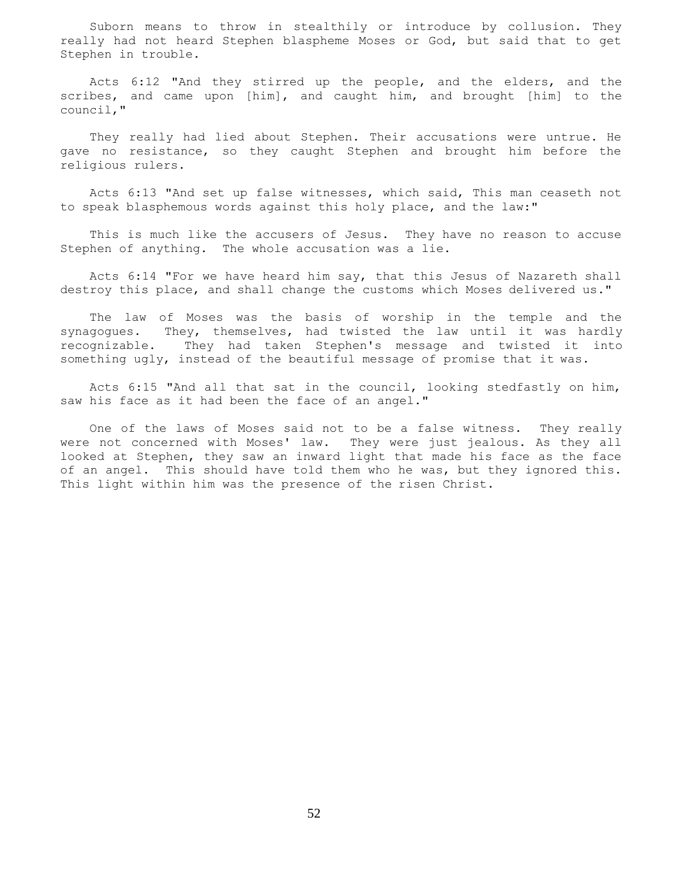Suborn means to throw in stealthily or introduce by collusion. They really had not heard Stephen blaspheme Moses or God, but said that to get Stephen in trouble.

 Acts 6:12 "And they stirred up the people, and the elders, and the scribes, and came upon [him], and caught him, and brought [him] to the council,"

 They really had lied about Stephen. Their accusations were untrue. He gave no resistance, so they caught Stephen and brought him before the religious rulers.

 Acts 6:13 "And set up false witnesses, which said, This man ceaseth not to speak blasphemous words against this holy place, and the law:"

 This is much like the accusers of Jesus. They have no reason to accuse Stephen of anything. The whole accusation was a lie.

 Acts 6:14 "For we have heard him say, that this Jesus of Nazareth shall destroy this place, and shall change the customs which Moses delivered us."

 The law of Moses was the basis of worship in the temple and the synagogues. They, themselves, had twisted the law until it was hardly recognizable. They had taken Stephen's message and twisted it into something ugly, instead of the beautiful message of promise that it was.

 Acts 6:15 "And all that sat in the council, looking stedfastly on him, saw his face as it had been the face of an angel."

 One of the laws of Moses said not to be a false witness. They really were not concerned with Moses' law. They were just jealous. As they all looked at Stephen, they saw an inward light that made his face as the face of an angel. This should have told them who he was, but they ignored this. This light within him was the presence of the risen Christ.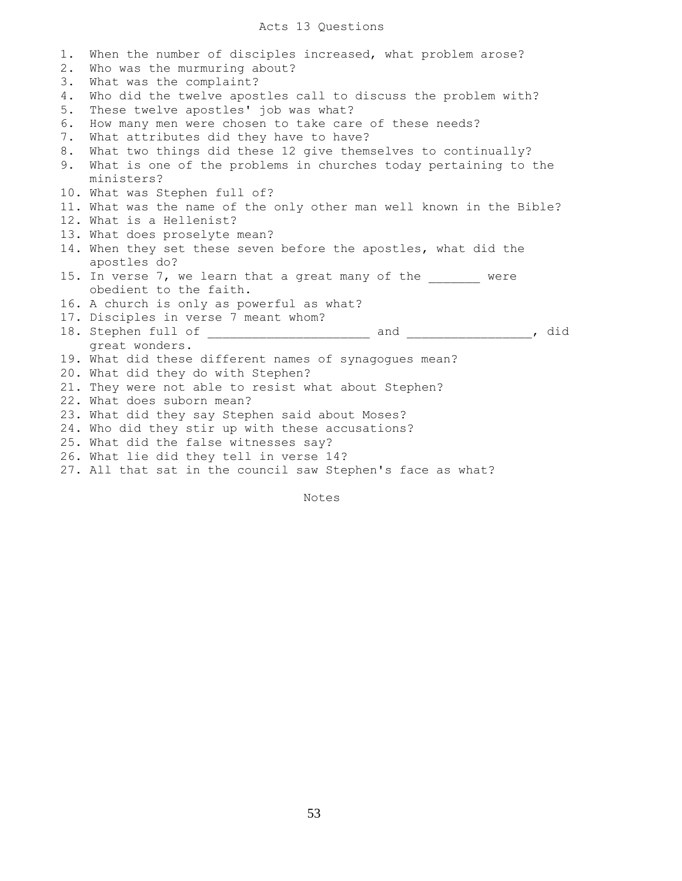## Acts 13 Questions

| 1. | When the number of disciples increased, what problem arose?          |
|----|----------------------------------------------------------------------|
| 2. | Who was the murmuring about?                                         |
| 3. | What was the complaint?                                              |
| 4. | Who did the twelve apostles call to discuss the problem with?        |
| 5. | These twelve apostles' job was what?                                 |
| 6. | How many men were chosen to take care of these needs?                |
| 7. | What attributes did they have to have?                               |
| 8. | What two things did these 12 give themselves to continually?         |
| 9. | What is one of the problems in churches today pertaining to the      |
|    | ministers?                                                           |
|    | 10. What was Stephen full of?                                        |
|    | 11. What was the name of the only other man well known in the Bible? |
|    | 12. What is a Hellenist?                                             |
|    | 13. What does proselyte mean?                                        |
|    | 14. When they set these seven before the apostles, what did the      |
|    | apostles do?                                                         |
|    | 15. In verse 7, we learn that a great many of the ______ were        |
|    | obedient to the faith.                                               |
|    | 16. A church is only as powerful as what?                            |
|    | 17. Disciples in verse 7 meant whom?                                 |
|    |                                                                      |
|    | great wonders.                                                       |
|    | 19. What did these different names of synagogues mean?               |
|    | 20. What did they do with Stephen?                                   |
|    | 21. They were not able to resist what about Stephen?                 |
|    | 22. What does suborn mean?                                           |
|    | 23. What did they say Stephen said about Moses?                      |
|    | 24. Who did they stir up with these accusations?                     |
|    | 25. What did the false witnesses say?                                |
|    | 26. What lie did they tell in verse 14?                              |
|    | 27. All that sat in the council saw Stephen's face as what?          |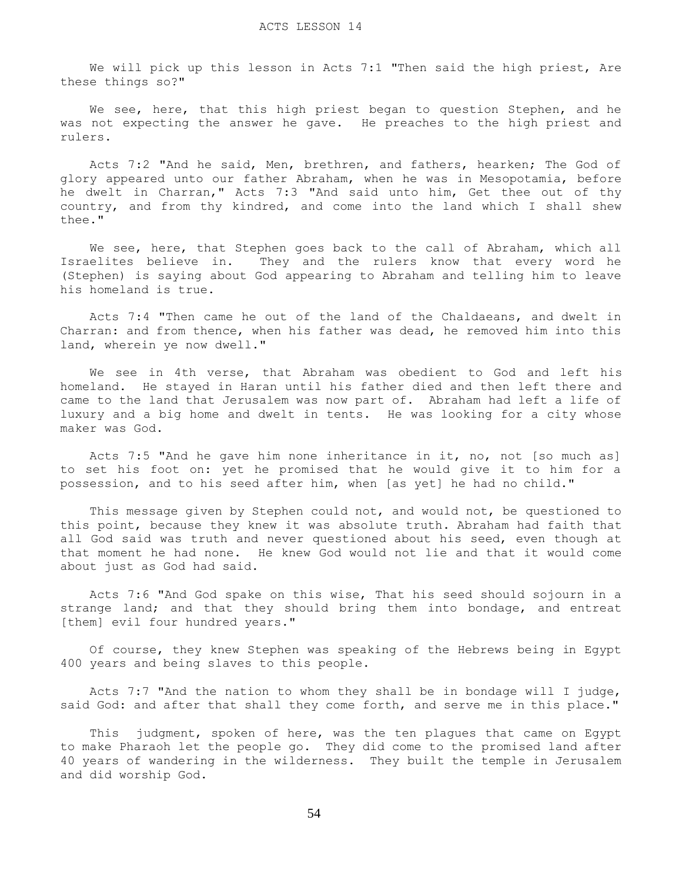We will pick up this lesson in Acts 7:1 "Then said the high priest, Are these things so?"

We see, here, that this high priest began to question Stephen, and he was not expecting the answer he gave. He preaches to the high priest and rulers.

 Acts 7:2 "And he said, Men, brethren, and fathers, hearken; The God of glory appeared unto our father Abraham, when he was in Mesopotamia, before he dwelt in Charran," Acts 7:3 "And said unto him, Get thee out of thy country, and from thy kindred, and come into the land which I shall shew thee."

We see, here, that Stephen goes back to the call of Abraham, which all Israelites believe in. They and the rulers know that every word he (Stephen) is saying about God appearing to Abraham and telling him to leave his homeland is true.

 Acts 7:4 "Then came he out of the land of the Chaldaeans, and dwelt in Charran: and from thence, when his father was dead, he removed him into this land, wherein ye now dwell."

 We see in 4th verse, that Abraham was obedient to God and left his homeland. He stayed in Haran until his father died and then left there and came to the land that Jerusalem was now part of. Abraham had left a life of luxury and a big home and dwelt in tents. He was looking for a city whose maker was God.

 Acts 7:5 "And he gave him none inheritance in it, no, not [so much as] to set his foot on: yet he promised that he would give it to him for a possession, and to his seed after him, when [as yet] he had no child."

 This message given by Stephen could not, and would not, be questioned to this point, because they knew it was absolute truth. Abraham had faith that all God said was truth and never questioned about his seed, even though at that moment he had none. He knew God would not lie and that it would come about just as God had said.

 Acts 7:6 "And God spake on this wise, That his seed should sojourn in a strange land; and that they should bring them into bondage, and entreat [them] evil four hundred years."

 Of course, they knew Stephen was speaking of the Hebrews being in Egypt 400 years and being slaves to this people.

 Acts 7:7 "And the nation to whom they shall be in bondage will I judge, said God: and after that shall they come forth, and serve me in this place."

 This judgment, spoken of here, was the ten plagues that came on Egypt to make Pharaoh let the people go. They did come to the promised land after 40 years of wandering in the wilderness. They built the temple in Jerusalem and did worship God.

54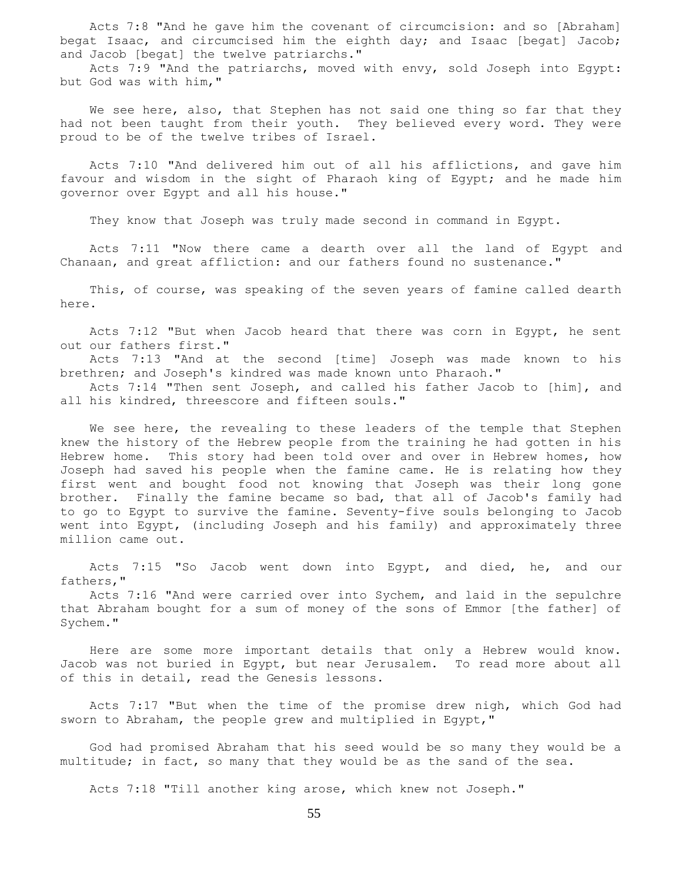Acts 7:8 "And he gave him the covenant of circumcision: and so [Abraham] begat Isaac, and circumcised him the eighth day; and Isaac [begat] Jacob; and Jacob [begat] the twelve patriarchs."

 Acts 7:9 "And the patriarchs, moved with envy, sold Joseph into Egypt: but God was with him,"

We see here, also, that Stephen has not said one thing so far that they had not been taught from their youth. They believed every word. They were proud to be of the twelve tribes of Israel.

 Acts 7:10 "And delivered him out of all his afflictions, and gave him favour and wisdom in the sight of Pharaoh king of Egypt; and he made him governor over Egypt and all his house."

They know that Joseph was truly made second in command in Egypt.

 Acts 7:11 "Now there came a dearth over all the land of Egypt and Chanaan, and great affliction: and our fathers found no sustenance."

 This, of course, was speaking of the seven years of famine called dearth here.

 Acts 7:12 "But when Jacob heard that there was corn in Egypt, he sent out our fathers first."

 Acts 7:13 "And at the second [time] Joseph was made known to his brethren; and Joseph's kindred was made known unto Pharaoh."

 Acts 7:14 "Then sent Joseph, and called his father Jacob to [him], and all his kindred, threescore and fifteen souls."

We see here, the revealing to these leaders of the temple that Stephen knew the history of the Hebrew people from the training he had gotten in his Hebrew home. This story had been told over and over in Hebrew homes, how Joseph had saved his people when the famine came. He is relating how they first went and bought food not knowing that Joseph was their long gone brother. Finally the famine became so bad, that all of Jacob's family had to go to Egypt to survive the famine. Seventy-five souls belonging to Jacob went into Egypt, (including Joseph and his family) and approximately three million came out.

 Acts 7:15 "So Jacob went down into Egypt, and died, he, and our fathers,"

 Acts 7:16 "And were carried over into Sychem, and laid in the sepulchre that Abraham bought for a sum of money of the sons of Emmor [the father] of Sychem."

 Here are some more important details that only a Hebrew would know. Jacob was not buried in Egypt, but near Jerusalem. To read more about all of this in detail, read the Genesis lessons.

 Acts 7:17 "But when the time of the promise drew nigh, which God had sworn to Abraham, the people grew and multiplied in Egypt,"

 God had promised Abraham that his seed would be so many they would be a multitude; in fact, so many that they would be as the sand of the sea.

Acts 7:18 "Till another king arose, which knew not Joseph."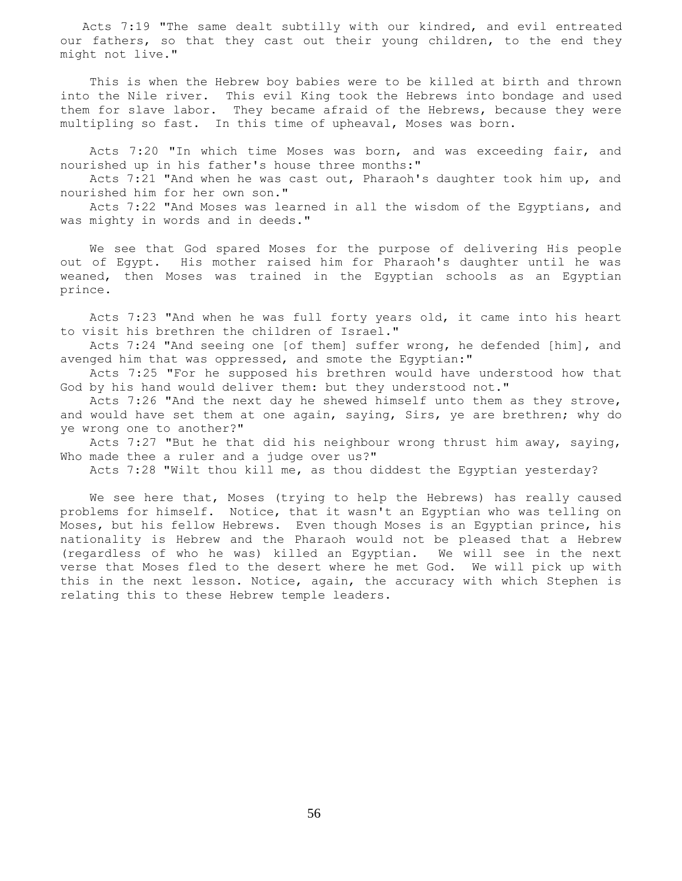Acts 7:19 "The same dealt subtilly with our kindred, and evil entreated our fathers, so that they cast out their young children, to the end they might not live."

 This is when the Hebrew boy babies were to be killed at birth and thrown into the Nile river. This evil King took the Hebrews into bondage and used them for slave labor. They became afraid of the Hebrews, because they were multipling so fast. In this time of upheaval, Moses was born.

 Acts 7:20 "In which time Moses was born, and was exceeding fair, and nourished up in his father's house three months:"

 Acts 7:21 "And when he was cast out, Pharaoh's daughter took him up, and nourished him for her own son."

 Acts 7:22 "And Moses was learned in all the wisdom of the Egyptians, and was mighty in words and in deeds."

 We see that God spared Moses for the purpose of delivering His people out of Egypt. His mother raised him for Pharaoh's daughter until he was weaned, then Moses was trained in the Egyptian schools as an Egyptian prince.

 Acts 7:23 "And when he was full forty years old, it came into his heart to visit his brethren the children of Israel."

 Acts 7:24 "And seeing one [of them] suffer wrong, he defended [him], and avenged him that was oppressed, and smote the Egyptian:"

 Acts 7:25 "For he supposed his brethren would have understood how that God by his hand would deliver them: but they understood not."

 Acts 7:26 "And the next day he shewed himself unto them as they strove, and would have set them at one again, saying, Sirs, ye are brethren; why do ye wrong one to another?"

 Acts 7:27 "But he that did his neighbour wrong thrust him away, saying, Who made thee a ruler and a judge over us?"

Acts 7:28 "Wilt thou kill me, as thou diddest the Egyptian yesterday?

 We see here that, Moses (trying to help the Hebrews) has really caused problems for himself. Notice, that it wasn't an Egyptian who was telling on Moses, but his fellow Hebrews. Even though Moses is an Egyptian prince, his nationality is Hebrew and the Pharaoh would not be pleased that a Hebrew (regardless of who he was) killed an Egyptian. We will see in the next verse that Moses fled to the desert where he met God. We will pick up with this in the next lesson. Notice, again, the accuracy with which Stephen is relating this to these Hebrew temple leaders.

56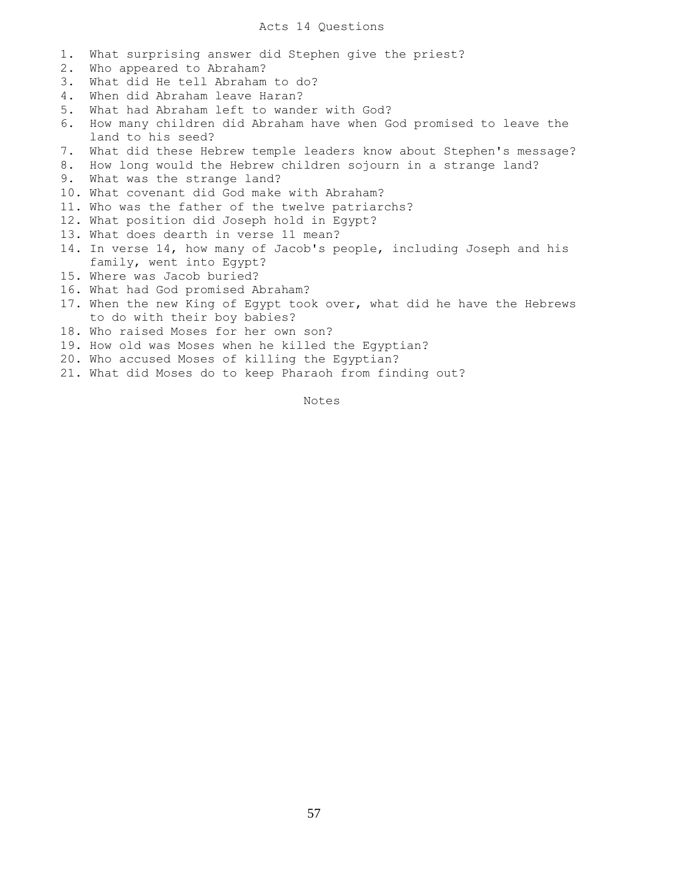- 1. What surprising answer did Stephen give the priest?
- 2. Who appeared to Abraham?
- 3. What did He tell Abraham to do?
- 4. When did Abraham leave Haran?
- 5. What had Abraham left to wander with God?
- 6. How many children did Abraham have when God promised to leave the land to his seed?
- 7. What did these Hebrew temple leaders know about Stephen's message?
- 8. How long would the Hebrew children sojourn in a strange land?
- 9. What was the strange land?
- 10. What covenant did God make with Abraham?
- 11. Who was the father of the twelve patriarchs?
- 12. What position did Joseph hold in Egypt?
- 13. What does dearth in verse 11 mean?
- 14. In verse 14, how many of Jacob's people, including Joseph and his family, went into Egypt?
- 15. Where was Jacob buried?
- 16. What had God promised Abraham?
- 17. When the new King of Egypt took over, what did he have the Hebrews to do with their boy babies?
- 18. Who raised Moses for her own son?
- 19. How old was Moses when he killed the Egyptian?
- 20. Who accused Moses of killing the Egyptian?
- 21. What did Moses do to keep Pharaoh from finding out?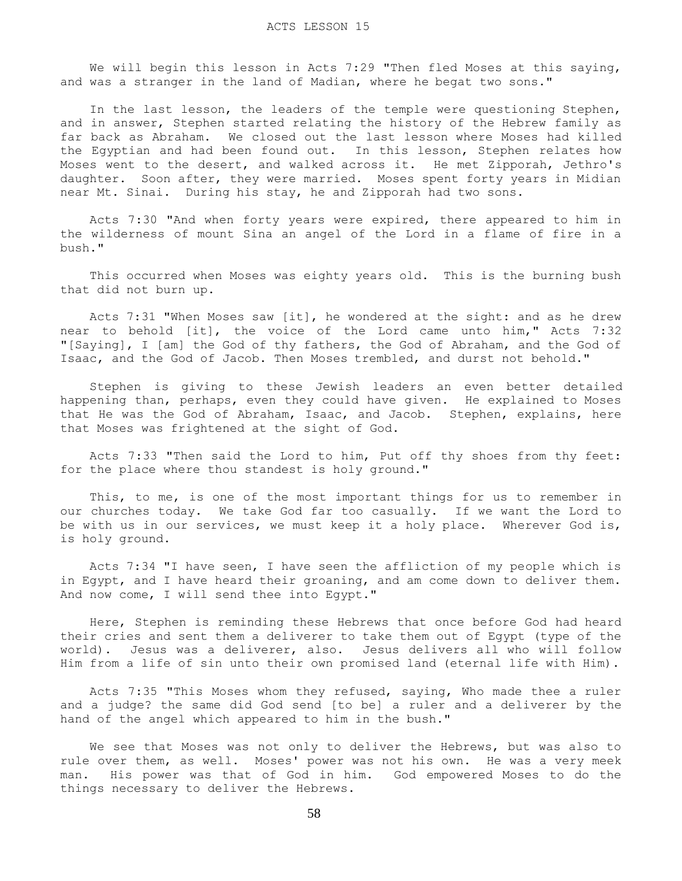We will begin this lesson in Acts 7:29 "Then fled Moses at this saying, and was a stranger in the land of Madian, where he begat two sons."

 In the last lesson, the leaders of the temple were questioning Stephen, and in answer, Stephen started relating the history of the Hebrew family as far back as Abraham. We closed out the last lesson where Moses had killed the Egyptian and had been found out. In this lesson, Stephen relates how Moses went to the desert, and walked across it. He met Zipporah, Jethro's daughter. Soon after, they were married. Moses spent forty years in Midian near Mt. Sinai. During his stay, he and Zipporah had two sons.

 Acts 7:30 "And when forty years were expired, there appeared to him in the wilderness of mount Sina an angel of the Lord in a flame of fire in a bush."

 This occurred when Moses was eighty years old. This is the burning bush that did not burn up.

 Acts 7:31 "When Moses saw [it], he wondered at the sight: and as he drew near to behold [it], the voice of the Lord came unto him," Acts 7:32 "[Saying], I [am] the God of thy fathers, the God of Abraham, and the God of Isaac, and the God of Jacob. Then Moses trembled, and durst not behold."

 Stephen is giving to these Jewish leaders an even better detailed happening than, perhaps, even they could have given. He explained to Moses that He was the God of Abraham, Isaac, and Jacob. Stephen, explains, here that Moses was frightened at the sight of God.

 Acts 7:33 "Then said the Lord to him, Put off thy shoes from thy feet: for the place where thou standest is holy ground."

 This, to me, is one of the most important things for us to remember in our churches today. We take God far too casually. If we want the Lord to be with us in our services, we must keep it a holy place. Wherever God is, is holy ground.

 Acts 7:34 "I have seen, I have seen the affliction of my people which is in Egypt, and I have heard their groaning, and am come down to deliver them. And now come, I will send thee into Egypt."

 Here, Stephen is reminding these Hebrews that once before God had heard their cries and sent them a deliverer to take them out of Egypt (type of the world). Jesus was a deliverer, also. Jesus delivers all who will follow Him from a life of sin unto their own promised land (eternal life with Him).

 Acts 7:35 "This Moses whom they refused, saying, Who made thee a ruler and a judge? the same did God send [to be] a ruler and a deliverer by the hand of the angel which appeared to him in the bush."

 We see that Moses was not only to deliver the Hebrews, but was also to rule over them, as well. Moses' power was not his own. He was a very meek man. His power was that of God in him. God empowered Moses to do the things necessary to deliver the Hebrews.

58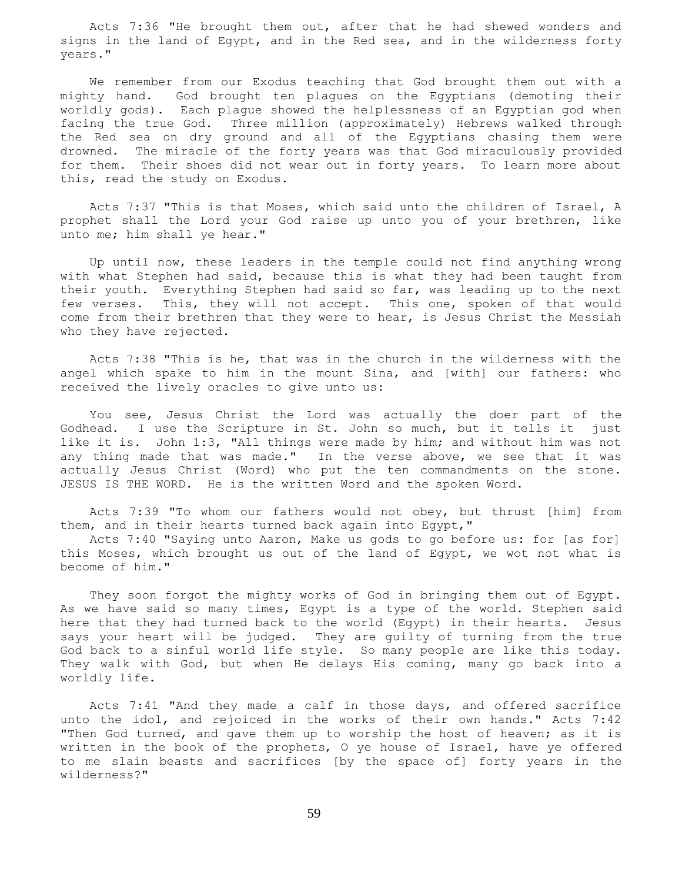Acts 7:36 "He brought them out, after that he had shewed wonders and signs in the land of Egypt, and in the Red sea, and in the wilderness forty years."

 We remember from our Exodus teaching that God brought them out with a mighty hand. God brought ten plagues on the Egyptians (demoting their worldly gods). Each plague showed the helplessness of an Egyptian god when facing the true God. Three million (approximately) Hebrews walked through the Red sea on dry ground and all of the Egyptians chasing them were drowned. The miracle of the forty years was that God miraculously provided for them. Their shoes did not wear out in forty years. To learn more about this, read the study on Exodus.

 Acts 7:37 "This is that Moses, which said unto the children of Israel, A prophet shall the Lord your God raise up unto you of your brethren, like unto me; him shall ye hear."

 Up until now, these leaders in the temple could not find anything wrong with what Stephen had said, because this is what they had been taught from their youth. Everything Stephen had said so far, was leading up to the next few verses. This, they will not accept. This one, spoken of that would come from their brethren that they were to hear, is Jesus Christ the Messiah who they have rejected.

 Acts 7:38 "This is he, that was in the church in the wilderness with the angel which spake to him in the mount Sina, and [with] our fathers: who received the lively oracles to give unto us:

 You see, Jesus Christ the Lord was actually the doer part of the Godhead. I use the Scripture in St. John so much, but it tells it just like it is. John 1:3, "All things were made by him; and without him was not any thing made that was made." In the verse above, we see that it was actually Jesus Christ (Word) who put the ten commandments on the stone. JESUS IS THE WORD. He is the written Word and the spoken Word.

 Acts 7:39 "To whom our fathers would not obey, but thrust [him] from them, and in their hearts turned back again into Egypt,"

 Acts 7:40 "Saying unto Aaron, Make us gods to go before us: for [as for] this Moses, which brought us out of the land of Egypt, we wot not what is become of him."

 They soon forgot the mighty works of God in bringing them out of Egypt. As we have said so many times, Egypt is a type of the world. Stephen said here that they had turned back to the world (Egypt) in their hearts. Jesus says your heart will be judged. They are guilty of turning from the true God back to a sinful world life style. So many people are like this today. They walk with God, but when He delays His coming, many go back into a worldly life.

 Acts 7:41 "And they made a calf in those days, and offered sacrifice unto the idol, and rejoiced in the works of their own hands." Acts 7:42 "Then God turned, and gave them up to worship the host of heaven; as it is written in the book of the prophets, O ye house of Israel, have ye offered to me slain beasts and sacrifices [by the space of] forty years in the wilderness?"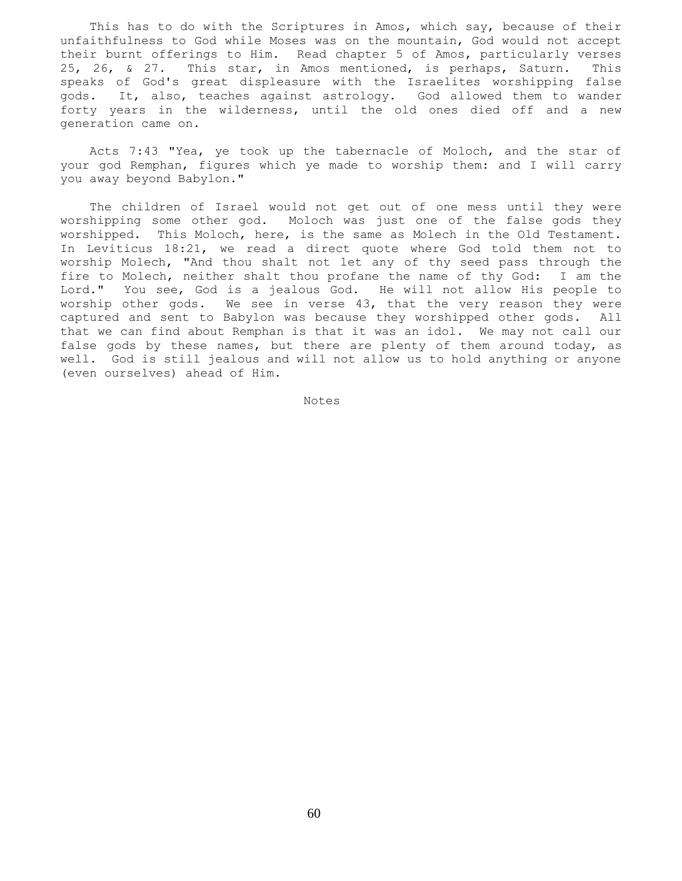This has to do with the Scriptures in Amos, which say, because of their unfaithfulness to God while Moses was on the mountain, God would not accept their burnt offerings to Him. Read chapter 5 of Amos, particularly verses 25, 26, & 27. This star, in Amos mentioned, is perhaps, Saturn. This speaks of God's great displeasure with the Israelites worshipping false gods. It, also, teaches against astrology. God allowed them to wander forty years in the wilderness, until the old ones died off and a new generation came on.

 Acts 7:43 "Yea, ye took up the tabernacle of Moloch, and the star of your god Remphan, figures which ye made to worship them: and I will carry you away beyond Babylon."

 The children of Israel would not get out of one mess until they were worshipping some other god. Moloch was just one of the false gods they worshipped. This Moloch, here, is the same as Molech in the Old Testament. In Leviticus 18:21, we read a direct quote where God told them not to worship Molech, "And thou shalt not let any of thy seed pass through the fire to Molech, neither shalt thou profane the name of thy God: I am the Lord." You see, God is a jealous God. He will not allow His people to worship other gods. We see in verse 43, that the very reason they were captured and sent to Babylon was because they worshipped other gods. All that we can find about Remphan is that it was an idol. We may not call our false gods by these names, but there are plenty of them around today, as well. God is still jealous and will not allow us to hold anything or anyone (even ourselves) ahead of Him.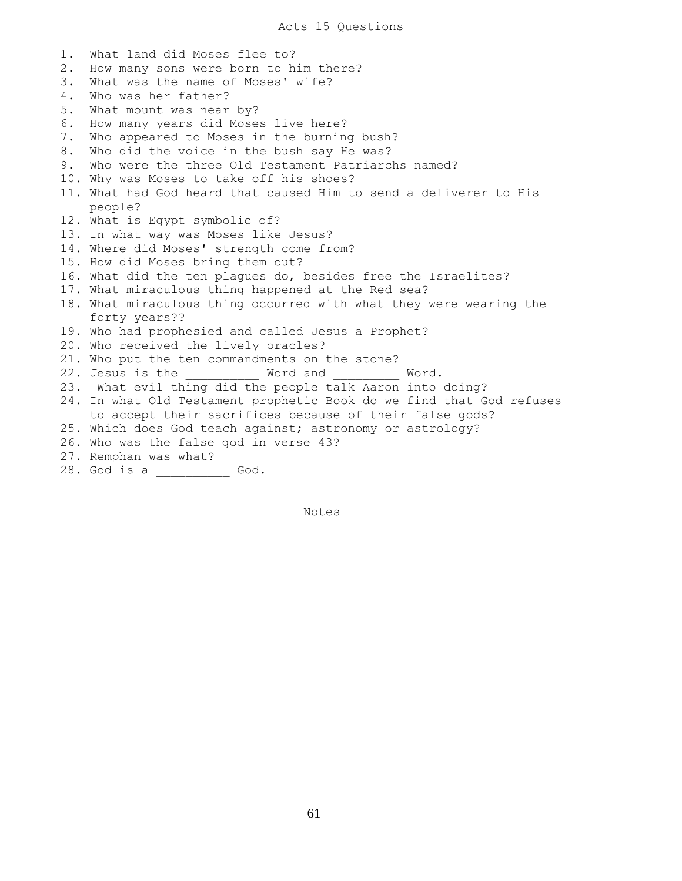1. What land did Moses flee to? 2. How many sons were born to him there? 3. What was the name of Moses' wife? 4. Who was her father? 5. What mount was near by? 6. How many years did Moses live here? 7. Who appeared to Moses in the burning bush? 8. Who did the voice in the bush say He was? 9. Who were the three Old Testament Patriarchs named? 10. Why was Moses to take off his shoes? 11. What had God heard that caused Him to send a deliverer to His people? 12. What is Egypt symbolic of? 13. In what way was Moses like Jesus? 14. Where did Moses' strength come from? 15. How did Moses bring them out? 16. What did the ten plagues do, besides free the Israelites? 17. What miraculous thing happened at the Red sea? 18. What miraculous thing occurred with what they were wearing the forty years?? 19. Who had prophesied and called Jesus a Prophet? 20. Who received the lively oracles? 21. Who put the ten commandments on the stone? 22. Jesus is the  $V$  Word and  $V$  Word. 23. What evil thing did the people talk Aaron into doing? 24. In what Old Testament prophetic Book do we find that God refuses to accept their sacrifices because of their false gods? 25. Which does God teach against; astronomy or astrology? 26. Who was the false god in verse 43? 27. Remphan was what? 28. God is a \_\_\_\_\_\_\_\_\_\_ God.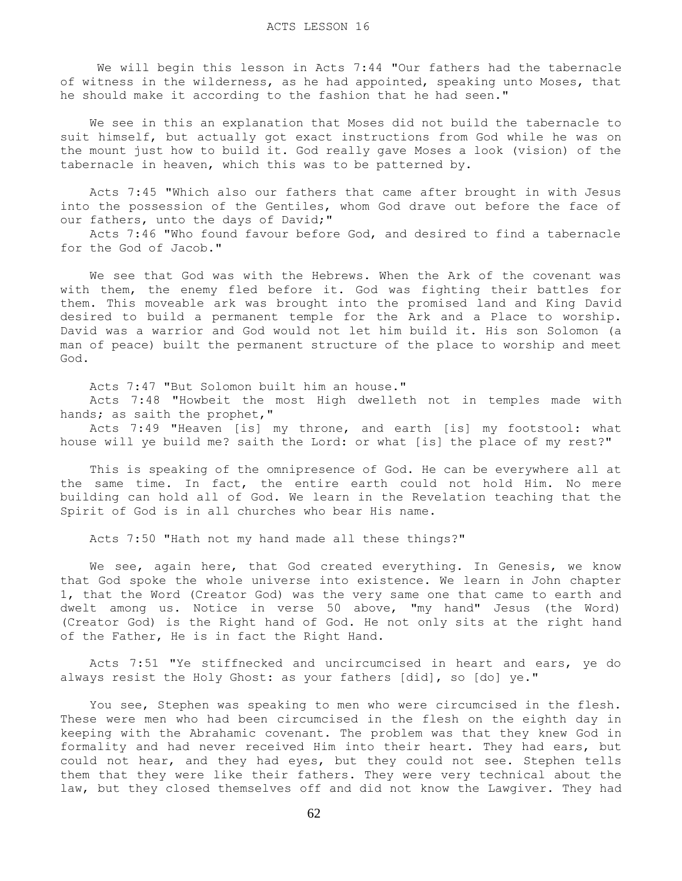We will begin this lesson in Acts 7:44 "Our fathers had the tabernacle of witness in the wilderness, as he had appointed, speaking unto Moses, that he should make it according to the fashion that he had seen."

 We see in this an explanation that Moses did not build the tabernacle to suit himself, but actually got exact instructions from God while he was on the mount just how to build it. God really gave Moses a look (vision) of the tabernacle in heaven, which this was to be patterned by.

 Acts 7:45 "Which also our fathers that came after brought in with Jesus into the possession of the Gentiles, whom God drave out before the face of our fathers, unto the days of David;"

 Acts 7:46 "Who found favour before God, and desired to find a tabernacle for the God of Jacob."

 We see that God was with the Hebrews. When the Ark of the covenant was with them, the enemy fled before it. God was fighting their battles for them. This moveable ark was brought into the promised land and King David desired to build a permanent temple for the Ark and a Place to worship. David was a warrior and God would not let him build it. His son Solomon (a man of peace) built the permanent structure of the place to worship and meet God.

Acts 7:47 "But Solomon built him an house."

 Acts 7:48 "Howbeit the most High dwelleth not in temples made with hands; as saith the prophet,"

 Acts 7:49 "Heaven [is] my throne, and earth [is] my footstool: what house will ye build me? saith the Lord: or what [is] the place of my rest?"

 This is speaking of the omnipresence of God. He can be everywhere all at the same time. In fact, the entire earth could not hold Him. No mere building can hold all of God. We learn in the Revelation teaching that the Spirit of God is in all churches who bear His name.

Acts 7:50 "Hath not my hand made all these things?"

We see, again here, that God created everything. In Genesis, we know that God spoke the whole universe into existence. We learn in John chapter 1, that the Word (Creator God) was the very same one that came to earth and dwelt among us. Notice in verse 50 above, "my hand" Jesus (the Word) (Creator God) is the Right hand of God. He not only sits at the right hand of the Father, He is in fact the Right Hand.

 Acts 7:51 "Ye stiffnecked and uncircumcised in heart and ears, ye do always resist the Holy Ghost: as your fathers [did], so [do] ye."

 You see, Stephen was speaking to men who were circumcised in the flesh. These were men who had been circumcised in the flesh on the eighth day in keeping with the Abrahamic covenant. The problem was that they knew God in formality and had never received Him into their heart. They had ears, but could not hear, and they had eyes, but they could not see. Stephen tells them that they were like their fathers. They were very technical about the law, but they closed themselves off and did not know the Lawgiver. They had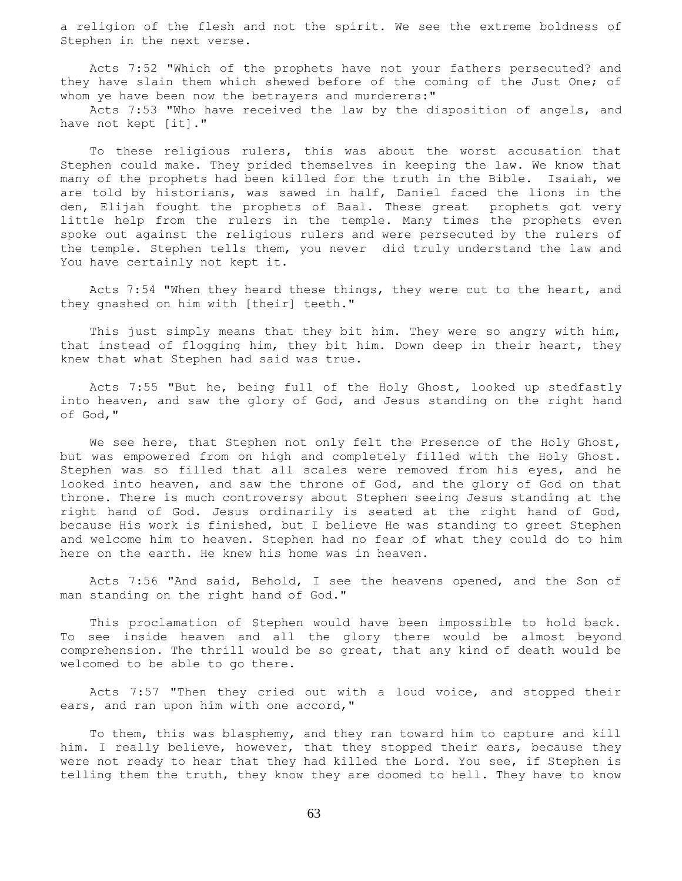a religion of the flesh and not the spirit. We see the extreme boldness of Stephen in the next verse.

 Acts 7:52 "Which of the prophets have not your fathers persecuted? and they have slain them which shewed before of the coming of the Just One; of whom ye have been now the betrayers and murderers:"

 Acts 7:53 "Who have received the law by the disposition of angels, and have not kept [it]."

 To these religious rulers, this was about the worst accusation that Stephen could make. They prided themselves in keeping the law. We know that many of the prophets had been killed for the truth in the Bible. Isaiah, we are told by historians, was sawed in half, Daniel faced the lions in the den, Elijah fought the prophets of Baal. These great prophets got very little help from the rulers in the temple. Many times the prophets even spoke out against the religious rulers and were persecuted by the rulers of the temple. Stephen tells them, you never did truly understand the law and You have certainly not kept it.

 Acts 7:54 "When they heard these things, they were cut to the heart, and they gnashed on him with [their] teeth."

 This just simply means that they bit him. They were so angry with him, that instead of flogging him, they bit him. Down deep in their heart, they knew that what Stephen had said was true.

 Acts 7:55 "But he, being full of the Holy Ghost, looked up stedfastly into heaven, and saw the glory of God, and Jesus standing on the right hand of God,"

We see here, that Stephen not only felt the Presence of the Holy Ghost, but was empowered from on high and completely filled with the Holy Ghost. Stephen was so filled that all scales were removed from his eyes, and he looked into heaven, and saw the throne of God, and the glory of God on that throne. There is much controversy about Stephen seeing Jesus standing at the right hand of God. Jesus ordinarily is seated at the right hand of God, because His work is finished, but I believe He was standing to greet Stephen and welcome him to heaven. Stephen had no fear of what they could do to him here on the earth. He knew his home was in heaven.

 Acts 7:56 "And said, Behold, I see the heavens opened, and the Son of man standing on the right hand of God."

 This proclamation of Stephen would have been impossible to hold back. To see inside heaven and all the glory there would be almost beyond comprehension. The thrill would be so great, that any kind of death would be welcomed to be able to go there.

 Acts 7:57 "Then they cried out with a loud voice, and stopped their ears, and ran upon him with one accord,"

 To them, this was blasphemy, and they ran toward him to capture and kill him. I really believe, however, that they stopped their ears, because they were not ready to hear that they had killed the Lord. You see, if Stephen is telling them the truth, they know they are doomed to hell. They have to know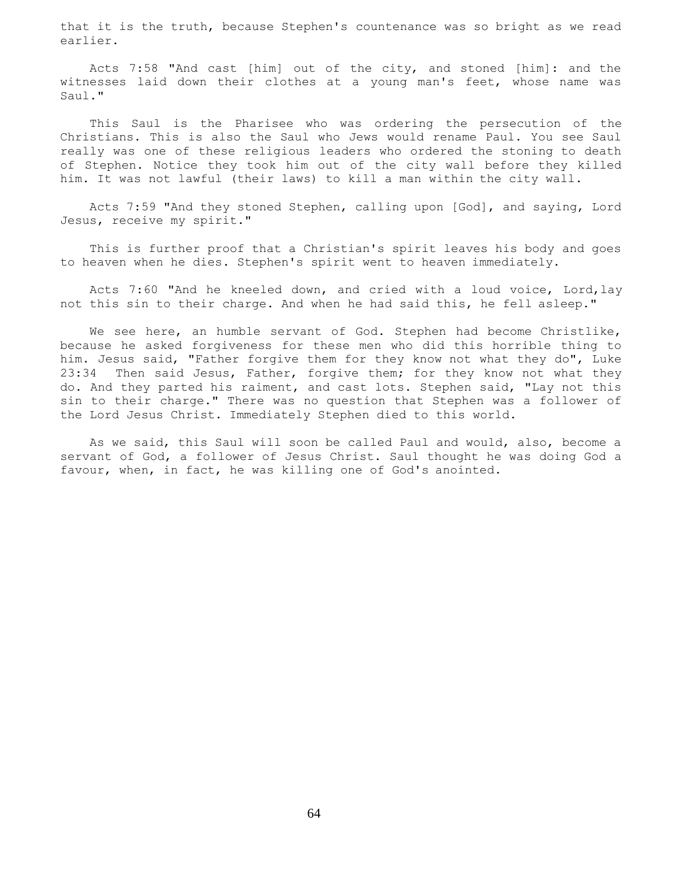that it is the truth, because Stephen's countenance was so bright as we read earlier.

 Acts 7:58 "And cast [him] out of the city, and stoned [him]: and the witnesses laid down their clothes at a young man's feet, whose name was Saul."

 This Saul is the Pharisee who was ordering the persecution of the Christians. This is also the Saul who Jews would rename Paul. You see Saul really was one of these religious leaders who ordered the stoning to death of Stephen. Notice they took him out of the city wall before they killed him. It was not lawful (their laws) to kill a man within the city wall.

 Acts 7:59 "And they stoned Stephen, calling upon [God], and saying, Lord Jesus, receive my spirit."

 This is further proof that a Christian's spirit leaves his body and goes to heaven when he dies. Stephen's spirit went to heaven immediately.

 Acts 7:60 "And he kneeled down, and cried with a loud voice, Lord,lay not this sin to their charge. And when he had said this, he fell asleep."

We see here, an humble servant of God. Stephen had become Christlike, because he asked forgiveness for these men who did this horrible thing to him. Jesus said, "Father forgive them for they know not what they do", Luke 23:34 Then said Jesus, Father, forgive them; for they know not what they do. And they parted his raiment, and cast lots. Stephen said, "Lay not this sin to their charge." There was no question that Stephen was a follower of the Lord Jesus Christ. Immediately Stephen died to this world.

 As we said, this Saul will soon be called Paul and would, also, become a servant of God, a follower of Jesus Christ. Saul thought he was doing God a favour, when, in fact, he was killing one of God's anointed.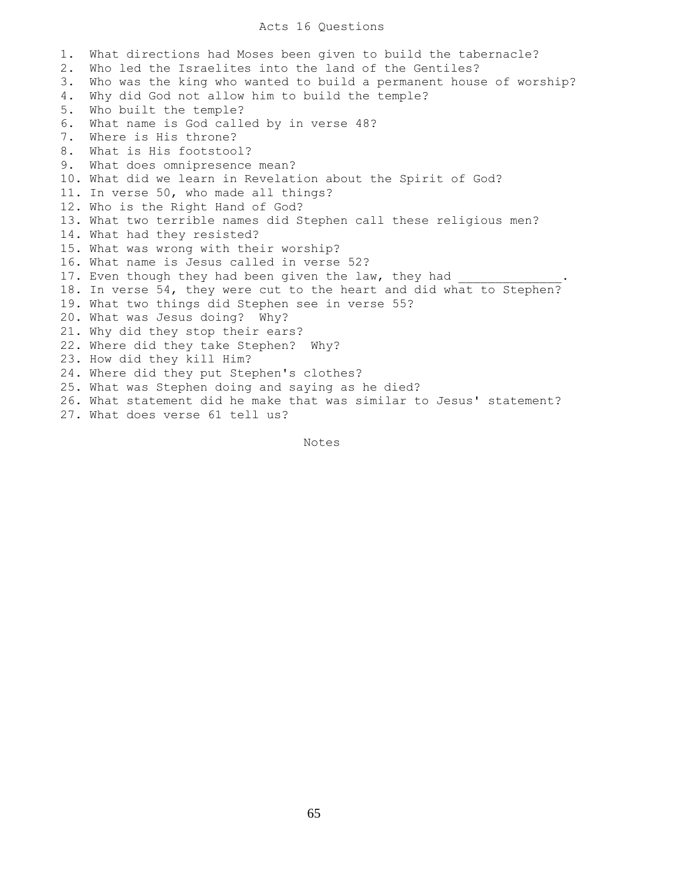## Acts 16 Questions

1. What directions had Moses been given to build the tabernacle? 2. Who led the Israelites into the land of the Gentiles? 3. Who was the king who wanted to build a permanent house of worship? 4. Why did God not allow him to build the temple? 5. Who built the temple? 6. What name is God called by in verse 48? 7. Where is His throne? 8. What is His footstool? 9. What does omnipresence mean? 10. What did we learn in Revelation about the Spirit of God? 11. In verse 50, who made all things? 12. Who is the Right Hand of God? 13. What two terrible names did Stephen call these religious men? 14. What had they resisted? 15. What was wrong with their worship? 16. What name is Jesus called in verse 52? 17. Even though they had been given the law, they had 18. In verse 54, they were cut to the heart and did what to Stephen? 19. What two things did Stephen see in verse 55? 20. What was Jesus doing? Why? 21. Why did they stop their ears? 22. Where did they take Stephen? Why? 23. How did they kill Him? 24. Where did they put Stephen's clothes? 25. What was Stephen doing and saying as he died? 26. What statement did he make that was similar to Jesus' statement? 27. What does verse 61 tell us?

Notes

65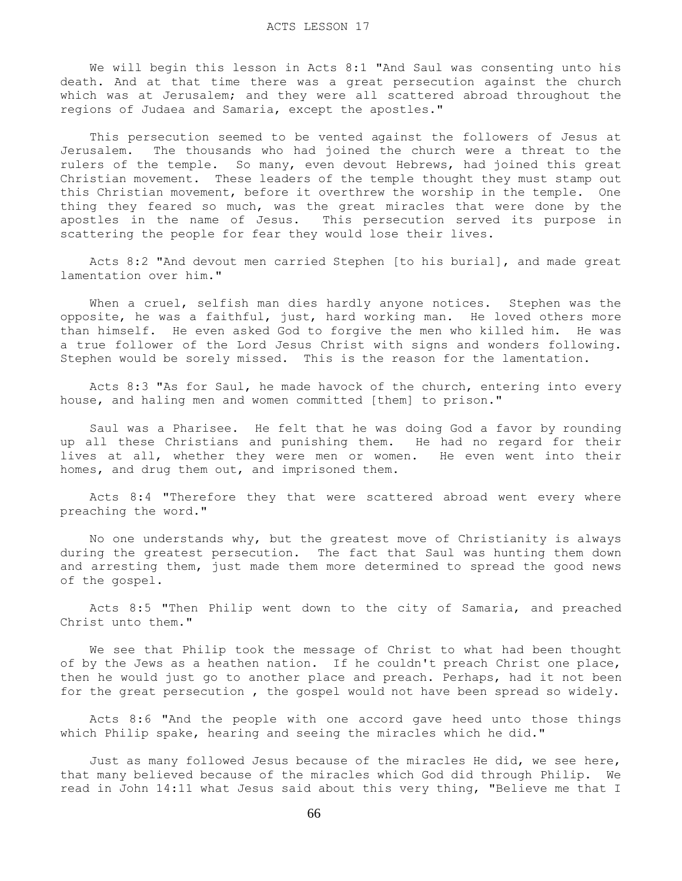We will begin this lesson in Acts 8:1 "And Saul was consenting unto his death. And at that time there was a great persecution against the church which was at Jerusalem; and they were all scattered abroad throughout the regions of Judaea and Samaria, except the apostles."

 This persecution seemed to be vented against the followers of Jesus at Jerusalem. The thousands who had joined the church were a threat to the rulers of the temple. So many, even devout Hebrews, had joined this great Christian movement. These leaders of the temple thought they must stamp out this Christian movement, before it overthrew the worship in the temple. One thing they feared so much, was the great miracles that were done by the apostles in the name of Jesus. This persecution served its purpose in scattering the people for fear they would lose their lives.

 Acts 8:2 "And devout men carried Stephen [to his burial], and made great lamentation over him."

When a cruel, selfish man dies hardly anyone notices. Stephen was the opposite, he was a faithful, just, hard working man. He loved others more than himself. He even asked God to forgive the men who killed him. He was a true follower of the Lord Jesus Christ with signs and wonders following. Stephen would be sorely missed. This is the reason for the lamentation.

 Acts 8:3 "As for Saul, he made havock of the church, entering into every house, and haling men and women committed [them] to prison."

 Saul was a Pharisee. He felt that he was doing God a favor by rounding up all these Christians and punishing them. He had no regard for their lives at all, whether they were men or women. He even went into their homes, and drug them out, and imprisoned them.

 Acts 8:4 "Therefore they that were scattered abroad went every where preaching the word."

 No one understands why, but the greatest move of Christianity is always during the greatest persecution. The fact that Saul was hunting them down and arresting them, just made them more determined to spread the good news of the gospel.

 Acts 8:5 "Then Philip went down to the city of Samaria, and preached Christ unto them."

 We see that Philip took the message of Christ to what had been thought of by the Jews as a heathen nation. If he couldn't preach Christ one place, then he would just go to another place and preach. Perhaps, had it not been for the great persecution , the gospel would not have been spread so widely.

 Acts 8:6 "And the people with one accord gave heed unto those things which Philip spake, hearing and seeing the miracles which he did."

 Just as many followed Jesus because of the miracles He did, we see here, that many believed because of the miracles which God did through Philip. We read in John 14:11 what Jesus said about this very thing, "Believe me that I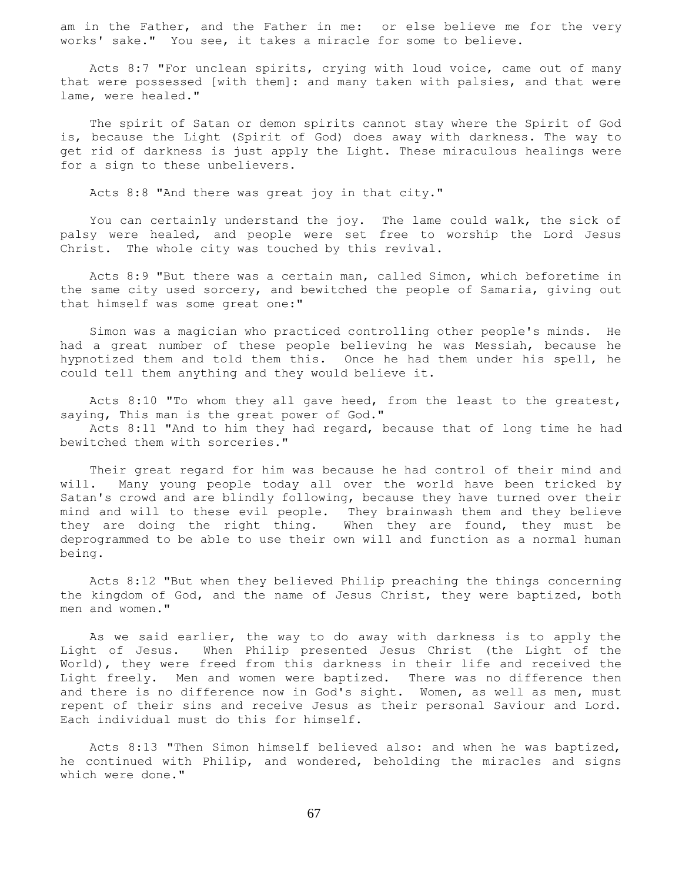am in the Father, and the Father in me: or else believe me for the very works' sake." You see, it takes a miracle for some to believe.

 Acts 8:7 "For unclean spirits, crying with loud voice, came out of many that were possessed [with them]: and many taken with palsies, and that were lame, were healed."

 The spirit of Satan or demon spirits cannot stay where the Spirit of God is, because the Light (Spirit of God) does away with darkness. The way to get rid of darkness is just apply the Light. These miraculous healings were for a sign to these unbelievers.

Acts 8:8 "And there was great joy in that city."

 You can certainly understand the joy. The lame could walk, the sick of palsy were healed, and people were set free to worship the Lord Jesus Christ. The whole city was touched by this revival.

 Acts 8:9 "But there was a certain man, called Simon, which beforetime in the same city used sorcery, and bewitched the people of Samaria, giving out that himself was some great one:"

 Simon was a magician who practiced controlling other people's minds. He had a great number of these people believing he was Messiah, because he hypnotized them and told them this. Once he had them under his spell, he could tell them anything and they would believe it.

Acts 8:10 "To whom they all gave heed, from the least to the greatest, saying, This man is the great power of God."

 Acts 8:11 "And to him they had regard, because that of long time he had bewitched them with sorceries."

 Their great regard for him was because he had control of their mind and will. Many young people today all over the world have been tricked by Satan's crowd and are blindly following, because they have turned over their mind and will to these evil people. They brainwash them and they believe they are doing the right thing. When they are found, they must be deprogrammed to be able to use their own will and function as a normal human being.

 Acts 8:12 "But when they believed Philip preaching the things concerning the kingdom of God, and the name of Jesus Christ, they were baptized, both men and women."

 As we said earlier, the way to do away with darkness is to apply the Light of Jesus. When Philip presented Jesus Christ (the Light of the World), they were freed from this darkness in their life and received the Light freely. Men and women were baptized. There was no difference then and there is no difference now in God's sight. Women, as well as men, must repent of their sins and receive Jesus as their personal Saviour and Lord. Each individual must do this for himself.

 Acts 8:13 "Then Simon himself believed also: and when he was baptized, he continued with Philip, and wondered, beholding the miracles and signs which were done."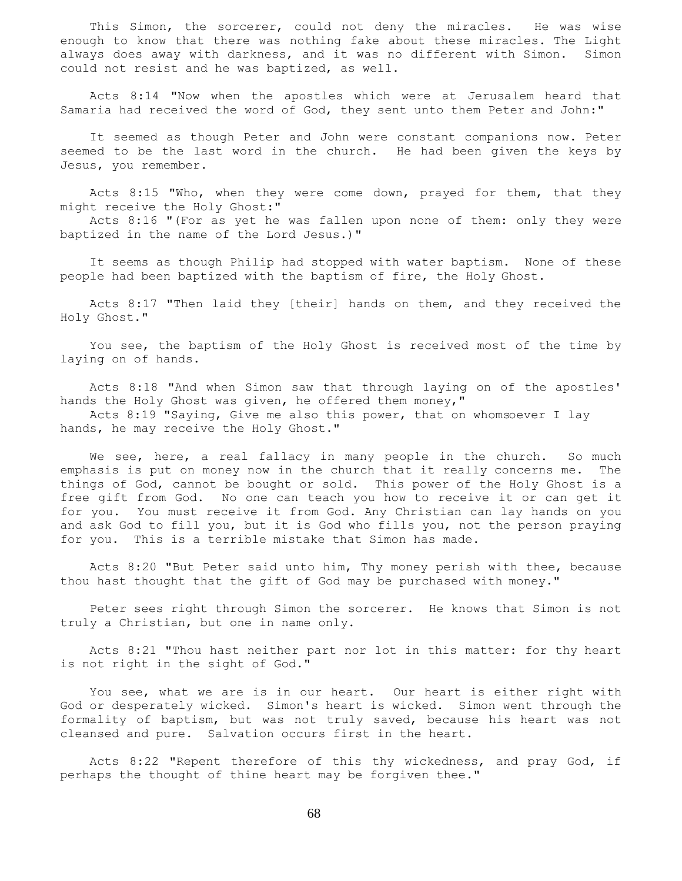This Simon, the sorcerer, could not deny the miracles. He was wise enough to know that there was nothing fake about these miracles. The Light always does away with darkness, and it was no different with Simon. Simon could not resist and he was baptized, as well.

 Acts 8:14 "Now when the apostles which were at Jerusalem heard that Samaria had received the word of God, they sent unto them Peter and John:"

 It seemed as though Peter and John were constant companions now. Peter seemed to be the last word in the church. He had been given the keys by Jesus, you remember.

Acts 8:15 "Who, when they were come down, prayed for them, that they might receive the Holy Ghost:"

 Acts 8:16 "(For as yet he was fallen upon none of them: only they were baptized in the name of the Lord Jesus.)"

 It seems as though Philip had stopped with water baptism. None of these people had been baptized with the baptism of fire, the Holy Ghost.

 Acts 8:17 "Then laid they [their] hands on them, and they received the Holy Ghost."

 You see, the baptism of the Holy Ghost is received most of the time by laying on of hands.

 Acts 8:18 "And when Simon saw that through laying on of the apostles' hands the Holy Ghost was given, he offered them money,"

 Acts 8:19 "Saying, Give me also this power, that on whomsoever I lay hands, he may receive the Holy Ghost."

We see, here, a real fallacy in many people in the church. So much emphasis is put on money now in the church that it really concerns me. The things of God, cannot be bought or sold. This power of the Holy Ghost is a free gift from God. No one can teach you how to receive it or can get it for you. You must receive it from God. Any Christian can lay hands on you and ask God to fill you, but it is God who fills you, not the person praying for you. This is a terrible mistake that Simon has made.

 Acts 8:20 "But Peter said unto him, Thy money perish with thee, because thou hast thought that the gift of God may be purchased with money."

 Peter sees right through Simon the sorcerer. He knows that Simon is not truly a Christian, but one in name only.

 Acts 8:21 "Thou hast neither part nor lot in this matter: for thy heart is not right in the sight of God."

 You see, what we are is in our heart. Our heart is either right with God or desperately wicked. Simon's heart is wicked. Simon went through the formality of baptism, but was not truly saved, because his heart was not cleansed and pure. Salvation occurs first in the heart.

 Acts 8:22 "Repent therefore of this thy wickedness, and pray God, if perhaps the thought of thine heart may be forgiven thee."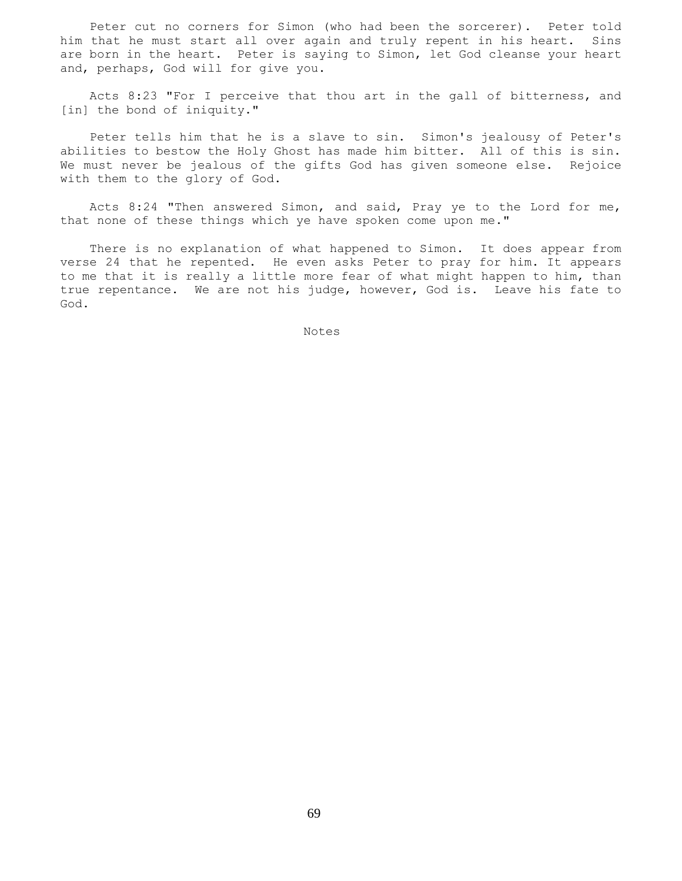Peter cut no corners for Simon (who had been the sorcerer). Peter told him that he must start all over again and truly repent in his heart. Sins are born in the heart. Peter is saying to Simon, let God cleanse your heart and, perhaps, God will for give you.

 Acts 8:23 "For I perceive that thou art in the gall of bitterness, and [in] the bond of iniquity."

 Peter tells him that he is a slave to sin. Simon's jealousy of Peter's abilities to bestow the Holy Ghost has made him bitter. All of this is sin. We must never be jealous of the gifts God has given someone else. Rejoice with them to the glory of God.

Acts 8:24 "Then answered Simon, and said, Pray ye to the Lord for me, that none of these things which ye have spoken come upon me."

 There is no explanation of what happened to Simon. It does appear from verse 24 that he repented. He even asks Peter to pray for him. It appears to me that it is really a little more fear of what might happen to him, than true repentance. We are not his judge, however, God is. Leave his fate to God.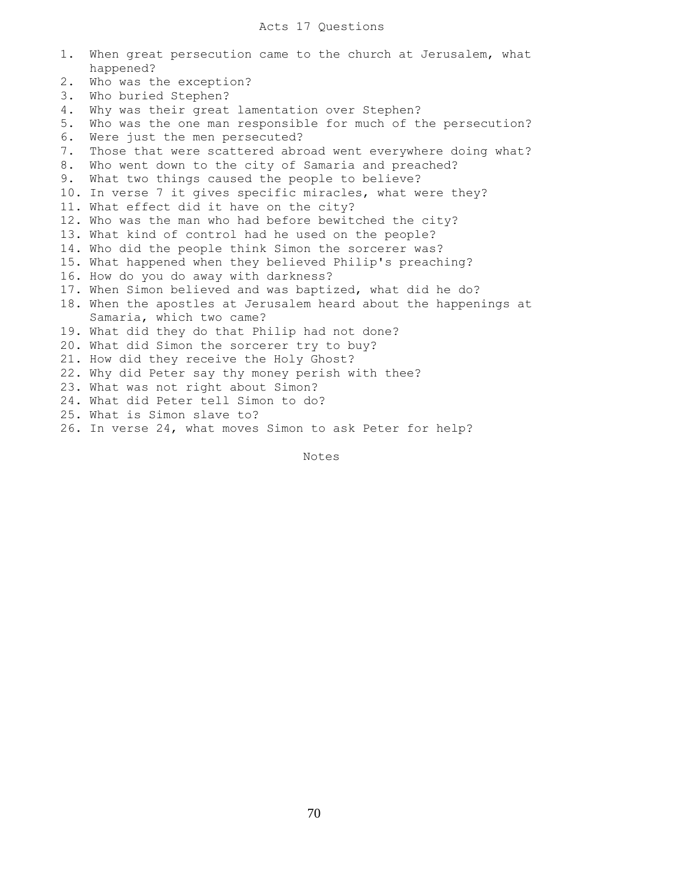| 1. | When great persecution came to the church at Jerusalem, what     |
|----|------------------------------------------------------------------|
|    | happened?                                                        |
| 2. | Who was the exception?                                           |
| 3. | Who buried Stephen?                                              |
| 4. | Why was their great lamentation over Stephen?                    |
| 5. | Who was the one man responsible for much of the persecution?     |
| 6. | Were just the men persecuted?                                    |
| 7. | Those that were scattered abroad went everywhere doing what?     |
| 8. | Who went down to the city of Samaria and preached?               |
| 9. | What two things caused the people to believe?                    |
|    | 10. In verse 7 it gives specific miracles, what were they?       |
|    | 11. What effect did it have on the city?                         |
|    | 12. Who was the man who had before bewitched the city?           |
|    | 13. What kind of control had he used on the people?              |
|    | 14. Who did the people think Simon the sorcerer was?             |
|    | 15. What happened when they believed Philip's preaching?         |
|    | 16. How do you do away with darkness?                            |
|    | 17. When Simon believed and was baptized, what did he do?        |
|    | 18. When the apostles at Jerusalem heard about the happenings at |
|    | Samaria, which two came?                                         |
|    | 19. What did they do that Philip had not done?                   |
|    | 20. What did Simon the sorcerer try to buy?                      |
|    | 21. How did they receive the Holy Ghost?                         |
|    | 22. Why did Peter say thy money perish with thee?                |
|    | 23. What was not right about Simon?                              |
|    | 24. What did Peter tell Simon to do?                             |
|    | 25. What is Simon slave to?                                      |
|    | 26. In verse 24, what moves Simon to ask Peter for help?         |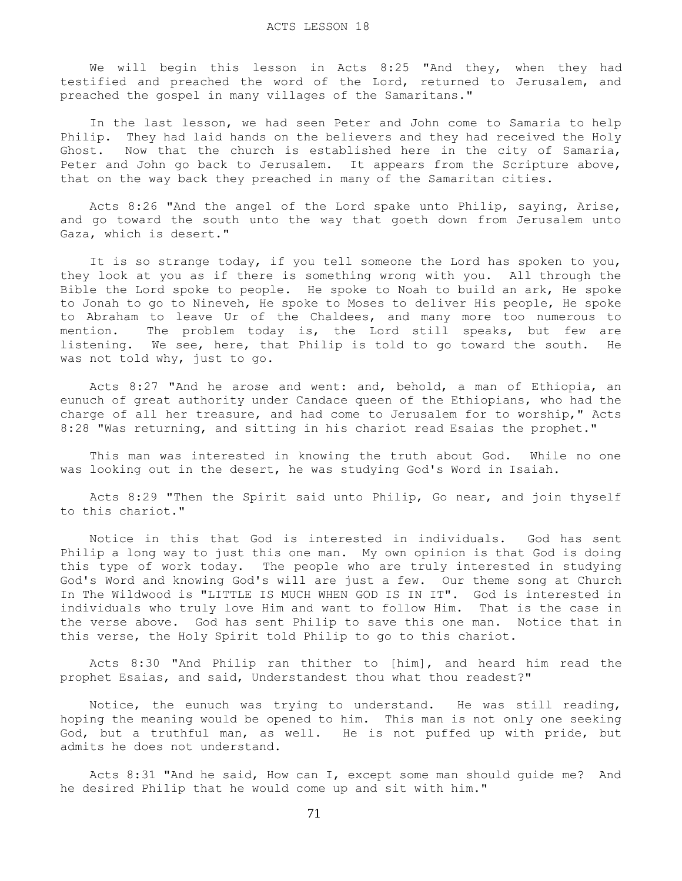We will begin this lesson in Acts 8:25 "And they, when they had testified and preached the word of the Lord, returned to Jerusalem, and preached the gospel in many villages of the Samaritans."

 In the last lesson, we had seen Peter and John come to Samaria to help Philip. They had laid hands on the believers and they had received the Holy Ghost. Now that the church is established here in the city of Samaria, Peter and John go back to Jerusalem. It appears from the Scripture above, that on the way back they preached in many of the Samaritan cities.

 Acts 8:26 "And the angel of the Lord spake unto Philip, saying, Arise, and go toward the south unto the way that goeth down from Jerusalem unto Gaza, which is desert."

 It is so strange today, if you tell someone the Lord has spoken to you, they look at you as if there is something wrong with you. All through the Bible the Lord spoke to people. He spoke to Noah to build an ark, He spoke to Jonah to go to Nineveh, He spoke to Moses to deliver His people, He spoke to Abraham to leave Ur of the Chaldees, and many more too numerous to mention. The problem today is, the Lord still speaks, but few are listening. We see, here, that Philip is told to go toward the south. He was not told why, just to go.

Acts 8:27 "And he arose and went: and, behold, a man of Ethiopia, an eunuch of great authority under Candace queen of the Ethiopians, who had the charge of all her treasure, and had come to Jerusalem for to worship," Acts 8:28 "Was returning, and sitting in his chariot read Esaias the prophet."

 This man was interested in knowing the truth about God. While no one was looking out in the desert, he was studying God's Word in Isaiah.

 Acts 8:29 "Then the Spirit said unto Philip, Go near, and join thyself to this chariot."

 Notice in this that God is interested in individuals. God has sent Philip a long way to just this one man. My own opinion is that God is doing this type of work today. The people who are truly interested in studying God's Word and knowing God's will are just a few. Our theme song at Church In The Wildwood is "LITTLE IS MUCH WHEN GOD IS IN IT". God is interested in individuals who truly love Him and want to follow Him. That is the case in the verse above. God has sent Philip to save this one man. Notice that in this verse, the Holy Spirit told Philip to go to this chariot.

 Acts 8:30 "And Philip ran thither to [him], and heard him read the prophet Esaias, and said, Understandest thou what thou readest?"

 Notice, the eunuch was trying to understand. He was still reading, hoping the meaning would be opened to him. This man is not only one seeking God, but a truthful man, as well. He is not puffed up with pride, but admits he does not understand.

 Acts 8:31 "And he said, How can I, except some man should guide me? And he desired Philip that he would come up and sit with him."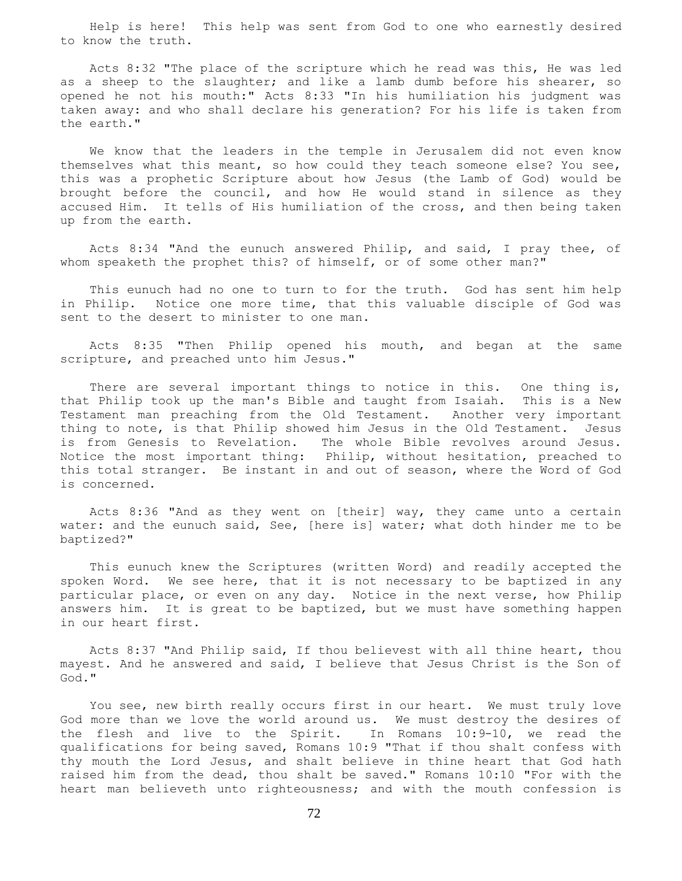Help is here! This help was sent from God to one who earnestly desired to know the truth.

 Acts 8:32 "The place of the scripture which he read was this, He was led as a sheep to the slaughter; and like a lamb dumb before his shearer, so opened he not his mouth:" Acts 8:33 "In his humiliation his judgment was taken away: and who shall declare his generation? For his life is taken from the earth."

 We know that the leaders in the temple in Jerusalem did not even know themselves what this meant, so how could they teach someone else? You see, this was a prophetic Scripture about how Jesus (the Lamb of God) would be brought before the council, and how He would stand in silence as they accused Him. It tells of His humiliation of the cross, and then being taken up from the earth.

 Acts 8:34 "And the eunuch answered Philip, and said, I pray thee, of whom speaketh the prophet this? of himself, or of some other man?"

 This eunuch had no one to turn to for the truth. God has sent him help in Philip. Notice one more time, that this valuable disciple of God was sent to the desert to minister to one man.

 Acts 8:35 "Then Philip opened his mouth, and began at the same scripture, and preached unto him Jesus."

There are several important things to notice in this. One thing is, that Philip took up the man's Bible and taught from Isaiah. This is a New Testament man preaching from the Old Testament. Another very important thing to note, is that Philip showed him Jesus in the Old Testament. Jesus is from Genesis to Revelation. The whole Bible revolves around Jesus. Notice the most important thing: Philip, without hesitation, preached to this total stranger. Be instant in and out of season, where the Word of God is concerned.

 Acts 8:36 "And as they went on [their] way, they came unto a certain water: and the eunuch said, See, [here is] water; what doth hinder me to be baptized?"

 This eunuch knew the Scriptures (written Word) and readily accepted the spoken Word. We see here, that it is not necessary to be baptized in any particular place, or even on any day. Notice in the next verse, how Philip answers him. It is great to be baptized, but we must have something happen in our heart first.

 Acts 8:37 "And Philip said, If thou believest with all thine heart, thou mayest. And he answered and said, I believe that Jesus Christ is the Son of God."

 You see, new birth really occurs first in our heart. We must truly love God more than we love the world around us. We must destroy the desires of the flesh and live to the Spirit. In Romans 10:9-10, we read the qualifications for being saved, Romans 10:9 "That if thou shalt confess with thy mouth the Lord Jesus, and shalt believe in thine heart that God hath raised him from the dead, thou shalt be saved." Romans 10:10 "For with the heart man believeth unto righteousness; and with the mouth confession is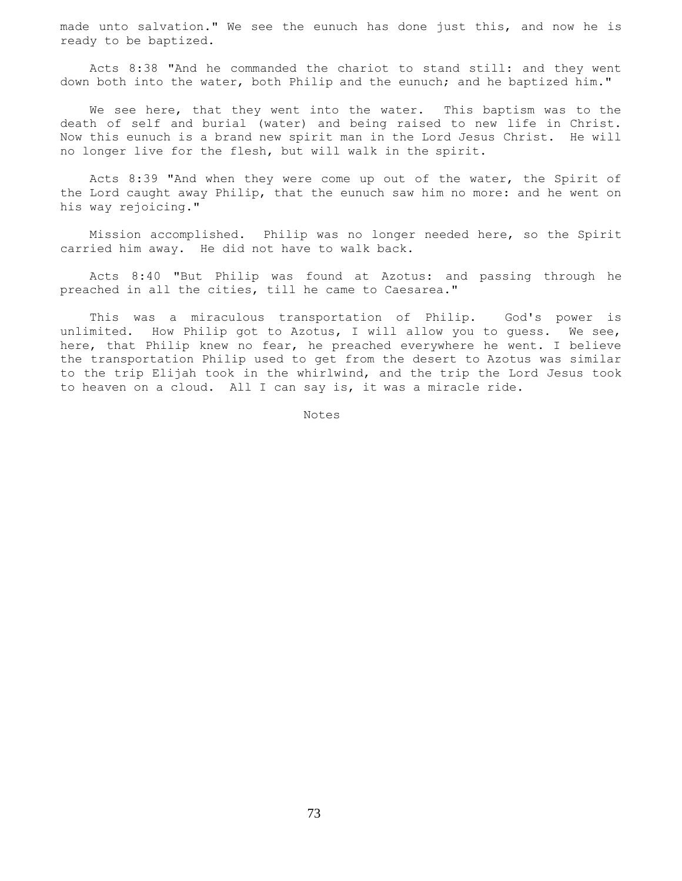made unto salvation." We see the eunuch has done just this, and now he is ready to be baptized.

 Acts 8:38 "And he commanded the chariot to stand still: and they went down both into the water, both Philip and the eunuch; and he baptized him."

We see here, that they went into the water. This baptism was to the death of self and burial (water) and being raised to new life in Christ. Now this eunuch is a brand new spirit man in the Lord Jesus Christ. He will no longer live for the flesh, but will walk in the spirit.

 Acts 8:39 "And when they were come up out of the water, the Spirit of the Lord caught away Philip, that the eunuch saw him no more: and he went on his way rejoicing."

 Mission accomplished. Philip was no longer needed here, so the Spirit carried him away. He did not have to walk back.

 Acts 8:40 "But Philip was found at Azotus: and passing through he preached in all the cities, till he came to Caesarea."

 This was a miraculous transportation of Philip. God's power is unlimited. How Philip got to Azotus, I will allow you to guess. We see, here, that Philip knew no fear, he preached everywhere he went. I believe the transportation Philip used to get from the desert to Azotus was similar to the trip Elijah took in the whirlwind, and the trip the Lord Jesus took to heaven on a cloud. All I can say is, it was a miracle ride.

Notes Notes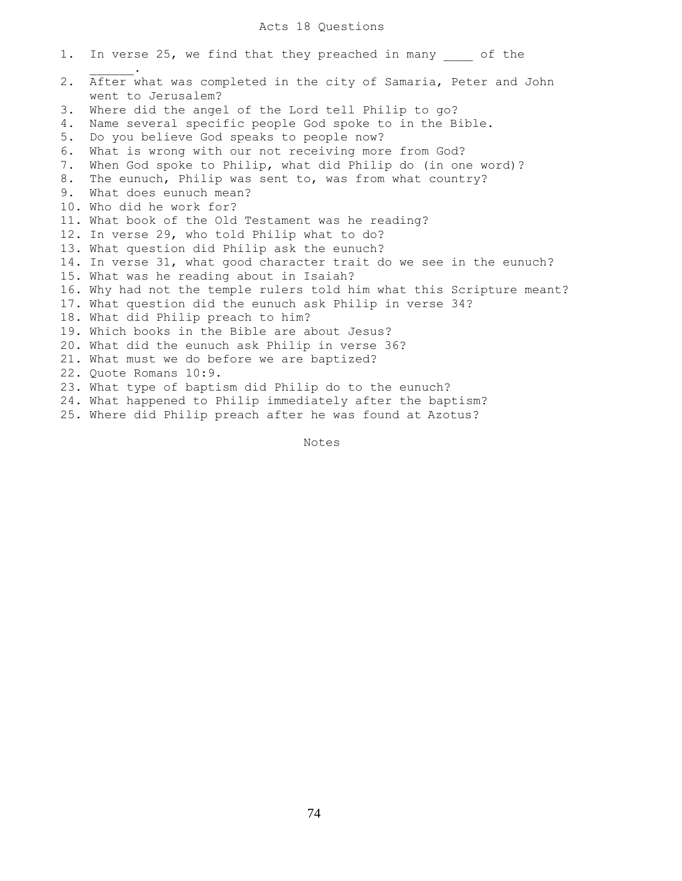1. In verse 25, we find that they preached in many of the  $\mathcal{L}=\mathcal{L}^{\mathcal{L}}$ 2. After what was completed in the city of Samaria, Peter and John went to Jerusalem? 3. Where did the angel of the Lord tell Philip to go? 4. Name several specific people God spoke to in the Bible. 5. Do you believe God speaks to people now? 6. What is wrong with our not receiving more from God? 7. When God spoke to Philip, what did Philip do (in one word)? 8. The eunuch, Philip was sent to, was from what country? 9. What does eunuch mean? 10. Who did he work for? 11. What book of the Old Testament was he reading? 12. In verse 29, who told Philip what to do? 13. What question did Philip ask the eunuch? 14. In verse 31, what good character trait do we see in the eunuch? 15. What was he reading about in Isaiah? 16. Why had not the temple rulers told him what this Scripture meant? 17. What question did the eunuch ask Philip in verse 34? 18. What did Philip preach to him? 19. Which books in the Bible are about Jesus? 20. What did the eunuch ask Philip in verse 36? 21. What must we do before we are baptized? 22. Quote Romans 10:9. 23. What type of baptism did Philip do to the eunuch? 24. What happened to Philip immediately after the baptism? 25. Where did Philip preach after he was found at Azotus?

Notes

74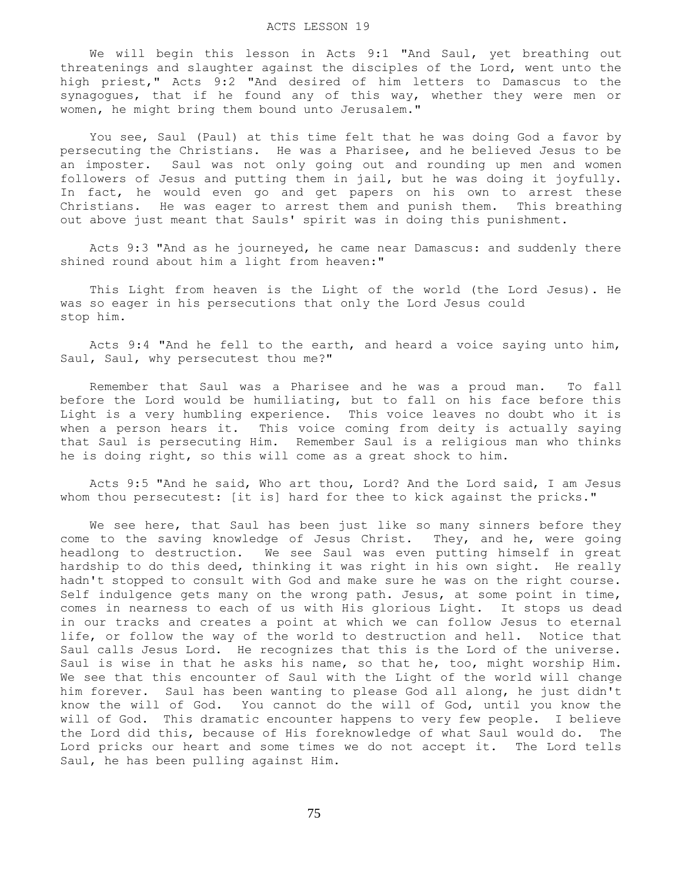We will begin this lesson in Acts 9:1 "And Saul, yet breathing out threatenings and slaughter against the disciples of the Lord, went unto the high priest," Acts 9:2 "And desired of him letters to Damascus to the synagogues, that if he found any of this way, whether they were men or women, he might bring them bound unto Jerusalem."

 You see, Saul (Paul) at this time felt that he was doing God a favor by persecuting the Christians. He was a Pharisee, and he believed Jesus to be an imposter. Saul was not only going out and rounding up men and women followers of Jesus and putting them in jail, but he was doing it joyfully. In fact, he would even go and get papers on his own to arrest these Christians. He was eager to arrest them and punish them. This breathing out above just meant that Sauls' spirit was in doing this punishment.

 Acts 9:3 "And as he journeyed, he came near Damascus: and suddenly there shined round about him a light from heaven:"

 This Light from heaven is the Light of the world (the Lord Jesus). He was so eager in his persecutions that only the Lord Jesus could stop him.

 Acts 9:4 "And he fell to the earth, and heard a voice saying unto him, Saul, Saul, why persecutest thou me?"

 Remember that Saul was a Pharisee and he was a proud man. To fall before the Lord would be humiliating, but to fall on his face before this Light is a very humbling experience. This voice leaves no doubt who it is when a person hears it. This voice coming from deity is actually saying that Saul is persecuting Him. Remember Saul is a religious man who thinks he is doing right, so this will come as a great shock to him.

 Acts 9:5 "And he said, Who art thou, Lord? And the Lord said, I am Jesus whom thou persecutest: [it is] hard for thee to kick against the pricks."

We see here, that Saul has been just like so many sinners before they come to the saving knowledge of Jesus Christ. They, and he, were going headlong to destruction. We see Saul was even putting himself in great hardship to do this deed, thinking it was right in his own sight. He really hadn't stopped to consult with God and make sure he was on the right course. Self indulgence gets many on the wrong path. Jesus, at some point in time, comes in nearness to each of us with His glorious Light. It stops us dead in our tracks and creates a point at which we can follow Jesus to eternal life, or follow the way of the world to destruction and hell. Notice that Saul calls Jesus Lord. He recognizes that this is the Lord of the universe. Saul is wise in that he asks his name, so that he, too, might worship Him. We see that this encounter of Saul with the Light of the world will change him forever. Saul has been wanting to please God all along, he just didn't know the will of God. You cannot do the will of God, until you know the will of God. This dramatic encounter happens to very few people. I believe the Lord did this, because of His foreknowledge of what Saul would do. The Lord pricks our heart and some times we do not accept it. The Lord tells Saul, he has been pulling against Him.

75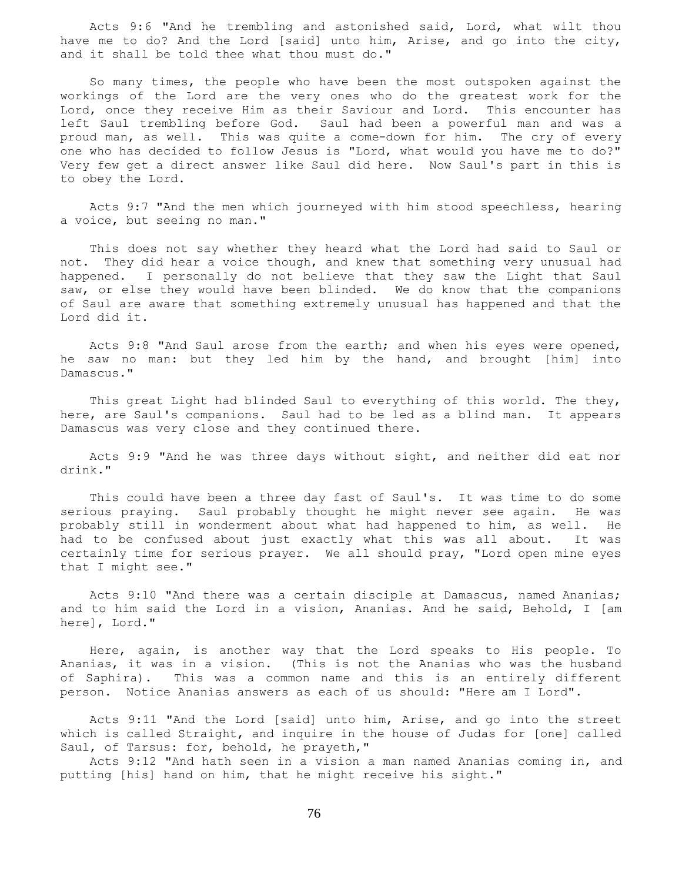Acts 9:6 "And he trembling and astonished said, Lord, what wilt thou have me to do? And the Lord [said] unto him, Arise, and go into the city, and it shall be told thee what thou must do."

 So many times, the people who have been the most outspoken against the workings of the Lord are the very ones who do the greatest work for the Lord, once they receive Him as their Saviour and Lord. This encounter has left Saul trembling before God. Saul had been a powerful man and was a proud man, as well. This was quite a come-down for him. The cry of every one who has decided to follow Jesus is "Lord, what would you have me to do?" Very few get a direct answer like Saul did here. Now Saul's part in this is to obey the Lord.

 Acts 9:7 "And the men which journeyed with him stood speechless, hearing a voice, but seeing no man."

 This does not say whether they heard what the Lord had said to Saul or not. They did hear a voice though, and knew that something very unusual had happened. I personally do not believe that they saw the Light that Saul saw, or else they would have been blinded. We do know that the companions of Saul are aware that something extremely unusual has happened and that the Lord did it.

 Acts 9:8 "And Saul arose from the earth; and when his eyes were opened, he saw no man: but they led him by the hand, and brought [him] into Damascus."

 This great Light had blinded Saul to everything of this world. The they, here, are Saul's companions. Saul had to be led as a blind man. It appears Damascus was very close and they continued there.

 Acts 9:9 "And he was three days without sight, and neither did eat nor drink."

 This could have been a three day fast of Saul's. It was time to do some serious praying. Saul probably thought he might never see again. He was probably still in wonderment about what had happened to him, as well. He had to be confused about just exactly what this was all about. It was certainly time for serious prayer. We all should pray, "Lord open mine eyes that I might see."

 Acts 9:10 "And there was a certain disciple at Damascus, named Ananias; and to him said the Lord in a vision, Ananias. And he said, Behold, I [am here], Lord."

 Here, again, is another way that the Lord speaks to His people. To Ananias, it was in a vision. (This is not the Ananias who was the husband of Saphira). This was a common name and this is an entirely different person. Notice Ananias answers as each of us should: "Here am I Lord".

 Acts 9:11 "And the Lord [said] unto him, Arise, and go into the street which is called Straight, and inquire in the house of Judas for [one] called Saul, of Tarsus: for, behold, he prayeth,"

 Acts 9:12 "And hath seen in a vision a man named Ananias coming in, and putting [his] hand on him, that he might receive his sight."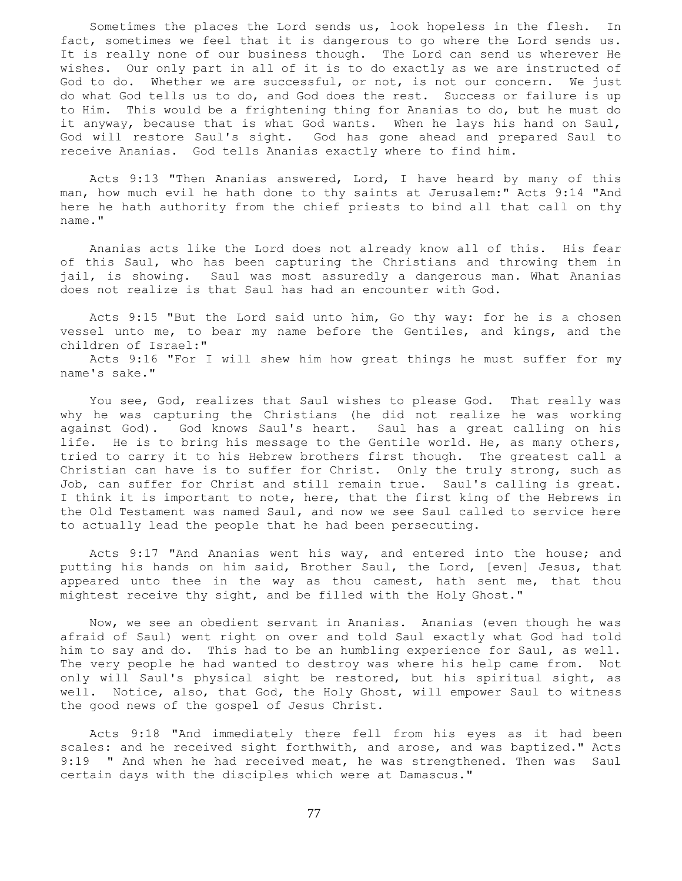Sometimes the places the Lord sends us, look hopeless in the flesh. In fact, sometimes we feel that it is dangerous to go where the Lord sends us. It is really none of our business though. The Lord can send us wherever He wishes. Our only part in all of it is to do exactly as we are instructed of God to do. Whether we are successful, or not, is not our concern. We just do what God tells us to do, and God does the rest. Success or failure is up to Him. This would be a frightening thing for Ananias to do, but he must do it anyway, because that is what God wants. When he lays his hand on Saul, God will restore Saul's sight. God has gone ahead and prepared Saul to receive Ananias. God tells Ananias exactly where to find him.

 Acts 9:13 "Then Ananias answered, Lord, I have heard by many of this man, how much evil he hath done to thy saints at Jerusalem:" Acts 9:14 "And here he hath authority from the chief priests to bind all that call on thy name."

 Ananias acts like the Lord does not already know all of this. His fear of this Saul, who has been capturing the Christians and throwing them in jail, is showing. Saul was most assuredly a dangerous man. What Ananias does not realize is that Saul has had an encounter with God.

 Acts 9:15 "But the Lord said unto him, Go thy way: for he is a chosen vessel unto me, to bear my name before the Gentiles, and kings, and the children of Israel:"

 Acts 9:16 "For I will shew him how great things he must suffer for my name's sake."

 You see, God, realizes that Saul wishes to please God. That really was why he was capturing the Christians (he did not realize he was working against God). God knows Saul's heart. Saul has a great calling on his life. He is to bring his message to the Gentile world. He, as many others, tried to carry it to his Hebrew brothers first though. The greatest call a Christian can have is to suffer for Christ. Only the truly strong, such as Job, can suffer for Christ and still remain true. Saul's calling is great. I think it is important to note, here, that the first king of the Hebrews in the Old Testament was named Saul, and now we see Saul called to service here to actually lead the people that he had been persecuting.

 Acts 9:17 "And Ananias went his way, and entered into the house; and putting his hands on him said, Brother Saul, the Lord, [even] Jesus, that appeared unto thee in the way as thou camest, hath sent me, that thou mightest receive thy sight, and be filled with the Holy Ghost."

 Now, we see an obedient servant in Ananias. Ananias (even though he was afraid of Saul) went right on over and told Saul exactly what God had told him to say and do. This had to be an humbling experience for Saul, as well. The very people he had wanted to destroy was where his help came from. Not only will Saul's physical sight be restored, but his spiritual sight, as well. Notice, also, that God, the Holy Ghost, will empower Saul to witness the good news of the gospel of Jesus Christ.

 Acts 9:18 "And immediately there fell from his eyes as it had been scales: and he received sight forthwith, and arose, and was baptized." Acts 9:19 " And when he had received meat, he was strengthened. Then was Saul certain days with the disciples which were at Damascus."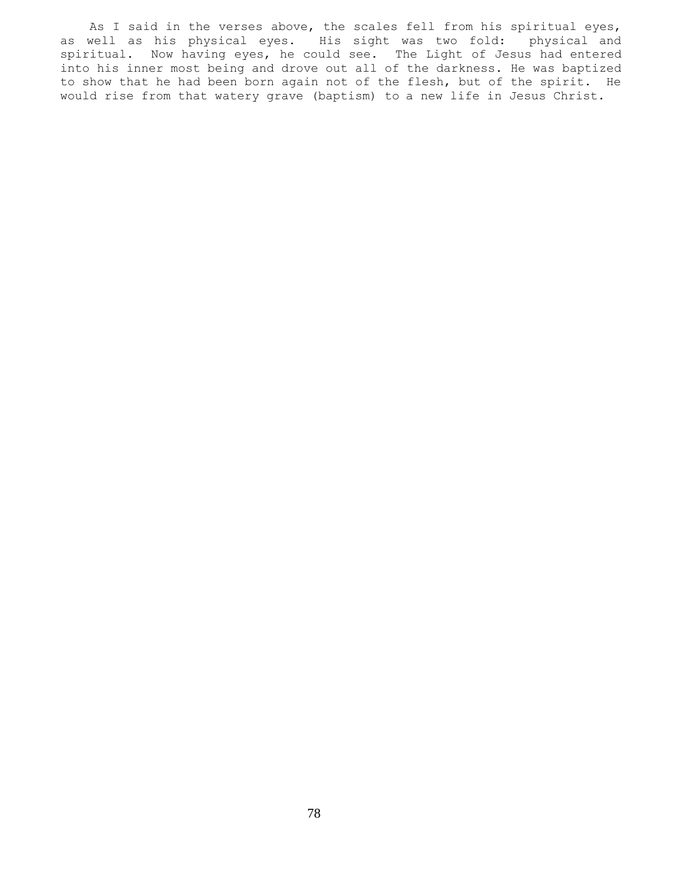As I said in the verses above, the scales fell from his spiritual eyes, as well as his physical eyes. His sight was two fold: physical and spiritual. Now having eyes, he could see. The Light of Jesus had entered into his inner most being and drove out all of the darkness. He was baptized to show that he had been born again not of the flesh, but of the spirit. He would rise from that watery grave (baptism) to a new life in Jesus Christ.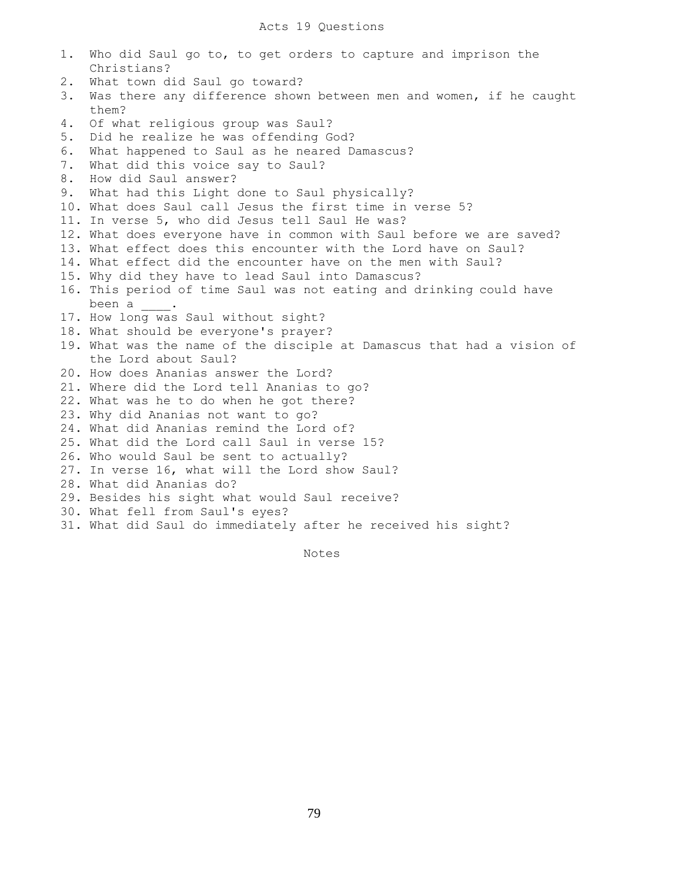1. Who did Saul go to, to get orders to capture and imprison the Christians? 2. What town did Saul go toward? 3. Was there any difference shown between men and women, if he caught them? 4. Of what religious group was Saul? 5. Did he realize he was offending God? 6. What happened to Saul as he neared Damascus? 7. What did this voice say to Saul? 8. How did Saul answer? 9. What had this Light done to Saul physically? 10. What does Saul call Jesus the first time in verse 5? 11. In verse 5, who did Jesus tell Saul He was? 12. What does everyone have in common with Saul before we are saved? 13. What effect does this encounter with the Lord have on Saul? 14. What effect did the encounter have on the men with Saul? 15. Why did they have to lead Saul into Damascus? 16. This period of time Saul was not eating and drinking could have been a \_\_\_\_. 17. How long was Saul without sight? 18. What should be everyone's prayer? 19. What was the name of the disciple at Damascus that had a vision of the Lord about Saul? 20. How does Ananias answer the Lord? 21. Where did the Lord tell Ananias to go? 22. What was he to do when he got there? 23. Why did Ananias not want to go? 24. What did Ananias remind the Lord of? 25. What did the Lord call Saul in verse 15? 26. Who would Saul be sent to actually? 27. In verse 16, what will the Lord show Saul? 28. What did Ananias do? 29. Besides his sight what would Saul receive? 30. What fell from Saul's eyes? 31. What did Saul do immediately after he received his sight?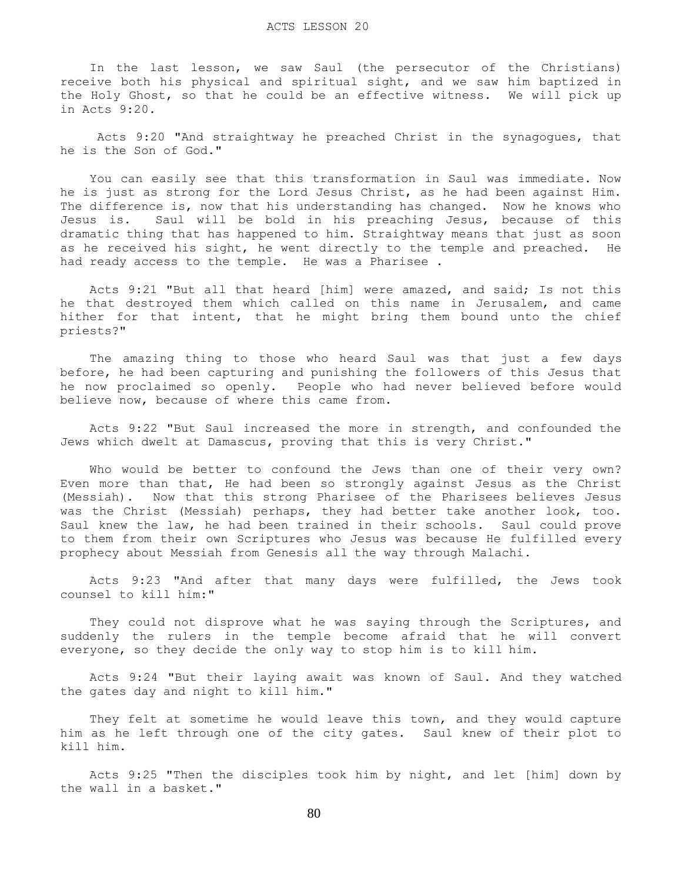In the last lesson, we saw Saul (the persecutor of the Christians) receive both his physical and spiritual sight, and we saw him baptized in the Holy Ghost, so that he could be an effective witness. We will pick up in Acts 9:20.

 Acts 9:20 "And straightway he preached Christ in the synagogues, that he is the Son of God."

 You can easily see that this transformation in Saul was immediate. Now he is just as strong for the Lord Jesus Christ, as he had been against Him. The difference is, now that his understanding has changed. Now he knows who Jesus is. Saul will be bold in his preaching Jesus, because of this dramatic thing that has happened to him. Straightway means that just as soon as he received his sight, he went directly to the temple and preached. He had ready access to the temple. He was a Pharisee .

 Acts 9:21 "But all that heard [him] were amazed, and said; Is not this he that destroyed them which called on this name in Jerusalem, and came hither for that intent, that he might bring them bound unto the chief priests?"

 The amazing thing to those who heard Saul was that just a few days before, he had been capturing and punishing the followers of this Jesus that he now proclaimed so openly. People who had never believed before would believe now, because of where this came from.

 Acts 9:22 "But Saul increased the more in strength, and confounded the Jews which dwelt at Damascus, proving that this is very Christ."

 Who would be better to confound the Jews than one of their very own? Even more than that, He had been so strongly against Jesus as the Christ (Messiah). Now that this strong Pharisee of the Pharisees believes Jesus was the Christ (Messiah) perhaps, they had better take another look, too. Saul knew the law, he had been trained in their schools. Saul could prove to them from their own Scriptures who Jesus was because He fulfilled every prophecy about Messiah from Genesis all the way through Malachi.

 Acts 9:23 "And after that many days were fulfilled, the Jews took counsel to kill him:"

 They could not disprove what he was saying through the Scriptures, and suddenly the rulers in the temple become afraid that he will convert everyone, so they decide the only way to stop him is to kill him.

 Acts 9:24 "But their laying await was known of Saul. And they watched the gates day and night to kill him."

 They felt at sometime he would leave this town, and they would capture him as he left through one of the city gates. Saul knew of their plot to kill him.

 Acts 9:25 "Then the disciples took him by night, and let [him] down by the wall in a basket."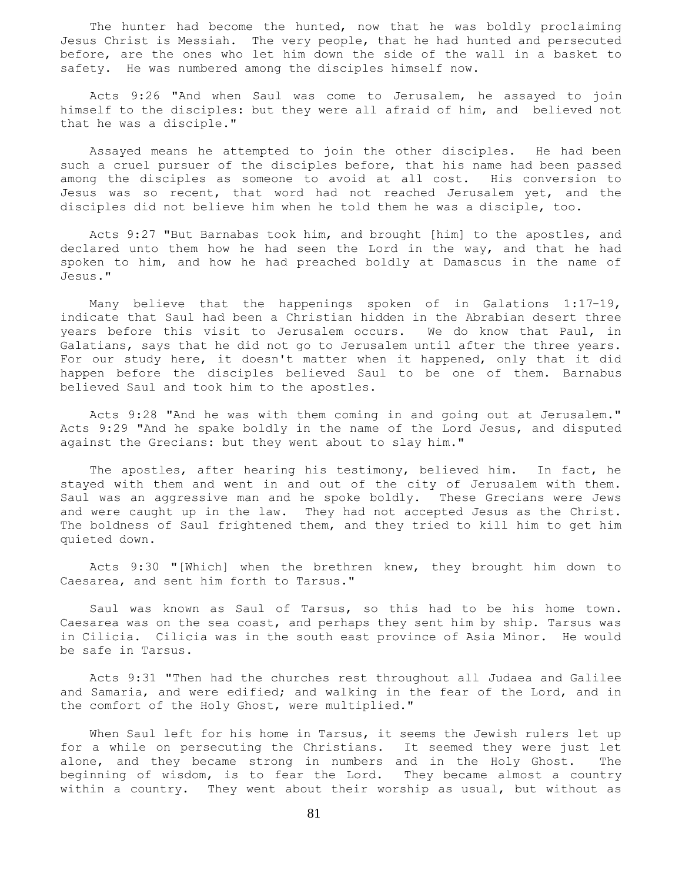The hunter had become the hunted, now that he was boldly proclaiming Jesus Christ is Messiah. The very people, that he had hunted and persecuted before, are the ones who let him down the side of the wall in a basket to safety. He was numbered among the disciples himself now.

 Acts 9:26 "And when Saul was come to Jerusalem, he assayed to join himself to the disciples: but they were all afraid of him, and believed not that he was a disciple."

 Assayed means he attempted to join the other disciples. He had been such a cruel pursuer of the disciples before, that his name had been passed among the disciples as someone to avoid at all cost. His conversion to Jesus was so recent, that word had not reached Jerusalem yet, and the disciples did not believe him when he told them he was a disciple, too.

 Acts 9:27 "But Barnabas took him, and brought [him] to the apostles, and declared unto them how he had seen the Lord in the way, and that he had spoken to him, and how he had preached boldly at Damascus in the name of Jesus."

 Many believe that the happenings spoken of in Galations 1:17-19, indicate that Saul had been a Christian hidden in the Abrabian desert three years before this visit to Jerusalem occurs. We do know that Paul, in Galatians, says that he did not go to Jerusalem until after the three years. For our study here, it doesn't matter when it happened, only that it did happen before the disciples believed Saul to be one of them. Barnabus believed Saul and took him to the apostles.

 Acts 9:28 "And he was with them coming in and going out at Jerusalem." Acts 9:29 "And he spake boldly in the name of the Lord Jesus, and disputed against the Grecians: but they went about to slay him."

The apostles, after hearing his testimony, believed him. In fact, he stayed with them and went in and out of the city of Jerusalem with them. Saul was an aggressive man and he spoke boldly. These Grecians were Jews and were caught up in the law. They had not accepted Jesus as the Christ. The boldness of Saul frightened them, and they tried to kill him to get him quieted down.

 Acts 9:30 "[Which] when the brethren knew, they brought him down to Caesarea, and sent him forth to Tarsus."

 Saul was known as Saul of Tarsus, so this had to be his home town. Caesarea was on the sea coast, and perhaps they sent him by ship. Tarsus was in Cilicia. Cilicia was in the south east province of Asia Minor. He would be safe in Tarsus.

 Acts 9:31 "Then had the churches rest throughout all Judaea and Galilee and Samaria, and were edified; and walking in the fear of the Lord, and in the comfort of the Holy Ghost, were multiplied."

When Saul left for his home in Tarsus, it seems the Jewish rulers let up for a while on persecuting the Christians. It seemed they were just let alone, and they became strong in numbers and in the Holy Ghost. The beginning of wisdom, is to fear the Lord. They became almost a country within a country. They went about their worship as usual, but without as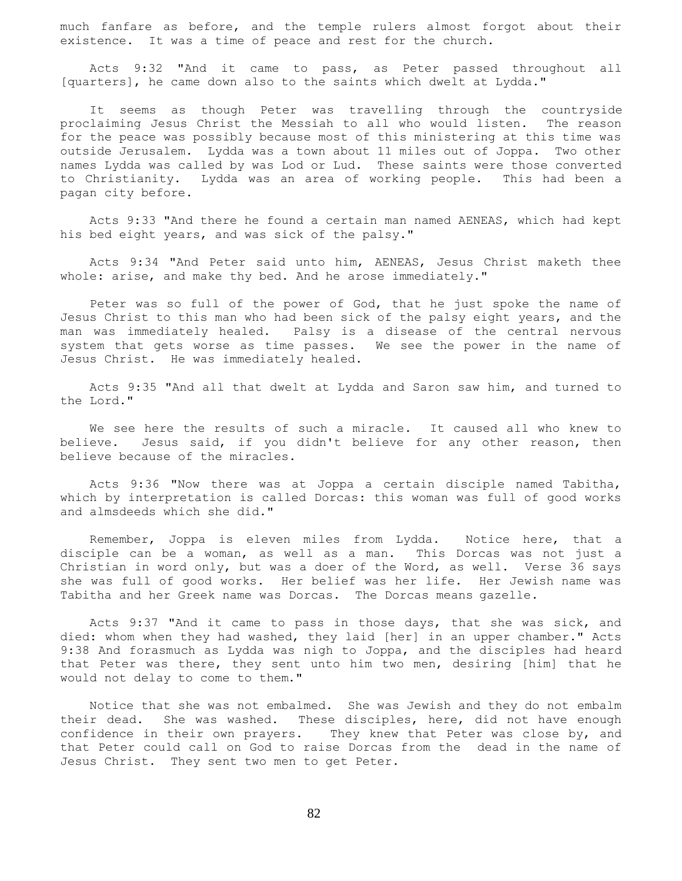much fanfare as before, and the temple rulers almost forgot about their existence. It was a time of peace and rest for the church.

 Acts 9:32 "And it came to pass, as Peter passed throughout all [quarters], he came down also to the saints which dwelt at Lydda."

 It seems as though Peter was travelling through the countryside proclaiming Jesus Christ the Messiah to all who would listen. The reason for the peace was possibly because most of this ministering at this time was outside Jerusalem. Lydda was a town about 11 miles out of Joppa. Two other names Lydda was called by was Lod or Lud. These saints were those converted to Christianity. Lydda was an area of working people. This had been a pagan city before.

 Acts 9:33 "And there he found a certain man named AENEAS, which had kept his bed eight years, and was sick of the palsy."

 Acts 9:34 "And Peter said unto him, AENEAS, Jesus Christ maketh thee whole: arise, and make thy bed. And he arose immediately."

 Peter was so full of the power of God, that he just spoke the name of Jesus Christ to this man who had been sick of the palsy eight years, and the man was immediately healed. Palsy is a disease of the central nervous system that gets worse as time passes. We see the power in the name of Jesus Christ. He was immediately healed.

 Acts 9:35 "And all that dwelt at Lydda and Saron saw him, and turned to the Lord."

 We see here the results of such a miracle. It caused all who knew to believe. Jesus said, if you didn't believe for any other reason, then believe because of the miracles.

 Acts 9:36 "Now there was at Joppa a certain disciple named Tabitha, which by interpretation is called Dorcas: this woman was full of good works and almsdeeds which she did."

 Remember, Joppa is eleven miles from Lydda. Notice here, that a disciple can be a woman, as well as a man. This Dorcas was not just a Christian in word only, but was a doer of the Word, as well. Verse 36 says she was full of good works. Her belief was her life. Her Jewish name was Tabitha and her Greek name was Dorcas. The Dorcas means gazelle.

 Acts 9:37 "And it came to pass in those days, that she was sick, and died: whom when they had washed, they laid [her] in an upper chamber." Acts 9:38 And forasmuch as Lydda was nigh to Joppa, and the disciples had heard that Peter was there, they sent unto him two men, desiring [him] that he would not delay to come to them."

 Notice that she was not embalmed. She was Jewish and they do not embalm their dead. She was washed. These disciples, here, did not have enough confidence in their own prayers. They knew that Peter was close by, and that Peter could call on God to raise Dorcas from the dead in the name of Jesus Christ. They sent two men to get Peter.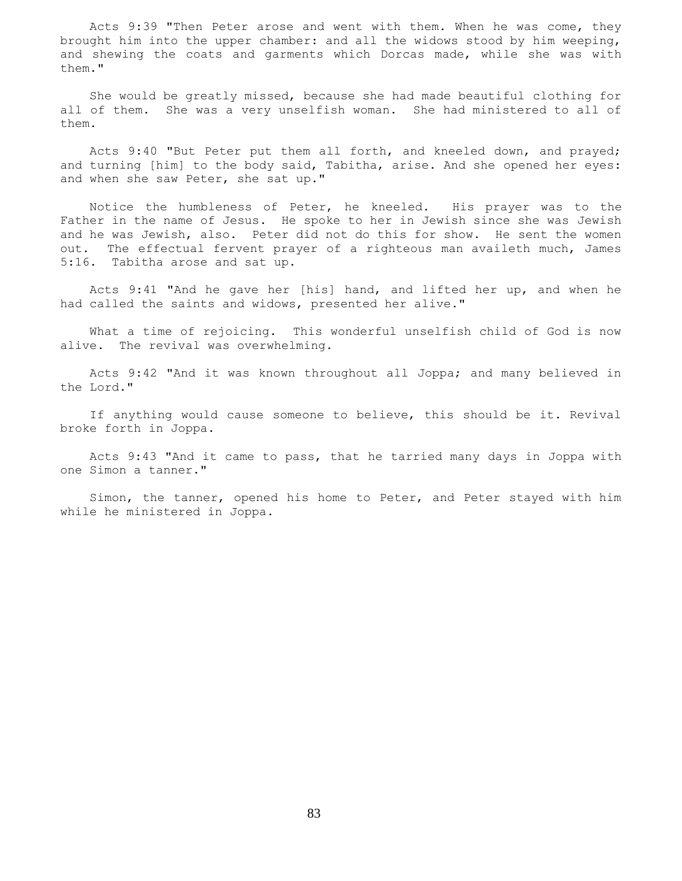Acts 9:39 "Then Peter arose and went with them. When he was come, they brought him into the upper chamber: and all the widows stood by him weeping, and shewing the coats and garments which Dorcas made, while she was with them."

 She would be greatly missed, because she had made beautiful clothing for all of them. She was a very unselfish woman. She had ministered to all of them.

 Acts 9:40 "But Peter put them all forth, and kneeled down, and prayed; and turning [him] to the body said, Tabitha, arise. And she opened her eyes: and when she saw Peter, she sat up."

 Notice the humbleness of Peter, he kneeled. His prayer was to the Father in the name of Jesus. He spoke to her in Jewish since she was Jewish and he was Jewish, also. Peter did not do this for show. He sent the women out. The effectual fervent prayer of a righteous man availeth much, James 5:16. Tabitha arose and sat up.

 Acts 9:41 "And he gave her [his] hand, and lifted her up, and when he had called the saints and widows, presented her alive."

 What a time of rejoicing. This wonderful unselfish child of God is now alive. The revival was overwhelming.

 Acts 9:42 "And it was known throughout all Joppa; and many believed in the Lord."

 If anything would cause someone to believe, this should be it. Revival broke forth in Joppa.

 Acts 9:43 "And it came to pass, that he tarried many days in Joppa with one Simon a tanner."

 Simon, the tanner, opened his home to Peter, and Peter stayed with him while he ministered in Joppa.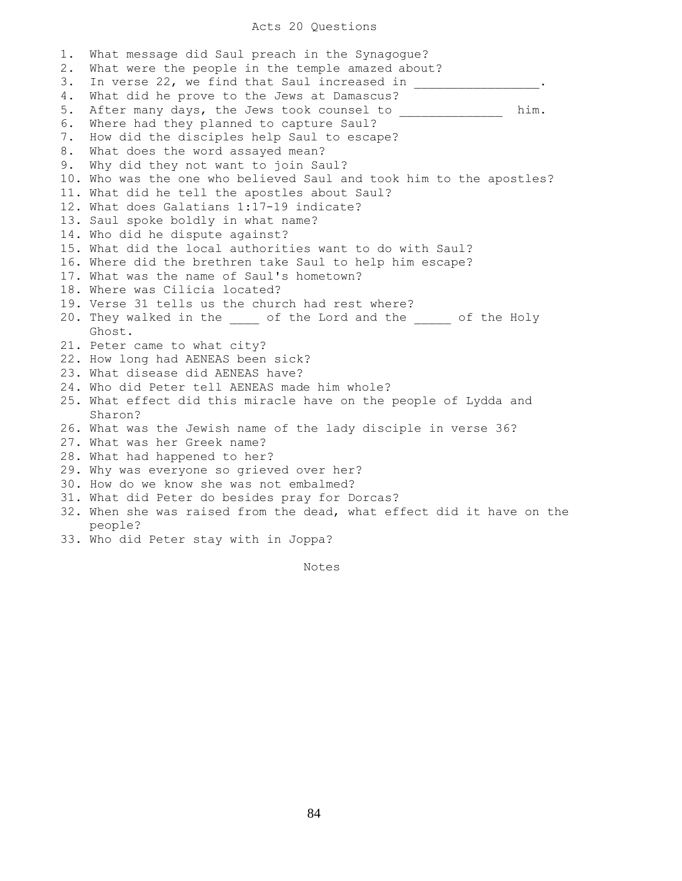## Acts 20 Questions

1. What message did Saul preach in the Synagogue? 2. What were the people in the temple amazed about? 3. In verse 22, we find that Saul increased in 4. What did he prove to the Jews at Damascus? 5. After many days, the Jews took counsel to \_\_\_\_\_\_\_\_\_\_\_\_\_\_ him. 6. Where had they planned to capture Saul? 7. How did the disciples help Saul to escape? 8. What does the word assayed mean? 9. Why did they not want to join Saul? 10. Who was the one who believed Saul and took him to the apostles? 11. What did he tell the apostles about Saul? 12. What does Galatians 1:17-19 indicate? 13. Saul spoke boldly in what name? 14. Who did he dispute against? 15. What did the local authorities want to do with Saul? 16. Where did the brethren take Saul to help him escape? 17. What was the name of Saul's hometown? 18. Where was Cilicia located? 19. Verse 31 tells us the church had rest where? 20. They walked in the \_\_\_\_ of the Lord and the \_\_\_\_ of the Holy Ghost. 21. Peter came to what city? 22. How long had AENEAS been sick? 23. What disease did AENEAS have? 24. Who did Peter tell AENEAS made him whole? 25. What effect did this miracle have on the people of Lydda and Sharon? 26. What was the Jewish name of the lady disciple in verse 36? 27. What was her Greek name? 28. What had happened to her? 29. Why was everyone so grieved over her? 30. How do we know she was not embalmed? 31. What did Peter do besides pray for Dorcas? 32. When she was raised from the dead, what effect did it have on the people? 33. Who did Peter stay with in Joppa?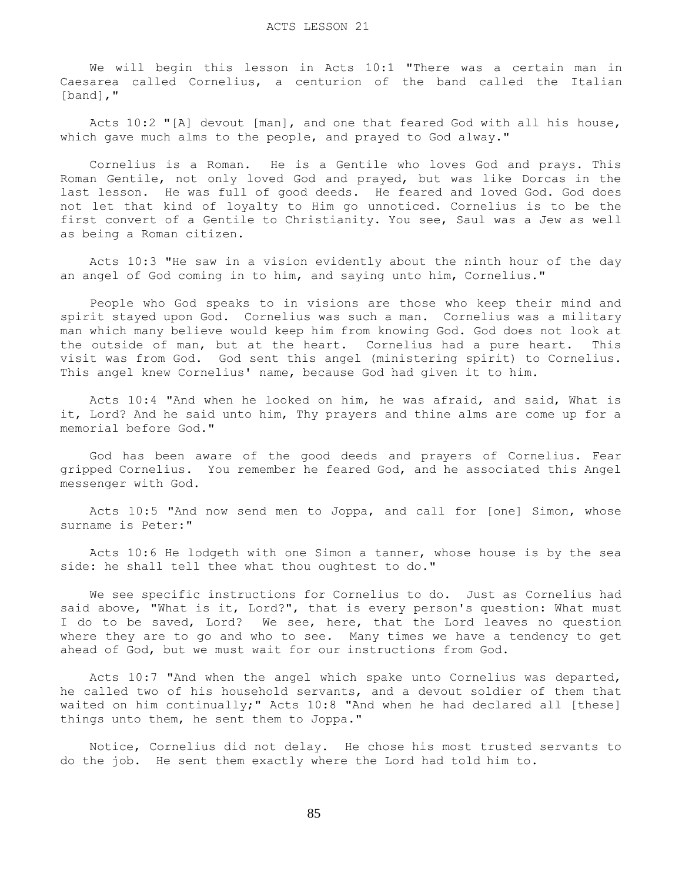We will begin this lesson in Acts 10:1 "There was a certain man in Caesarea called Cornelius, a centurion of the band called the Italian [band],"

 Acts 10:2 "[A] devout [man], and one that feared God with all his house, which gave much alms to the people, and prayed to God alway."

 Cornelius is a Roman. He is a Gentile who loves God and prays. This Roman Gentile, not only loved God and prayed, but was like Dorcas in the last lesson. He was full of good deeds. He feared and loved God. God does not let that kind of loyalty to Him go unnoticed. Cornelius is to be the first convert of a Gentile to Christianity. You see, Saul was a Jew as well as being a Roman citizen.

 Acts 10:3 "He saw in a vision evidently about the ninth hour of the day an angel of God coming in to him, and saying unto him, Cornelius."

 People who God speaks to in visions are those who keep their mind and spirit stayed upon God. Cornelius was such a man. Cornelius was a military man which many believe would keep him from knowing God. God does not look at the outside of man, but at the heart. Cornelius had a pure heart. This visit was from God. God sent this angel (ministering spirit) to Cornelius. This angel knew Cornelius' name, because God had given it to him.

 Acts 10:4 "And when he looked on him, he was afraid, and said, What is it, Lord? And he said unto him, Thy prayers and thine alms are come up for a memorial before God."

 God has been aware of the good deeds and prayers of Cornelius. Fear gripped Cornelius. You remember he feared God, and he associated this Angel messenger with God.

 Acts 10:5 "And now send men to Joppa, and call for [one] Simon, whose surname is Peter:"

 Acts 10:6 He lodgeth with one Simon a tanner, whose house is by the sea side: he shall tell thee what thou oughtest to do."

 We see specific instructions for Cornelius to do. Just as Cornelius had said above, "What is it, Lord?", that is every person's question: What must I do to be saved, Lord? We see, here, that the Lord leaves no question where they are to go and who to see. Many times we have a tendency to get ahead of God, but we must wait for our instructions from God.

 Acts 10:7 "And when the angel which spake unto Cornelius was departed, he called two of his household servants, and a devout soldier of them that waited on him continually;" Acts 10:8 "And when he had declared all [these] things unto them, he sent them to Joppa."

 Notice, Cornelius did not delay. He chose his most trusted servants to do the job. He sent them exactly where the Lord had told him to.

85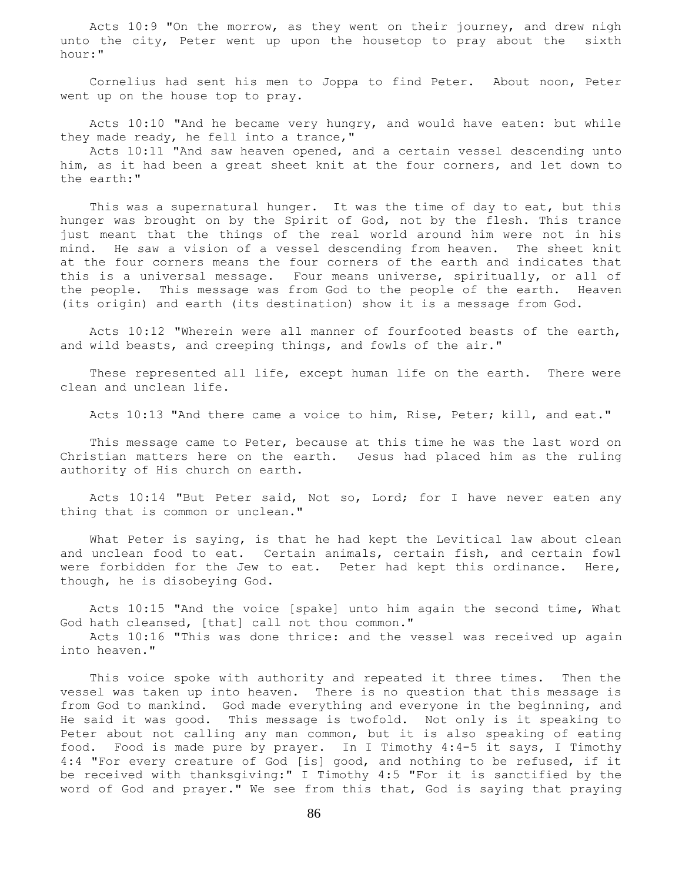Acts 10:9 "On the morrow, as they went on their journey, and drew nigh unto the city, Peter went up upon the housetop to pray about the sixth hour:"

 Cornelius had sent his men to Joppa to find Peter. About noon, Peter went up on the house top to pray.

 Acts 10:10 "And he became very hungry, and would have eaten: but while they made ready, he fell into a trance,"

 Acts 10:11 "And saw heaven opened, and a certain vessel descending unto him, as it had been a great sheet knit at the four corners, and let down to the earth:"

This was a supernatural hunger. It was the time of day to eat, but this hunger was brought on by the Spirit of God, not by the flesh. This trance just meant that the things of the real world around him were not in his mind. He saw a vision of a vessel descending from heaven. The sheet knit at the four corners means the four corners of the earth and indicates that this is a universal message. Four means universe, spiritually, or all of the people. This message was from God to the people of the earth. Heaven (its origin) and earth (its destination) show it is a message from God.

 Acts 10:12 "Wherein were all manner of fourfooted beasts of the earth, and wild beasts, and creeping things, and fowls of the air."

 These represented all life, except human life on the earth. There were clean and unclean life.

Acts 10:13 "And there came a voice to him, Rise, Peter; kill, and eat."

 This message came to Peter, because at this time he was the last word on Christian matters here on the earth. Jesus had placed him as the ruling authority of His church on earth.

 Acts 10:14 "But Peter said, Not so, Lord; for I have never eaten any thing that is common or unclean."

 What Peter is saying, is that he had kept the Levitical law about clean and unclean food to eat. Certain animals, certain fish, and certain fowl were forbidden for the Jew to eat. Peter had kept this ordinance. Here, though, he is disobeying God.

 Acts 10:15 "And the voice [spake] unto him again the second time, What God hath cleansed, [that] call not thou common."

 Acts 10:16 "This was done thrice: and the vessel was received up again into heaven."

 This voice spoke with authority and repeated it three times. Then the vessel was taken up into heaven. There is no question that this message is from God to mankind. God made everything and everyone in the beginning, and He said it was good. This message is twofold. Not only is it speaking to Peter about not calling any man common, but it is also speaking of eating food. Food is made pure by prayer. In I Timothy 4:4-5 it says, I Timothy 4:4 "For every creature of God [is] good, and nothing to be refused, if it be received with thanksgiving:" I Timothy 4:5 "For it is sanctified by the word of God and prayer." We see from this that, God is saying that praying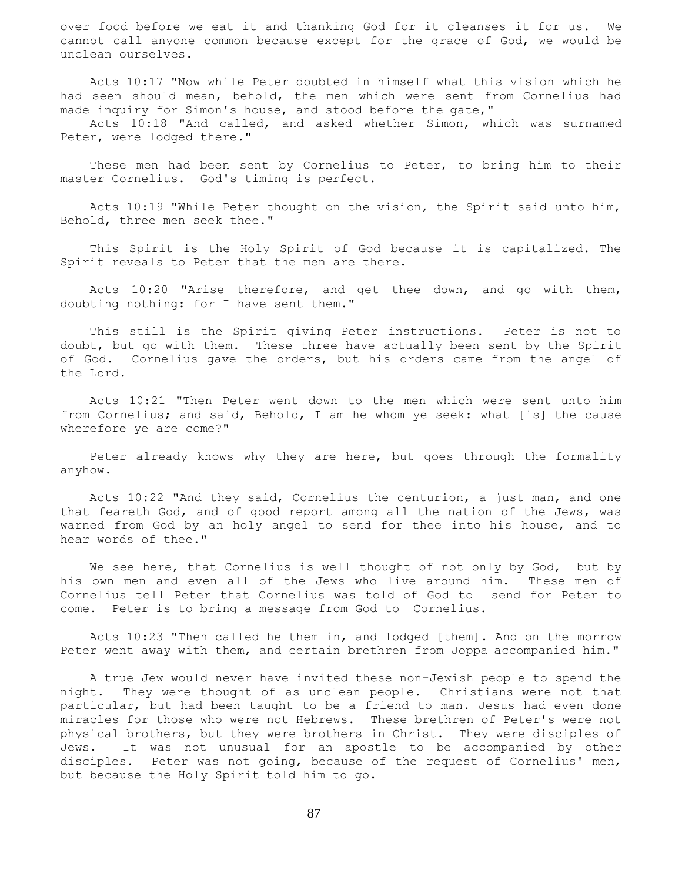over food before we eat it and thanking God for it cleanses it for us. We cannot call anyone common because except for the grace of God, we would be unclean ourselves.

 Acts 10:17 "Now while Peter doubted in himself what this vision which he had seen should mean, behold, the men which were sent from Cornelius had made inquiry for Simon's house, and stood before the gate,"

 Acts 10:18 "And called, and asked whether Simon, which was surnamed Peter, were lodged there."

 These men had been sent by Cornelius to Peter, to bring him to their master Cornelius. God's timing is perfect.

 Acts 10:19 "While Peter thought on the vision, the Spirit said unto him, Behold, three men seek thee."

 This Spirit is the Holy Spirit of God because it is capitalized. The Spirit reveals to Peter that the men are there.

 Acts 10:20 "Arise therefore, and get thee down, and go with them, doubting nothing: for I have sent them."

 This still is the Spirit giving Peter instructions. Peter is not to doubt, but go with them. These three have actually been sent by the Spirit of God. Cornelius gave the orders, but his orders came from the angel of the Lord.

 Acts 10:21 "Then Peter went down to the men which were sent unto him from Cornelius; and said, Behold, I am he whom ye seek: what [is] the cause wherefore ye are come?"

 Peter already knows why they are here, but goes through the formality anyhow.

 Acts 10:22 "And they said, Cornelius the centurion, a just man, and one that feareth God, and of good report among all the nation of the Jews, was warned from God by an holy angel to send for thee into his house, and to hear words of thee."

We see here, that Cornelius is well thought of not only by God, but by his own men and even all of the Jews who live around him. These men of Cornelius tell Peter that Cornelius was told of God to send for Peter to come. Peter is to bring a message from God to Cornelius.

 Acts 10:23 "Then called he them in, and lodged [them]. And on the morrow Peter went away with them, and certain brethren from Joppa accompanied him."

 A true Jew would never have invited these non-Jewish people to spend the night. They were thought of as unclean people. Christians were not that particular, but had been taught to be a friend to man. Jesus had even done miracles for those who were not Hebrews. These brethren of Peter's were not physical brothers, but they were brothers in Christ. They were disciples of Jews. It was not unusual for an apostle to be accompanied by other disciples. Peter was not going, because of the request of Cornelius' men, but because the Holy Spirit told him to go.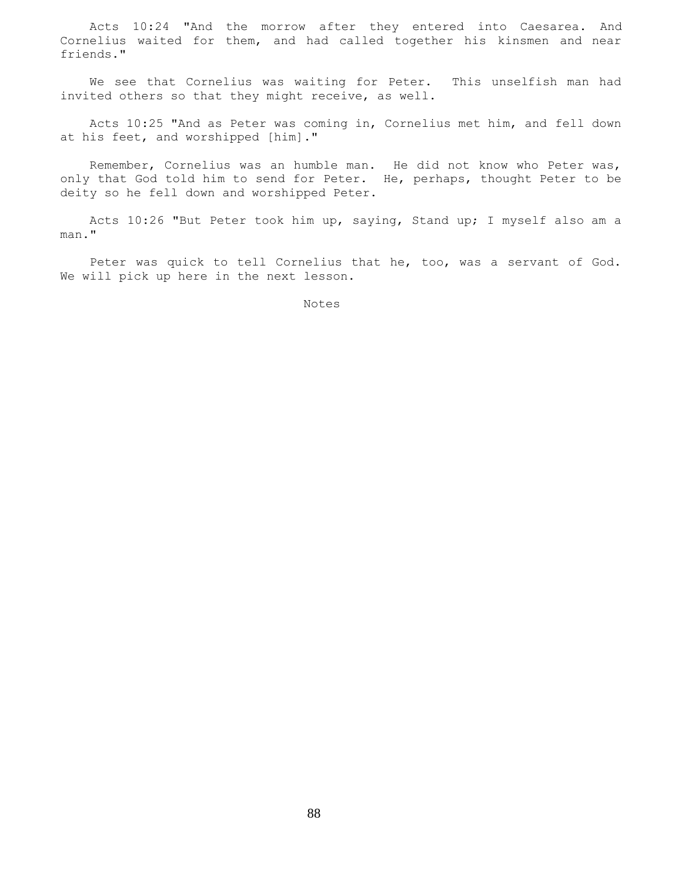Acts 10:24 "And the morrow after they entered into Caesarea. And Cornelius waited for them, and had called together his kinsmen and near friends."

 We see that Cornelius was waiting for Peter. This unselfish man had invited others so that they might receive, as well.

 Acts 10:25 "And as Peter was coming in, Cornelius met him, and fell down at his feet, and worshipped [him]."

 Remember, Cornelius was an humble man. He did not know who Peter was, only that God told him to send for Peter. He, perhaps, thought Peter to be deity so he fell down and worshipped Peter.

 Acts 10:26 "But Peter took him up, saying, Stand up; I myself also am a man."

 Peter was quick to tell Cornelius that he, too, was a servant of God. We will pick up here in the next lesson.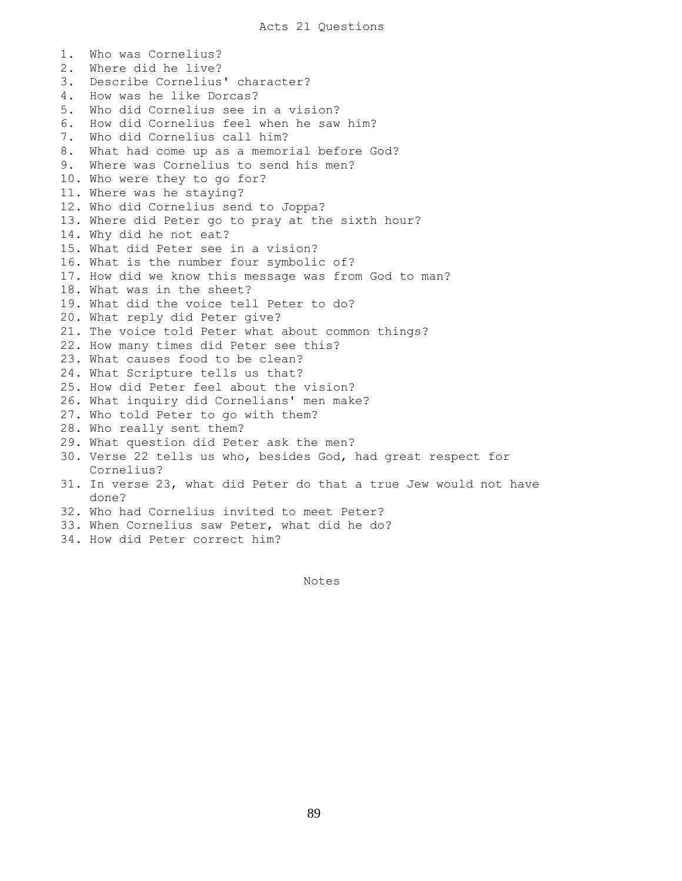1. Who was Cornelius? 2. Where did he live? 3. Describe Cornelius' character? 4. How was he like Dorcas? 5. Who did Cornelius see in a vision? 6. How did Cornelius feel when he saw him? 7. Who did Cornelius call him? 8. What had come up as a memorial before God? 9. Where was Cornelius to send his men? 10. Who were they to go for? 11. Where was he staying? 12. Who did Cornelius send to Joppa? 13. Where did Peter go to pray at the sixth hour? 14. Why did he not eat? 15. What did Peter see in a vision? 16. What is the number four symbolic of? 17. How did we know this message was from God to man? 18. What was in the sheet? 19. What did the voice tell Peter to do? 20. What reply did Peter give? 21. The voice told Peter what about common things? 22. How many times did Peter see this? 23. What causes food to be clean? 24. What Scripture tells us that? 25. How did Peter feel about the vision? 26. What inquiry did Cornelians' men make? 27. Who told Peter to go with them? 28. Who really sent them? 29. What question did Peter ask the men? 30. Verse 22 tells us who, besides God, had great respect for Cornelius? 31. In verse 23, what did Peter do that a true Jew would not have done? 32. Who had Cornelius invited to meet Peter? 33. When Cornelius saw Peter, what did he do? 34. How did Peter correct him?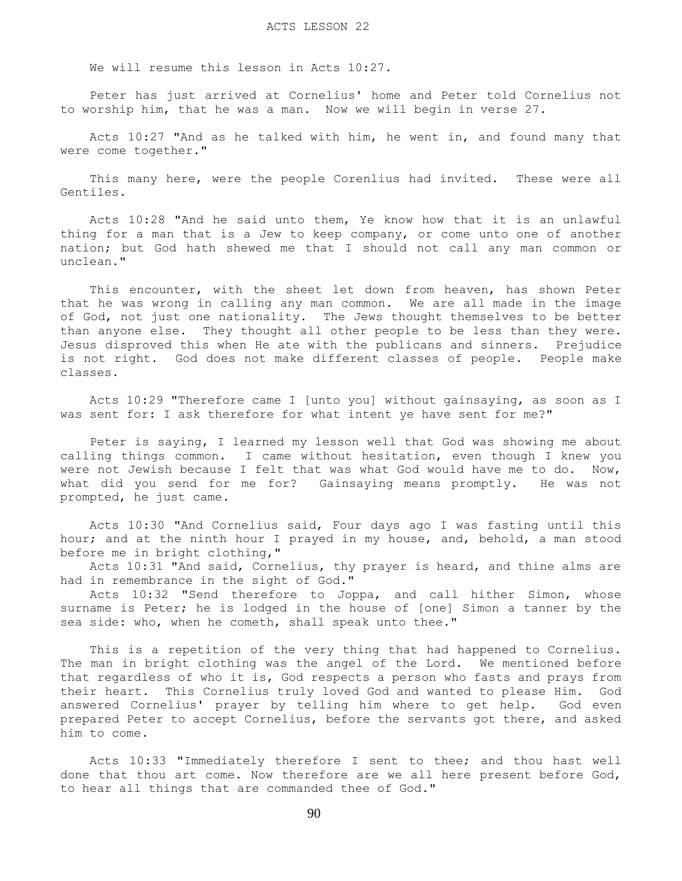We will resume this lesson in Acts 10:27.

 Peter has just arrived at Cornelius' home and Peter told Cornelius not to worship him, that he was a man. Now we will begin in verse 27.

 Acts 10:27 "And as he talked with him, he went in, and found many that were come together."

 This many here, were the people Corenlius had invited. These were all Gentiles.

 Acts 10:28 "And he said unto them, Ye know how that it is an unlawful thing for a man that is a Jew to keep company, or come unto one of another nation; but God hath shewed me that I should not call any man common or unclean."

 This encounter, with the sheet let down from heaven, has shown Peter that he was wrong in calling any man common. We are all made in the image of God, not just one nationality. The Jews thought themselves to be better than anyone else. They thought all other people to be less than they were. Jesus disproved this when He ate with the publicans and sinners. Prejudice is not right. God does not make different classes of people. People make classes.

 Acts 10:29 "Therefore came I [unto you] without gainsaying, as soon as I was sent for: I ask therefore for what intent ye have sent for me?"

 Peter is saying, I learned my lesson well that God was showing me about calling things common. I came without hesitation, even though I knew you were not Jewish because I felt that was what God would have me to do. Now, what did you send for me for? Gainsaying means promptly. He was not prompted, he just came.

 Acts 10:30 "And Cornelius said, Four days ago I was fasting until this hour; and at the ninth hour I prayed in my house, and, behold, a man stood before me in bright clothing,"

 Acts 10:31 "And said, Cornelius, thy prayer is heard, and thine alms are had in remembrance in the sight of God."

 Acts 10:32 "Send therefore to Joppa, and call hither Simon, whose surname is Peter; he is lodged in the house of [one] Simon a tanner by the sea side: who, when he cometh, shall speak unto thee."

 This is a repetition of the very thing that had happened to Cornelius. The man in bright clothing was the angel of the Lord. We mentioned before that regardless of who it is, God respects a person who fasts and prays from their heart. This Cornelius truly loved God and wanted to please Him. God answered Cornelius' prayer by telling him where to get help. God even prepared Peter to accept Cornelius, before the servants got there, and asked him to come.

 Acts 10:33 "Immediately therefore I sent to thee; and thou hast well done that thou art come. Now therefore are we all here present before God, to hear all things that are commanded thee of God."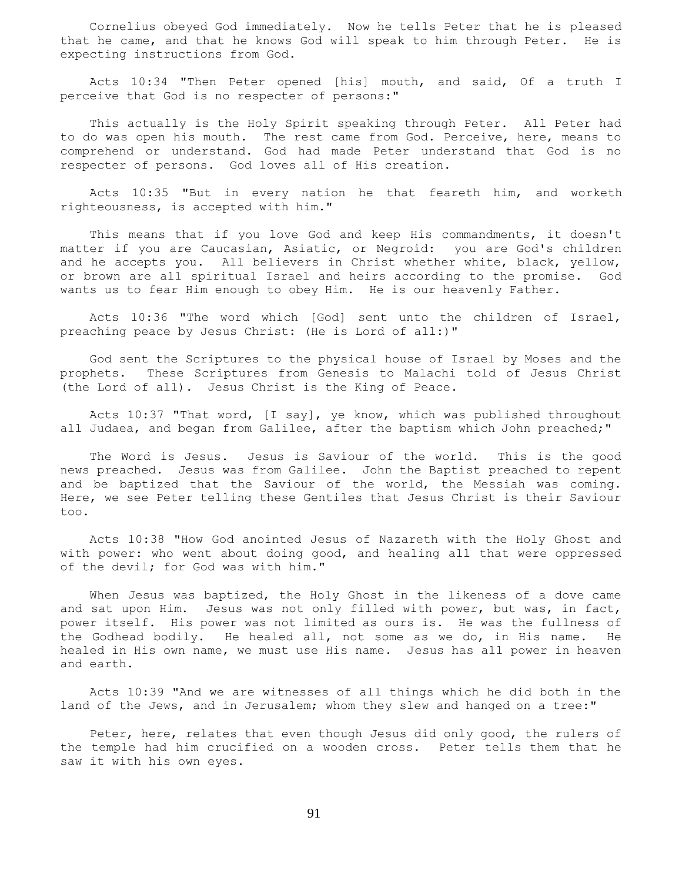Cornelius obeyed God immediately. Now he tells Peter that he is pleased that he came, and that he knows God will speak to him through Peter. He is expecting instructions from God.

 Acts 10:34 "Then Peter opened [his] mouth, and said, Of a truth I perceive that God is no respecter of persons:"

 This actually is the Holy Spirit speaking through Peter. All Peter had to do was open his mouth. The rest came from God. Perceive, here, means to comprehend or understand. God had made Peter understand that God is no respecter of persons. God loves all of His creation.

 Acts 10:35 "But in every nation he that feareth him, and worketh righteousness, is accepted with him."

This means that if you love God and keep His commandments, it doesn't matter if you are Caucasian, Asiatic, or Negroid: you are God's children and he accepts you. All believers in Christ whether white, black, yellow, or brown are all spiritual Israel and heirs according to the promise. God wants us to fear Him enough to obey Him. He is our heavenly Father.

 Acts 10:36 "The word which [God] sent unto the children of Israel, preaching peace by Jesus Christ: (He is Lord of all:)"

 God sent the Scriptures to the physical house of Israel by Moses and the prophets. These Scriptures from Genesis to Malachi told of Jesus Christ (the Lord of all). Jesus Christ is the King of Peace.

 Acts 10:37 "That word, [I say], ye know, which was published throughout all Judaea, and began from Galilee, after the baptism which John preached;"

 The Word is Jesus. Jesus is Saviour of the world. This is the good news preached. Jesus was from Galilee. John the Baptist preached to repent and be baptized that the Saviour of the world, the Messiah was coming. Here, we see Peter telling these Gentiles that Jesus Christ is their Saviour too.

 Acts 10:38 "How God anointed Jesus of Nazareth with the Holy Ghost and with power: who went about doing good, and healing all that were oppressed of the devil; for God was with him."

When Jesus was baptized, the Holy Ghost in the likeness of a dove came and sat upon Him. Jesus was not only filled with power, but was, in fact, power itself. His power was not limited as ours is. He was the fullness of the Godhead bodily. He healed all, not some as we do, in His name. He healed in His own name, we must use His name. Jesus has all power in heaven and earth.

 Acts 10:39 "And we are witnesses of all things which he did both in the land of the Jews, and in Jerusalem; whom they slew and hanged on a tree:"

 Peter, here, relates that even though Jesus did only good, the rulers of the temple had him crucified on a wooden cross. Peter tells them that he saw it with his own eyes.

91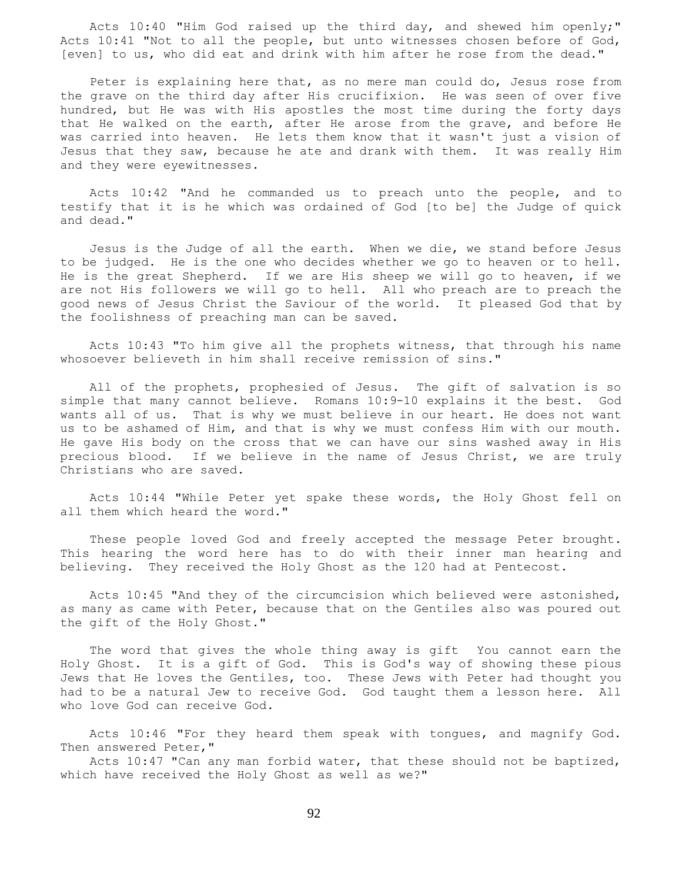Acts 10:40 "Him God raised up the third day, and shewed him openly;" Acts 10:41 "Not to all the people, but unto witnesses chosen before of God, [even] to us, who did eat and drink with him after he rose from the dead."

 Peter is explaining here that, as no mere man could do, Jesus rose from the grave on the third day after His crucifixion. He was seen of over five hundred, but He was with His apostles the most time during the forty days that He walked on the earth, after He arose from the grave, and before He was carried into heaven. He lets them know that it wasn't just a vision of Jesus that they saw, because he ate and drank with them. It was really Him and they were eyewitnesses.

 Acts 10:42 "And he commanded us to preach unto the people, and to testify that it is he which was ordained of God [to be] the Judge of quick and dead."

 Jesus is the Judge of all the earth. When we die, we stand before Jesus to be judged. He is the one who decides whether we go to heaven or to hell. He is the great Shepherd. If we are His sheep we will go to heaven, if we are not His followers we will go to hell. All who preach are to preach the good news of Jesus Christ the Saviour of the world. It pleased God that by the foolishness of preaching man can be saved.

 Acts 10:43 "To him give all the prophets witness, that through his name whosoever believeth in him shall receive remission of sins."

 All of the prophets, prophesied of Jesus. The gift of salvation is so simple that many cannot believe. Romans 10:9-10 explains it the best. God wants all of us. That is why we must believe in our heart. He does not want us to be ashamed of Him, and that is why we must confess Him with our mouth. He gave His body on the cross that we can have our sins washed away in His precious blood. If we believe in the name of Jesus Christ, we are truly Christians who are saved.

 Acts 10:44 "While Peter yet spake these words, the Holy Ghost fell on all them which heard the word."

 These people loved God and freely accepted the message Peter brought. This hearing the word here has to do with their inner man hearing and believing. They received the Holy Ghost as the 120 had at Pentecost.

 Acts 10:45 "And they of the circumcision which believed were astonished, as many as came with Peter, because that on the Gentiles also was poured out the gift of the Holy Ghost."

 The word that gives the whole thing away is gift You cannot earn the Holy Ghost. It is a gift of God. This is God's way of showing these pious Jews that He loves the Gentiles, too. These Jews with Peter had thought you had to be a natural Jew to receive God. God taught them a lesson here. All who love God can receive God.

 Acts 10:46 "For they heard them speak with tongues, and magnify God. Then answered Peter,"

 Acts 10:47 "Can any man forbid water, that these should not be baptized, which have received the Holy Ghost as well as we?"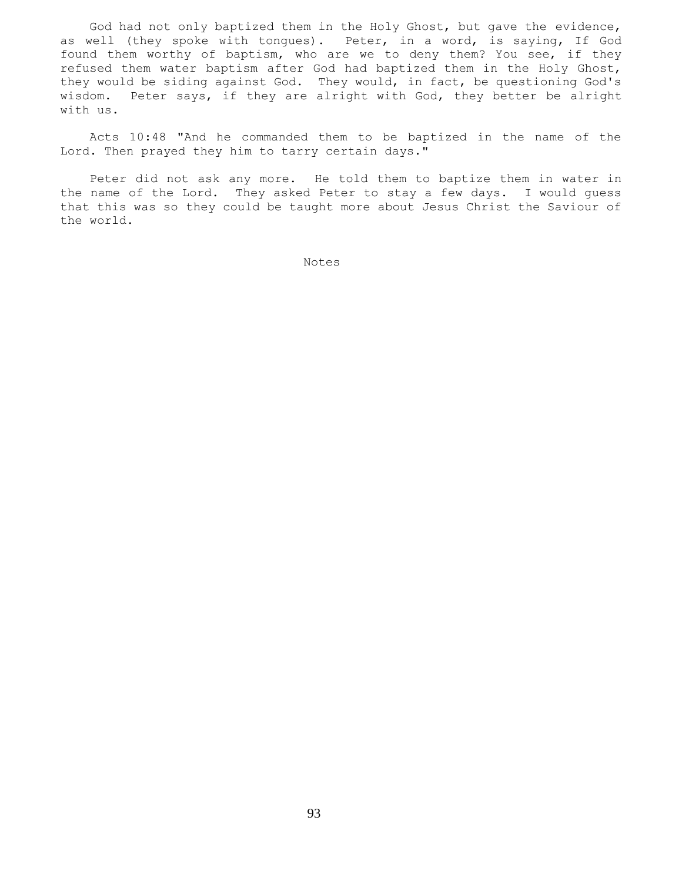God had not only baptized them in the Holy Ghost, but gave the evidence, as well (they spoke with tongues). Peter, in a word, is saying, If God found them worthy of baptism, who are we to deny them? You see, if they refused them water baptism after God had baptized them in the Holy Ghost, they would be siding against God. They would, in fact, be questioning God's wisdom. Peter says, if they are alright with God, they better be alright with us.

 Acts 10:48 "And he commanded them to be baptized in the name of the Lord. Then prayed they him to tarry certain days."

 Peter did not ask any more. He told them to baptize them in water in the name of the Lord. They asked Peter to stay a few days. I would guess that this was so they could be taught more about Jesus Christ the Saviour of the world.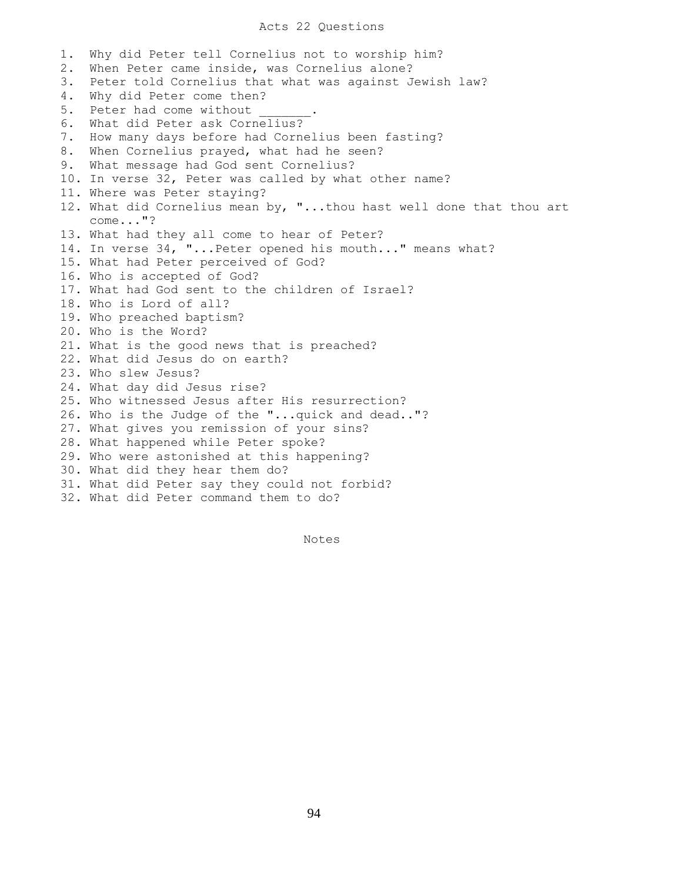#### Acts 22 Questions

1. Why did Peter tell Cornelius not to worship him? 2. When Peter came inside, was Cornelius alone? 3. Peter told Cornelius that what was against Jewish law? 4. Why did Peter come then? 5. Peter had come without 6. What did Peter ask Cornelius? 7. How many days before had Cornelius been fasting? 8. When Cornelius prayed, what had he seen? 9. What message had God sent Cornelius? 10. In verse 32, Peter was called by what other name? 11. Where was Peter staying? 12. What did Cornelius mean by, "...thou hast well done that thou art come..."? 13. What had they all come to hear of Peter? 14. In verse 34, "...Peter opened his mouth..." means what? 15. What had Peter perceived of God? 16. Who is accepted of God? 17. What had God sent to the children of Israel? 18. Who is Lord of all? 19. Who preached baptism? 20. Who is the Word? 21. What is the good news that is preached? 22. What did Jesus do on earth? 23. Who slew Jesus? 24. What day did Jesus rise? 25. Who witnessed Jesus after His resurrection? 26. Who is the Judge of the "...quick and dead.."? 27. What gives you remission of your sins? 28. What happened while Peter spoke? 29. Who were astonished at this happening? 30. What did they hear them do? 31. What did Peter say they could not forbid? 32. What did Peter command them to do?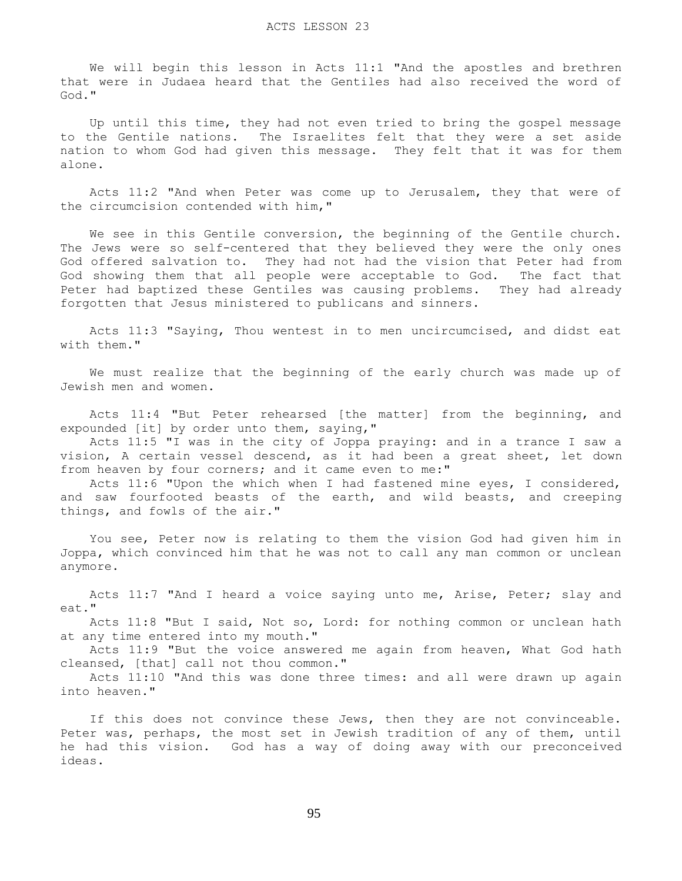We will begin this lesson in Acts 11:1 "And the apostles and brethren that were in Judaea heard that the Gentiles had also received the word of God."

 Up until this time, they had not even tried to bring the gospel message to the Gentile nations. The Israelites felt that they were a set aside nation to whom God had given this message. They felt that it was for them alone.

 Acts 11:2 "And when Peter was come up to Jerusalem, they that were of the circumcision contended with him,"

 We see in this Gentile conversion, the beginning of the Gentile church. The Jews were so self-centered that they believed they were the only ones God offered salvation to. They had not had the vision that Peter had from God showing them that all people were acceptable to God. The fact that Peter had baptized these Gentiles was causing problems. They had already forgotten that Jesus ministered to publicans and sinners.

 Acts 11:3 "Saying, Thou wentest in to men uncircumcised, and didst eat with them."

 We must realize that the beginning of the early church was made up of Jewish men and women.

 Acts 11:4 "But Peter rehearsed [the matter] from the beginning, and expounded [it] by order unto them, saying,"

 Acts 11:5 "I was in the city of Joppa praying: and in a trance I saw a vision, A certain vessel descend, as it had been a great sheet, let down from heaven by four corners; and it came even to me:"

 Acts 11:6 "Upon the which when I had fastened mine eyes, I considered, and saw fourfooted beasts of the earth, and wild beasts, and creeping things, and fowls of the air."

 You see, Peter now is relating to them the vision God had given him in Joppa, which convinced him that he was not to call any man common or unclean anymore.

 Acts 11:7 "And I heard a voice saying unto me, Arise, Peter; slay and eat."

 Acts 11:8 "But I said, Not so, Lord: for nothing common or unclean hath at any time entered into my mouth."

 Acts 11:9 "But the voice answered me again from heaven, What God hath cleansed, [that] call not thou common."

 Acts 11:10 "And this was done three times: and all were drawn up again into heaven."

If this does not convince these Jews, then they are not convinceable. Peter was, perhaps, the most set in Jewish tradition of any of them, until he had this vision. God has a way of doing away with our preconceived ideas.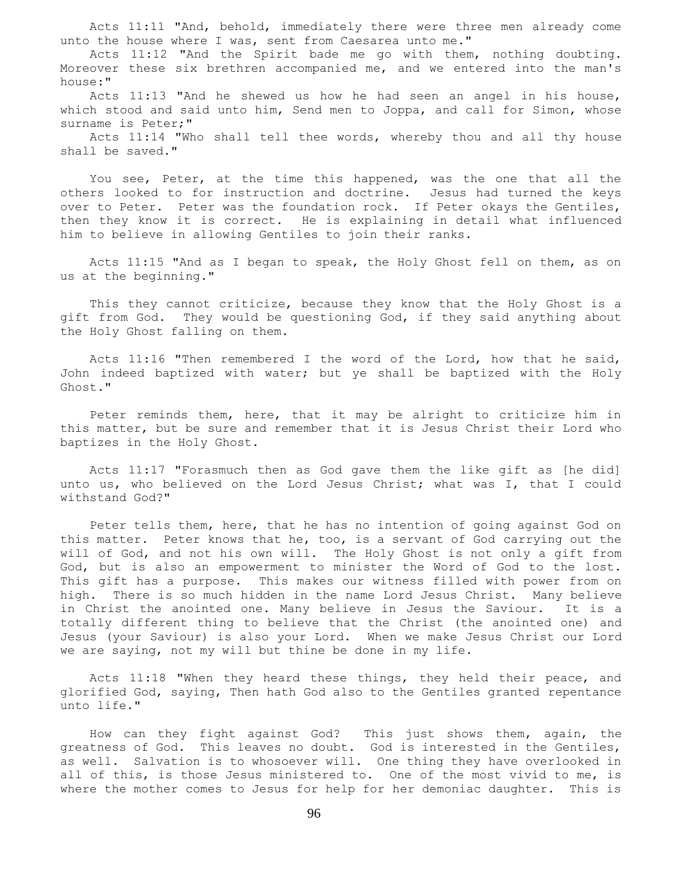Acts 11:11 "And, behold, immediately there were three men already come unto the house where I was, sent from Caesarea unto me."

 Acts 11:12 "And the Spirit bade me go with them, nothing doubting. Moreover these six brethren accompanied me, and we entered into the man's house:"

Acts  $11:13$  "And he shewed us how he had seen an angel in his house, which stood and said unto him, Send men to Joppa, and call for Simon, whose surname is Peter;"

 Acts 11:14 "Who shall tell thee words, whereby thou and all thy house shall be saved."

 You see, Peter, at the time this happened, was the one that all the others looked to for instruction and doctrine. Jesus had turned the keys over to Peter. Peter was the foundation rock. If Peter okays the Gentiles, then they know it is correct. He is explaining in detail what influenced him to believe in allowing Gentiles to join their ranks.

 Acts 11:15 "And as I began to speak, the Holy Ghost fell on them, as on us at the beginning."

 This they cannot criticize, because they know that the Holy Ghost is a gift from God. They would be questioning God, if they said anything about the Holy Ghost falling on them.

 Acts 11:16 "Then remembered I the word of the Lord, how that he said, John indeed baptized with water; but ye shall be baptized with the Holy Ghost."

 Peter reminds them, here, that it may be alright to criticize him in this matter, but be sure and remember that it is Jesus Christ their Lord who baptizes in the Holy Ghost.

 Acts 11:17 "Forasmuch then as God gave them the like gift as [he did] unto us, who believed on the Lord Jesus Christ; what was I, that I could withstand God?"

 Peter tells them, here, that he has no intention of going against God on this matter. Peter knows that he, too, is a servant of God carrying out the will of God, and not his own will. The Holy Ghost is not only a gift from God, but is also an empowerment to minister the Word of God to the lost. This gift has a purpose. This makes our witness filled with power from on high. There is so much hidden in the name Lord Jesus Christ. Many believe in Christ the anointed one. Many believe in Jesus the Saviour. It is a totally different thing to believe that the Christ (the anointed one) and Jesus (your Saviour) is also your Lord. When we make Jesus Christ our Lord we are saying, not my will but thine be done in my life.

Acts 11:18 "When they heard these things, they held their peace, and glorified God, saying, Then hath God also to the Gentiles granted repentance unto life."

 How can they fight against God? This just shows them, again, the greatness of God. This leaves no doubt. God is interested in the Gentiles, as well. Salvation is to whosoever will. One thing they have overlooked in all of this, is those Jesus ministered to. One of the most vivid to me, is where the mother comes to Jesus for help for her demoniac daughter. This is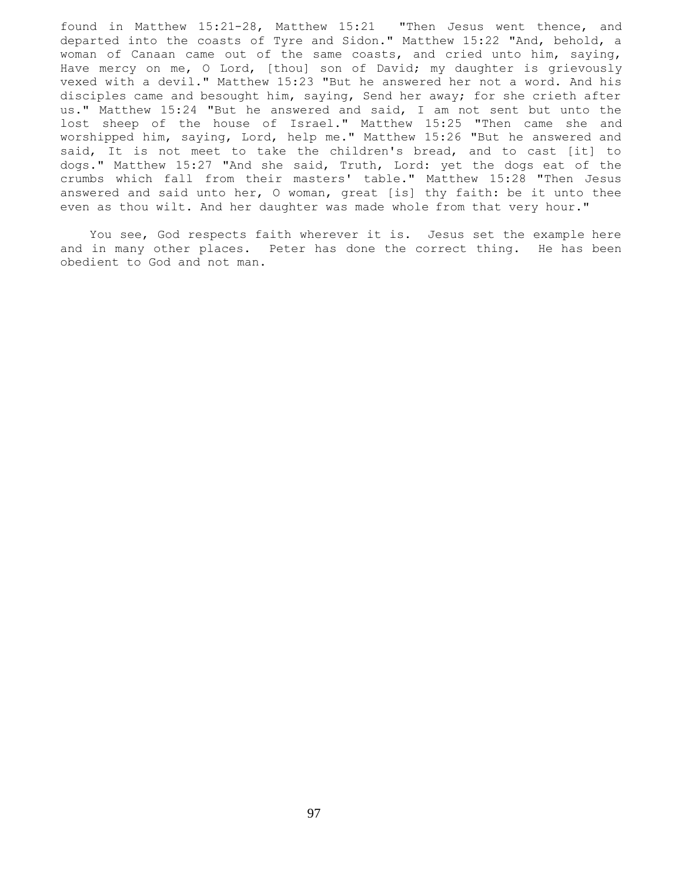found in Matthew 15:21-28, Matthew 15:21 "Then Jesus went thence, and departed into the coasts of Tyre and Sidon." Matthew 15:22 "And, behold, a woman of Canaan came out of the same coasts, and cried unto him, saying, Have mercy on me, O Lord, [thou] son of David; my daughter is grievously vexed with a devil." Matthew 15:23 "But he answered her not a word. And his disciples came and besought him, saying, Send her away; for she crieth after us." Matthew 15:24 "But he answered and said, I am not sent but unto the lost sheep of the house of Israel." Matthew 15:25 "Then came she and worshipped him, saying, Lord, help me." Matthew 15:26 "But he answered and said, It is not meet to take the children's bread, and to cast [it] to dogs." Matthew 15:27 "And she said, Truth, Lord: yet the dogs eat of the crumbs which fall from their masters' table." Matthew 15:28 "Then Jesus answered and said unto her, O woman, great [is] thy faith: be it unto thee even as thou wilt. And her daughter was made whole from that very hour."

 You see, God respects faith wherever it is. Jesus set the example here and in many other places. Peter has done the correct thing. He has been obedient to God and not man.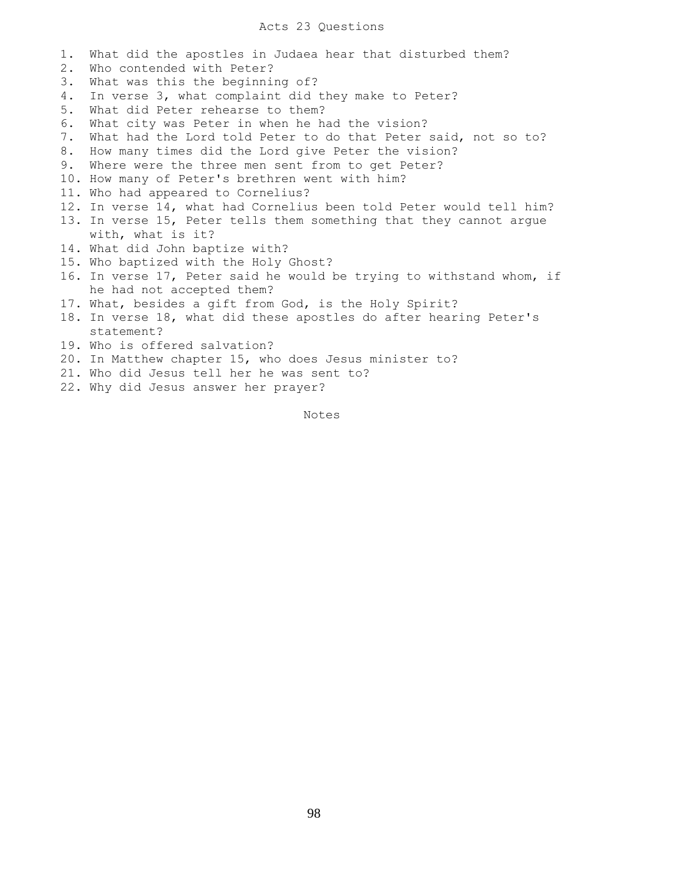## Acts 23 Questions

1. What did the apostles in Judaea hear that disturbed them? 2. Who contended with Peter? 3. What was this the beginning of? 4. In verse 3, what complaint did they make to Peter? 5. What did Peter rehearse to them? 6. What city was Peter in when he had the vision? 7. What had the Lord told Peter to do that Peter said, not so to? 8. How many times did the Lord give Peter the vision? 9. Where were the three men sent from to get Peter? 10. How many of Peter's brethren went with him? 11. Who had appeared to Cornelius? 12. In verse 14, what had Cornelius been told Peter would tell him? 13. In verse 15, Peter tells them something that they cannot argue with, what is it? 14. What did John baptize with? 15. Who baptized with the Holy Ghost? 16. In verse 17, Peter said he would be trying to withstand whom, if he had not accepted them? 17. What, besides a gift from God, is the Holy Spirit? 18. In verse 18, what did these apostles do after hearing Peter's statement? 19. Who is offered salvation? 20. In Matthew chapter 15, who does Jesus minister to?

- 21. Who did Jesus tell her he was sent to?
- 22. Why did Jesus answer her prayer?

Notes Notes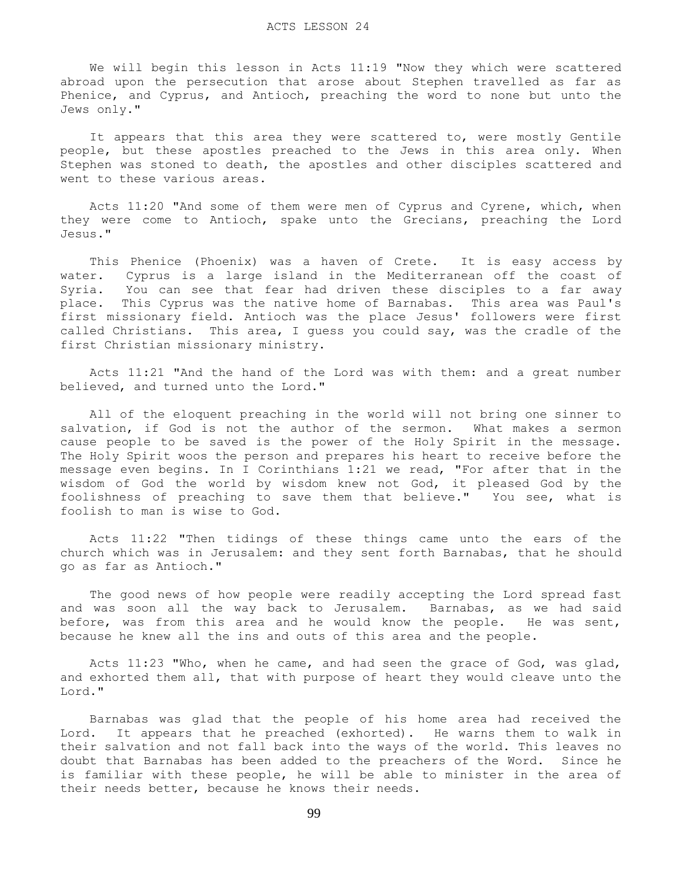We will begin this lesson in Acts 11:19 "Now they which were scattered abroad upon the persecution that arose about Stephen travelled as far as Phenice, and Cyprus, and Antioch, preaching the word to none but unto the Jews only."

 It appears that this area they were scattered to, were mostly Gentile people, but these apostles preached to the Jews in this area only. When Stephen was stoned to death, the apostles and other disciples scattered and went to these various areas.

 Acts 11:20 "And some of them were men of Cyprus and Cyrene, which, when they were come to Antioch, spake unto the Grecians, preaching the Lord Jesus."

 This Phenice (Phoenix) was a haven of Crete. It is easy access by water. Cyprus is a large island in the Mediterranean off the coast of Syria. You can see that fear had driven these disciples to a far away place. This Cyprus was the native home of Barnabas. This area was Paul's first missionary field. Antioch was the place Jesus' followers were first called Christians. This area, I guess you could say, was the cradle of the first Christian missionary ministry.

 Acts 11:21 "And the hand of the Lord was with them: and a great number believed, and turned unto the Lord."

 All of the eloquent preaching in the world will not bring one sinner to salvation, if God is not the author of the sermon. What makes a sermon cause people to be saved is the power of the Holy Spirit in the message. The Holy Spirit woos the person and prepares his heart to receive before the message even begins. In I Corinthians 1:21 we read, "For after that in the wisdom of God the world by wisdom knew not God, it pleased God by the foolishness of preaching to save them that believe." You see, what is foolish to man is wise to God.

 Acts 11:22 "Then tidings of these things came unto the ears of the church which was in Jerusalem: and they sent forth Barnabas, that he should go as far as Antioch."

 The good news of how people were readily accepting the Lord spread fast and was soon all the way back to Jerusalem. Barnabas, as we had said before, was from this area and he would know the people. He was sent, because he knew all the ins and outs of this area and the people.

 Acts 11:23 "Who, when he came, and had seen the grace of God, was glad, and exhorted them all, that with purpose of heart they would cleave unto the Lord."

 Barnabas was glad that the people of his home area had received the Lord. It appears that he preached (exhorted). He warns them to walk in their salvation and not fall back into the ways of the world. This leaves no doubt that Barnabas has been added to the preachers of the Word. Since he is familiar with these people, he will be able to minister in the area of their needs better, because he knows their needs.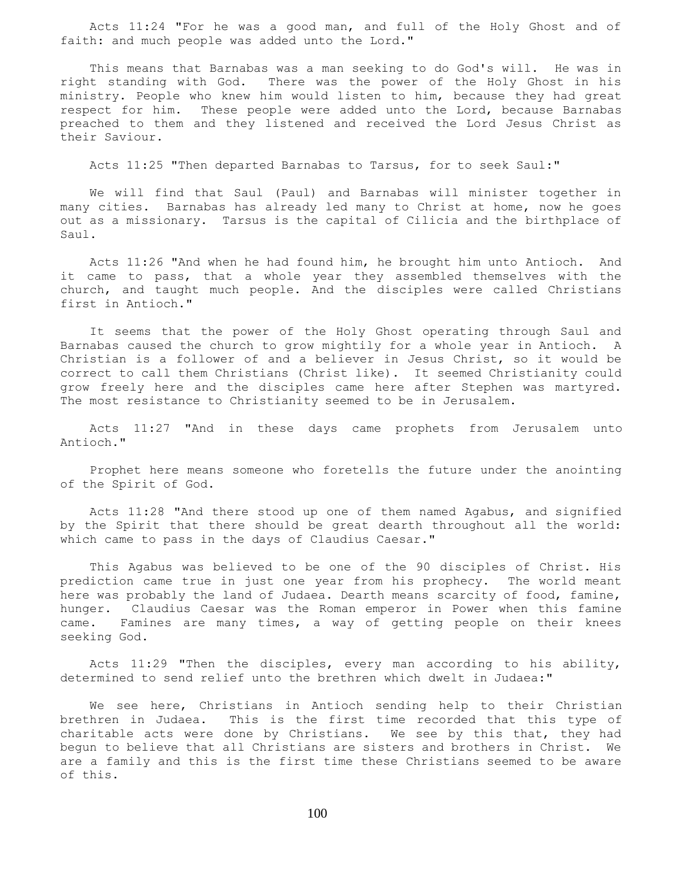Acts 11:24 "For he was a good man, and full of the Holy Ghost and of faith: and much people was added unto the Lord."

 This means that Barnabas was a man seeking to do God's will. He was in right standing with God. There was the power of the Holy Ghost in his ministry. People who knew him would listen to him, because they had great respect for him. These people were added unto the Lord, because Barnabas preached to them and they listened and received the Lord Jesus Christ as their Saviour.

Acts 11:25 "Then departed Barnabas to Tarsus, for to seek Saul:"

 We will find that Saul (Paul) and Barnabas will minister together in many cities. Barnabas has already led many to Christ at home, now he goes out as a missionary. Tarsus is the capital of Cilicia and the birthplace of Saul.

 Acts 11:26 "And when he had found him, he brought him unto Antioch. And it came to pass, that a whole year they assembled themselves with the church, and taught much people. And the disciples were called Christians first in Antioch."

 It seems that the power of the Holy Ghost operating through Saul and Barnabas caused the church to grow mightily for a whole year in Antioch. A Christian is a follower of and a believer in Jesus Christ, so it would be correct to call them Christians (Christ like). It seemed Christianity could grow freely here and the disciples came here after Stephen was martyred. The most resistance to Christianity seemed to be in Jerusalem.

 Acts 11:27 "And in these days came prophets from Jerusalem unto Antioch."

 Prophet here means someone who foretells the future under the anointing of the Spirit of God.

 Acts 11:28 "And there stood up one of them named Agabus, and signified by the Spirit that there should be great dearth throughout all the world: which came to pass in the days of Claudius Caesar."

 This Agabus was believed to be one of the 90 disciples of Christ. His prediction came true in just one year from his prophecy. The world meant here was probably the land of Judaea. Dearth means scarcity of food, famine, hunger. Claudius Caesar was the Roman emperor in Power when this famine came. Famines are many times, a way of getting people on their knees seeking God.

 Acts 11:29 "Then the disciples, every man according to his ability, determined to send relief unto the brethren which dwelt in Judaea:"

 We see here, Christians in Antioch sending help to their Christian brethren in Judaea. This is the first time recorded that this type of charitable acts were done by Christians. We see by this that, they had begun to believe that all Christians are sisters and brothers in Christ. We are a family and this is the first time these Christians seemed to be aware of this.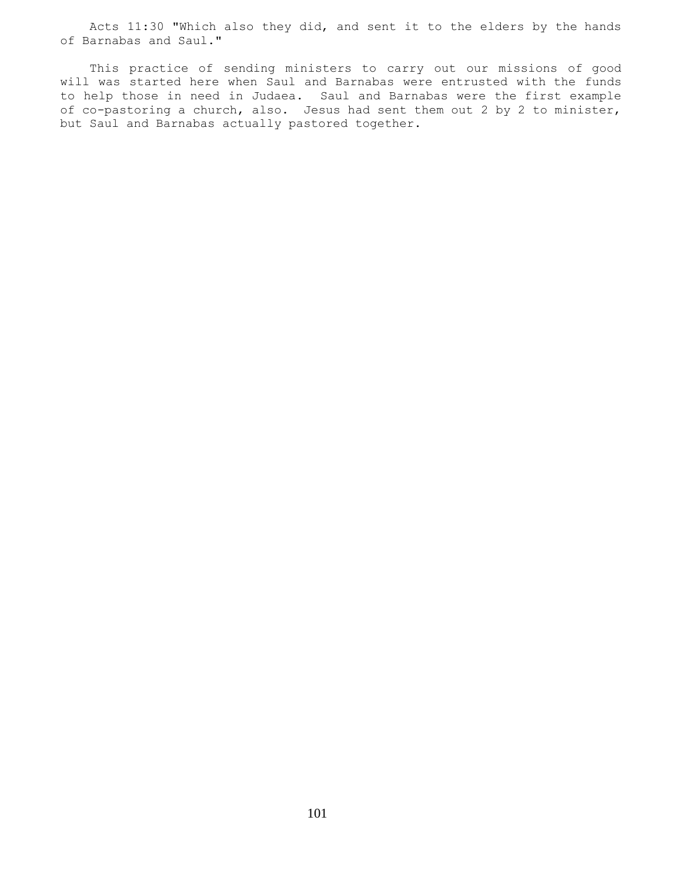Acts 11:30 "Which also they did, and sent it to the elders by the hands of Barnabas and Saul."

 This practice of sending ministers to carry out our missions of good will was started here when Saul and Barnabas were entrusted with the funds to help those in need in Judaea. Saul and Barnabas were the first example of co-pastoring a church, also. Jesus had sent them out 2 by 2 to minister, but Saul and Barnabas actually pastored together.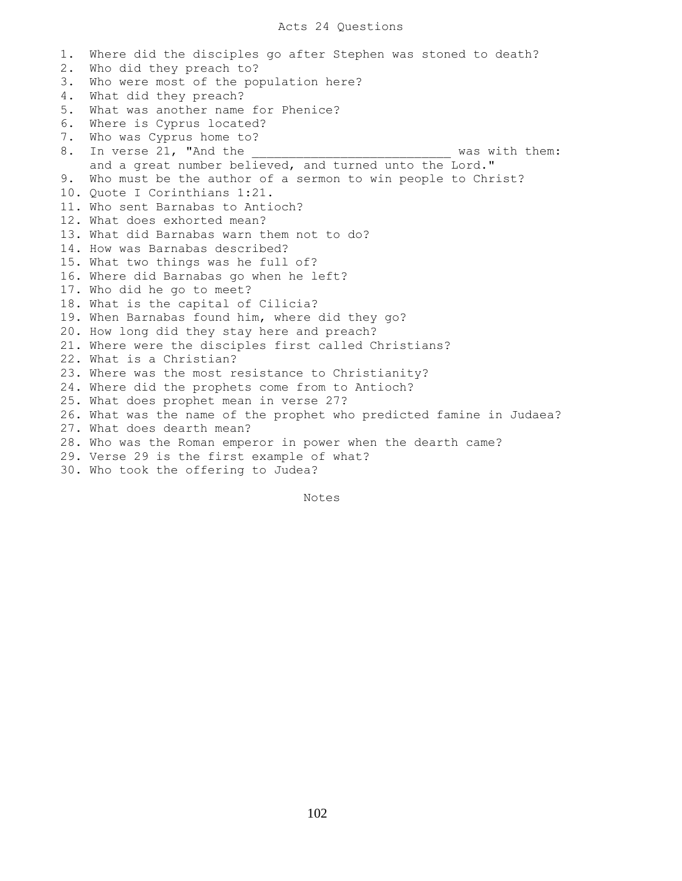## Acts 24 Questions

1. Where did the disciples go after Stephen was stoned to death? 2. Who did they preach to? 3. Who were most of the population here? 4. What did they preach? 5. What was another name for Phenice? 6. Where is Cyprus located? 7. Who was Cyprus home to? 8. In verse 21, "And the the same was with them: and a great number believed, and turned unto the Lord." 9. Who must be the author of a sermon to win people to Christ? 10. Quote I Corinthians 1:21. 11. Who sent Barnabas to Antioch? 12. What does exhorted mean? 13. What did Barnabas warn them not to do? 14. How was Barnabas described? 15. What two things was he full of? 16. Where did Barnabas go when he left? 17. Who did he go to meet? 18. What is the capital of Cilicia? 19. When Barnabas found him, where did they go? 20. How long did they stay here and preach? 21. Where were the disciples first called Christians? 22. What is a Christian? 23. Where was the most resistance to Christianity? 24. Where did the prophets come from to Antioch? 25. What does prophet mean in verse 27? 26. What was the name of the prophet who predicted famine in Judaea? 27. What does dearth mean? 28. Who was the Roman emperor in power when the dearth came? 29. Verse 29 is the first example of what? 30. Who took the offering to Judea?

Notes Notes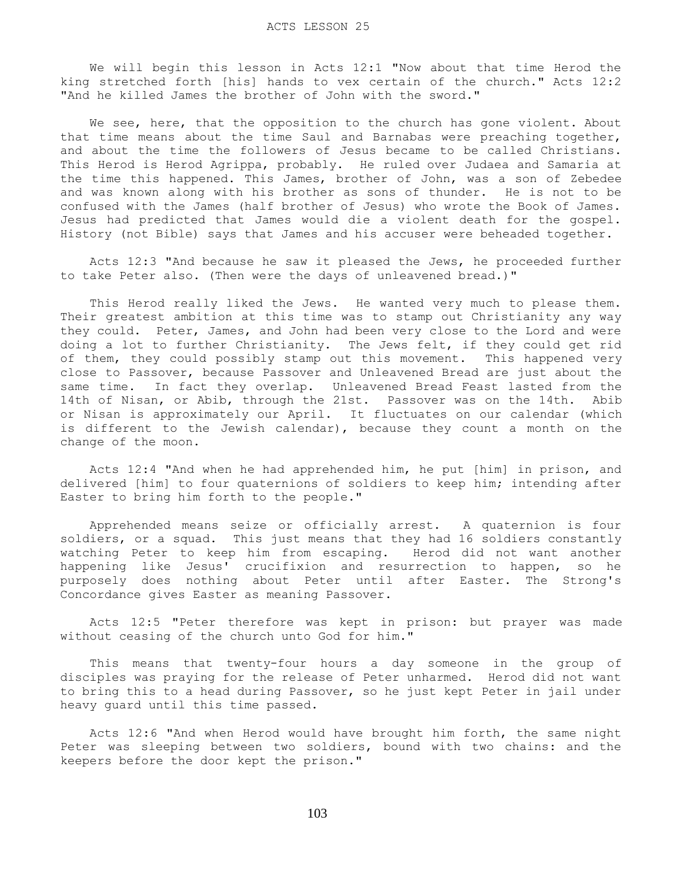We will begin this lesson in Acts 12:1 "Now about that time Herod the king stretched forth [his] hands to vex certain of the church." Acts 12:2 "And he killed James the brother of John with the sword."

We see, here, that the opposition to the church has gone violent. About that time means about the time Saul and Barnabas were preaching together, and about the time the followers of Jesus became to be called Christians. This Herod is Herod Agrippa, probably. He ruled over Judaea and Samaria at the time this happened. This James, brother of John, was a son of Zebedee and was known along with his brother as sons of thunder. He is not to be confused with the James (half brother of Jesus) who wrote the Book of James. Jesus had predicted that James would die a violent death for the gospel. History (not Bible) says that James and his accuser were beheaded together.

 Acts 12:3 "And because he saw it pleased the Jews, he proceeded further to take Peter also. (Then were the days of unleavened bread.)"

This Herod really liked the Jews. He wanted very much to please them. Their greatest ambition at this time was to stamp out Christianity any way they could. Peter, James, and John had been very close to the Lord and were doing a lot to further Christianity. The Jews felt, if they could get rid of them, they could possibly stamp out this movement. This happened very close to Passover, because Passover and Unleavened Bread are just about the same time. In fact they overlap. Unleavened Bread Feast lasted from the 14th of Nisan, or Abib, through the 21st. Passover was on the 14th. Abib or Nisan is approximately our April. It fluctuates on our calendar (which is different to the Jewish calendar), because they count a month on the change of the moon.

 Acts 12:4 "And when he had apprehended him, he put [him] in prison, and delivered [him] to four quaternions of soldiers to keep him; intending after Easter to bring him forth to the people."

 Apprehended means seize or officially arrest. A quaternion is four soldiers, or a squad. This just means that they had 16 soldiers constantly watching Peter to keep him from escaping. Herod did not want another happening like Jesus' crucifixion and resurrection to happen, so he purposely does nothing about Peter until after Easter. The Strong's Concordance gives Easter as meaning Passover.

 Acts 12:5 "Peter therefore was kept in prison: but prayer was made without ceasing of the church unto God for him."

 This means that twenty-four hours a day someone in the group of disciples was praying for the release of Peter unharmed. Herod did not want to bring this to a head during Passover, so he just kept Peter in jail under heavy guard until this time passed.

 Acts 12:6 "And when Herod would have brought him forth, the same night Peter was sleeping between two soldiers, bound with two chains: and the keepers before the door kept the prison."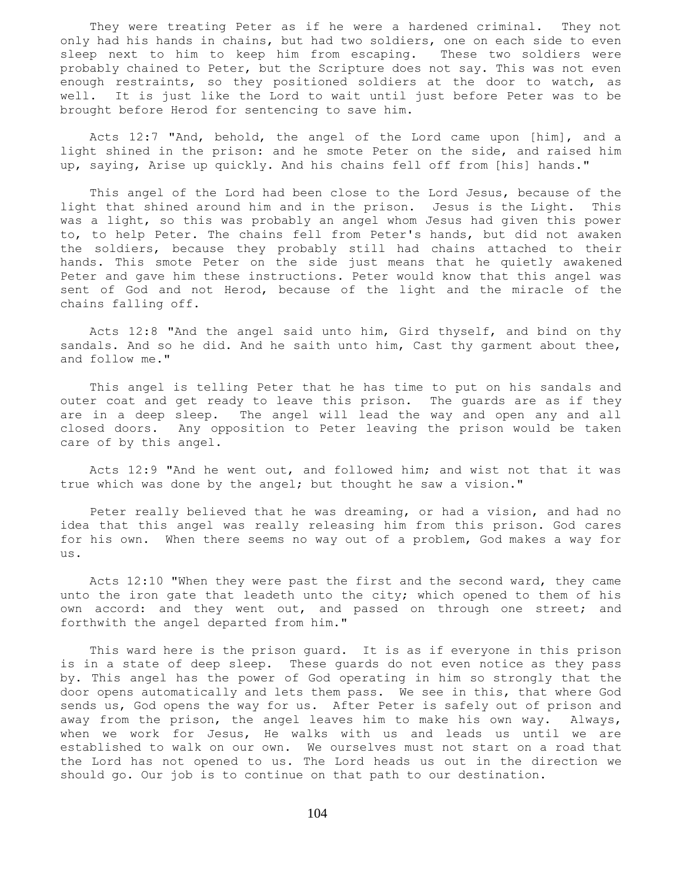They were treating Peter as if he were a hardened criminal. They not only had his hands in chains, but had two soldiers, one on each side to even sleep next to him to keep him from escaping. These two soldiers were probably chained to Peter, but the Scripture does not say. This was not even enough restraints, so they positioned soldiers at the door to watch, as well. It is just like the Lord to wait until just before Peter was to be brought before Herod for sentencing to save him.

 Acts 12:7 "And, behold, the angel of the Lord came upon [him], and a light shined in the prison: and he smote Peter on the side, and raised him up, saying, Arise up quickly. And his chains fell off from [his] hands."

 This angel of the Lord had been close to the Lord Jesus, because of the light that shined around him and in the prison. Jesus is the Light. This was a light, so this was probably an angel whom Jesus had given this power to, to help Peter. The chains fell from Peter's hands, but did not awaken the soldiers, because they probably still had chains attached to their hands. This smote Peter on the side just means that he quietly awakened Peter and gave him these instructions. Peter would know that this angel was sent of God and not Herod, because of the light and the miracle of the chains falling off.

 Acts 12:8 "And the angel said unto him, Gird thyself, and bind on thy sandals. And so he did. And he saith unto him, Cast thy garment about thee, and follow me."

 This angel is telling Peter that he has time to put on his sandals and outer coat and get ready to leave this prison. The guards are as if they are in a deep sleep. The angel will lead the way and open any and all closed doors. Any opposition to Peter leaving the prison would be taken care of by this angel.

 Acts 12:9 "And he went out, and followed him; and wist not that it was true which was done by the angel; but thought he saw a vision."

 Peter really believed that he was dreaming, or had a vision, and had no idea that this angel was really releasing him from this prison. God cares for his own. When there seems no way out of a problem, God makes a way for us.

 Acts 12:10 "When they were past the first and the second ward, they came unto the iron gate that leadeth unto the city; which opened to them of his own accord: and they went out, and passed on through one street; and forthwith the angel departed from him."

 This ward here is the prison guard. It is as if everyone in this prison is in a state of deep sleep. These guards do not even notice as they pass by. This angel has the power of God operating in him so strongly that the door opens automatically and lets them pass. We see in this, that where God sends us, God opens the way for us. After Peter is safely out of prison and away from the prison, the angel leaves him to make his own way. Always, when we work for Jesus, He walks with us and leads us until we are established to walk on our own. We ourselves must not start on a road that the Lord has not opened to us. The Lord heads us out in the direction we should go. Our job is to continue on that path to our destination.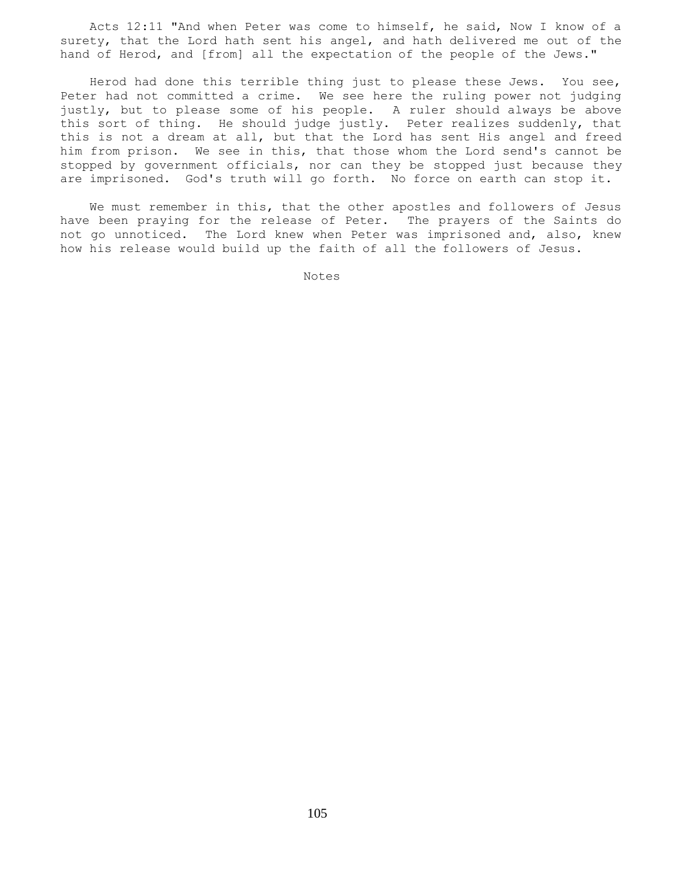Acts 12:11 "And when Peter was come to himself, he said, Now I know of a surety, that the Lord hath sent his angel, and hath delivered me out of the hand of Herod, and [from] all the expectation of the people of the Jews."

 Herod had done this terrible thing just to please these Jews. You see, Peter had not committed a crime. We see here the ruling power not judging justly, but to please some of his people. A ruler should always be above this sort of thing. He should judge justly. Peter realizes suddenly, that this is not a dream at all, but that the Lord has sent His angel and freed him from prison. We see in this, that those whom the Lord send's cannot be stopped by government officials, nor can they be stopped just because they are imprisoned. God's truth will go forth. No force on earth can stop it.

 We must remember in this, that the other apostles and followers of Jesus have been praying for the release of Peter. The prayers of the Saints do not go unnoticed. The Lord knew when Peter was imprisoned and, also, knew how his release would build up the faith of all the followers of Jesus.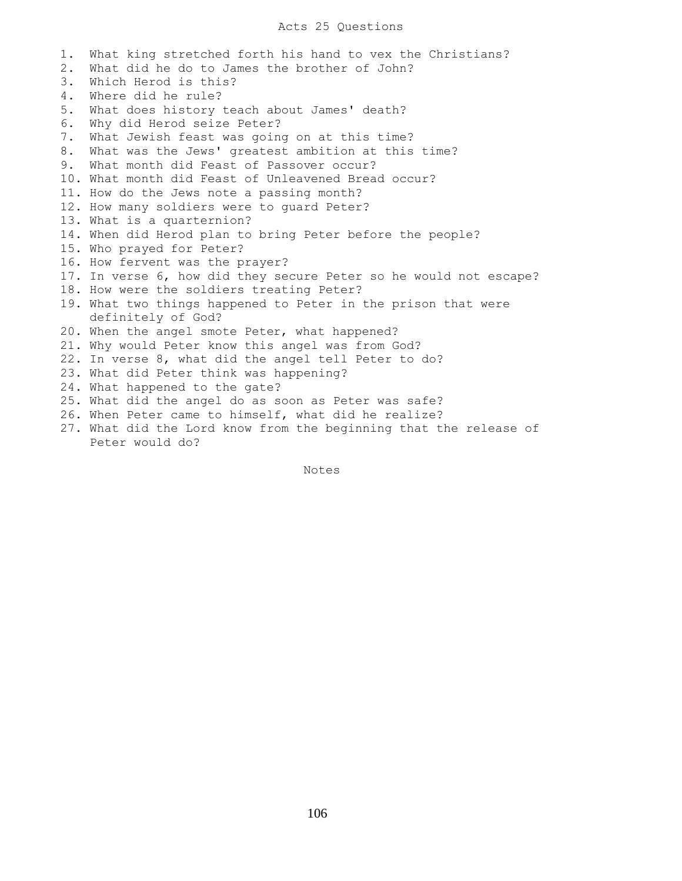# Acts 25 Questions

1. What king stretched forth his hand to vex the Christians? 2. What did he do to James the brother of John? 3. Which Herod is this? 4. Where did he rule? 5. What does history teach about James' death? 6. Why did Herod seize Peter? 7. What Jewish feast was going on at this time? 8. What was the Jews' greatest ambition at this time? 9. What month did Feast of Passover occur? 10. What month did Feast of Unleavened Bread occur? 11. How do the Jews note a passing month? 12. How many soldiers were to guard Peter? 13. What is a quarternion? 14. When did Herod plan to bring Peter before the people? 15. Who prayed for Peter? 16. How fervent was the prayer? 17. In verse 6, how did they secure Peter so he would not escape? 18. How were the soldiers treating Peter? 19. What two things happened to Peter in the prison that were definitely of God? 20. When the angel smote Peter, what happened? 21. Why would Peter know this angel was from God? 22. In verse 8, what did the angel tell Peter to do? 23. What did Peter think was happening? 24. What happened to the gate? 25. What did the angel do as soon as Peter was safe? 26. When Peter came to himself, what did he realize? 27. What did the Lord know from the beginning that the release of Peter would do?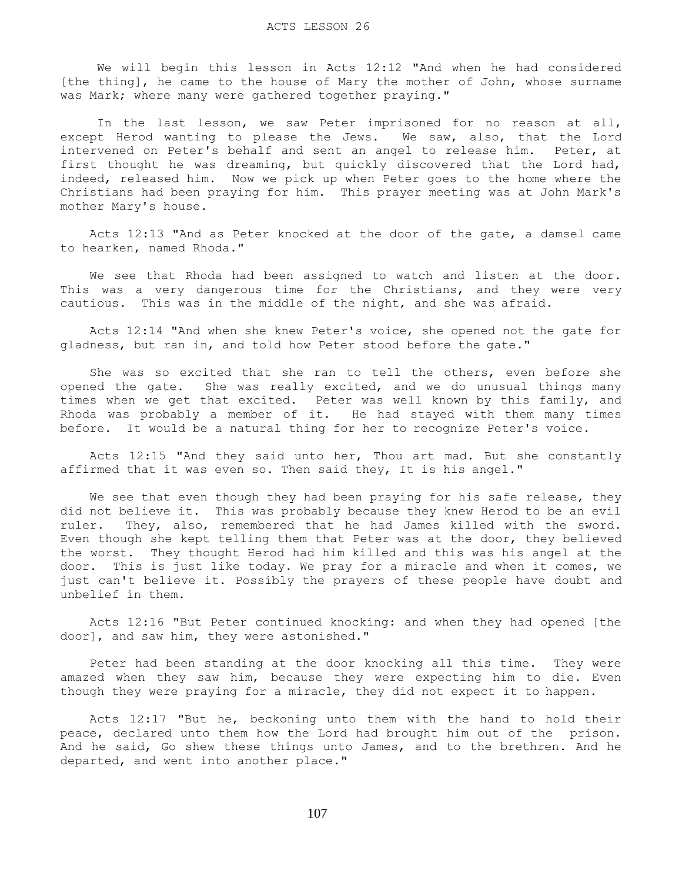We will begin this lesson in Acts 12:12 "And when he had considered [the thing], he came to the house of Mary the mother of John, whose surname was Mark; where many were gathered together praying."

 In the last lesson, we saw Peter imprisoned for no reason at all, except Herod wanting to please the Jews. We saw, also, that the Lord intervened on Peter's behalf and sent an angel to release him. Peter, at first thought he was dreaming, but quickly discovered that the Lord had, indeed, released him. Now we pick up when Peter goes to the home where the Christians had been praying for him. This prayer meeting was at John Mark's mother Mary's house.

 Acts 12:13 "And as Peter knocked at the door of the gate, a damsel came to hearken, named Rhoda."

 We see that Rhoda had been assigned to watch and listen at the door. This was a very dangerous time for the Christians, and they were very cautious. This was in the middle of the night, and she was afraid.

 Acts 12:14 "And when she knew Peter's voice, she opened not the gate for gladness, but ran in, and told how Peter stood before the gate."

 She was so excited that she ran to tell the others, even before she opened the gate. She was really excited, and we do unusual things many times when we get that excited. Peter was well known by this family, and Rhoda was probably a member of it. He had stayed with them many times before. It would be a natural thing for her to recognize Peter's voice.

 Acts 12:15 "And they said unto her, Thou art mad. But she constantly affirmed that it was even so. Then said they, It is his angel."

We see that even though they had been praying for his safe release, they did not believe it. This was probably because they knew Herod to be an evil ruler. They, also, remembered that he had James killed with the sword. Even though she kept telling them that Peter was at the door, they believed the worst. They thought Herod had him killed and this was his angel at the door. This is just like today. We pray for a miracle and when it comes, we just can't believe it. Possibly the prayers of these people have doubt and unbelief in them.

 Acts 12:16 "But Peter continued knocking: and when they had opened [the door], and saw him, they were astonished."

 Peter had been standing at the door knocking all this time. They were amazed when they saw him, because they were expecting him to die. Even though they were praying for a miracle, they did not expect it to happen.

 Acts 12:17 "But he, beckoning unto them with the hand to hold their peace, declared unto them how the Lord had brought him out of the prison. And he said, Go shew these things unto James, and to the brethren. And he departed, and went into another place."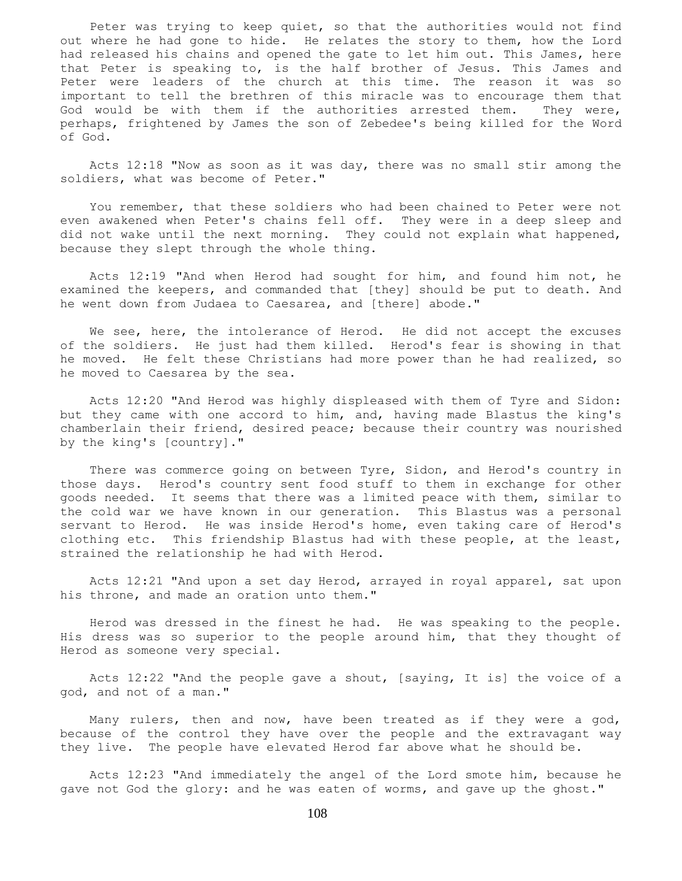Peter was trying to keep quiet, so that the authorities would not find out where he had gone to hide. He relates the story to them, how the Lord had released his chains and opened the gate to let him out. This James, here that Peter is speaking to, is the half brother of Jesus. This James and Peter were leaders of the church at this time. The reason it was so important to tell the brethren of this miracle was to encourage them that God would be with them if the authorities arrested them. They were, perhaps, frightened by James the son of Zebedee's being killed for the Word of God.

 Acts 12:18 "Now as soon as it was day, there was no small stir among the soldiers, what was become of Peter."

 You remember, that these soldiers who had been chained to Peter were not even awakened when Peter's chains fell off. They were in a deep sleep and did not wake until the next morning. They could not explain what happened, because they slept through the whole thing.

 Acts 12:19 "And when Herod had sought for him, and found him not, he examined the keepers, and commanded that [they] should be put to death. And he went down from Judaea to Caesarea, and [there] abode."

We see, here, the intolerance of Herod. He did not accept the excuses of the soldiers. He just had them killed. Herod's fear is showing in that he moved. He felt these Christians had more power than he had realized, so he moved to Caesarea by the sea.

 Acts 12:20 "And Herod was highly displeased with them of Tyre and Sidon: but they came with one accord to him, and, having made Blastus the king's chamberlain their friend, desired peace; because their country was nourished by the king's [country]."

 There was commerce going on between Tyre, Sidon, and Herod's country in those days. Herod's country sent food stuff to them in exchange for other goods needed. It seems that there was a limited peace with them, similar to the cold war we have known in our generation. This Blastus was a personal servant to Herod. He was inside Herod's home, even taking care of Herod's clothing etc. This friendship Blastus had with these people, at the least, strained the relationship he had with Herod.

 Acts 12:21 "And upon a set day Herod, arrayed in royal apparel, sat upon his throne, and made an oration unto them."

 Herod was dressed in the finest he had. He was speaking to the people. His dress was so superior to the people around him, that they thought of Herod as someone very special.

 Acts 12:22 "And the people gave a shout, [saying, It is] the voice of a god, and not of a man."

 Many rulers, then and now, have been treated as if they were a god, because of the control they have over the people and the extravagant way they live. The people have elevated Herod far above what he should be.

 Acts 12:23 "And immediately the angel of the Lord smote him, because he gave not God the glory: and he was eaten of worms, and gave up the ghost."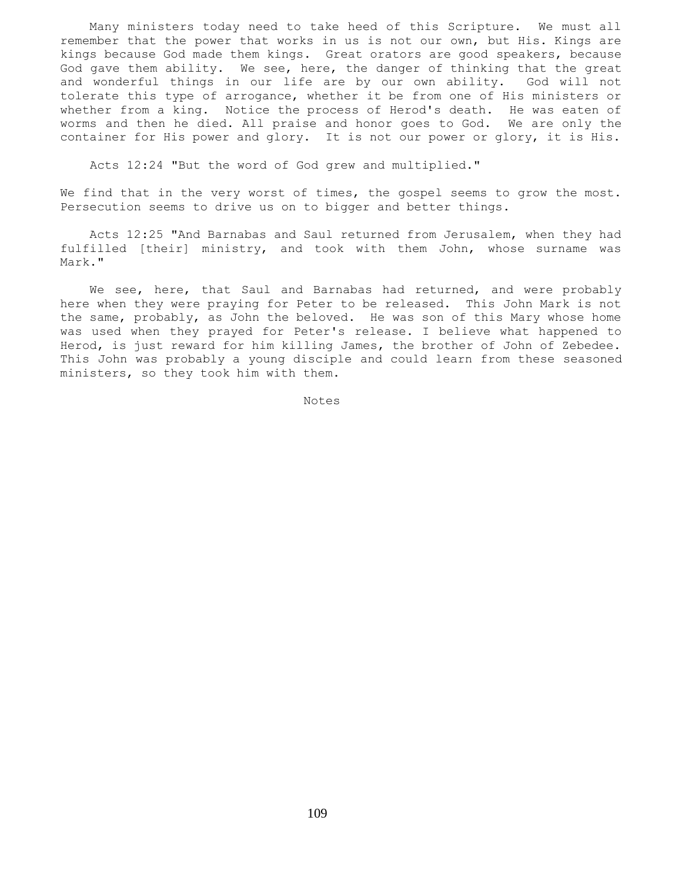Many ministers today need to take heed of this Scripture. We must all remember that the power that works in us is not our own, but His. Kings are kings because God made them kings. Great orators are good speakers, because God gave them ability. We see, here, the danger of thinking that the great and wonderful things in our life are by our own ability. God will not tolerate this type of arrogance, whether it be from one of His ministers or whether from a king. Notice the process of Herod's death. He was eaten of worms and then he died. All praise and honor goes to God. We are only the container for His power and glory. It is not our power or glory, it is His.

Acts 12:24 "But the word of God grew and multiplied."

We find that in the very worst of times, the gospel seems to grow the most. Persecution seems to drive us on to bigger and better things.

 Acts 12:25 "And Barnabas and Saul returned from Jerusalem, when they had fulfilled [their] ministry, and took with them John, whose surname was Mark."

 We see, here, that Saul and Barnabas had returned, and were probably here when they were praying for Peter to be released. This John Mark is not the same, probably, as John the beloved. He was son of this Mary whose home was used when they prayed for Peter's release. I believe what happened to Herod, is just reward for him killing James, the brother of John of Zebedee. This John was probably a young disciple and could learn from these seasoned ministers, so they took him with them.

Notes Notes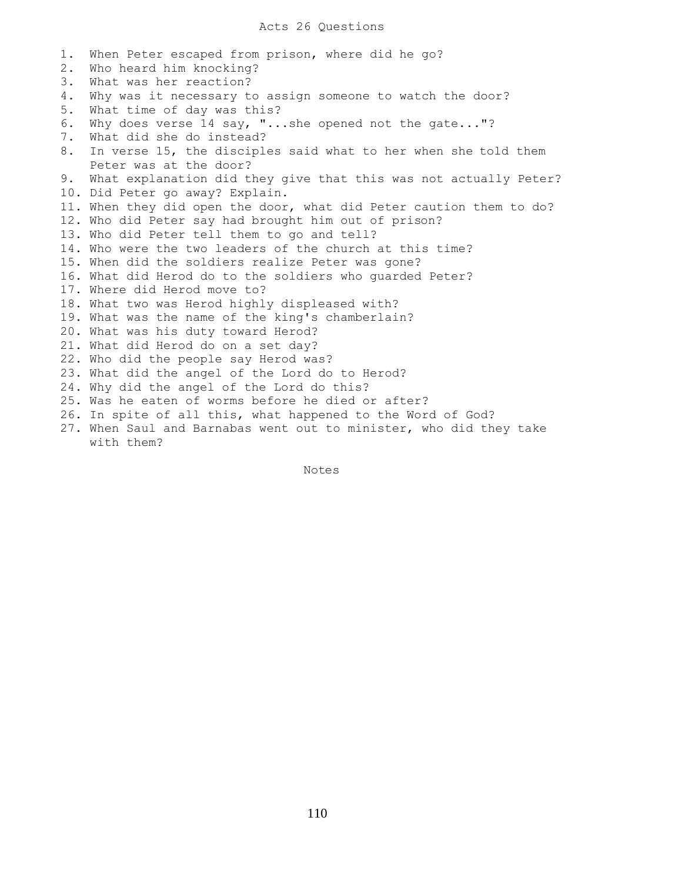## Acts 26 Questions

1. When Peter escaped from prison, where did he go? 2. Who heard him knocking? 3. What was her reaction? 4. Why was it necessary to assign someone to watch the door? 5. What time of day was this? 6. Why does verse 14 say, "...she opened not the gate..."? 7. What did she do instead? 8. In verse 15, the disciples said what to her when she told them Peter was at the door? 9. What explanation did they give that this was not actually Peter? 10. Did Peter go away? Explain. 11. When they did open the door, what did Peter caution them to do? 12. Who did Peter say had brought him out of prison? 13. Who did Peter tell them to go and tell? 14. Who were the two leaders of the church at this time? 15. When did the soldiers realize Peter was gone? 16. What did Herod do to the soldiers who guarded Peter? 17. Where did Herod move to? 18. What two was Herod highly displeased with? 19. What was the name of the king's chamberlain? 20. What was his duty toward Herod? 21. What did Herod do on a set day? 22. Who did the people say Herod was? 23. What did the angel of the Lord do to Herod? 24. Why did the angel of the Lord do this? 25. Was he eaten of worms before he died or after? 26. In spite of all this, what happened to the Word of God? 27. When Saul and Barnabas went out to minister, who did they take with them?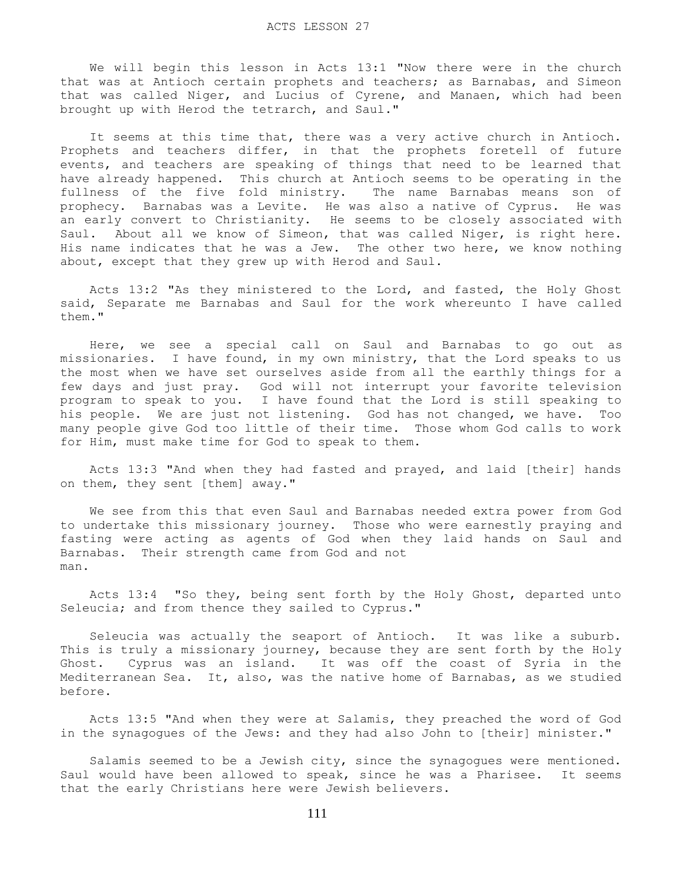We will begin this lesson in Acts 13:1 "Now there were in the church that was at Antioch certain prophets and teachers; as Barnabas, and Simeon that was called Niger, and Lucius of Cyrene, and Manaen, which had been brought up with Herod the tetrarch, and Saul."

It seems at this time that, there was a very active church in Antioch. Prophets and teachers differ, in that the prophets foretell of future events, and teachers are speaking of things that need to be learned that have already happened. This church at Antioch seems to be operating in the fullness of the five fold ministry. The name Barnabas means son of prophecy. Barnabas was a Levite. He was also a native of Cyprus. He was an early convert to Christianity. He seems to be closely associated with Saul. About all we know of Simeon, that was called Niger, is right here. His name indicates that he was a Jew. The other two here, we know nothing about, except that they grew up with Herod and Saul.

 Acts 13:2 "As they ministered to the Lord, and fasted, the Holy Ghost said, Separate me Barnabas and Saul for the work whereunto I have called them."

 Here, we see a special call on Saul and Barnabas to go out as missionaries. I have found, in my own ministry, that the Lord speaks to us the most when we have set ourselves aside from all the earthly things for a few days and just pray. God will not interrupt your favorite television program to speak to you. I have found that the Lord is still speaking to his people. We are just not listening. God has not changed, we have. Too many people give God too little of their time. Those whom God calls to work for Him, must make time for God to speak to them.

 Acts 13:3 "And when they had fasted and prayed, and laid [their] hands on them, they sent [them] away."

 We see from this that even Saul and Barnabas needed extra power from God to undertake this missionary journey. Those who were earnestly praying and fasting were acting as agents of God when they laid hands on Saul and Barnabas. Their strength came from God and not man.

 Acts 13:4 "So they, being sent forth by the Holy Ghost, departed unto Seleucia; and from thence they sailed to Cyprus."

 Seleucia was actually the seaport of Antioch. It was like a suburb. This is truly a missionary journey, because they are sent forth by the Holy Ghost. Cyprus was an island. It was off the coast of Syria in the Mediterranean Sea. It, also, was the native home of Barnabas, as we studied before.

 Acts 13:5 "And when they were at Salamis, they preached the word of God in the synagogues of the Jews: and they had also John to [their] minister."

 Salamis seemed to be a Jewish city, since the synagogues were mentioned. Saul would have been allowed to speak, since he was a Pharisee. It seems that the early Christians here were Jewish believers.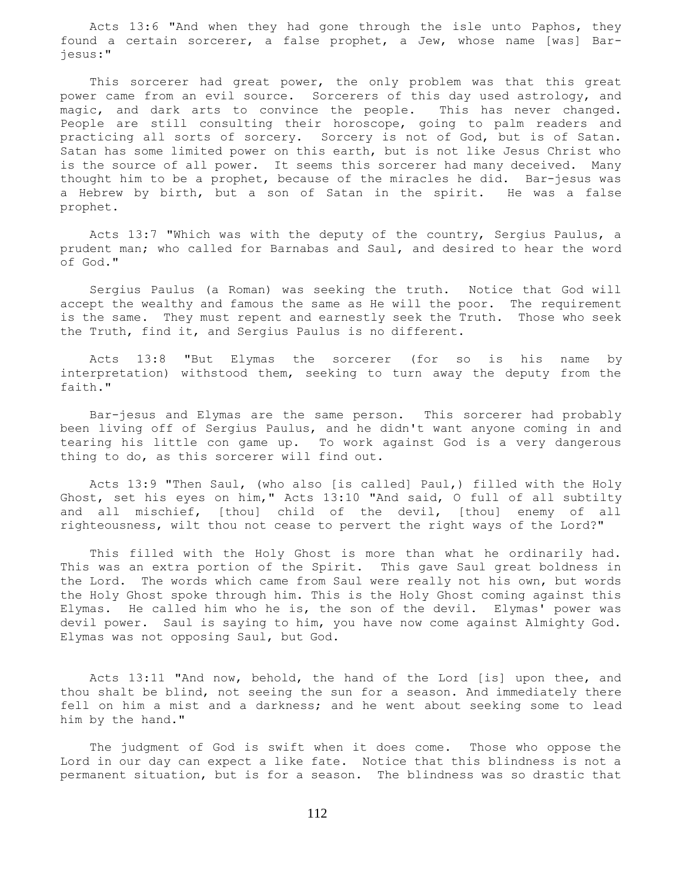Acts 13:6 "And when they had gone through the isle unto Paphos, they found a certain sorcerer, a false prophet, a Jew, whose name [was] Barjesus:"

This sorcerer had great power, the only problem was that this great power came from an evil source. Sorcerers of this day used astrology, and magic, and dark arts to convince the people. This has never changed. People are still consulting their horoscope, going to palm readers and practicing all sorts of sorcery. Sorcery is not of God, but is of Satan. Satan has some limited power on this earth, but is not like Jesus Christ who is the source of all power. It seems this sorcerer had many deceived. Many thought him to be a prophet, because of the miracles he did. Bar-jesus was a Hebrew by birth, but a son of Satan in the spirit. He was a false prophet.

 Acts 13:7 "Which was with the deputy of the country, Sergius Paulus, a prudent man; who called for Barnabas and Saul, and desired to hear the word of God."

 Sergius Paulus (a Roman) was seeking the truth. Notice that God will accept the wealthy and famous the same as He will the poor. The requirement is the same. They must repent and earnestly seek the Truth. Those who seek the Truth, find it, and Sergius Paulus is no different.

 Acts 13:8 "But Elymas the sorcerer (for so is his name by interpretation) withstood them, seeking to turn away the deputy from the faith."

 Bar-jesus and Elymas are the same person. This sorcerer had probably been living off of Sergius Paulus, and he didn't want anyone coming in and tearing his little con game up. To work against God is a very dangerous thing to do, as this sorcerer will find out.

 Acts 13:9 "Then Saul, (who also [is called] Paul,) filled with the Holy Ghost, set his eyes on him," Acts 13:10 "And said, O full of all subtilty and all mischief, [thou] child of the devil, [thou] enemy of all righteousness, wilt thou not cease to pervert the right ways of the Lord?"

 This filled with the Holy Ghost is more than what he ordinarily had. This was an extra portion of the Spirit. This gave Saul great boldness in the Lord. The words which came from Saul were really not his own, but words the Holy Ghost spoke through him. This is the Holy Ghost coming against this Elymas. He called him who he is, the son of the devil. Elymas' power was devil power. Saul is saying to him, you have now come against Almighty God. Elymas was not opposing Saul, but God.

 Acts 13:11 "And now, behold, the hand of the Lord [is] upon thee, and thou shalt be blind, not seeing the sun for a season. And immediately there fell on him a mist and a darkness; and he went about seeking some to lead him by the hand."

 The judgment of God is swift when it does come. Those who oppose the Lord in our day can expect a like fate. Notice that this blindness is not a permanent situation, but is for a season. The blindness was so drastic that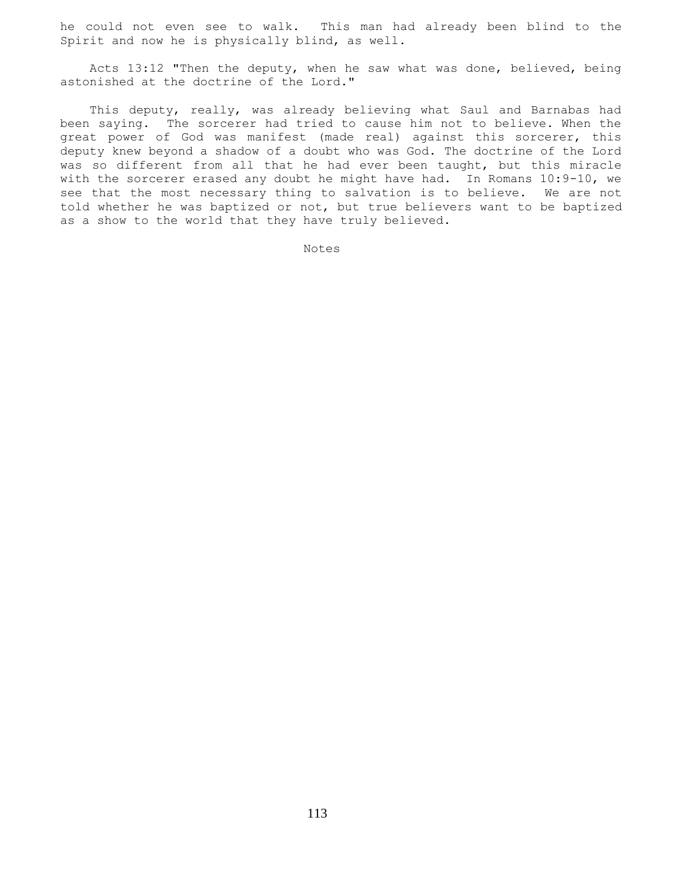he could not even see to walk. This man had already been blind to the Spirit and now he is physically blind, as well.

 Acts 13:12 "Then the deputy, when he saw what was done, believed, being astonished at the doctrine of the Lord."

 This deputy, really, was already believing what Saul and Barnabas had been saying. The sorcerer had tried to cause him not to believe. When the great power of God was manifest (made real) against this sorcerer, this deputy knew beyond a shadow of a doubt who was God. The doctrine of the Lord was so different from all that he had ever been taught, but this miracle with the sorcerer erased any doubt he might have had. In Romans 10:9-10, we see that the most necessary thing to salvation is to believe. We are not told whether he was baptized or not, but true believers want to be baptized as a show to the world that they have truly believed.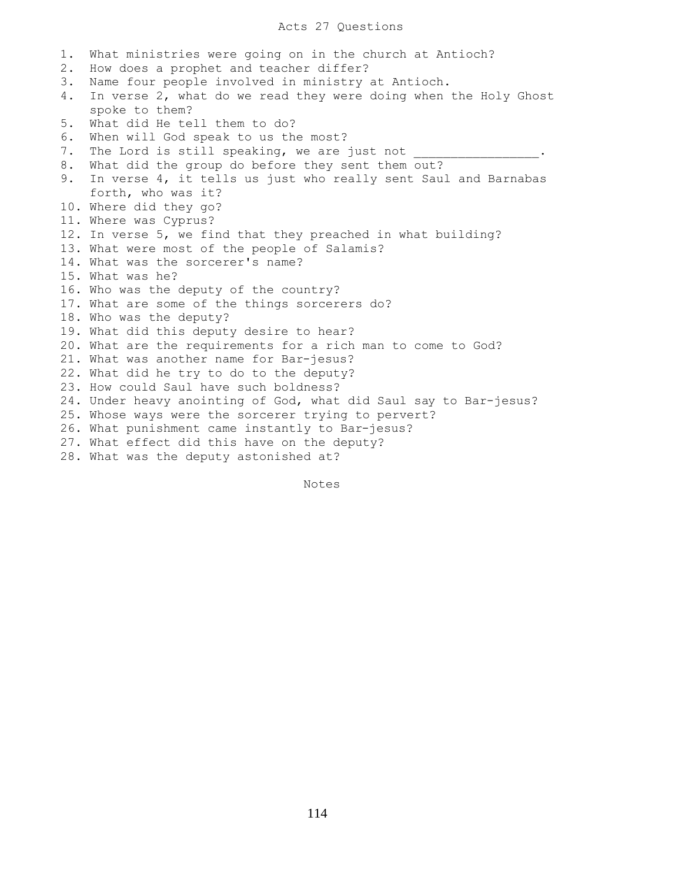# Acts 27 Questions

1. What ministries were going on in the church at Antioch? 2. How does a prophet and teacher differ? 3. Name four people involved in ministry at Antioch. 4. In verse 2, what do we read they were doing when the Holy Ghost spoke to them? 5. What did He tell them to do? 6. When will God speak to us the most? 7. The Lord is still speaking, we are just not 8. What did the group do before they sent them out? 9. In verse 4, it tells us just who really sent Saul and Barnabas forth, who was it? 10. Where did they go? 11. Where was Cyprus? 12. In verse 5, we find that they preached in what building? 13. What were most of the people of Salamis? 14. What was the sorcerer's name? 15. What was he? 16. Who was the deputy of the country? 17. What are some of the things sorcerers do? 18. Who was the deputy? 19. What did this deputy desire to hear? 20. What are the requirements for a rich man to come to God? 21. What was another name for Bar-jesus? 22. What did he try to do to the deputy? 23. How could Saul have such boldness? 24. Under heavy anointing of God, what did Saul say to Bar-jesus? 25. Whose ways were the sorcerer trying to pervert? 26. What punishment came instantly to Bar-jesus? 27. What effect did this have on the deputy? 28. What was the deputy astonished at?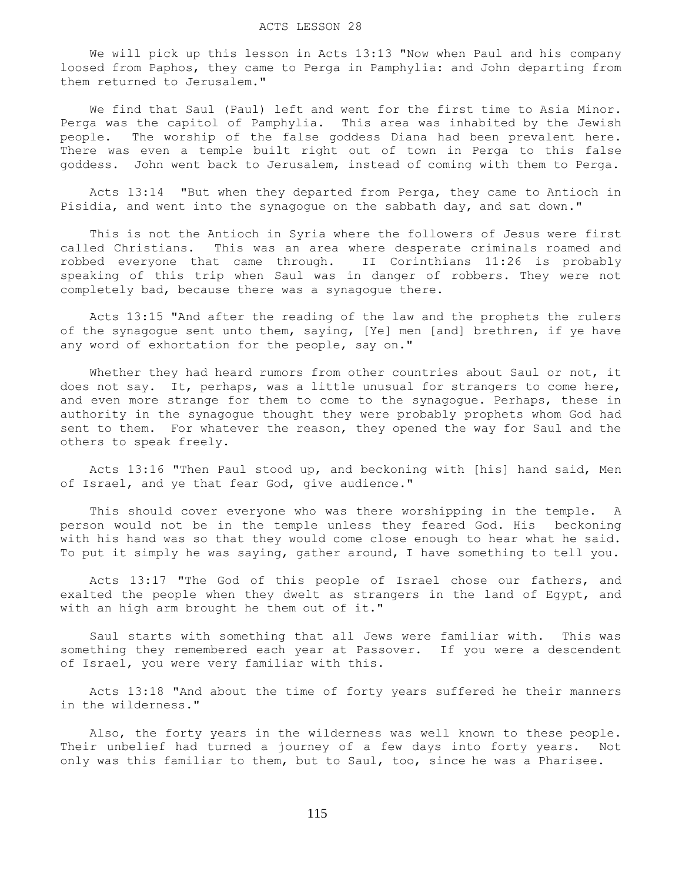We will pick up this lesson in Acts 13:13 "Now when Paul and his company loosed from Paphos, they came to Perga in Pamphylia: and John departing from them returned to Jerusalem."

 We find that Saul (Paul) left and went for the first time to Asia Minor. Perga was the capitol of Pamphylia. This area was inhabited by the Jewish people. The worship of the false goddess Diana had been prevalent here. There was even a temple built right out of town in Perga to this false goddess. John went back to Jerusalem, instead of coming with them to Perga.

 Acts 13:14 "But when they departed from Perga, they came to Antioch in Pisidia, and went into the synagogue on the sabbath day, and sat down."

 This is not the Antioch in Syria where the followers of Jesus were first called Christians. This was an area where desperate criminals roamed and robbed everyone that came through. II Corinthians 11:26 is probably speaking of this trip when Saul was in danger of robbers. They were not completely bad, because there was a synagogue there.

 Acts 13:15 "And after the reading of the law and the prophets the rulers of the synagogue sent unto them, saying, [Ye] men [and] brethren, if ye have any word of exhortation for the people, say on."

Whether they had heard rumors from other countries about Saul or not, it does not say. It, perhaps, was a little unusual for strangers to come here, and even more strange for them to come to the synagogue. Perhaps, these in authority in the synagogue thought they were probably prophets whom God had sent to them. For whatever the reason, they opened the way for Saul and the others to speak freely.

 Acts 13:16 "Then Paul stood up, and beckoning with [his] hand said, Men of Israel, and ye that fear God, give audience."

 This should cover everyone who was there worshipping in the temple. A person would not be in the temple unless they feared God. His beckoning with his hand was so that they would come close enough to hear what he said. To put it simply he was saying, gather around, I have something to tell you.

 Acts 13:17 "The God of this people of Israel chose our fathers, and exalted the people when they dwelt as strangers in the land of Egypt, and with an high arm brought he them out of it."

 Saul starts with something that all Jews were familiar with. This was something they remembered each year at Passover. If you were a descendent of Israel, you were very familiar with this.

 Acts 13:18 "And about the time of forty years suffered he their manners in the wilderness."

 Also, the forty years in the wilderness was well known to these people. Their unbelief had turned a journey of a few days into forty years. Not only was this familiar to them, but to Saul, too, since he was a Pharisee.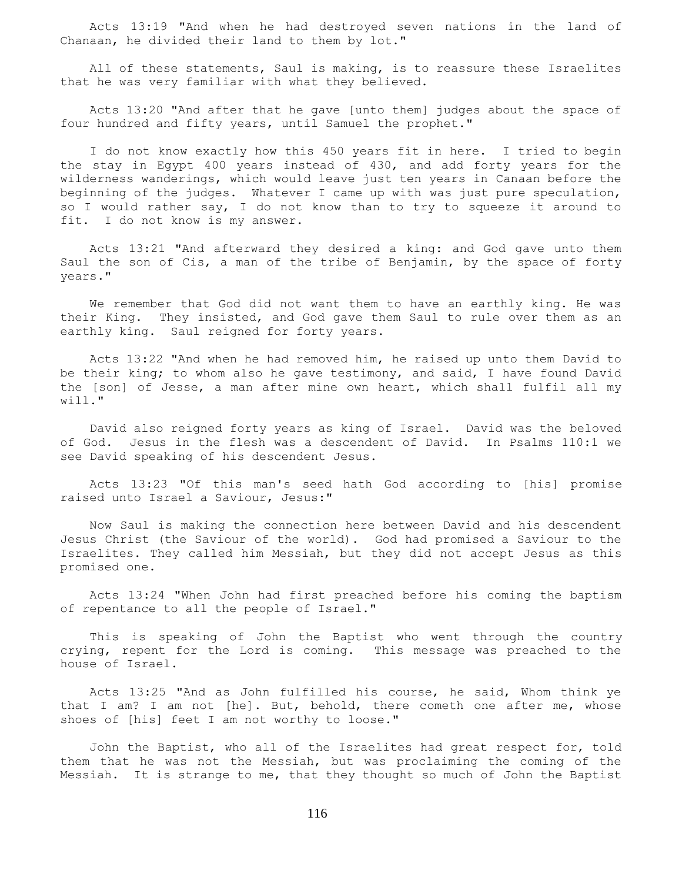Acts 13:19 "And when he had destroyed seven nations in the land of Chanaan, he divided their land to them by lot."

 All of these statements, Saul is making, is to reassure these Israelites that he was very familiar with what they believed.

 Acts 13:20 "And after that he gave [unto them] judges about the space of four hundred and fifty years, until Samuel the prophet."

 I do not know exactly how this 450 years fit in here. I tried to begin the stay in Egypt 400 years instead of 430, and add forty years for the wilderness wanderings, which would leave just ten years in Canaan before the beginning of the judges. Whatever I came up with was just pure speculation, so I would rather say, I do not know than to try to squeeze it around to fit. I do not know is my answer.

 Acts 13:21 "And afterward they desired a king: and God gave unto them Saul the son of Cis, a man of the tribe of Benjamin, by the space of forty years."

 We remember that God did not want them to have an earthly king. He was their King. They insisted, and God gave them Saul to rule over them as an earthly king. Saul reigned for forty years.

 Acts 13:22 "And when he had removed him, he raised up unto them David to be their king; to whom also he gave testimony, and said, I have found David the [son] of Jesse, a man after mine own heart, which shall fulfil all my will."

 David also reigned forty years as king of Israel. David was the beloved of God. Jesus in the flesh was a descendent of David. In Psalms 110:1 we see David speaking of his descendent Jesus.

 Acts 13:23 "Of this man's seed hath God according to [his] promise raised unto Israel a Saviour, Jesus:"

 Now Saul is making the connection here between David and his descendent Jesus Christ (the Saviour of the world). God had promised a Saviour to the Israelites. They called him Messiah, but they did not accept Jesus as this promised one.

 Acts 13:24 "When John had first preached before his coming the baptism of repentance to all the people of Israel."

 This is speaking of John the Baptist who went through the country crying, repent for the Lord is coming. This message was preached to the house of Israel.

 Acts 13:25 "And as John fulfilled his course, he said, Whom think ye that I am? I am not [he]. But, behold, there cometh one after me, whose shoes of [his] feet I am not worthy to loose."

 John the Baptist, who all of the Israelites had great respect for, told them that he was not the Messiah, but was proclaiming the coming of the Messiah. It is strange to me, that they thought so much of John the Baptist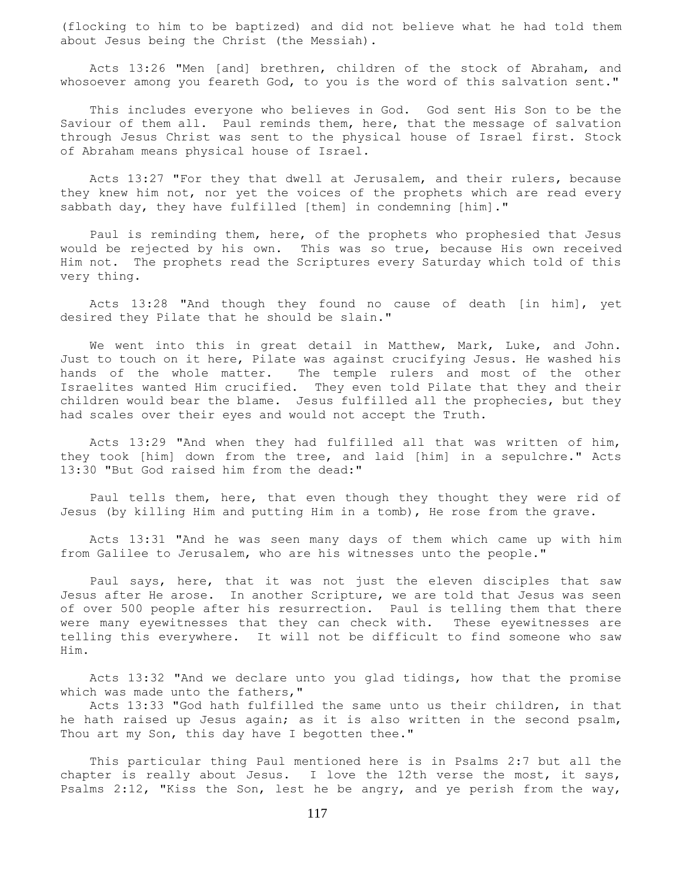(flocking to him to be baptized) and did not believe what he had told them about Jesus being the Christ (the Messiah).

 Acts 13:26 "Men [and] brethren, children of the stock of Abraham, and whosoever among you feareth God, to you is the word of this salvation sent."

 This includes everyone who believes in God. God sent His Son to be the Saviour of them all. Paul reminds them, here, that the message of salvation through Jesus Christ was sent to the physical house of Israel first. Stock of Abraham means physical house of Israel.

 Acts 13:27 "For they that dwell at Jerusalem, and their rulers, because they knew him not, nor yet the voices of the prophets which are read every sabbath day, they have fulfilled [them] in condemning [him]."

 Paul is reminding them, here, of the prophets who prophesied that Jesus would be rejected by his own. This was so true, because His own received Him not. The prophets read the Scriptures every Saturday which told of this very thing.

 Acts 13:28 "And though they found no cause of death [in him], yet desired they Pilate that he should be slain."

 We went into this in great detail in Matthew, Mark, Luke, and John. Just to touch on it here, Pilate was against crucifying Jesus. He washed his hands of the whole matter. The temple rulers and most of the other Israelites wanted Him crucified. They even told Pilate that they and their children would bear the blame. Jesus fulfilled all the prophecies, but they had scales over their eyes and would not accept the Truth.

 Acts 13:29 "And when they had fulfilled all that was written of him, they took [him] down from the tree, and laid [him] in a sepulchre." Acts 13:30 "But God raised him from the dead:"

 Paul tells them, here, that even though they thought they were rid of Jesus (by killing Him and putting Him in a tomb), He rose from the grave.

 Acts 13:31 "And he was seen many days of them which came up with him from Galilee to Jerusalem, who are his witnesses unto the people."

 Paul says, here, that it was not just the eleven disciples that saw Jesus after He arose. In another Scripture, we are told that Jesus was seen of over 500 people after his resurrection. Paul is telling them that there were many eyewitnesses that they can check with. These eyewitnesses are telling this everywhere. It will not be difficult to find someone who saw Him.

 Acts 13:32 "And we declare unto you glad tidings, how that the promise which was made unto the fathers,"

 Acts 13:33 "God hath fulfilled the same unto us their children, in that he hath raised up Jesus again; as it is also written in the second psalm, Thou art my Son, this day have I begotten thee."

 This particular thing Paul mentioned here is in Psalms 2:7 but all the chapter is really about Jesus. I love the 12th verse the most, it says, Psalms 2:12, "Kiss the Son, lest he be angry, and ye perish from the way,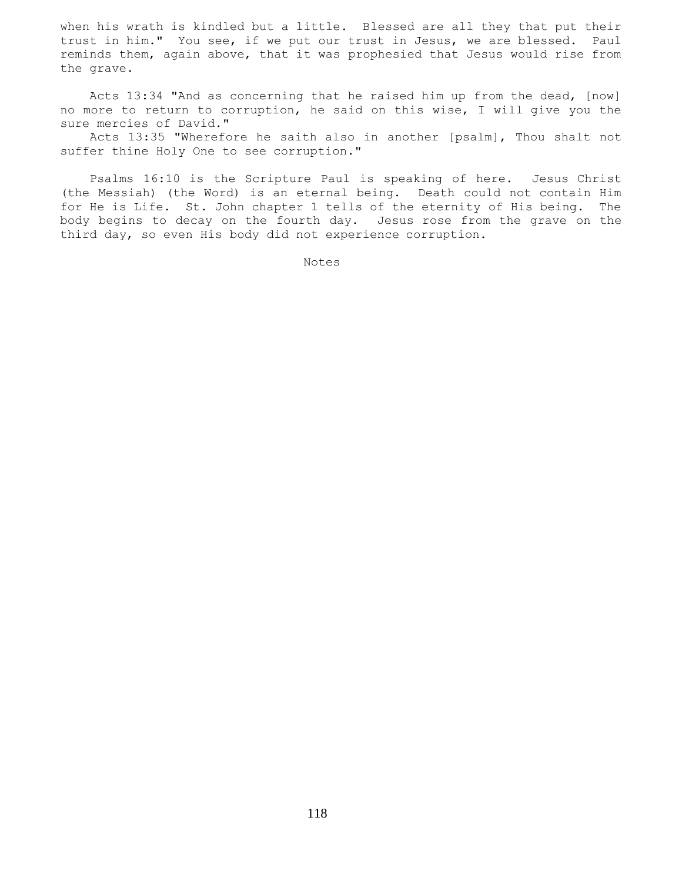when his wrath is kindled but a little. Blessed are all they that put their trust in him." You see, if we put our trust in Jesus, we are blessed. Paul reminds them, again above, that it was prophesied that Jesus would rise from the grave.

 Acts 13:34 "And as concerning that he raised him up from the dead, [now] no more to return to corruption, he said on this wise, I will give you the sure mercies of David."

 Acts 13:35 "Wherefore he saith also in another [psalm], Thou shalt not suffer thine Holy One to see corruption."

 Psalms 16:10 is the Scripture Paul is speaking of here. Jesus Christ (the Messiah) (the Word) is an eternal being. Death could not contain Him for He is Life. St. John chapter 1 tells of the eternity of His being. The body begins to decay on the fourth day. Jesus rose from the grave on the third day, so even His body did not experience corruption.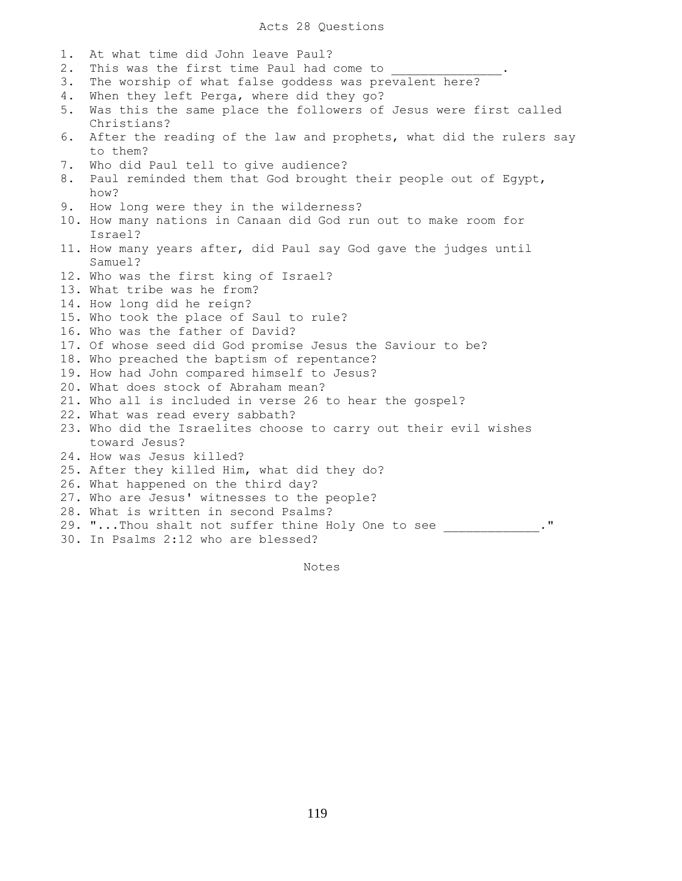1. At what time did John leave Paul? 2. This was the first time Paul had come to 3. The worship of what false goddess was prevalent here? 4. When they left Perga, where did they go? 5. Was this the same place the followers of Jesus were first called Christians? 6. After the reading of the law and prophets, what did the rulers say to them? 7. Who did Paul tell to give audience? 8. Paul reminded them that God brought their people out of Egypt, how? 9. How long were they in the wilderness? 10. How many nations in Canaan did God run out to make room for Israel? 11. How many years after, did Paul say God gave the judges until Samuel? 12. Who was the first king of Israel? 13. What tribe was he from? 14. How long did he reign? 15. Who took the place of Saul to rule? 16. Who was the father of David? 17. Of whose seed did God promise Jesus the Saviour to be? 18. Who preached the baptism of repentance? 19. How had John compared himself to Jesus? 20. What does stock of Abraham mean? 21. Who all is included in verse 26 to hear the gospel? 22. What was read every sabbath? 23. Who did the Israelites choose to carry out their evil wishes toward Jesus? 24. How was Jesus killed? 25. After they killed Him, what did they do? 26. What happened on the third day? 27. Who are Jesus' witnesses to the people? 28. What is written in second Psalms? 29. "...Thou shalt not suffer thine Holy One to see \_\_\_\_\_\_\_\_\_\_\_\_." 30. In Psalms 2:12 who are blessed?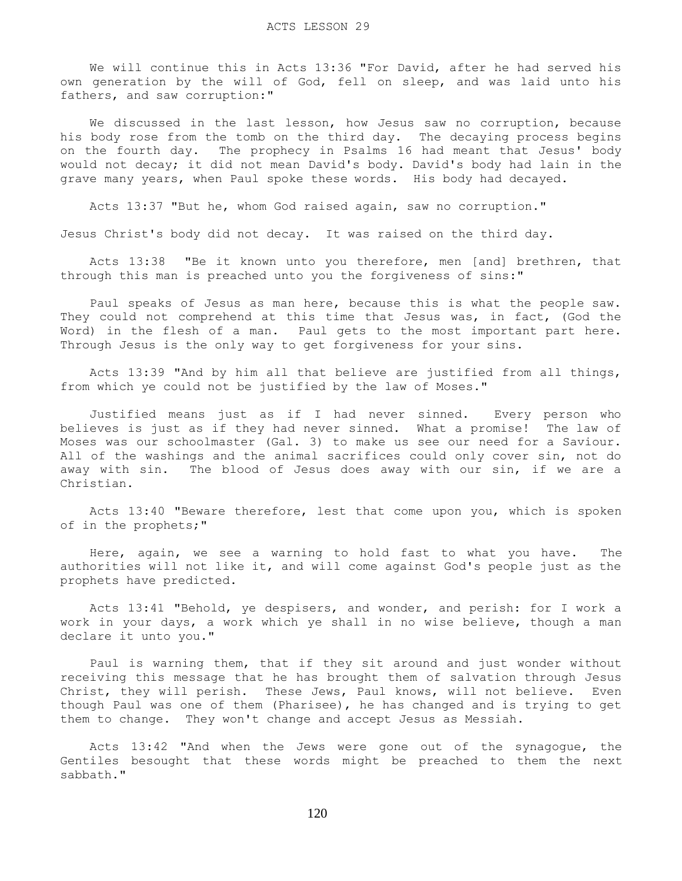We will continue this in Acts 13:36 "For David, after he had served his own generation by the will of God, fell on sleep, and was laid unto his fathers, and saw corruption:"

We discussed in the last lesson, how Jesus saw no corruption, because his body rose from the tomb on the third day. The decaying process begins on the fourth day. The prophecy in Psalms 16 had meant that Jesus' body would not decay; it did not mean David's body. David's body had lain in the grave many years, when Paul spoke these words. His body had decayed.

Acts 13:37 "But he, whom God raised again, saw no corruption."

Jesus Christ's body did not decay. It was raised on the third day.

 Acts 13:38 "Be it known unto you therefore, men [and] brethren, that through this man is preached unto you the forgiveness of sins:"

 Paul speaks of Jesus as man here, because this is what the people saw. They could not comprehend at this time that Jesus was, in fact, (God the Word) in the flesh of a man. Paul gets to the most important part here. Through Jesus is the only way to get forgiveness for your sins.

 Acts 13:39 "And by him all that believe are justified from all things, from which ye could not be justified by the law of Moses."

 Justified means just as if I had never sinned. Every person who believes is just as if they had never sinned. What a promise! The law of Moses was our schoolmaster (Gal. 3) to make us see our need for a Saviour. All of the washings and the animal sacrifices could only cover sin, not do away with sin. The blood of Jesus does away with our sin, if we are a Christian.

 Acts 13:40 "Beware therefore, lest that come upon you, which is spoken of in the prophets;"

 Here, again, we see a warning to hold fast to what you have. The authorities will not like it, and will come against God's people just as the prophets have predicted.

 Acts 13:41 "Behold, ye despisers, and wonder, and perish: for I work a work in your days, a work which ye shall in no wise believe, though a man declare it unto you."

 Paul is warning them, that if they sit around and just wonder without receiving this message that he has brought them of salvation through Jesus Christ, they will perish. These Jews, Paul knows, will not believe. Even though Paul was one of them (Pharisee), he has changed and is trying to get them to change. They won't change and accept Jesus as Messiah.

 Acts 13:42 "And when the Jews were gone out of the synagogue, the Gentiles besought that these words might be preached to them the next sabbath."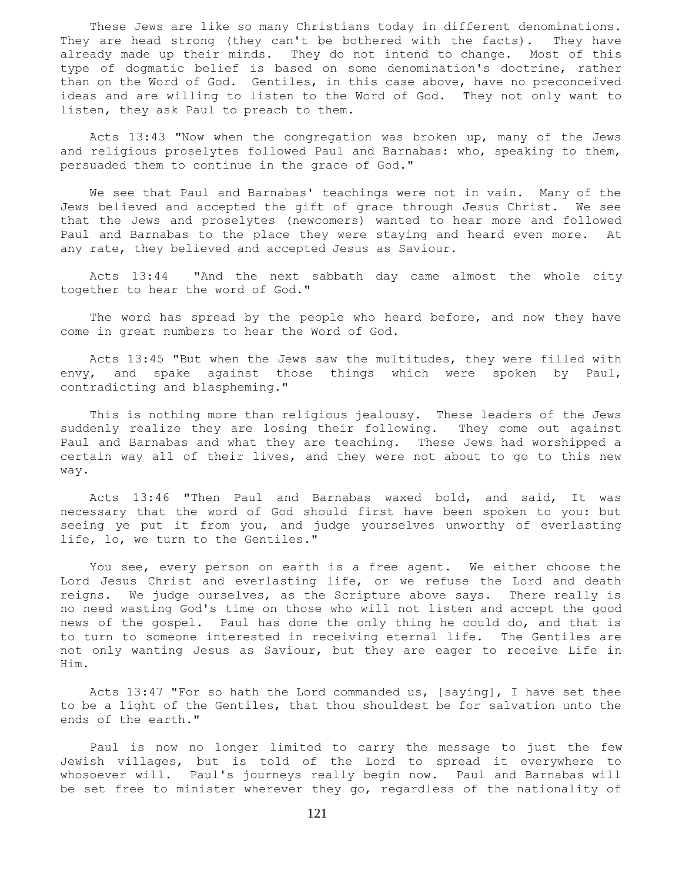These Jews are like so many Christians today in different denominations. They are head strong (they can't be bothered with the facts). They have already made up their minds. They do not intend to change. Most of this type of dogmatic belief is based on some denomination's doctrine, rather than on the Word of God. Gentiles, in this case above, have no preconceived ideas and are willing to listen to the Word of God. They not only want to listen, they ask Paul to preach to them.

 Acts 13:43 "Now when the congregation was broken up, many of the Jews and religious proselytes followed Paul and Barnabas: who, speaking to them, persuaded them to continue in the grace of God."

 We see that Paul and Barnabas' teachings were not in vain. Many of the Jews believed and accepted the gift of grace through Jesus Christ. We see that the Jews and proselytes (newcomers) wanted to hear more and followed Paul and Barnabas to the place they were staying and heard even more. At any rate, they believed and accepted Jesus as Saviour.

 Acts 13:44 "And the next sabbath day came almost the whole city together to hear the word of God."

 The word has spread by the people who heard before, and now they have come in great numbers to hear the Word of God.

 Acts 13:45 "But when the Jews saw the multitudes, they were filled with envy, and spake against those things which were spoken by Paul, contradicting and blaspheming."

 This is nothing more than religious jealousy. These leaders of the Jews suddenly realize they are losing their following. They come out against Paul and Barnabas and what they are teaching. These Jews had worshipped a certain way all of their lives, and they were not about to go to this new way.

 Acts 13:46 "Then Paul and Barnabas waxed bold, and said, It was necessary that the word of God should first have been spoken to you: but seeing ye put it from you, and judge yourselves unworthy of everlasting life, lo, we turn to the Gentiles."

 You see, every person on earth is a free agent. We either choose the Lord Jesus Christ and everlasting life, or we refuse the Lord and death reigns. We judge ourselves, as the Scripture above says. There really is no need wasting God's time on those who will not listen and accept the good news of the gospel. Paul has done the only thing he could do, and that is to turn to someone interested in receiving eternal life. The Gentiles are not only wanting Jesus as Saviour, but they are eager to receive Life in Him.

 Acts 13:47 "For so hath the Lord commanded us, [saying], I have set thee to be a light of the Gentiles, that thou shouldest be for salvation unto the ends of the earth."

 Paul is now no longer limited to carry the message to just the few Jewish villages, but is told of the Lord to spread it everywhere to whosoever will. Paul's journeys really begin now. Paul and Barnabas will be set free to minister wherever they go, regardless of the nationality of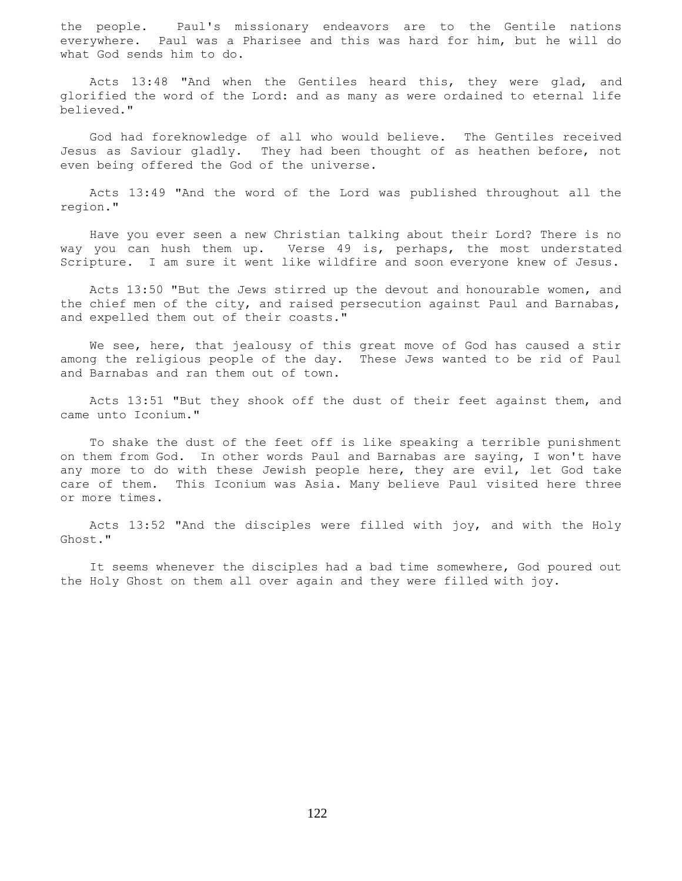the people. Paul's missionary endeavors are to the Gentile nations everywhere. Paul was a Pharisee and this was hard for him, but he will do what God sends him to do.

 Acts 13:48 "And when the Gentiles heard this, they were glad, and glorified the word of the Lord: and as many as were ordained to eternal life believed."

 God had foreknowledge of all who would believe. The Gentiles received Jesus as Saviour gladly. They had been thought of as heathen before, not even being offered the God of the universe.

 Acts 13:49 "And the word of the Lord was published throughout all the region."

 Have you ever seen a new Christian talking about their Lord? There is no way you can hush them up. Verse 49 is, perhaps, the most understated Scripture. I am sure it went like wildfire and soon everyone knew of Jesus.

 Acts 13:50 "But the Jews stirred up the devout and honourable women, and the chief men of the city, and raised persecution against Paul and Barnabas, and expelled them out of their coasts."

We see, here, that jealousy of this great move of God has caused a stir among the religious people of the day. These Jews wanted to be rid of Paul and Barnabas and ran them out of town.

 Acts 13:51 "But they shook off the dust of their feet against them, and came unto Iconium."

 To shake the dust of the feet off is like speaking a terrible punishment on them from God. In other words Paul and Barnabas are saying, I won't have any more to do with these Jewish people here, they are evil, let God take care of them. This Iconium was Asia. Many believe Paul visited here three or more times.

 Acts 13:52 "And the disciples were filled with joy, and with the Holy Ghost."

 It seems whenever the disciples had a bad time somewhere, God poured out the Holy Ghost on them all over again and they were filled with joy.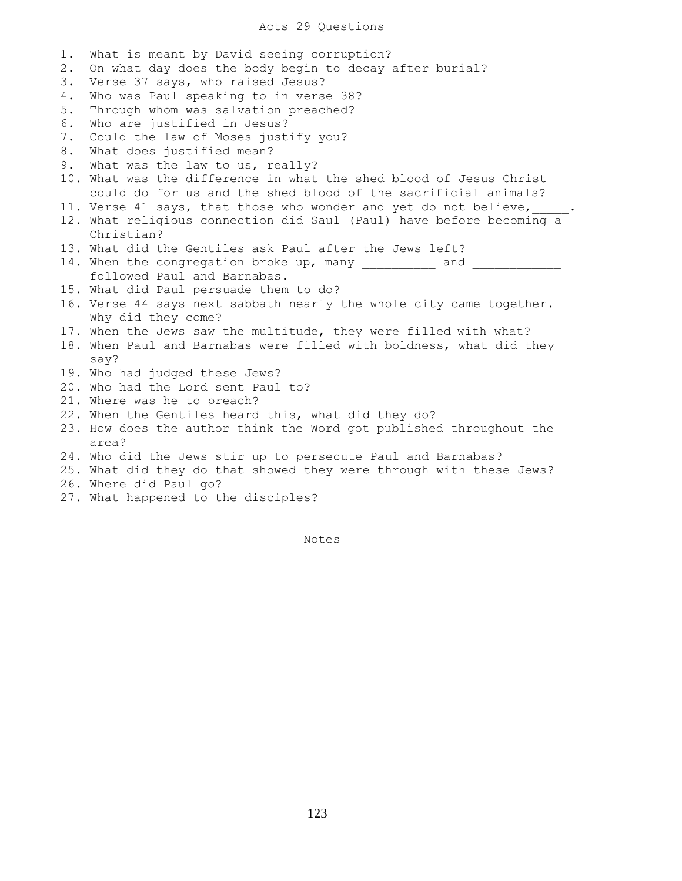1. What is meant by David seeing corruption? 2. On what day does the body begin to decay after burial? 3. Verse 37 says, who raised Jesus? 4. Who was Paul speaking to in verse 38? 5. Through whom was salvation preached? 6. Who are justified in Jesus? 7. Could the law of Moses justify you? 8. What does justified mean? 9. What was the law to us, really? 10. What was the difference in what the shed blood of Jesus Christ could do for us and the shed blood of the sacrificial animals? 11. Verse 41 says, that those who wonder and yet do not believe, 12. What religious connection did Saul (Paul) have before becoming a Christian? 13. What did the Gentiles ask Paul after the Jews left? 14. When the congregation broke up, many \_\_\_\_\_\_\_\_\_\_\_\_ and \_\_\_\_ followed Paul and Barnabas. 15. What did Paul persuade them to do? 16. Verse 44 says next sabbath nearly the whole city came together. Why did they come? 17. When the Jews saw the multitude, they were filled with what? 18. When Paul and Barnabas were filled with boldness, what did they say? 19. Who had judged these Jews? 20. Who had the Lord sent Paul to? 21. Where was he to preach? 22. When the Gentiles heard this, what did they do? 23. How does the author think the Word got published throughout the area? 24. Who did the Jews stir up to persecute Paul and Barnabas? 25. What did they do that showed they were through with these Jews? 26. Where did Paul go?

27. What happened to the disciples?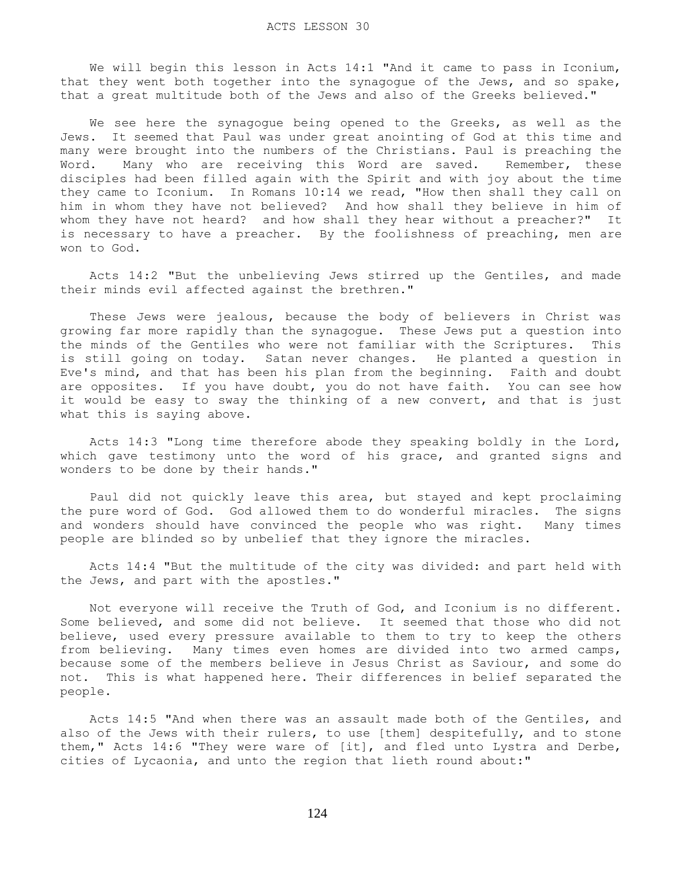We will begin this lesson in Acts 14:1 "And it came to pass in Iconium, that they went both together into the synagogue of the Jews, and so spake, that a great multitude both of the Jews and also of the Greeks believed."

We see here the synagogue being opened to the Greeks, as well as the Jews. It seemed that Paul was under great anointing of God at this time and many were brought into the numbers of the Christians. Paul is preaching the Word. Many who are receiving this Word are saved. Remember, these disciples had been filled again with the Spirit and with joy about the time they came to Iconium. In Romans 10:14 we read, "How then shall they call on him in whom they have not believed? And how shall they believe in him of whom they have not heard? and how shall they hear without a preacher?" It is necessary to have a preacher. By the foolishness of preaching, men are won to God.

 Acts 14:2 "But the unbelieving Jews stirred up the Gentiles, and made their minds evil affected against the brethren."

 These Jews were jealous, because the body of believers in Christ was growing far more rapidly than the synagogue. These Jews put a question into the minds of the Gentiles who were not familiar with the Scriptures. This is still going on today. Satan never changes. He planted a question in Eve's mind, and that has been his plan from the beginning. Faith and doubt are opposites. If you have doubt, you do not have faith. You can see how it would be easy to sway the thinking of a new convert, and that is just what this is saying above.

 Acts 14:3 "Long time therefore abode they speaking boldly in the Lord, which gave testimony unto the word of his grace, and granted signs and wonders to be done by their hands."

 Paul did not quickly leave this area, but stayed and kept proclaiming the pure word of God. God allowed them to do wonderful miracles. The signs and wonders should have convinced the people who was right. Many times people are blinded so by unbelief that they ignore the miracles.

 Acts 14:4 "But the multitude of the city was divided: and part held with the Jews, and part with the apostles."

 Not everyone will receive the Truth of God, and Iconium is no different. Some believed, and some did not believe. It seemed that those who did not believe, used every pressure available to them to try to keep the others from believing. Many times even homes are divided into two armed camps, because some of the members believe in Jesus Christ as Saviour, and some do not. This is what happened here. Their differences in belief separated the people.

 Acts 14:5 "And when there was an assault made both of the Gentiles, and also of the Jews with their rulers, to use [them] despitefully, and to stone them," Acts 14:6 "They were ware of [it], and fled unto Lystra and Derbe, cities of Lycaonia, and unto the region that lieth round about:"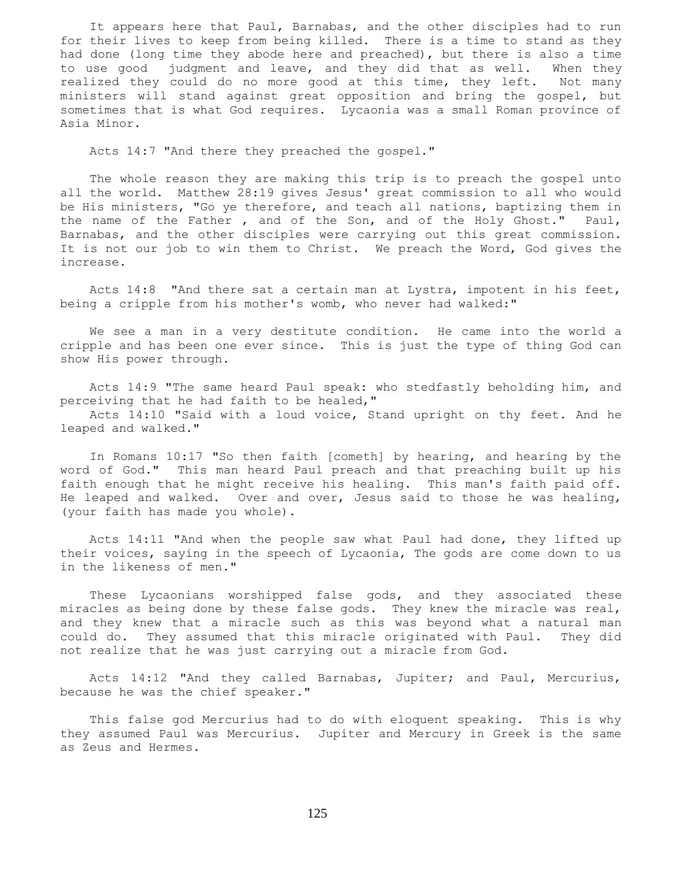It appears here that Paul, Barnabas, and the other disciples had to run for their lives to keep from being killed. There is a time to stand as they had done (long time they abode here and preached), but there is also a time to use good judgment and leave, and they did that as well. When they realized they could do no more good at this time, they left. Not many ministers will stand against great opposition and bring the gospel, but sometimes that is what God requires. Lycaonia was a small Roman province of Asia Minor.

Acts 14:7 "And there they preached the gospel."

 The whole reason they are making this trip is to preach the gospel unto all the world. Matthew 28:19 gives Jesus' great commission to all who would be His ministers, "Go ye therefore, and teach all nations, baptizing them in the name of the Father , and of the Son, and of the Holy Ghost." Paul, Barnabas, and the other disciples were carrying out this great commission. It is not our job to win them to Christ. We preach the Word, God gives the increase.

 Acts 14:8 "And there sat a certain man at Lystra, impotent in his feet, being a cripple from his mother's womb, who never had walked:"

 We see a man in a very destitute condition. He came into the world a cripple and has been one ever since. This is just the type of thing God can show His power through.

 Acts 14:9 "The same heard Paul speak: who stedfastly beholding him, and perceiving that he had faith to be healed,"

 Acts 14:10 "Said with a loud voice, Stand upright on thy feet. And he leaped and walked."

 In Romans 10:17 "So then faith [cometh] by hearing, and hearing by the word of God." This man heard Paul preach and that preaching built up his faith enough that he might receive his healing. This man's faith paid off. He leaped and walked. Over and over, Jesus said to those he was healing, (your faith has made you whole).

 Acts 14:11 "And when the people saw what Paul had done, they lifted up their voices, saying in the speech of Lycaonia, The gods are come down to us in the likeness of men."

 These Lycaonians worshipped false gods, and they associated these miracles as being done by these false gods. They knew the miracle was real, and they knew that a miracle such as this was beyond what a natural man could do. They assumed that this miracle originated with Paul. They did not realize that he was just carrying out a miracle from God.

 Acts 14:12 "And they called Barnabas, Jupiter; and Paul, Mercurius, because he was the chief speaker."

 This false god Mercurius had to do with eloquent speaking. This is why they assumed Paul was Mercurius. Jupiter and Mercury in Greek is the same as Zeus and Hermes.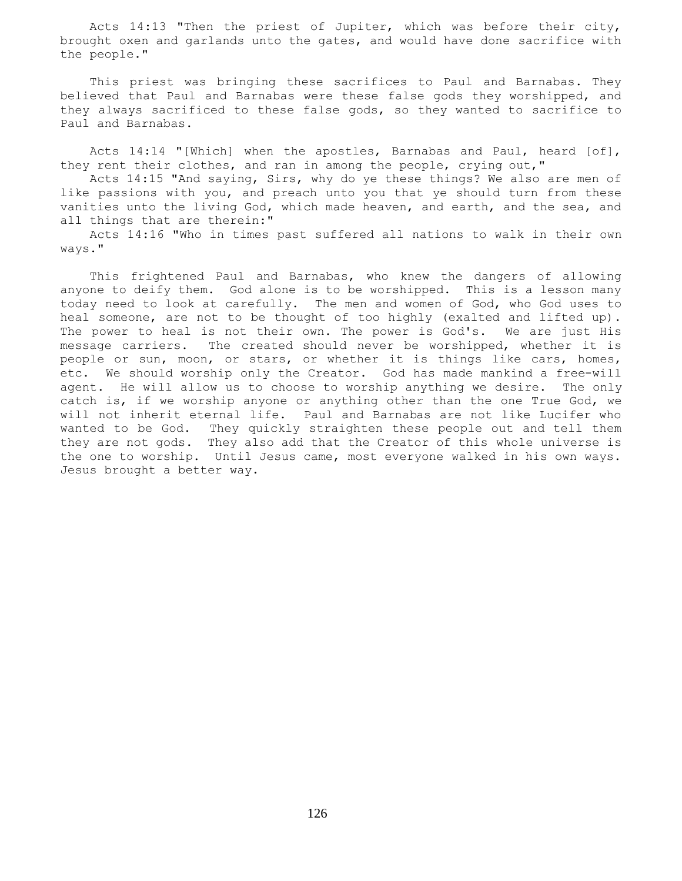Acts 14:13 "Then the priest of Jupiter, which was before their city, brought oxen and garlands unto the gates, and would have done sacrifice with the people."

 This priest was bringing these sacrifices to Paul and Barnabas. They believed that Paul and Barnabas were these false gods they worshipped, and they always sacrificed to these false gods, so they wanted to sacrifice to Paul and Barnabas.

Acts 14:14 "[Which] when the apostles, Barnabas and Paul, heard [of], they rent their clothes, and ran in among the people, crying out,"

 Acts 14:15 "And saying, Sirs, why do ye these things? We also are men of like passions with you, and preach unto you that ye should turn from these vanities unto the living God, which made heaven, and earth, and the sea, and all things that are therein:"

 Acts 14:16 "Who in times past suffered all nations to walk in their own ways."

 This frightened Paul and Barnabas, who knew the dangers of allowing anyone to deify them. God alone is to be worshipped. This is a lesson many today need to look at carefully. The men and women of God, who God uses to heal someone, are not to be thought of too highly (exalted and lifted up). The power to heal is not their own. The power is God's. We are just His message carriers. The created should never be worshipped, whether it is people or sun, moon, or stars, or whether it is things like cars, homes, etc. We should worship only the Creator. God has made mankind a free-will agent. He will allow us to choose to worship anything we desire. The only catch is, if we worship anyone or anything other than the one True God, we will not inherit eternal life. Paul and Barnabas are not like Lucifer who wanted to be God. They quickly straighten these people out and tell them they are not gods. They also add that the Creator of this whole universe is the one to worship. Until Jesus came, most everyone walked in his own ways. Jesus brought a better way.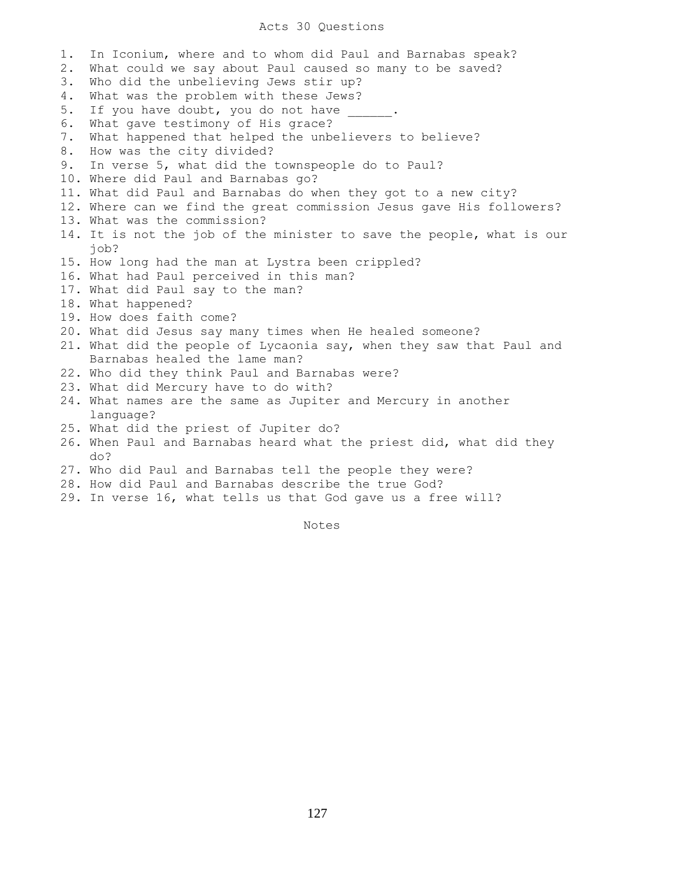## Acts 30 Questions

1. In Iconium, where and to whom did Paul and Barnabas speak? 2. What could we say about Paul caused so many to be saved? 3. Who did the unbelieving Jews stir up? 4. What was the problem with these Jews? 5. If you have doubt, you do not have 6. What gave testimony of His grace? 7. What happened that helped the unbelievers to believe? 8. How was the city divided? 9. In verse 5, what did the townspeople do to Paul? 10. Where did Paul and Barnabas go? 11. What did Paul and Barnabas do when they got to a new city? 12. Where can we find the great commission Jesus gave His followers? 13. What was the commission? 14. It is not the job of the minister to save the people, what is our job? 15. How long had the man at Lystra been crippled? 16. What had Paul perceived in this man? 17. What did Paul say to the man? 18. What happened? 19. How does faith come? 20. What did Jesus say many times when He healed someone? 21. What did the people of Lycaonia say, when they saw that Paul and Barnabas healed the lame man? 22. Who did they think Paul and Barnabas were? 23. What did Mercury have to do with? 24. What names are the same as Jupiter and Mercury in another language? 25. What did the priest of Jupiter do? 26. When Paul and Barnabas heard what the priest did, what did they do? 27. Who did Paul and Barnabas tell the people they were? 28. How did Paul and Barnabas describe the true God? 29. In verse 16, what tells us that God gave us a free will?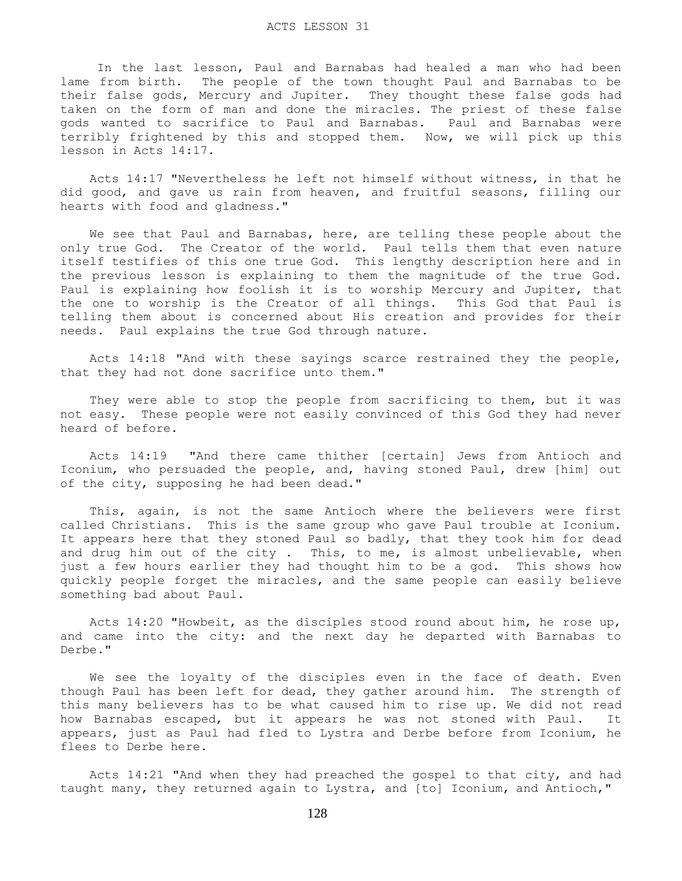#### ACTS LESSON 31

 In the last lesson, Paul and Barnabas had healed a man who had been lame from birth. The people of the town thought Paul and Barnabas to be their false gods, Mercury and Jupiter. They thought these false gods had taken on the form of man and done the miracles. The priest of these false gods wanted to sacrifice to Paul and Barnabas. Paul and Barnabas were terribly frightened by this and stopped them. Now, we will pick up this lesson in Acts 14:17.

 Acts 14:17 "Nevertheless he left not himself without witness, in that he did good, and gave us rain from heaven, and fruitful seasons, filling our hearts with food and gladness."

 We see that Paul and Barnabas, here, are telling these people about the only true God. The Creator of the world. Paul tells them that even nature itself testifies of this one true God. This lengthy description here and in the previous lesson is explaining to them the magnitude of the true God. Paul is explaining how foolish it is to worship Mercury and Jupiter, that the one to worship is the Creator of all things. This God that Paul is telling them about is concerned about His creation and provides for their needs. Paul explains the true God through nature.

 Acts 14:18 "And with these sayings scarce restrained they the people, that they had not done sacrifice unto them."

 They were able to stop the people from sacrificing to them, but it was not easy. These people were not easily convinced of this God they had never heard of before.

 Acts 14:19 "And there came thither [certain] Jews from Antioch and Iconium, who persuaded the people, and, having stoned Paul, drew [him] out of the city, supposing he had been dead."

 This, again, is not the same Antioch where the believers were first called Christians. This is the same group who gave Paul trouble at Iconium. It appears here that they stoned Paul so badly, that they took him for dead and drug him out of the city . This, to me, is almost unbelievable, when just a few hours earlier they had thought him to be a god. This shows how quickly people forget the miracles, and the same people can easily believe something bad about Paul.

 Acts 14:20 "Howbeit, as the disciples stood round about him, he rose up, and came into the city: and the next day he departed with Barnabas to Derbe."

 We see the loyalty of the disciples even in the face of death. Even though Paul has been left for dead, they gather around him. The strength of this many believers has to be what caused him to rise up. We did not read how Barnabas escaped, but it appears he was not stoned with Paul. It appears, just as Paul had fled to Lystra and Derbe before from Iconium, he flees to Derbe here.

 Acts 14:21 "And when they had preached the gospel to that city, and had taught many, they returned again to Lystra, and [to] Iconium, and Antioch,"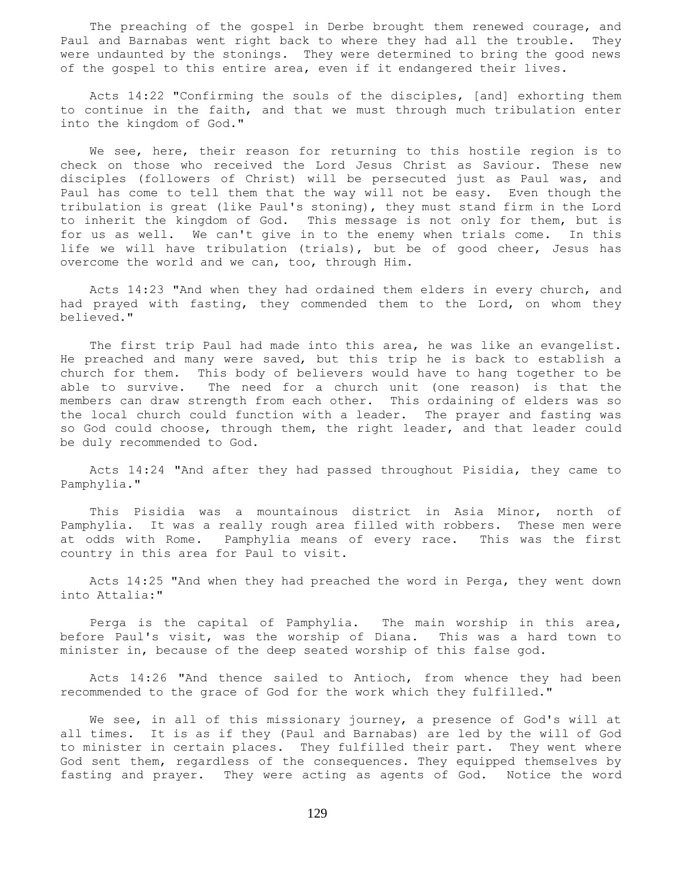The preaching of the gospel in Derbe brought them renewed courage, and Paul and Barnabas went right back to where they had all the trouble. They were undaunted by the stonings. They were determined to bring the good news of the gospel to this entire area, even if it endangered their lives.

 Acts 14:22 "Confirming the souls of the disciples, [and] exhorting them to continue in the faith, and that we must through much tribulation enter into the kingdom of God."

 We see, here, their reason for returning to this hostile region is to check on those who received the Lord Jesus Christ as Saviour. These new disciples (followers of Christ) will be persecuted just as Paul was, and Paul has come to tell them that the way will not be easy. Even though the tribulation is great (like Paul's stoning), they must stand firm in the Lord to inherit the kingdom of God. This message is not only for them, but is for us as well. We can't give in to the enemy when trials come. In this life we will have tribulation (trials), but be of good cheer, Jesus has overcome the world and we can, too, through Him.

 Acts 14:23 "And when they had ordained them elders in every church, and had prayed with fasting, they commended them to the Lord, on whom they believed."

 The first trip Paul had made into this area, he was like an evangelist. He preached and many were saved, but this trip he is back to establish a church for them. This body of believers would have to hang together to be able to survive. The need for a church unit (one reason) is that the members can draw strength from each other. This ordaining of elders was so the local church could function with a leader. The prayer and fasting was so God could choose, through them, the right leader, and that leader could be duly recommended to God.

 Acts 14:24 "And after they had passed throughout Pisidia, they came to Pamphylia."

 This Pisidia was a mountainous district in Asia Minor, north of Pamphylia. It was a really rough area filled with robbers. These men were at odds with Rome. Pamphylia means of every race. This was the first country in this area for Paul to visit.

 Acts 14:25 "And when they had preached the word in Perga, they went down into Attalia:"

 Perga is the capital of Pamphylia. The main worship in this area, before Paul's visit, was the worship of Diana. This was a hard town to minister in, because of the deep seated worship of this false god.

 Acts 14:26 "And thence sailed to Antioch, from whence they had been recommended to the grace of God for the work which they fulfilled."

 We see, in all of this missionary journey, a presence of God's will at all times. It is as if they (Paul and Barnabas) are led by the will of God to minister in certain places. They fulfilled their part. They went where God sent them, regardless of the consequences. They equipped themselves by fasting and prayer. They were acting as agents of God. Notice the word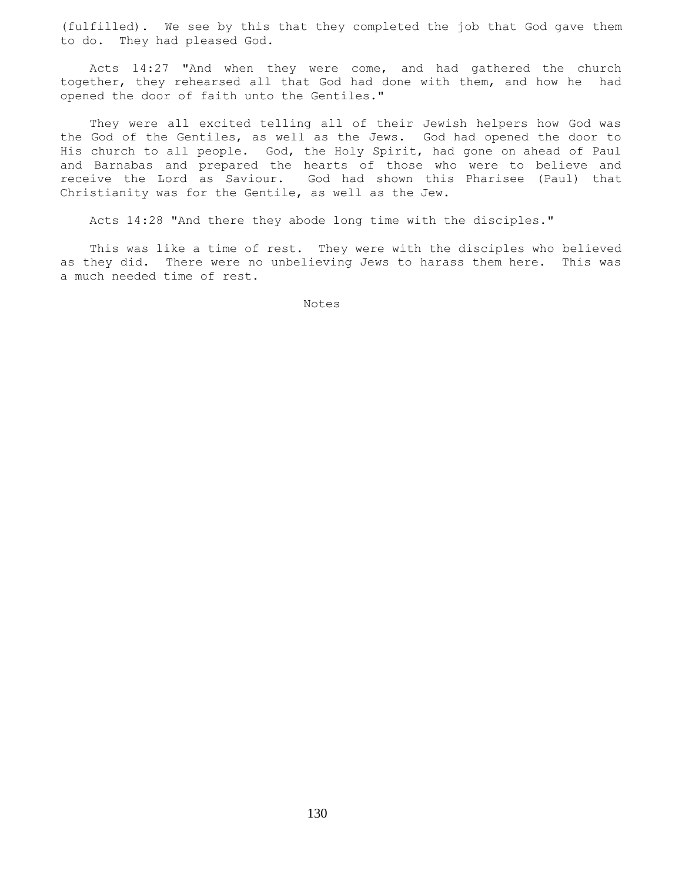(fulfilled). We see by this that they completed the job that God gave them to do. They had pleased God.

 Acts 14:27 "And when they were come, and had gathered the church together, they rehearsed all that God had done with them, and how he had opened the door of faith unto the Gentiles."

 They were all excited telling all of their Jewish helpers how God was the God of the Gentiles, as well as the Jews. God had opened the door to His church to all people. God, the Holy Spirit, had gone on ahead of Paul and Barnabas and prepared the hearts of those who were to believe and receive the Lord as Saviour. God had shown this Pharisee (Paul) that Christianity was for the Gentile, as well as the Jew.

Acts 14:28 "And there they abode long time with the disciples."

 This was like a time of rest. They were with the disciples who believed as they did. There were no unbelieving Jews to harass them here. This was a much needed time of rest.

Notes **Notes**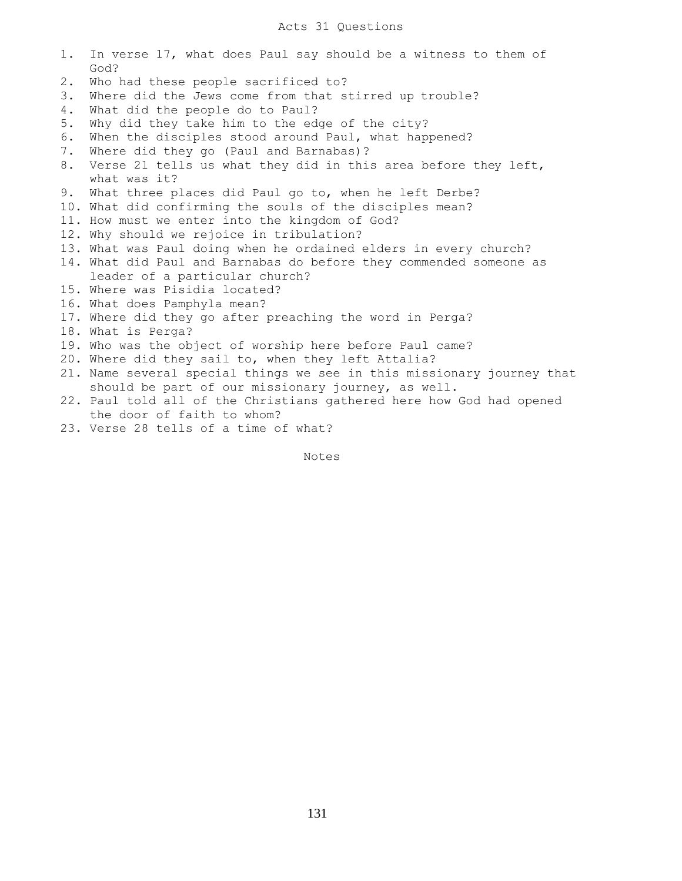# Acts 31 Questions

1. In verse 17, what does Paul say should be a witness to them of

|    | God?                                                                   |
|----|------------------------------------------------------------------------|
| 2. | Who had these people sacrificed to?                                    |
| 3. | Where did the Jews come from that stirred up trouble?                  |
| 4. | What did the people do to Paul?                                        |
| 5. | Why did they take him to the edge of the city?                         |
| 6. | When the disciples stood around Paul, what happened?                   |
| 7. | Where did they go (Paul and Barnabas)?                                 |
| 8. | Verse 21 tells us what they did in this area before they left,         |
|    | what was it?                                                           |
| 9. | What three places did Paul go to, when he left Derbe?                  |
|    | 10. What did confirming the souls of the disciples mean?               |
|    | 11. How must we enter into the kingdom of God?                         |
|    | 12. Why should we rejoice in tribulation?                              |
|    | 13. What was Paul doing when he ordained elders in every church?       |
|    | 14. What did Paul and Barnabas do before they commended someone as     |
|    | leader of a particular church?                                         |
|    | 15. Where was Pisidia located?                                         |
|    | 16. What does Pamphyla mean?                                           |
|    | 17. Where did they go after preaching the word in Perga?               |
|    | 18. What is Perga?                                                     |
|    | 19. Who was the object of worship here before Paul came?               |
|    | 20. Where did they sail to, when they left Attalia?                    |
|    | 21. Name several special things we see in this missionary journey that |
|    | should be part of our missionary journey, as well.                     |
|    | 22. Paul told all of the Christians gathered here how God had opened   |
|    | the door of faith to whom?                                             |
|    | 23. Verse 28 tells of a time of what?                                  |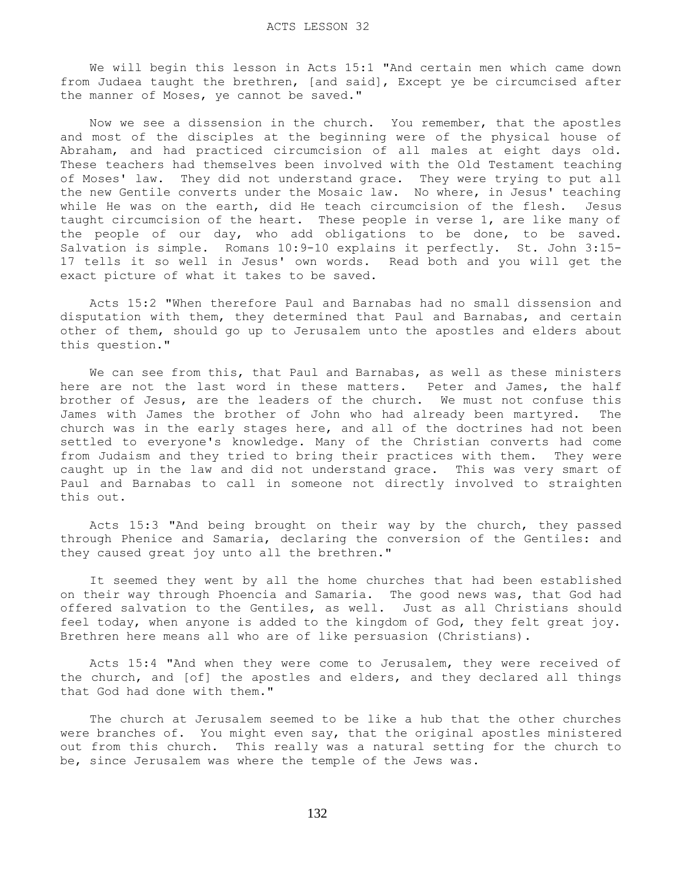We will begin this lesson in Acts 15:1 "And certain men which came down from Judaea taught the brethren, [and said], Except ye be circumcised after the manner of Moses, ye cannot be saved."

 Now we see a dissension in the church. You remember, that the apostles and most of the disciples at the beginning were of the physical house of Abraham, and had practiced circumcision of all males at eight days old. These teachers had themselves been involved with the Old Testament teaching of Moses' law. They did not understand grace. They were trying to put all the new Gentile converts under the Mosaic law. No where, in Jesus' teaching while He was on the earth, did He teach circumcision of the flesh. Jesus taught circumcision of the heart. These people in verse 1, are like many of the people of our day, who add obligations to be done, to be saved. Salvation is simple. Romans 10:9-10 explains it perfectly. St. John 3:15- 17 tells it so well in Jesus' own words. Read both and you will get the exact picture of what it takes to be saved.

 Acts 15:2 "When therefore Paul and Barnabas had no small dissension and disputation with them, they determined that Paul and Barnabas, and certain other of them, should go up to Jerusalem unto the apostles and elders about this question."

We can see from this, that Paul and Barnabas, as well as these ministers here are not the last word in these matters. Peter and James, the half brother of Jesus, are the leaders of the church. We must not confuse this James with James the brother of John who had already been martyred. The church was in the early stages here, and all of the doctrines had not been settled to everyone's knowledge. Many of the Christian converts had come from Judaism and they tried to bring their practices with them. They were caught up in the law and did not understand grace. This was very smart of Paul and Barnabas to call in someone not directly involved to straighten this out.

 Acts 15:3 "And being brought on their way by the church, they passed through Phenice and Samaria, declaring the conversion of the Gentiles: and they caused great joy unto all the brethren."

 It seemed they went by all the home churches that had been established on their way through Phoencia and Samaria. The good news was, that God had offered salvation to the Gentiles, as well. Just as all Christians should feel today, when anyone is added to the kingdom of God, they felt great joy. Brethren here means all who are of like persuasion (Christians).

 Acts 15:4 "And when they were come to Jerusalem, they were received of the church, and [of] the apostles and elders, and they declared all things that God had done with them."

 The church at Jerusalem seemed to be like a hub that the other churches were branches of. You might even say, that the original apostles ministered out from this church. This really was a natural setting for the church to be, since Jerusalem was where the temple of the Jews was.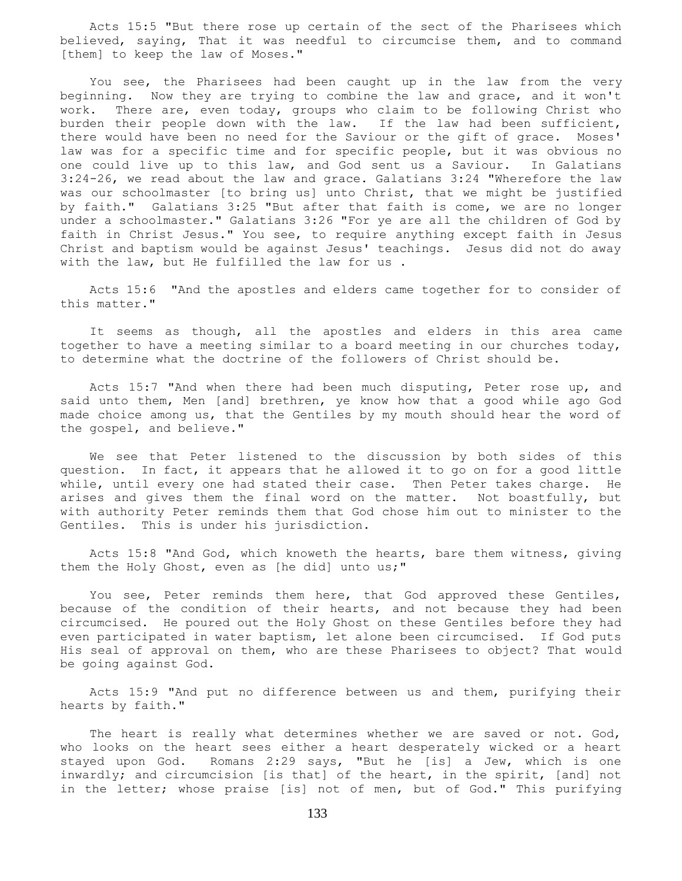Acts 15:5 "But there rose up certain of the sect of the Pharisees which believed, saying, That it was needful to circumcise them, and to command [them] to keep the law of Moses."

 You see, the Pharisees had been caught up in the law from the very beginning. Now they are trying to combine the law and grace, and it won't work. There are, even today, groups who claim to be following Christ who burden their people down with the law. If the law had been sufficient, there would have been no need for the Saviour or the gift of grace. Moses' law was for a specific time and for specific people, but it was obvious no one could live up to this law, and God sent us a Saviour. In Galatians 3:24-26, we read about the law and grace. Galatians 3:24 "Wherefore the law was our schoolmaster [to bring us] unto Christ, that we might be justified by faith." Galatians 3:25 "But after that faith is come, we are no longer under a schoolmaster." Galatians 3:26 "For ye are all the children of God by faith in Christ Jesus." You see, to require anything except faith in Jesus Christ and baptism would be against Jesus' teachings. Jesus did not do away with the law, but He fulfilled the law for us .

 Acts 15:6 "And the apostles and elders came together for to consider of this matter."

 It seems as though, all the apostles and elders in this area came together to have a meeting similar to a board meeting in our churches today, to determine what the doctrine of the followers of Christ should be.

Acts 15:7 "And when there had been much disputing, Peter rose up, and said unto them, Men [and] brethren, ye know how that a good while ago God made choice among us, that the Gentiles by my mouth should hear the word of the gospel, and believe."

 We see that Peter listened to the discussion by both sides of this question. In fact, it appears that he allowed it to go on for a good little while, until every one had stated their case. Then Peter takes charge. He arises and gives them the final word on the matter. Not boastfully, but with authority Peter reminds them that God chose him out to minister to the Gentiles. This is under his jurisdiction.

 Acts 15:8 "And God, which knoweth the hearts, bare them witness, giving them the Holy Ghost, even as [he did] unto us;"

 You see, Peter reminds them here, that God approved these Gentiles, because of the condition of their hearts, and not because they had been circumcised. He poured out the Holy Ghost on these Gentiles before they had even participated in water baptism, let alone been circumcised. If God puts His seal of approval on them, who are these Pharisees to object? That would be going against God.

 Acts 15:9 "And put no difference between us and them, purifying their hearts by faith."

The heart is really what determines whether we are saved or not. God, who looks on the heart sees either a heart desperately wicked or a heart stayed upon God. Romans 2:29 says, "But he [is] a Jew, which is one inwardly; and circumcision [is that] of the heart, in the spirit, [and] not in the letter; whose praise [is] not of men, but of God." This purifying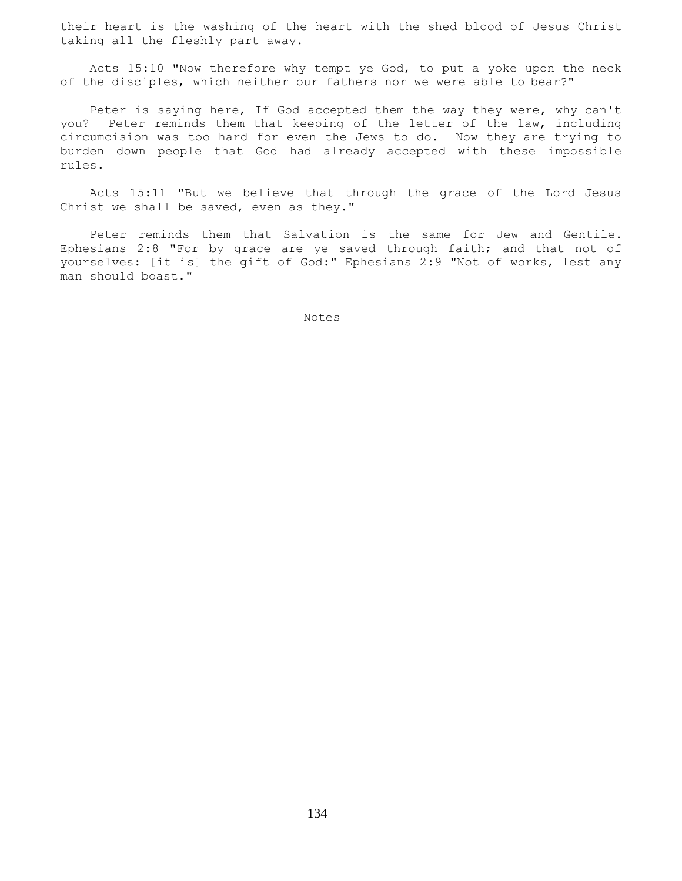their heart is the washing of the heart with the shed blood of Jesus Christ taking all the fleshly part away.

 Acts 15:10 "Now therefore why tempt ye God, to put a yoke upon the neck of the disciples, which neither our fathers nor we were able to bear?"

 Peter is saying here, If God accepted them the way they were, why can't you? Peter reminds them that keeping of the letter of the law, including circumcision was too hard for even the Jews to do. Now they are trying to burden down people that God had already accepted with these impossible rules.

 Acts 15:11 "But we believe that through the grace of the Lord Jesus Christ we shall be saved, even as they."

 Peter reminds them that Salvation is the same for Jew and Gentile. Ephesians 2:8 "For by grace are ye saved through faith; and that not of yourselves: [it is] the gift of God:" Ephesians 2:9 "Not of works, lest any man should boast."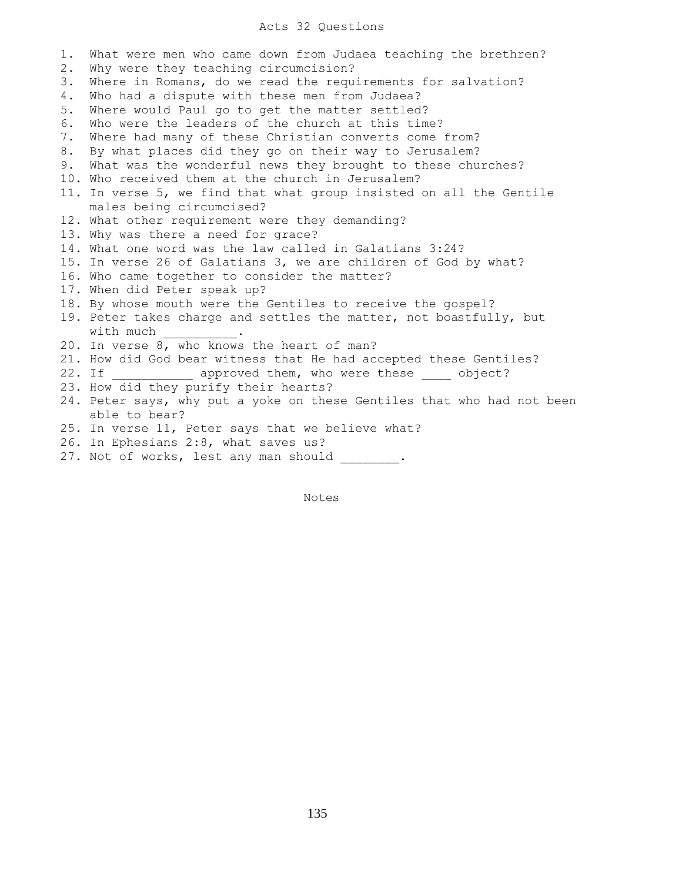## Acts 32 Questions

1. What were men who came down from Judaea teaching the brethren? 2. Why were they teaching circumcision? 3. Where in Romans, do we read the requirements for salvation? 4. Who had a dispute with these men from Judaea? 5. Where would Paul go to get the matter settled? 6. Who were the leaders of the church at this time? 7. Where had many of these Christian converts come from? 8. By what places did they go on their way to Jerusalem? 9. What was the wonderful news they brought to these churches? 10. Who received them at the church in Jerusalem? 11. In verse 5, we find that what group insisted on all the Gentile males being circumcised? 12. What other requirement were they demanding? 13. Why was there a need for grace? 14. What one word was the law called in Galatians 3:24? 15. In verse 26 of Galatians 3, we are children of God by what? 16. Who came together to consider the matter? 17. When did Peter speak up? 18. By whose mouth were the Gentiles to receive the gospel? 19. Peter takes charge and settles the matter, not boastfully, but with much 20. In verse 8, who knows the heart of man? 21. How did God bear witness that He had accepted these Gentiles? 22. If **approved them, who were these** object? 23. How did they purify their hearts? 24. Peter says, why put a yoke on these Gentiles that who had not been able to bear? 25. In verse 11, Peter says that we believe what? 26. In Ephesians 2:8, what saves us? 27. Not of works, lest any man should .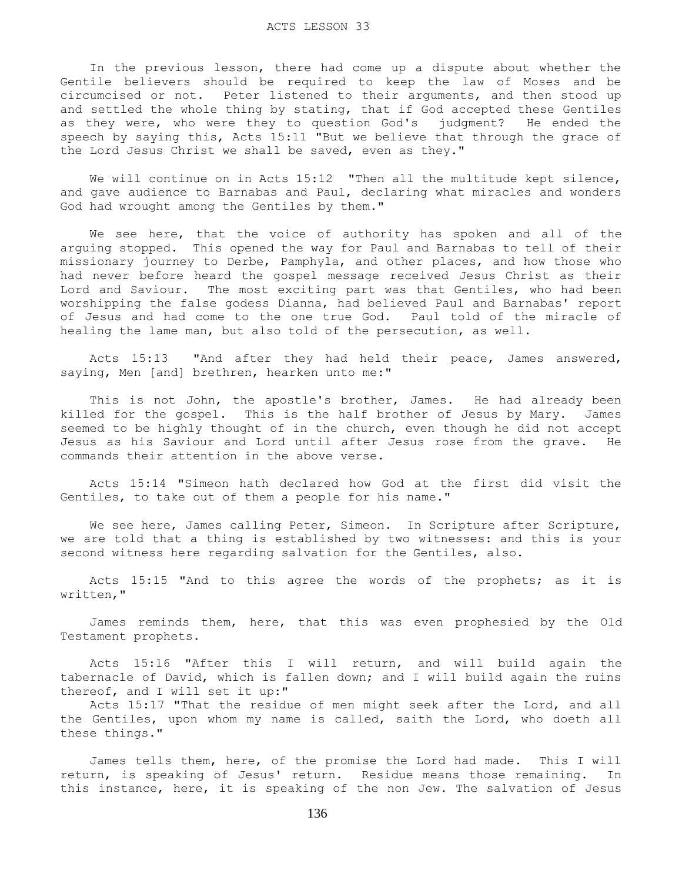In the previous lesson, there had come up a dispute about whether the Gentile believers should be required to keep the law of Moses and be circumcised or not. Peter listened to their arguments, and then stood up and settled the whole thing by stating, that if God accepted these Gentiles as they were, who were they to question God's judgment? He ended the speech by saying this, Acts 15:11 "But we believe that through the grace of the Lord Jesus Christ we shall be saved, even as they."

We will continue on in Acts 15:12 "Then all the multitude kept silence, and gave audience to Barnabas and Paul, declaring what miracles and wonders God had wrought among the Gentiles by them."

 We see here, that the voice of authority has spoken and all of the arguing stopped. This opened the way for Paul and Barnabas to tell of their missionary journey to Derbe, Pamphyla, and other places, and how those who had never before heard the gospel message received Jesus Christ as their Lord and Saviour. The most exciting part was that Gentiles, who had been worshipping the false godess Dianna, had believed Paul and Barnabas' report of Jesus and had come to the one true God. Paul told of the miracle of healing the lame man, but also told of the persecution, as well.

 Acts 15:13 "And after they had held their peace, James answered, saying, Men [and] brethren, hearken unto me:"

This is not John, the apostle's brother, James. He had already been killed for the gospel. This is the half brother of Jesus by Mary. James seemed to be highly thought of in the church, even though he did not accept Jesus as his Saviour and Lord until after Jesus rose from the grave. He commands their attention in the above verse.

 Acts 15:14 "Simeon hath declared how God at the first did visit the Gentiles, to take out of them a people for his name."

We see here, James calling Peter, Simeon. In Scripture after Scripture, we are told that a thing is established by two witnesses: and this is your second witness here regarding salvation for the Gentiles, also.

 Acts 15:15 "And to this agree the words of the prophets; as it is written,"

 James reminds them, here, that this was even prophesied by the Old Testament prophets.

 Acts 15:16 "After this I will return, and will build again the tabernacle of David, which is fallen down; and I will build again the ruins thereof, and I will set it up:"

 Acts 15:17 "That the residue of men might seek after the Lord, and all the Gentiles, upon whom my name is called, saith the Lord, who doeth all these things."

 James tells them, here, of the promise the Lord had made. This I will return, is speaking of Jesus' return. Residue means those remaining. In this instance, here, it is speaking of the non Jew. The salvation of Jesus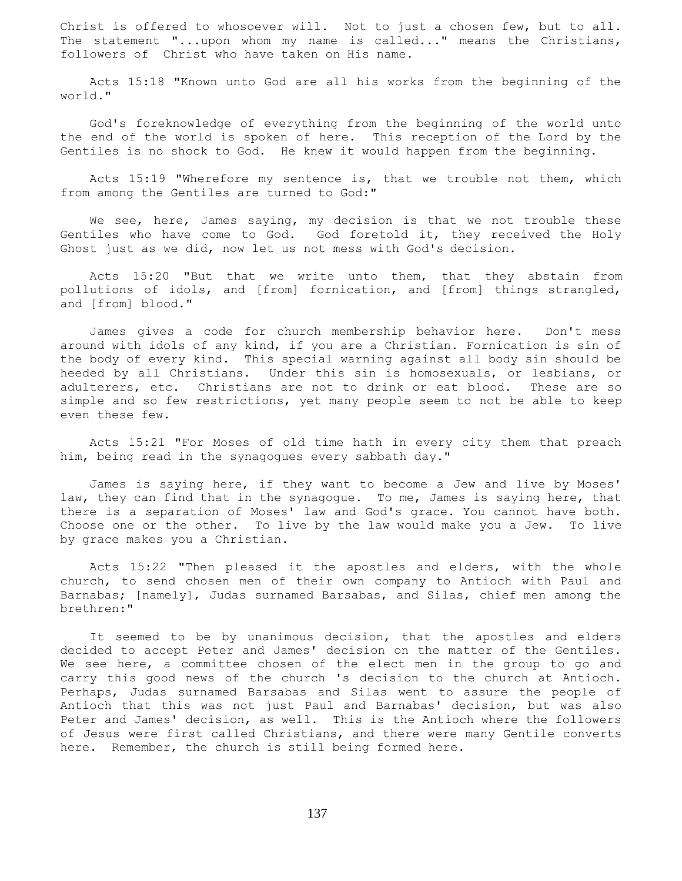Christ is offered to whosoever will. Not to just a chosen few, but to all. The statement "...upon whom my name is called..." means the Christians, followers of Christ who have taken on His name.

 Acts 15:18 "Known unto God are all his works from the beginning of the world."

 God's foreknowledge of everything from the beginning of the world unto the end of the world is spoken of here. This reception of the Lord by the Gentiles is no shock to God. He knew it would happen from the beginning.

 Acts 15:19 "Wherefore my sentence is, that we trouble not them, which from among the Gentiles are turned to God:"

We see, here, James saying, my decision is that we not trouble these Gentiles who have come to God. God foretold it, they received the Holy Ghost just as we did, now let us not mess with God's decision.

 Acts 15:20 "But that we write unto them, that they abstain from pollutions of idols, and [from] fornication, and [from] things strangled, and [from] blood."

 James gives a code for church membership behavior here. Don't mess around with idols of any kind, if you are a Christian. Fornication is sin of the body of every kind. This special warning against all body sin should be heeded by all Christians. Under this sin is homosexuals, or lesbians, or adulterers, etc. Christians are not to drink or eat blood. These are so simple and so few restrictions, yet many people seem to not be able to keep even these few.

 Acts 15:21 "For Moses of old time hath in every city them that preach him, being read in the synagogues every sabbath day."

 James is saying here, if they want to become a Jew and live by Moses' law, they can find that in the synagogue. To me, James is saying here, that there is a separation of Moses' law and God's grace. You cannot have both. Choose one or the other. To live by the law would make you a Jew. To live by grace makes you a Christian.

 Acts 15:22 "Then pleased it the apostles and elders, with the whole church, to send chosen men of their own company to Antioch with Paul and Barnabas; [namely], Judas surnamed Barsabas, and Silas, chief men among the brethren:"

 It seemed to be by unanimous decision, that the apostles and elders decided to accept Peter and James' decision on the matter of the Gentiles. We see here, a committee chosen of the elect men in the group to go and carry this good news of the church 's decision to the church at Antioch. Perhaps, Judas surnamed Barsabas and Silas went to assure the people of Antioch that this was not just Paul and Barnabas' decision, but was also Peter and James' decision, as well. This is the Antioch where the followers of Jesus were first called Christians, and there were many Gentile converts here. Remember, the church is still being formed here.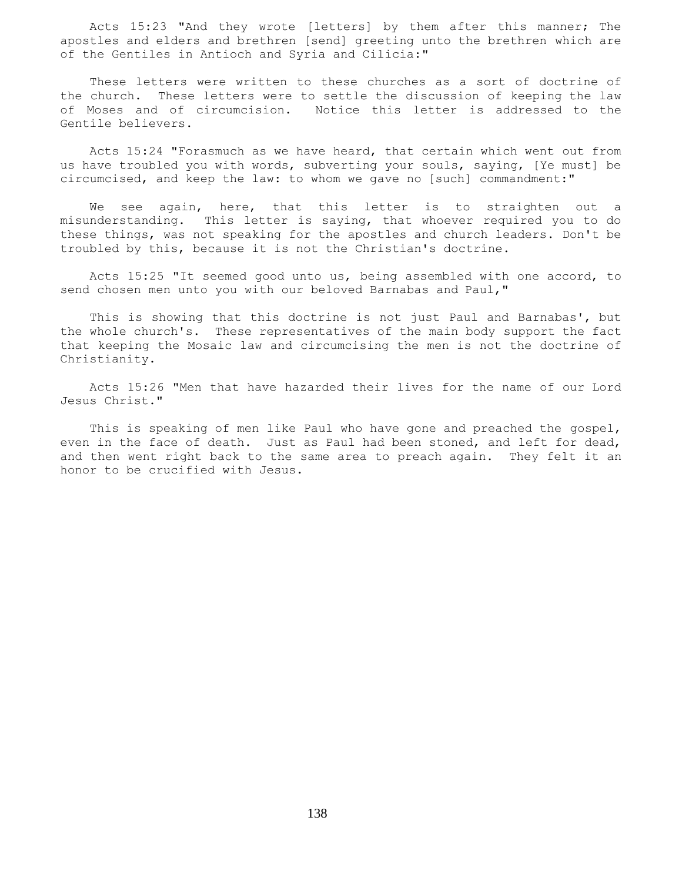Acts 15:23 "And they wrote [letters] by them after this manner; The apostles and elders and brethren [send] greeting unto the brethren which are of the Gentiles in Antioch and Syria and Cilicia:"

 These letters were written to these churches as a sort of doctrine of the church. These letters were to settle the discussion of keeping the law of Moses and of circumcision. Notice this letter is addressed to the Gentile believers.

 Acts 15:24 "Forasmuch as we have heard, that certain which went out from us have troubled you with words, subverting your souls, saying, [Ye must] be circumcised, and keep the law: to whom we gave no [such] commandment:"

 We see again, here, that this letter is to straighten out a misunderstanding. This letter is saying, that whoever required you to do these things, was not speaking for the apostles and church leaders. Don't be troubled by this, because it is not the Christian's doctrine.

 Acts 15:25 "It seemed good unto us, being assembled with one accord, to send chosen men unto you with our beloved Barnabas and Paul,"

 This is showing that this doctrine is not just Paul and Barnabas', but the whole church's. These representatives of the main body support the fact that keeping the Mosaic law and circumcising the men is not the doctrine of Christianity.

 Acts 15:26 "Men that have hazarded their lives for the name of our Lord Jesus Christ."

 This is speaking of men like Paul who have gone and preached the gospel, even in the face of death. Just as Paul had been stoned, and left for dead, and then went right back to the same area to preach again. They felt it an honor to be crucified with Jesus.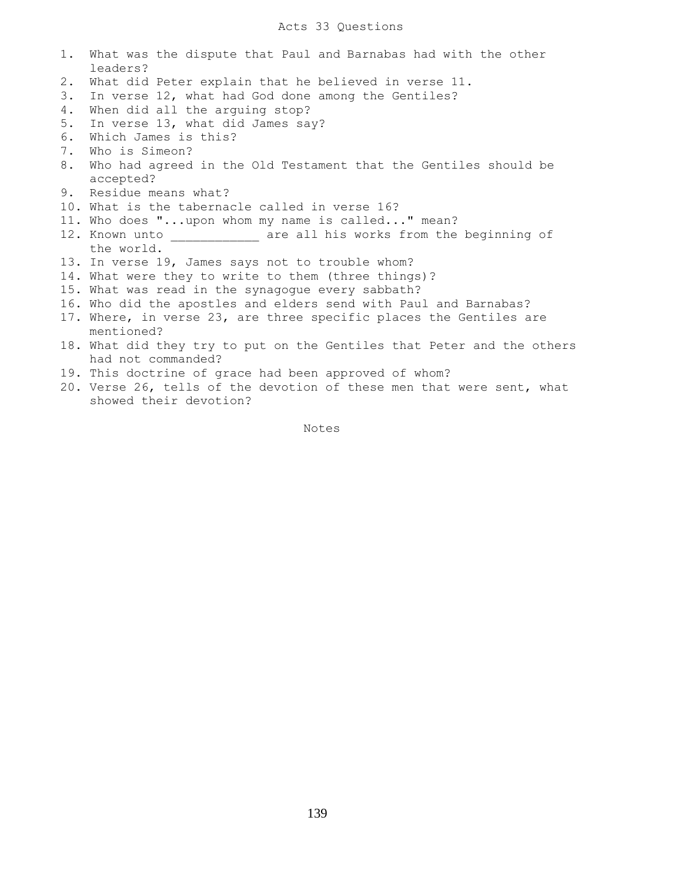| 1. | What was the dispute that Paul and Barnabas had with the other<br>leaders? |
|----|----------------------------------------------------------------------------|
| 2. | What did Peter explain that he believed in verse 11.                       |
|    |                                                                            |
| 3. | In verse 12, what had God done among the Gentiles?                         |
| 4. | When did all the arguing stop?                                             |
| 5. | In verse 13, what did James say?                                           |
| 6. | Which James is this?                                                       |
| 7. | Who is Simeon?                                                             |
| 8. | Who had agreed in the Old Testament that the Gentiles should be            |
|    | accepted?                                                                  |
| 9. | Residue means what?                                                        |
|    | 10. What is the tabernacle called in verse 16?                             |
|    | 11. Who does "upon whom my name is called" mean?                           |
|    | 12. Known unto ____________ are all his works from the beginning of        |
|    | the world.                                                                 |
|    | 13. In verse 19, James says not to trouble whom?                           |
|    | 14. What were they to write to them (three things)?                        |
|    | 15. What was read in the synagogue every sabbath?                          |
|    | 16. Who did the apostles and elders send with Paul and Barnabas?           |
|    | 17. Where, in verse 23, are three specific places the Gentiles are         |
|    | mentioned?                                                                 |
|    | 18. What did they try to put on the Gentiles that Peter and the others     |
|    | had not commanded?                                                         |
|    | 19. This doctrine of grace had been approved of whom?                      |
|    | 20. Verse 26, tells of the devotion of these men that were sent, what      |
|    | showed their devotion?                                                     |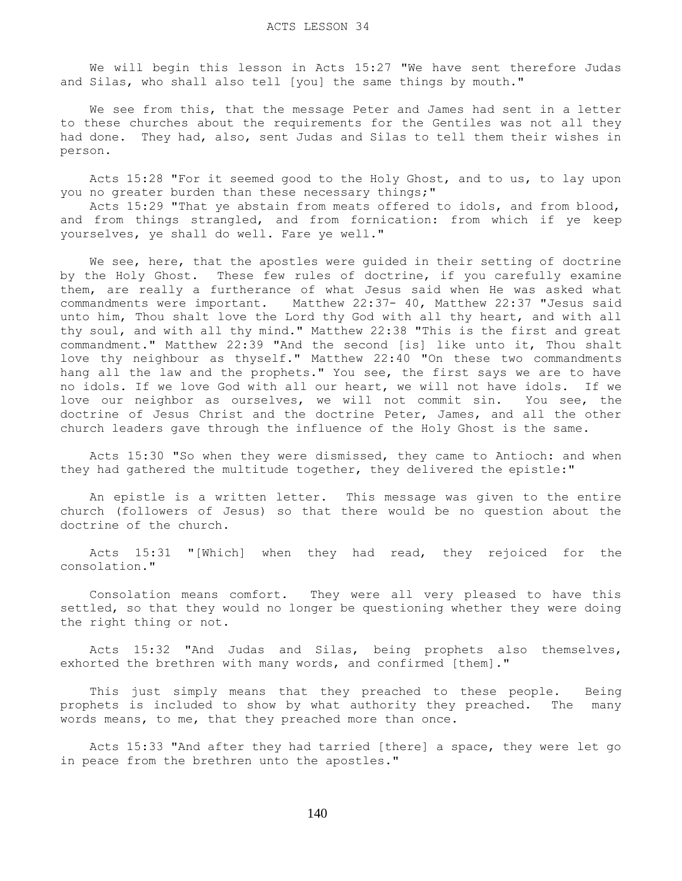We will begin this lesson in Acts 15:27 "We have sent therefore Judas and Silas, who shall also tell [you] the same things by mouth."

 We see from this, that the message Peter and James had sent in a letter to these churches about the requirements for the Gentiles was not all they had done. They had, also, sent Judas and Silas to tell them their wishes in person.

 Acts 15:28 "For it seemed good to the Holy Ghost, and to us, to lay upon you no greater burden than these necessary things;"

 Acts 15:29 "That ye abstain from meats offered to idols, and from blood, and from things strangled, and from fornication: from which if ye keep yourselves, ye shall do well. Fare ye well."

We see, here, that the apostles were guided in their setting of doctrine by the Holy Ghost. These few rules of doctrine, if you carefully examine them, are really a furtherance of what Jesus said when He was asked what commandments were important. Matthew 22:37- 40, Matthew 22:37 "Jesus said unto him, Thou shalt love the Lord thy God with all thy heart, and with all thy soul, and with all thy mind." Matthew 22:38 "This is the first and great commandment." Matthew 22:39 "And the second [is] like unto it, Thou shalt love thy neighbour as thyself." Matthew 22:40 "On these two commandments hang all the law and the prophets." You see, the first says we are to have no idols. If we love God with all our heart, we will not have idols. If we love our neighbor as ourselves, we will not commit sin. You see, the doctrine of Jesus Christ and the doctrine Peter, James, and all the other church leaders gave through the influence of the Holy Ghost is the same.

 Acts 15:30 "So when they were dismissed, they came to Antioch: and when they had gathered the multitude together, they delivered the epistle:"

 An epistle is a written letter. This message was given to the entire church (followers of Jesus) so that there would be no question about the doctrine of the church.

 Acts 15:31 "[Which] when they had read, they rejoiced for the consolation."

 Consolation means comfort. They were all very pleased to have this settled, so that they would no longer be questioning whether they were doing the right thing or not.

 Acts 15:32 "And Judas and Silas, being prophets also themselves, exhorted the brethren with many words, and confirmed [them]."

This just simply means that they preached to these people. Being prophets is included to show by what authority they preached. The many words means, to me, that they preached more than once.

 Acts 15:33 "And after they had tarried [there] a space, they were let go in peace from the brethren unto the apostles."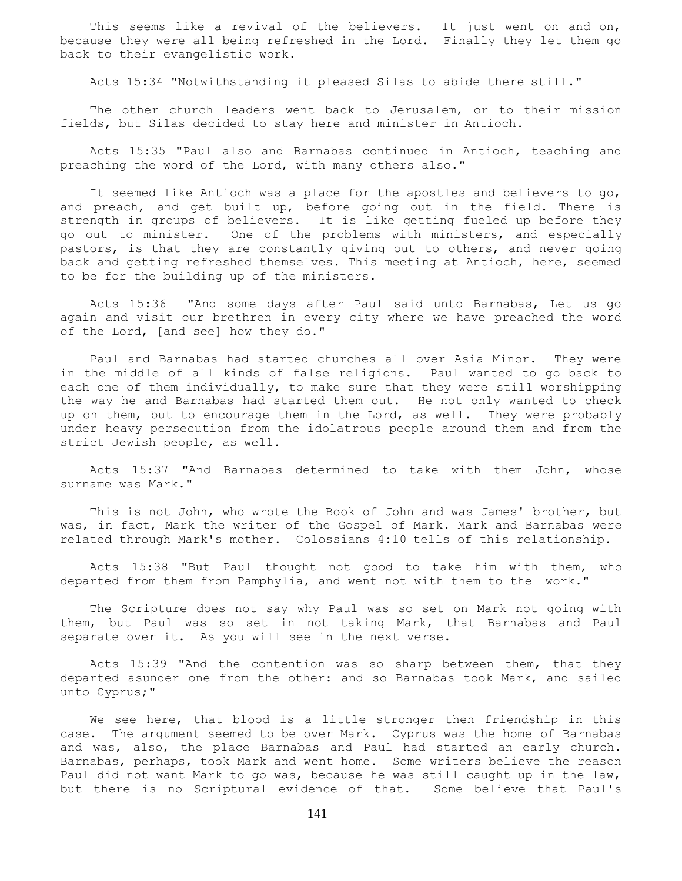This seems like a revival of the believers. It just went on and on, because they were all being refreshed in the Lord. Finally they let them go back to their evangelistic work.

Acts 15:34 "Notwithstanding it pleased Silas to abide there still."

The other church leaders went back to Jerusalem, or to their mission fields, but Silas decided to stay here and minister in Antioch.

 Acts 15:35 "Paul also and Barnabas continued in Antioch, teaching and preaching the word of the Lord, with many others also."

 It seemed like Antioch was a place for the apostles and believers to go, and preach, and get built up, before going out in the field. There is strength in groups of believers. It is like getting fueled up before they go out to minister. One of the problems with ministers, and especially pastors, is that they are constantly giving out to others, and never going back and getting refreshed themselves. This meeting at Antioch, here, seemed to be for the building up of the ministers.

 Acts 15:36 "And some days after Paul said unto Barnabas, Let us go again and visit our brethren in every city where we have preached the word of the Lord, [and see] how they do."

 Paul and Barnabas had started churches all over Asia Minor. They were in the middle of all kinds of false religions. Paul wanted to go back to each one of them individually, to make sure that they were still worshipping the way he and Barnabas had started them out. He not only wanted to check up on them, but to encourage them in the Lord, as well. They were probably under heavy persecution from the idolatrous people around them and from the strict Jewish people, as well.

 Acts 15:37 "And Barnabas determined to take with them John, whose surname was Mark."

 This is not John, who wrote the Book of John and was James' brother, but was, in fact, Mark the writer of the Gospel of Mark. Mark and Barnabas were related through Mark's mother. Colossians 4:10 tells of this relationship.

 Acts 15:38 "But Paul thought not good to take him with them, who departed from them from Pamphylia, and went not with them to the work."

 The Scripture does not say why Paul was so set on Mark not going with them, but Paul was so set in not taking Mark, that Barnabas and Paul separate over it. As you will see in the next verse.

 Acts 15:39 "And the contention was so sharp between them, that they departed asunder one from the other: and so Barnabas took Mark, and sailed unto Cyprus;"

We see here, that blood is a little stronger then friendship in this case. The argument seemed to be over Mark. Cyprus was the home of Barnabas and was, also, the place Barnabas and Paul had started an early church. Barnabas, perhaps, took Mark and went home. Some writers believe the reason Paul did not want Mark to go was, because he was still caught up in the law, but there is no Scriptural evidence of that. Some believe that Paul's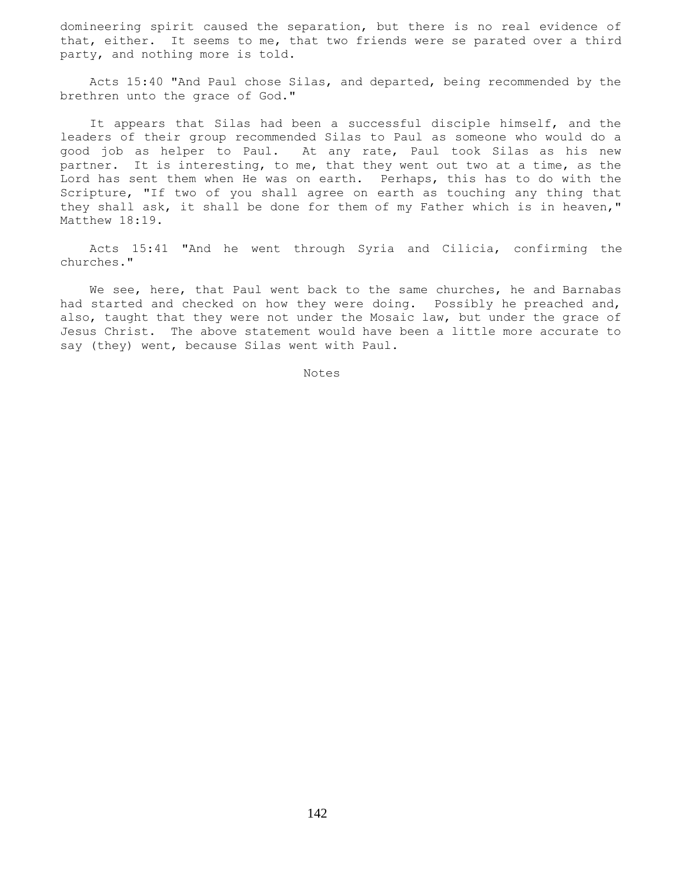domineering spirit caused the separation, but there is no real evidence of that, either. It seems to me, that two friends were se parated over a third party, and nothing more is told.

 Acts 15:40 "And Paul chose Silas, and departed, being recommended by the brethren unto the grace of God."

 It appears that Silas had been a successful disciple himself, and the leaders of their group recommended Silas to Paul as someone who would do a good job as helper to Paul. At any rate, Paul took Silas as his new partner. It is interesting, to me, that they went out two at a time, as the Lord has sent them when He was on earth. Perhaps, this has to do with the Scripture, "If two of you shall agree on earth as touching any thing that they shall ask, it shall be done for them of my Father which is in heaven," Matthew 18:19.

 Acts 15:41 "And he went through Syria and Cilicia, confirming the churches."

We see, here, that Paul went back to the same churches, he and Barnabas had started and checked on how they were doing. Possibly he preached and, also, taught that they were not under the Mosaic law, but under the grace of Jesus Christ. The above statement would have been a little more accurate to say (they) went, because Silas went with Paul.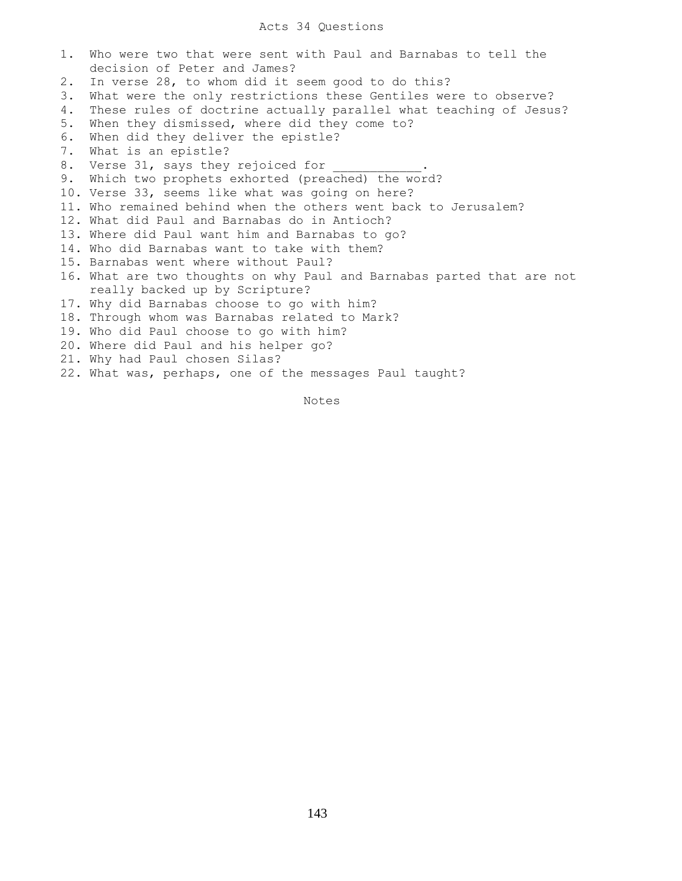## Acts 34 Questions

1. Who were two that were sent with Paul and Barnabas to tell the decision of Peter and James? 2. In verse 28, to whom did it seem good to do this? 3. What were the only restrictions these Gentiles were to observe? 4. These rules of doctrine actually parallel what teaching of Jesus? 5. When they dismissed, where did they come to? 6. When did they deliver the epistle? 7. What is an epistle? 8. Verse 31, says they rejoiced for 9. Which two prophets exhorted (preached) the word? 10. Verse 33, seems like what was going on here? 11. Who remained behind when the others went back to Jerusalem? 12. What did Paul and Barnabas do in Antioch? 13. Where did Paul want him and Barnabas to go? 14. Who did Barnabas want to take with them? 15. Barnabas went where without Paul? 16. What are two thoughts on why Paul and Barnabas parted that are not really backed up by Scripture? 17. Why did Barnabas choose to go with him? 18. Through whom was Barnabas related to Mark? 19. Who did Paul choose to go with him? 20. Where did Paul and his helper go? 21. Why had Paul chosen Silas? 22. What was, perhaps, one of the messages Paul taught?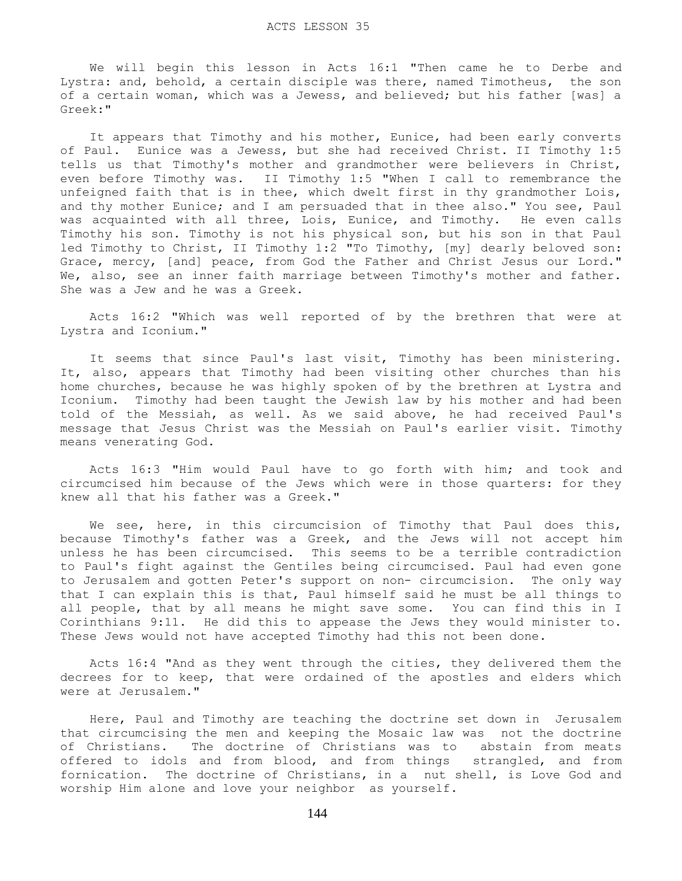We will begin this lesson in Acts 16:1 "Then came he to Derbe and Lystra: and, behold, a certain disciple was there, named Timotheus, the son of a certain woman, which was a Jewess, and believed; but his father [was] a Greek:"

 It appears that Timothy and his mother, Eunice, had been early converts of Paul. Eunice was a Jewess, but she had received Christ. II Timothy 1:5 tells us that Timothy's mother and grandmother were believers in Christ, even before Timothy was. II Timothy 1:5 "When I call to remembrance the unfeigned faith that is in thee, which dwelt first in thy grandmother Lois, and thy mother Eunice; and I am persuaded that in thee also." You see, Paul was acquainted with all three, Lois, Eunice, and Timothy. He even calls Timothy his son. Timothy is not his physical son, but his son in that Paul led Timothy to Christ, II Timothy 1:2 "To Timothy, [my] dearly beloved son: Grace, mercy, [and] peace, from God the Father and Christ Jesus our Lord." We, also, see an inner faith marriage between Timothy's mother and father. She was a Jew and he was a Greek.

 Acts 16:2 "Which was well reported of by the brethren that were at Lystra and Iconium."

 It seems that since Paul's last visit, Timothy has been ministering. It, also, appears that Timothy had been visiting other churches than his home churches, because he was highly spoken of by the brethren at Lystra and Iconium. Timothy had been taught the Jewish law by his mother and had been told of the Messiah, as well. As we said above, he had received Paul's message that Jesus Christ was the Messiah on Paul's earlier visit. Timothy means venerating God.

 Acts 16:3 "Him would Paul have to go forth with him; and took and circumcised him because of the Jews which were in those quarters: for they knew all that his father was a Greek."

We see, here, in this circumcision of Timothy that Paul does this, because Timothy's father was a Greek, and the Jews will not accept him unless he has been circumcised. This seems to be a terrible contradiction to Paul's fight against the Gentiles being circumcised. Paul had even gone to Jerusalem and gotten Peter's support on non- circumcision. The only way that I can explain this is that, Paul himself said he must be all things to all people, that by all means he might save some. You can find this in I Corinthians 9:11. He did this to appease the Jews they would minister to. These Jews would not have accepted Timothy had this not been done.

 Acts 16:4 "And as they went through the cities, they delivered them the decrees for to keep, that were ordained of the apostles and elders which were at Jerusalem."

 Here, Paul and Timothy are teaching the doctrine set down in Jerusalem that circumcising the men and keeping the Mosaic law was not the doctrine of Christians. The doctrine of Christians was to abstain from meats offered to idols and from blood, and from things strangled, and from fornication. The doctrine of Christians, in a nut shell, is Love God and worship Him alone and love your neighbor as yourself.

144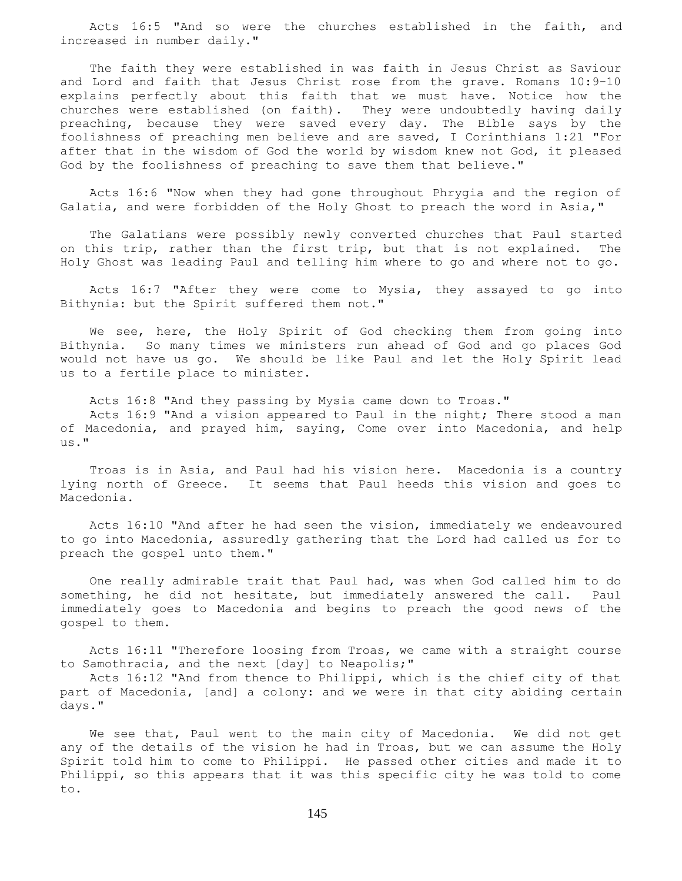Acts 16:5 "And so were the churches established in the faith, and increased in number daily."

 The faith they were established in was faith in Jesus Christ as Saviour and Lord and faith that Jesus Christ rose from the grave. Romans 10:9-10 explains perfectly about this faith that we must have. Notice how the churches were established (on faith). They were undoubtedly having daily preaching, because they were saved every day. The Bible says by the foolishness of preaching men believe and are saved, I Corinthians 1:21 "For after that in the wisdom of God the world by wisdom knew not God, it pleased God by the foolishness of preaching to save them that believe."

 Acts 16:6 "Now when they had gone throughout Phrygia and the region of Galatia, and were forbidden of the Holy Ghost to preach the word in Asia,"

 The Galatians were possibly newly converted churches that Paul started on this trip, rather than the first trip, but that is not explained. The Holy Ghost was leading Paul and telling him where to go and where not to go.

 Acts 16:7 "After they were come to Mysia, they assayed to go into Bithynia: but the Spirit suffered them not."

 We see, here, the Holy Spirit of God checking them from going into Bithynia. So many times we ministers run ahead of God and go places God would not have us go. We should be like Paul and let the Holy Spirit lead us to a fertile place to minister.

 Acts 16:8 "And they passing by Mysia came down to Troas." Acts 16:9 "And a vision appeared to Paul in the night; There stood a man of Macedonia, and prayed him, saying, Come over into Macedonia, and help us."

 Troas is in Asia, and Paul had his vision here. Macedonia is a country lying north of Greece. It seems that Paul heeds this vision and goes to Macedonia.

 Acts 16:10 "And after he had seen the vision, immediately we endeavoured to go into Macedonia, assuredly gathering that the Lord had called us for to preach the gospel unto them."

 One really admirable trait that Paul had, was when God called him to do something, he did not hesitate, but immediately answered the call. Paul immediately goes to Macedonia and begins to preach the good news of the gospel to them.

 Acts 16:11 "Therefore loosing from Troas, we came with a straight course to Samothracia, and the next [day] to Neapolis;"

 Acts 16:12 "And from thence to Philippi, which is the chief city of that part of Macedonia, [and] a colony: and we were in that city abiding certain days."

 We see that, Paul went to the main city of Macedonia. We did not get any of the details of the vision he had in Troas, but we can assume the Holy Spirit told him to come to Philippi. He passed other cities and made it to Philippi, so this appears that it was this specific city he was told to come to.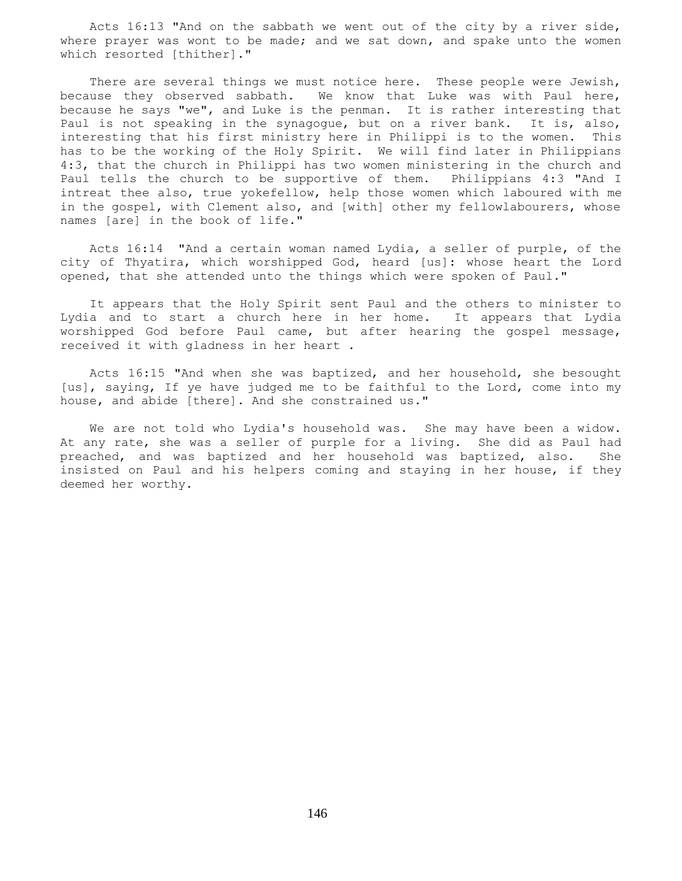Acts 16:13 "And on the sabbath we went out of the city by a river side, where prayer was wont to be made; and we sat down, and spake unto the women which resorted [thither]."

 There are several things we must notice here. These people were Jewish, because they observed sabbath. We know that Luke was with Paul here, because he says "we", and Luke is the penman. It is rather interesting that Paul is not speaking in the synagogue, but on a river bank. It is, also, interesting that his first ministry here in Philippi is to the women. This has to be the working of the Holy Spirit. We will find later in Philippians 4:3, that the church in Philippi has two women ministering in the church and Paul tells the church to be supportive of them. Philippians 4:3 "And I intreat thee also, true yokefellow, help those women which laboured with me in the gospel, with Clement also, and [with] other my fellowlabourers, whose names [are] in the book of life."

 Acts 16:14 "And a certain woman named Lydia, a seller of purple, of the city of Thyatira, which worshipped God, heard [us]: whose heart the Lord opened, that she attended unto the things which were spoken of Paul."

 It appears that the Holy Spirit sent Paul and the others to minister to Lydia and to start a church here in her home. It appears that Lydia worshipped God before Paul came, but after hearing the gospel message, received it with gladness in her heart .

 Acts 16:15 "And when she was baptized, and her household, she besought [us], saying, If ye have judged me to be faithful to the Lord, come into my house, and abide [there]. And she constrained us."

 We are not told who Lydia's household was. She may have been a widow. At any rate, she was a seller of purple for a living. She did as Paul had preached, and was baptized and her household was baptized, also. She insisted on Paul and his helpers coming and staying in her house, if they deemed her worthy.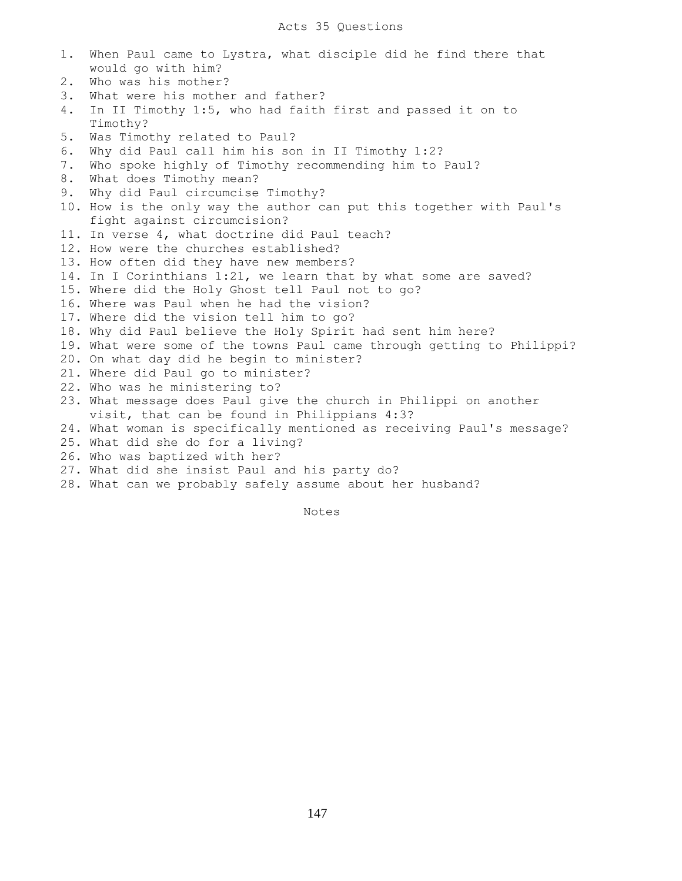1. When Paul came to Lystra, what disciple did he find there that would go with him? 2. Who was his mother? 3. What were his mother and father? 4. In II Timothy 1:5, who had faith first and passed it on to Timothy? 5. Was Timothy related to Paul? 6. Why did Paul call him his son in II Timothy 1:2? 7. Who spoke highly of Timothy recommending him to Paul? 8. What does Timothy mean? 9. Why did Paul circumcise Timothy? 10. How is the only way the author can put this together with Paul's fight against circumcision? 11. In verse 4, what doctrine did Paul teach? 12. How were the churches established? 13. How often did they have new members? 14. In I Corinthians 1:21, we learn that by what some are saved? 15. Where did the Holy Ghost tell Paul not to go? 16. Where was Paul when he had the vision? 17. Where did the vision tell him to go? 18. Why did Paul believe the Holy Spirit had sent him here? 19. What were some of the towns Paul came through getting to Philippi? 20. On what day did he begin to minister? 21. Where did Paul go to minister? 22. Who was he ministering to? 23. What message does Paul give the church in Philippi on another visit, that can be found in Philippians 4:3? 24. What woman is specifically mentioned as receiving Paul's message? 25. What did she do for a living? 26. Who was baptized with her? 27. What did she insist Paul and his party do? 28. What can we probably safely assume about her husband?

Notes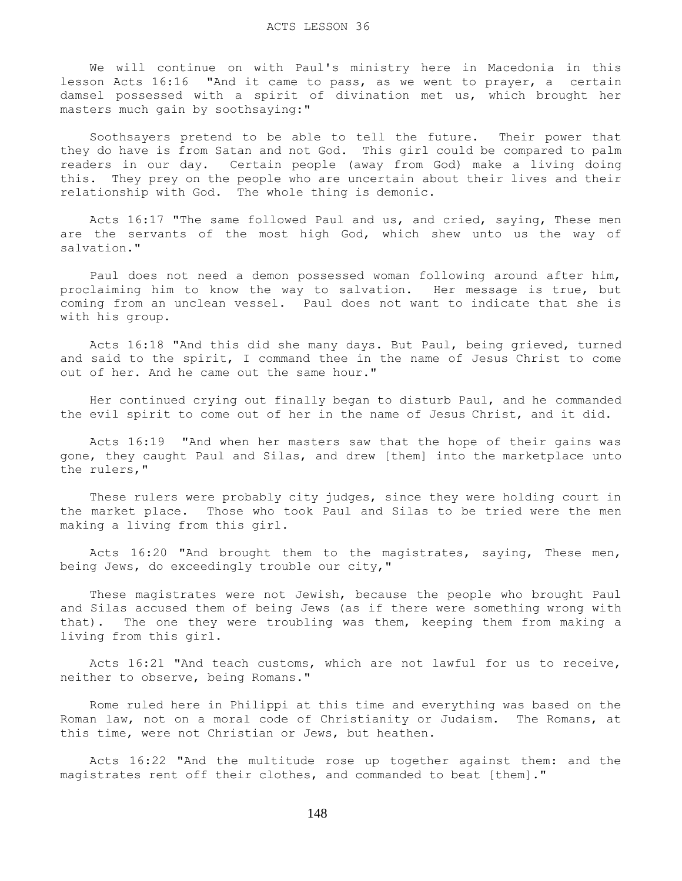We will continue on with Paul's ministry here in Macedonia in this lesson Acts 16:16 "And it came to pass, as we went to prayer, a certain damsel possessed with a spirit of divination met us, which brought her masters much gain by soothsaying:"

 Soothsayers pretend to be able to tell the future. Their power that they do have is from Satan and not God. This girl could be compared to palm readers in our day. Certain people (away from God) make a living doing this. They prey on the people who are uncertain about their lives and their relationship with God. The whole thing is demonic.

 Acts 16:17 "The same followed Paul and us, and cried, saying, These men are the servants of the most high God, which shew unto us the way of salvation."

 Paul does not need a demon possessed woman following around after him, proclaiming him to know the way to salvation. Her message is true, but coming from an unclean vessel. Paul does not want to indicate that she is with his group.

 Acts 16:18 "And this did she many days. But Paul, being grieved, turned and said to the spirit, I command thee in the name of Jesus Christ to come out of her. And he came out the same hour."

 Her continued crying out finally began to disturb Paul, and he commanded the evil spirit to come out of her in the name of Jesus Christ, and it did.

 Acts 16:19 "And when her masters saw that the hope of their gains was gone, they caught Paul and Silas, and drew [them] into the marketplace unto the rulers,"

 These rulers were probably city judges, since they were holding court in the market place. Those who took Paul and Silas to be tried were the men making a living from this girl.

 Acts 16:20 "And brought them to the magistrates, saying, These men, being Jews, do exceedingly trouble our city,"

 These magistrates were not Jewish, because the people who brought Paul and Silas accused them of being Jews (as if there were something wrong with that). The one they were troubling was them, keeping them from making a living from this girl.

 Acts 16:21 "And teach customs, which are not lawful for us to receive, neither to observe, being Romans."

 Rome ruled here in Philippi at this time and everything was based on the Roman law, not on a moral code of Christianity or Judaism. The Romans, at this time, were not Christian or Jews, but heathen.

 Acts 16:22 "And the multitude rose up together against them: and the magistrates rent off their clothes, and commanded to beat [them]."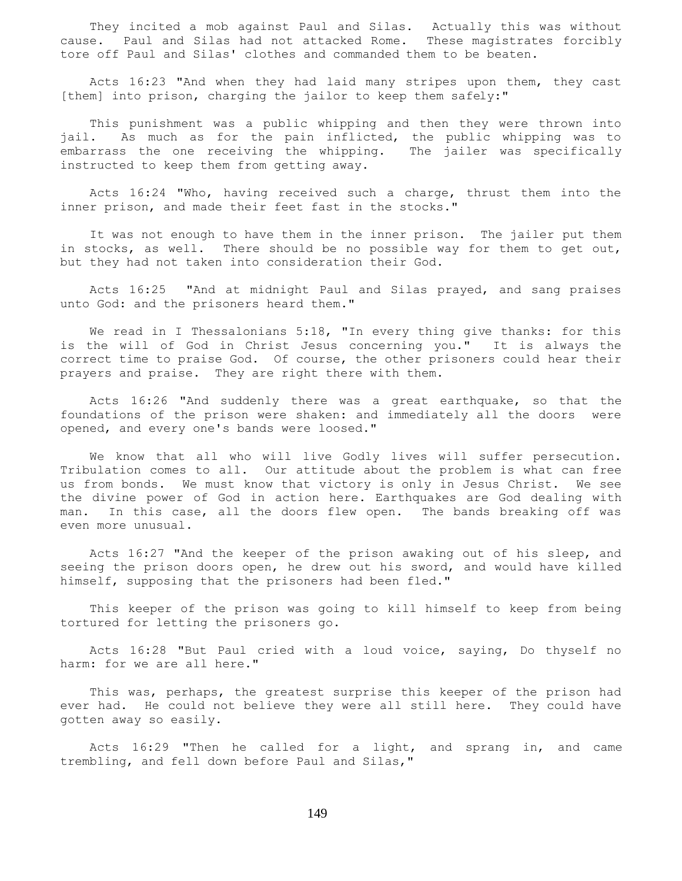They incited a mob against Paul and Silas. Actually this was without cause. Paul and Silas had not attacked Rome. These magistrates forcibly tore off Paul and Silas' clothes and commanded them to be beaten.

 Acts 16:23 "And when they had laid many stripes upon them, they cast [them] into prison, charging the jailor to keep them safely:"

 This punishment was a public whipping and then they were thrown into jail. As much as for the pain inflicted, the public whipping was to embarrass the one receiving the whipping. The jailer was specifically instructed to keep them from getting away.

 Acts 16:24 "Who, having received such a charge, thrust them into the inner prison, and made their feet fast in the stocks."

 It was not enough to have them in the inner prison. The jailer put them in stocks, as well. There should be no possible way for them to get out, but they had not taken into consideration their God.

 Acts 16:25 "And at midnight Paul and Silas prayed, and sang praises unto God: and the prisoners heard them."

We read in I Thessalonians 5:18, "In every thing give thanks: for this is the will of God in Christ Jesus concerning you." It is always the correct time to praise God. Of course, the other prisoners could hear their prayers and praise. They are right there with them.

 Acts 16:26 "And suddenly there was a great earthquake, so that the foundations of the prison were shaken: and immediately all the doors were opened, and every one's bands were loosed."

 We know that all who will live Godly lives will suffer persecution. Tribulation comes to all. Our attitude about the problem is what can free us from bonds. We must know that victory is only in Jesus Christ. We see the divine power of God in action here. Earthquakes are God dealing with man. In this case, all the doors flew open. The bands breaking off was even more unusual.

 Acts 16:27 "And the keeper of the prison awaking out of his sleep, and seeing the prison doors open, he drew out his sword, and would have killed himself, supposing that the prisoners had been fled."

 This keeper of the prison was going to kill himself to keep from being tortured for letting the prisoners go.

 Acts 16:28 "But Paul cried with a loud voice, saying, Do thyself no harm: for we are all here."

 This was, perhaps, the greatest surprise this keeper of the prison had ever had. He could not believe they were all still here. They could have gotten away so easily.

 Acts 16:29 "Then he called for a light, and sprang in, and came trembling, and fell down before Paul and Silas,"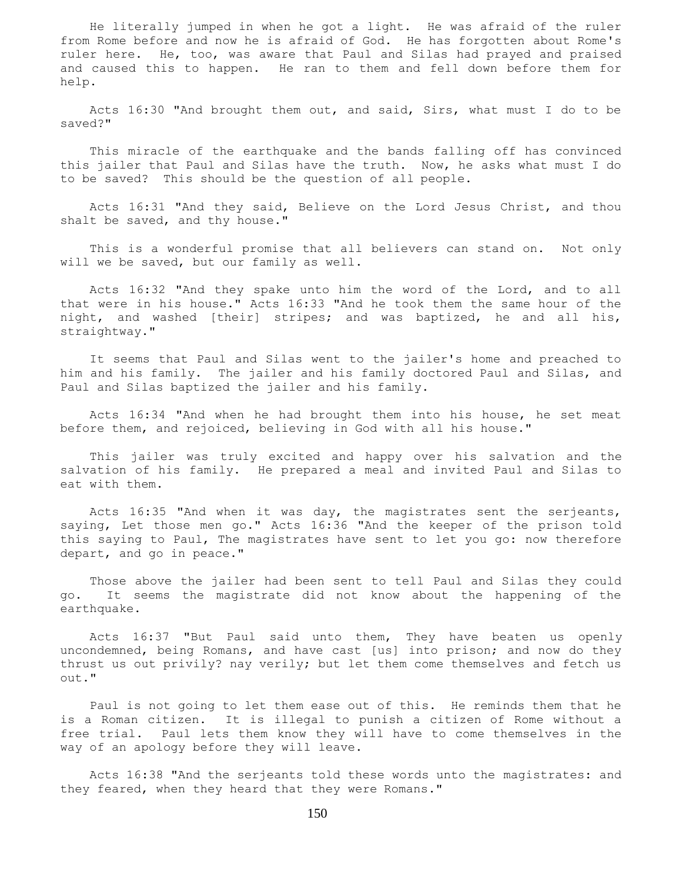He literally jumped in when he got a light. He was afraid of the ruler from Rome before and now he is afraid of God. He has forgotten about Rome's ruler here. He, too, was aware that Paul and Silas had prayed and praised and caused this to happen. He ran to them and fell down before them for help.

 Acts 16:30 "And brought them out, and said, Sirs, what must I do to be saved?"

 This miracle of the earthquake and the bands falling off has convinced this jailer that Paul and Silas have the truth. Now, he asks what must I do to be saved? This should be the question of all people.

 Acts 16:31 "And they said, Believe on the Lord Jesus Christ, and thou shalt be saved, and thy house."

 This is a wonderful promise that all believers can stand on. Not only will we be saved, but our family as well.

 Acts 16:32 "And they spake unto him the word of the Lord, and to all that were in his house." Acts 16:33 "And he took them the same hour of the night, and washed [their] stripes; and was baptized, he and all his, straightway."

 It seems that Paul and Silas went to the jailer's home and preached to him and his family. The jailer and his family doctored Paul and Silas, and Paul and Silas baptized the jailer and his family.

 Acts 16:34 "And when he had brought them into his house, he set meat before them, and rejoiced, believing in God with all his house."

 This jailer was truly excited and happy over his salvation and the salvation of his family. He prepared a meal and invited Paul and Silas to eat with them.

 Acts 16:35 "And when it was day, the magistrates sent the serjeants, saying, Let those men go." Acts 16:36 "And the keeper of the prison told this saying to Paul, The magistrates have sent to let you go: now therefore depart, and go in peace."

 Those above the jailer had been sent to tell Paul and Silas they could go. It seems the magistrate did not know about the happening of the earthquake.

 Acts 16:37 "But Paul said unto them, They have beaten us openly uncondemned, being Romans, and have cast [us] into prison; and now do they thrust us out privily? nay verily; but let them come themselves and fetch us out."

 Paul is not going to let them ease out of this. He reminds them that he is a Roman citizen. It is illegal to punish a citizen of Rome without a free trial. Paul lets them know they will have to come themselves in the way of an apology before they will leave.

 Acts 16:38 "And the serjeants told these words unto the magistrates: and they feared, when they heard that they were Romans."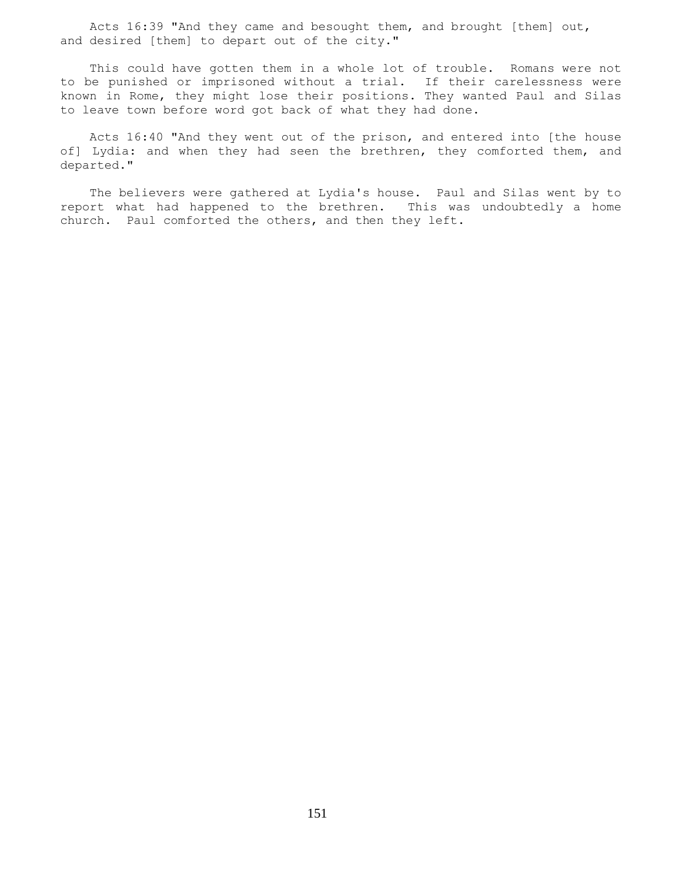Acts 16:39 "And they came and besought them, and brought [them] out, and desired [them] to depart out of the city."

 This could have gotten them in a whole lot of trouble. Romans were not to be punished or imprisoned without a trial. If their carelessness were known in Rome, they might lose their positions. They wanted Paul and Silas to leave town before word got back of what they had done.

 Acts 16:40 "And they went out of the prison, and entered into [the house of] Lydia: and when they had seen the brethren, they comforted them, and departed."

 The believers were gathered at Lydia's house. Paul and Silas went by to report what had happened to the brethren. This was undoubtedly a home church. Paul comforted the others, and then they left.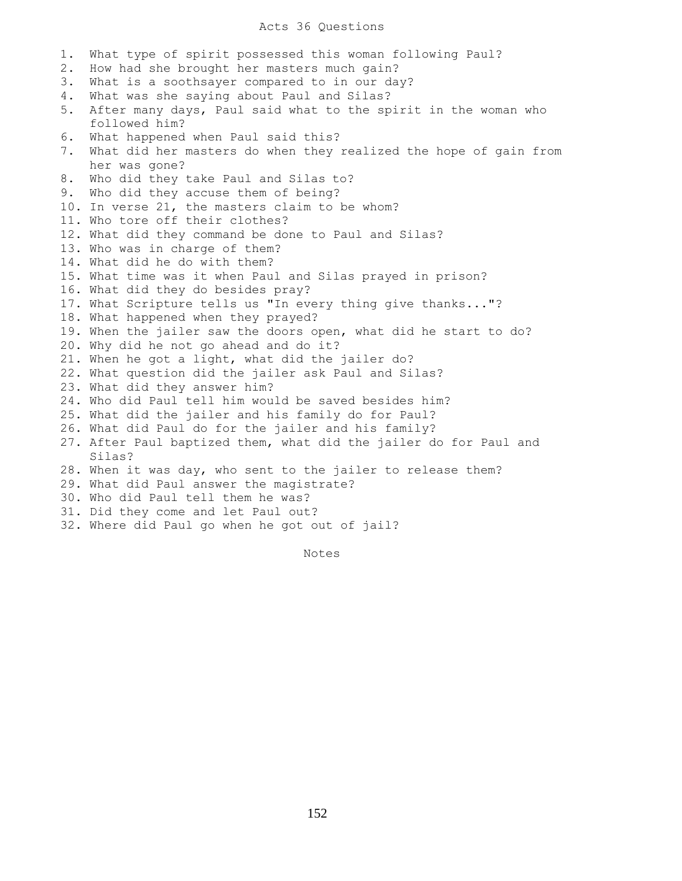## Acts 36 Questions

1. What type of spirit possessed this woman following Paul? 2. How had she brought her masters much gain? 3. What is a soothsayer compared to in our day? 4. What was she saying about Paul and Silas? 5. After many days, Paul said what to the spirit in the woman who followed him? 6. What happened when Paul said this? 7. What did her masters do when they realized the hope of gain from her was gone? 8. Who did they take Paul and Silas to? 9. Who did they accuse them of being? 10. In verse 21, the masters claim to be whom? 11. Who tore off their clothes? 12. What did they command be done to Paul and Silas? 13. Who was in charge of them? 14. What did he do with them? 15. What time was it when Paul and Silas prayed in prison? 16. What did they do besides pray? 17. What Scripture tells us "In every thing give thanks..."? 18. What happened when they prayed? 19. When the jailer saw the doors open, what did he start to do? 20. Why did he not go ahead and do it? 21. When he got a light, what did the jailer do? 22. What question did the jailer ask Paul and Silas? 23. What did they answer him? 24. Who did Paul tell him would be saved besides him? 25. What did the jailer and his family do for Paul? 26. What did Paul do for the jailer and his family? 27. After Paul baptized them, what did the jailer do for Paul and Silas? 28. When it was day, who sent to the jailer to release them? 29. What did Paul answer the magistrate? 30. Who did Paul tell them he was? 31. Did they come and let Paul out? 32. Where did Paul go when he got out of jail?

Notes **Notes**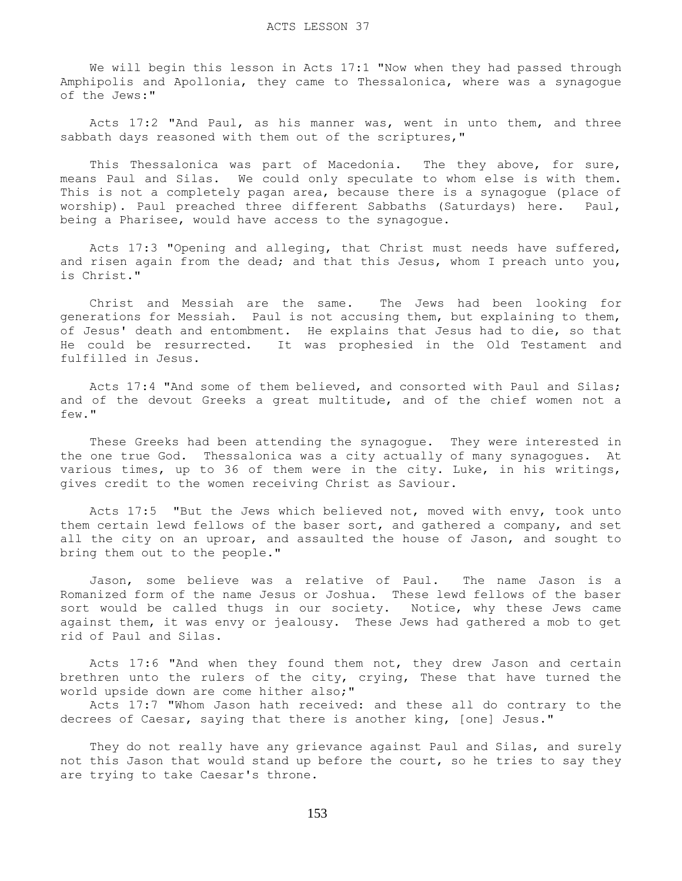We will begin this lesson in Acts 17:1 "Now when they had passed through Amphipolis and Apollonia, they came to Thessalonica, where was a synagogue of the Jews:"

 Acts 17:2 "And Paul, as his manner was, went in unto them, and three sabbath days reasoned with them out of the scriptures,"

This Thessalonica was part of Macedonia. The they above, for sure, means Paul and Silas. We could only speculate to whom else is with them. This is not a completely pagan area, because there is a synagogue (place of worship). Paul preached three different Sabbaths (Saturdays) here. Paul, being a Pharisee, would have access to the synagogue.

 Acts 17:3 "Opening and alleging, that Christ must needs have suffered, and risen again from the dead; and that this Jesus, whom I preach unto you, is Christ."

 Christ and Messiah are the same. The Jews had been looking for generations for Messiah. Paul is not accusing them, but explaining to them, of Jesus' death and entombment. He explains that Jesus had to die, so that He could be resurrected. It was prophesied in the Old Testament and fulfilled in Jesus.

 Acts 17:4 "And some of them believed, and consorted with Paul and Silas; and of the devout Greeks a great multitude, and of the chief women not a few."

 These Greeks had been attending the synagogue. They were interested in the one true God. Thessalonica was a city actually of many synagogues. At various times, up to 36 of them were in the city. Luke, in his writings, gives credit to the women receiving Christ as Saviour.

 Acts 17:5 "But the Jews which believed not, moved with envy, took unto them certain lewd fellows of the baser sort, and gathered a company, and set all the city on an uproar, and assaulted the house of Jason, and sought to bring them out to the people."

 Jason, some believe was a relative of Paul. The name Jason is a Romanized form of the name Jesus or Joshua. These lewd fellows of the baser sort would be called thugs in our society. Notice, why these Jews came against them, it was envy or jealousy. These Jews had gathered a mob to get rid of Paul and Silas.

 Acts 17:6 "And when they found them not, they drew Jason and certain brethren unto the rulers of the city, crying, These that have turned the world upside down are come hither also;"

 Acts 17:7 "Whom Jason hath received: and these all do contrary to the decrees of Caesar, saying that there is another king, [one] Jesus."

 They do not really have any grievance against Paul and Silas, and surely not this Jason that would stand up before the court, so he tries to say they are trying to take Caesar's throne.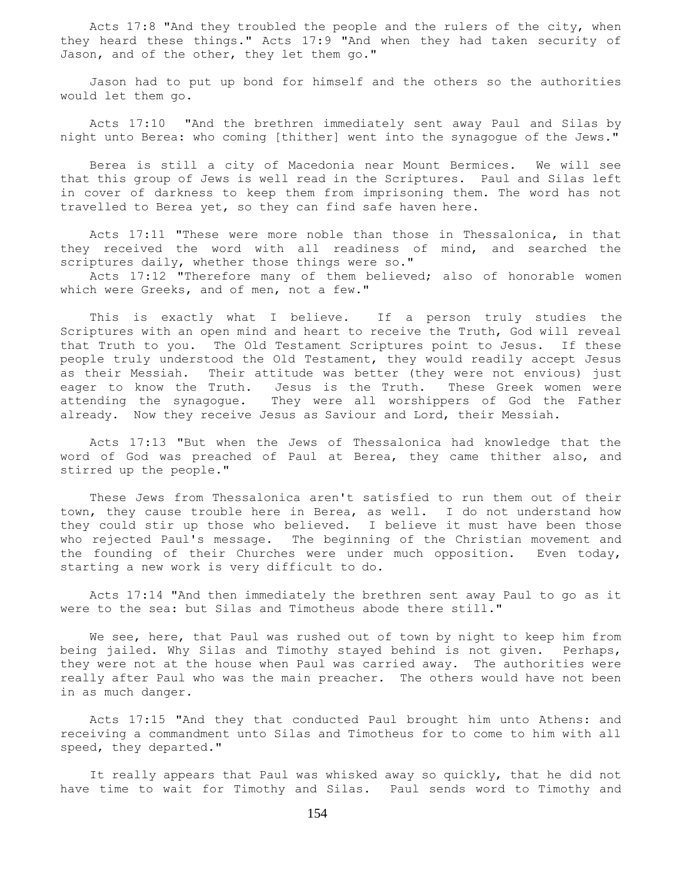Acts 17:8 "And they troubled the people and the rulers of the city, when they heard these things." Acts 17:9 "And when they had taken security of Jason, and of the other, they let them go."

 Jason had to put up bond for himself and the others so the authorities would let them go.

 Acts 17:10 "And the brethren immediately sent away Paul and Silas by night unto Berea: who coming [thither] went into the synagogue of the Jews."

 Berea is still a city of Macedonia near Mount Bermices. We will see that this group of Jews is well read in the Scriptures. Paul and Silas left in cover of darkness to keep them from imprisoning them. The word has not travelled to Berea yet, so they can find safe haven here.

 Acts 17:11 "These were more noble than those in Thessalonica, in that they received the word with all readiness of mind, and searched the scriptures daily, whether those things were so."

 Acts 17:12 "Therefore many of them believed; also of honorable women which were Greeks, and of men, not a few."

 This is exactly what I believe. If a person truly studies the Scriptures with an open mind and heart to receive the Truth, God will reveal that Truth to you. The Old Testament Scriptures point to Jesus. If these people truly understood the Old Testament, they would readily accept Jesus as their Messiah. Their attitude was better (they were not envious) just eager to know the Truth. Jesus is the Truth. These Greek women were attending the synagogue. They were all worshippers of God the Father already. Now they receive Jesus as Saviour and Lord, their Messiah.

 Acts 17:13 "But when the Jews of Thessalonica had knowledge that the word of God was preached of Paul at Berea, they came thither also, and stirred up the people."

 These Jews from Thessalonica aren't satisfied to run them out of their town, they cause trouble here in Berea, as well. I do not understand how they could stir up those who believed. I believe it must have been those who rejected Paul's message. The beginning of the Christian movement and the founding of their Churches were under much opposition. Even today, starting a new work is very difficult to do.

 Acts 17:14 "And then immediately the brethren sent away Paul to go as it were to the sea: but Silas and Timotheus abode there still."

We see, here, that Paul was rushed out of town by night to keep him from being jailed. Why Silas and Timothy stayed behind is not given. Perhaps, they were not at the house when Paul was carried away. The authorities were really after Paul who was the main preacher. The others would have not been in as much danger.

 Acts 17:15 "And they that conducted Paul brought him unto Athens: and receiving a commandment unto Silas and Timotheus for to come to him with all speed, they departed."

 It really appears that Paul was whisked away so quickly, that he did not have time to wait for Timothy and Silas. Paul sends word to Timothy and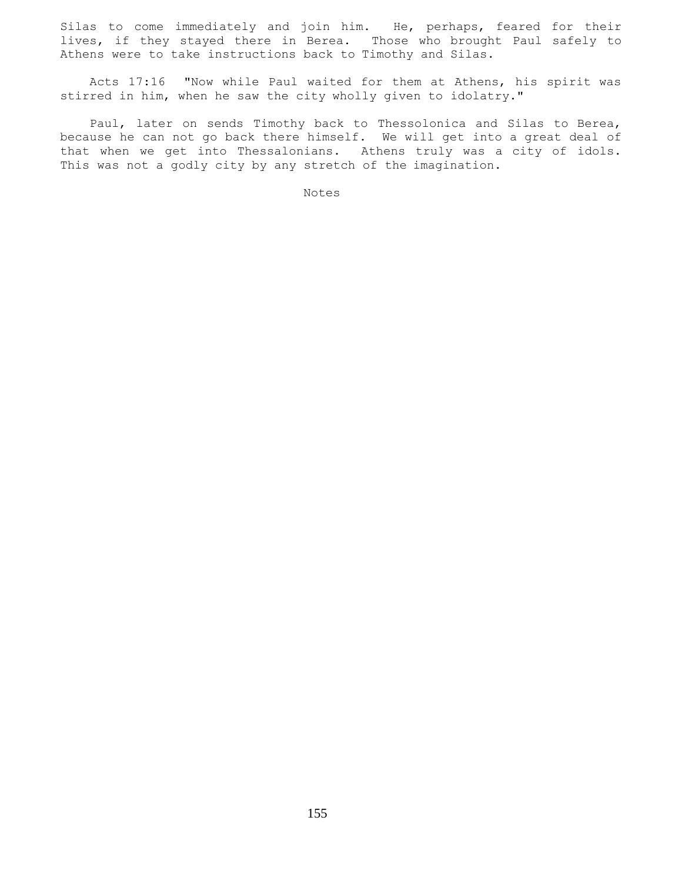Silas to come immediately and join him. He, perhaps, feared for their lives, if they stayed there in Berea. Those who brought Paul safely to Athens were to take instructions back to Timothy and Silas.

 Acts 17:16 "Now while Paul waited for them at Athens, his spirit was stirred in him, when he saw the city wholly given to idolatry."

 Paul, later on sends Timothy back to Thessolonica and Silas to Berea, because he can not go back there himself. We will get into a great deal of that when we get into Thessalonians. Athens truly was a city of idols. This was not a godly city by any stretch of the imagination.

Notes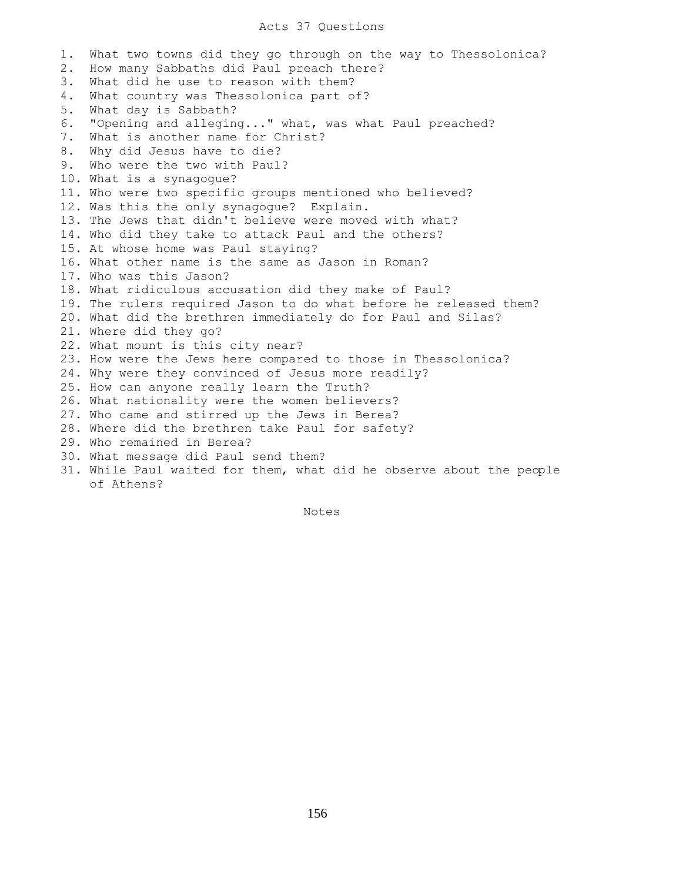## Acts 37 Questions

1. What two towns did they go through on the way to Thessolonica? 2. How many Sabbaths did Paul preach there? 3. What did he use to reason with them? 4. What country was Thessolonica part of? 5. What day is Sabbath? 6. "Opening and alleging..." what, was what Paul preached? 7. What is another name for Christ? 8. Why did Jesus have to die? 9. Who were the two with Paul? 10. What is a synagogue? 11. Who were two specific groups mentioned who believed? 12. Was this the only synagogue? Explain. 13. The Jews that didn't believe were moved with what? 14. Who did they take to attack Paul and the others? 15. At whose home was Paul staying? 16. What other name is the same as Jason in Roman? 17. Who was this Jason? 18. What ridiculous accusation did they make of Paul? 19. The rulers required Jason to do what before he released them? 20. What did the brethren immediately do for Paul and Silas? 21. Where did they go? 22. What mount is this city near? 23. How were the Jews here compared to those in Thessolonica? 24. Why were they convinced of Jesus more readily? 25. How can anyone really learn the Truth? 26. What nationality were the women believers? 27. Who came and stirred up the Jews in Berea? 28. Where did the brethren take Paul for safety? 29. Who remained in Berea? 30. What message did Paul send them? 31. While Paul waited for them, what did he observe about the people of Athens?

Notes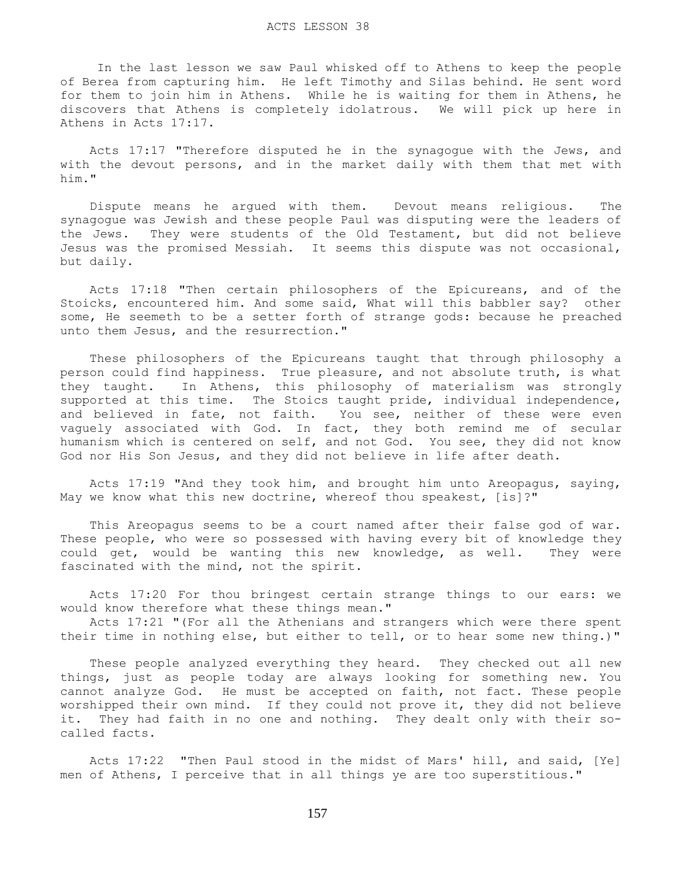In the last lesson we saw Paul whisked off to Athens to keep the people of Berea from capturing him. He left Timothy and Silas behind. He sent word for them to join him in Athens. While he is waiting for them in Athens, he discovers that Athens is completely idolatrous. We will pick up here in Athens in Acts 17:17.

 Acts 17:17 "Therefore disputed he in the synagogue with the Jews, and with the devout persons, and in the market daily with them that met with him."

 Dispute means he argued with them. Devout means religious. The synagogue was Jewish and these people Paul was disputing were the leaders of the Jews. They were students of the Old Testament, but did not believe Jesus was the promised Messiah. It seems this dispute was not occasional, but daily.

 Acts 17:18 "Then certain philosophers of the Epicureans, and of the Stoicks, encountered him. And some said, What will this babbler say? other some, He seemeth to be a setter forth of strange gods: because he preached unto them Jesus, and the resurrection."

 These philosophers of the Epicureans taught that through philosophy a person could find happiness. True pleasure, and not absolute truth, is what they taught. In Athens, this philosophy of materialism was strongly supported at this time. The Stoics taught pride, individual independence, and believed in fate, not faith. You see, neither of these were even vaguely associated with God. In fact, they both remind me of secular humanism which is centered on self, and not God. You see, they did not know God nor His Son Jesus, and they did not believe in life after death.

 Acts 17:19 "And they took him, and brought him unto Areopagus, saying, May we know what this new doctrine, whereof thou speakest, [is]?"

 This Areopagus seems to be a court named after their false god of war. These people, who were so possessed with having every bit of knowledge they could get, would be wanting this new knowledge, as well. They were fascinated with the mind, not the spirit.

 Acts 17:20 For thou bringest certain strange things to our ears: we would know therefore what these things mean."

 Acts 17:21 "(For all the Athenians and strangers which were there spent their time in nothing else, but either to tell, or to hear some new thing.)"

 These people analyzed everything they heard. They checked out all new things, just as people today are always looking for something new. You cannot analyze God. He must be accepted on faith, not fact. These people worshipped their own mind. If they could not prove it, they did not believe it. They had faith in no one and nothing. They dealt only with their socalled facts.

 Acts 17:22 "Then Paul stood in the midst of Mars' hill, and said, [Ye] men of Athens, I perceive that in all things ye are too superstitious."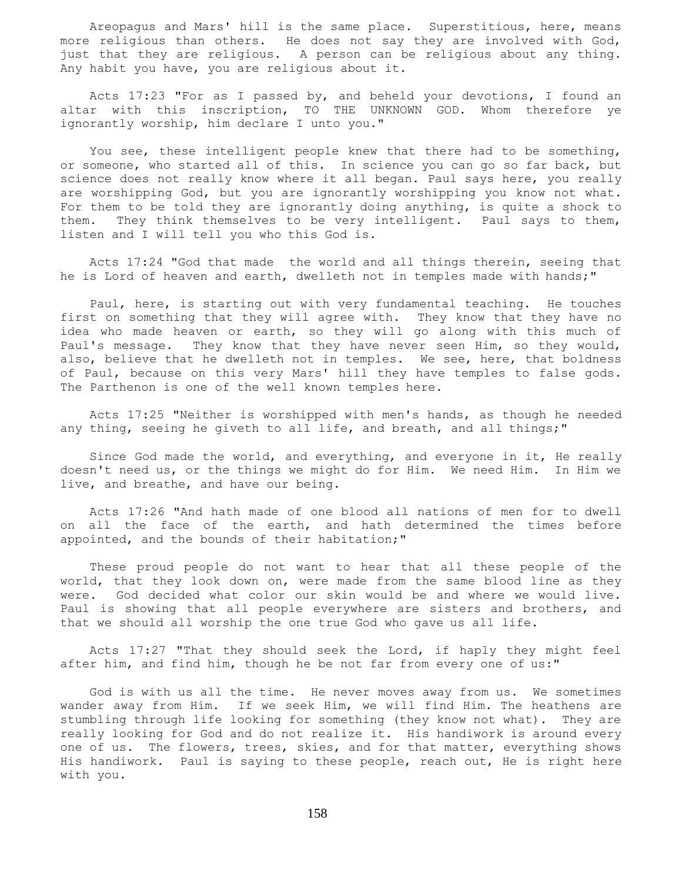Areopagus and Mars' hill is the same place. Superstitious, here, means more religious than others. He does not say they are involved with God, just that they are religious. A person can be religious about any thing. Any habit you have, you are religious about it.

 Acts 17:23 "For as I passed by, and beheld your devotions, I found an altar with this inscription, TO THE UNKNOWN GOD. Whom therefore ye ignorantly worship, him declare I unto you."

 You see, these intelligent people knew that there had to be something, or someone, who started all of this. In science you can go so far back, but science does not really know where it all began. Paul says here, you really are worshipping God, but you are ignorantly worshipping you know not what. For them to be told they are ignorantly doing anything, is quite a shock to them. They think themselves to be very intelligent. Paul says to them, listen and I will tell you who this God is.

 Acts 17:24 "God that made the world and all things therein, seeing that he is Lord of heaven and earth, dwelleth not in temples made with hands;"

 Paul, here, is starting out with very fundamental teaching. He touches first on something that they will agree with. They know that they have no idea who made heaven or earth, so they will go along with this much of Paul's message. They know that they have never seen Him, so they would, also, believe that he dwelleth not in temples. We see, here, that boldness of Paul, because on this very Mars' hill they have temples to false gods. The Parthenon is one of the well known temples here.

 Acts 17:25 "Neither is worshipped with men's hands, as though he needed any thing, seeing he giveth to all life, and breath, and all things;"

 Since God made the world, and everything, and everyone in it, He really doesn't need us, or the things we might do for Him. We need Him. In Him we live, and breathe, and have our being.

 Acts 17:26 "And hath made of one blood all nations of men for to dwell on all the face of the earth, and hath determined the times before appointed, and the bounds of their habitation;"

 These proud people do not want to hear that all these people of the world, that they look down on, were made from the same blood line as they were. God decided what color our skin would be and where we would live. Paul is showing that all people everywhere are sisters and brothers, and that we should all worship the one true God who gave us all life.

 Acts 17:27 "That they should seek the Lord, if haply they might feel after him, and find him, though he be not far from every one of us:"

 God is with us all the time. He never moves away from us. We sometimes wander away from Him. If we seek Him, we will find Him. The heathens are stumbling through life looking for something (they know not what). They are really looking for God and do not realize it. His handiwork is around every one of us. The flowers, trees, skies, and for that matter, everything shows His handiwork. Paul is saying to these people, reach out, He is right here with you.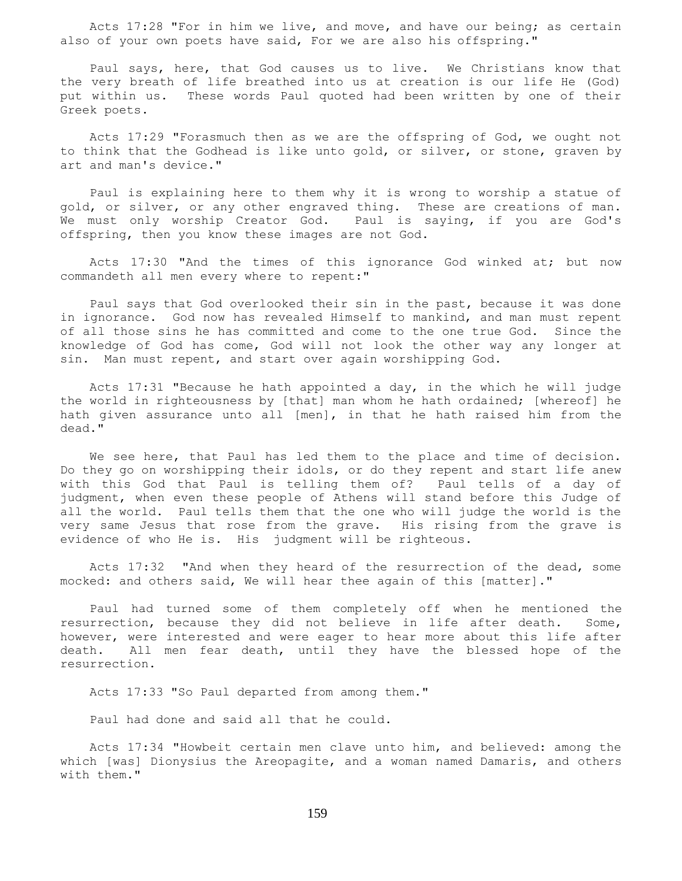Acts 17:28 "For in him we live, and move, and have our being; as certain also of your own poets have said, For we are also his offspring."

 Paul says, here, that God causes us to live. We Christians know that the very breath of life breathed into us at creation is our life He (God) put within us. These words Paul quoted had been written by one of their Greek poets.

 Acts 17:29 "Forasmuch then as we are the offspring of God, we ought not to think that the Godhead is like unto gold, or silver, or stone, graven by art and man's device."

 Paul is explaining here to them why it is wrong to worship a statue of gold, or silver, or any other engraved thing. These are creations of man. We must only worship Creator God. Paul is saying, if you are God's offspring, then you know these images are not God.

 Acts 17:30 "And the times of this ignorance God winked at; but now commandeth all men every where to repent:"

 Paul says that God overlooked their sin in the past, because it was done in ignorance. God now has revealed Himself to mankind, and man must repent of all those sins he has committed and come to the one true God. Since the knowledge of God has come, God will not look the other way any longer at sin. Man must repent, and start over again worshipping God.

 Acts 17:31 "Because he hath appointed a day, in the which he will judge the world in righteousness by [that] man whom he hath ordained; [whereof] he hath given assurance unto all [men], in that he hath raised him from the dead."

 We see here, that Paul has led them to the place and time of decision. Do they go on worshipping their idols, or do they repent and start life anew with this God that Paul is telling them of? Paul tells of a day of judgment, when even these people of Athens will stand before this Judge of all the world. Paul tells them that the one who will judge the world is the very same Jesus that rose from the grave. His rising from the grave is evidence of who He is. His judgment will be righteous.

 Acts 17:32 "And when they heard of the resurrection of the dead, some mocked: and others said, We will hear thee again of this [matter]."

 Paul had turned some of them completely off when he mentioned the resurrection, because they did not believe in life after death. Some, however, were interested and were eager to hear more about this life after death. All men fear death, until they have the blessed hope of the resurrection.

Acts 17:33 "So Paul departed from among them."

Paul had done and said all that he could.

 Acts 17:34 "Howbeit certain men clave unto him, and believed: among the which [was] Dionysius the Areopagite, and a woman named Damaris, and others with them."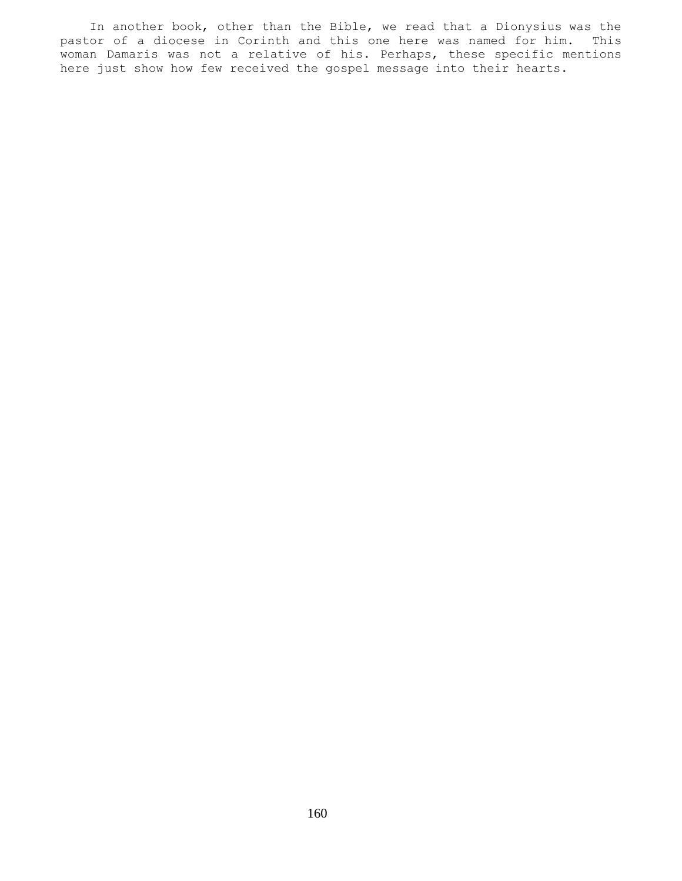In another book, other than the Bible, we read that a Dionysius was the pastor of a diocese in Corinth and this one here was named for him. This woman Damaris was not a relative of his. Perhaps, these specific mentions here just show how few received the gospel message into their hearts.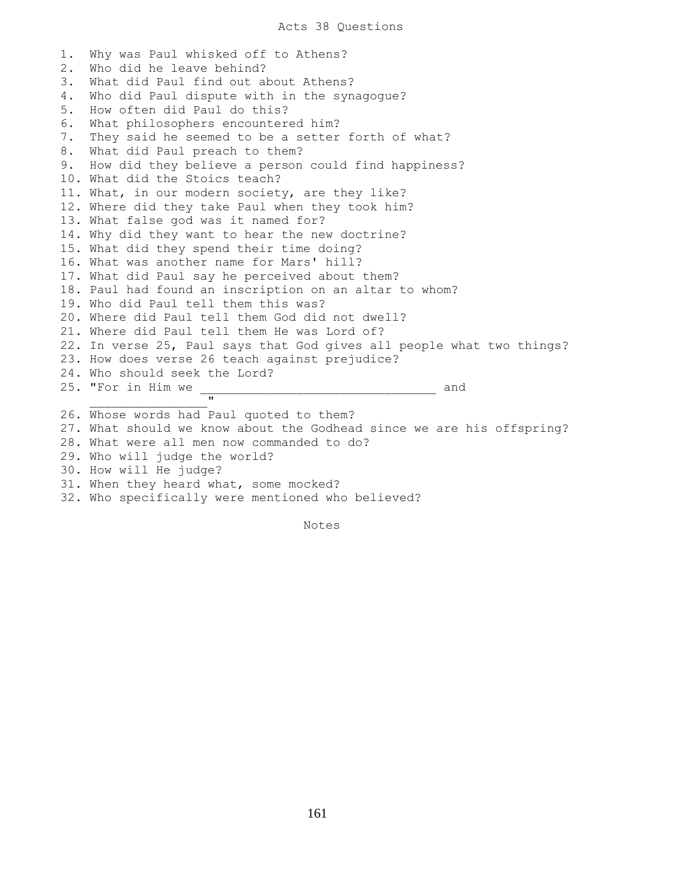1. Why was Paul whisked off to Athens? 2. Who did he leave behind? 3. What did Paul find out about Athens? 4. Who did Paul dispute with in the synagogue? 5. How often did Paul do this? 6. What philosophers encountered him? 7. They said he seemed to be a setter forth of what? 8. What did Paul preach to them? 9. How did they believe a person could find happiness? 10. What did the Stoics teach? 11. What, in our modern society, are they like? 12. Where did they take Paul when they took him? 13. What false god was it named for? 14. Why did they want to hear the new doctrine? 15. What did they spend their time doing? 16. What was another name for Mars' hill? 17. What did Paul say he perceived about them? 18. Paul had found an inscription on an altar to whom? 19. Who did Paul tell them this was? 20. Where did Paul tell them God did not dwell? 21. Where did Paul tell them He was Lord of? 22. In verse 25, Paul says that God gives all people what two things? 23. How does verse 26 teach against prejudice? 24. Who should seek the Lord? 25. "For in Him we \_\_\_\_\_\_\_\_\_\_\_\_\_\_\_\_\_\_\_\_\_\_\_\_\_\_\_\_\_\_\_\_ and  $\mathbf{u}$ 26. Whose words had Paul quoted to them? 27. What should we know about the Godhead since we are his offspring? 28. What were all men now commanded to do? 29. Who will judge the world? 30. How will He judge? 31. When they heard what, some mocked? 32. Who specifically were mentioned who believed?

Notes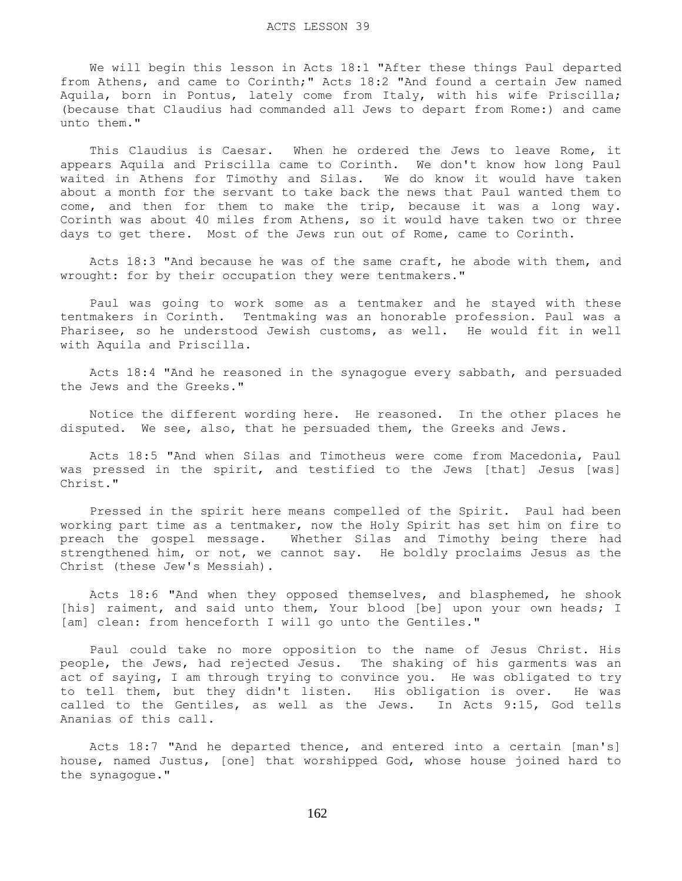We will begin this lesson in Acts 18:1 "After these things Paul departed from Athens, and came to Corinth;" Acts 18:2 "And found a certain Jew named Aquila, born in Pontus, lately come from Italy, with his wife Priscilla; (because that Claudius had commanded all Jews to depart from Rome:) and came unto them."

 This Claudius is Caesar. When he ordered the Jews to leave Rome, it appears Aquila and Priscilla came to Corinth. We don't know how long Paul waited in Athens for Timothy and Silas. We do know it would have taken about a month for the servant to take back the news that Paul wanted them to come, and then for them to make the trip, because it was a long way. Corinth was about 40 miles from Athens, so it would have taken two or three days to get there. Most of the Jews run out of Rome, came to Corinth.

 Acts 18:3 "And because he was of the same craft, he abode with them, and wrought: for by their occupation they were tentmakers."

 Paul was going to work some as a tentmaker and he stayed with these tentmakers in Corinth. Tentmaking was an honorable profession. Paul was a Pharisee, so he understood Jewish customs, as well. He would fit in well with Aquila and Priscilla.

 Acts 18:4 "And he reasoned in the synagogue every sabbath, and persuaded the Jews and the Greeks."

 Notice the different wording here. He reasoned. In the other places he disputed. We see, also, that he persuaded them, the Greeks and Jews.

 Acts 18:5 "And when Silas and Timotheus were come from Macedonia, Paul was pressed in the spirit, and testified to the Jews [that] Jesus [was] Christ."

 Pressed in the spirit here means compelled of the Spirit. Paul had been working part time as a tentmaker, now the Holy Spirit has set him on fire to preach the gospel message. Whether Silas and Timothy being there had strengthened him, or not, we cannot say. He boldly proclaims Jesus as the Christ (these Jew's Messiah).

 Acts 18:6 "And when they opposed themselves, and blasphemed, he shook [his] raiment, and said unto them, Your blood [be] upon your own heads; I [am] clean: from henceforth I will go unto the Gentiles."

 Paul could take no more opposition to the name of Jesus Christ. His people, the Jews, had rejected Jesus. The shaking of his garments was an act of saying, I am through trying to convince you. He was obligated to try to tell them, but they didn't listen. His obligation is over. He was called to the Gentiles, as well as the Jews. In Acts 9:15, God tells Ananias of this call.

 Acts 18:7 "And he departed thence, and entered into a certain [man's] house, named Justus, [one] that worshipped God, whose house joined hard to the synagogue."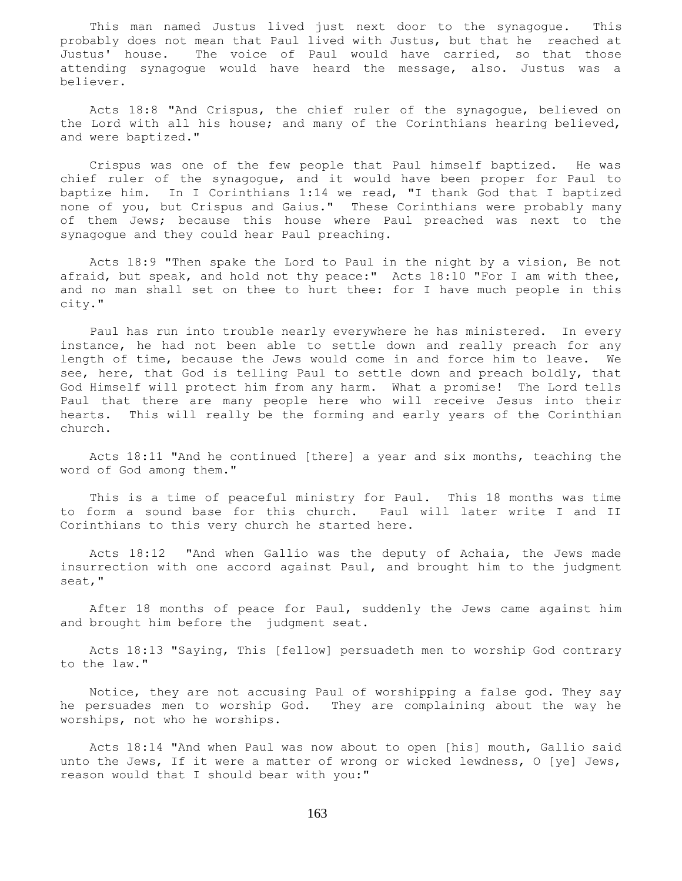This man named Justus lived just next door to the synagogue. This probably does not mean that Paul lived with Justus, but that he reached at Justus' house. The voice of Paul would have carried, so that those attending synagogue would have heard the message, also. Justus was a believer.

 Acts 18:8 "And Crispus, the chief ruler of the synagogue, believed on the Lord with all his house; and many of the Corinthians hearing believed, and were baptized."

 Crispus was one of the few people that Paul himself baptized. He was chief ruler of the synagogue, and it would have been proper for Paul to baptize him. In I Corinthians 1:14 we read, "I thank God that I baptized none of you, but Crispus and Gaius." These Corinthians were probably many of them Jews; because this house where Paul preached was next to the synagogue and they could hear Paul preaching.

 Acts 18:9 "Then spake the Lord to Paul in the night by a vision, Be not afraid, but speak, and hold not thy peace:" Acts 18:10 "For I am with thee, and no man shall set on thee to hurt thee: for I have much people in this city."

 Paul has run into trouble nearly everywhere he has ministered. In every instance, he had not been able to settle down and really preach for any length of time, because the Jews would come in and force him to leave. We see, here, that God is telling Paul to settle down and preach boldly, that God Himself will protect him from any harm. What a promise! The Lord tells Paul that there are many people here who will receive Jesus into their hearts. This will really be the forming and early years of the Corinthian church.

 Acts 18:11 "And he continued [there] a year and six months, teaching the word of God among them."

 This is a time of peaceful ministry for Paul. This 18 months was time to form a sound base for this church. Paul will later write I and II Corinthians to this very church he started here.

 Acts 18:12 "And when Gallio was the deputy of Achaia, the Jews made insurrection with one accord against Paul, and brought him to the judgment seat,"

 After 18 months of peace for Paul, suddenly the Jews came against him and brought him before the judgment seat.

 Acts 18:13 "Saying, This [fellow] persuadeth men to worship God contrary to the law."

 Notice, they are not accusing Paul of worshipping a false god. They say he persuades men to worship God. They are complaining about the way he worships, not who he worships.

 Acts 18:14 "And when Paul was now about to open [his] mouth, Gallio said unto the Jews, If it were a matter of wrong or wicked lewdness, O [ye] Jews, reason would that I should bear with you:"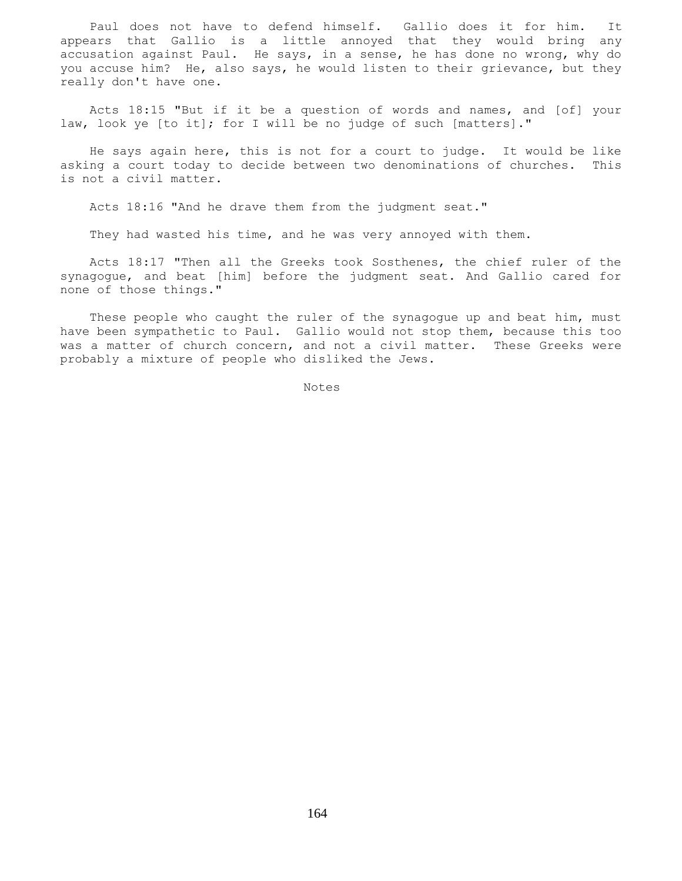Paul does not have to defend himself. Gallio does it for him. It appears that Gallio is a little annoyed that they would bring any accusation against Paul. He says, in a sense, he has done no wrong, why do you accuse him? He, also says, he would listen to their grievance, but they really don't have one.

 Acts 18:15 "But if it be a question of words and names, and [of] your law, look ye [to it]; for I will be no judge of such [matters]."

 He says again here, this is not for a court to judge. It would be like asking a court today to decide between two denominations of churches. This is not a civil matter.

Acts 18:16 "And he drave them from the judgment seat."

They had wasted his time, and he was very annoyed with them.

 Acts 18:17 "Then all the Greeks took Sosthenes, the chief ruler of the synagogue, and beat [him] before the judgment seat. And Gallio cared for none of those things."

These people who caught the ruler of the synagogue up and beat him, must have been sympathetic to Paul. Gallio would not stop them, because this too was a matter of church concern, and not a civil matter. These Greeks were probably a mixture of people who disliked the Jews.

Notes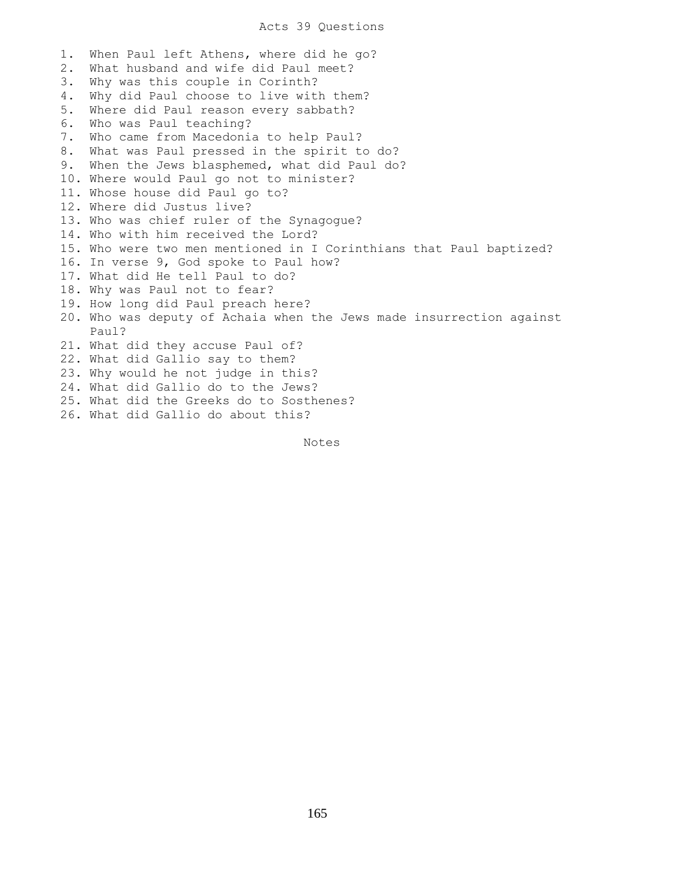1. When Paul left Athens, where did he go? 2. What husband and wife did Paul meet? 3. Why was this couple in Corinth? 4. Why did Paul choose to live with them? 5. Where did Paul reason every sabbath? 6. Who was Paul teaching? 7. Who came from Macedonia to help Paul? 8. What was Paul pressed in the spirit to do? 9. When the Jews blasphemed, what did Paul do? 10. Where would Paul go not to minister? 11. Whose house did Paul go to? 12. Where did Justus live? 13. Who was chief ruler of the Synagogue? 14. Who with him received the Lord? 15. Who were two men mentioned in I Corinthians that Paul baptized? 16. In verse 9, God spoke to Paul how? 17. What did He tell Paul to do? 18. Why was Paul not to fear? 19. How long did Paul preach here? 20. Who was deputy of Achaia when the Jews made insurrection against Paul? 21. What did they accuse Paul of? 22. What did Gallio say to them? 23. Why would he not judge in this? 24. What did Gallio do to the Jews? 25. What did the Greeks do to Sosthenes? 26. What did Gallio do about this?

Notes **Notes**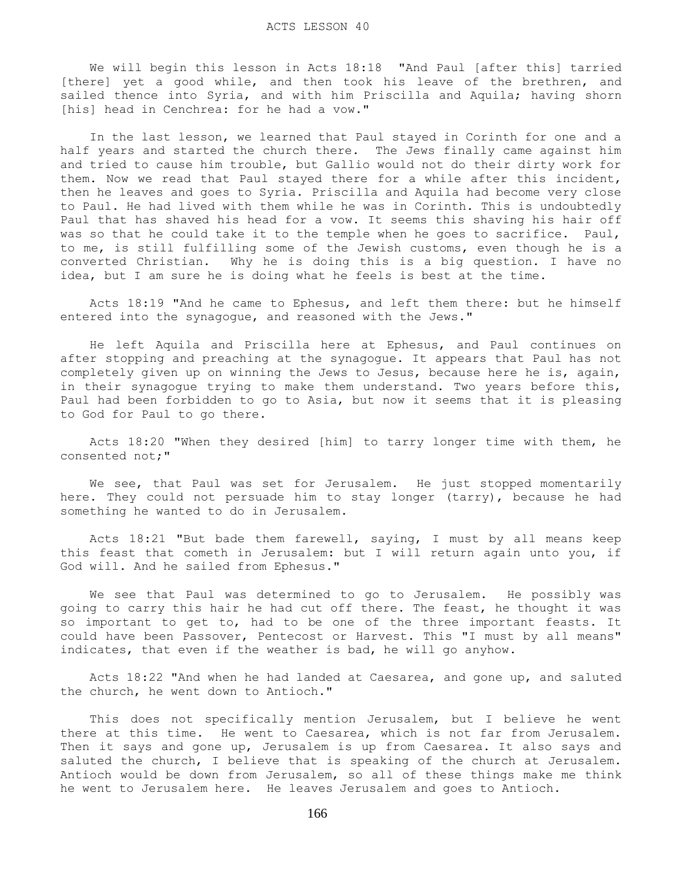We will begin this lesson in Acts 18:18 "And Paul [after this] tarried [there] yet a good while, and then took his leave of the brethren, and sailed thence into Syria, and with him Priscilla and Aquila; having shorn [his] head in Cenchrea: for he had a vow."

 In the last lesson, we learned that Paul stayed in Corinth for one and a half years and started the church there. The Jews finally came against him and tried to cause him trouble, but Gallio would not do their dirty work for them. Now we read that Paul stayed there for a while after this incident, then he leaves and goes to Syria. Priscilla and Aquila had become very close to Paul. He had lived with them while he was in Corinth. This is undoubtedly Paul that has shaved his head for a vow. It seems this shaving his hair off was so that he could take it to the temple when he goes to sacrifice. Paul, to me, is still fulfilling some of the Jewish customs, even though he is a converted Christian. Why he is doing this is a big question. I have no idea, but I am sure he is doing what he feels is best at the time.

 Acts 18:19 "And he came to Ephesus, and left them there: but he himself entered into the synagogue, and reasoned with the Jews."

 He left Aquila and Priscilla here at Ephesus, and Paul continues on after stopping and preaching at the synagogue. It appears that Paul has not completely given up on winning the Jews to Jesus, because here he is, again, in their synagogue trying to make them understand. Two years before this, Paul had been forbidden to go to Asia, but now it seems that it is pleasing to God for Paul to go there.

 Acts 18:20 "When they desired [him] to tarry longer time with them, he consented not;"

We see, that Paul was set for Jerusalem. He just stopped momentarily here. They could not persuade him to stay longer (tarry), because he had something he wanted to do in Jerusalem.

 Acts 18:21 "But bade them farewell, saying, I must by all means keep this feast that cometh in Jerusalem: but I will return again unto you, if God will. And he sailed from Ephesus."

 We see that Paul was determined to go to Jerusalem. He possibly was going to carry this hair he had cut off there. The feast, he thought it was so important to get to, had to be one of the three important feasts. It could have been Passover, Pentecost or Harvest. This "I must by all means" indicates, that even if the weather is bad, he will go anyhow.

 Acts 18:22 "And when he had landed at Caesarea, and gone up, and saluted the church, he went down to Antioch."

 This does not specifically mention Jerusalem, but I believe he went there at this time. He went to Caesarea, which is not far from Jerusalem. Then it says and gone up, Jerusalem is up from Caesarea. It also says and saluted the church, I believe that is speaking of the church at Jerusalem. Antioch would be down from Jerusalem, so all of these things make me think he went to Jerusalem here. He leaves Jerusalem and goes to Antioch.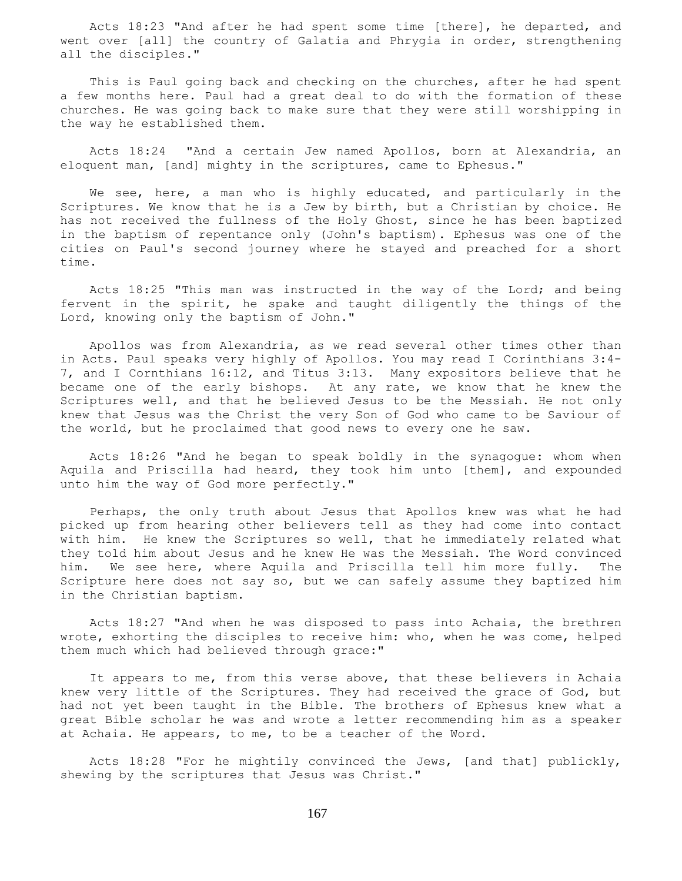Acts 18:23 "And after he had spent some time [there], he departed, and went over [all] the country of Galatia and Phrygia in order, strengthening all the disciples."

 This is Paul going back and checking on the churches, after he had spent a few months here. Paul had a great deal to do with the formation of these churches. He was going back to make sure that they were still worshipping in the way he established them.

 Acts 18:24 "And a certain Jew named Apollos, born at Alexandria, an eloquent man, [and] mighty in the scriptures, came to Ephesus."

 We see, here, a man who is highly educated, and particularly in the Scriptures. We know that he is a Jew by birth, but a Christian by choice. He has not received the fullness of the Holy Ghost, since he has been baptized in the baptism of repentance only (John's baptism). Ephesus was one of the cities on Paul's second journey where he stayed and preached for a short time.

 Acts 18:25 "This man was instructed in the way of the Lord; and being fervent in the spirit, he spake and taught diligently the things of the Lord, knowing only the baptism of John."

 Apollos was from Alexandria, as we read several other times other than in Acts. Paul speaks very highly of Apollos. You may read I Corinthians 3:4- 7, and I Cornthians 16:12, and Titus 3:13. Many expositors believe that he became one of the early bishops. At any rate, we know that he knew the Scriptures well, and that he believed Jesus to be the Messiah. He not only knew that Jesus was the Christ the very Son of God who came to be Saviour of the world, but he proclaimed that good news to every one he saw.

 Acts 18:26 "And he began to speak boldly in the synagogue: whom when Aquila and Priscilla had heard, they took him unto [them], and expounded unto him the way of God more perfectly."

 Perhaps, the only truth about Jesus that Apollos knew was what he had picked up from hearing other believers tell as they had come into contact with him. He knew the Scriptures so well, that he immediately related what they told him about Jesus and he knew He was the Messiah. The Word convinced him. We see here, where Aquila and Priscilla tell him more fully. The Scripture here does not say so, but we can safely assume they baptized him in the Christian baptism.

 Acts 18:27 "And when he was disposed to pass into Achaia, the brethren wrote, exhorting the disciples to receive him: who, when he was come, helped them much which had believed through grace:"

 It appears to me, from this verse above, that these believers in Achaia knew very little of the Scriptures. They had received the grace of God, but had not yet been taught in the Bible. The brothers of Ephesus knew what a great Bible scholar he was and wrote a letter recommending him as a speaker at Achaia. He appears, to me, to be a teacher of the Word.

 Acts 18:28 "For he mightily convinced the Jews, [and that] publickly, shewing by the scriptures that Jesus was Christ."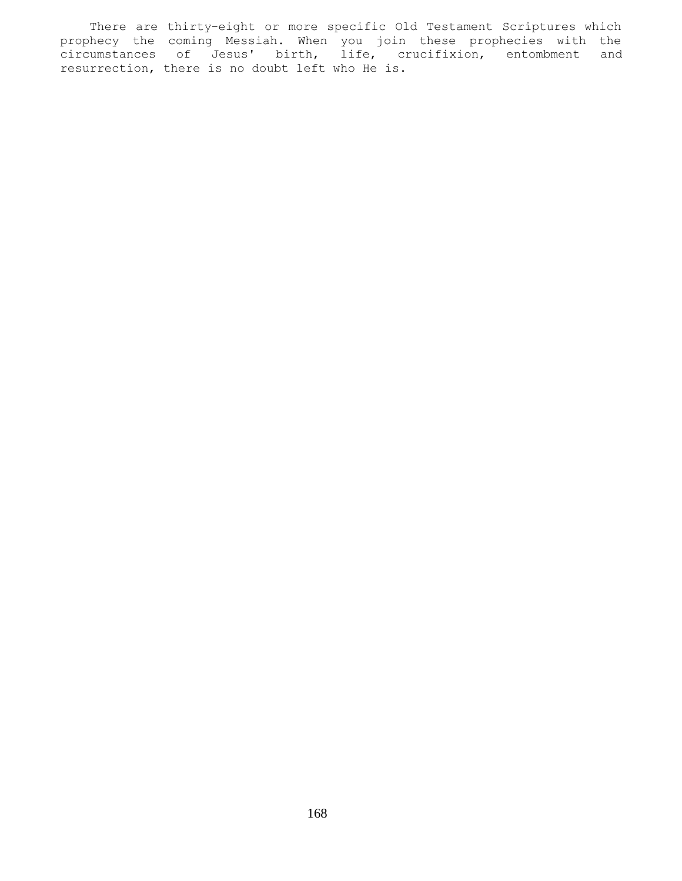There are thirty-eight or more specific Old Testament Scriptures which prophecy the coming Messiah. When you join these prophecies with the circumstances of Jesus' birth, life, crucifixion, entombment and resurrection, there is no doubt left who He is.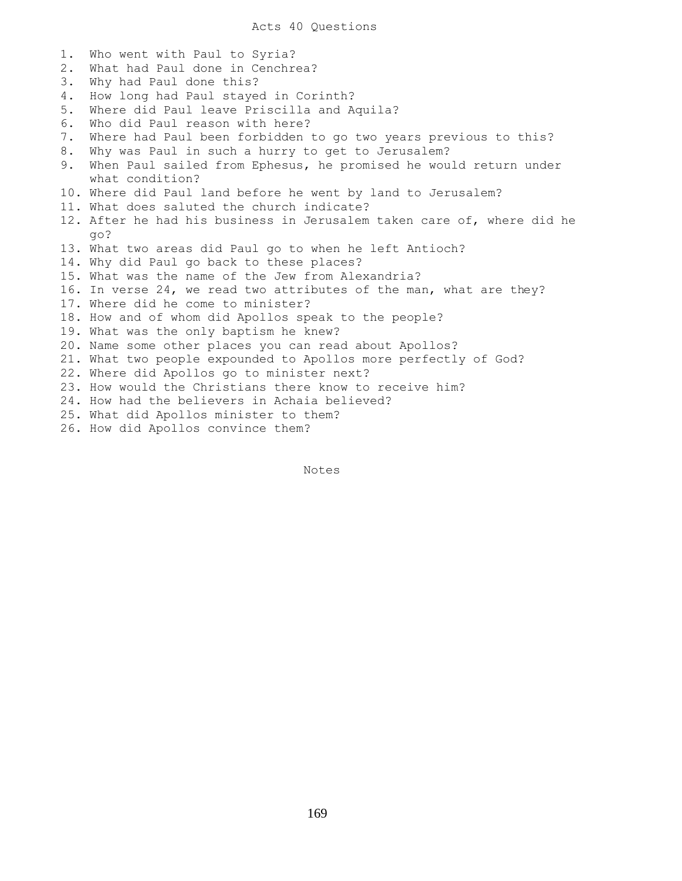1. Who went with Paul to Syria? 2. What had Paul done in Cenchrea? 3. Why had Paul done this? 4. How long had Paul stayed in Corinth? 5. Where did Paul leave Priscilla and Aquila? 6. Who did Paul reason with here? 7. Where had Paul been forbidden to go two years previous to this? 8. Why was Paul in such a hurry to get to Jerusalem? 9. When Paul sailed from Ephesus, he promised he would return under what condition? 10. Where did Paul land before he went by land to Jerusalem? 11. What does saluted the church indicate? 12. After he had his business in Jerusalem taken care of, where did he go? 13. What two areas did Paul go to when he left Antioch? 14. Why did Paul go back to these places? 15. What was the name of the Jew from Alexandria? 16. In verse 24, we read two attributes of the man, what are they? 17. Where did he come to minister? 18. How and of whom did Apollos speak to the people? 19. What was the only baptism he knew? 20. Name some other places you can read about Apollos? 21. What two people expounded to Apollos more perfectly of God? 22. Where did Apollos go to minister next? 23. How would the Christians there know to receive him? 24. How had the believers in Achaia believed? 25. What did Apollos minister to them? 26. How did Apollos convince them?

Notes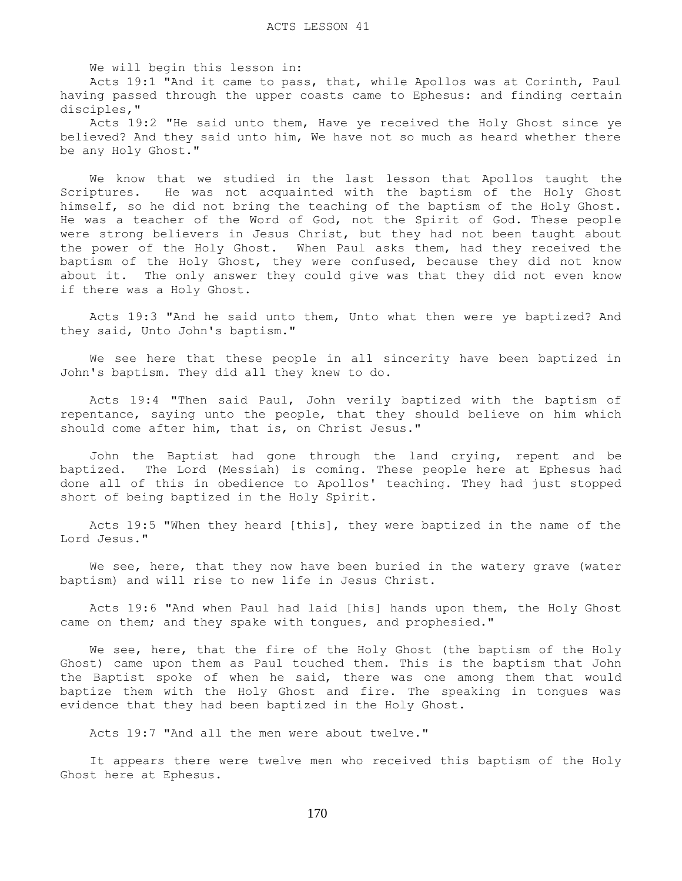We will begin this lesson in:

 Acts 19:1 "And it came to pass, that, while Apollos was at Corinth, Paul having passed through the upper coasts came to Ephesus: and finding certain disciples,"

 Acts 19:2 "He said unto them, Have ye received the Holy Ghost since ye believed? And they said unto him, We have not so much as heard whether there be any Holy Ghost."

 We know that we studied in the last lesson that Apollos taught the Scriptures. He was not acquainted with the baptism of the Holy Ghost himself, so he did not bring the teaching of the baptism of the Holy Ghost. He was a teacher of the Word of God, not the Spirit of God. These people were strong believers in Jesus Christ, but they had not been taught about the power of the Holy Ghost. When Paul asks them, had they received the baptism of the Holy Ghost, they were confused, because they did not know about it. The only answer they could give was that they did not even know if there was a Holy Ghost.

 Acts 19:3 "And he said unto them, Unto what then were ye baptized? And they said, Unto John's baptism."

 We see here that these people in all sincerity have been baptized in John's baptism. They did all they knew to do.

 Acts 19:4 "Then said Paul, John verily baptized with the baptism of repentance, saying unto the people, that they should believe on him which should come after him, that is, on Christ Jesus."

 John the Baptist had gone through the land crying, repent and be baptized. The Lord (Messiah) is coming. These people here at Ephesus had done all of this in obedience to Apollos' teaching. They had just stopped short of being baptized in the Holy Spirit.

 Acts 19:5 "When they heard [this], they were baptized in the name of the Lord Jesus."

We see, here, that they now have been buried in the watery grave (water baptism) and will rise to new life in Jesus Christ.

 Acts 19:6 "And when Paul had laid [his] hands upon them, the Holy Ghost came on them; and they spake with tongues, and prophesied."

We see, here, that the fire of the Holy Ghost (the baptism of the Holy Ghost) came upon them as Paul touched them. This is the baptism that John the Baptist spoke of when he said, there was one among them that would baptize them with the Holy Ghost and fire. The speaking in tongues was evidence that they had been baptized in the Holy Ghost.

Acts 19:7 "And all the men were about twelve."

 It appears there were twelve men who received this baptism of the Holy Ghost here at Ephesus.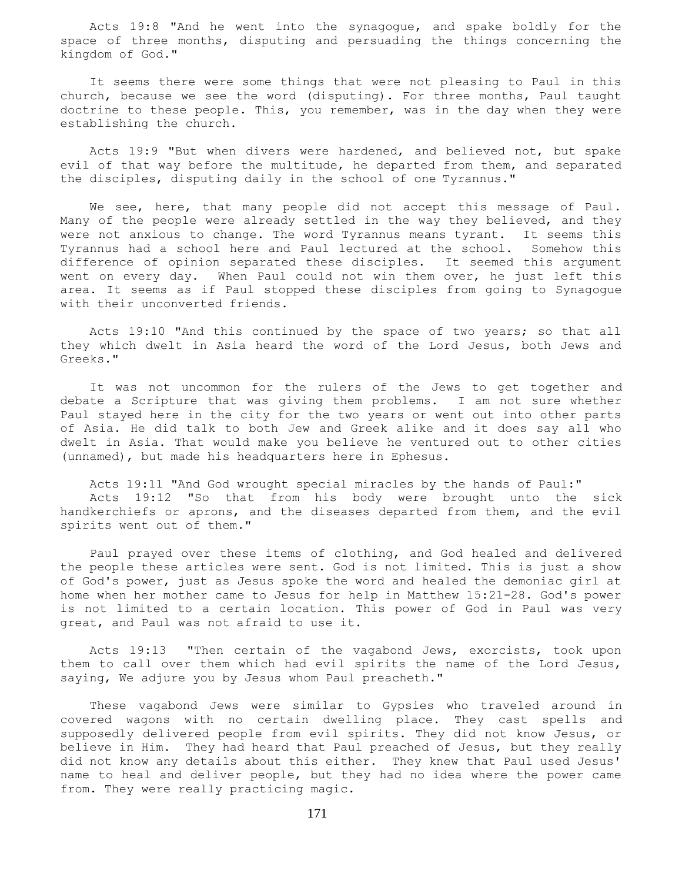Acts 19:8 "And he went into the synagogue, and spake boldly for the space of three months, disputing and persuading the things concerning the kingdom of God."

 It seems there were some things that were not pleasing to Paul in this church, because we see the word (disputing). For three months, Paul taught doctrine to these people. This, you remember, was in the day when they were establishing the church.

 Acts 19:9 "But when divers were hardened, and believed not, but spake evil of that way before the multitude, he departed from them, and separated the disciples, disputing daily in the school of one Tyrannus."

 We see, here, that many people did not accept this message of Paul. Many of the people were already settled in the way they believed, and they were not anxious to change. The word Tyrannus means tyrant. It seems this Tyrannus had a school here and Paul lectured at the school. Somehow this difference of opinion separated these disciples. It seemed this argument went on every day. When Paul could not win them over, he just left this area. It seems as if Paul stopped these disciples from going to Synagogue with their unconverted friends.

 Acts 19:10 "And this continued by the space of two years; so that all they which dwelt in Asia heard the word of the Lord Jesus, both Jews and Greeks."

 It was not uncommon for the rulers of the Jews to get together and debate a Scripture that was giving them problems. I am not sure whether Paul stayed here in the city for the two years or went out into other parts of Asia. He did talk to both Jew and Greek alike and it does say all who dwelt in Asia. That would make you believe he ventured out to other cities (unnamed), but made his headquarters here in Ephesus.

 Acts 19:11 "And God wrought special miracles by the hands of Paul:" Acts 19:12 "So that from his body were brought unto the sick handkerchiefs or aprons, and the diseases departed from them, and the evil spirits went out of them."

 Paul prayed over these items of clothing, and God healed and delivered the people these articles were sent. God is not limited. This is just a show of God's power, just as Jesus spoke the word and healed the demoniac girl at home when her mother came to Jesus for help in Matthew 15:21-28. God's power is not limited to a certain location. This power of God in Paul was very great, and Paul was not afraid to use it.

 Acts 19:13 "Then certain of the vagabond Jews, exorcists, took upon them to call over them which had evil spirits the name of the Lord Jesus, saying, We adjure you by Jesus whom Paul preacheth."

 These vagabond Jews were similar to Gypsies who traveled around in covered wagons with no certain dwelling place. They cast spells and supposedly delivered people from evil spirits. They did not know Jesus, or believe in Him. They had heard that Paul preached of Jesus, but they really did not know any details about this either. They knew that Paul used Jesus' name to heal and deliver people, but they had no idea where the power came from. They were really practicing magic.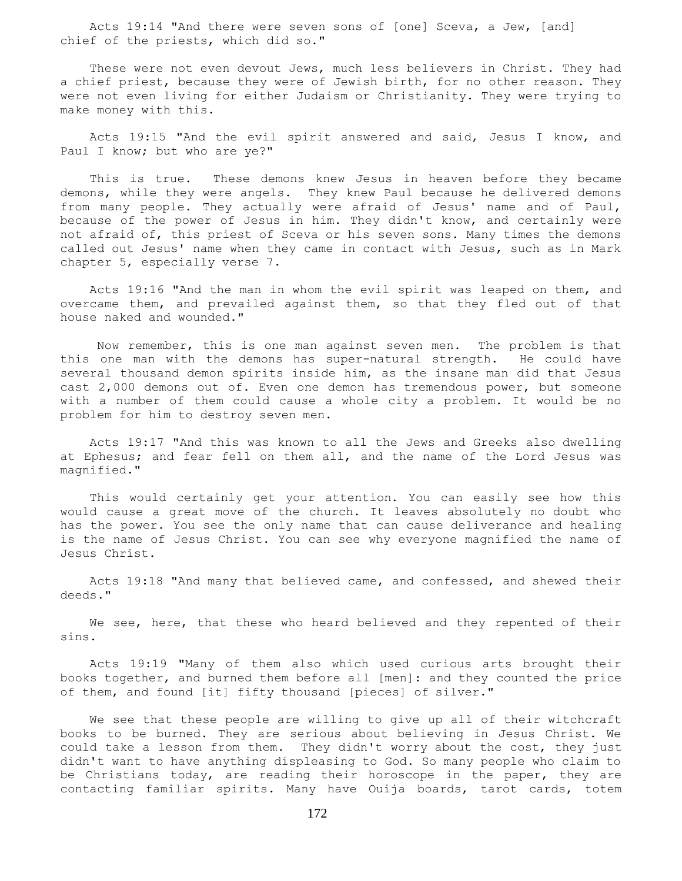Acts 19:14 "And there were seven sons of [one] Sceva, a Jew, [and] chief of the priests, which did so."

 These were not even devout Jews, much less believers in Christ. They had a chief priest, because they were of Jewish birth, for no other reason. They were not even living for either Judaism or Christianity. They were trying to make money with this.

 Acts 19:15 "And the evil spirit answered and said, Jesus I know, and Paul I know; but who are ye?"

 This is true. These demons knew Jesus in heaven before they became demons, while they were angels. They knew Paul because he delivered demons from many people. They actually were afraid of Jesus' name and of Paul, because of the power of Jesus in him. They didn't know, and certainly were not afraid of, this priest of Sceva or his seven sons. Many times the demons called out Jesus' name when they came in contact with Jesus, such as in Mark chapter 5, especially verse 7.

 Acts 19:16 "And the man in whom the evil spirit was leaped on them, and overcame them, and prevailed against them, so that they fled out of that house naked and wounded."

 Now remember, this is one man against seven men. The problem is that this one man with the demons has super-natural strength. He could have several thousand demon spirits inside him, as the insane man did that Jesus cast 2,000 demons out of. Even one demon has tremendous power, but someone with a number of them could cause a whole city a problem. It would be no problem for him to destroy seven men.

 Acts 19:17 "And this was known to all the Jews and Greeks also dwelling at Ephesus; and fear fell on them all, and the name of the Lord Jesus was magnified."

 This would certainly get your attention. You can easily see how this would cause a great move of the church. It leaves absolutely no doubt who has the power. You see the only name that can cause deliverance and healing is the name of Jesus Christ. You can see why everyone magnified the name of Jesus Christ.

 Acts 19:18 "And many that believed came, and confessed, and shewed their deeds."

We see, here, that these who heard believed and they repented of their sins.

 Acts 19:19 "Many of them also which used curious arts brought their books together, and burned them before all [men]: and they counted the price of them, and found [it] fifty thousand [pieces] of silver."

 We see that these people are willing to give up all of their witchcraft books to be burned. They are serious about believing in Jesus Christ. We could take a lesson from them. They didn't worry about the cost, they just didn't want to have anything displeasing to God. So many people who claim to be Christians today, are reading their horoscope in the paper, they are contacting familiar spirits. Many have Ouija boards, tarot cards, totem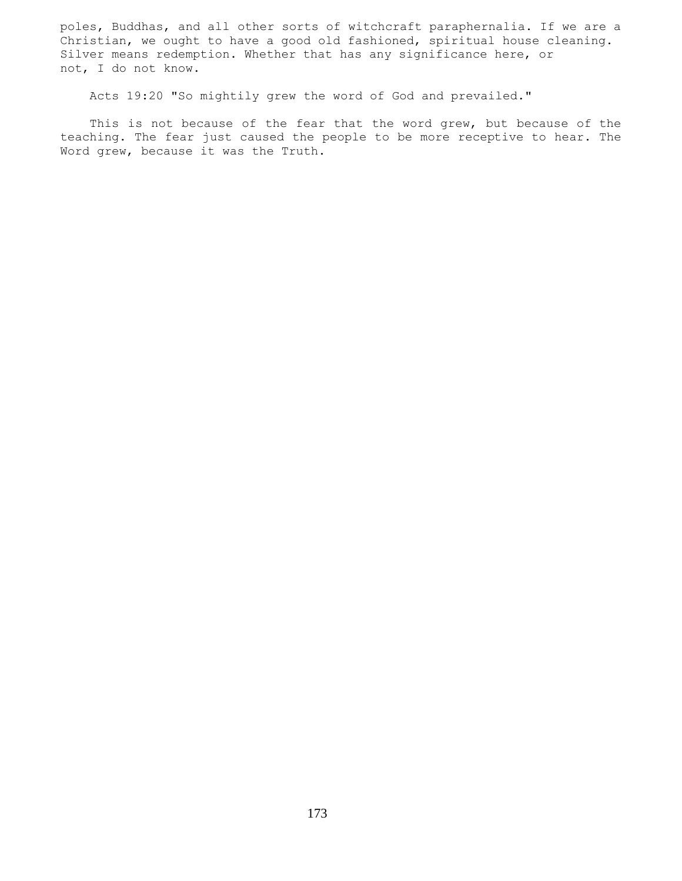poles, Buddhas, and all other sorts of witchcraft paraphernalia. If we are a Christian, we ought to have a good old fashioned, spiritual house cleaning. Silver means redemption. Whether that has any significance here, or not, I do not know.

Acts 19:20 "So mightily grew the word of God and prevailed."

This is not because of the fear that the word grew, but because of the teaching. The fear just caused the people to be more receptive to hear. The Word grew, because it was the Truth.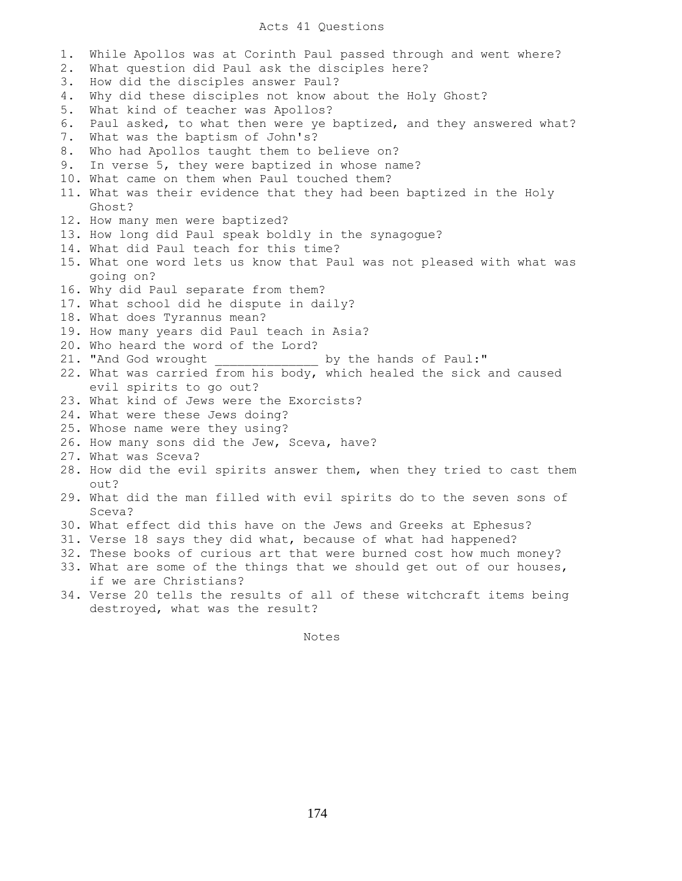## Acts 41 Questions

1. While Apollos was at Corinth Paul passed through and went where? 2. What question did Paul ask the disciples here? 3. How did the disciples answer Paul? 4. Why did these disciples not know about the Holy Ghost? 5. What kind of teacher was Apollos? 6. Paul asked, to what then were ye baptized, and they answered what? 7. What was the baptism of John's? 8. Who had Apollos taught them to believe on? 9. In verse 5, they were baptized in whose name? 10. What came on them when Paul touched them? 11. What was their evidence that they had been baptized in the Holy Ghost? 12. How many men were baptized? 13. How long did Paul speak boldly in the synagogue? 14. What did Paul teach for this time? 15. What one word lets us know that Paul was not pleased with what was going on? 16. Why did Paul separate from them? 17. What school did he dispute in daily? 18. What does Tyrannus mean? 19. How many years did Paul teach in Asia? 20. Who heard the word of the Lord? 21. "And God wrought by the hands of Paul:" 22. What was carried from his body, which healed the sick and caused evil spirits to go out? 23. What kind of Jews were the Exorcists? 24. What were these Jews doing? 25. Whose name were they using? 26. How many sons did the Jew, Sceva, have? 27. What was Sceva? 28. How did the evil spirits answer them, when they tried to cast them out? 29. What did the man filled with evil spirits do to the seven sons of Sceva? 30. What effect did this have on the Jews and Greeks at Ephesus? 31. Verse 18 says they did what, because of what had happened? 32. These books of curious art that were burned cost how much money? 33. What are some of the things that we should get out of our houses, if we are Christians? 34. Verse 20 tells the results of all of these witchcraft items being destroyed, what was the result?

Notes **Notes**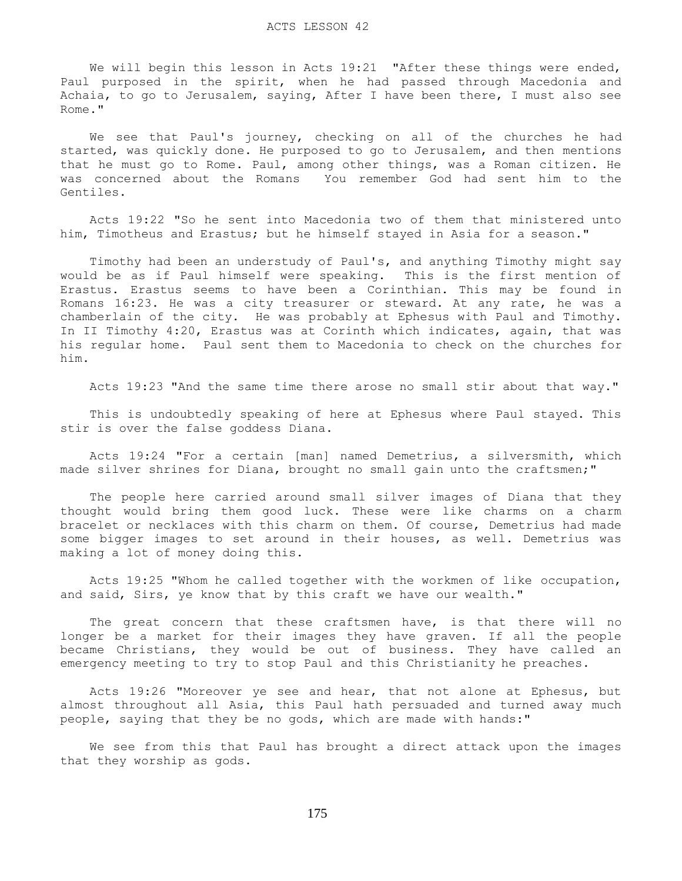We will begin this lesson in Acts 19:21 "After these things were ended, Paul purposed in the spirit, when he had passed through Macedonia and Achaia, to go to Jerusalem, saying, After I have been there, I must also see Rome."

 We see that Paul's journey, checking on all of the churches he had started, was quickly done. He purposed to go to Jerusalem, and then mentions that he must go to Rome. Paul, among other things, was a Roman citizen. He was concerned about the Romans You remember God had sent him to the Gentiles.

 Acts 19:22 "So he sent into Macedonia two of them that ministered unto him, Timotheus and Erastus; but he himself stayed in Asia for a season."

 Timothy had been an understudy of Paul's, and anything Timothy might say would be as if Paul himself were speaking. This is the first mention of Erastus. Erastus seems to have been a Corinthian. This may be found in Romans 16:23. He was a city treasurer or steward. At any rate, he was a chamberlain of the city. He was probably at Ephesus with Paul and Timothy. In II Timothy 4:20, Erastus was at Corinth which indicates, again, that was his regular home. Paul sent them to Macedonia to check on the churches for him.

Acts 19:23 "And the same time there arose no small stir about that way."

 This is undoubtedly speaking of here at Ephesus where Paul stayed. This stir is over the false goddess Diana.

 Acts 19:24 "For a certain [man] named Demetrius, a silversmith, which made silver shrines for Diana, brought no small gain unto the craftsmen;"

 The people here carried around small silver images of Diana that they thought would bring them good luck. These were like charms on a charm bracelet or necklaces with this charm on them. Of course, Demetrius had made some bigger images to set around in their houses, as well. Demetrius was making a lot of money doing this.

 Acts 19:25 "Whom he called together with the workmen of like occupation, and said, Sirs, ye know that by this craft we have our wealth."

The great concern that these craftsmen have, is that there will no longer be a market for their images they have graven. If all the people became Christians, they would be out of business. They have called an emergency meeting to try to stop Paul and this Christianity he preaches.

 Acts 19:26 "Moreover ye see and hear, that not alone at Ephesus, but almost throughout all Asia, this Paul hath persuaded and turned away much people, saying that they be no gods, which are made with hands:"

 We see from this that Paul has brought a direct attack upon the images that they worship as gods.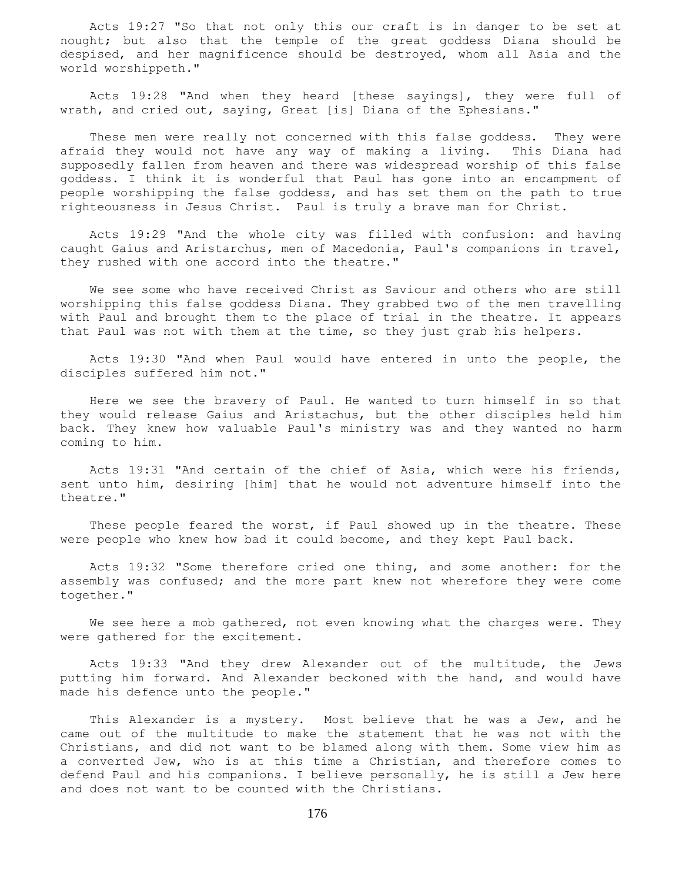Acts 19:27 "So that not only this our craft is in danger to be set at nought; but also that the temple of the great goddess Diana should be despised, and her magnificence should be destroyed, whom all Asia and the world worshippeth."

 Acts 19:28 "And when they heard [these sayings], they were full of wrath, and cried out, saying, Great [is] Diana of the Ephesians."

 These men were really not concerned with this false goddess. They were afraid they would not have any way of making a living. This Diana had supposedly fallen from heaven and there was widespread worship of this false goddess. I think it is wonderful that Paul has gone into an encampment of people worshipping the false goddess, and has set them on the path to true righteousness in Jesus Christ. Paul is truly a brave man for Christ.

 Acts 19:29 "And the whole city was filled with confusion: and having caught Gaius and Aristarchus, men of Macedonia, Paul's companions in travel, they rushed with one accord into the theatre."

 We see some who have received Christ as Saviour and others who are still worshipping this false goddess Diana. They grabbed two of the men travelling with Paul and brought them to the place of trial in the theatre. It appears that Paul was not with them at the time, so they just grab his helpers.

 Acts 19:30 "And when Paul would have entered in unto the people, the disciples suffered him not."

 Here we see the bravery of Paul. He wanted to turn himself in so that they would release Gaius and Aristachus, but the other disciples held him back. They knew how valuable Paul's ministry was and they wanted no harm coming to him.

 Acts 19:31 "And certain of the chief of Asia, which were his friends, sent unto him, desiring [him] that he would not adventure himself into the theatre."

 These people feared the worst, if Paul showed up in the theatre. These were people who knew how bad it could become, and they kept Paul back.

 Acts 19:32 "Some therefore cried one thing, and some another: for the assembly was confused; and the more part knew not wherefore they were come together."

 We see here a mob gathered, not even knowing what the charges were. They were gathered for the excitement.

 Acts 19:33 "And they drew Alexander out of the multitude, the Jews putting him forward. And Alexander beckoned with the hand, and would have made his defence unto the people."

 This Alexander is a mystery. Most believe that he was a Jew, and he came out of the multitude to make the statement that he was not with the Christians, and did not want to be blamed along with them. Some view him as a converted Jew, who is at this time a Christian, and therefore comes to defend Paul and his companions. I believe personally, he is still a Jew here and does not want to be counted with the Christians.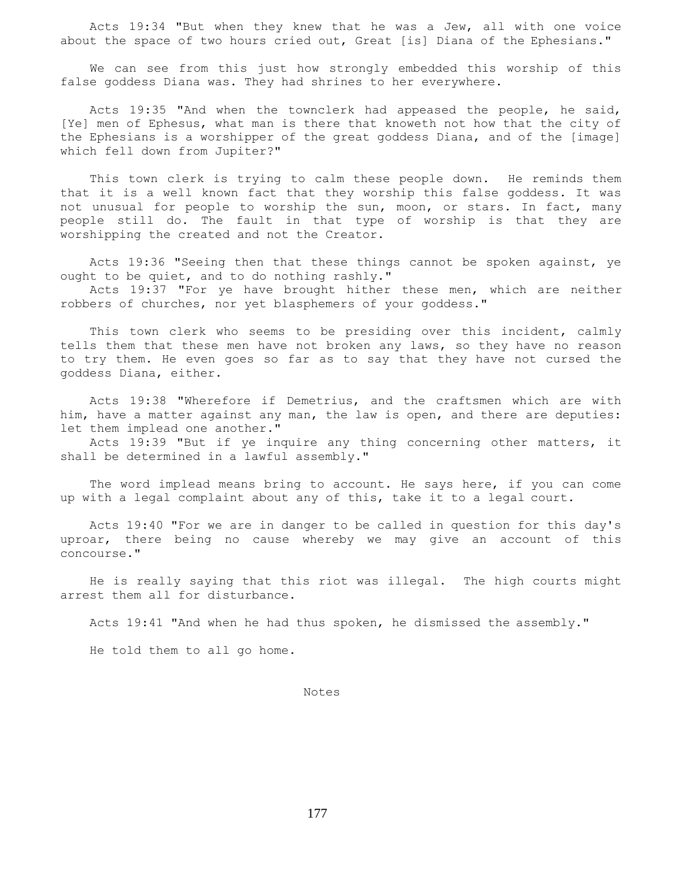Acts 19:34 "But when they knew that he was a Jew, all with one voice about the space of two hours cried out, Great [is] Diana of the Ephesians."

 We can see from this just how strongly embedded this worship of this false goddess Diana was. They had shrines to her everywhere.

 Acts 19:35 "And when the townclerk had appeased the people, he said, [Ye] men of Ephesus, what man is there that knoweth not how that the city of the Ephesians is a worshipper of the great goddess Diana, and of the [image] which fell down from Jupiter?"

 This town clerk is trying to calm these people down. He reminds them that it is a well known fact that they worship this false goddess. It was not unusual for people to worship the sun, moon, or stars. In fact, many people still do. The fault in that type of worship is that they are worshipping the created and not the Creator.

 Acts 19:36 "Seeing then that these things cannot be spoken against, ye ought to be quiet, and to do nothing rashly."

 Acts 19:37 "For ye have brought hither these men, which are neither robbers of churches, nor yet blasphemers of your goddess."

 This town clerk who seems to be presiding over this incident, calmly tells them that these men have not broken any laws, so they have no reason to try them. He even goes so far as to say that they have not cursed the goddess Diana, either.

 Acts 19:38 "Wherefore if Demetrius, and the craftsmen which are with him, have a matter against any man, the law is open, and there are deputies: let them implead one another."

 Acts 19:39 "But if ye inquire any thing concerning other matters, it shall be determined in a lawful assembly."

 The word implead means bring to account. He says here, if you can come up with a legal complaint about any of this, take it to a legal court.

 Acts 19:40 "For we are in danger to be called in question for this day's uproar, there being no cause whereby we may give an account of this concourse."

 He is really saying that this riot was illegal. The high courts might arrest them all for disturbance.

Acts 19:41 "And when he had thus spoken, he dismissed the assembly."

He told them to all go home.

Notes

177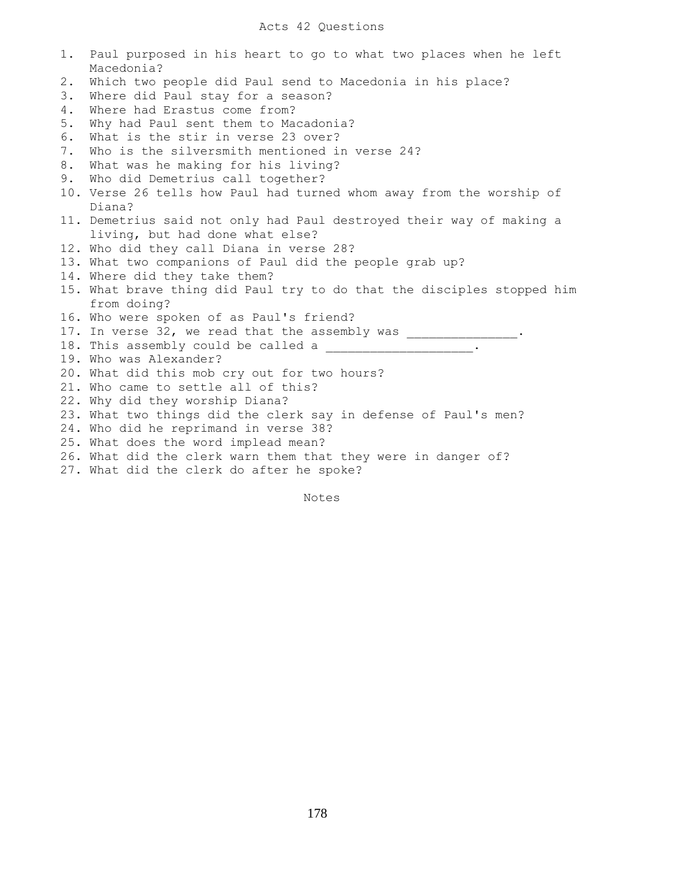|       | 1. Paul purposed in his heart to go to what two places when he left<br>Macedonia? |
|-------|-----------------------------------------------------------------------------------|
| $2$ . | Which two people did Paul send to Macedonia in his place?                         |
| 3.    | Where did Paul stay for a season?                                                 |
| 4.    | Where had Erastus come from?                                                      |
| 5.    | Why had Paul sent them to Macadonia?                                              |
| 6.    | What is the stir in verse 23 over?                                                |
| 7.    | Who is the silversmith mentioned in verse 24?                                     |
| 8.    | What was he making for his living?                                                |
| 9.    | Who did Demetrius call together?                                                  |
|       | 10. Verse 26 tells how Paul had turned whom away from the worship of              |
|       | Diana?                                                                            |
|       | 11. Demetrius said not only had Paul destroyed their way of making a              |
|       | living, but had done what else?                                                   |
|       | 12. Who did they call Diana in verse 28?                                          |
|       | 13. What two companions of Paul did the people grab up?                           |
|       | 14. Where did they take them?                                                     |
|       | 15. What brave thing did Paul try to do that the disciples stopped him            |
|       | from doing?                                                                       |
|       | 16. Who were spoken of as Paul's friend?                                          |
|       | 17. In verse 32, we read that the assembly was ________________.                  |
|       | 18. This assembly could be called a ______________________.                       |
|       | 19. Who was Alexander?                                                            |
|       | 20. What did this mob cry out for two hours?                                      |
|       | 21. Who came to settle all of this?                                               |
|       | 22. Why did they worship Diana?                                                   |
|       | 23. What two things did the clerk say in defense of Paul's men?                   |
|       | 24. Who did he reprimand in verse 38?                                             |
|       | 25. What does the word implead mean?                                              |
|       | 26. What did the clerk warn them that they were in danger of?                     |
|       | 27. What did the clerk do after he spoke?                                         |

Notes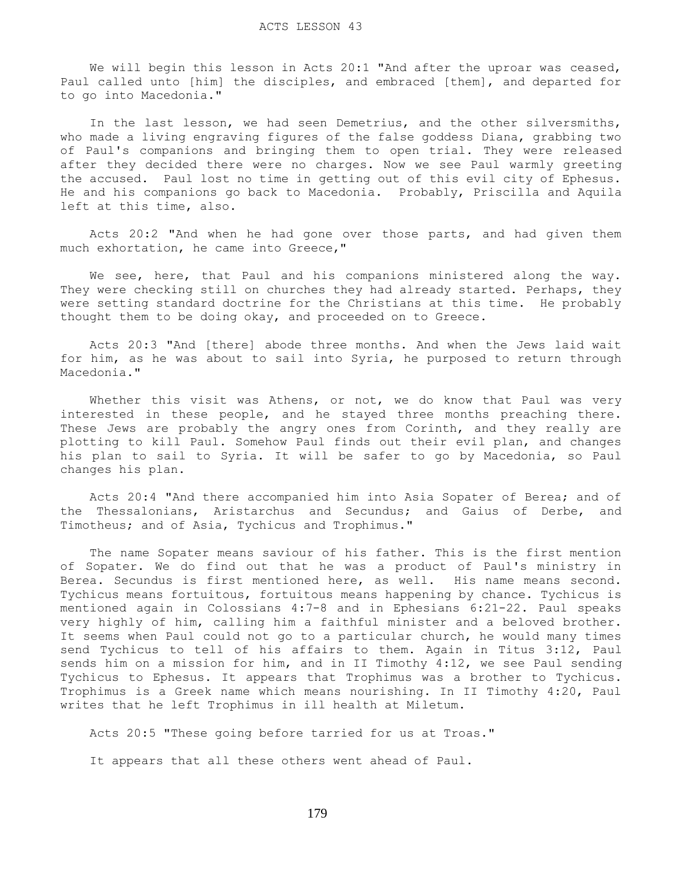We will begin this lesson in Acts 20:1 "And after the uproar was ceased, Paul called unto [him] the disciples, and embraced [them], and departed for to go into Macedonia."

 In the last lesson, we had seen Demetrius, and the other silversmiths, who made a living engraving figures of the false goddess Diana, grabbing two of Paul's companions and bringing them to open trial. They were released after they decided there were no charges. Now we see Paul warmly greeting the accused. Paul lost no time in getting out of this evil city of Ephesus. He and his companions go back to Macedonia. Probably, Priscilla and Aquila left at this time, also.

 Acts 20:2 "And when he had gone over those parts, and had given them much exhortation, he came into Greece,"

 We see, here, that Paul and his companions ministered along the way. They were checking still on churches they had already started. Perhaps, they were setting standard doctrine for the Christians at this time. He probably thought them to be doing okay, and proceeded on to Greece.

 Acts 20:3 "And [there] abode three months. And when the Jews laid wait for him, as he was about to sail into Syria, he purposed to return through Macedonia."

Whether this visit was Athens, or not, we do know that Paul was very interested in these people, and he stayed three months preaching there. These Jews are probably the angry ones from Corinth, and they really are plotting to kill Paul. Somehow Paul finds out their evil plan, and changes his plan to sail to Syria. It will be safer to go by Macedonia, so Paul changes his plan.

 Acts 20:4 "And there accompanied him into Asia Sopater of Berea; and of the Thessalonians, Aristarchus and Secundus; and Gaius of Derbe, and Timotheus; and of Asia, Tychicus and Trophimus."

 The name Sopater means saviour of his father. This is the first mention of Sopater. We do find out that he was a product of Paul's ministry in Berea. Secundus is first mentioned here, as well. His name means second. Tychicus means fortuitous, fortuitous means happening by chance. Tychicus is mentioned again in Colossians 4:7-8 and in Ephesians 6:21-22. Paul speaks very highly of him, calling him a faithful minister and a beloved brother. It seems when Paul could not go to a particular church, he would many times send Tychicus to tell of his affairs to them. Again in Titus 3:12, Paul sends him on a mission for him, and in II Timothy 4:12, we see Paul sending Tychicus to Ephesus. It appears that Trophimus was a brother to Tychicus. Trophimus is a Greek name which means nourishing. In II Timothy 4:20, Paul writes that he left Trophimus in ill health at Miletum.

Acts 20:5 "These going before tarried for us at Troas."

It appears that all these others went ahead of Paul.

179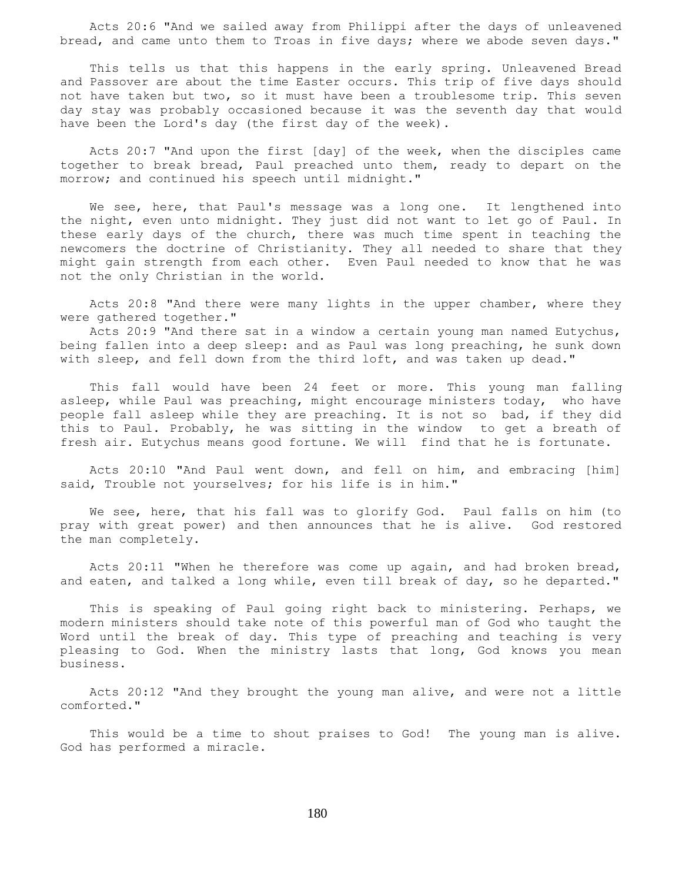Acts 20:6 "And we sailed away from Philippi after the days of unleavened bread, and came unto them to Troas in five days; where we abode seven days."

 This tells us that this happens in the early spring. Unleavened Bread and Passover are about the time Easter occurs. This trip of five days should not have taken but two, so it must have been a troublesome trip. This seven day stay was probably occasioned because it was the seventh day that would have been the Lord's day (the first day of the week).

 Acts 20:7 "And upon the first [day] of the week, when the disciples came together to break bread, Paul preached unto them, ready to depart on the morrow; and continued his speech until midnight."

We see, here, that Paul's message was a long one. It lengthened into the night, even unto midnight. They just did not want to let go of Paul. In these early days of the church, there was much time spent in teaching the newcomers the doctrine of Christianity. They all needed to share that they might gain strength from each other. Even Paul needed to know that he was not the only Christian in the world.

 Acts 20:8 "And there were many lights in the upper chamber, where they were gathered together."

 Acts 20:9 "And there sat in a window a certain young man named Eutychus, being fallen into a deep sleep: and as Paul was long preaching, he sunk down with sleep, and fell down from the third loft, and was taken up dead."

 This fall would have been 24 feet or more. This young man falling asleep, while Paul was preaching, might encourage ministers today, who have people fall asleep while they are preaching. It is not so bad, if they did this to Paul. Probably, he was sitting in the window to get a breath of fresh air. Eutychus means good fortune. We will find that he is fortunate.

 Acts 20:10 "And Paul went down, and fell on him, and embracing [him] said, Trouble not yourselves; for his life is in him."

 We see, here, that his fall was to glorify God. Paul falls on him (to pray with great power) and then announces that he is alive. God restored the man completely.

 Acts 20:11 "When he therefore was come up again, and had broken bread, and eaten, and talked a long while, even till break of day, so he departed."

 This is speaking of Paul going right back to ministering. Perhaps, we modern ministers should take note of this powerful man of God who taught the Word until the break of day. This type of preaching and teaching is very pleasing to God. When the ministry lasts that long, God knows you mean business.

 Acts 20:12 "And they brought the young man alive, and were not a little comforted."

 This would be a time to shout praises to God! The young man is alive. God has performed a miracle.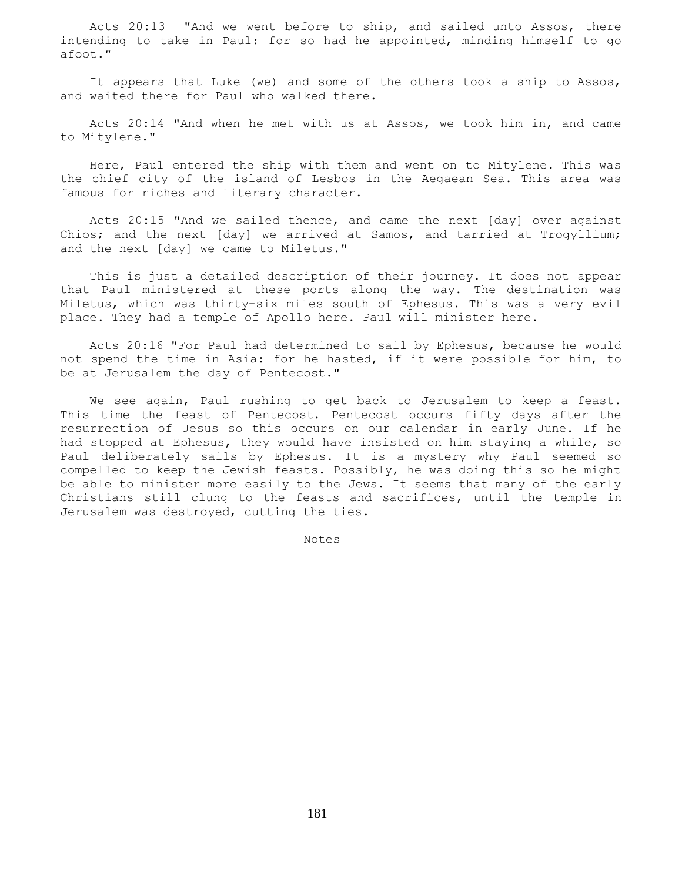Acts 20:13 "And we went before to ship, and sailed unto Assos, there intending to take in Paul: for so had he appointed, minding himself to go afoot."

 It appears that Luke (we) and some of the others took a ship to Assos, and waited there for Paul who walked there.

 Acts 20:14 "And when he met with us at Assos, we took him in, and came to Mitylene."

 Here, Paul entered the ship with them and went on to Mitylene. This was the chief city of the island of Lesbos in the Aegaean Sea. This area was famous for riches and literary character.

 Acts 20:15 "And we sailed thence, and came the next [day] over against Chios; and the next [day] we arrived at Samos, and tarried at Trogyllium; and the next [day] we came to Miletus."

 This is just a detailed description of their journey. It does not appear that Paul ministered at these ports along the way. The destination was Miletus, which was thirty-six miles south of Ephesus. This was a very evil place. They had a temple of Apollo here. Paul will minister here.

 Acts 20:16 "For Paul had determined to sail by Ephesus, because he would not spend the time in Asia: for he hasted, if it were possible for him, to be at Jerusalem the day of Pentecost."

 We see again, Paul rushing to get back to Jerusalem to keep a feast. This time the feast of Pentecost. Pentecost occurs fifty days after the resurrection of Jesus so this occurs on our calendar in early June. If he had stopped at Ephesus, they would have insisted on him staying a while, so Paul deliberately sails by Ephesus. It is a mystery why Paul seemed so compelled to keep the Jewish feasts. Possibly, he was doing this so he might be able to minister more easily to the Jews. It seems that many of the early Christians still clung to the feasts and sacrifices, until the temple in Jerusalem was destroyed, cutting the ties.

Notes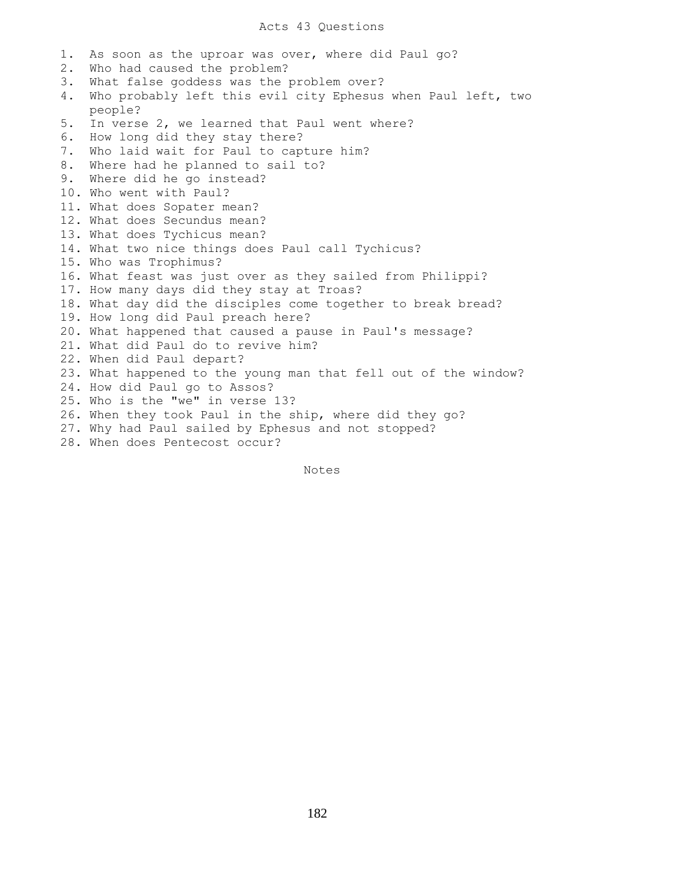### Acts 43 Questions

1. As soon as the uproar was over, where did Paul go? 2. Who had caused the problem? 3. What false goddess was the problem over? 4. Who probably left this evil city Ephesus when Paul left, two people? 5. In verse 2, we learned that Paul went where? 6. How long did they stay there? 7. Who laid wait for Paul to capture him? 8. Where had he planned to sail to? 9. Where did he go instead? 10. Who went with Paul? 11. What does Sopater mean? 12. What does Secundus mean? 13. What does Tychicus mean? 14. What two nice things does Paul call Tychicus? 15. Who was Trophimus? 16. What feast was just over as they sailed from Philippi? 17. How many days did they stay at Troas? 18. What day did the disciples come together to break bread? 19. How long did Paul preach here? 20. What happened that caused a pause in Paul's message? 21. What did Paul do to revive him? 22. When did Paul depart? 23. What happened to the young man that fell out of the window? 24. How did Paul go to Assos? 25. Who is the "we" in verse 13? 26. When they took Paul in the ship, where did they go? 27. Why had Paul sailed by Ephesus and not stopped? 28. When does Pentecost occur?

Notes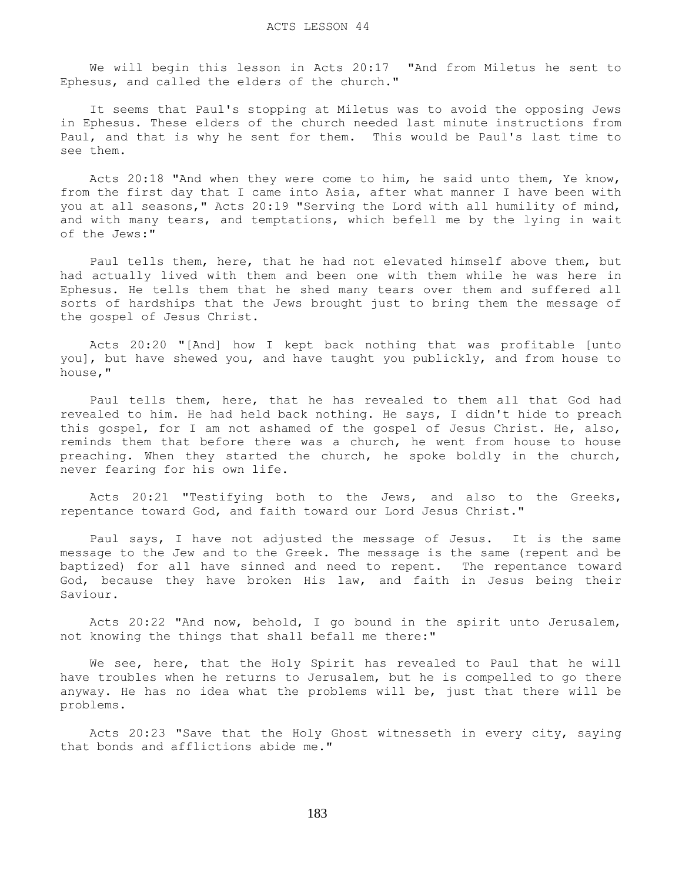We will begin this lesson in Acts 20:17 "And from Miletus he sent to Ephesus, and called the elders of the church."

 It seems that Paul's stopping at Miletus was to avoid the opposing Jews in Ephesus. These elders of the church needed last minute instructions from Paul, and that is why he sent for them. This would be Paul's last time to see them.

 Acts 20:18 "And when they were come to him, he said unto them, Ye know, from the first day that I came into Asia, after what manner I have been with you at all seasons," Acts 20:19 "Serving the Lord with all humility of mind, and with many tears, and temptations, which befell me by the lying in wait of the Jews:"

 Paul tells them, here, that he had not elevated himself above them, but had actually lived with them and been one with them while he was here in Ephesus. He tells them that he shed many tears over them and suffered all sorts of hardships that the Jews brought just to bring them the message of the gospel of Jesus Christ.

 Acts 20:20 "[And] how I kept back nothing that was profitable [unto you], but have shewed you, and have taught you publickly, and from house to house,"

 Paul tells them, here, that he has revealed to them all that God had revealed to him. He had held back nothing. He says, I didn't hide to preach this gospel, for I am not ashamed of the gospel of Jesus Christ. He, also, reminds them that before there was a church, he went from house to house preaching. When they started the church, he spoke boldly in the church, never fearing for his own life.

 Acts 20:21 "Testifying both to the Jews, and also to the Greeks, repentance toward God, and faith toward our Lord Jesus Christ."

 Paul says, I have not adjusted the message of Jesus. It is the same message to the Jew and to the Greek. The message is the same (repent and be baptized) for all have sinned and need to repent. The repentance toward God, because they have broken His law, and faith in Jesus being their Saviour.

 Acts 20:22 "And now, behold, I go bound in the spirit unto Jerusalem, not knowing the things that shall befall me there:"

 We see, here, that the Holy Spirit has revealed to Paul that he will have troubles when he returns to Jerusalem, but he is compelled to go there anyway. He has no idea what the problems will be, just that there will be problems.

 Acts 20:23 "Save that the Holy Ghost witnesseth in every city, saying that bonds and afflictions abide me."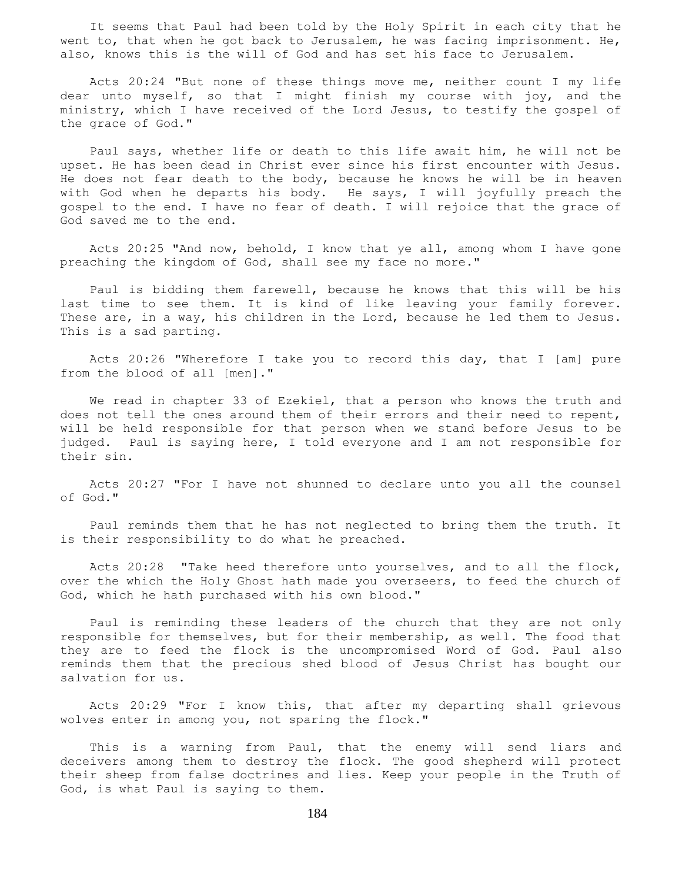It seems that Paul had been told by the Holy Spirit in each city that he went to, that when he got back to Jerusalem, he was facing imprisonment. He, also, knows this is the will of God and has set his face to Jerusalem.

 Acts 20:24 "But none of these things move me, neither count I my life dear unto myself, so that I might finish my course with joy, and the ministry, which I have received of the Lord Jesus, to testify the gospel of the grace of God."

 Paul says, whether life or death to this life await him, he will not be upset. He has been dead in Christ ever since his first encounter with Jesus. He does not fear death to the body, because he knows he will be in heaven with God when he departs his body. He says, I will joyfully preach the gospel to the end. I have no fear of death. I will rejoice that the grace of God saved me to the end.

 Acts 20:25 "And now, behold, I know that ye all, among whom I have gone preaching the kingdom of God, shall see my face no more."

 Paul is bidding them farewell, because he knows that this will be his last time to see them. It is kind of like leaving your family forever. These are, in a way, his children in the Lord, because he led them to Jesus. This is a sad parting.

 Acts 20:26 "Wherefore I take you to record this day, that I [am] pure from the blood of all [men]."

 We read in chapter 33 of Ezekiel, that a person who knows the truth and does not tell the ones around them of their errors and their need to repent, will be held responsible for that person when we stand before Jesus to be judged. Paul is saying here, I told everyone and I am not responsible for their sin.

 Acts 20:27 "For I have not shunned to declare unto you all the counsel of God."

 Paul reminds them that he has not neglected to bring them the truth. It is their responsibility to do what he preached.

 Acts 20:28 "Take heed therefore unto yourselves, and to all the flock, over the which the Holy Ghost hath made you overseers, to feed the church of God, which he hath purchased with his own blood."

 Paul is reminding these leaders of the church that they are not only responsible for themselves, but for their membership, as well. The food that they are to feed the flock is the uncompromised Word of God. Paul also reminds them that the precious shed blood of Jesus Christ has bought our salvation for us.

 Acts 20:29 "For I know this, that after my departing shall grievous wolves enter in among you, not sparing the flock."

 This is a warning from Paul, that the enemy will send liars and deceivers among them to destroy the flock. The good shepherd will protect their sheep from false doctrines and lies. Keep your people in the Truth of God, is what Paul is saying to them.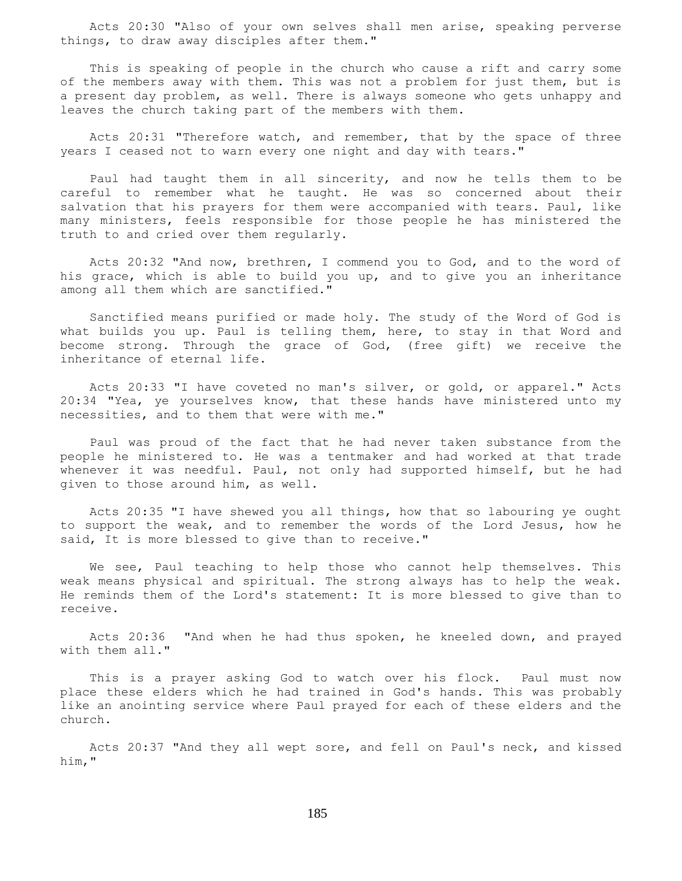Acts 20:30 "Also of your own selves shall men arise, speaking perverse things, to draw away disciples after them."

 This is speaking of people in the church who cause a rift and carry some of the members away with them. This was not a problem for just them, but is a present day problem, as well. There is always someone who gets unhappy and leaves the church taking part of the members with them.

 Acts 20:31 "Therefore watch, and remember, that by the space of three years I ceased not to warn every one night and day with tears."

 Paul had taught them in all sincerity, and now he tells them to be careful to remember what he taught. He was so concerned about their salvation that his prayers for them were accompanied with tears. Paul, like many ministers, feels responsible for those people he has ministered the truth to and cried over them regularly.

 Acts 20:32 "And now, brethren, I commend you to God, and to the word of his grace, which is able to build you up, and to give you an inheritance among all them which are sanctified."

 Sanctified means purified or made holy. The study of the Word of God is what builds you up. Paul is telling them, here, to stay in that Word and become strong. Through the grace of God, (free gift) we receive the inheritance of eternal life.

 Acts 20:33 "I have coveted no man's silver, or gold, or apparel." Acts 20:34 "Yea, ye yourselves know, that these hands have ministered unto my necessities, and to them that were with me."

 Paul was proud of the fact that he had never taken substance from the people he ministered to. He was a tentmaker and had worked at that trade whenever it was needful. Paul, not only had supported himself, but he had given to those around him, as well.

 Acts 20:35 "I have shewed you all things, how that so labouring ye ought to support the weak, and to remember the words of the Lord Jesus, how he said, It is more blessed to give than to receive."

We see, Paul teaching to help those who cannot help themselves. This weak means physical and spiritual. The strong always has to help the weak. He reminds them of the Lord's statement: It is more blessed to give than to receive.

 Acts 20:36 "And when he had thus spoken, he kneeled down, and prayed with them all."

 This is a prayer asking God to watch over his flock. Paul must now place these elders which he had trained in God's hands. This was probably like an anointing service where Paul prayed for each of these elders and the church.

 Acts 20:37 "And they all wept sore, and fell on Paul's neck, and kissed him,"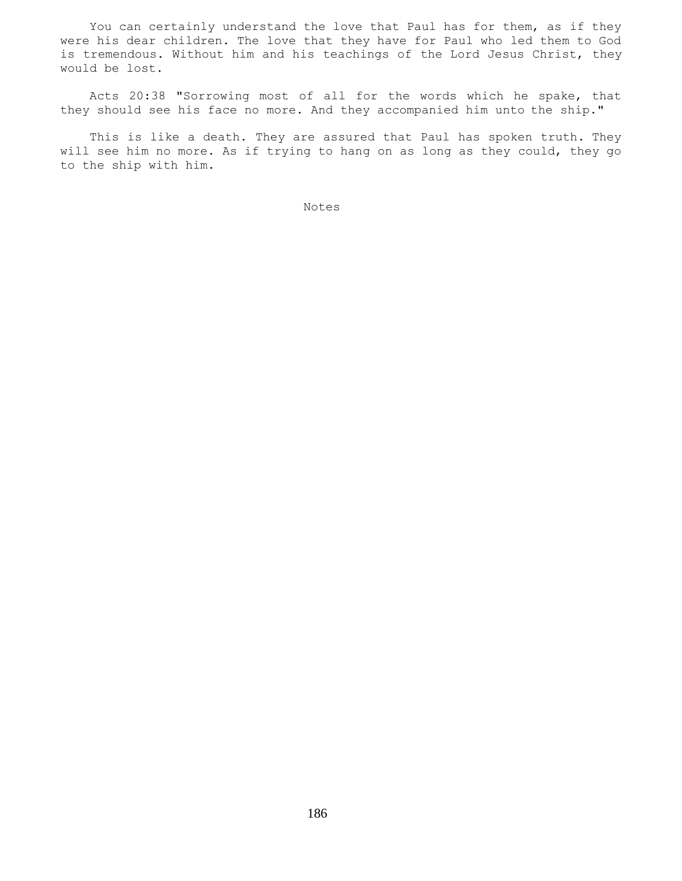You can certainly understand the love that Paul has for them, as if they were his dear children. The love that they have for Paul who led them to God is tremendous. Without him and his teachings of the Lord Jesus Christ, they would be lost.

 Acts 20:38 "Sorrowing most of all for the words which he spake, that they should see his face no more. And they accompanied him unto the ship."

 This is like a death. They are assured that Paul has spoken truth. They will see him no more. As if trying to hang on as long as they could, they go to the ship with him.

Notes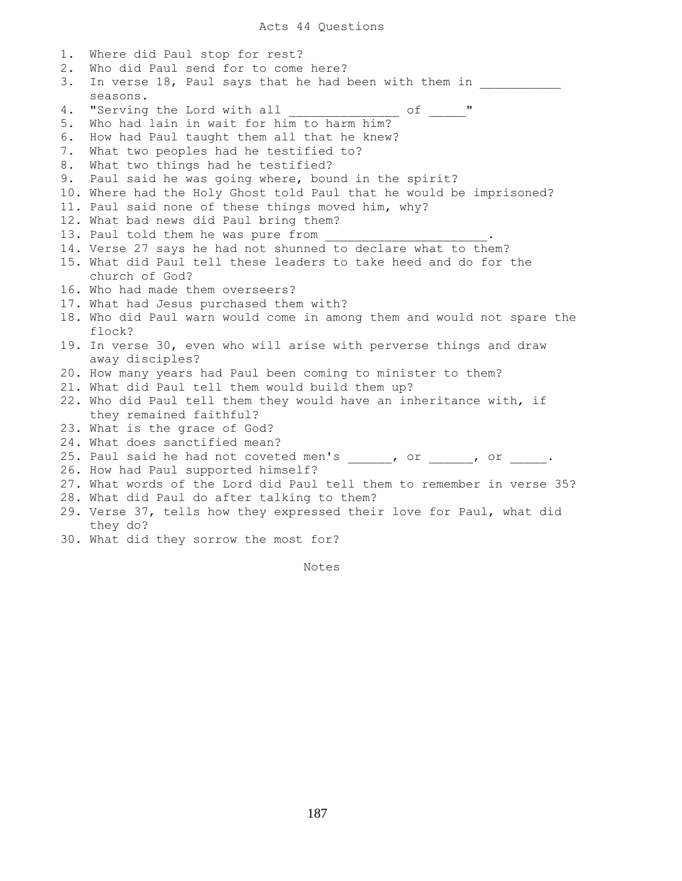1. Where did Paul stop for rest? 2. Who did Paul send for to come here? 3. In verse 18, Paul says that he had been with them in seasons. 4. "Serving the Lord with all \_\_\_\_\_\_\_\_\_\_\_\_\_\_\_ of \_\_\_\_\_" 5. Who had lain in wait for him to harm him? 6. How had Paul taught them all that he knew? 7. What two peoples had he testified to? 8. What two things had he testified? 9. Paul said he was going where, bound in the spirit? 10. Where had the Holy Ghost told Paul that he would be imprisoned? 11. Paul said none of these things moved him, why? 12. What bad news did Paul bring them? 13. Paul told them he was pure from 14. Verse 27 says he had not shunned to declare what to them? 15. What did Paul tell these leaders to take heed and do for the church of God? 16. Who had made them overseers? 17. What had Jesus purchased them with? 18. Who did Paul warn would come in among them and would not spare the flock? 19. In verse 30, even who will arise with perverse things and draw away disciples? 20. How many years had Paul been coming to minister to them? 21. What did Paul tell them would build them up? 22. Who did Paul tell them they would have an inheritance with, if they remained faithful? 23. What is the grace of God? 24. What does sanctified mean? 25. Paul said he had not coveted men's  $\frac{1}{\sqrt{2}}$ , or  $\frac{1}{\sqrt{2}}$ , or  $\frac{1}{\sqrt{2}}$ . 26. How had Paul supported himself? 27. What words of the Lord did Paul tell them to remember in verse 35? 28. What did Paul do after talking to them? 29. Verse 37, tells how they expressed their love for Paul, what did they do? 30. What did they sorrow the most for?

Notes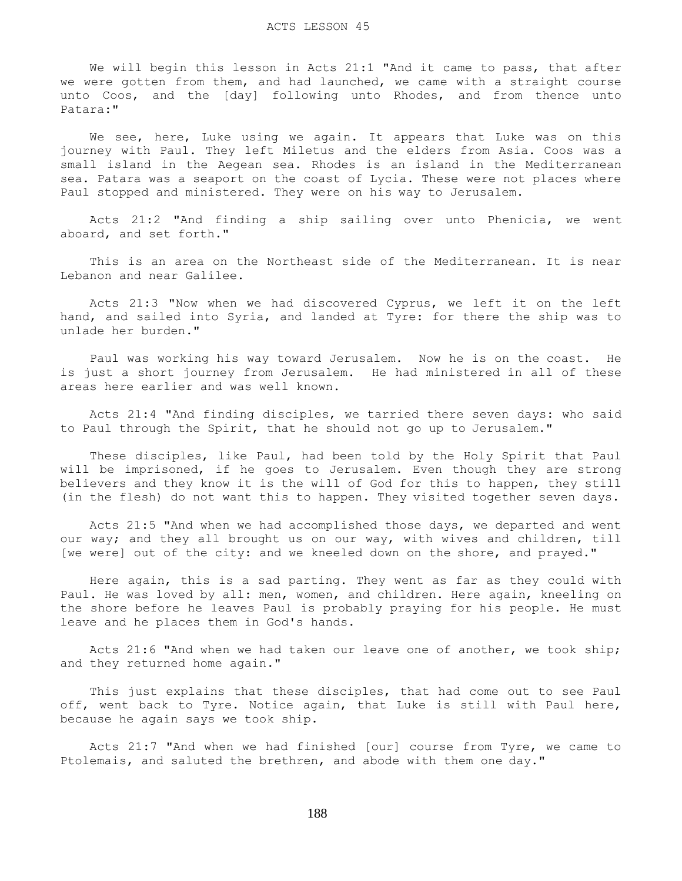We will begin this lesson in Acts 21:1 "And it came to pass, that after we were gotten from them, and had launched, we came with a straight course unto Coos, and the [day] following unto Rhodes, and from thence unto Patara:"

We see, here, Luke using we again. It appears that Luke was on this journey with Paul. They left Miletus and the elders from Asia. Coos was a small island in the Aegean sea. Rhodes is an island in the Mediterranean sea. Patara was a seaport on the coast of Lycia. These were not places where Paul stopped and ministered. They were on his way to Jerusalem.

 Acts 21:2 "And finding a ship sailing over unto Phenicia, we went aboard, and set forth."

 This is an area on the Northeast side of the Mediterranean. It is near Lebanon and near Galilee.

 Acts 21:3 "Now when we had discovered Cyprus, we left it on the left hand, and sailed into Syria, and landed at Tyre: for there the ship was to unlade her burden."

 Paul was working his way toward Jerusalem. Now he is on the coast. He is just a short journey from Jerusalem. He had ministered in all of these areas here earlier and was well known.

 Acts 21:4 "And finding disciples, we tarried there seven days: who said to Paul through the Spirit, that he should not go up to Jerusalem."

 These disciples, like Paul, had been told by the Holy Spirit that Paul will be imprisoned, if he goes to Jerusalem. Even though they are strong believers and they know it is the will of God for this to happen, they still (in the flesh) do not want this to happen. They visited together seven days.

 Acts 21:5 "And when we had accomplished those days, we departed and went our way; and they all brought us on our way, with wives and children, till [we were] out of the city: and we kneeled down on the shore, and prayed."

 Here again, this is a sad parting. They went as far as they could with Paul. He was loved by all: men, women, and children. Here again, kneeling on the shore before he leaves Paul is probably praying for his people. He must leave and he places them in God's hands.

 Acts 21:6 "And when we had taken our leave one of another, we took ship; and they returned home again."

 This just explains that these disciples, that had come out to see Paul off, went back to Tyre. Notice again, that Luke is still with Paul here, because he again says we took ship.

 Acts 21:7 "And when we had finished [our] course from Tyre, we came to Ptolemais, and saluted the brethren, and abode with them one day."

188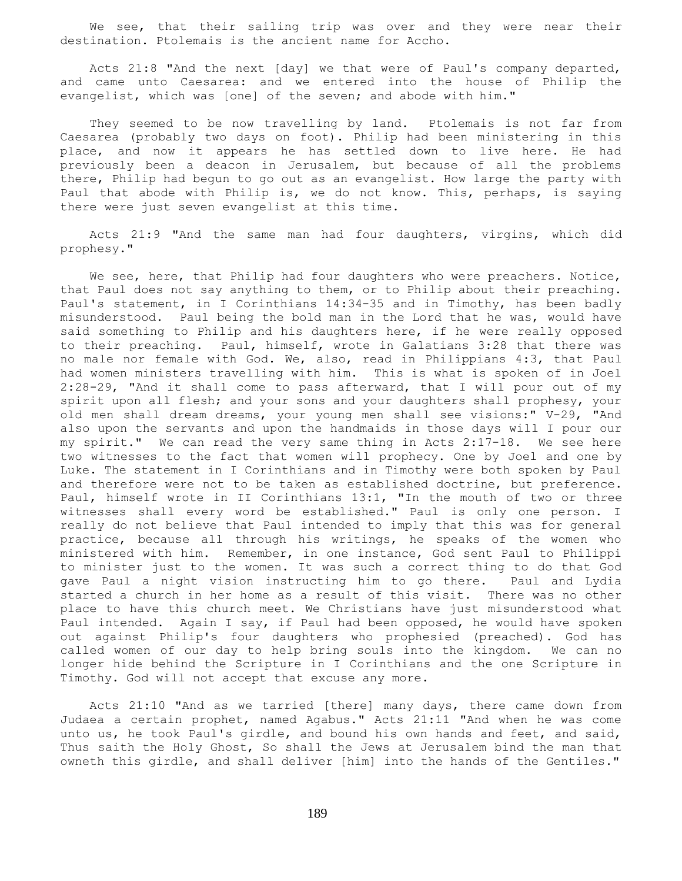We see, that their sailing trip was over and they were near their destination. Ptolemais is the ancient name for Accho.

 Acts 21:8 "And the next [day] we that were of Paul's company departed, and came unto Caesarea: and we entered into the house of Philip the evangelist, which was [one] of the seven; and abode with him."

 They seemed to be now travelling by land. Ptolemais is not far from Caesarea (probably two days on foot). Philip had been ministering in this place, and now it appears he has settled down to live here. He had previously been a deacon in Jerusalem, but because of all the problems there, Philip had begun to go out as an evangelist. How large the party with Paul that abode with Philip is, we do not know. This, perhaps, is saying there were just seven evangelist at this time.

 Acts 21:9 "And the same man had four daughters, virgins, which did prophesy."

We see, here, that Philip had four daughters who were preachers. Notice, that Paul does not say anything to them, or to Philip about their preaching. Paul's statement, in I Corinthians 14:34-35 and in Timothy, has been badly misunderstood. Paul being the bold man in the Lord that he was, would have said something to Philip and his daughters here, if he were really opposed to their preaching. Paul, himself, wrote in Galatians 3:28 that there was no male nor female with God. We, also, read in Philippians 4:3, that Paul had women ministers travelling with him. This is what is spoken of in Joel 2:28-29, "And it shall come to pass afterward, that I will pour out of my spirit upon all flesh; and your sons and your daughters shall prophesy, your old men shall dream dreams, your young men shall see visions:" V-29, "And also upon the servants and upon the handmaids in those days will I pour our my spirit." We can read the very same thing in Acts 2:17-18. We see here two witnesses to the fact that women will prophecy. One by Joel and one by Luke. The statement in I Corinthians and in Timothy were both spoken by Paul and therefore were not to be taken as established doctrine, but preference. Paul, himself wrote in II Corinthians 13:1, "In the mouth of two or three witnesses shall every word be established." Paul is only one person. I really do not believe that Paul intended to imply that this was for general practice, because all through his writings, he speaks of the women who ministered with him. Remember, in one instance, God sent Paul to Philippi to minister just to the women. It was such a correct thing to do that God gave Paul a night vision instructing him to go there. Paul and Lydia started a church in her home as a result of this visit. There was no other place to have this church meet. We Christians have just misunderstood what Paul intended. Again I say, if Paul had been opposed, he would have spoken out against Philip's four daughters who prophesied (preached). God has called women of our day to help bring souls into the kingdom. We can no longer hide behind the Scripture in I Corinthians and the one Scripture in Timothy. God will not accept that excuse any more.

 Acts 21:10 "And as we tarried [there] many days, there came down from Judaea a certain prophet, named Agabus." Acts 21:11 "And when he was come unto us, he took Paul's girdle, and bound his own hands and feet, and said, Thus saith the Holy Ghost, So shall the Jews at Jerusalem bind the man that owneth this girdle, and shall deliver [him] into the hands of the Gentiles."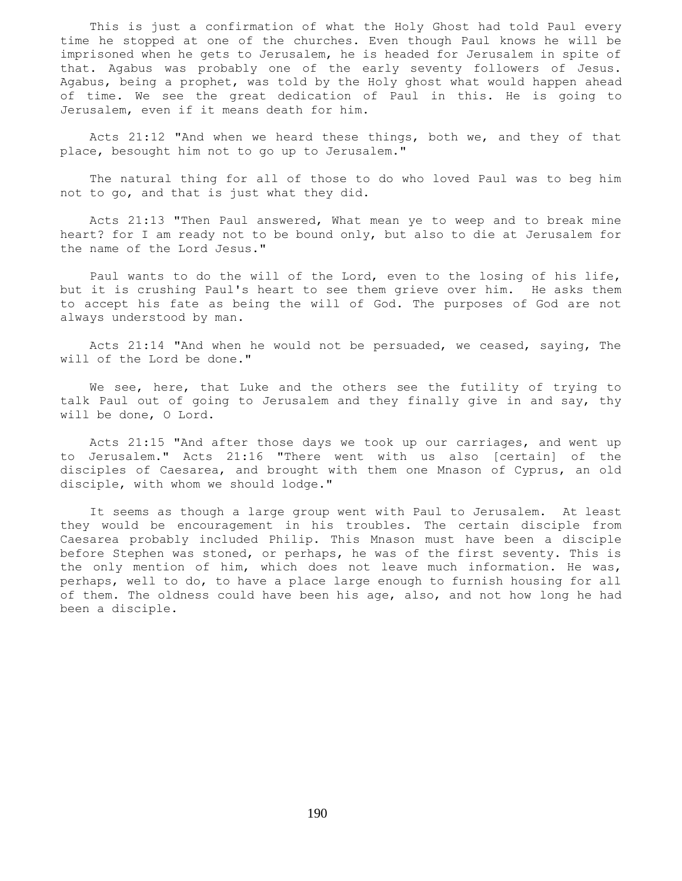This is just a confirmation of what the Holy Ghost had told Paul every time he stopped at one of the churches. Even though Paul knows he will be imprisoned when he gets to Jerusalem, he is headed for Jerusalem in spite of that. Agabus was probably one of the early seventy followers of Jesus. Agabus, being a prophet, was told by the Holy ghost what would happen ahead of time. We see the great dedication of Paul in this. He is going to Jerusalem, even if it means death for him.

 Acts 21:12 "And when we heard these things, both we, and they of that place, besought him not to go up to Jerusalem."

 The natural thing for all of those to do who loved Paul was to beg him not to go, and that is just what they did.

 Acts 21:13 "Then Paul answered, What mean ye to weep and to break mine heart? for I am ready not to be bound only, but also to die at Jerusalem for the name of the Lord Jesus."

 Paul wants to do the will of the Lord, even to the losing of his life, but it is crushing Paul's heart to see them grieve over him. He asks them to accept his fate as being the will of God. The purposes of God are not always understood by man.

 Acts 21:14 "And when he would not be persuaded, we ceased, saying, The will of the Lord be done."

 We see, here, that Luke and the others see the futility of trying to talk Paul out of going to Jerusalem and they finally give in and say, thy will be done, O Lord.

 Acts 21:15 "And after those days we took up our carriages, and went up to Jerusalem." Acts 21:16 "There went with us also [certain] of the disciples of Caesarea, and brought with them one Mnason of Cyprus, an old disciple, with whom we should lodge."

 It seems as though a large group went with Paul to Jerusalem. At least they would be encouragement in his troubles. The certain disciple from Caesarea probably included Philip. This Mnason must have been a disciple before Stephen was stoned, or perhaps, he was of the first seventy. This is the only mention of him, which does not leave much information. He was, perhaps, well to do, to have a place large enough to furnish housing for all of them. The oldness could have been his age, also, and not how long he had been a disciple.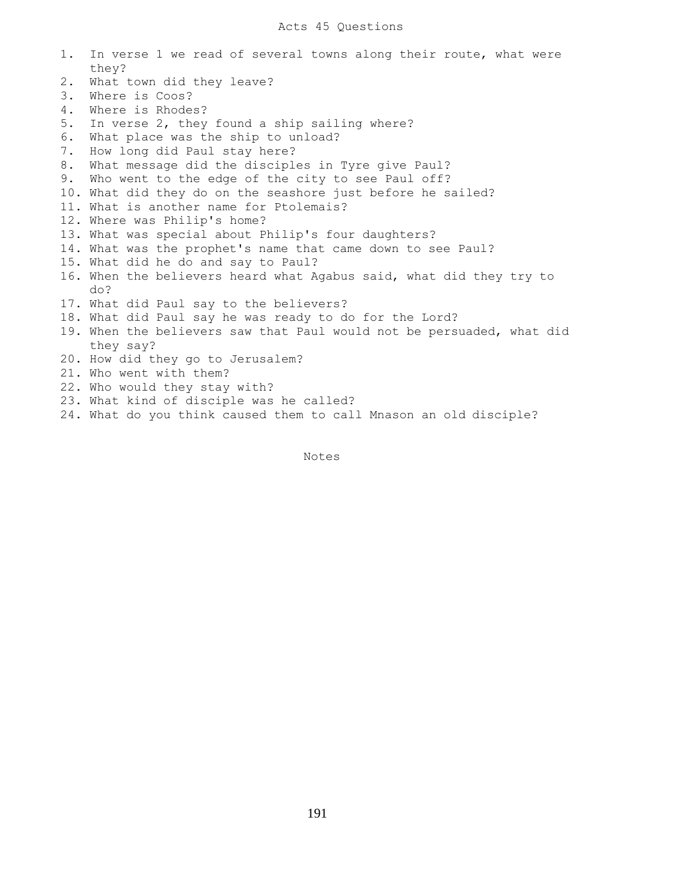# Acts 45 Questions

| 1. | In verse 1 we read of several towns along their route, what were      |
|----|-----------------------------------------------------------------------|
| 2. | they?<br>What town did they leave?                                    |
| 3. | Where is Coos?                                                        |
| 4. | Where is Rhodes?                                                      |
|    |                                                                       |
| 5. | In verse 2, they found a ship sailing where?                          |
| 6. | What place was the ship to unload?                                    |
| 7. | How long did Paul stay here?                                          |
| 8. | What message did the disciples in Tyre give Paul?                     |
| 9. | Who went to the edge of the city to see Paul off?                     |
|    | 10. What did they do on the seashore just before he sailed?           |
|    | 11. What is another name for Ptolemais?                               |
|    | 12. Where was Philip's home?                                          |
|    | 13. What was special about Philip's four daughters?                   |
|    | 14. What was the prophet's name that came down to see Paul?           |
|    | 15. What did he do and say to Paul?                                   |
|    | 16. When the believers heard what Agabus said, what did they try to   |
|    | do?                                                                   |
|    | 17. What did Paul say to the believers?                               |
|    | 18. What did Paul say he was ready to do for the Lord?                |
|    | 19. When the believers saw that Paul would not be persuaded, what did |
|    | they say?                                                             |
|    | 20. How did they go to Jerusalem?                                     |
|    | 21. Who went with them?                                               |
|    | 22. Who would they stay with?                                         |
|    | 23. What kind of disciple was he called?                              |
|    | 24. What do you think caused them to call Mnason an old disciple?     |

Notes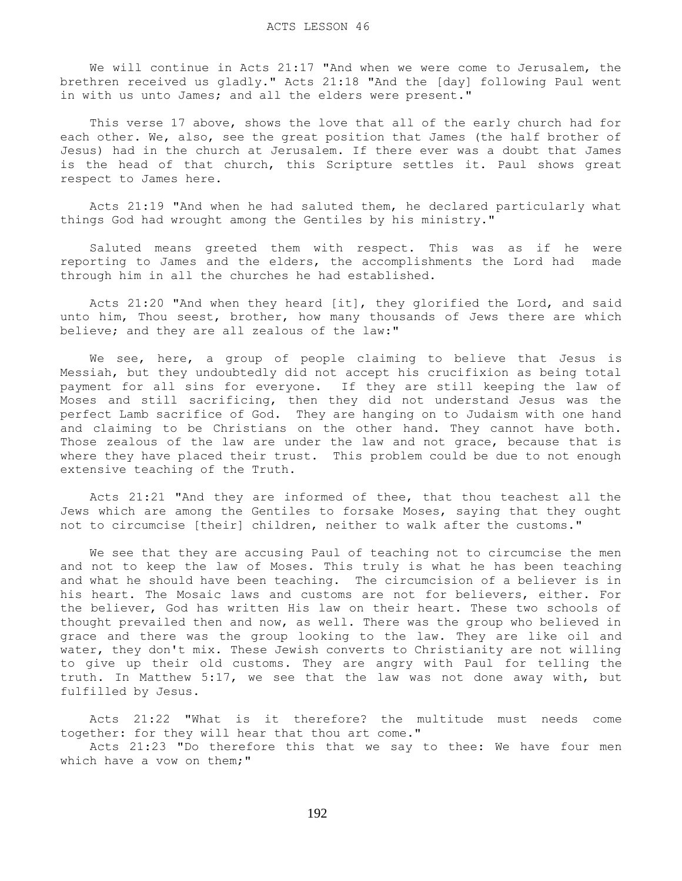We will continue in Acts 21:17 "And when we were come to Jerusalem, the brethren received us gladly." Acts 21:18 "And the [day] following Paul went in with us unto James; and all the elders were present."

 This verse 17 above, shows the love that all of the early church had for each other. We, also, see the great position that James (the half brother of Jesus) had in the church at Jerusalem. If there ever was a doubt that James is the head of that church, this Scripture settles it. Paul shows great respect to James here.

 Acts 21:19 "And when he had saluted them, he declared particularly what things God had wrought among the Gentiles by his ministry."

 Saluted means greeted them with respect. This was as if he were reporting to James and the elders, the accomplishments the Lord had made through him in all the churches he had established.

 Acts 21:20 "And when they heard [it], they glorified the Lord, and said unto him, Thou seest, brother, how many thousands of Jews there are which believe; and they are all zealous of the law:"

 We see, here, a group of people claiming to believe that Jesus is Messiah, but they undoubtedly did not accept his crucifixion as being total payment for all sins for everyone. If they are still keeping the law of Moses and still sacrificing, then they did not understand Jesus was the perfect Lamb sacrifice of God. They are hanging on to Judaism with one hand and claiming to be Christians on the other hand. They cannot have both. Those zealous of the law are under the law and not grace, because that is where they have placed their trust. This problem could be due to not enough extensive teaching of the Truth.

 Acts 21:21 "And they are informed of thee, that thou teachest all the Jews which are among the Gentiles to forsake Moses, saying that they ought not to circumcise [their] children, neither to walk after the customs."

 We see that they are accusing Paul of teaching not to circumcise the men and not to keep the law of Moses. This truly is what he has been teaching and what he should have been teaching. The circumcision of a believer is in his heart. The Mosaic laws and customs are not for believers, either. For the believer, God has written His law on their heart. These two schools of thought prevailed then and now, as well. There was the group who believed in grace and there was the group looking to the law. They are like oil and water, they don't mix. These Jewish converts to Christianity are not willing to give up their old customs. They are angry with Paul for telling the truth. In Matthew 5:17, we see that the law was not done away with, but fulfilled by Jesus.

 Acts 21:22 "What is it therefore? the multitude must needs come together: for they will hear that thou art come."

 Acts 21:23 "Do therefore this that we say to thee: We have four men which have a vow on them;"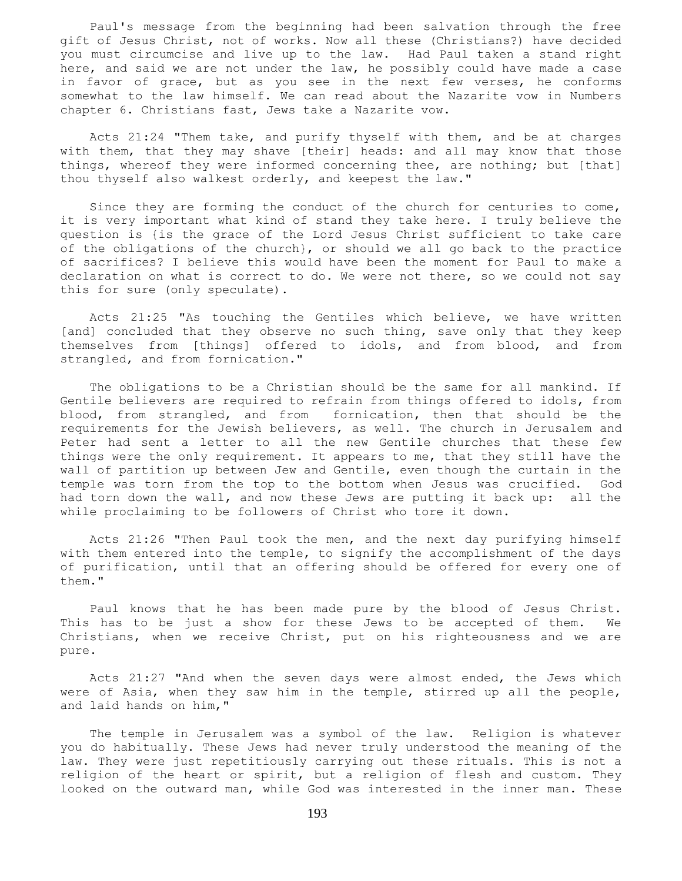Paul's message from the beginning had been salvation through the free gift of Jesus Christ, not of works. Now all these (Christians?) have decided you must circumcise and live up to the law. Had Paul taken a stand right here, and said we are not under the law, he possibly could have made a case in favor of grace, but as you see in the next few verses, he conforms somewhat to the law himself. We can read about the Nazarite vow in Numbers chapter 6. Christians fast, Jews take a Nazarite vow.

 Acts 21:24 "Them take, and purify thyself with them, and be at charges with them, that they may shave [their] heads: and all may know that those things, whereof they were informed concerning thee, are nothing; but [that] thou thyself also walkest orderly, and keepest the law."

 Since they are forming the conduct of the church for centuries to come, it is very important what kind of stand they take here. I truly believe the question is {is the grace of the Lord Jesus Christ sufficient to take care of the obligations of the church}, or should we all go back to the practice of sacrifices? I believe this would have been the moment for Paul to make a declaration on what is correct to do. We were not there, so we could not say this for sure (only speculate).

 Acts 21:25 "As touching the Gentiles which believe, we have written [and] concluded that they observe no such thing, save only that they keep themselves from [things] offered to idols, and from blood, and from strangled, and from fornication."

 The obligations to be a Christian should be the same for all mankind. If Gentile believers are required to refrain from things offered to idols, from blood, from strangled, and from fornication, then that should be the requirements for the Jewish believers, as well. The church in Jerusalem and Peter had sent a letter to all the new Gentile churches that these few things were the only requirement. It appears to me, that they still have the wall of partition up between Jew and Gentile, even though the curtain in the temple was torn from the top to the bottom when Jesus was crucified. God had torn down the wall, and now these Jews are putting it back up: all the while proclaiming to be followers of Christ who tore it down.

 Acts 21:26 "Then Paul took the men, and the next day purifying himself with them entered into the temple, to signify the accomplishment of the days of purification, until that an offering should be offered for every one of them."

 Paul knows that he has been made pure by the blood of Jesus Christ. This has to be just a show for these Jews to be accepted of them. We Christians, when we receive Christ, put on his righteousness and we are pure.

 Acts 21:27 "And when the seven days were almost ended, the Jews which were of Asia, when they saw him in the temple, stirred up all the people, and laid hands on him,"

 The temple in Jerusalem was a symbol of the law. Religion is whatever you do habitually. These Jews had never truly understood the meaning of the law. They were just repetitiously carrying out these rituals. This is not a religion of the heart or spirit, but a religion of flesh and custom. They looked on the outward man, while God was interested in the inner man. These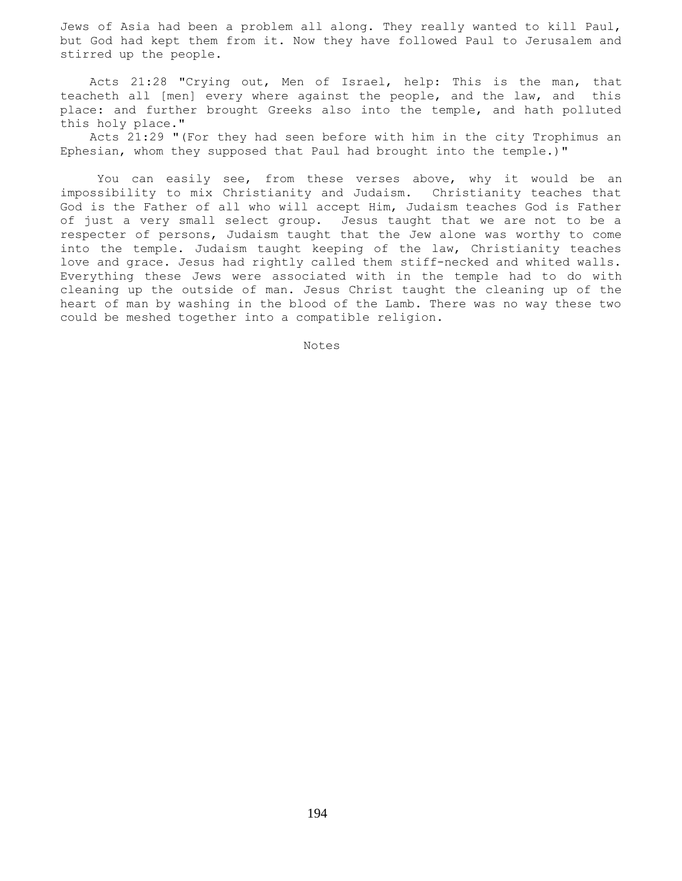Jews of Asia had been a problem all along. They really wanted to kill Paul, but God had kept them from it. Now they have followed Paul to Jerusalem and stirred up the people.

 Acts 21:28 "Crying out, Men of Israel, help: This is the man, that teacheth all [men] every where against the people, and the law, and this place: and further brought Greeks also into the temple, and hath polluted this holy place."

 Acts 21:29 "(For they had seen before with him in the city Trophimus an Ephesian, whom they supposed that Paul had brought into the temple.)"

 You can easily see, from these verses above, why it would be an impossibility to mix Christianity and Judaism. Christianity teaches that God is the Father of all who will accept Him, Judaism teaches God is Father of just a very small select group. Jesus taught that we are not to be a respecter of persons, Judaism taught that the Jew alone was worthy to come into the temple. Judaism taught keeping of the law, Christianity teaches love and grace. Jesus had rightly called them stiff-necked and whited walls. Everything these Jews were associated with in the temple had to do with cleaning up the outside of man. Jesus Christ taught the cleaning up of the heart of man by washing in the blood of the Lamb. There was no way these two could be meshed together into a compatible religion.

Notes Notes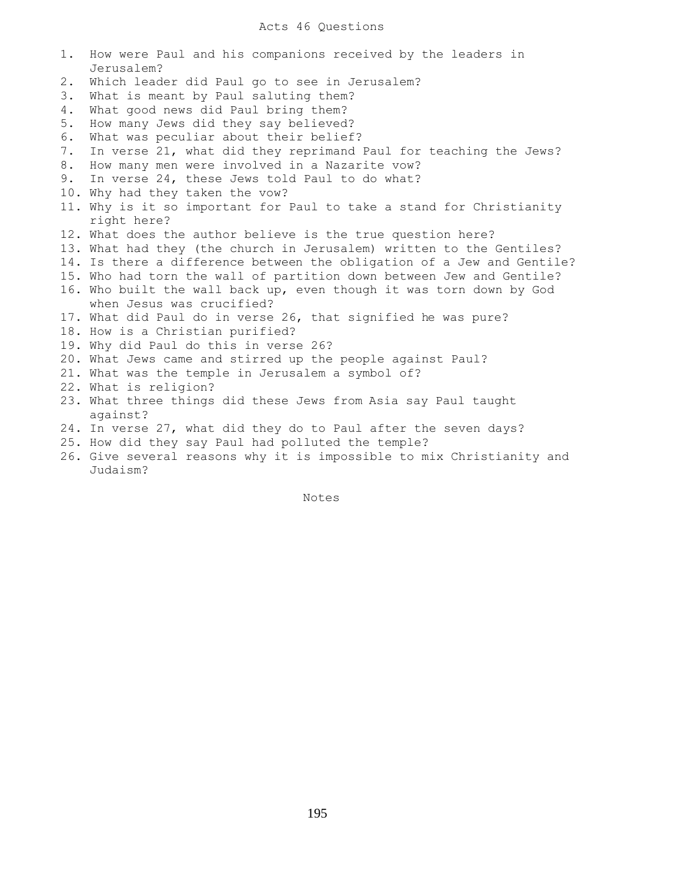## Acts 46 Questions

1. How were Paul and his companions received by the leaders in Jerusalem? 2. Which leader did Paul go to see in Jerusalem? 3. What is meant by Paul saluting them? 4. What good news did Paul bring them? 5. How many Jews did they say believed? 6. What was peculiar about their belief? 7. In verse 21, what did they reprimand Paul for teaching the Jews? 8. How many men were involved in a Nazarite vow? 9. In verse 24, these Jews told Paul to do what? 10. Why had they taken the vow? 11. Why is it so important for Paul to take a stand for Christianity right here? 12. What does the author believe is the true question here? 13. What had they (the church in Jerusalem) written to the Gentiles? 14. Is there a difference between the obligation of a Jew and Gentile? 15. Who had torn the wall of partition down between Jew and Gentile? 16. Who built the wall back up, even though it was torn down by God when Jesus was crucified? 17. What did Paul do in verse 26, that signified he was pure? 18. How is a Christian purified? 19. Why did Paul do this in verse 26? 20. What Jews came and stirred up the people against Paul? 21. What was the temple in Jerusalem a symbol of? 22. What is religion? 23. What three things did these Jews from Asia say Paul taught against? 24. In verse 27, what did they do to Paul after the seven days? 25. How did they say Paul had polluted the temple? 26. Give several reasons why it is impossible to mix Christianity and Judaism?

Notes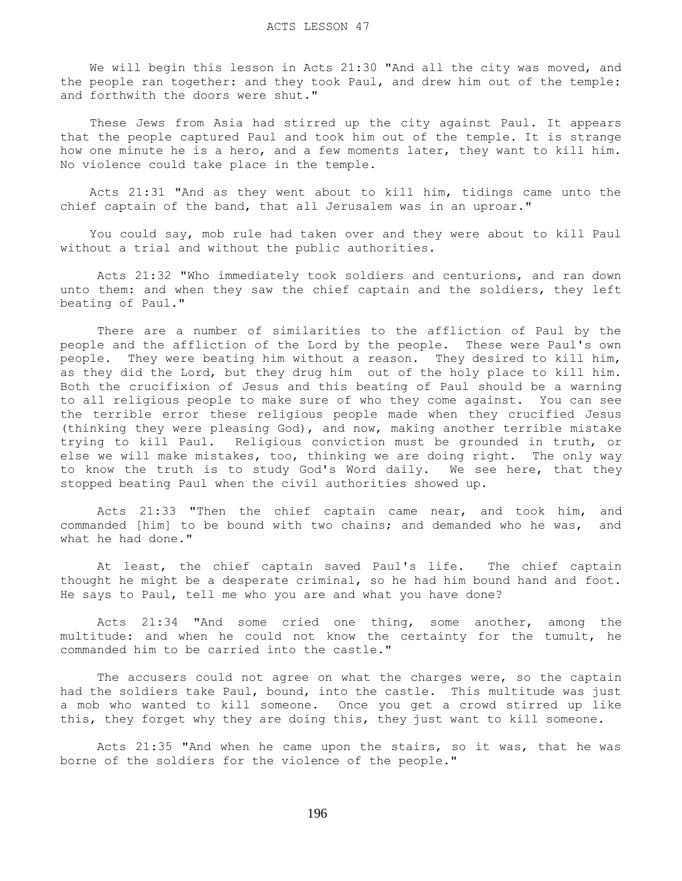We will begin this lesson in Acts 21:30 "And all the city was moved, and the people ran together: and they took Paul, and drew him out of the temple: and forthwith the doors were shut."

 These Jews from Asia had stirred up the city against Paul. It appears that the people captured Paul and took him out of the temple. It is strange how one minute he is a hero, and a few moments later, they want to kill him. No violence could take place in the temple.

 Acts 21:31 "And as they went about to kill him, tidings came unto the chief captain of the band, that all Jerusalem was in an uproar."

 You could say, mob rule had taken over and they were about to kill Paul without a trial and without the public authorities.

 Acts 21:32 "Who immediately took soldiers and centurions, and ran down unto them: and when they saw the chief captain and the soldiers, they left beating of Paul."

 There are a number of similarities to the affliction of Paul by the people and the affliction of the Lord by the people. These were Paul's own people. They were beating him without a reason. They desired to kill him, as they did the Lord, but they drug him out of the holy place to kill him. Both the crucifixion of Jesus and this beating of Paul should be a warning to all religious people to make sure of who they come against. You can see the terrible error these religious people made when they crucified Jesus (thinking they were pleasing God), and now, making another terrible mistake trying to kill Paul. Religious conviction must be grounded in truth, or else we will make mistakes, too, thinking we are doing right. The only way to know the truth is to study God's Word daily. We see here, that they stopped beating Paul when the civil authorities showed up.

 Acts 21:33 "Then the chief captain came near, and took him, and commanded [him] to be bound with two chains; and demanded who he was, and what he had done."

 At least, the chief captain saved Paul's life. The chief captain thought he might be a desperate criminal, so he had him bound hand and foot. He says to Paul, tell me who you are and what you have done?

 Acts 21:34 "And some cried one thing, some another, among the multitude: and when he could not know the certainty for the tumult, he commanded him to be carried into the castle."

The accusers could not agree on what the charges were, so the captain had the soldiers take Paul, bound, into the castle. This multitude was just a mob who wanted to kill someone. Once you get a crowd stirred up like this, they forget why they are doing this, they just want to kill someone.

 Acts 21:35 "And when he came upon the stairs, so it was, that he was borne of the soldiers for the violence of the people."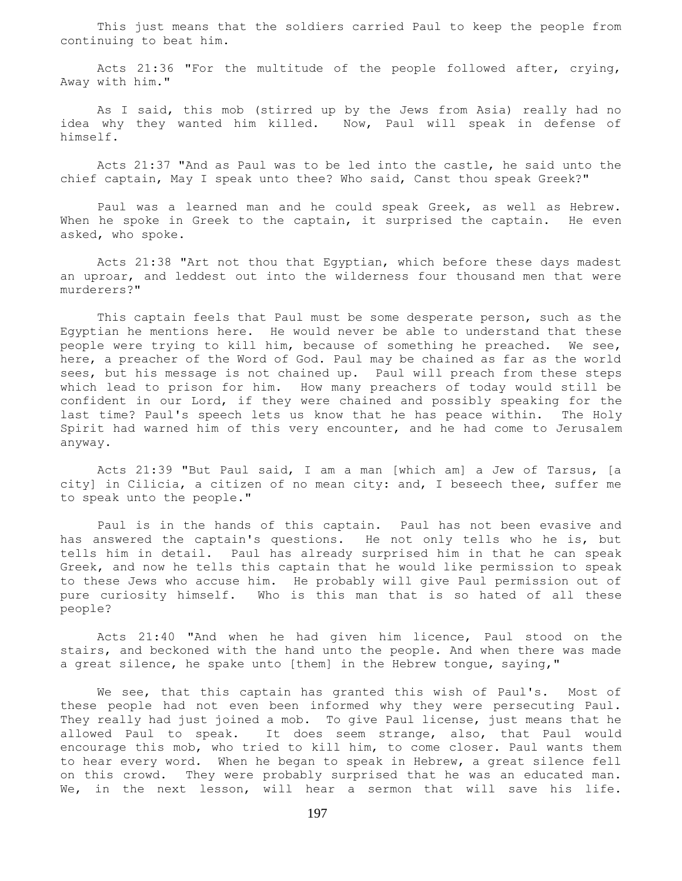This just means that the soldiers carried Paul to keep the people from continuing to beat him.

 Acts 21:36 "For the multitude of the people followed after, crying, Away with him."

 As I said, this mob (stirred up by the Jews from Asia) really had no idea why they wanted him killed. Now, Paul will speak in defense of himself.

 Acts 21:37 "And as Paul was to be led into the castle, he said unto the chief captain, May I speak unto thee? Who said, Canst thou speak Greek?"

 Paul was a learned man and he could speak Greek, as well as Hebrew. When he spoke in Greek to the captain, it surprised the captain. He even asked, who spoke.

 Acts 21:38 "Art not thou that Egyptian, which before these days madest an uproar, and leddest out into the wilderness four thousand men that were murderers?"

 This captain feels that Paul must be some desperate person, such as the Egyptian he mentions here. He would never be able to understand that these people were trying to kill him, because of something he preached. We see, here, a preacher of the Word of God. Paul may be chained as far as the world sees, but his message is not chained up. Paul will preach from these steps which lead to prison for him. How many preachers of today would still be confident in our Lord, if they were chained and possibly speaking for the last time? Paul's speech lets us know that he has peace within. The Holy Spirit had warned him of this very encounter, and he had come to Jerusalem anyway.

 Acts 21:39 "But Paul said, I am a man [which am] a Jew of Tarsus, [a city] in Cilicia, a citizen of no mean city: and, I beseech thee, suffer me to speak unto the people."

 Paul is in the hands of this captain. Paul has not been evasive and has answered the captain's questions. He not only tells who he is, but tells him in detail. Paul has already surprised him in that he can speak Greek, and now he tells this captain that he would like permission to speak to these Jews who accuse him. He probably will give Paul permission out of pure curiosity himself. Who is this man that is so hated of all these people?

 Acts 21:40 "And when he had given him licence, Paul stood on the stairs, and beckoned with the hand unto the people. And when there was made a great silence, he spake unto [them] in the Hebrew tongue, saying,"

 We see, that this captain has granted this wish of Paul's. Most of these people had not even been informed why they were persecuting Paul. They really had just joined a mob. To give Paul license, just means that he allowed Paul to speak. It does seem strange, also, that Paul would encourage this mob, who tried to kill him, to come closer. Paul wants them to hear every word. When he began to speak in Hebrew, a great silence fell on this crowd. They were probably surprised that he was an educated man. We, in the next lesson, will hear a sermon that will save his life.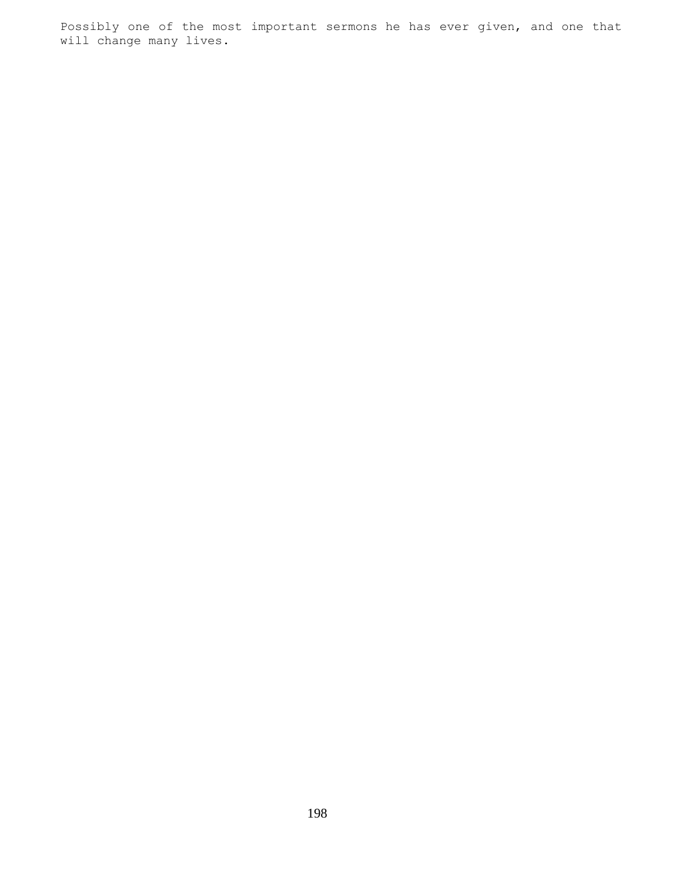Possibly one of the most important sermons he has ever given, and one that will change many lives.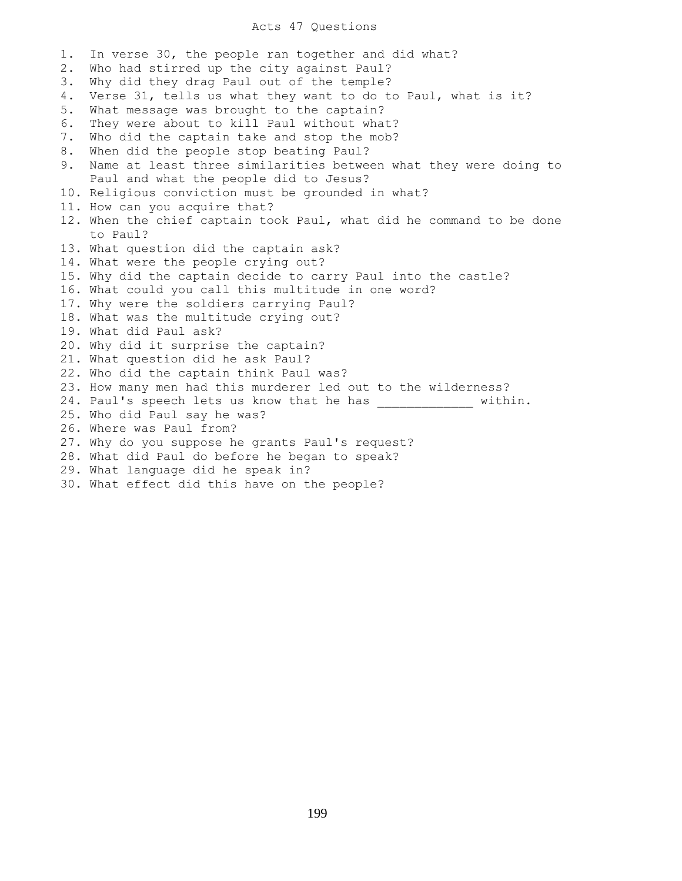### Acts 47 Questions

1. In verse 30, the people ran together and did what? 2. Who had stirred up the city against Paul? 3. Why did they drag Paul out of the temple? 4. Verse 31, tells us what they want to do to Paul, what is it? 5. What message was brought to the captain? 6. They were about to kill Paul without what? 7. Who did the captain take and stop the mob? 8. When did the people stop beating Paul? 9. Name at least three similarities between what they were doing to Paul and what the people did to Jesus? 10. Religious conviction must be grounded in what? 11. How can you acquire that? 12. When the chief captain took Paul, what did he command to be done to Paul? 13. What question did the captain ask? 14. What were the people crying out? 15. Why did the captain decide to carry Paul into the castle? 16. What could you call this multitude in one word? 17. Why were the soldiers carrying Paul? 18. What was the multitude crying out? 19. What did Paul ask? 20. Why did it surprise the captain? 21. What question did he ask Paul? 22. Who did the captain think Paul was? 23. How many men had this murderer led out to the wilderness? 24. Paul's speech lets us know that he has \_\_\_\_\_\_\_\_\_\_\_\_\_\_ within. 25. Who did Paul say he was? 26. Where was Paul from? 27. Why do you suppose he grants Paul's request? 28. What did Paul do before he began to speak? 29. What language did he speak in? 30. What effect did this have on the people?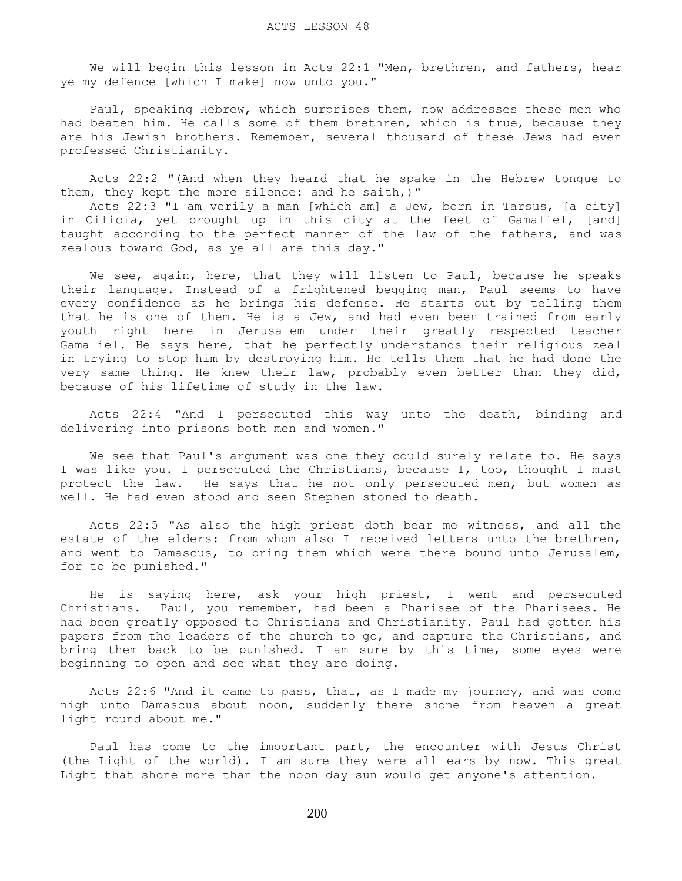We will begin this lesson in Acts 22:1 "Men, brethren, and fathers, hear ye my defence [which I make] now unto you."

 Paul, speaking Hebrew, which surprises them, now addresses these men who had beaten him. He calls some of them brethren, which is true, because they are his Jewish brothers. Remember, several thousand of these Jews had even professed Christianity.

 Acts 22:2 "(And when they heard that he spake in the Hebrew tongue to them, they kept the more silence: and he saith,)"

 Acts 22:3 "I am verily a man [which am] a Jew, born in Tarsus, [a city] in Cilicia, yet brought up in this city at the feet of Gamaliel, [and] taught according to the perfect manner of the law of the fathers, and was zealous toward God, as ye all are this day."

 We see, again, here, that they will listen to Paul, because he speaks their language. Instead of a frightened begging man, Paul seems to have every confidence as he brings his defense. He starts out by telling them that he is one of them. He is a Jew, and had even been trained from early youth right here in Jerusalem under their greatly respected teacher Gamaliel. He says here, that he perfectly understands their religious zeal in trying to stop him by destroying him. He tells them that he had done the very same thing. He knew their law, probably even better than they did, because of his lifetime of study in the law.

 Acts 22:4 "And I persecuted this way unto the death, binding and delivering into prisons both men and women."

 We see that Paul's argument was one they could surely relate to. He says I was like you. I persecuted the Christians, because I, too, thought I must protect the law. He says that he not only persecuted men, but women as well. He had even stood and seen Stephen stoned to death.

 Acts 22:5 "As also the high priest doth bear me witness, and all the estate of the elders: from whom also I received letters unto the brethren, and went to Damascus, to bring them which were there bound unto Jerusalem, for to be punished."

 He is saying here, ask your high priest, I went and persecuted Christians. Paul, you remember, had been a Pharisee of the Pharisees. He had been greatly opposed to Christians and Christianity. Paul had gotten his papers from the leaders of the church to go, and capture the Christians, and bring them back to be punished. I am sure by this time, some eyes were beginning to open and see what they are doing.

 Acts 22:6 "And it came to pass, that, as I made my journey, and was come nigh unto Damascus about noon, suddenly there shone from heaven a great light round about me."

 Paul has come to the important part, the encounter with Jesus Christ (the Light of the world). I am sure they were all ears by now. This great Light that shone more than the noon day sun would get anyone's attention.

200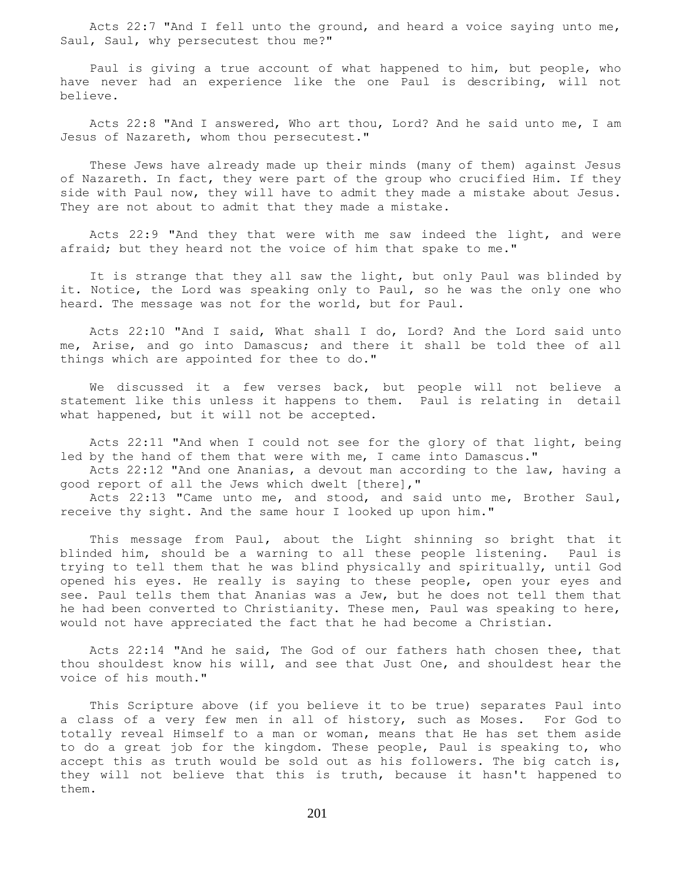Acts 22:7 "And I fell unto the ground, and heard a voice saying unto me, Saul, Saul, why persecutest thou me?"

 Paul is giving a true account of what happened to him, but people, who have never had an experience like the one Paul is describing, will not believe.

 Acts 22:8 "And I answered, Who art thou, Lord? And he said unto me, I am Jesus of Nazareth, whom thou persecutest."

 These Jews have already made up their minds (many of them) against Jesus of Nazareth. In fact, they were part of the group who crucified Him. If they side with Paul now, they will have to admit they made a mistake about Jesus. They are not about to admit that they made a mistake.

 Acts 22:9 "And they that were with me saw indeed the light, and were afraid; but they heard not the voice of him that spake to me."

 It is strange that they all saw the light, but only Paul was blinded by it. Notice, the Lord was speaking only to Paul, so he was the only one who heard. The message was not for the world, but for Paul.

 Acts 22:10 "And I said, What shall I do, Lord? And the Lord said unto me, Arise, and go into Damascus; and there it shall be told thee of all things which are appointed for thee to do."

 We discussed it a few verses back, but people will not believe a statement like this unless it happens to them. Paul is relating in detail what happened, but it will not be accepted.

 Acts 22:11 "And when I could not see for the glory of that light, being led by the hand of them that were with me, I came into Damascus."

 Acts 22:12 "And one Ananias, a devout man according to the law, having a good report of all the Jews which dwelt [there],"

 Acts 22:13 "Came unto me, and stood, and said unto me, Brother Saul, receive thy sight. And the same hour I looked up upon him."

 This message from Paul, about the Light shinning so bright that it blinded him, should be a warning to all these people listening. Paul is trying to tell them that he was blind physically and spiritually, until God opened his eyes. He really is saying to these people, open your eyes and see. Paul tells them that Ananias was a Jew, but he does not tell them that he had been converted to Christianity. These men, Paul was speaking to here, would not have appreciated the fact that he had become a Christian.

 Acts 22:14 "And he said, The God of our fathers hath chosen thee, that thou shouldest know his will, and see that Just One, and shouldest hear the voice of his mouth."

 This Scripture above (if you believe it to be true) separates Paul into a class of a very few men in all of history, such as Moses. For God to totally reveal Himself to a man or woman, means that He has set them aside to do a great job for the kingdom. These people, Paul is speaking to, who accept this as truth would be sold out as his followers. The big catch is, they will not believe that this is truth, because it hasn't happened to them.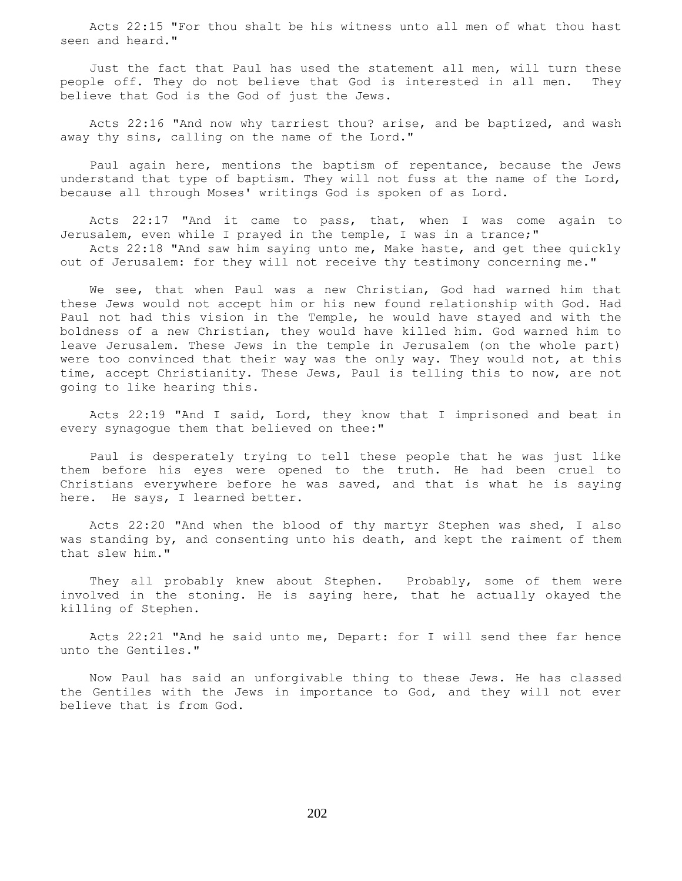Acts 22:15 "For thou shalt be his witness unto all men of what thou hast seen and heard."

 Just the fact that Paul has used the statement all men, will turn these people off. They do not believe that God is interested in all men. They believe that God is the God of just the Jews.

 Acts 22:16 "And now why tarriest thou? arise, and be baptized, and wash away thy sins, calling on the name of the Lord."

 Paul again here, mentions the baptism of repentance, because the Jews understand that type of baptism. They will not fuss at the name of the Lord, because all through Moses' writings God is spoken of as Lord.

 Acts 22:17 "And it came to pass, that, when I was come again to Jerusalem, even while I prayed in the temple, I was in a trance;" Acts 22:18 "And saw him saying unto me, Make haste, and get thee quickly

out of Jerusalem: for they will not receive thy testimony concerning me."

 We see, that when Paul was a new Christian, God had warned him that these Jews would not accept him or his new found relationship with God. Had Paul not had this vision in the Temple, he would have stayed and with the boldness of a new Christian, they would have killed him. God warned him to leave Jerusalem. These Jews in the temple in Jerusalem (on the whole part) were too convinced that their way was the only way. They would not, at this time, accept Christianity. These Jews, Paul is telling this to now, are not going to like hearing this.

 Acts 22:19 "And I said, Lord, they know that I imprisoned and beat in every synagogue them that believed on thee:"

 Paul is desperately trying to tell these people that he was just like them before his eyes were opened to the truth. He had been cruel to Christians everywhere before he was saved, and that is what he is saying here. He says, I learned better.

 Acts 22:20 "And when the blood of thy martyr Stephen was shed, I also was standing by, and consenting unto his death, and kept the raiment of them that slew him."

They all probably knew about Stephen. Probably, some of them were involved in the stoning. He is saying here, that he actually okayed the killing of Stephen.

 Acts 22:21 "And he said unto me, Depart: for I will send thee far hence unto the Gentiles."

 Now Paul has said an unforgivable thing to these Jews. He has classed the Gentiles with the Jews in importance to God, and they will not ever believe that is from God.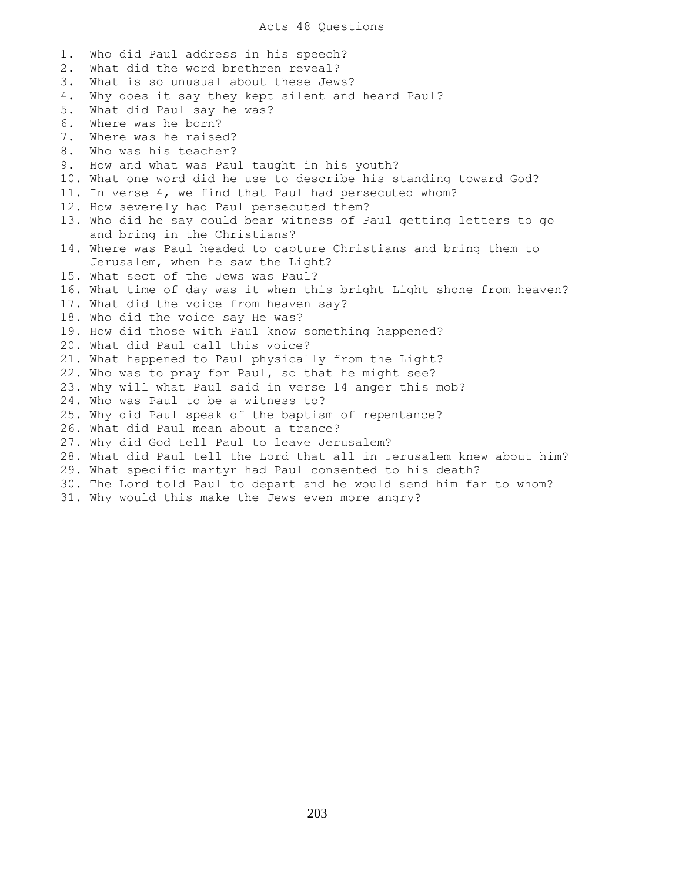1. Who did Paul address in his speech? 2. What did the word brethren reveal? 3. What is so unusual about these Jews? 4. Why does it say they kept silent and heard Paul? 5. What did Paul say he was? 6. Where was he born? 7. Where was he raised? 8. Who was his teacher? 9. How and what was Paul taught in his youth? 10. What one word did he use to describe his standing toward God? 11. In verse 4, we find that Paul had persecuted whom? 12. How severely had Paul persecuted them? 13. Who did he say could bear witness of Paul getting letters to go and bring in the Christians? 14. Where was Paul headed to capture Christians and bring them to Jerusalem, when he saw the Light? 15. What sect of the Jews was Paul? 16. What time of day was it when this bright Light shone from heaven? 17. What did the voice from heaven say? 18. Who did the voice say He was? 19. How did those with Paul know something happened? 20. What did Paul call this voice? 21. What happened to Paul physically from the Light? 22. Who was to pray for Paul, so that he might see? 23. Why will what Paul said in verse 14 anger this mob? 24. Who was Paul to be a witness to? 25. Why did Paul speak of the baptism of repentance? 26. What did Paul mean about a trance? 27. Why did God tell Paul to leave Jerusalem? 28. What did Paul tell the Lord that all in Jerusalem knew about him? 29. What specific martyr had Paul consented to his death? 30. The Lord told Paul to depart and he would send him far to whom? 31. Why would this make the Jews even more angry?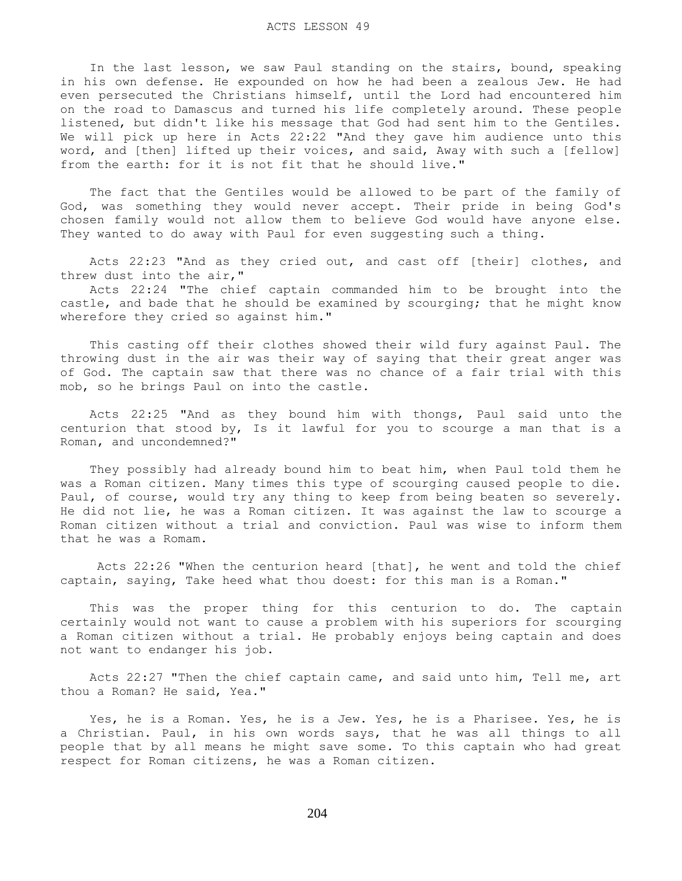In the last lesson, we saw Paul standing on the stairs, bound, speaking in his own defense. He expounded on how he had been a zealous Jew. He had even persecuted the Christians himself, until the Lord had encountered him on the road to Damascus and turned his life completely around. These people listened, but didn't like his message that God had sent him to the Gentiles. We will pick up here in Acts 22:22 "And they gave him audience unto this word, and [then] lifted up their voices, and said, Away with such a [fellow] from the earth: for it is not fit that he should live."

 The fact that the Gentiles would be allowed to be part of the family of God, was something they would never accept. Their pride in being God's chosen family would not allow them to believe God would have anyone else. They wanted to do away with Paul for even suggesting such a thing.

 Acts 22:23 "And as they cried out, and cast off [their] clothes, and threw dust into the air,"

 Acts 22:24 "The chief captain commanded him to be brought into the castle, and bade that he should be examined by scourging; that he might know wherefore they cried so against him."

 This casting off their clothes showed their wild fury against Paul. The throwing dust in the air was their way of saying that their great anger was of God. The captain saw that there was no chance of a fair trial with this mob, so he brings Paul on into the castle.

 Acts 22:25 "And as they bound him with thongs, Paul said unto the centurion that stood by, Is it lawful for you to scourge a man that is a Roman, and uncondemned?"

 They possibly had already bound him to beat him, when Paul told them he was a Roman citizen. Many times this type of scourging caused people to die. Paul, of course, would try any thing to keep from being beaten so severely. He did not lie, he was a Roman citizen. It was against the law to scourge a Roman citizen without a trial and conviction. Paul was wise to inform them that he was a Romam.

 Acts 22:26 "When the centurion heard [that], he went and told the chief captain, saying, Take heed what thou doest: for this man is a Roman."

 This was the proper thing for this centurion to do. The captain certainly would not want to cause a problem with his superiors for scourging a Roman citizen without a trial. He probably enjoys being captain and does not want to endanger his job.

 Acts 22:27 "Then the chief captain came, and said unto him, Tell me, art thou a Roman? He said, Yea."

 Yes, he is a Roman. Yes, he is a Jew. Yes, he is a Pharisee. Yes, he is a Christian. Paul, in his own words says, that he was all things to all people that by all means he might save some. To this captain who had great respect for Roman citizens, he was a Roman citizen.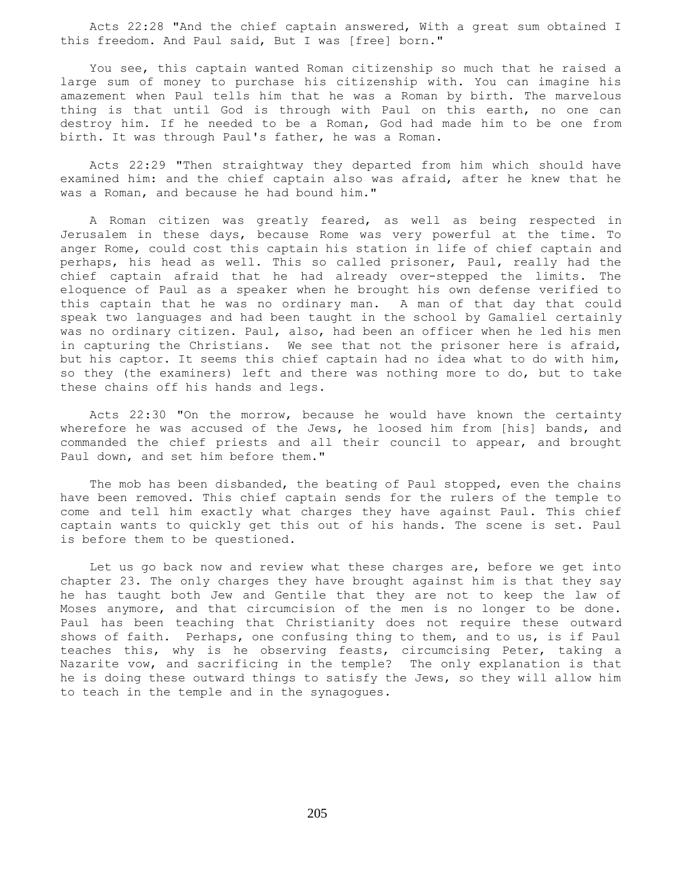Acts 22:28 "And the chief captain answered, With a great sum obtained I this freedom. And Paul said, But I was [free] born."

 You see, this captain wanted Roman citizenship so much that he raised a large sum of money to purchase his citizenship with. You can imagine his amazement when Paul tells him that he was a Roman by birth. The marvelous thing is that until God is through with Paul on this earth, no one can destroy him. If he needed to be a Roman, God had made him to be one from birth. It was through Paul's father, he was a Roman.

 Acts 22:29 "Then straightway they departed from him which should have examined him: and the chief captain also was afraid, after he knew that he was a Roman, and because he had bound him."

 A Roman citizen was greatly feared, as well as being respected in Jerusalem in these days, because Rome was very powerful at the time. To anger Rome, could cost this captain his station in life of chief captain and perhaps, his head as well. This so called prisoner, Paul, really had the chief captain afraid that he had already over-stepped the limits. The eloquence of Paul as a speaker when he brought his own defense verified to this captain that he was no ordinary man. A man of that day that could speak two languages and had been taught in the school by Gamaliel certainly was no ordinary citizen. Paul, also, had been an officer when he led his men in capturing the Christians. We see that not the prisoner here is afraid, but his captor. It seems this chief captain had no idea what to do with him, so they (the examiners) left and there was nothing more to do, but to take these chains off his hands and legs.

 Acts 22:30 "On the morrow, because he would have known the certainty wherefore he was accused of the Jews, he loosed him from [his] bands, and commanded the chief priests and all their council to appear, and brought Paul down, and set him before them."

 The mob has been disbanded, the beating of Paul stopped, even the chains have been removed. This chief captain sends for the rulers of the temple to come and tell him exactly what charges they have against Paul. This chief captain wants to quickly get this out of his hands. The scene is set. Paul is before them to be questioned.

 Let us go back now and review what these charges are, before we get into chapter 23. The only charges they have brought against him is that they say he has taught both Jew and Gentile that they are not to keep the law of Moses anymore, and that circumcision of the men is no longer to be done. Paul has been teaching that Christianity does not require these outward shows of faith. Perhaps, one confusing thing to them, and to us, is if Paul teaches this, why is he observing feasts, circumcising Peter, taking a Nazarite vow, and sacrificing in the temple? The only explanation is that he is doing these outward things to satisfy the Jews, so they will allow him to teach in the temple and in the synagogues.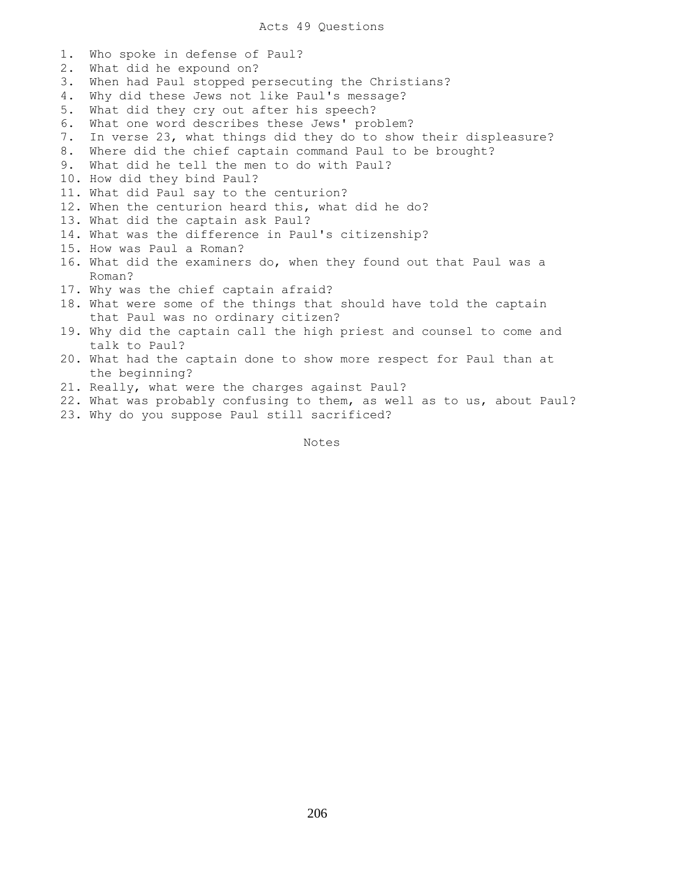1. Who spoke in defense of Paul? 2. What did he expound on? 3. When had Paul stopped persecuting the Christians? 4. Why did these Jews not like Paul's message? 5. What did they cry out after his speech? 6. What one word describes these Jews' problem? 7. In verse 23, what things did they do to show their displeasure? 8. Where did the chief captain command Paul to be brought? 9. What did he tell the men to do with Paul? 10. How did they bind Paul? 11. What did Paul say to the centurion? 12. When the centurion heard this, what did he do? 13. What did the captain ask Paul? 14. What was the difference in Paul's citizenship? 15. How was Paul a Roman? 16. What did the examiners do, when they found out that Paul was a Roman? 17. Why was the chief captain afraid? 18. What were some of the things that should have told the captain that Paul was no ordinary citizen? 19. Why did the captain call the high priest and counsel to come and talk to Paul? 20. What had the captain done to show more respect for Paul than at the beginning? 21. Really, what were the charges against Paul? 22. What was probably confusing to them, as well as to us, about Paul? 23. Why do you suppose Paul still sacrificed?

Notes Notes

206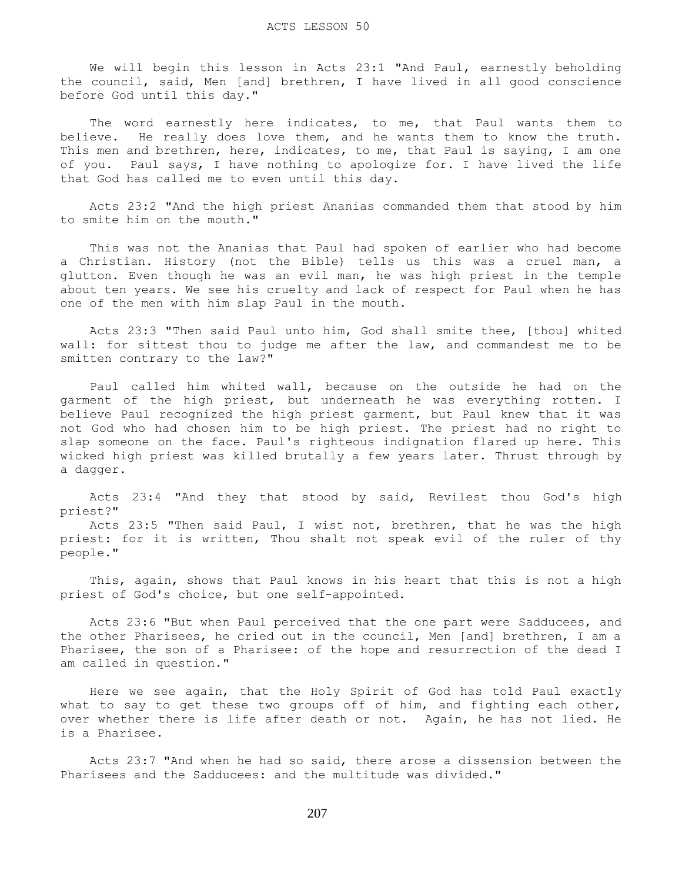We will begin this lesson in Acts 23:1 "And Paul, earnestly beholding the council, said, Men [and] brethren, I have lived in all good conscience before God until this day."

The word earnestly here indicates, to me, that Paul wants them to believe. He really does love them, and he wants them to know the truth. This men and brethren, here, indicates, to me, that Paul is saying, I am one of you. Paul says, I have nothing to apologize for. I have lived the life that God has called me to even until this day.

 Acts 23:2 "And the high priest Ananias commanded them that stood by him to smite him on the mouth."

 This was not the Ananias that Paul had spoken of earlier who had become a Christian. History (not the Bible) tells us this was a cruel man, a glutton. Even though he was an evil man, he was high priest in the temple about ten years. We see his cruelty and lack of respect for Paul when he has one of the men with him slap Paul in the mouth.

 Acts 23:3 "Then said Paul unto him, God shall smite thee, [thou] whited wall: for sittest thou to judge me after the law, and commandest me to be smitten contrary to the law?"

 Paul called him whited wall, because on the outside he had on the garment of the high priest, but underneath he was everything rotten. I believe Paul recognized the high priest garment, but Paul knew that it was not God who had chosen him to be high priest. The priest had no right to slap someone on the face. Paul's righteous indignation flared up here. This wicked high priest was killed brutally a few years later. Thrust through by a dagger.

 Acts 23:4 "And they that stood by said, Revilest thou God's high priest?"

 Acts 23:5 "Then said Paul, I wist not, brethren, that he was the high priest: for it is written, Thou shalt not speak evil of the ruler of thy people."

 This, again, shows that Paul knows in his heart that this is not a high priest of God's choice, but one self-appointed.

 Acts 23:6 "But when Paul perceived that the one part were Sadducees, and the other Pharisees, he cried out in the council, Men [and] brethren, I am a Pharisee, the son of a Pharisee: of the hope and resurrection of the dead I am called in question."

 Here we see again, that the Holy Spirit of God has told Paul exactly what to say to get these two groups off of him, and fighting each other, over whether there is life after death or not. Again, he has not lied. He is a Pharisee.

 Acts 23:7 "And when he had so said, there arose a dissension between the Pharisees and the Sadducees: and the multitude was divided."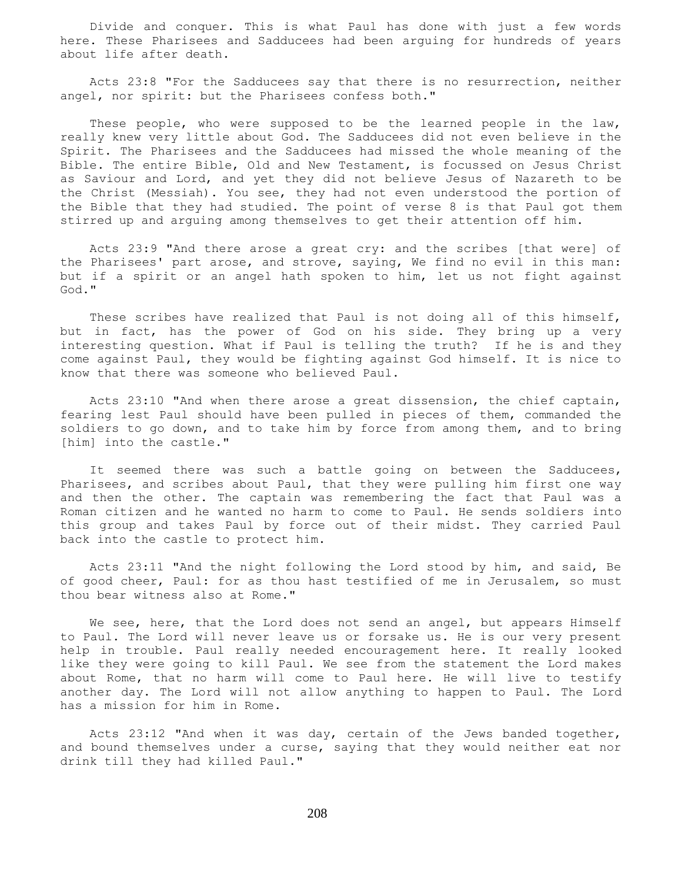Divide and conquer. This is what Paul has done with just a few words here. These Pharisees and Sadducees had been arguing for hundreds of years about life after death.

 Acts 23:8 "For the Sadducees say that there is no resurrection, neither angel, nor spirit: but the Pharisees confess both."

 These people, who were supposed to be the learned people in the law, really knew very little about God. The Sadducees did not even believe in the Spirit. The Pharisees and the Sadducees had missed the whole meaning of the Bible. The entire Bible, Old and New Testament, is focussed on Jesus Christ as Saviour and Lord, and yet they did not believe Jesus of Nazareth to be the Christ (Messiah). You see, they had not even understood the portion of the Bible that they had studied. The point of verse 8 is that Paul got them stirred up and arguing among themselves to get their attention off him.

 Acts 23:9 "And there arose a great cry: and the scribes [that were] of the Pharisees' part arose, and strove, saying, We find no evil in this man: but if a spirit or an angel hath spoken to him, let us not fight against God."

 These scribes have realized that Paul is not doing all of this himself, but in fact, has the power of God on his side. They bring up a very interesting question. What if Paul is telling the truth? If he is and they come against Paul, they would be fighting against God himself. It is nice to know that there was someone who believed Paul.

 Acts 23:10 "And when there arose a great dissension, the chief captain, fearing lest Paul should have been pulled in pieces of them, commanded the soldiers to go down, and to take him by force from among them, and to bring [him] into the castle."

 It seemed there was such a battle going on between the Sadducees, Pharisees, and scribes about Paul, that they were pulling him first one way and then the other. The captain was remembering the fact that Paul was a Roman citizen and he wanted no harm to come to Paul. He sends soldiers into this group and takes Paul by force out of their midst. They carried Paul back into the castle to protect him.

 Acts 23:11 "And the night following the Lord stood by him, and said, Be of good cheer, Paul: for as thou hast testified of me in Jerusalem, so must thou bear witness also at Rome."

We see, here, that the Lord does not send an angel, but appears Himself to Paul. The Lord will never leave us or forsake us. He is our very present help in trouble. Paul really needed encouragement here. It really looked like they were going to kill Paul. We see from the statement the Lord makes about Rome, that no harm will come to Paul here. He will live to testify another day. The Lord will not allow anything to happen to Paul. The Lord has a mission for him in Rome.

Acts 23:12 "And when it was day, certain of the Jews banded together, and bound themselves under a curse, saying that they would neither eat nor drink till they had killed Paul."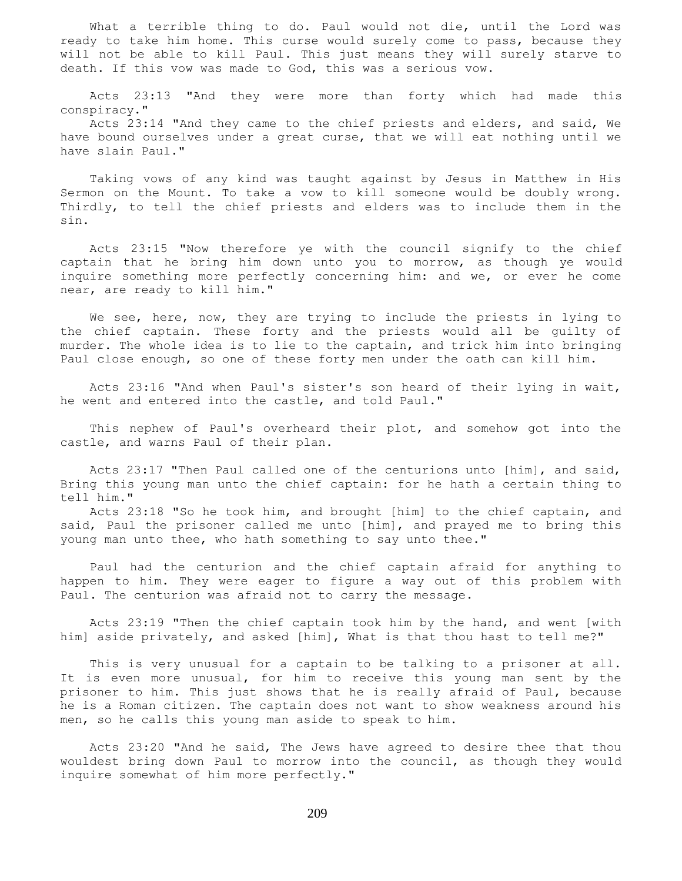What a terrible thing to do. Paul would not die, until the Lord was ready to take him home. This curse would surely come to pass, because they will not be able to kill Paul. This just means they will surely starve to death. If this vow was made to God, this was a serious vow.

 Acts 23:13 "And they were more than forty which had made this conspiracy."

 Acts 23:14 "And they came to the chief priests and elders, and said, We have bound ourselves under a great curse, that we will eat nothing until we have slain Paul."

 Taking vows of any kind was taught against by Jesus in Matthew in His Sermon on the Mount. To take a vow to kill someone would be doubly wrong. Thirdly, to tell the chief priests and elders was to include them in the sin.

 Acts 23:15 "Now therefore ye with the council signify to the chief captain that he bring him down unto you to morrow, as though ye would inquire something more perfectly concerning him: and we, or ever he come near, are ready to kill him."

 We see, here, now, they are trying to include the priests in lying to the chief captain. These forty and the priests would all be guilty of murder. The whole idea is to lie to the captain, and trick him into bringing Paul close enough, so one of these forty men under the oath can kill him.

 Acts 23:16 "And when Paul's sister's son heard of their lying in wait, he went and entered into the castle, and told Paul."

 This nephew of Paul's overheard their plot, and somehow got into the castle, and warns Paul of their plan.

 Acts 23:17 "Then Paul called one of the centurions unto [him], and said, Bring this young man unto the chief captain: for he hath a certain thing to tell him."

 Acts 23:18 "So he took him, and brought [him] to the chief captain, and said, Paul the prisoner called me unto [him], and prayed me to bring this young man unto thee, who hath something to say unto thee."

 Paul had the centurion and the chief captain afraid for anything to happen to him. They were eager to figure a way out of this problem with Paul. The centurion was afraid not to carry the message.

 Acts 23:19 "Then the chief captain took him by the hand, and went [with him] aside privately, and asked [him], What is that thou hast to tell me?"

 This is very unusual for a captain to be talking to a prisoner at all. It is even more unusual, for him to receive this young man sent by the prisoner to him. This just shows that he is really afraid of Paul, because he is a Roman citizen. The captain does not want to show weakness around his men, so he calls this young man aside to speak to him.

 Acts 23:20 "And he said, The Jews have agreed to desire thee that thou wouldest bring down Paul to morrow into the council, as though they would inquire somewhat of him more perfectly."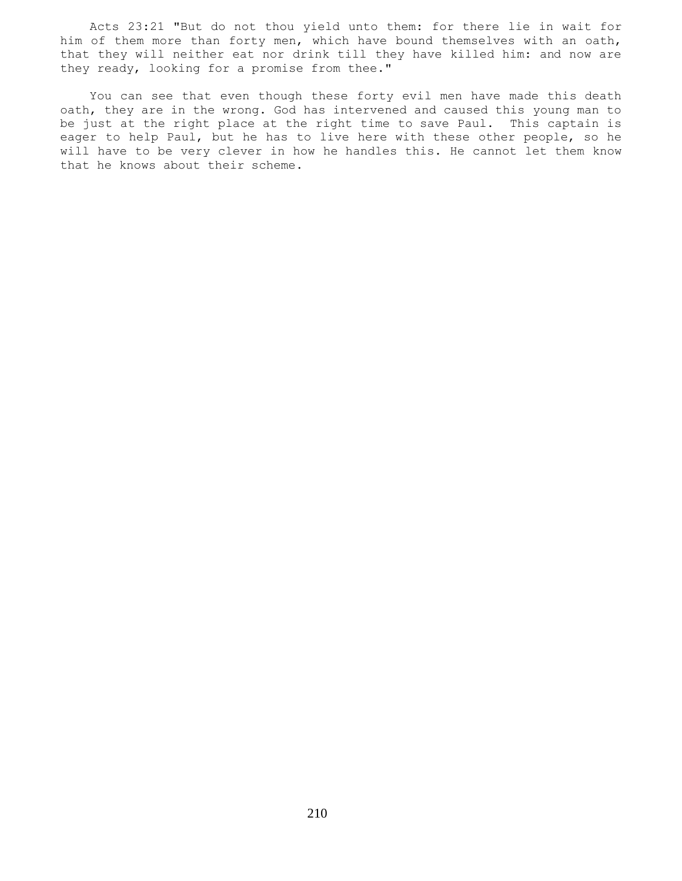Acts 23:21 "But do not thou yield unto them: for there lie in wait for him of them more than forty men, which have bound themselves with an oath, that they will neither eat nor drink till they have killed him: and now are they ready, looking for a promise from thee."

 You can see that even though these forty evil men have made this death oath, they are in the wrong. God has intervened and caused this young man to be just at the right place at the right time to save Paul. This captain is eager to help Paul, but he has to live here with these other people, so he will have to be very clever in how he handles this. He cannot let them know that he knows about their scheme.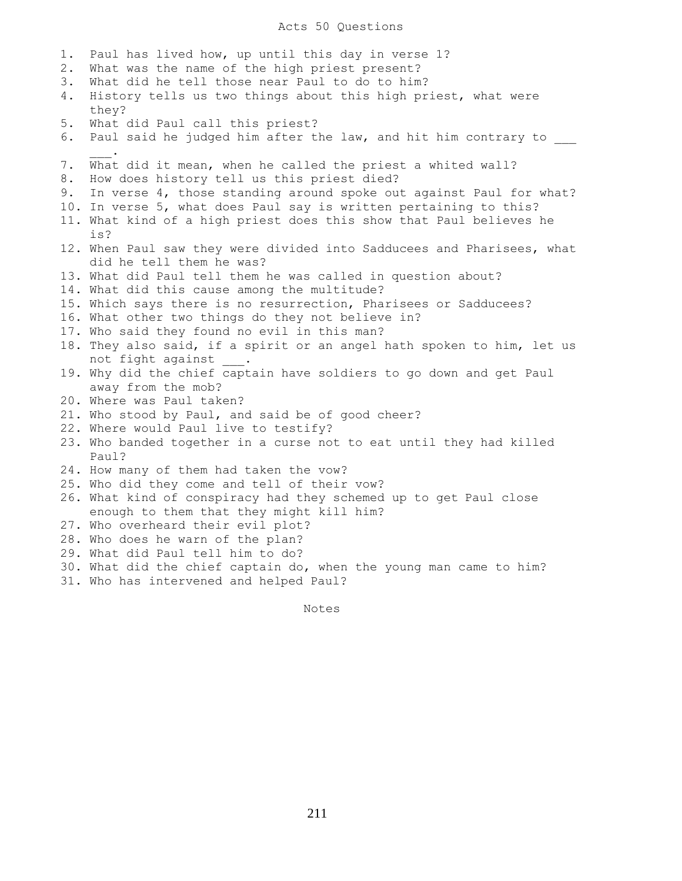# Acts 50 Questions

| 1.    | Paul has lived how, up until this day in verse 1?                      |
|-------|------------------------------------------------------------------------|
| $2$ . | What was the name of the high priest present?                          |
| 3.    | What did he tell those near Paul to do to him?                         |
| 4.    | History tells us two things about this high priest, what were          |
|       | they?                                                                  |
| 5.    | What did Paul call this priest?                                        |
| 6.    | Paul said he judged him after the law, and hit him contrary to         |
|       |                                                                        |
| 7.    | What did it mean, when he called the priest a whited wall?             |
| 8.    | How does history tell us this priest died?                             |
| 9.    | In verse 4, those standing around spoke out against Paul for what?     |
|       | 10. In verse 5, what does Paul say is written pertaining to this?      |
|       | 11. What kind of a high priest does this show that Paul believes he    |
|       | is?                                                                    |
|       | 12. When Paul saw they were divided into Sadducees and Pharisees, what |
|       | did he tell them he was?                                               |
|       | 13. What did Paul tell them he was called in question about?           |
|       | 14. What did this cause among the multitude?                           |
|       | 15. Which says there is no resurrection, Pharisees or Sadducees?       |
|       | 16. What other two things do they not believe in?                      |
|       | 17. Who said they found no evil in this man?                           |
|       | 18. They also said, if a spirit or an angel hath spoken to him, let us |
|       | not fight against                                                      |
|       | 19. Why did the chief captain have soldiers to go down and get Paul    |
|       | away from the mob?                                                     |
|       | 20. Where was Paul taken?                                              |
|       | 21. Who stood by Paul, and said be of good cheer?                      |
|       | 22. Where would Paul live to testify?                                  |
|       | 23. Who banded together in a curse not to eat until they had killed    |
|       | Paul?                                                                  |
|       | 24. How many of them had taken the vow?                                |
|       | 25. Who did they come and tell of their vow?                           |
|       | 26. What kind of conspiracy had they schemed up to get Paul close      |
|       | enough to them that they might kill him?                               |
|       | 27. Who overheard their evil plot?                                     |
|       | 28. Who does he warn of the plan?                                      |
|       | 29. What did Paul tell him to do?                                      |
|       | 30. What did the chief captain do, when the young man came to him?     |
|       | 31. Who has intervened and helped Paul?                                |
|       |                                                                        |

Notes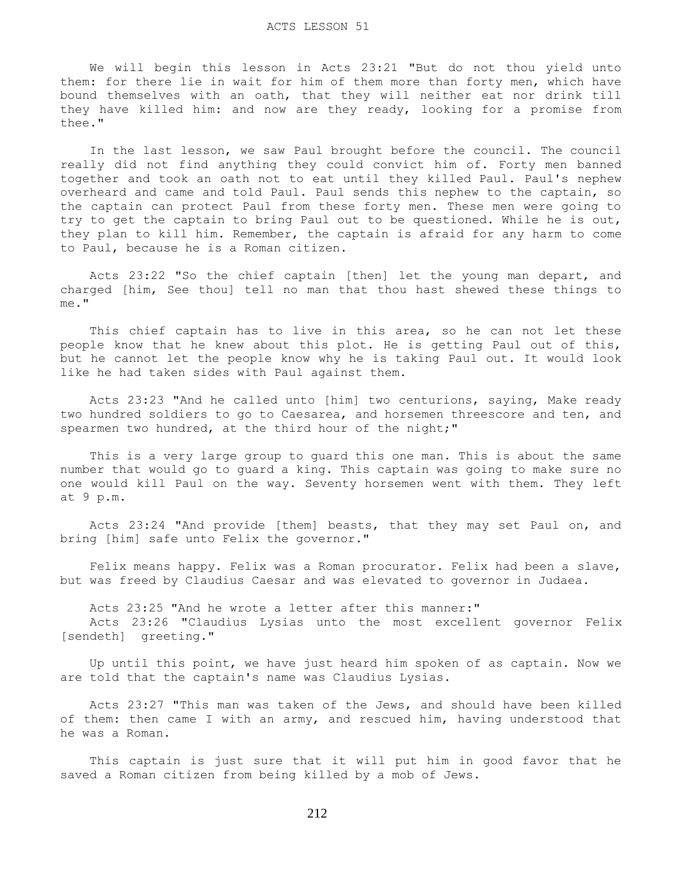We will begin this lesson in Acts 23:21 "But do not thou yield unto them: for there lie in wait for him of them more than forty men, which have bound themselves with an oath, that they will neither eat nor drink till they have killed him: and now are they ready, looking for a promise from thee."

 In the last lesson, we saw Paul brought before the council. The council really did not find anything they could convict him of. Forty men banned together and took an oath not to eat until they killed Paul. Paul's nephew overheard and came and told Paul. Paul sends this nephew to the captain, so the captain can protect Paul from these forty men. These men were going to try to get the captain to bring Paul out to be questioned. While he is out, they plan to kill him. Remember, the captain is afraid for any harm to come to Paul, because he is a Roman citizen.

 Acts 23:22 "So the chief captain [then] let the young man depart, and charged [him, See thou] tell no man that thou hast shewed these things to me."

This chief captain has to live in this area, so he can not let these people know that he knew about this plot. He is getting Paul out of this, but he cannot let the people know why he is taking Paul out. It would look like he had taken sides with Paul against them.

 Acts 23:23 "And he called unto [him] two centurions, saying, Make ready two hundred soldiers to go to Caesarea, and horsemen threescore and ten, and spearmen two hundred, at the third hour of the night;"

 This is a very large group to guard this one man. This is about the same number that would go to guard a king. This captain was going to make sure no one would kill Paul on the way. Seventy horsemen went with them. They left at 9 p.m.

 Acts 23:24 "And provide [them] beasts, that they may set Paul on, and bring [him] safe unto Felix the governor."

 Felix means happy. Felix was a Roman procurator. Felix had been a slave, but was freed by Claudius Caesar and was elevated to governor in Judaea.

Acts 23:25 "And he wrote a letter after this manner:"

 Acts 23:26 "Claudius Lysias unto the most excellent governor Felix [sendeth] greeting."

 Up until this point, we have just heard him spoken of as captain. Now we are told that the captain's name was Claudius Lysias.

 Acts 23:27 "This man was taken of the Jews, and should have been killed of them: then came I with an army, and rescued him, having understood that he was a Roman.

 This captain is just sure that it will put him in good favor that he saved a Roman citizen from being killed by a mob of Jews.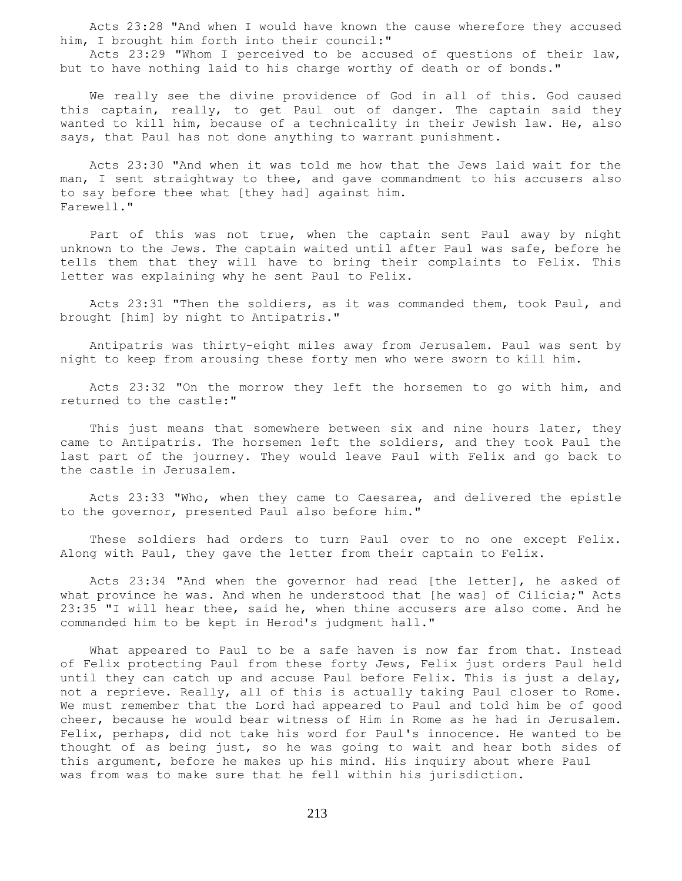Acts 23:28 "And when I would have known the cause wherefore they accused him, I brought him forth into their council:"

 Acts 23:29 "Whom I perceived to be accused of questions of their law, but to have nothing laid to his charge worthy of death or of bonds."

 We really see the divine providence of God in all of this. God caused this captain, really, to get Paul out of danger. The captain said they wanted to kill him, because of a technicality in their Jewish law. He, also says, that Paul has not done anything to warrant punishment.

 Acts 23:30 "And when it was told me how that the Jews laid wait for the man, I sent straightway to thee, and gave commandment to his accusers also to say before thee what [they had] against him. Farewell."

 Part of this was not true, when the captain sent Paul away by night unknown to the Jews. The captain waited until after Paul was safe, before he tells them that they will have to bring their complaints to Felix. This letter was explaining why he sent Paul to Felix.

 Acts 23:31 "Then the soldiers, as it was commanded them, took Paul, and brought [him] by night to Antipatris."

 Antipatris was thirty-eight miles away from Jerusalem. Paul was sent by night to keep from arousing these forty men who were sworn to kill him.

 Acts 23:32 "On the morrow they left the horsemen to go with him, and returned to the castle:"

This just means that somewhere between six and nine hours later, they came to Antipatris. The horsemen left the soldiers, and they took Paul the last part of the journey. They would leave Paul with Felix and go back to the castle in Jerusalem.

 Acts 23:33 "Who, when they came to Caesarea, and delivered the epistle to the governor, presented Paul also before him."

 These soldiers had orders to turn Paul over to no one except Felix. Along with Paul, they gave the letter from their captain to Felix.

 Acts 23:34 "And when the governor had read [the letter], he asked of what province he was. And when he understood that [he was] of Cilicia;" Acts 23:35 "I will hear thee, said he, when thine accusers are also come. And he commanded him to be kept in Herod's judgment hall."

 What appeared to Paul to be a safe haven is now far from that. Instead of Felix protecting Paul from these forty Jews, Felix just orders Paul held until they can catch up and accuse Paul before Felix. This is just a delay, not a reprieve. Really, all of this is actually taking Paul closer to Rome. We must remember that the Lord had appeared to Paul and told him be of good cheer, because he would bear witness of Him in Rome as he had in Jerusalem. Felix, perhaps, did not take his word for Paul's innocence. He wanted to be thought of as being just, so he was going to wait and hear both sides of this argument, before he makes up his mind. His inquiry about where Paul was from was to make sure that he fell within his jurisdiction.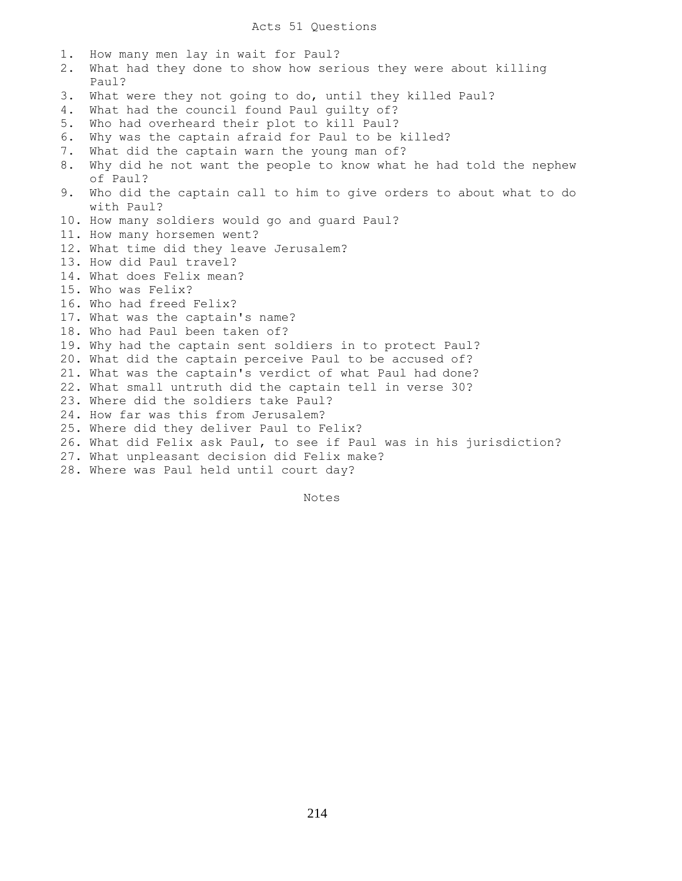1. How many men lay in wait for Paul? 2. What had they done to show how serious they were about killing Paul? 3. What were they not going to do, until they killed Paul? 4. What had the council found Paul guilty of? 5. Who had overheard their plot to kill Paul? 6. Why was the captain afraid for Paul to be killed? 7. What did the captain warn the young man of? 8. Why did he not want the people to know what he had told the nephew of Paul? 9. Who did the captain call to him to give orders to about what to do with Paul? 10. How many soldiers would go and guard Paul? 11. How many horsemen went? 12. What time did they leave Jerusalem? 13. How did Paul travel? 14. What does Felix mean? 15. Who was Felix? 16. Who had freed Felix? 17. What was the captain's name? 18. Who had Paul been taken of? 19. Why had the captain sent soldiers in to protect Paul? 20. What did the captain perceive Paul to be accused of? 21. What was the captain's verdict of what Paul had done? 22. What small untruth did the captain tell in verse 30? 23. Where did the soldiers take Paul? 24. How far was this from Jerusalem? 25. Where did they deliver Paul to Felix? 26. What did Felix ask Paul, to see if Paul was in his jurisdiction? 27. What unpleasant decision did Felix make? 28. Where was Paul held until court day?

Notes Notes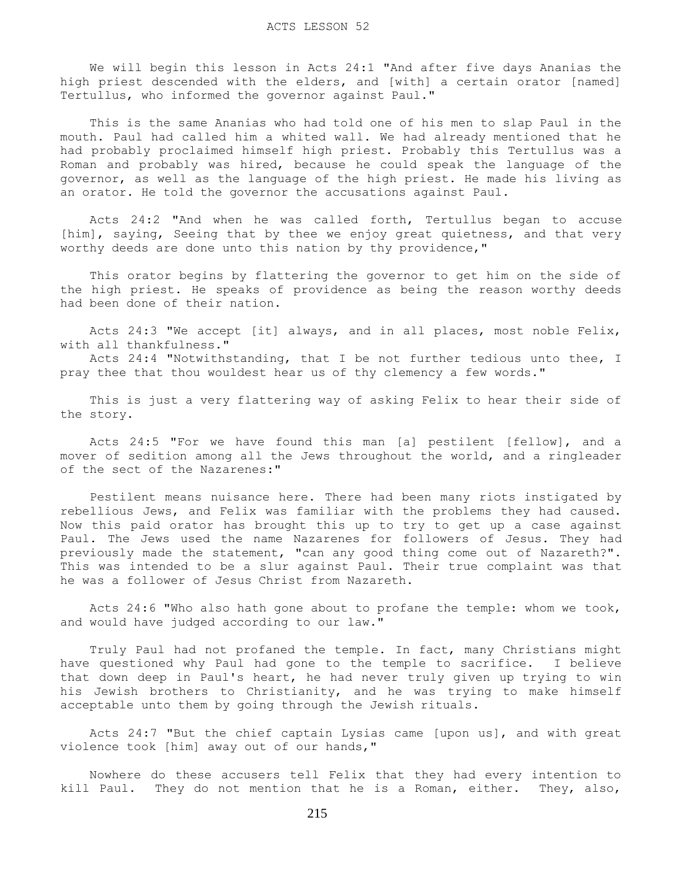We will begin this lesson in Acts 24:1 "And after five days Ananias the high priest descended with the elders, and [with] a certain orator [named] Tertullus, who informed the governor against Paul."

 This is the same Ananias who had told one of his men to slap Paul in the mouth. Paul had called him a whited wall. We had already mentioned that he had probably proclaimed himself high priest. Probably this Tertullus was a Roman and probably was hired, because he could speak the language of the governor, as well as the language of the high priest. He made his living as an orator. He told the governor the accusations against Paul.

 Acts 24:2 "And when he was called forth, Tertullus began to accuse [him], saying, Seeing that by thee we enjoy great quietness, and that very worthy deeds are done unto this nation by thy providence,"

 This orator begins by flattering the governor to get him on the side of the high priest. He speaks of providence as being the reason worthy deeds had been done of their nation.

 Acts 24:3 "We accept [it] always, and in all places, most noble Felix, with all thankfulness."

 Acts 24:4 "Notwithstanding, that I be not further tedious unto thee, I pray thee that thou wouldest hear us of thy clemency a few words."

 This is just a very flattering way of asking Felix to hear their side of the story.

 Acts 24:5 "For we have found this man [a] pestilent [fellow], and a mover of sedition among all the Jews throughout the world, and a ringleader of the sect of the Nazarenes:"

 Pestilent means nuisance here. There had been many riots instigated by rebellious Jews, and Felix was familiar with the problems they had caused. Now this paid orator has brought this up to try to get up a case against Paul. The Jews used the name Nazarenes for followers of Jesus. They had previously made the statement, "can any good thing come out of Nazareth?". This was intended to be a slur against Paul. Their true complaint was that he was a follower of Jesus Christ from Nazareth.

 Acts 24:6 "Who also hath gone about to profane the temple: whom we took, and would have judged according to our law."

 Truly Paul had not profaned the temple. In fact, many Christians might have questioned why Paul had gone to the temple to sacrifice. I believe that down deep in Paul's heart, he had never truly given up trying to win his Jewish brothers to Christianity, and he was trying to make himself acceptable unto them by going through the Jewish rituals.

 Acts 24:7 "But the chief captain Lysias came [upon us], and with great violence took [him] away out of our hands,"

 Nowhere do these accusers tell Felix that they had every intention to kill Paul. They do not mention that he is a Roman, either. They, also,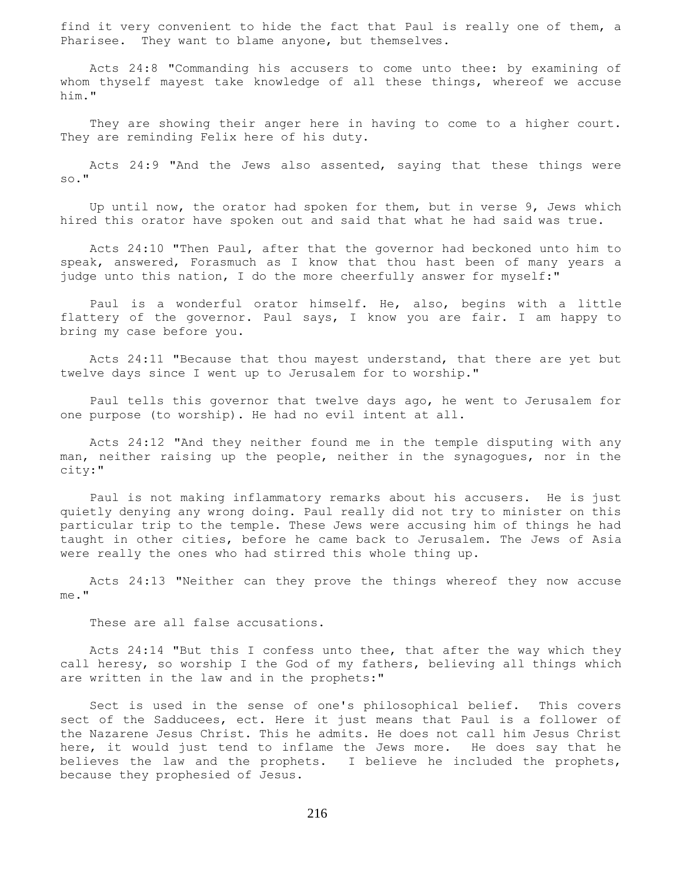find it very convenient to hide the fact that Paul is really one of them, a Pharisee. They want to blame anyone, but themselves.

 Acts 24:8 "Commanding his accusers to come unto thee: by examining of whom thyself mayest take knowledge of all these things, whereof we accuse him."

 They are showing their anger here in having to come to a higher court. They are reminding Felix here of his duty.

 Acts 24:9 "And the Jews also assented, saying that these things were so."

 Up until now, the orator had spoken for them, but in verse 9, Jews which hired this orator have spoken out and said that what he had said was true.

 Acts 24:10 "Then Paul, after that the governor had beckoned unto him to speak, answered, Forasmuch as I know that thou hast been of many years a judge unto this nation, I do the more cheerfully answer for myself:"

 Paul is a wonderful orator himself. He, also, begins with a little flattery of the governor. Paul says, I know you are fair. I am happy to bring my case before you.

 Acts 24:11 "Because that thou mayest understand, that there are yet but twelve days since I went up to Jerusalem for to worship."

 Paul tells this governor that twelve days ago, he went to Jerusalem for one purpose (to worship). He had no evil intent at all.

 Acts 24:12 "And they neither found me in the temple disputing with any man, neither raising up the people, neither in the synagogues, nor in the city:"

 Paul is not making inflammatory remarks about his accusers. He is just quietly denying any wrong doing. Paul really did not try to minister on this particular trip to the temple. These Jews were accusing him of things he had taught in other cities, before he came back to Jerusalem. The Jews of Asia were really the ones who had stirred this whole thing up.

 Acts 24:13 "Neither can they prove the things whereof they now accuse me."

These are all false accusations.

 Acts 24:14 "But this I confess unto thee, that after the way which they call heresy, so worship I the God of my fathers, believing all things which are written in the law and in the prophets:"

 Sect is used in the sense of one's philosophical belief. This covers sect of the Sadducees, ect. Here it just means that Paul is a follower of the Nazarene Jesus Christ. This he admits. He does not call him Jesus Christ here, it would just tend to inflame the Jews more. He does say that he believes the law and the prophets. I believe he included the prophets, because they prophesied of Jesus.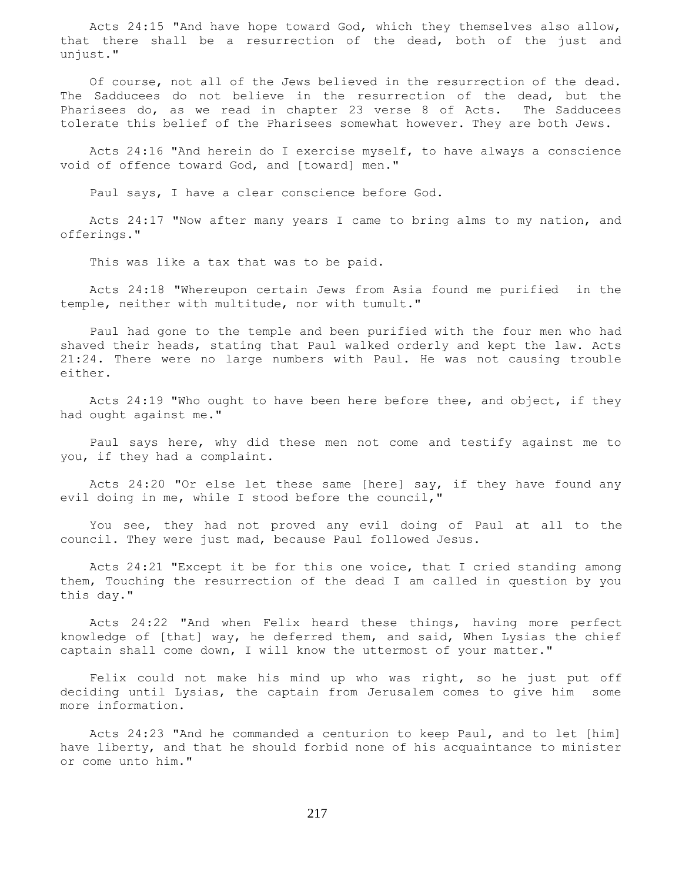Acts 24:15 "And have hope toward God, which they themselves also allow, that there shall be a resurrection of the dead, both of the just and unjust."

 Of course, not all of the Jews believed in the resurrection of the dead. The Sadducees do not believe in the resurrection of the dead, but the Pharisees do, as we read in chapter 23 verse 8 of Acts. The Sadducees tolerate this belief of the Pharisees somewhat however. They are both Jews.

 Acts 24:16 "And herein do I exercise myself, to have always a conscience void of offence toward God, and [toward] men."

Paul says, I have a clear conscience before God.

 Acts 24:17 "Now after many years I came to bring alms to my nation, and offerings."

This was like a tax that was to be paid.

 Acts 24:18 "Whereupon certain Jews from Asia found me purified in the temple, neither with multitude, nor with tumult."

 Paul had gone to the temple and been purified with the four men who had shaved their heads, stating that Paul walked orderly and kept the law. Acts 21:24. There were no large numbers with Paul. He was not causing trouble either.

 Acts 24:19 "Who ought to have been here before thee, and object, if they had ought against me."

 Paul says here, why did these men not come and testify against me to you, if they had a complaint.

 Acts 24:20 "Or else let these same [here] say, if they have found any evil doing in me, while I stood before the council,"

 You see, they had not proved any evil doing of Paul at all to the council. They were just mad, because Paul followed Jesus.

 Acts 24:21 "Except it be for this one voice, that I cried standing among them, Touching the resurrection of the dead I am called in question by you this day."

 Acts 24:22 "And when Felix heard these things, having more perfect knowledge of [that] way, he deferred them, and said, When Lysias the chief captain shall come down, I will know the uttermost of your matter."

 Felix could not make his mind up who was right, so he just put off deciding until Lysias, the captain from Jerusalem comes to give him some more information.

 Acts 24:23 "And he commanded a centurion to keep Paul, and to let [him] have liberty, and that he should forbid none of his acquaintance to minister or come unto him."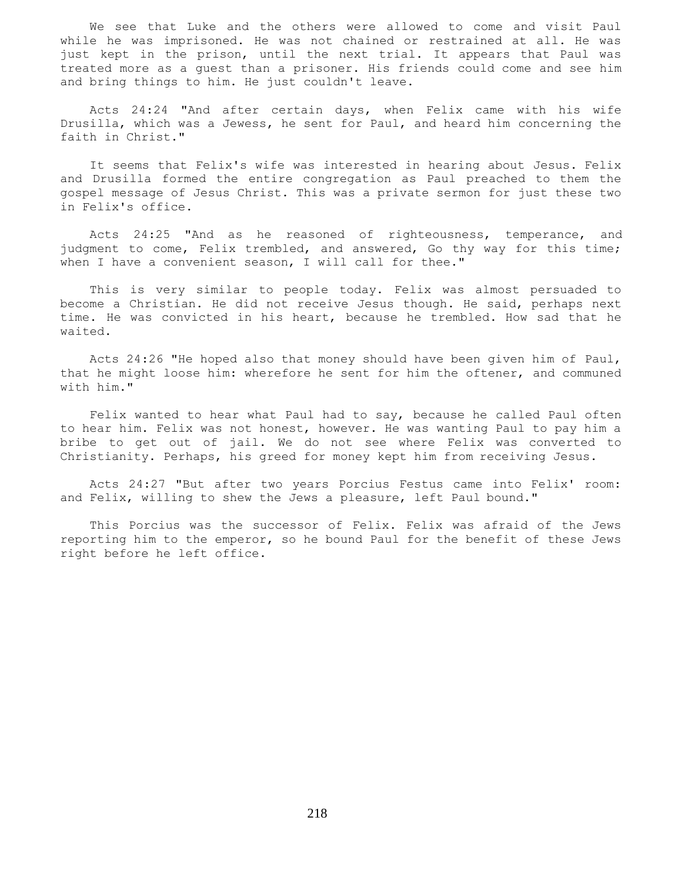We see that Luke and the others were allowed to come and visit Paul while he was imprisoned. He was not chained or restrained at all. He was just kept in the prison, until the next trial. It appears that Paul was treated more as a guest than a prisoner. His friends could come and see him and bring things to him. He just couldn't leave.

 Acts 24:24 "And after certain days, when Felix came with his wife Drusilla, which was a Jewess, he sent for Paul, and heard him concerning the faith in Christ."

 It seems that Felix's wife was interested in hearing about Jesus. Felix and Drusilla formed the entire congregation as Paul preached to them the gospel message of Jesus Christ. This was a private sermon for just these two in Felix's office.

 Acts 24:25 "And as he reasoned of righteousness, temperance, and judgment to come, Felix trembled, and answered, Go thy way for this time; when I have a convenient season, I will call for thee."

 This is very similar to people today. Felix was almost persuaded to become a Christian. He did not receive Jesus though. He said, perhaps next time. He was convicted in his heart, because he trembled. How sad that he waited.

 Acts 24:26 "He hoped also that money should have been given him of Paul, that he might loose him: wherefore he sent for him the oftener, and communed with him."

 Felix wanted to hear what Paul had to say, because he called Paul often to hear him. Felix was not honest, however. He was wanting Paul to pay him a bribe to get out of jail. We do not see where Felix was converted to Christianity. Perhaps, his greed for money kept him from receiving Jesus.

 Acts 24:27 "But after two years Porcius Festus came into Felix' room: and Felix, willing to shew the Jews a pleasure, left Paul bound."

 This Porcius was the successor of Felix. Felix was afraid of the Jews reporting him to the emperor, so he bound Paul for the benefit of these Jews right before he left office.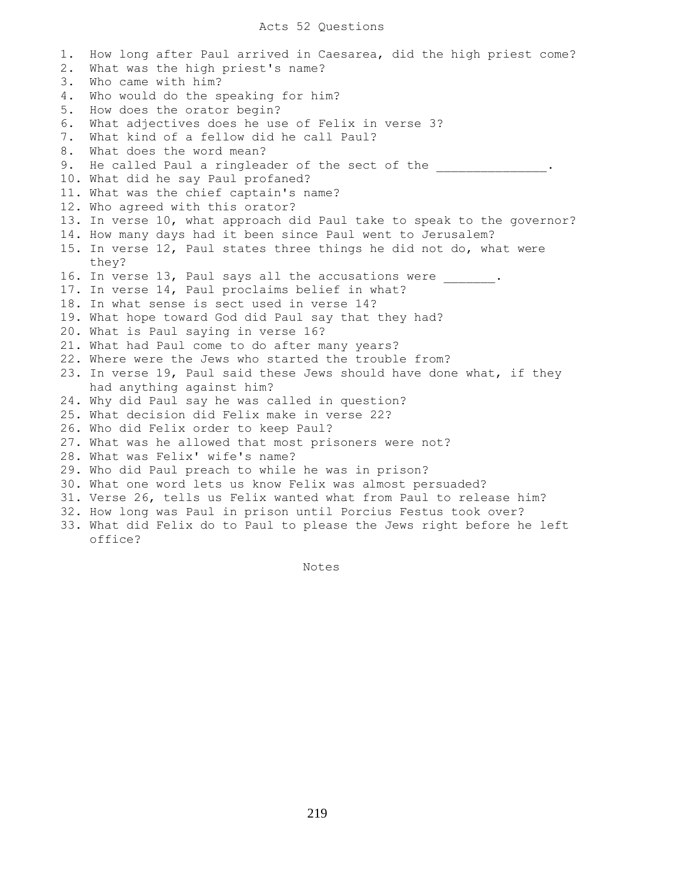1. How long after Paul arrived in Caesarea, did the high priest come? 2. What was the high priest's name? 3. Who came with him? 4. Who would do the speaking for him? 5. How does the orator begin? 6. What adjectives does he use of Felix in verse 3? 7. What kind of a fellow did he call Paul? 8. What does the word mean? 9. He called Paul a ringleader of the sect of the 10. What did he say Paul profaned? 11. What was the chief captain's name? 12. Who agreed with this orator? 13. In verse 10, what approach did Paul take to speak to the governor? 14. How many days had it been since Paul went to Jerusalem? 15. In verse 12, Paul states three things he did not do, what were they? 16. In verse 13, Paul says all the accusations were . 17. In verse 14, Paul proclaims belief in what? 18. In what sense is sect used in verse 14? 19. What hope toward God did Paul say that they had? 20. What is Paul saying in verse 16? 21. What had Paul come to do after many years? 22. Where were the Jews who started the trouble from? 23. In verse 19, Paul said these Jews should have done what, if they had anything against him? 24. Why did Paul say he was called in question? 25. What decision did Felix make in verse 22? 26. Who did Felix order to keep Paul? 27. What was he allowed that most prisoners were not? 28. What was Felix' wife's name? 29. Who did Paul preach to while he was in prison? 30. What one word lets us know Felix was almost persuaded? 31. Verse 26, tells us Felix wanted what from Paul to release him? 32. How long was Paul in prison until Porcius Festus took over? 33. What did Felix do to Paul to please the Jews right before he left office?

Notes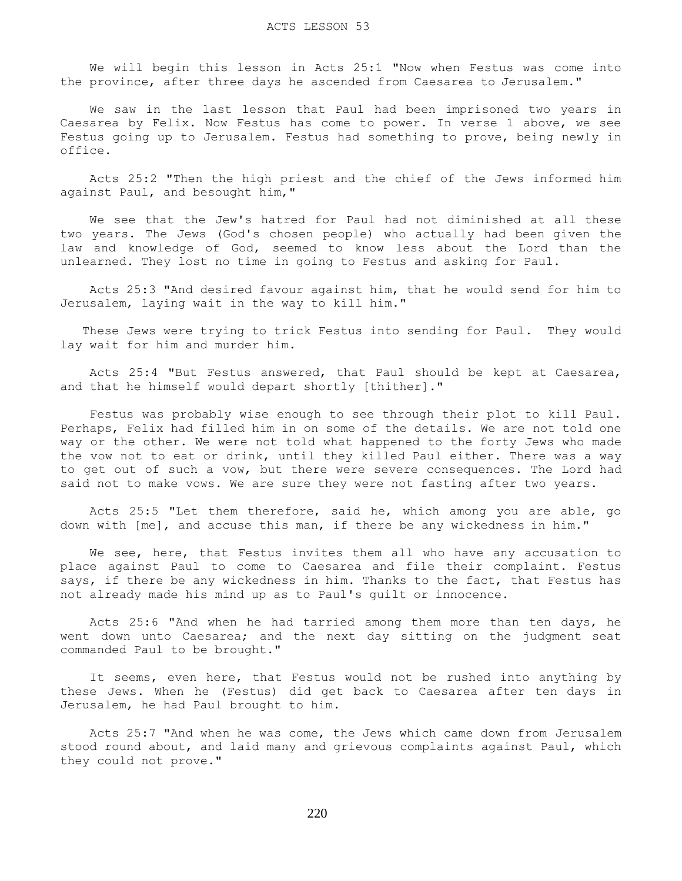We will begin this lesson in Acts 25:1 "Now when Festus was come into the province, after three days he ascended from Caesarea to Jerusalem."

 We saw in the last lesson that Paul had been imprisoned two years in Caesarea by Felix. Now Festus has come to power. In verse 1 above, we see Festus going up to Jerusalem. Festus had something to prove, being newly in office.

 Acts 25:2 "Then the high priest and the chief of the Jews informed him against Paul, and besought him,"

 We see that the Jew's hatred for Paul had not diminished at all these two years. The Jews (God's chosen people) who actually had been given the law and knowledge of God, seemed to know less about the Lord than the unlearned. They lost no time in going to Festus and asking for Paul.

 Acts 25:3 "And desired favour against him, that he would send for him to Jerusalem, laying wait in the way to kill him."

 These Jews were trying to trick Festus into sending for Paul. They would lay wait for him and murder him.

 Acts 25:4 "But Festus answered, that Paul should be kept at Caesarea, and that he himself would depart shortly [thither]."

 Festus was probably wise enough to see through their plot to kill Paul. Perhaps, Felix had filled him in on some of the details. We are not told one way or the other. We were not told what happened to the forty Jews who made the vow not to eat or drink, until they killed Paul either. There was a way to get out of such a vow, but there were severe consequences. The Lord had said not to make vows. We are sure they were not fasting after two years.

 Acts 25:5 "Let them therefore, said he, which among you are able, go down with [me], and accuse this man, if there be any wickedness in him."

We see, here, that Festus invites them all who have any accusation to place against Paul to come to Caesarea and file their complaint. Festus says, if there be any wickedness in him. Thanks to the fact, that Festus has not already made his mind up as to Paul's guilt or innocence.

 Acts 25:6 "And when he had tarried among them more than ten days, he went down unto Caesarea; and the next day sitting on the judgment seat commanded Paul to be brought."

 It seems, even here, that Festus would not be rushed into anything by these Jews. When he (Festus) did get back to Caesarea after ten days in Jerusalem, he had Paul brought to him.

 Acts 25:7 "And when he was come, the Jews which came down from Jerusalem stood round about, and laid many and grievous complaints against Paul, which they could not prove."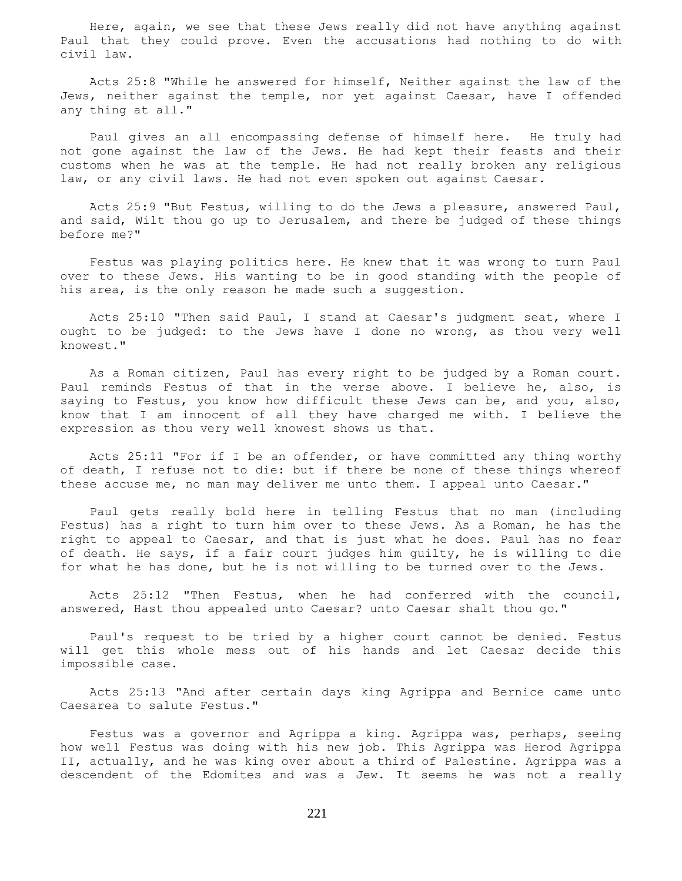Here, again, we see that these Jews really did not have anything against Paul that they could prove. Even the accusations had nothing to do with civil law.

 Acts 25:8 "While he answered for himself, Neither against the law of the Jews, neither against the temple, nor yet against Caesar, have I offended any thing at all."

 Paul gives an all encompassing defense of himself here. He truly had not gone against the law of the Jews. He had kept their feasts and their customs when he was at the temple. He had not really broken any religious law, or any civil laws. He had not even spoken out against Caesar.

 Acts 25:9 "But Festus, willing to do the Jews a pleasure, answered Paul, and said, Wilt thou go up to Jerusalem, and there be judged of these things before me?"

 Festus was playing politics here. He knew that it was wrong to turn Paul over to these Jews. His wanting to be in good standing with the people of his area, is the only reason he made such a suggestion.

 Acts 25:10 "Then said Paul, I stand at Caesar's judgment seat, where I ought to be judged: to the Jews have I done no wrong, as thou very well knowest."

 As a Roman citizen, Paul has every right to be judged by a Roman court. Paul reminds Festus of that in the verse above. I believe he, also, is saying to Festus, you know how difficult these Jews can be, and you, also, know that I am innocent of all they have charged me with. I believe the expression as thou very well knowest shows us that.

 Acts 25:11 "For if I be an offender, or have committed any thing worthy of death, I refuse not to die: but if there be none of these things whereof these accuse me, no man may deliver me unto them. I appeal unto Caesar."

 Paul gets really bold here in telling Festus that no man (including Festus) has a right to turn him over to these Jews. As a Roman, he has the right to appeal to Caesar, and that is just what he does. Paul has no fear of death. He says, if a fair court judges him guilty, he is willing to die for what he has done, but he is not willing to be turned over to the Jews.

 Acts 25:12 "Then Festus, when he had conferred with the council, answered, Hast thou appealed unto Caesar? unto Caesar shalt thou go."

 Paul's request to be tried by a higher court cannot be denied. Festus will get this whole mess out of his hands and let Caesar decide this impossible case.

 Acts 25:13 "And after certain days king Agrippa and Bernice came unto Caesarea to salute Festus."

 Festus was a governor and Agrippa a king. Agrippa was, perhaps, seeing how well Festus was doing with his new job. This Agrippa was Herod Agrippa II, actually, and he was king over about a third of Palestine. Agrippa was a descendent of the Edomites and was a Jew. It seems he was not a really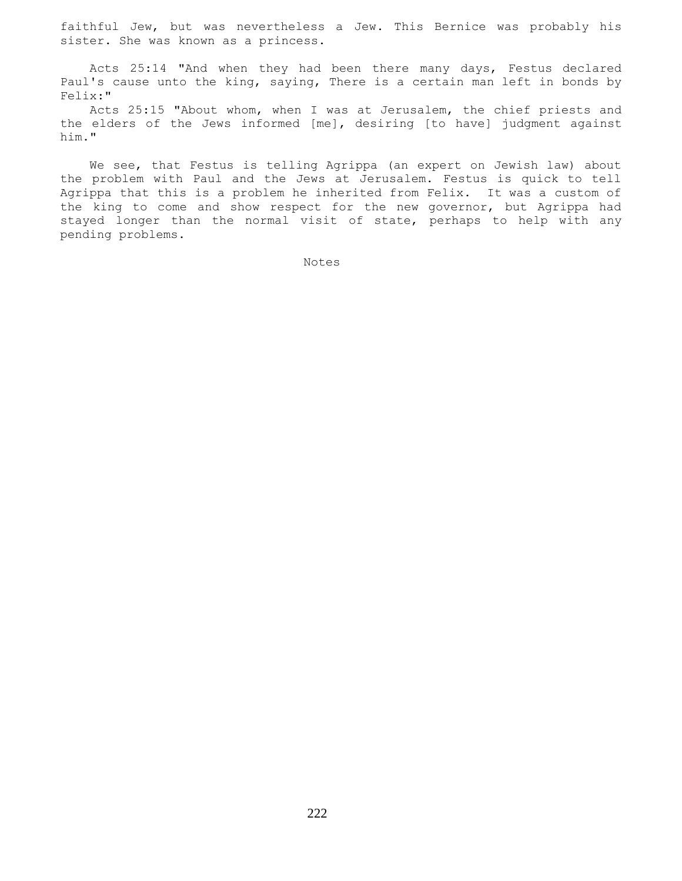faithful Jew, but was nevertheless a Jew. This Bernice was probably his sister. She was known as a princess.

 Acts 25:14 "And when they had been there many days, Festus declared Paul's cause unto the king, saying, There is a certain man left in bonds by Felix:"

 Acts 25:15 "About whom, when I was at Jerusalem, the chief priests and the elders of the Jews informed [me], desiring [to have] judgment against him."

 We see, that Festus is telling Agrippa (an expert on Jewish law) about the problem with Paul and the Jews at Jerusalem. Festus is quick to tell Agrippa that this is a problem he inherited from Felix. It was a custom of the king to come and show respect for the new governor, but Agrippa had stayed longer than the normal visit of state, perhaps to help with any pending problems.

Notes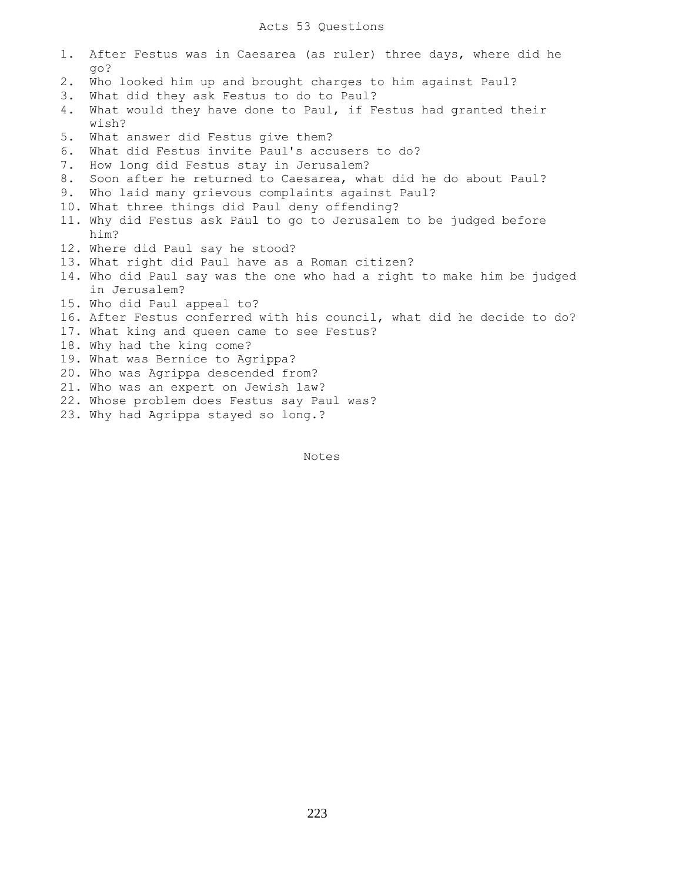- 1. After Festus was in Caesarea (as ruler) three days, where did he go?
- 2. Who looked him up and brought charges to him against Paul?
- 3. What did they ask Festus to do to Paul?
- 4. What would they have done to Paul, if Festus had granted their wish?
- 5. What answer did Festus give them?
- 6. What did Festus invite Paul's accusers to do?
- 7. How long did Festus stay in Jerusalem?
- 8. Soon after he returned to Caesarea, what did he do about Paul?
- 9. Who laid many grievous complaints against Paul?
- 10. What three things did Paul deny offending?
- 11. Why did Festus ask Paul to go to Jerusalem to be judged before him?
- 12. Where did Paul say he stood?
- 13. What right did Paul have as a Roman citizen?
- 14. Who did Paul say was the one who had a right to make him be judged in Jerusalem?
- 15. Who did Paul appeal to?
- 16. After Festus conferred with his council, what did he decide to do?
- 17. What king and queen came to see Festus?
- 18. Why had the king come?
- 19. What was Bernice to Agrippa?
- 20. Who was Agrippa descended from?
- 21. Who was an expert on Jewish law?
- 22. Whose problem does Festus say Paul was?
- 23. Why had Agrippa stayed so long.?

Notes Notes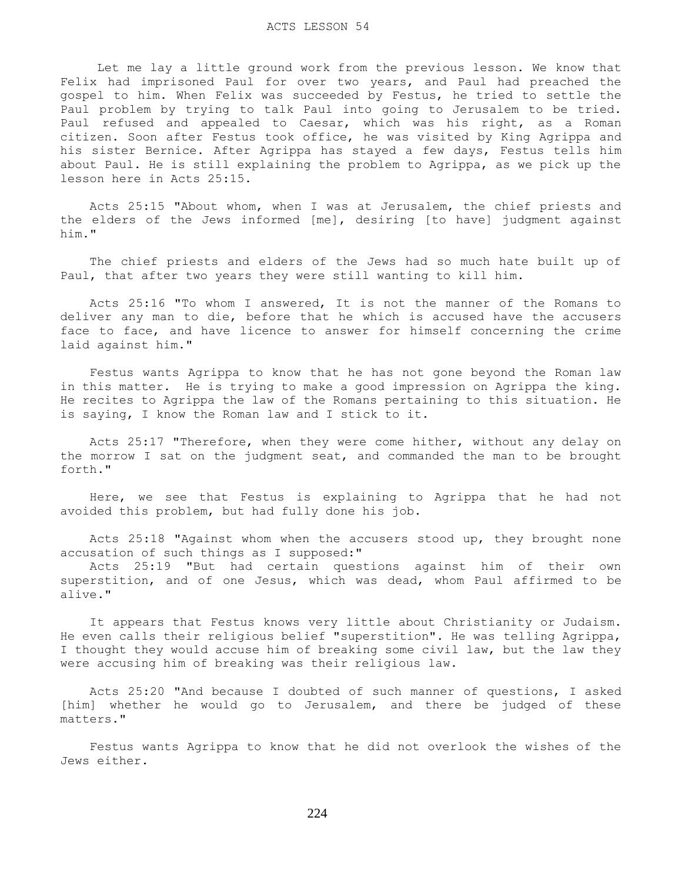Let me lay a little ground work from the previous lesson. We know that Felix had imprisoned Paul for over two years, and Paul had preached the gospel to him. When Felix was succeeded by Festus, he tried to settle the Paul problem by trying to talk Paul into going to Jerusalem to be tried. Paul refused and appealed to Caesar, which was his right, as a Roman citizen. Soon after Festus took office, he was visited by King Agrippa and his sister Bernice. After Agrippa has stayed a few days, Festus tells him about Paul. He is still explaining the problem to Agrippa, as we pick up the lesson here in Acts 25:15.

 Acts 25:15 "About whom, when I was at Jerusalem, the chief priests and the elders of the Jews informed [me], desiring [to have] judgment against him."

 The chief priests and elders of the Jews had so much hate built up of Paul, that after two years they were still wanting to kill him.

 Acts 25:16 "To whom I answered, It is not the manner of the Romans to deliver any man to die, before that he which is accused have the accusers face to face, and have licence to answer for himself concerning the crime laid against him."

 Festus wants Agrippa to know that he has not gone beyond the Roman law in this matter. He is trying to make a good impression on Agrippa the king. He recites to Agrippa the law of the Romans pertaining to this situation. He is saying, I know the Roman law and I stick to it.

 Acts 25:17 "Therefore, when they were come hither, without any delay on the morrow I sat on the judgment seat, and commanded the man to be brought forth."

 Here, we see that Festus is explaining to Agrippa that he had not avoided this problem, but had fully done his job.

 Acts 25:18 "Against whom when the accusers stood up, they brought none accusation of such things as I supposed:"

 Acts 25:19 "But had certain questions against him of their own superstition, and of one Jesus, which was dead, whom Paul affirmed to be alive."

 It appears that Festus knows very little about Christianity or Judaism. He even calls their religious belief "superstition". He was telling Agrippa, I thought they would accuse him of breaking some civil law, but the law they were accusing him of breaking was their religious law.

 Acts 25:20 "And because I doubted of such manner of questions, I asked [him] whether he would go to Jerusalem, and there be judged of these matters."

 Festus wants Agrippa to know that he did not overlook the wishes of the Jews either.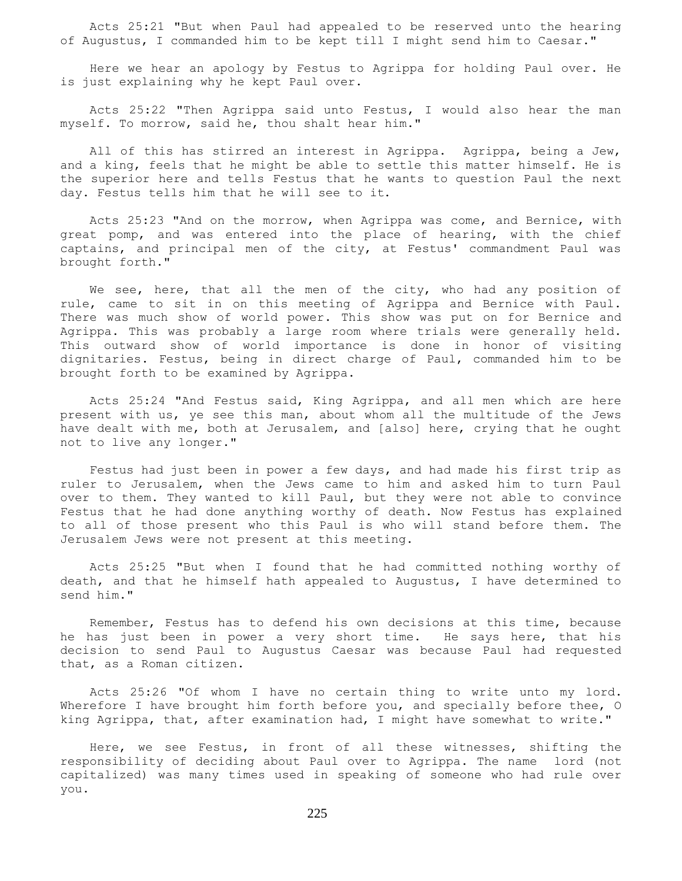Acts 25:21 "But when Paul had appealed to be reserved unto the hearing of Augustus, I commanded him to be kept till I might send him to Caesar."

 Here we hear an apology by Festus to Agrippa for holding Paul over. He is just explaining why he kept Paul over.

 Acts 25:22 "Then Agrippa said unto Festus, I would also hear the man myself. To morrow, said he, thou shalt hear him."

All of this has stirred an interest in Agrippa. Agrippa, being a Jew, and a king, feels that he might be able to settle this matter himself. He is the superior here and tells Festus that he wants to question Paul the next day. Festus tells him that he will see to it.

 Acts 25:23 "And on the morrow, when Agrippa was come, and Bernice, with great pomp, and was entered into the place of hearing, with the chief captains, and principal men of the city, at Festus' commandment Paul was brought forth."

We see, here, that all the men of the city, who had any position of rule, came to sit in on this meeting of Agrippa and Bernice with Paul. There was much show of world power. This show was put on for Bernice and Agrippa. This was probably a large room where trials were generally held. This outward show of world importance is done in honor of visiting dignitaries. Festus, being in direct charge of Paul, commanded him to be brought forth to be examined by Agrippa.

 Acts 25:24 "And Festus said, King Agrippa, and all men which are here present with us, ye see this man, about whom all the multitude of the Jews have dealt with me, both at Jerusalem, and [also] here, crying that he ought not to live any longer."

 Festus had just been in power a few days, and had made his first trip as ruler to Jerusalem, when the Jews came to him and asked him to turn Paul over to them. They wanted to kill Paul, but they were not able to convince Festus that he had done anything worthy of death. Now Festus has explained to all of those present who this Paul is who will stand before them. The Jerusalem Jews were not present at this meeting.

 Acts 25:25 "But when I found that he had committed nothing worthy of death, and that he himself hath appealed to Augustus, I have determined to send him."

 Remember, Festus has to defend his own decisions at this time, because he has just been in power a very short time. He says here, that his decision to send Paul to Augustus Caesar was because Paul had requested that, as a Roman citizen.

 Acts 25:26 "Of whom I have no certain thing to write unto my lord. Wherefore I have brought him forth before you, and specially before thee, O king Agrippa, that, after examination had, I might have somewhat to write."

 Here, we see Festus, in front of all these witnesses, shifting the responsibility of deciding about Paul over to Agrippa. The name lord (not capitalized) was many times used in speaking of someone who had rule over you.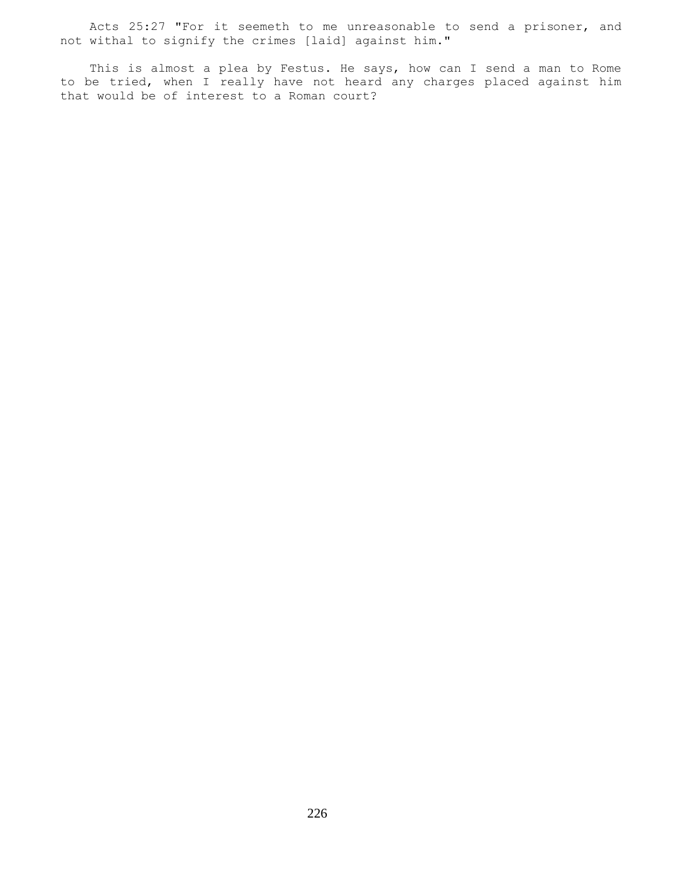Acts 25:27 "For it seemeth to me unreasonable to send a prisoner, and not withal to signify the crimes [laid] against him."

 This is almost a plea by Festus. He says, how can I send a man to Rome to be tried, when I really have not heard any charges placed against him that would be of interest to a Roman court?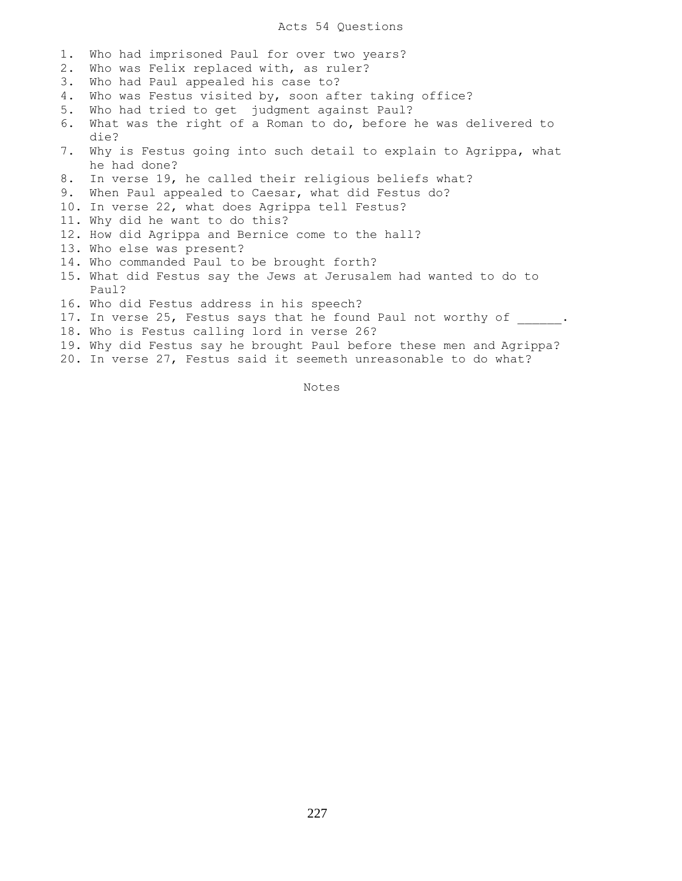## Acts 54 Questions

- 1. Who had imprisoned Paul for over two years?
- 2. Who was Felix replaced with, as ruler?
- 3. Who had Paul appealed his case to?
- 4. Who was Festus visited by, soon after taking office?
- 5. Who had tried to get judgment against Paul?
- 6. What was the right of a Roman to do, before he was delivered to die?
- 7. Why is Festus going into such detail to explain to Agrippa, what he had done?
- 8. In verse 19, he called their religious beliefs what?
- 9. When Paul appealed to Caesar, what did Festus do?
- 10. In verse 22, what does Agrippa tell Festus?
- 11. Why did he want to do this?
- 12. How did Agrippa and Bernice come to the hall?
- 13. Who else was present?
- 14. Who commanded Paul to be brought forth?
- 15. What did Festus say the Jews at Jerusalem had wanted to do to Paul?
- 16. Who did Festus address in his speech?
- 17. In verse 25, Festus says that he found Paul not worthy of .
- 18. Who is Festus calling lord in verse 26?
- 19. Why did Festus say he brought Paul before these men and Agrippa?
- 20. In verse 27, Festus said it seemeth unreasonable to do what?

Notes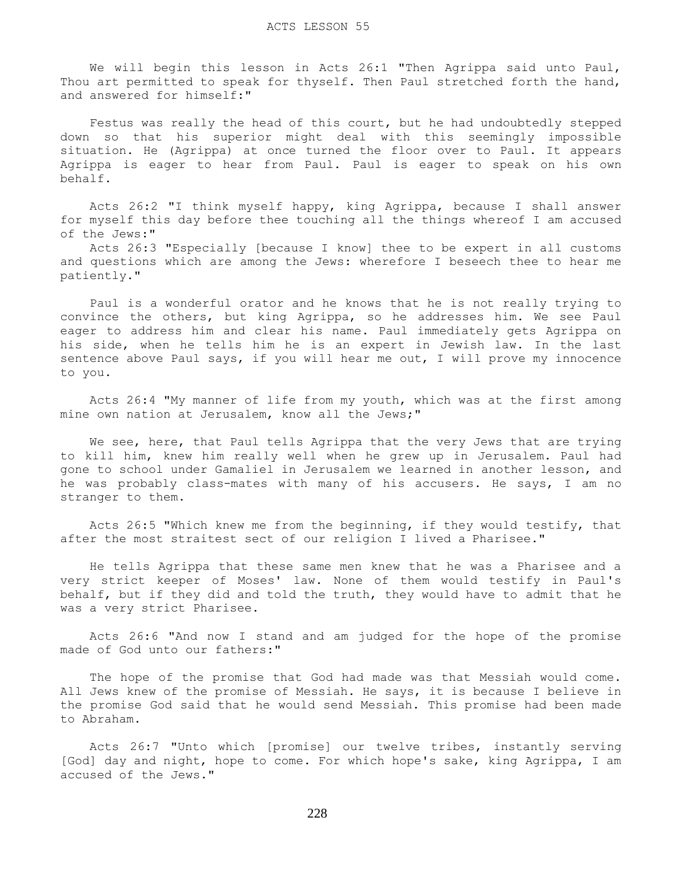We will begin this lesson in Acts 26:1 "Then Agrippa said unto Paul, Thou art permitted to speak for thyself. Then Paul stretched forth the hand, and answered for himself:"

 Festus was really the head of this court, but he had undoubtedly stepped down so that his superior might deal with this seemingly impossible situation. He (Agrippa) at once turned the floor over to Paul. It appears Agrippa is eager to hear from Paul. Paul is eager to speak on his own behalf.

 Acts 26:2 "I think myself happy, king Agrippa, because I shall answer for myself this day before thee touching all the things whereof I am accused of the Jews:"

 Acts 26:3 "Especially [because I know] thee to be expert in all customs and questions which are among the Jews: wherefore I beseech thee to hear me patiently."

 Paul is a wonderful orator and he knows that he is not really trying to convince the others, but king Agrippa, so he addresses him. We see Paul eager to address him and clear his name. Paul immediately gets Agrippa on his side, when he tells him he is an expert in Jewish law. In the last sentence above Paul says, if you will hear me out, I will prove my innocence to you.

 Acts 26:4 "My manner of life from my youth, which was at the first among mine own nation at Jerusalem, know all the Jews;"

We see, here, that Paul tells Agrippa that the very Jews that are trying to kill him, knew him really well when he grew up in Jerusalem. Paul had gone to school under Gamaliel in Jerusalem we learned in another lesson, and he was probably class-mates with many of his accusers. He says, I am no stranger to them.

 Acts 26:5 "Which knew me from the beginning, if they would testify, that after the most straitest sect of our religion I lived a Pharisee."

 He tells Agrippa that these same men knew that he was a Pharisee and a very strict keeper of Moses' law. None of them would testify in Paul's behalf, but if they did and told the truth, they would have to admit that he was a very strict Pharisee.

 Acts 26:6 "And now I stand and am judged for the hope of the promise made of God unto our fathers:"

 The hope of the promise that God had made was that Messiah would come. All Jews knew of the promise of Messiah. He says, it is because I believe in the promise God said that he would send Messiah. This promise had been made to Abraham.

 Acts 26:7 "Unto which [promise] our twelve tribes, instantly serving [God] day and night, hope to come. For which hope's sake, king Agrippa, I am accused of the Jews."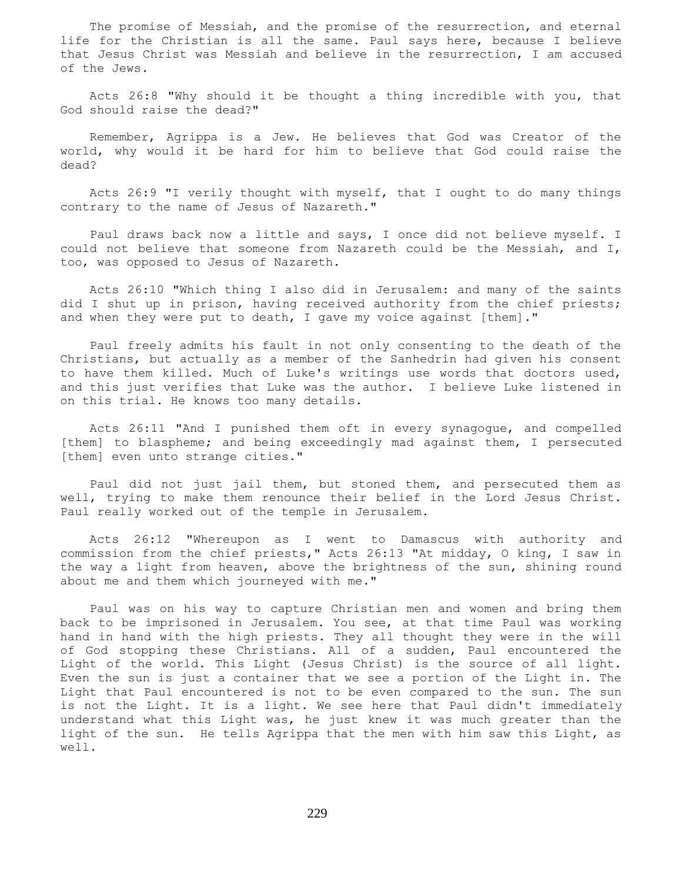The promise of Messiah, and the promise of the resurrection, and eternal life for the Christian is all the same. Paul says here, because I believe that Jesus Christ was Messiah and believe in the resurrection, I am accused of the Jews.

 Acts 26:8 "Why should it be thought a thing incredible with you, that God should raise the dead?"

 Remember, Agrippa is a Jew. He believes that God was Creator of the world, why would it be hard for him to believe that God could raise the dead?

 Acts 26:9 "I verily thought with myself, that I ought to do many things contrary to the name of Jesus of Nazareth."

 Paul draws back now a little and says, I once did not believe myself. I could not believe that someone from Nazareth could be the Messiah, and I, too, was opposed to Jesus of Nazareth.

 Acts 26:10 "Which thing I also did in Jerusalem: and many of the saints did I shut up in prison, having received authority from the chief priests; and when they were put to death, I gave my voice against [them]."

 Paul freely admits his fault in not only consenting to the death of the Christians, but actually as a member of the Sanhedrin had given his consent to have them killed. Much of Luke's writings use words that doctors used, and this just verifies that Luke was the author. I believe Luke listened in on this trial. He knows too many details.

 Acts 26:11 "And I punished them oft in every synagogue, and compelled [them] to blaspheme; and being exceedingly mad against them, I persecuted [them] even unto strange cities."

 Paul did not just jail them, but stoned them, and persecuted them as well, trying to make them renounce their belief in the Lord Jesus Christ. Paul really worked out of the temple in Jerusalem.

 Acts 26:12 "Whereupon as I went to Damascus with authority and commission from the chief priests," Acts 26:13 "At midday, O king, I saw in the way a light from heaven, above the brightness of the sun, shining round about me and them which journeyed with me."

 Paul was on his way to capture Christian men and women and bring them back to be imprisoned in Jerusalem. You see, at that time Paul was working hand in hand with the high priests. They all thought they were in the will of God stopping these Christians. All of a sudden, Paul encountered the Light of the world. This Light (Jesus Christ) is the source of all light. Even the sun is just a container that we see a portion of the Light in. The Light that Paul encountered is not to be even compared to the sun. The sun is not the Light. It is a light. We see here that Paul didn't immediately understand what this Light was, he just knew it was much greater than the light of the sun. He tells Agrippa that the men with him saw this Light, as well.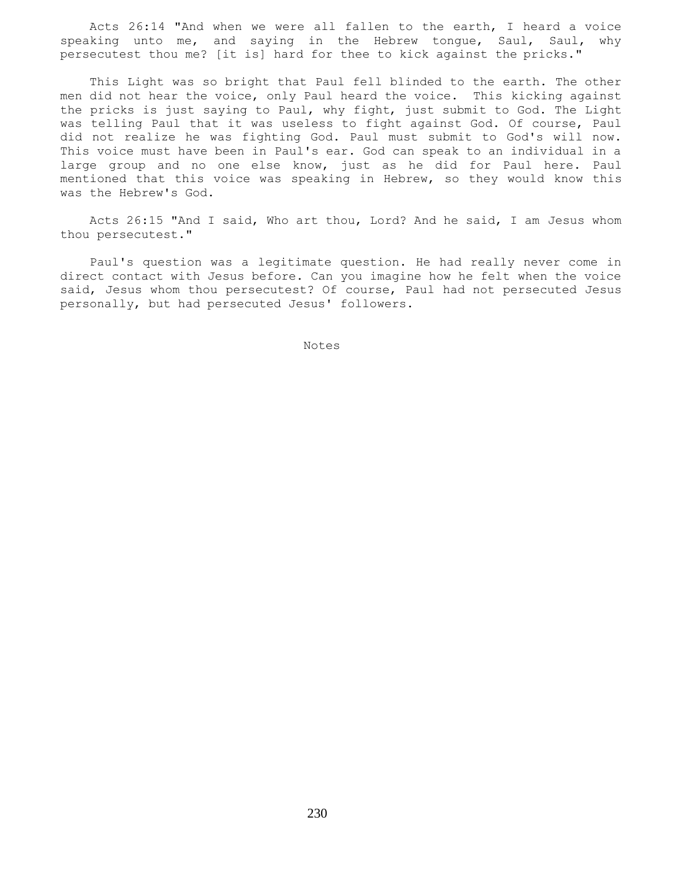Acts 26:14 "And when we were all fallen to the earth, I heard a voice speaking unto me, and saying in the Hebrew tongue, Saul, Saul, why persecutest thou me? [it is] hard for thee to kick against the pricks."

 This Light was so bright that Paul fell blinded to the earth. The other men did not hear the voice, only Paul heard the voice. This kicking against the pricks is just saying to Paul, why fight, just submit to God. The Light was telling Paul that it was useless to fight against God. Of course, Paul did not realize he was fighting God. Paul must submit to God's will now. This voice must have been in Paul's ear. God can speak to an individual in a large group and no one else know, just as he did for Paul here. Paul mentioned that this voice was speaking in Hebrew, so they would know this was the Hebrew's God.

 Acts 26:15 "And I said, Who art thou, Lord? And he said, I am Jesus whom thou persecutest."

 Paul's question was a legitimate question. He had really never come in direct contact with Jesus before. Can you imagine how he felt when the voice said, Jesus whom thou persecutest? Of course, Paul had not persecuted Jesus personally, but had persecuted Jesus' followers.

Notes **Notes**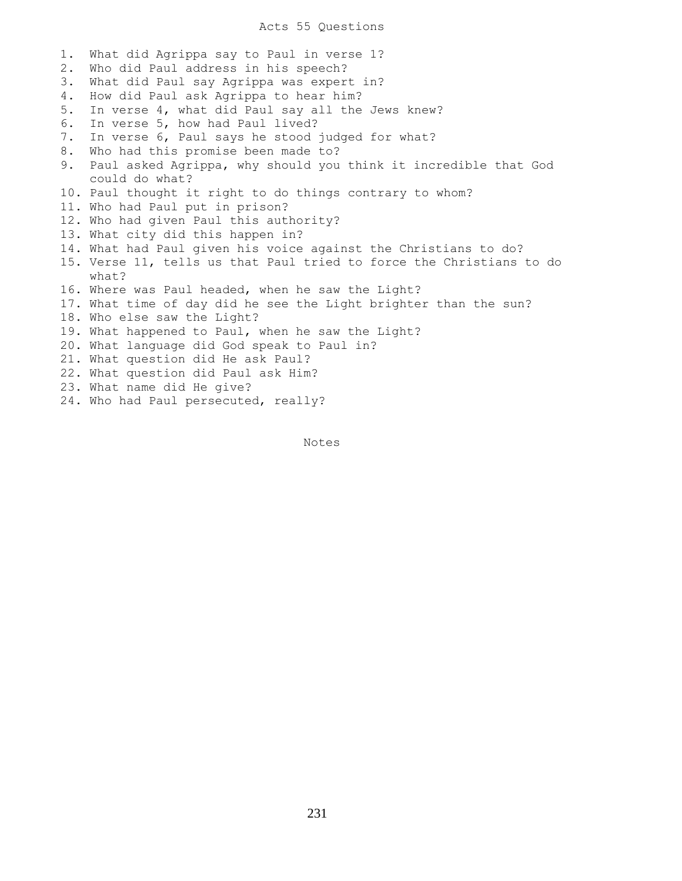## Acts 55 Questions

1. What did Agrippa say to Paul in verse 1? 2. Who did Paul address in his speech? 3. What did Paul say Agrippa was expert in? 4. How did Paul ask Agrippa to hear him? 5. In verse 4, what did Paul say all the Jews knew? 6. In verse 5, how had Paul lived? 7. In verse 6, Paul says he stood judged for what? 8. Who had this promise been made to? 9. Paul asked Agrippa, why should you think it incredible that God could do what? 10. Paul thought it right to do things contrary to whom? 11. Who had Paul put in prison? 12. Who had given Paul this authority? 13. What city did this happen in? 14. What had Paul given his voice against the Christians to do? 15. Verse 11, tells us that Paul tried to force the Christians to do what? 16. Where was Paul headed, when he saw the Light? 17. What time of day did he see the Light brighter than the sun? 18. Who else saw the Light? 19. What happened to Paul, when he saw the Light? 20. What language did God speak to Paul in? 21. What question did He ask Paul? 22. What question did Paul ask Him? 23. What name did He give? 24. Who had Paul persecuted, really?

Notes **Notes** 

231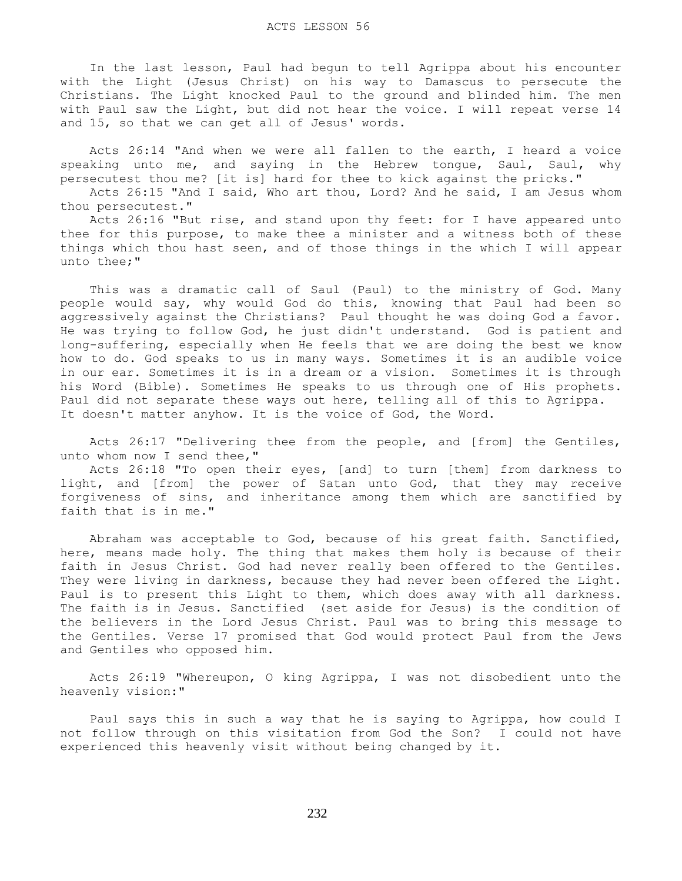In the last lesson, Paul had begun to tell Agrippa about his encounter with the Light (Jesus Christ) on his way to Damascus to persecute the Christians. The Light knocked Paul to the ground and blinded him. The men with Paul saw the Light, but did not hear the voice. I will repeat verse 14 and 15, so that we can get all of Jesus' words.

 Acts 26:14 "And when we were all fallen to the earth, I heard a voice speaking unto me, and saying in the Hebrew tongue, Saul, Saul, why persecutest thou me? [it is] hard for thee to kick against the pricks."

 Acts 26:15 "And I said, Who art thou, Lord? And he said, I am Jesus whom thou persecutest."

 Acts 26:16 "But rise, and stand upon thy feet: for I have appeared unto thee for this purpose, to make thee a minister and a witness both of these things which thou hast seen, and of those things in the which I will appear unto thee;"

 This was a dramatic call of Saul (Paul) to the ministry of God. Many people would say, why would God do this, knowing that Paul had been so aggressively against the Christians? Paul thought he was doing God a favor. He was trying to follow God, he just didn't understand. God is patient and long-suffering, especially when He feels that we are doing the best we know how to do. God speaks to us in many ways. Sometimes it is an audible voice in our ear. Sometimes it is in a dream or a vision. Sometimes it is through his Word (Bible). Sometimes He speaks to us through one of His prophets. Paul did not separate these ways out here, telling all of this to Agrippa. It doesn't matter anyhow. It is the voice of God, the Word.

 Acts 26:17 "Delivering thee from the people, and [from] the Gentiles, unto whom now I send thee,"

 Acts 26:18 "To open their eyes, [and] to turn [them] from darkness to light, and [from] the power of Satan unto God, that they may receive forgiveness of sins, and inheritance among them which are sanctified by faith that is in me."

 Abraham was acceptable to God, because of his great faith. Sanctified, here, means made holy. The thing that makes them holy is because of their faith in Jesus Christ. God had never really been offered to the Gentiles. They were living in darkness, because they had never been offered the Light. Paul is to present this Light to them, which does away with all darkness. The faith is in Jesus. Sanctified (set aside for Jesus) is the condition of the believers in the Lord Jesus Christ. Paul was to bring this message to the Gentiles. Verse 17 promised that God would protect Paul from the Jews and Gentiles who opposed him.

 Acts 26:19 "Whereupon, O king Agrippa, I was not disobedient unto the heavenly vision:"

 Paul says this in such a way that he is saying to Agrippa, how could I not follow through on this visitation from God the Son? I could not have experienced this heavenly visit without being changed by it.

232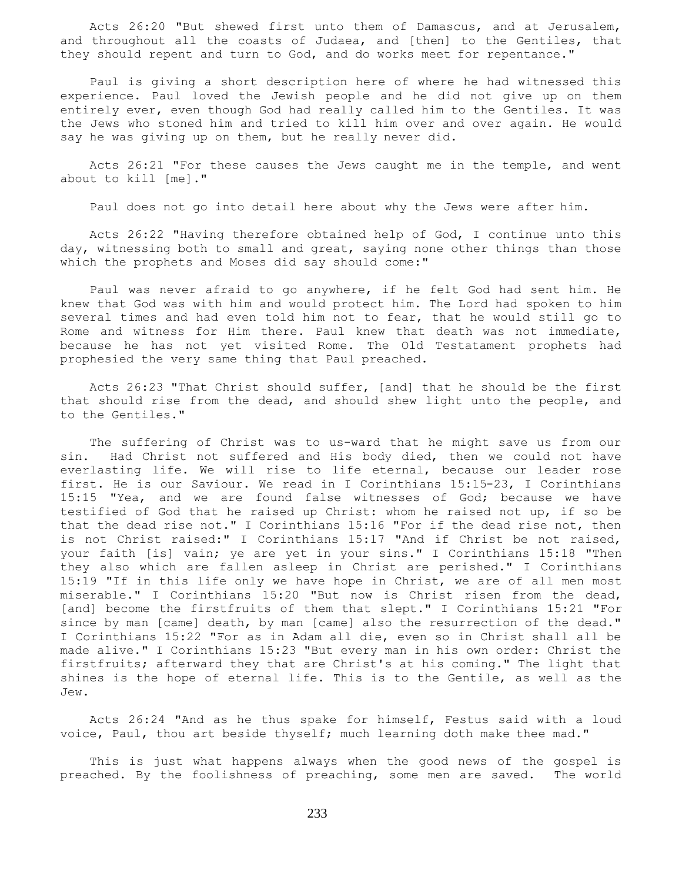Acts 26:20 "But shewed first unto them of Damascus, and at Jerusalem, and throughout all the coasts of Judaea, and [then] to the Gentiles, that they should repent and turn to God, and do works meet for repentance."

 Paul is giving a short description here of where he had witnessed this experience. Paul loved the Jewish people and he did not give up on them entirely ever, even though God had really called him to the Gentiles. It was the Jews who stoned him and tried to kill him over and over again. He would say he was giving up on them, but he really never did.

 Acts 26:21 "For these causes the Jews caught me in the temple, and went about to kill [me]."

Paul does not go into detail here about why the Jews were after him.

 Acts 26:22 "Having therefore obtained help of God, I continue unto this day, witnessing both to small and great, saying none other things than those which the prophets and Moses did say should come:"

 Paul was never afraid to go anywhere, if he felt God had sent him. He knew that God was with him and would protect him. The Lord had spoken to him several times and had even told him not to fear, that he would still go to Rome and witness for Him there. Paul knew that death was not immediate, because he has not yet visited Rome. The Old Testatament prophets had prophesied the very same thing that Paul preached.

 Acts 26:23 "That Christ should suffer, [and] that he should be the first that should rise from the dead, and should shew light unto the people, and to the Gentiles."

 The suffering of Christ was to us-ward that he might save us from our sin. Had Christ not suffered and His body died, then we could not have everlasting life. We will rise to life eternal, because our leader rose first. He is our Saviour. We read in I Corinthians 15:15-23, I Corinthians 15:15 "Yea, and we are found false witnesses of God; because we have testified of God that he raised up Christ: whom he raised not up, if so be that the dead rise not." I Corinthians 15:16 "For if the dead rise not, then is not Christ raised:" I Corinthians 15:17 "And if Christ be not raised, your faith [is] vain; ye are yet in your sins." I Corinthians 15:18 "Then they also which are fallen asleep in Christ are perished." I Corinthians 15:19 "If in this life only we have hope in Christ, we are of all men most miserable." I Corinthians 15:20 "But now is Christ risen from the dead, [and] become the firstfruits of them that slept." I Corinthians 15:21 "For since by man [came] death, by man [came] also the resurrection of the dead." I Corinthians 15:22 "For as in Adam all die, even so in Christ shall all be made alive." I Corinthians 15:23 "But every man in his own order: Christ the firstfruits; afterward they that are Christ's at his coming." The light that shines is the hope of eternal life. This is to the Gentile, as well as the Jew.

 Acts 26:24 "And as he thus spake for himself, Festus said with a loud voice, Paul, thou art beside thyself; much learning doth make thee mad."

 This is just what happens always when the good news of the gospel is preached. By the foolishness of preaching, some men are saved. The world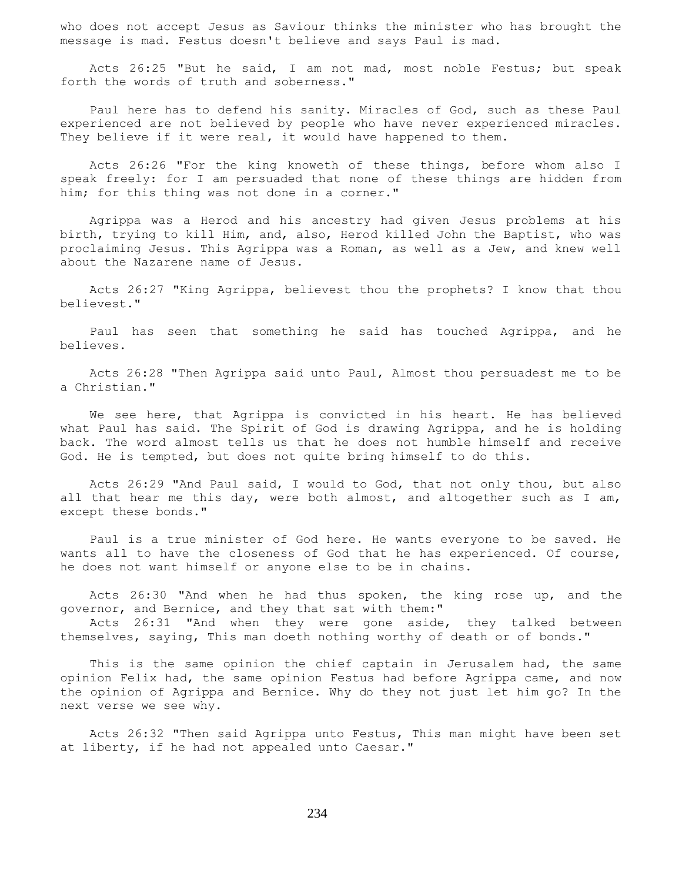who does not accept Jesus as Saviour thinks the minister who has brought the message is mad. Festus doesn't believe and says Paul is mad.

 Acts 26:25 "But he said, I am not mad, most noble Festus; but speak forth the words of truth and soberness."

 Paul here has to defend his sanity. Miracles of God, such as these Paul experienced are not believed by people who have never experienced miracles. They believe if it were real, it would have happened to them.

 Acts 26:26 "For the king knoweth of these things, before whom also I speak freely: for I am persuaded that none of these things are hidden from him; for this thing was not done in a corner."

 Agrippa was a Herod and his ancestry had given Jesus problems at his birth, trying to kill Him, and, also, Herod killed John the Baptist, who was proclaiming Jesus. This Agrippa was a Roman, as well as a Jew, and knew well about the Nazarene name of Jesus.

 Acts 26:27 "King Agrippa, believest thou the prophets? I know that thou believest."

 Paul has seen that something he said has touched Agrippa, and he believes.

 Acts 26:28 "Then Agrippa said unto Paul, Almost thou persuadest me to be a Christian."

 We see here, that Agrippa is convicted in his heart. He has believed what Paul has said. The Spirit of God is drawing Agrippa, and he is holding back. The word almost tells us that he does not humble himself and receive God. He is tempted, but does not quite bring himself to do this.

 Acts 26:29 "And Paul said, I would to God, that not only thou, but also all that hear me this day, were both almost, and altogether such as I am, except these bonds."

 Paul is a true minister of God here. He wants everyone to be saved. He wants all to have the closeness of God that he has experienced. Of course, he does not want himself or anyone else to be in chains.

 Acts 26:30 "And when he had thus spoken, the king rose up, and the governor, and Bernice, and they that sat with them:"

 Acts 26:31 "And when they were gone aside, they talked between themselves, saying, This man doeth nothing worthy of death or of bonds."

 This is the same opinion the chief captain in Jerusalem had, the same opinion Felix had, the same opinion Festus had before Agrippa came, and now the opinion of Agrippa and Bernice. Why do they not just let him go? In the next verse we see why.

 Acts 26:32 "Then said Agrippa unto Festus, This man might have been set at liberty, if he had not appealed unto Caesar."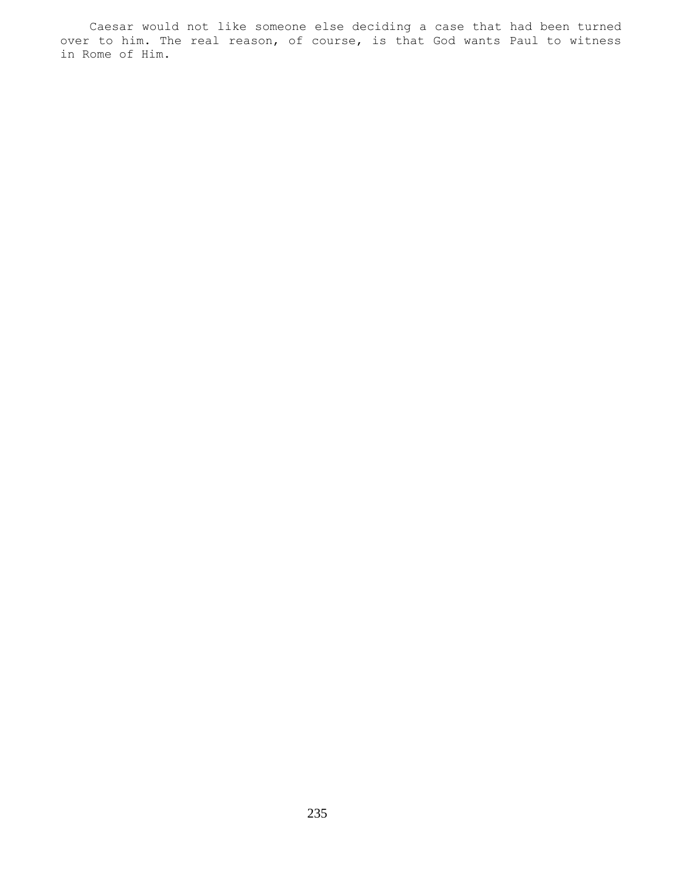Caesar would not like someone else deciding a case that had been turned over to him. The real reason, of course, is that God wants Paul to witness in Rome of Him.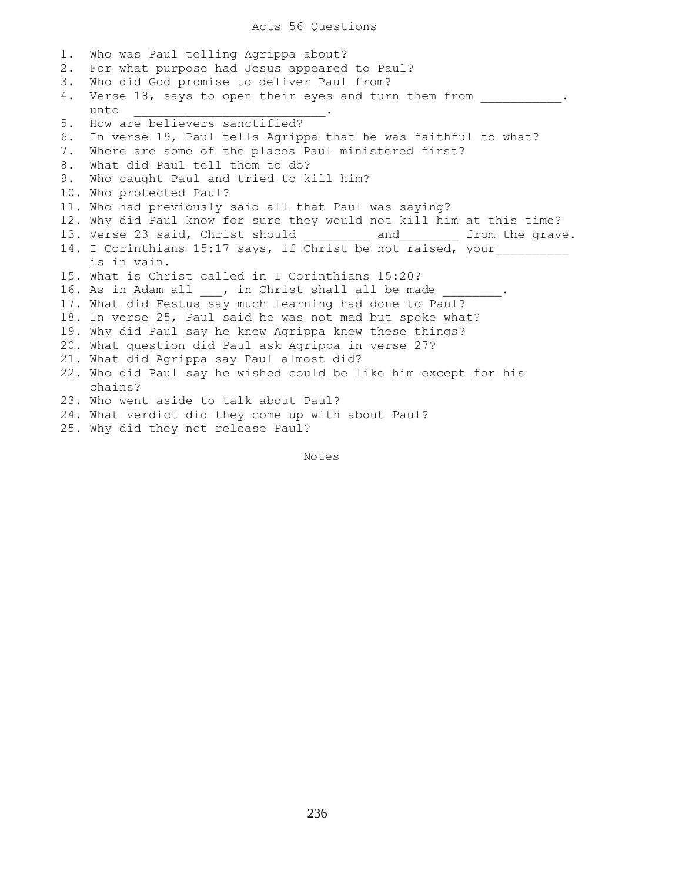1. Who was Paul telling Agrippa about? 2. For what purpose had Jesus appeared to Paul? 3. Who did God promise to deliver Paul from? 4. Verse 18, says to open their eyes and turn them from  $\ldots$ unto **.** 5. How are believers sanctified? 6. In verse 19, Paul tells Agrippa that he was faithful to what? 7. Where are some of the places Paul ministered first? 8. What did Paul tell them to do? 9. Who caught Paul and tried to kill him? 10. Who protected Paul? 11. Who had previously said all that Paul was saying? 12. Why did Paul know for sure they would not kill him at this time? 13. Verse 23 said, Christ should \_\_\_\_\_\_\_\_\_\_ and \_\_\_\_\_\_\_\_ from the grave. 14. I Corinthians 15:17 says, if Christ be not raised, your is in vain. 15. What is Christ called in I Corinthians 15:20? 16. As in Adam all \_\_\_, in Christ shall all be made 17. What did Festus say much learning had done to Paul? 18. In verse 25, Paul said he was not mad but spoke what? 19. Why did Paul say he knew Agrippa knew these things? 20. What question did Paul ask Agrippa in verse 27? 21. What did Agrippa say Paul almost did? 22. Who did Paul say he wished could be like him except for his chains? 23. Who went aside to talk about Paul? 24. What verdict did they come up with about Paul? 25. Why did they not release Paul?

Notes Notes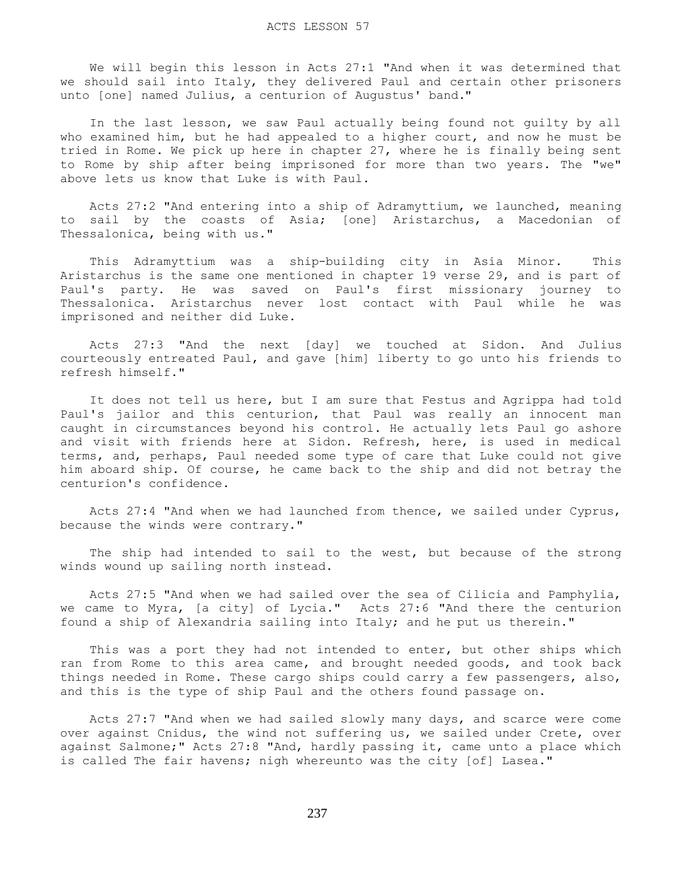We will begin this lesson in Acts 27:1 "And when it was determined that we should sail into Italy, they delivered Paul and certain other prisoners unto [one] named Julius, a centurion of Augustus' band."

 In the last lesson, we saw Paul actually being found not guilty by all who examined him, but he had appealed to a higher court, and now he must be tried in Rome. We pick up here in chapter 27, where he is finally being sent to Rome by ship after being imprisoned for more than two years. The "we" above lets us know that Luke is with Paul.

 Acts 27:2 "And entering into a ship of Adramyttium, we launched, meaning to sail by the coasts of Asia; [one] Aristarchus, a Macedonian of Thessalonica, being with us."

 This Adramyttium was a ship-building city in Asia Minor. This Aristarchus is the same one mentioned in chapter 19 verse 29, and is part of Paul's party. He was saved on Paul's first missionary journey to Thessalonica. Aristarchus never lost contact with Paul while he was imprisoned and neither did Luke.

 Acts 27:3 "And the next [day] we touched at Sidon. And Julius courteously entreated Paul, and gave [him] liberty to go unto his friends to refresh himself."

 It does not tell us here, but I am sure that Festus and Agrippa had told Paul's jailor and this centurion, that Paul was really an innocent man caught in circumstances beyond his control. He actually lets Paul go ashore and visit with friends here at Sidon. Refresh, here, is used in medical terms, and, perhaps, Paul needed some type of care that Luke could not give him aboard ship. Of course, he came back to the ship and did not betray the centurion's confidence.

 Acts 27:4 "And when we had launched from thence, we sailed under Cyprus, because the winds were contrary."

 The ship had intended to sail to the west, but because of the strong winds wound up sailing north instead.

 Acts 27:5 "And when we had sailed over the sea of Cilicia and Pamphylia, we came to Myra, [a city] of Lycia." Acts 27:6 "And there the centurion found a ship of Alexandria sailing into Italy; and he put us therein."

 This was a port they had not intended to enter, but other ships which ran from Rome to this area came, and brought needed goods, and took back things needed in Rome. These cargo ships could carry a few passengers, also, and this is the type of ship Paul and the others found passage on.

 Acts 27:7 "And when we had sailed slowly many days, and scarce were come over against Cnidus, the wind not suffering us, we sailed under Crete, over against Salmone;" Acts 27:8 "And, hardly passing it, came unto a place which is called The fair havens; nigh whereunto was the city [of] Lasea."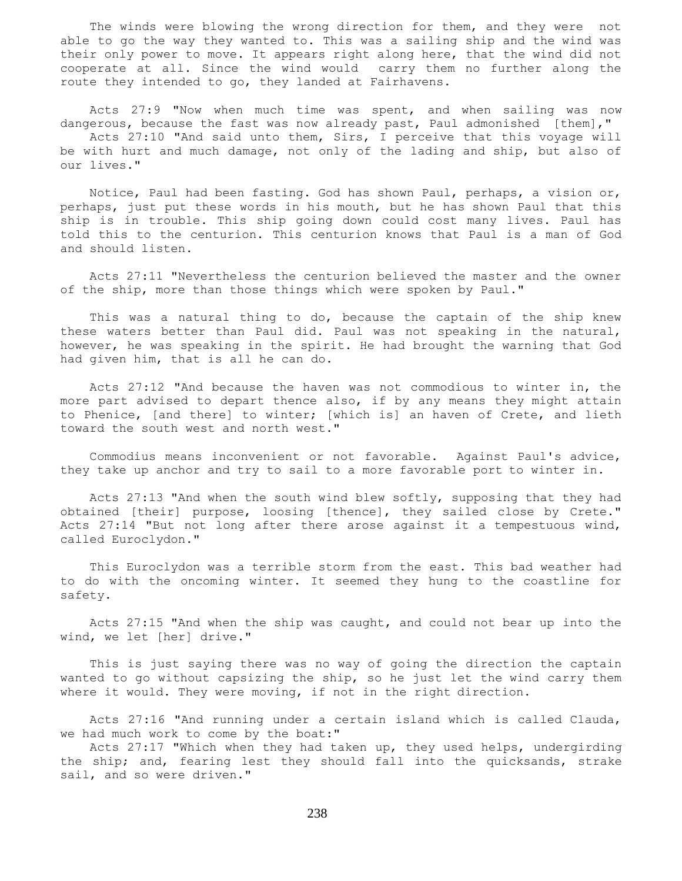The winds were blowing the wrong direction for them, and they were not able to go the way they wanted to. This was a sailing ship and the wind was their only power to move. It appears right along here, that the wind did not cooperate at all. Since the wind would carry them no further along the route they intended to go, they landed at Fairhavens.

 Acts 27:9 "Now when much time was spent, and when sailing was now dangerous, because the fast was now already past, Paul admonished [them]," Acts 27:10 "And said unto them, Sirs, I perceive that this voyage will be with hurt and much damage, not only of the lading and ship, but also of our lives."

 Notice, Paul had been fasting. God has shown Paul, perhaps, a vision or, perhaps, just put these words in his mouth, but he has shown Paul that this ship is in trouble. This ship going down could cost many lives. Paul has told this to the centurion. This centurion knows that Paul is a man of God and should listen.

 Acts 27:11 "Nevertheless the centurion believed the master and the owner of the ship, more than those things which were spoken by Paul."

This was a natural thing to do, because the captain of the ship knew these waters better than Paul did. Paul was not speaking in the natural, however, he was speaking in the spirit. He had brought the warning that God had given him, that is all he can do.

 Acts 27:12 "And because the haven was not commodious to winter in, the more part advised to depart thence also, if by any means they might attain to Phenice, [and there] to winter; [which is] an haven of Crete, and lieth toward the south west and north west."

 Commodius means inconvenient or not favorable. Against Paul's advice, they take up anchor and try to sail to a more favorable port to winter in.

 Acts 27:13 "And when the south wind blew softly, supposing that they had obtained [their] purpose, loosing [thence], they sailed close by Crete." Acts 27:14 "But not long after there arose against it a tempestuous wind, called Euroclydon."

 This Euroclydon was a terrible storm from the east. This bad weather had to do with the oncoming winter. It seemed they hung to the coastline for safety.

 Acts 27:15 "And when the ship was caught, and could not bear up into the wind, we let [her] drive."

 This is just saying there was no way of going the direction the captain wanted to go without capsizing the ship, so he just let the wind carry them where it would. They were moving, if not in the right direction.

 Acts 27:16 "And running under a certain island which is called Clauda, we had much work to come by the boat:"

 Acts 27:17 "Which when they had taken up, they used helps, undergirding the ship; and, fearing lest they should fall into the quicksands, strake sail, and so were driven."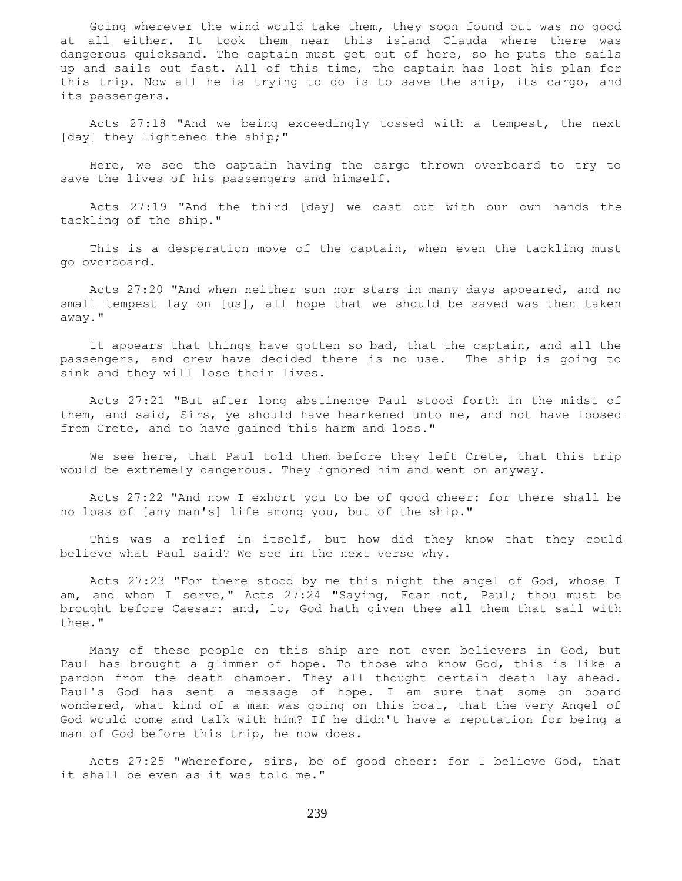Going wherever the wind would take them, they soon found out was no good at all either. It took them near this island Clauda where there was dangerous quicksand. The captain must get out of here, so he puts the sails up and sails out fast. All of this time, the captain has lost his plan for this trip. Now all he is trying to do is to save the ship, its cargo, and its passengers.

 Acts 27:18 "And we being exceedingly tossed with a tempest, the next [day] they lightened the ship;"

 Here, we see the captain having the cargo thrown overboard to try to save the lives of his passengers and himself.

 Acts 27:19 "And the third [day] we cast out with our own hands the tackling of the ship."

 This is a desperation move of the captain, when even the tackling must go overboard.

 Acts 27:20 "And when neither sun nor stars in many days appeared, and no small tempest lay on [us], all hope that we should be saved was then taken away."

 It appears that things have gotten so bad, that the captain, and all the passengers, and crew have decided there is no use. The ship is going to sink and they will lose their lives.

 Acts 27:21 "But after long abstinence Paul stood forth in the midst of them, and said, Sirs, ye should have hearkened unto me, and not have loosed from Crete, and to have gained this harm and loss."

 We see here, that Paul told them before they left Crete, that this trip would be extremely dangerous. They ignored him and went on anyway.

 Acts 27:22 "And now I exhort you to be of good cheer: for there shall be no loss of [any man's] life among you, but of the ship."

 This was a relief in itself, but how did they know that they could believe what Paul said? We see in the next verse why.

 Acts 27:23 "For there stood by me this night the angel of God, whose I am, and whom I serve," Acts 27:24 "Saying, Fear not, Paul; thou must be brought before Caesar: and, lo, God hath given thee all them that sail with thee."

 Many of these people on this ship are not even believers in God, but Paul has brought a glimmer of hope. To those who know God, this is like a pardon from the death chamber. They all thought certain death lay ahead. Paul's God has sent a message of hope. I am sure that some on board wondered, what kind of a man was going on this boat, that the very Angel of God would come and talk with him? If he didn't have a reputation for being a man of God before this trip, he now does.

 Acts 27:25 "Wherefore, sirs, be of good cheer: for I believe God, that it shall be even as it was told me."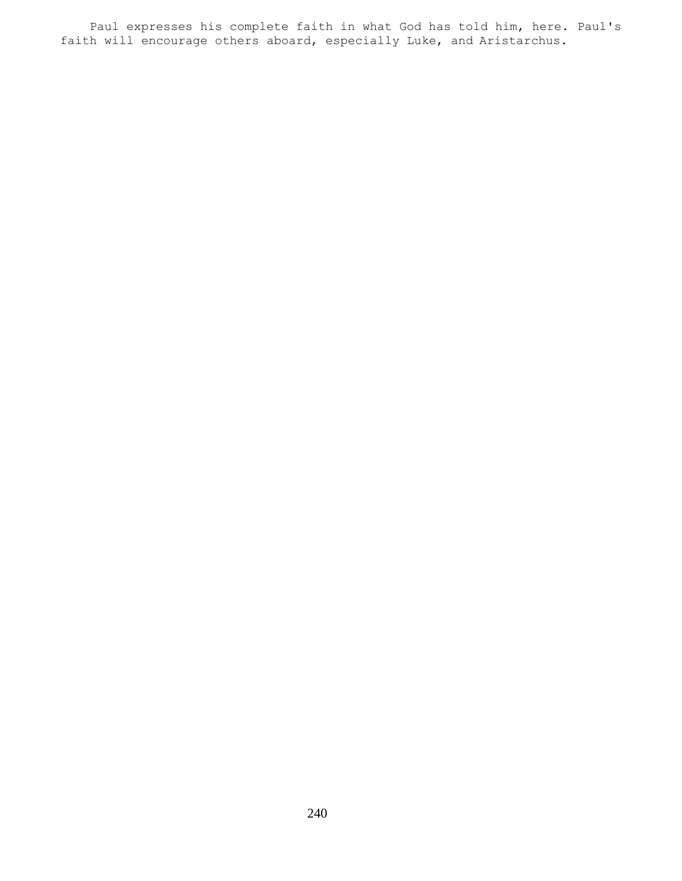Paul expresses his complete faith in what God has told him, here. Paul's faith will encourage others aboard, especially Luke, and Aristarchus.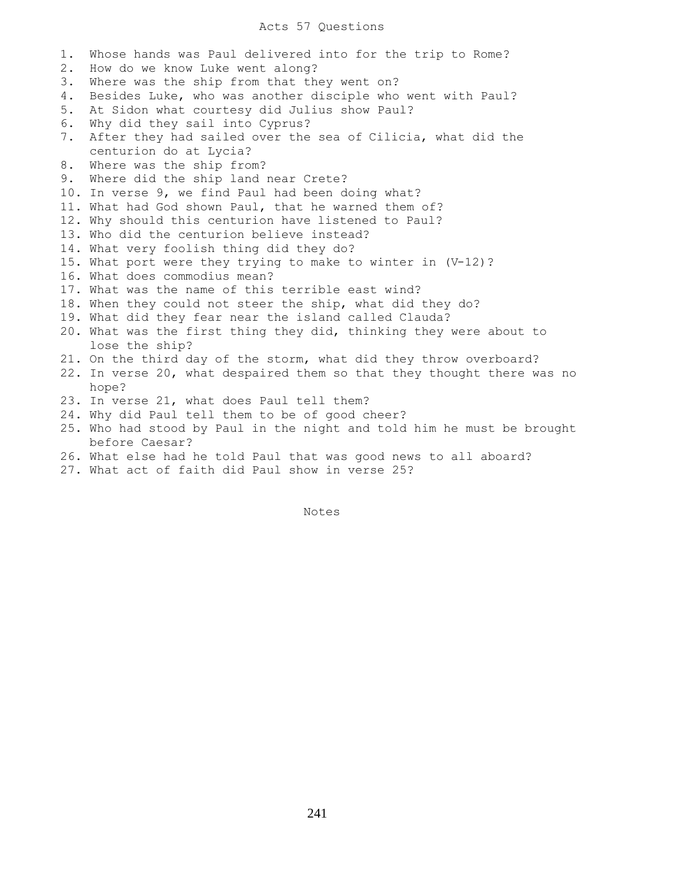## Acts 57 Questions

1. Whose hands was Paul delivered into for the trip to Rome? 2. How do we know Luke went along? 3. Where was the ship from that they went on? 4. Besides Luke, who was another disciple who went with Paul? 5. At Sidon what courtesy did Julius show Paul? 6. Why did they sail into Cyprus? 7. After they had sailed over the sea of Cilicia, what did the centurion do at Lycia? 8. Where was the ship from? 9. Where did the ship land near Crete? 10. In verse 9, we find Paul had been doing what? 11. What had God shown Paul, that he warned them of? 12. Why should this centurion have listened to Paul? 13. Who did the centurion believe instead? 14. What very foolish thing did they do? 15. What port were they trying to make to winter in (V-12)? 16. What does commodius mean? 17. What was the name of this terrible east wind? 18. When they could not steer the ship, what did they do? 19. What did they fear near the island called Clauda? 20. What was the first thing they did, thinking they were about to lose the ship? 21. On the third day of the storm, what did they throw overboard? 22. In verse 20, what despaired them so that they thought there was no hope? 23. In verse 21, what does Paul tell them? 24. Why did Paul tell them to be of good cheer? 25. Who had stood by Paul in the night and told him he must be brought before Caesar? 26. What else had he told Paul that was good news to all aboard? 27. What act of faith did Paul show in verse 25?

Notes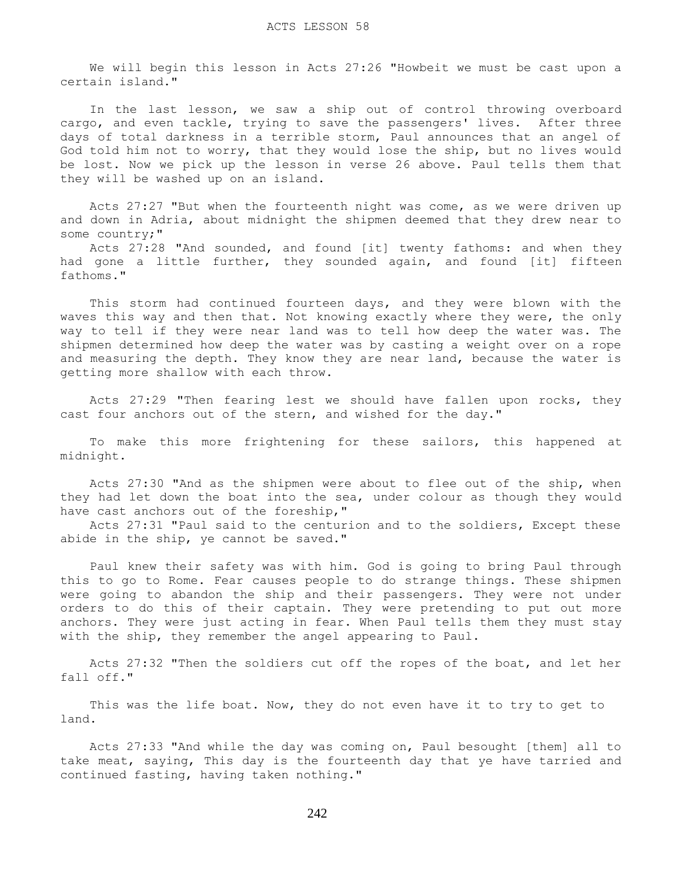We will begin this lesson in Acts 27:26 "Howbeit we must be cast upon a certain island."

 In the last lesson, we saw a ship out of control throwing overboard cargo, and even tackle, trying to save the passengers' lives. After three days of total darkness in a terrible storm, Paul announces that an angel of God told him not to worry, that they would lose the ship, but no lives would be lost. Now we pick up the lesson in verse 26 above. Paul tells them that they will be washed up on an island.

 Acts 27:27 "But when the fourteenth night was come, as we were driven up and down in Adria, about midnight the shipmen deemed that they drew near to some country;"

 Acts 27:28 "And sounded, and found [it] twenty fathoms: and when they had gone a little further, they sounded again, and found [it] fifteen fathoms."

 This storm had continued fourteen days, and they were blown with the waves this way and then that. Not knowing exactly where they were, the only way to tell if they were near land was to tell how deep the water was. The shipmen determined how deep the water was by casting a weight over on a rope and measuring the depth. They know they are near land, because the water is getting more shallow with each throw.

 Acts 27:29 "Then fearing lest we should have fallen upon rocks, they cast four anchors out of the stern, and wished for the day."

 To make this more frightening for these sailors, this happened at midnight.

 Acts 27:30 "And as the shipmen were about to flee out of the ship, when they had let down the boat into the sea, under colour as though they would have cast anchors out of the foreship,"

 Acts 27:31 "Paul said to the centurion and to the soldiers, Except these abide in the ship, ye cannot be saved."

 Paul knew their safety was with him. God is going to bring Paul through this to go to Rome. Fear causes people to do strange things. These shipmen were going to abandon the ship and their passengers. They were not under orders to do this of their captain. They were pretending to put out more anchors. They were just acting in fear. When Paul tells them they must stay with the ship, they remember the angel appearing to Paul.

 Acts 27:32 "Then the soldiers cut off the ropes of the boat, and let her fall off."

 This was the life boat. Now, they do not even have it to try to get to land.

 Acts 27:33 "And while the day was coming on, Paul besought [them] all to take meat, saying, This day is the fourteenth day that ye have tarried and continued fasting, having taken nothing."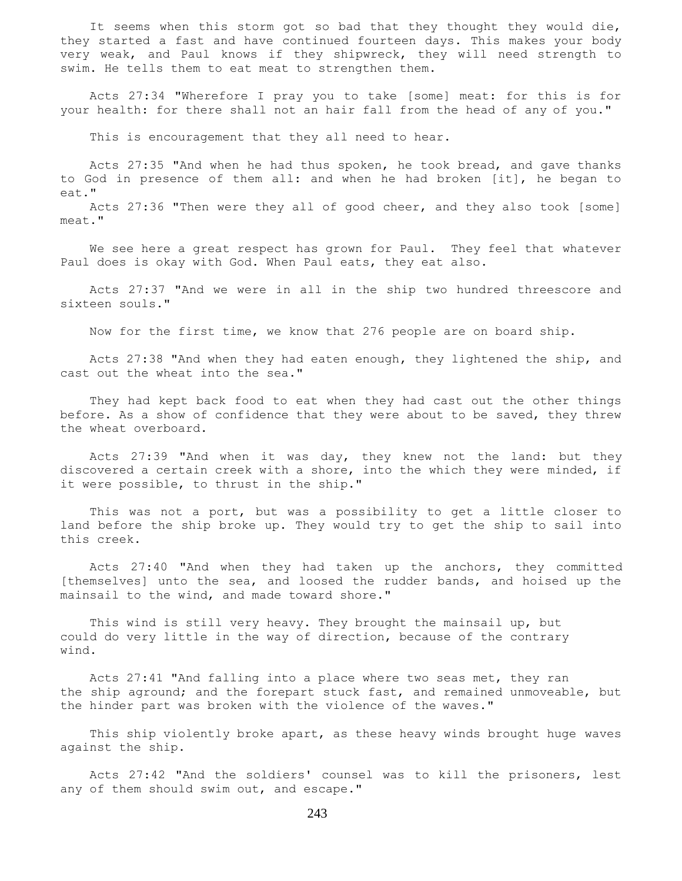It seems when this storm got so bad that they thought they would die, they started a fast and have continued fourteen days. This makes your body very weak, and Paul knows if they shipwreck, they will need strength to swim. He tells them to eat meat to strengthen them.

 Acts 27:34 "Wherefore I pray you to take [some] meat: for this is for your health: for there shall not an hair fall from the head of any of you."

This is encouragement that they all need to hear.

 Acts 27:35 "And when he had thus spoken, he took bread, and gave thanks to God in presence of them all: and when he had broken [it], he began to eat."

 Acts 27:36 "Then were they all of good cheer, and they also took [some] meat."

We see here a great respect has grown for Paul. They feel that whatever Paul does is okay with God. When Paul eats, they eat also.

 Acts 27:37 "And we were in all in the ship two hundred threescore and sixteen souls."

Now for the first time, we know that 276 people are on board ship.

 Acts 27:38 "And when they had eaten enough, they lightened the ship, and cast out the wheat into the sea."

 They had kept back food to eat when they had cast out the other things before. As a show of confidence that they were about to be saved, they threw the wheat overboard.

 Acts 27:39 "And when it was day, they knew not the land: but they discovered a certain creek with a shore, into the which they were minded, if it were possible, to thrust in the ship."

 This was not a port, but was a possibility to get a little closer to land before the ship broke up. They would try to get the ship to sail into this creek.

 Acts 27:40 "And when they had taken up the anchors, they committed [themselves] unto the sea, and loosed the rudder bands, and hoised up the mainsail to the wind, and made toward shore."

 This wind is still very heavy. They brought the mainsail up, but could do very little in the way of direction, because of the contrary wind.

 Acts 27:41 "And falling into a place where two seas met, they ran the ship aground; and the forepart stuck fast, and remained unmoveable, but the hinder part was broken with the violence of the waves."

 This ship violently broke apart, as these heavy winds brought huge waves against the ship.

 Acts 27:42 "And the soldiers' counsel was to kill the prisoners, lest any of them should swim out, and escape."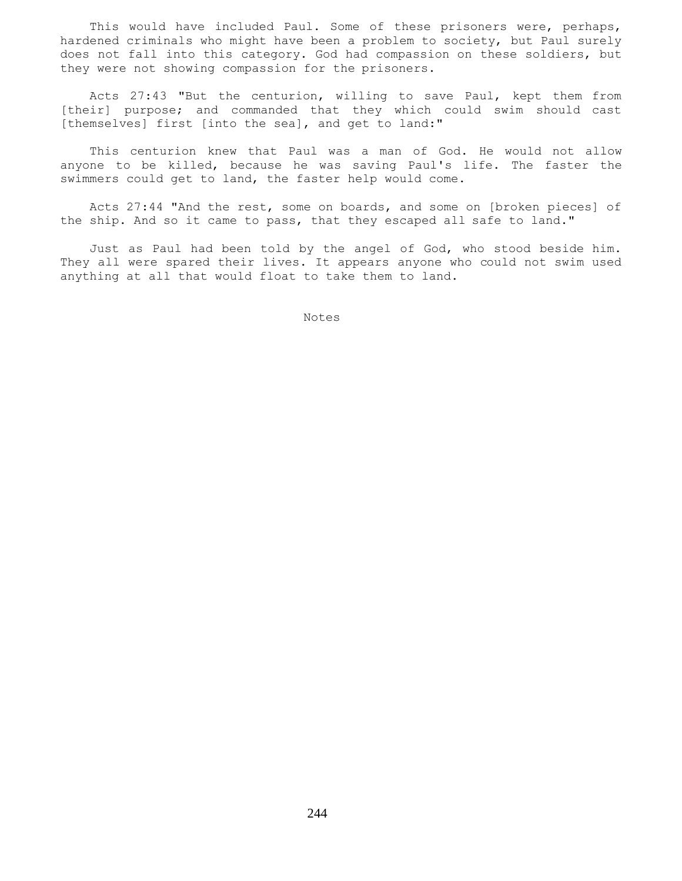This would have included Paul. Some of these prisoners were, perhaps, hardened criminals who might have been a problem to society, but Paul surely does not fall into this category. God had compassion on these soldiers, but they were not showing compassion for the prisoners.

 Acts 27:43 "But the centurion, willing to save Paul, kept them from [their] purpose; and commanded that they which could swim should cast [themselves] first [into the sea], and get to land:"

 This centurion knew that Paul was a man of God. He would not allow anyone to be killed, because he was saving Paul's life. The faster the swimmers could get to land, the faster help would come.

 Acts 27:44 "And the rest, some on boards, and some on [broken pieces] of the ship. And so it came to pass, that they escaped all safe to land."

 Just as Paul had been told by the angel of God, who stood beside him. They all were spared their lives. It appears anyone who could not swim used anything at all that would float to take them to land.

Notes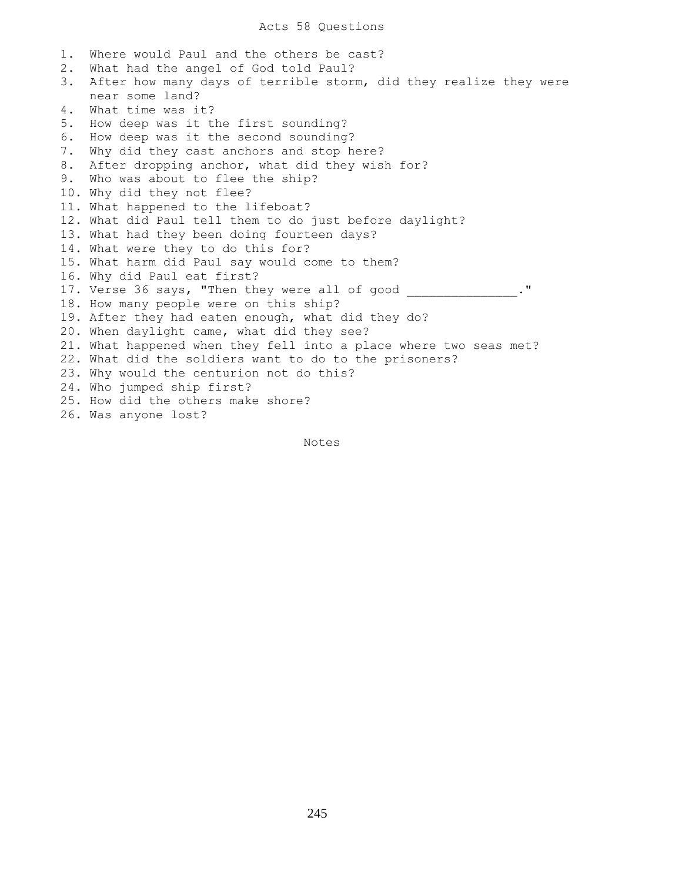1. Where would Paul and the others be cast? 2. What had the angel of God told Paul? 3. After how many days of terrible storm, did they realize they were near some land? 4. What time was it? 5. How deep was it the first sounding? 6. How deep was it the second sounding? 7. Why did they cast anchors and stop here? 8. After dropping anchor, what did they wish for? 9. Who was about to flee the ship? 10. Why did they not flee? 11. What happened to the lifeboat? 12. What did Paul tell them to do just before daylight? 13. What had they been doing fourteen days? 14. What were they to do this for? 15. What harm did Paul say would come to them? 16. Why did Paul eat first? 17. Verse 36 says, "Then they were all of good \_\_\_\_\_\_\_\_\_\_\_\_\_\_." 18. How many people were on this ship? 19. After they had eaten enough, what did they do? 20. When daylight came, what did they see? 21. What happened when they fell into a place where two seas met? 22. What did the soldiers want to do to the prisoners? 23. Why would the centurion not do this? 24. Who jumped ship first? 25. How did the others make shore? 26. Was anyone lost?

Notes **Notes** 

245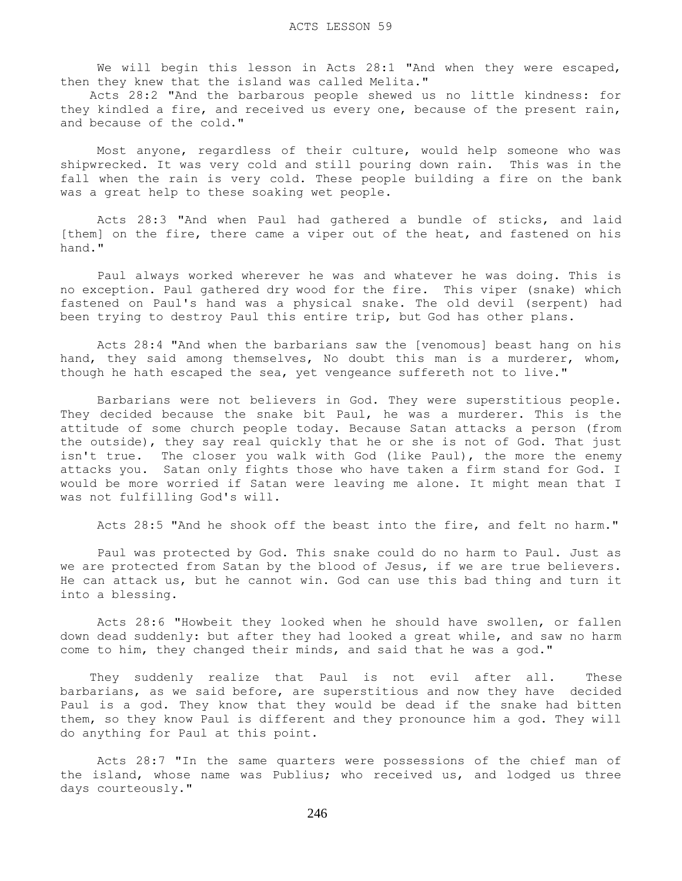We will begin this lesson in Acts 28:1 "And when they were escaped, then they knew that the island was called Melita."

 Acts 28:2 "And the barbarous people shewed us no little kindness: for they kindled a fire, and received us every one, because of the present rain, and because of the cold."

 Most anyone, regardless of their culture, would help someone who was shipwrecked. It was very cold and still pouring down rain. This was in the fall when the rain is very cold. These people building a fire on the bank was a great help to these soaking wet people.

 Acts 28:3 "And when Paul had gathered a bundle of sticks, and laid [them] on the fire, there came a viper out of the heat, and fastened on his hand."

 Paul always worked wherever he was and whatever he was doing. This is no exception. Paul gathered dry wood for the fire. This viper (snake) which fastened on Paul's hand was a physical snake. The old devil (serpent) had been trying to destroy Paul this entire trip, but God has other plans.

 Acts 28:4 "And when the barbarians saw the [venomous] beast hang on his hand, they said among themselves, No doubt this man is a murderer, whom, though he hath escaped the sea, yet vengeance suffereth not to live."

 Barbarians were not believers in God. They were superstitious people. They decided because the snake bit Paul, he was a murderer. This is the attitude of some church people today. Because Satan attacks a person (from the outside), they say real quickly that he or she is not of God. That just isn't true. The closer you walk with God (like Paul), the more the enemy attacks you. Satan only fights those who have taken a firm stand for God. I would be more worried if Satan were leaving me alone. It might mean that I was not fulfilling God's will.

Acts 28:5 "And he shook off the beast into the fire, and felt no harm."

 Paul was protected by God. This snake could do no harm to Paul. Just as we are protected from Satan by the blood of Jesus, if we are true believers. He can attack us, but he cannot win. God can use this bad thing and turn it into a blessing.

 Acts 28:6 "Howbeit they looked when he should have swollen, or fallen down dead suddenly: but after they had looked a great while, and saw no harm come to him, they changed their minds, and said that he was a god."

 They suddenly realize that Paul is not evil after all. These barbarians, as we said before, are superstitious and now they have decided Paul is a god. They know that they would be dead if the snake had bitten them, so they know Paul is different and they pronounce him a god. They will do anything for Paul at this point.

 Acts 28:7 "In the same quarters were possessions of the chief man of the island, whose name was Publius; who received us, and lodged us three days courteously."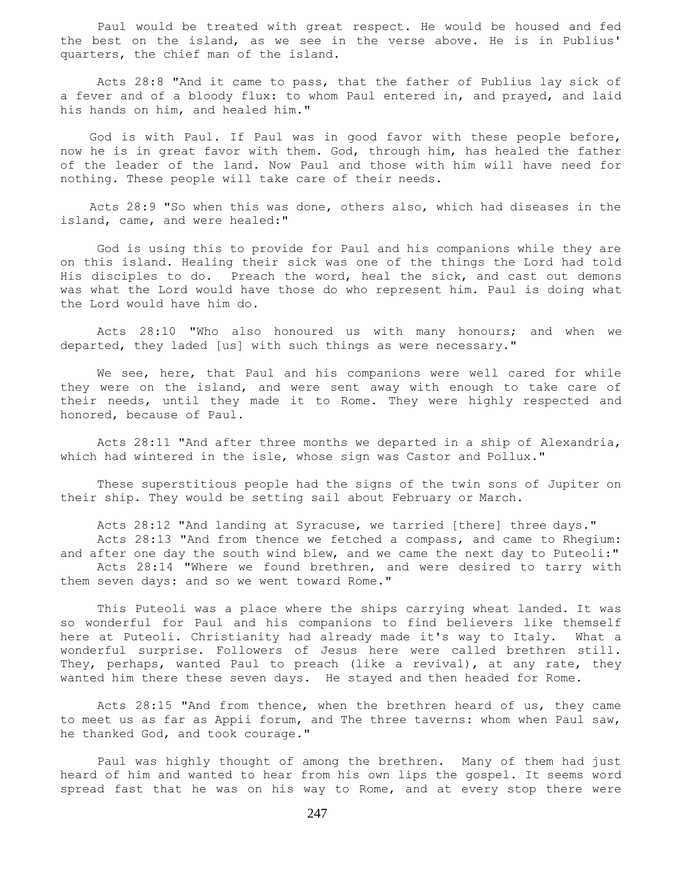Paul would be treated with great respect. He would be housed and fed the best on the island, as we see in the verse above. He is in Publius' quarters, the chief man of the island.

 Acts 28:8 "And it came to pass, that the father of Publius lay sick of a fever and of a bloody flux: to whom Paul entered in, and prayed, and laid his hands on him, and healed him."

 God is with Paul. If Paul was in good favor with these people before, now he is in great favor with them. God, through him, has healed the father of the leader of the land. Now Paul and those with him will have need for nothing. These people will take care of their needs.

 Acts 28:9 "So when this was done, others also, which had diseases in the island, came, and were healed:"

 God is using this to provide for Paul and his companions while they are on this island. Healing their sick was one of the things the Lord had told His disciples to do. Preach the word, heal the sick, and cast out demons was what the Lord would have those do who represent him. Paul is doing what the Lord would have him do.

 Acts 28:10 "Who also honoured us with many honours; and when we departed, they laded [us] with such things as were necessary."

 We see, here, that Paul and his companions were well cared for while they were on the island, and were sent away with enough to take care of their needs, until they made it to Rome. They were highly respected and honored, because of Paul.

 Acts 28:11 "And after three months we departed in a ship of Alexandria, which had wintered in the isle, whose sign was Castor and Pollux."

 These superstitious people had the signs of the twin sons of Jupiter on their ship. They would be setting sail about February or March.

 Acts 28:12 "And landing at Syracuse, we tarried [there] three days." Acts 28:13 "And from thence we fetched a compass, and came to Rhegium: and after one day the south wind blew, and we came the next day to Puteoli:" Acts 28:14 "Where we found brethren, and were desired to tarry with them seven days: and so we went toward Rome."

 This Puteoli was a place where the ships carrying wheat landed. It was so wonderful for Paul and his companions to find believers like themself here at Puteoli. Christianity had already made it's way to Italy. What a wonderful surprise. Followers of Jesus here were called brethren still. They, perhaps, wanted Paul to preach (like a revival), at any rate, they wanted him there these seven days. He stayed and then headed for Rome.

 Acts 28:15 "And from thence, when the brethren heard of us, they came to meet us as far as Appii forum, and The three taverns: whom when Paul saw, he thanked God, and took courage."

 Paul was highly thought of among the brethren. Many of them had just heard of him and wanted to hear from his own lips the gospel. It seems word spread fast that he was on his way to Rome, and at every stop there were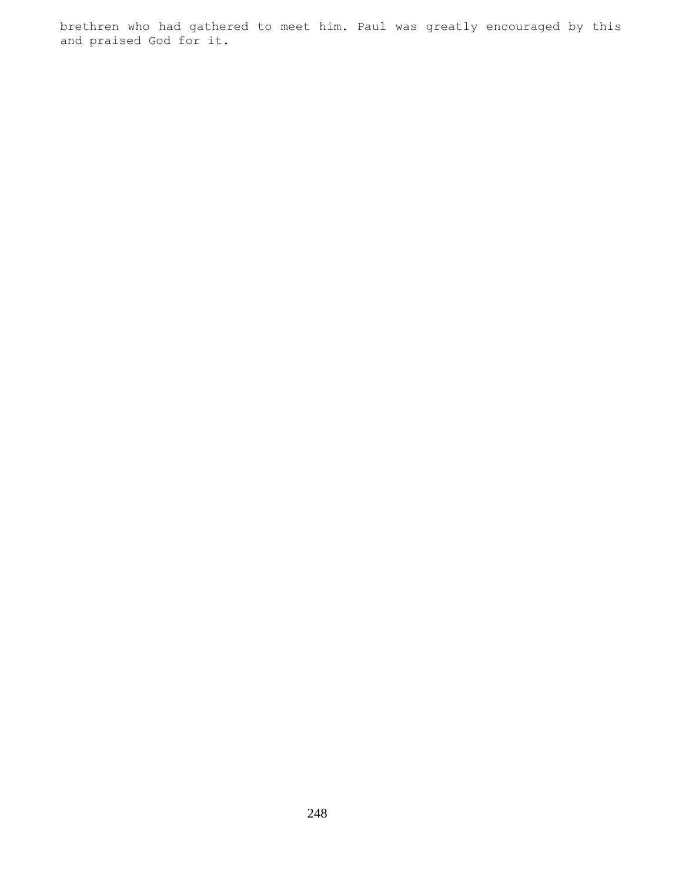brethren who had gathered to meet him. Paul was greatly encouraged by this and praised God for it.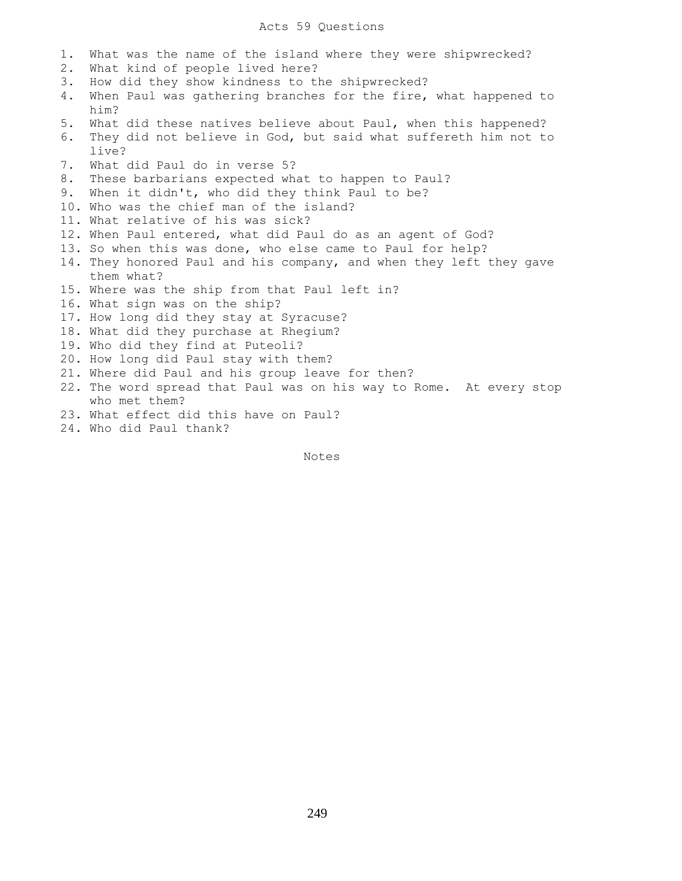## Acts 59 Questions

- 1. What was the name of the island where they were shipwrecked?
- 2. What kind of people lived here?
- 3. How did they show kindness to the shipwrecked?
- 4. When Paul was gathering branches for the fire, what happened to him?
- 5. What did these natives believe about Paul, when this happened?
- 6. They did not believe in God, but said what suffereth him not to live?
- 7. What did Paul do in verse 5?
- 8. These barbarians expected what to happen to Paul?
- 9. When it didn't, who did they think Paul to be?
- 10. Who was the chief man of the island?
- 11. What relative of his was sick?
- 12. When Paul entered, what did Paul do as an agent of God?
- 13. So when this was done, who else came to Paul for help?
- 14. They honored Paul and his company, and when they left they gave them what?
- 15. Where was the ship from that Paul left in?
- 16. What sign was on the ship?
- 17. How long did they stay at Syracuse?
- 18. What did they purchase at Rhegium?
- 19. Who did they find at Puteoli?
- 20. How long did Paul stay with them?
- 21. Where did Paul and his group leave for then?
- 22. The word spread that Paul was on his way to Rome. At every stop who met them?
- 23. What effect did this have on Paul?
- 24. Who did Paul thank?

Notes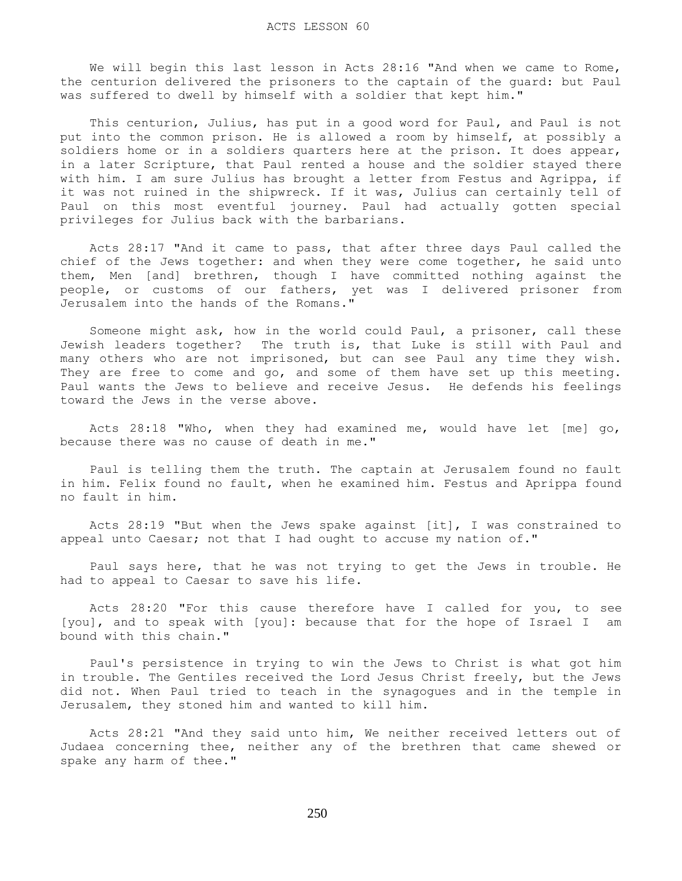We will begin this last lesson in Acts 28:16 "And when we came to Rome, the centurion delivered the prisoners to the captain of the guard: but Paul was suffered to dwell by himself with a soldier that kept him."

 This centurion, Julius, has put in a good word for Paul, and Paul is not put into the common prison. He is allowed a room by himself, at possibly a soldiers home or in a soldiers quarters here at the prison. It does appear, in a later Scripture, that Paul rented a house and the soldier stayed there with him. I am sure Julius has brought a letter from Festus and Agrippa, if it was not ruined in the shipwreck. If it was, Julius can certainly tell of Paul on this most eventful journey. Paul had actually gotten special privileges for Julius back with the barbarians.

 Acts 28:17 "And it came to pass, that after three days Paul called the chief of the Jews together: and when they were come together, he said unto them, Men [and] brethren, though I have committed nothing against the people, or customs of our fathers, yet was I delivered prisoner from Jerusalem into the hands of the Romans."

 Someone might ask, how in the world could Paul, a prisoner, call these Jewish leaders together? The truth is, that Luke is still with Paul and many others who are not imprisoned, but can see Paul any time they wish. They are free to come and go, and some of them have set up this meeting. Paul wants the Jews to believe and receive Jesus. He defends his feelings toward the Jews in the verse above.

 Acts 28:18 "Who, when they had examined me, would have let [me] go, because there was no cause of death in me."

 Paul is telling them the truth. The captain at Jerusalem found no fault in him. Felix found no fault, when he examined him. Festus and Aprippa found no fault in him.

 Acts 28:19 "But when the Jews spake against [it], I was constrained to appeal unto Caesar; not that I had ought to accuse my nation of."

 Paul says here, that he was not trying to get the Jews in trouble. He had to appeal to Caesar to save his life.

 Acts 28:20 "For this cause therefore have I called for you, to see [you], and to speak with [you]: because that for the hope of Israel I am bound with this chain."

 Paul's persistence in trying to win the Jews to Christ is what got him in trouble. The Gentiles received the Lord Jesus Christ freely, but the Jews did not. When Paul tried to teach in the synagogues and in the temple in Jerusalem, they stoned him and wanted to kill him.

 Acts 28:21 "And they said unto him, We neither received letters out of Judaea concerning thee, neither any of the brethren that came shewed or spake any harm of thee."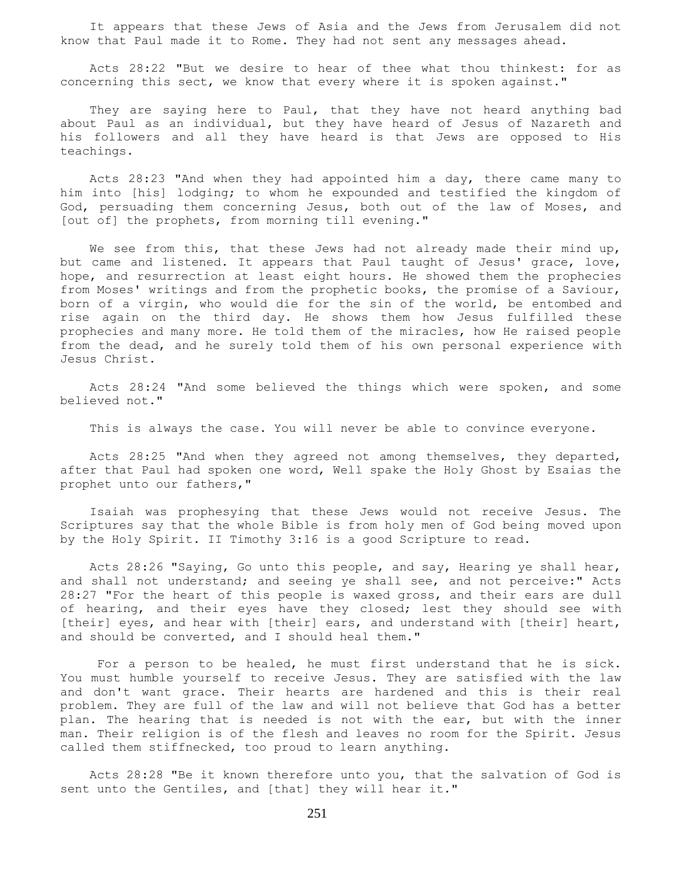It appears that these Jews of Asia and the Jews from Jerusalem did not know that Paul made it to Rome. They had not sent any messages ahead.

 Acts 28:22 "But we desire to hear of thee what thou thinkest: for as concerning this sect, we know that every where it is spoken against."

They are saying here to Paul, that they have not heard anything bad about Paul as an individual, but they have heard of Jesus of Nazareth and his followers and all they have heard is that Jews are opposed to His teachings.

 Acts 28:23 "And when they had appointed him a day, there came many to him into [his] lodging; to whom he expounded and testified the kingdom of God, persuading them concerning Jesus, both out of the law of Moses, and [out of] the prophets, from morning till evening."

We see from this, that these Jews had not already made their mind up, but came and listened. It appears that Paul taught of Jesus' grace, love, hope, and resurrection at least eight hours. He showed them the prophecies from Moses' writings and from the prophetic books, the promise of a Saviour, born of a virgin, who would die for the sin of the world, be entombed and rise again on the third day. He shows them how Jesus fulfilled these prophecies and many more. He told them of the miracles, how He raised people from the dead, and he surely told them of his own personal experience with Jesus Christ.

 Acts 28:24 "And some believed the things which were spoken, and some believed not."

This is always the case. You will never be able to convince everyone.

 Acts 28:25 "And when they agreed not among themselves, they departed, after that Paul had spoken one word, Well spake the Holy Ghost by Esaias the prophet unto our fathers,"

 Isaiah was prophesying that these Jews would not receive Jesus. The Scriptures say that the whole Bible is from holy men of God being moved upon by the Holy Spirit. II Timothy 3:16 is a good Scripture to read.

 Acts 28:26 "Saying, Go unto this people, and say, Hearing ye shall hear, and shall not understand; and seeing ye shall see, and not perceive:" Acts 28:27 "For the heart of this people is waxed gross, and their ears are dull of hearing, and their eyes have they closed; lest they should see with [their] eyes, and hear with [their] ears, and understand with [their] heart, and should be converted, and I should heal them."

 For a person to be healed, he must first understand that he is sick. You must humble yourself to receive Jesus. They are satisfied with the law and don't want grace. Their hearts are hardened and this is their real problem. They are full of the law and will not believe that God has a better plan. The hearing that is needed is not with the ear, but with the inner man. Their religion is of the flesh and leaves no room for the Spirit. Jesus called them stiffnecked, too proud to learn anything.

 Acts 28:28 "Be it known therefore unto you, that the salvation of God is sent unto the Gentiles, and [that] they will hear it."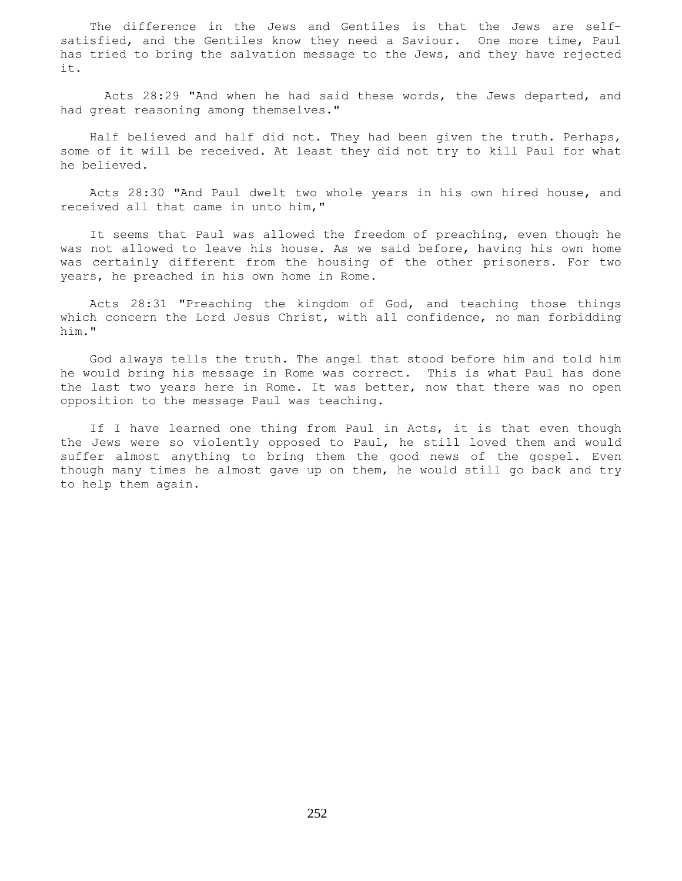The difference in the Jews and Gentiles is that the Jews are selfsatisfied, and the Gentiles know they need a Saviour. One more time, Paul has tried to bring the salvation message to the Jews, and they have rejected it.

 Acts 28:29 "And when he had said these words, the Jews departed, and had great reasoning among themselves."

 Half believed and half did not. They had been given the truth. Perhaps, some of it will be received. At least they did not try to kill Paul for what he believed.

 Acts 28:30 "And Paul dwelt two whole years in his own hired house, and received all that came in unto him,"

 It seems that Paul was allowed the freedom of preaching, even though he was not allowed to leave his house. As we said before, having his own home was certainly different from the housing of the other prisoners. For two years, he preached in his own home in Rome.

 Acts 28:31 "Preaching the kingdom of God, and teaching those things which concern the Lord Jesus Christ, with all confidence, no man forbidding him."

 God always tells the truth. The angel that stood before him and told him he would bring his message in Rome was correct. This is what Paul has done the last two years here in Rome. It was better, now that there was no open opposition to the message Paul was teaching.

 If I have learned one thing from Paul in Acts, it is that even though the Jews were so violently opposed to Paul, he still loved them and would suffer almost anything to bring them the good news of the gospel. Even though many times he almost gave up on them, he would still go back and try to help them again.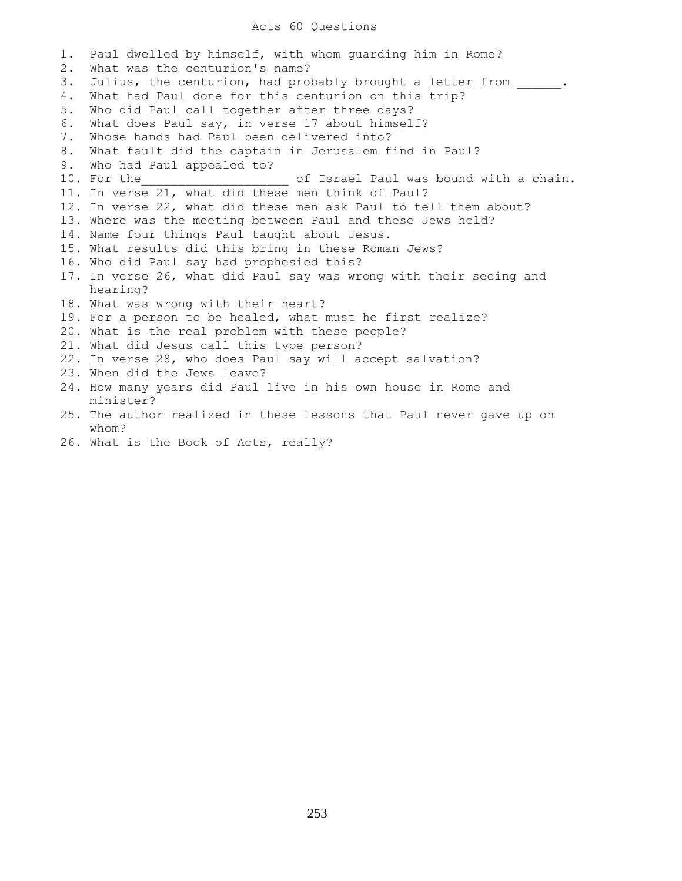## Acts 60 Questions

1. Paul dwelled by himself, with whom guarding him in Rome? 2. What was the centurion's name? 3. Julius, the centurion, had probably brought a letter from \_\_\_\_\_\_. 4. What had Paul done for this centurion on this trip? 5. Who did Paul call together after three days? 6. What does Paul say, in verse 17 about himself? 7. Whose hands had Paul been delivered into? 8. What fault did the captain in Jerusalem find in Paul? 9. Who had Paul appealed to? 10. For the the state of Israel Paul was bound with a chain. 11. In verse 21, what did these men think of Paul? 12. In verse 22, what did these men ask Paul to tell them about? 13. Where was the meeting between Paul and these Jews held? 14. Name four things Paul taught about Jesus. 15. What results did this bring in these Roman Jews? 16. Who did Paul say had prophesied this? 17. In verse 26, what did Paul say was wrong with their seeing and hearing? 18. What was wrong with their heart? 19. For a person to be healed, what must he first realize? 20. What is the real problem with these people? 21. What did Jesus call this type person? 22. In verse 28, who does Paul say will accept salvation? 23. When did the Jews leave? 24. How many years did Paul live in his own house in Rome and minister? 25. The author realized in these lessons that Paul never gave up on whom?

26. What is the Book of Acts, really?